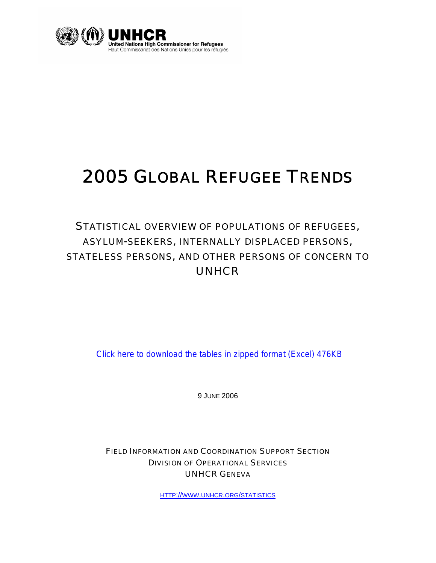

# 2005 GLOBAL REFUGEE TRENDS

# STATISTICAL OVERVIEW OF POPULATIONS OF REFUGEES, ASYLUM-SEEKERS, INTERNALLY DISPLACED PERSONS, STATELESS PERSONS, AND OTHER PERSONS OF CONCERN TO UNHCR

[Click here to download the tables in zipped format \(Excel\) 476KB](http://www.unhcr.org/statistics/05-tpoc-tb_v3_web.zip)

9 JUNE 2006

FIELD INFORMATION AND COORDINATION SUPPORT SECTION DIVISION OF OPERATIONAL SERVICES UNHCR GENEVA

[HTTP://WWW.UNHCR.ORG/STATISTICS](http://www.unhcr.org/statistics)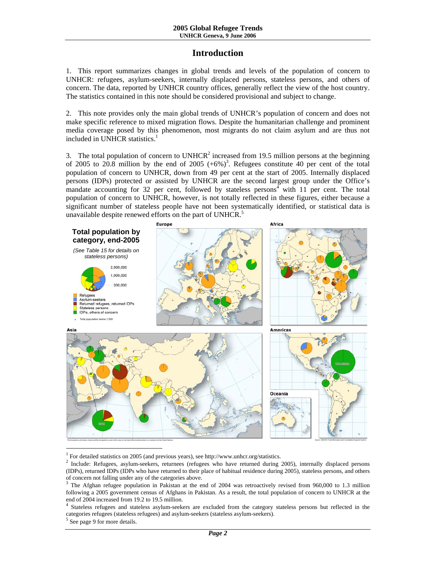### **Introduction**

1. This report summarizes changes in global trends and levels of the population of concern to UNHCR: refugees, asylum-seekers, internally displaced persons, stateless persons, and others of concern. The data, reported by UNHCR country offices, generally reflect the view of the host country. The statistics contained in this note should be considered provisional and subject to change.

2. This note provides only the main global trends of UNHCR's population of concern and does not make specific reference to mixed migration flows. Despite the humanitarian challenge and prominent media coverage posed by this phenomenon, most migrants do not claim asylum and are thus not included in UNHCR statistics.<sup>1</sup>

3. The total population of concern to UNHCR<sup>2</sup> increased from 19.5 million persons at the beginning of 2005 to 20.8 million by the end of 2005  $(+6%)^3$ . Refugees constitute 40 per cent of the total population of concern to UNHCR, down from 49 per cent at the start of 2005. Internally displaced persons (IDPs) protected or assisted by UNHCR are the second largest group under the Office's mandate accounting for 32 per cent, followed by stateless persons<sup>4</sup> with 11 per cent. The total population of concern to UNHCR, however, is not totally reflected in these figures, either because a significant number of stateless people have not been systematically identified, or statistical data is unavailable despite renewed efforts on the part of UNHCR.<sup>5</sup>



<sup>1</sup> For detailed statistics on 2005 (and previous years), see http://www.unhcr.org/statistics.

<sup>2</sup> Include: Refugees, asylum-seekers, returnees (refugees who have returned during 2005), internally displaced persons (IDPs), returned IDPs (IDPs who have returned to their place of habitual residence during 2005), stateless persons, and others of concern not falling under any of the categories above.

<sup>&</sup>lt;sup>3</sup> The Afghan refugee population in Pakistan at the end of 2004 was retroactively revised from 960,000 to 1.3 million following a 2005 government census of Afghans in Pakistan. As a result, the total population of concern to UNHCR at the end of 2004 increased from 19.2 to 19.5 million.

Stateless refugees and stateless asylum-seekers are excluded from the category stateless persons but reflected in the categories refugees (stateless refugees) and asylum-seekers (stateless asylum-seekers).

<sup>&</sup>lt;sup>5</sup> See page 9 for more details.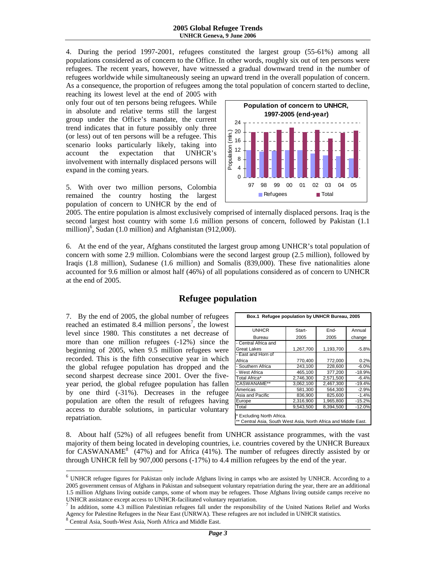4. During the period 1997-2001, refugees constituted the largest group (55-61%) among all populations considered as of concern to the Office. In other words, roughly six out of ten persons were refugees. The recent years, however, have witnessed a gradual downward trend in the number of refugees worldwide while simultaneously seeing an upward trend in the overall population of concern. As a consequence, the proportion of refugees among the total population of concern started to decline,

reaching its lowest level at the end of 2005 with only four out of ten persons being refugees. While in absolute and relative terms still the largest group under the Office's mandate, the current trend indicates that in future possibly only three (or less) out of ten persons will be a refugee. This scenario looks particularly likely, taking into account the expectation that UNHCR's involvement with internally displaced persons will expand in the coming years.

5. With over two million persons, Colombia remained the country hosting the largest population of concern to UNHCR by the end of



2005. The entire population is almost exclusively comprised of internally displaced persons. Iraq is the second largest host country with some 1.6 million persons of concern, followed by Pakistan (1.1 million) $<sup>6</sup>$ , Sudan (1.0 million) and Afghanistan (912,000).</sup>

6. At the end of the year, Afghans constituted the largest group among UNHCR's total population of concern with some 2.9 million. Colombians were the second largest group (2.5 million), followed by Iraqis (1.8 million), Sudanese (1.6 million) and Somalis (839,000). These five nationalities alone accounted for 9.6 million or almost half (46%) of all populations considered as of concern to UNHCR at the end of 2005.

# **Refugee population**

7. By the end of 2005, the global number of refugees reached an estimated 8.4 million persons<sup>7</sup>, the lowest level since 1980. This constitutes a net decrease of more than one million refugees (-12%) since the beginning of 2005, when 9.5 million refugees were recorded. This is the fifth consecutive year in which the global refugee population has dropped and the second sharpest decrease since 2001. Over the fiveyear period, the global refugee population has fallen by one third (-31%). Decreases in the refugee population are often the result of refugees having access to durable solutions, in particular voluntary repatriation.

| Box.1 Refugee population by UNHCR Bureau, 2005          |           |           |          |  |  |  |  |  |  |  |  |  |
|---------------------------------------------------------|-----------|-----------|----------|--|--|--|--|--|--|--|--|--|
| <b>UNHCR</b>                                            | Start-    | End-      | Annual   |  |  |  |  |  |  |  |  |  |
| Bureau                                                  | 2005      | 2005      | change   |  |  |  |  |  |  |  |  |  |
| - Central Africa and                                    |           |           |          |  |  |  |  |  |  |  |  |  |
| 1,267,700<br>1,193,700<br><b>Great Lakes</b><br>$-5.8%$ |           |           |          |  |  |  |  |  |  |  |  |  |
| - East and Horn of                                      |           |           |          |  |  |  |  |  |  |  |  |  |
| Africa                                                  | 770,400   | 772,000   | 0.2%     |  |  |  |  |  |  |  |  |  |
| - Southern Africa                                       | 243.100   | 228.600   | $-6.0%$  |  |  |  |  |  |  |  |  |  |
| - West Africa                                           | 465,100   | 377,200   | $-18.9%$ |  |  |  |  |  |  |  |  |  |
| Total Africa*                                           | 2,746,300 | 2,571,500 | $-6.4%$  |  |  |  |  |  |  |  |  |  |
| CASWANAME**                                             | 3,062,100 | 2.467.300 | $-19.4%$ |  |  |  |  |  |  |  |  |  |
| Americas                                                | 581,300   | 564,300   | $-2.9%$  |  |  |  |  |  |  |  |  |  |
| Asia and Pacific                                        | 836.900   | 825.600   | $-1.4%$  |  |  |  |  |  |  |  |  |  |
| Europe                                                  | 2.316.900 | 1.965.800 | $-15.2%$ |  |  |  |  |  |  |  |  |  |
| Total                                                   | 9,543,500 | 8.394.500 | $-12.0%$ |  |  |  |  |  |  |  |  |  |
| * Excluding North Africa.                               |           |           |          |  |  |  |  |  |  |  |  |  |

Central Asia, South West Asia, North Africa and Middle East.

8. About half (52%) of all refugees benefit from UNHCR assistance programmes, with the vast majority of them being located in developing countries, i.e. countries covered by the UNHCR Bureaux for CASWANAME<sup>8</sup> (47%) and for Africa (41%). The number of refugees directly assisted by or through UNHCR fell by 907,000 persons (-17%) to 4.4 million refugees by the end of the year.

l

<sup>6</sup> UNHCR refugee figures for Pakistan only include Afghans living in camps who are assisted by UNHCR. According to a 2005 government census of Afghans in Pakistan and subsequent voluntary repatriation during the year, there are an additional 1.5 million Afghans living outside camps, some of whom may be refugees. Those Afghans living outside camps receive no UNHCR assistance except access to UNHCR-facilitated voluntary repatriation.

In addition, some 4.3 million Palestinian refugees fall under the responsibility of the United Nations Relief and Works Agency for Palestine Refugees in the Near East (UNRWA). These refugees are not included in UNHCR statistics. 8 Central Asia, South-West Asia, North Africa and Middle East.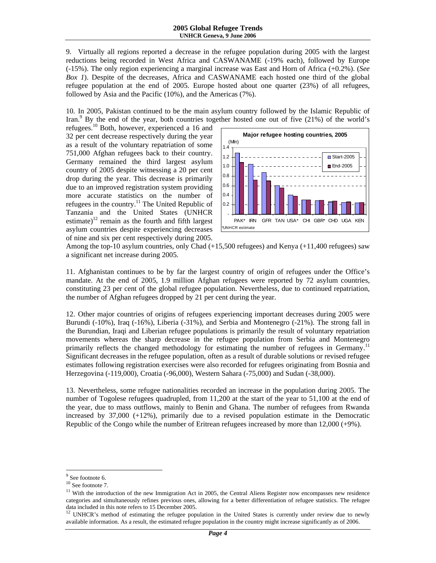9. Virtually all regions reported a decrease in the refugee population during 2005 with the largest reductions being recorded in West Africa and CASWANAME (-19% each), followed by Europe (-15%). The only region experiencing a marginal increase was East and Horn of Africa (+0.2%). (*See Box 1*). Despite of the decreases, Africa and CASWANAME each hosted one third of the global refugee population at the end of 2005. Europe hosted about one quarter (23%) of all refugees, followed by Asia and the Pacific (10%), and the Americas (7%).

10. In 2005, Pakistan continued to be the main asylum country followed by the Islamic Republic of Iran.<sup>9</sup> By the end of the year, both countries together hosted one out of five (21%) of the world's

refugees.10 Both, however, experienced a 16 and 32 per cent decrease respectively during the year as a result of the voluntary repatriation of some 751,000 Afghan refugees back to their country. Germany remained the third largest asylum country of 2005 despite witnessing a 20 per cent drop during the year. This decrease is primarily due to an improved registration system providing more accurate statistics on the number of refugees in the country.<sup>11</sup> The United Republic of Tanzania and the United States (UNHCR estimate)<sup>12</sup> remain as the fourth and fifth largest asylum countries despite experiencing decreases of nine and six per cent respectively during 2005.



Among the top-10 asylum countries, only Chad (+15,500 refugees) and Kenya (+11,400 refugees) saw a significant net increase during 2005.

11. Afghanistan continues to be by far the largest country of origin of refugees under the Office's mandate. At the end of 2005, 1.9 million Afghan refugees were reported by 72 asylum countries, constituting 23 per cent of the global refugee population. Nevertheless, due to continued repatriation, the number of Afghan refugees dropped by 21 per cent during the year.

12. Other major countries of origins of refugees experiencing important decreases during 2005 were Burundi (-10%), Iraq (-16%), Liberia (-31%), and Serbia and Montenegro (-21%). The strong fall in the Burundian, Iraqi and Liberian refugee populations is primarily the result of voluntary repatriation movements whereas the sharp decrease in the refugee population from Serbia and Montenegro primarily reflects the changed methodology for estimating the number of refugees in Germany.<sup>11</sup> Significant decreases in the refugee population, often as a result of durable solutions or revised refugee estimates following registration exercises were also recorded for refugees originating from Bosnia and Herzegovina (-119,000), Croatia (-96,000), Western Sahara (-75,000) and Sudan (-38,000).

13. Nevertheless, some refugee nationalities recorded an increase in the population during 2005. The number of Togolese refugees quadrupled, from 11,200 at the start of the year to 51,100 at the end of the year, due to mass outflows, mainly to Benin and Ghana. The number of refugees from Rwanda increased by  $37,000$  ( $+12\%$ ), primarily due to a revised population estimate in the Democratic Republic of the Congo while the number of Eritrean refugees increased by more than 12,000 (+9%).

l

<sup>&</sup>lt;sup>9</sup> See footnote 6.

 $10$  See footnote 7.

 $11$  With the introduction of the new Immigration Act in 2005, the Central Aliens Register now encompasses new residence categories and simultaneously refines previous ones, allowing for a better differentiation of refugee statistics. The refugee data included in this note refers to 15 December 2005.

<sup>&</sup>lt;sup>12</sup> UNHCR's method of estimating the refugee population in the United States is currently under review due to newly available information. As a result, the estimated refugee population in the country might increase significantly as of 2006.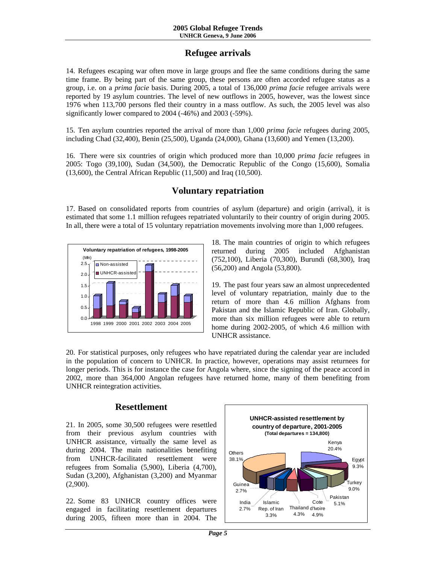# **Refugee arrivals**

14. Refugees escaping war often move in large groups and flee the same conditions during the same time frame. By being part of the same group, these persons are often accorded refugee status as a group, i.e. on a *prima facie* basis. During 2005, a total of 136,000 *prima facie* refugee arrivals were reported by 19 asylum countries. The level of new outflows in 2005, however, was the lowest since 1976 when 113,700 persons fled their country in a mass outflow. As such, the 2005 level was also significantly lower compared to 2004 (-46%) and 2003 (-59%).

15. Ten asylum countries reported the arrival of more than 1,000 *prima facie* refugees during 2005, including Chad (32,400), Benin (25,500), Uganda (24,000), Ghana (13,600) and Yemen (13,200).

16. There were six countries of origin which produced more than 10,000 *prima facie* refugees in 2005: Togo (39,100), Sudan (34,500), the Democratic Republic of the Congo (15,600), Somalia (13,600), the Central African Republic (11,500) and Iraq (10,500).

# **Voluntary repatriation**

17. Based on consolidated reports from countries of asylum (departure) and origin (arrival), it is estimated that some 1.1 million refugees repatriated voluntarily to their country of origin during 2005. In all, there were a total of 15 voluntary repatriation movements involving more than 1,000 refugees.



18. The main countries of origin to which refugees returned during 2005 included Afghanistan (752,100), Liberia (70,300), Burundi (68,300), Iraq (56,200) and Angola (53,800).

19. The past four years saw an almost unprecedented level of voluntary repatriation, mainly due to the return of more than 4.6 million Afghans from Pakistan and the Islamic Republic of Iran. Globally, more than six million refugees were able to return home during 2002-2005, of which 4.6 million with UNHCR assistance.

20. For statistical purposes, only refugees who have repatriated during the calendar year are included in the population of concern to UNHCR. In practice, however, operations may assist returnees for longer periods. This is for instance the case for Angola where, since the signing of the peace accord in 2002, more than 364,000 Angolan refugees have returned home, many of them benefiting from UNHCR reintegration activities.

# **Resettlement**

21. In 2005, some 30,500 refugees were resettled from their previous asylum countries with UNHCR assistance, virtually the same level as during 2004. The main nationalities benefiting from UNHCR-facilitated resettlement were refugees from Somalia (5,900), Liberia (4,700), Sudan (3,200), Afghanistan (3,200) and Myanmar (2,900).

22. Some 83 UNHCR country offices were engaged in facilitating resettlement departures during 2005, fifteen more than in 2004. The

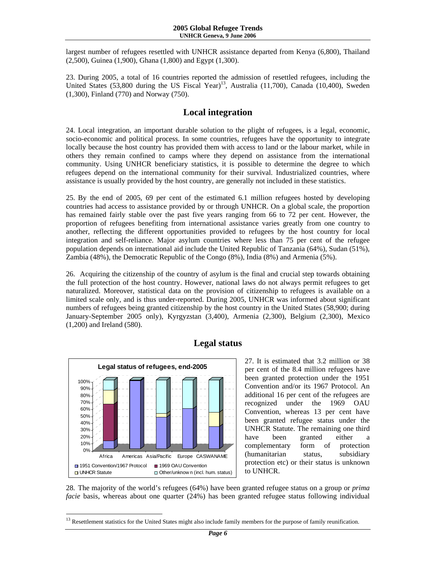largest number of refugees resettled with UNHCR assistance departed from Kenya (6,800), Thailand (2,500), Guinea (1,900), Ghana (1,800) and Egypt (1,300).

23. During 2005, a total of 16 countries reported the admission of resettled refugees, including the United States  $(53,800$  during the US Fiscal Year)<sup>13</sup>, Australia  $(11,700)$ , Canada  $(10,400)$ , Sweden (1,300), Finland (770) and Norway (750).

# **Local integration**

24. Local integration, an important durable solution to the plight of refugees, is a legal, economic, socio-economic and political process. In some countries, refugees have the opportunity to integrate locally because the host country has provided them with access to land or the labour market, while in others they remain confined to camps where they depend on assistance from the international community. Using UNHCR beneficiary statistics, it is possible to determine the degree to which refugees depend on the international community for their survival. Industrialized countries, where assistance is usually provided by the host country, are generally not included in these statistics.

25. By the end of 2005, 69 per cent of the estimated 6.1 million refugees hosted by developing countries had access to assistance provided by or through UNHCR. On a global scale, the proportion has remained fairly stable over the past five years ranging from 66 to 72 per cent. However, the proportion of refugees benefiting from international assistance varies greatly from one country to another, reflecting the different opportunities provided to refugees by the host country for local integration and self-reliance. Major asylum countries where less than 75 per cent of the refugee population depends on international aid include the United Republic of Tanzania (64%), Sudan (51%), Zambia (48%), the Democratic Republic of the Congo (8%), India (8%) and Armenia (5%).

26. Acquiring the citizenship of the country of asylum is the final and crucial step towards obtaining the full protection of the host country. However, national laws do not always permit refugees to get naturalized. Moreover, statistical data on the provision of citizenship to refugees is available on a limited scale only, and is thus under-reported. During 2005, UNHCR was informed about significant numbers of refugees being granted citizenship by the host country in the United States (58,900; during January-September 2005 only), Kyrgyzstan (3,400), Armenia (2,300), Belgium (2,300), Mexico (1,200) and Ireland (580).



l

# **Legal status**

27. It is estimated that 3.2 million or 38 per cent of the 8.4 million refugees have been granted protection under the 1951 Convention and/or its 1967 Protocol. An additional 16 per cent of the refugees are recognized under the 1969 OAU Convention, whereas 13 per cent have been granted refugee status under the UNHCR Statute. The remaining one third have been granted either a complementary form of protection (humanitarian status, subsidiary protection etc) or their status is unknown to UNHCR.

28. The majority of the world's refugees (64%) have been granted refugee status on a group or *prima facie* basis, whereas about one quarter (24%) has been granted refugee status following individual

<sup>&</sup>lt;sup>13</sup> Resettlement statistics for the United States might also include family members for the purpose of family reunification.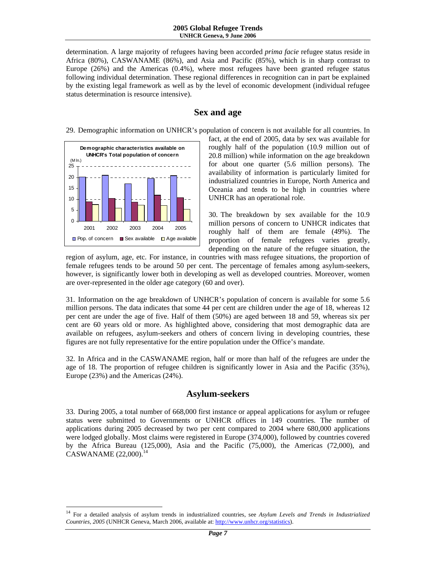determination. A large majority of refugees having been accorded *prima facie* refugee status reside in Africa (80%), CASWANAME (86%), and Asia and Pacific (85%), which is in sharp contrast to Europe (26%) and the Americas (0.4%), where most refugees have been granted refugee status following individual determination. These regional differences in recognition can in part be explained by the existing legal framework as well as by the level of economic development (individual refugee status determination is resource intensive).

# **Sex and age**

29. Demographic information on UNHCR's population of concern is not available for all countries. In



l

fact, at the end of 2005, data by sex was available for roughly half of the population (10.9 million out of 20.8 million) while information on the age breakdown for about one quarter (5.6 million persons). The availability of information is particularly limited for industrialized countries in Europe, North America and Oceania and tends to be high in countries where UNHCR has an operational role.

30. The breakdown by sex available for the 10.9 million persons of concern to UNHCR indicates that roughly half of them are female (49%). The proportion of female refugees varies greatly, depending on the nature of the refugee situation, the

region of asylum, age, etc. For instance, in countries with mass refugee situations, the proportion of female refugees tends to be around 50 per cent. The percentage of females among asylum-seekers, however, is significantly lower both in developing as well as developed countries. Moreover, women are over-represented in the older age category (60 and over).

31. Information on the age breakdown of UNHCR's population of concern is available for some 5.6 million persons. The data indicates that some 44 per cent are children under the age of 18, whereas 12 per cent are under the age of five. Half of them (50%) are aged between 18 and 59, whereas six per cent are 60 years old or more. As highlighted above, considering that most demographic data are available on refugees, asylum-seekers and others of concern living in developing countries, these figures are not fully representative for the entire population under the Office's mandate.

32. In Africa and in the CASWANAME region, half or more than half of the refugees are under the age of 18. The proportion of refugee children is significantly lower in Asia and the Pacific (35%), Europe (23%) and the Americas (24%).

### **Asylum-seekers**

33. During 2005, a total number of 668,000 first instance or appeal applications for asylum or refugee status were submitted to Governments or UNHCR offices in 149 countries. The number of applications during 2005 decreased by two per cent compared to 2004 where 680,000 applications were lodged globally. Most claims were registered in Europe (374,000), followed by countries covered by the Africa Bureau (125,000), Asia and the Pacific (75,000), the Americas (72,000), and CASWANAME (22,000).<sup>14</sup>

<sup>14</sup> For a detailed analysis of asylum trends in industrialized countries, see *Asylum Levels and Trends in Industrialized Countries, 2005* (UNHCR Geneva, March 2006, available at: http://www.unhcr.org/statistics).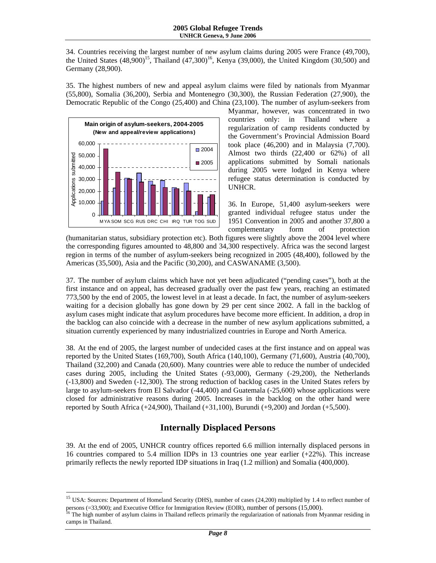34. Countries receiving the largest number of new asylum claims during 2005 were France (49,700), the United States  $(48,900)^{15}$ , Thailand  $(47,300)^{16}$ , Kenya (39,000), the United Kingdom (30,500) and Germany (28,900).

35. The highest numbers of new and appeal asylum claims were filed by nationals from Myanmar (55,800), Somalia (36,200), Serbia and Montenegro (30,300), the Russian Federation (27,900), the Democratic Republic of the Congo (25,400) and China (23,100). The number of asylum-seekers from



l

Myanmar, however, was concentrated in two countries only: in Thailand where a regularization of camp residents conducted by the Government's Provincial Admission Board took place (46,200) and in Malaysia (7,700). Almost two thirds (22,400 or 62%) of all applications submitted by Somali nationals during 2005 were lodged in Kenya where refugee status determination is conducted by UNHCR.

36. In Europe, 51,400 asylum-seekers were granted individual refugee status under the 1951 Convention in 2005 and another 37,800 a complementary form of protection

(humanitarian status, subsidiary protection etc). Both figures were slightly above the 2004 level where the corresponding figures amounted to 48,800 and 34,300 respectively. Africa was the second largest region in terms of the number of asylum-seekers being recognized in 2005 (48,400), followed by the Americas (35,500), Asia and the Pacific (30,200), and CASWANAME (3,500).

37. The number of asylum claims which have not yet been adjudicated ("pending cases"), both at the first instance and on appeal, has decreased gradually over the past few years, reaching an estimated 773,500 by the end of 2005, the lowest level in at least a decade. In fact, the number of asylum-seekers waiting for a decision globally has gone down by 29 per cent since 2002. A fall in the backlog of asylum cases might indicate that asylum procedures have become more efficient. In addition, a drop in the backlog can also coincide with a decrease in the number of new asylum applications submitted, a situation currently experienced by many industrialized countries in Europe and North America.

38. At the end of 2005, the largest number of undecided cases at the first instance and on appeal was reported by the United States (169,700), South Africa (140,100), Germany (71,600), Austria (40,700), Thailand (32,200) and Canada (20,600). Many countries were able to reduce the number of undecided cases during 2005, including the United States (-93,000), Germany (-29,200), the Netherlands (-13,800) and Sweden (-12,300). The strong reduction of backlog cases in the United States refers by large to asylum-seekers from El Salvador (-44,400) and Guatemala (-25,600) whose applications were closed for administrative reasons during 2005. Increases in the backlog on the other hand were reported by South Africa (+24,900), Thailand (+31,100), Burundi (+9,200) and Jordan (+5,500).

# **Internally Displaced Persons**

39. At the end of 2005, UNHCR country offices reported 6.6 million internally displaced persons in 16 countries compared to 5.4 million IDPs in 13 countries one year earlier (+22%). This increase primarily reflects the newly reported IDP situations in Iraq (1.2 million) and Somalia (400,000).

<sup>&</sup>lt;sup>15</sup> USA: Sources: Department of Homeland Security (DHS), number of cases (24,200) multiplied by 1.4 to reflect number of persons (=33,900); and Executive Office for Immigration Review (EOIR), number of persons (15,000).<br><sup>16</sup> The high number of asylum claims in Thailand reflects primarily the regularization of nationals from Myanmar residing

camps in Thailand.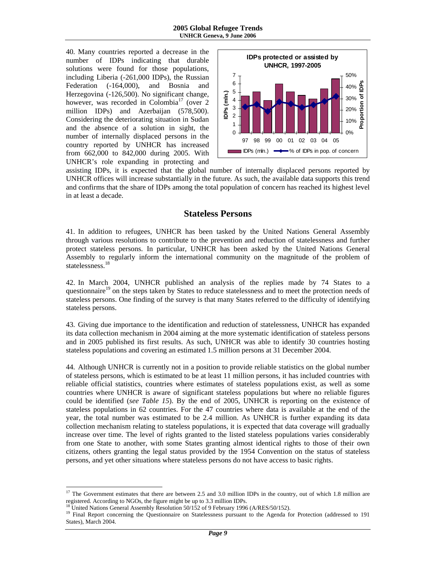40. Many countries reported a decrease in the number of IDPs indicating that durable solutions were found for those populations, including Liberia (-261,000 IDPs), the Russian Federation (-164,000), and Bosnia and Herzegovina (-126,500). No significant change, however, was recorded in Colombia<sup>17</sup> (over 2 million IDPs) and Azerbaijan (578,500). Considering the deteriorating situation in Sudan and the absence of a solution in sight, the number of internally displaced persons in the country reported by UNHCR has increased from 662,000 to 842,000 during 2005. With UNHCR's role expanding in protecting and



assisting IDPs, it is expected that the global number of internally displaced persons reported by UNHCR offices will increase substantially in the future. As such, the available data supports this trend and confirms that the share of IDPs among the total population of concern has reached its highest level in at least a decade.

### **Stateless Persons**

41. In addition to refugees, UNHCR has been tasked by the United Nations General Assembly through various resolutions to contribute to the prevention and reduction of statelessness and further protect stateless persons. In particular, UNHCR has been asked by the United Nations General Assembly to regularly inform the international community on the magnitude of the problem of statelessness.<sup>18</sup>

42. In March 2004, UNHCR published an analysis of the replies made by 74 States to a questionnaire<sup>19</sup> on the steps taken by States to reduce statelessness and to meet the protection needs of stateless persons. One finding of the survey is that many States referred to the difficulty of identifying stateless persons.

43. Giving due importance to the identification and reduction of statelessness, UNHCR has expanded its data collection mechanism in 2004 aiming at the more systematic identification of stateless persons and in 2005 published its first results. As such, UNHCR was able to identify 30 countries hosting stateless populations and covering an estimated 1.5 million persons at 31 December 2004.

44. Although UNHCR is currently not in a position to provide reliable statistics on the global number of stateless persons, which is estimated to be at least 11 million persons, it has included countries with reliable official statistics, countries where estimates of stateless populations exist, as well as some countries where UNHCR is aware of significant stateless populations but where no reliable figures could be identified (*see Table 15*). By the end of 2005, UNHCR is reporting on the existence of stateless populations in 62 countries. For the 47 countries where data is available at the end of the year, the total number was estimated to be 2.4 million. As UNHCR is further expanding its data collection mechanism relating to stateless populations, it is expected that data coverage will gradually increase over time. The level of rights granted to the listed stateless populations varies considerably from one State to another, with some States granting almost identical rights to those of their own citizens, others granting the legal status provided by the 1954 Convention on the status of stateless persons, and yet other situations where stateless persons do not have access to basic rights.

l

<sup>&</sup>lt;sup>17</sup> The Government estimates that there are between 2.5 and 3.0 million IDPs in the country, out of which 1.8 million are registered. According to NGOs, the figure might be up to 3.3 million IDPs.

United Nations General Assembly Resolution 50/152 of 9 February 1996 (A/RES/50/152).

<sup>&</sup>lt;sup>19</sup> Final Report concerning the Questionnaire on Statelessness pursuant to the Agenda for Protection (addressed to 191 States), March 2004.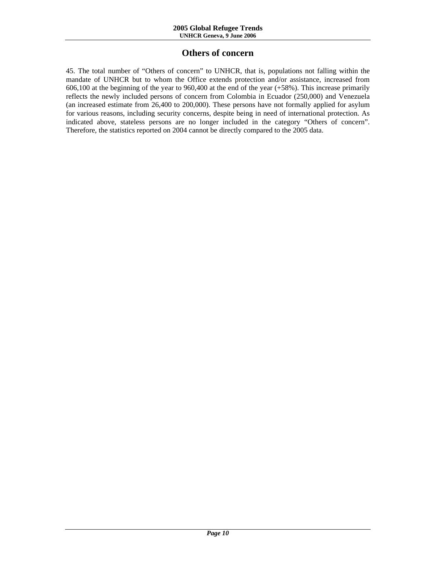# **Others of concern**

45. The total number of "Others of concern" to UNHCR, that is, populations not falling within the mandate of UNHCR but to whom the Office extends protection and/or assistance, increased from 606,100 at the beginning of the year to 960,400 at the end of the year (+58%). This increase primarily reflects the newly included persons of concern from Colombia in Ecuador (250,000) and Venezuela (an increased estimate from 26,400 to 200,000). These persons have not formally applied for asylum for various reasons, including security concerns, despite being in need of international protection. As indicated above, stateless persons are no longer included in the category "Others of concern". Therefore, the statistics reported on 2004 cannot be directly compared to the 2005 data.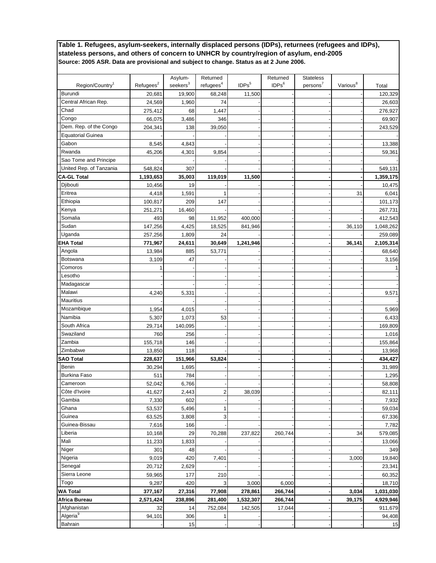|                             |                       | Asylum-      | Returned              |                 | Returned          | <b>Stateless</b>     |                      |           |
|-----------------------------|-----------------------|--------------|-----------------------|-----------------|-------------------|----------------------|----------------------|-----------|
| Region/Country <sup>1</sup> | $\mbox{References}^2$ | seekers $^3$ | refugees <sup>4</sup> | $\text{IDPs}^5$ | IDPs <sup>6</sup> | persons <sup>7</sup> | Various <sup>8</sup> | Total     |
| Burundi                     | 20,681                | 19,900       | 68,248                | 11,500          |                   |                      |                      | 120,329   |
| Central African Rep.        | 24,569                | 1,960        | 74                    |                 |                   |                      |                      | 26,603    |
| Chad                        | 275,412               | 68           | 1,447                 |                 |                   |                      |                      | 276,927   |
| Congo                       | 66,075                | 3,486        | 346                   |                 |                   |                      |                      | 69,907    |
| Dem. Rep. of the Congo      | 204,341               | 138          | 39,050                |                 |                   |                      |                      | 243,529   |
| <b>Equatorial Guinea</b>    |                       |              |                       |                 |                   |                      |                      |           |
| Gabon                       | 8,545                 | 4,843        |                       |                 |                   |                      |                      | 13,388    |
| Rwanda                      | 45,206                | 4,301        | 9,854                 |                 |                   |                      |                      | 59,361    |
| Sao Tome and Principe       |                       |              |                       |                 |                   |                      |                      |           |
| United Rep. of Tanzania     | 548,824               | 307          |                       |                 |                   |                      |                      | 549,131   |
| <b>CA-GL Total</b>          | 1,193,653             | 35,003       | 119,019               | 11,500          |                   |                      |                      | 1,359,175 |
| Djibouti                    | 10,456                | 19           |                       |                 |                   |                      |                      | 10,475    |
| Eritrea                     | 4,418                 | 1,591        |                       |                 |                   |                      | 31                   | 6,041     |
| Ethiopia                    | 100,817               | 209          | 147                   |                 |                   |                      |                      | 101,173   |
| Kenya                       | 251,271               | 16,460       |                       |                 |                   |                      |                      | 267,731   |
| Somalia                     | 493                   | 98           | 11,952                | 400,000         |                   |                      |                      | 412,543   |
| Sudan                       | 147,256               | 4,425        | 18,525                | 841,946         |                   |                      | 36,110               | 1,048,262 |
| Uganda                      | 257,256               | 1,809        | 24                    |                 |                   |                      |                      | 259,089   |
| EHA Total                   | 771,967               | 24,611       | 30,649                | 1,241,946       |                   |                      | 36,141               | 2,105,314 |
| Angola                      | 13,984                | 885          | 53,771                |                 |                   |                      |                      | 68,640    |
| Botswana                    | 3,109                 | 47           |                       |                 |                   |                      |                      | 3,156     |
| Comoros                     |                       |              |                       |                 |                   |                      |                      |           |
| Lesotho                     |                       |              |                       |                 |                   |                      |                      |           |
| Madagascar                  |                       |              |                       |                 |                   |                      |                      |           |
| Malawi                      | 4,240                 | 5,331        |                       |                 |                   |                      |                      | 9,571     |
| <b>Mauritius</b>            |                       |              |                       |                 |                   |                      |                      |           |
| Mozambique                  | 1,954                 | 4,015        |                       |                 |                   |                      |                      | 5,969     |
| Namibia                     | 5,307                 | 1,073        | 53                    |                 |                   |                      |                      | 6,433     |
| South Africa                | 29,714                | 140,095      |                       |                 |                   |                      |                      | 169,809   |
| Swaziland                   | 760                   | 256          |                       |                 |                   |                      |                      | 1,016     |
| Zambia                      | 155,718               | 146          |                       |                 |                   |                      |                      | 155,864   |
| Zimbabwe                    | 13,850                | 118          |                       |                 |                   |                      |                      | 13,968    |
| SAO Total                   | 228,637               | 151,966      | 53,824                |                 |                   |                      |                      | 434,427   |
| Benin                       | 30,294                | 1,695        |                       |                 |                   |                      |                      | 31,989    |
| <b>Burkina Faso</b>         | 511                   | 784          |                       |                 |                   |                      |                      | 1,295     |
| Cameroon                    | 52,042                | 6,766        |                       |                 |                   |                      |                      | 58,808    |
| Côte d'Ivoire               | 41,627                | 2,443        | $\boldsymbol{2}$      | 38,039          |                   |                      |                      | 82,111    |
| Gambia                      | 7,330                 | 602          |                       |                 |                   |                      |                      | 7,932     |
| Ghana                       | 53,537                | 5,496        | 1                     |                 |                   |                      |                      | 59,034    |
| Guinea                      | 63,525                | 3,808        | 3                     |                 |                   |                      |                      | 67,336    |
| Guinea-Bissau               | 7,616                 | 166          |                       |                 |                   |                      |                      | 7,782     |
| Liberia                     | 10,168                | 29           | 70,288                | 237,822         | 260,744           |                      | 34                   | 579,085   |
| Mali                        | 11,233                | 1,833        |                       |                 |                   |                      |                      | 13,066    |
| Niger                       | 301                   | 48           |                       |                 |                   |                      |                      | 349       |
| Nigeria                     | 9,019                 | 420          | 7,401                 |                 |                   |                      | 3,000                | 19,840    |
| Senegal                     | 20,712                | 2,629        |                       |                 |                   |                      |                      | 23,341    |
| Sierra Leone                | 59,965                | 177          | 210                   |                 |                   |                      |                      | 60,352    |
| Togo                        | 9,287                 | 420          | 3                     | 3,000           | 6,000             |                      |                      | 18,710    |
| <b>WA Total</b>             | 377,167               | 27,316       | 77,908                | 278,861         | 266,744           |                      | 3,034                | 1,031,030 |
| Africa Bureau               | 2,571,424             | 238,896      | 281,400               | 1,532,307       | 266,744           |                      | 39,175               | 4,929,946 |
| Afghanistan                 | 32                    | 14           | 752,084               | 142,505         | 17,044            |                      |                      | 911,679   |
| Algeria <sup>9</sup>        | 94,101                | 306          |                       |                 |                   |                      |                      | 94,408    |
| Bahrain                     |                       | 15           |                       |                 |                   |                      |                      | 15        |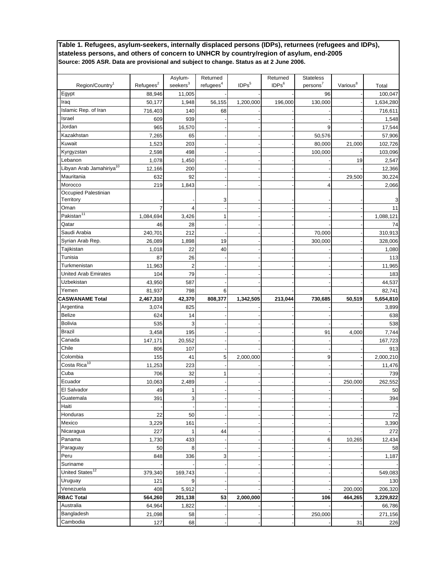|                                      |                       | Asylum-              | Returned              |                   | Returned          | <b>Stateless</b>     |                      |                    |
|--------------------------------------|-----------------------|----------------------|-----------------------|-------------------|-------------------|----------------------|----------------------|--------------------|
| Region/Country <sup>1</sup>          | $\mbox{References}^2$ | seekers <sup>3</sup> | refugees <sup>4</sup> | IDPs <sup>5</sup> | IDPs <sup>6</sup> | persons <sup>7</sup> | Various <sup>8</sup> | Total              |
| Egypt                                | 88,946                | 11,005               |                       |                   |                   | 96                   |                      | 100,047            |
| Iraq                                 | 50,177                | 1,948                | 56,155                | 1,200,000         | 196,000           | 130,000              |                      | 1,634,280          |
| Islamic Rep. of Iran                 | 716,403               | 140                  | 68                    |                   |                   |                      |                      | 716,611            |
| Israel                               | 609                   | 939                  |                       |                   |                   |                      |                      | 1,548              |
| Jordan                               | 965                   | 16,570               |                       |                   |                   | 9                    |                      | 17,544             |
| Kazakhstan                           | 7,265                 | 65                   |                       |                   |                   | 50,576               |                      | 57,906             |
| Kuwait                               | 1,523                 | 203                  |                       |                   |                   | 80,000               | 21,000               | 102,726            |
| Kyrgyzstan                           | 2,598                 | 498                  |                       |                   |                   | 100,000              |                      | 103,096            |
| Lebanon                              | 1,078                 | 1,450                |                       |                   |                   |                      | 19                   | 2,547              |
| Libyan Arab Jamahiriya <sup>10</sup> | 12,166                | 200                  |                       |                   |                   |                      |                      | 12,366             |
| Mauritania                           | 632                   | 92                   |                       |                   |                   |                      | 29,500               | 30,224             |
| Morocco                              | 219                   | 1,843                |                       |                   |                   | 4                    |                      | 2,066              |
| Occupied Palestinian                 |                       |                      |                       |                   |                   |                      |                      |                    |
| Territory                            |                       |                      | 3                     |                   |                   |                      |                      |                    |
| Oman                                 | $\overline{7}$        | 4                    |                       |                   |                   |                      |                      | 11                 |
| Pakistan <sup>11</sup>               | 1,084,694             | 3,426                | 1                     |                   |                   |                      |                      | 1,088,121          |
| Qatar                                | 46                    | 28                   |                       |                   |                   |                      |                      | 74                 |
| Saudi Arabia                         | 240,701               | 212                  |                       |                   |                   | 70,000               |                      | 310,913            |
| Syrian Arab Rep.                     | 26,089                | 1,898                | 19                    |                   |                   | 300,000              |                      | 328,006            |
| Tajikistan                           | 1,018                 | 22                   | 40                    |                   |                   |                      |                      | 1,080              |
| Tunisia                              | 87                    | 26                   |                       |                   |                   |                      |                      | 113                |
| Turkmenistan                         | 11,963                | $\overline{c}$       |                       |                   |                   |                      |                      | 11,965             |
| <b>United Arab Emirates</b>          | 104                   | 79                   |                       |                   |                   |                      |                      | 183                |
| Uzbekistan                           | 43,950                | 587                  |                       |                   |                   |                      |                      | 44,537             |
| Yemen<br><b>CASWANAME Total</b>      | 81,937                | 798<br>42,370        | 6<br>808,377          |                   | 213,044           | 730,685              | 50,519               | 82,741             |
| Argentina                            | 2,467,310<br>3,074    | 825                  |                       | 1,342,505         |                   |                      |                      | 5,654,810<br>3,899 |
| Belize                               | 624                   | 14                   |                       |                   |                   |                      |                      | 638                |
| <b>Bolivia</b>                       | 535                   | 3                    |                       |                   |                   |                      |                      | 538                |
| <b>Brazil</b>                        | 3,458                 | 195                  |                       |                   |                   | 91                   | 4,000                | 7,744              |
| Canada                               | 147,171               | 20,552               |                       |                   |                   |                      |                      | 167,723            |
| Chile                                | 806                   | 107                  |                       |                   |                   |                      |                      | 913                |
| Colombia                             | 155                   | 41                   | 5                     | 2,000,000         |                   | 9                    |                      | 2,000,210          |
| Costa Rica <sup>10</sup>             | 11,253                | 223                  |                       |                   |                   |                      |                      | 11,476             |
| Cuba                                 | 706                   | 32                   | 1                     |                   |                   |                      |                      | 739                |
| Ecuador                              | 10,063                | 2,489                |                       |                   |                   |                      | 250,000              | 262,552            |
| El Salvador                          | 49                    | 1                    |                       |                   |                   |                      |                      | 50                 |
| Guatemala                            | 391                   | 3                    |                       |                   |                   |                      |                      | 394                |
| Haiti                                |                       |                      |                       |                   |                   |                      |                      |                    |
| Honduras                             | 22                    | 50                   |                       |                   |                   |                      |                      | 72                 |
| Mexico                               | 3,229                 | 161                  |                       |                   |                   |                      |                      | 3,390              |
| Nicaragua                            | 227                   | $\mathbf{1}$         | 44                    |                   |                   |                      |                      | 272                |
| Panama                               | 1,730                 | 433                  |                       |                   |                   | 6                    | 10,265               | 12,434             |
| Paraguay                             | 50                    | 8                    |                       |                   |                   |                      |                      | 58                 |
| Peru                                 | 848                   | 336                  | 3                     |                   |                   |                      |                      | 1,187              |
| Suriname                             |                       |                      |                       |                   |                   |                      |                      |                    |
| United States <sup>12</sup>          | 379,340               | 169,743              |                       |                   |                   |                      |                      | 549,083            |
| Uruguay                              | 121                   | 9                    |                       |                   |                   |                      |                      | 130                |
| Venezuela                            | 408                   | 5,912                |                       |                   |                   |                      | 200,000              | 206,320            |
| <b>RBAC Total</b>                    | 564,260               | 201,138              | 53                    | 2,000,000         |                   | 106                  | 464,265              | 3,229,822          |
| Australia                            | 64,964                | 1,822                |                       |                   |                   |                      |                      | 66,786             |
| Bangladesh                           | 21,098                | 58                   |                       |                   |                   | 250,000              |                      | 271,156            |
| Cambodia                             | 127                   | 68                   |                       |                   |                   |                      | 31                   | 226                |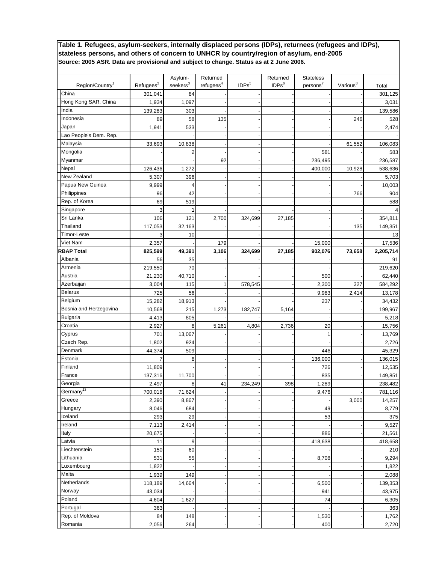|                             |                       | Asylum-              | Returned              |                   | Returned          | <b>Stateless</b>     |                      |           |
|-----------------------------|-----------------------|----------------------|-----------------------|-------------------|-------------------|----------------------|----------------------|-----------|
| Region/Country <sup>1</sup> | $\mbox{References}^2$ | seekers <sup>3</sup> | refugees <sup>4</sup> | IDPs <sup>5</sup> | IDPs <sup>6</sup> | persons <sup>7</sup> | Various <sup>8</sup> | Total     |
| China                       | 301,041               | 84                   |                       |                   |                   |                      |                      | 301,125   |
| Hong Kong SAR, China        | 1,934                 | 1,097                |                       |                   |                   |                      |                      | 3,031     |
| India                       | 139,283               | 303                  |                       |                   |                   |                      |                      | 139,586   |
| Indonesia                   | 89                    | 58                   | 135                   |                   |                   |                      | 246                  | 528       |
| Japan                       | 1,941                 | 533                  |                       |                   |                   |                      |                      | 2,474     |
| Lao People's Dem. Rep.      |                       |                      |                       |                   |                   |                      |                      |           |
| Malaysia                    | 33,693                | 10,838               |                       |                   |                   |                      | 61,552               | 106,083   |
| Mongolia                    |                       | 2                    |                       |                   |                   | 581                  |                      | 583       |
| Myanmar                     |                       |                      | 92                    |                   |                   | 236,495              |                      | 236,587   |
| Nepal                       | 126,436               | 1,272                |                       |                   |                   | 400,000              | 10,928               | 538,636   |
| New Zealand                 | 5,307                 | 396                  |                       |                   |                   |                      |                      | 5,703     |
| Papua New Guinea            | 9,999                 | 4                    |                       |                   |                   |                      |                      | 10,003    |
| Philippines                 | 96                    | 42                   |                       |                   |                   |                      | 766                  | 904       |
| Rep. of Korea               | 69                    | 519                  |                       |                   |                   |                      |                      | 588       |
| Singapore                   | 3                     |                      |                       |                   |                   |                      |                      |           |
| Sri Lanka                   | 106                   | 121                  | 2,700                 | 324,699           | 27,185            |                      |                      | 354,811   |
| Thailand                    | 117,053               | 32,163               |                       |                   |                   |                      | 135                  | 149,351   |
| Timor-Leste                 | 3                     | 10                   |                       |                   |                   |                      |                      | 13        |
| Viet Nam                    | 2,357                 |                      | 179                   |                   |                   | 15,000               |                      | 17,536    |
| <b>RBAP Total</b>           | 825,599               | 49,391               | 3,106                 | 324,699           | 27,185            | 902,076              | 73,658               | 2,205,714 |
| Albania                     | 56                    | 35                   |                       |                   |                   |                      |                      | 91        |
| Armenia                     | 219,550               | 70                   |                       |                   |                   |                      |                      | 219,620   |
| Austria                     | 21,230                | 40,710               |                       |                   |                   | 500                  |                      | 62,440    |
| Azerbaijan                  | 3,004                 | 115                  | 1                     | 578,545           |                   | 2,300                | 327                  | 584,292   |
| <b>Belarus</b>              | 725                   | 56                   |                       |                   |                   | 9,983                | 2,414                | 13,178    |
| Belgium                     | 15,282                | 18,913               |                       |                   |                   | 237                  |                      | 34,432    |
| Bosnia and Herzegovina      | 10,568                | 215                  | 1,273                 | 182,747           | 5,164             |                      |                      | 199,967   |
| <b>Bulgaria</b>             | 4,413                 | 805                  |                       |                   |                   |                      |                      | 5,218     |
| Croatia                     | 2,927                 | 8                    | 5,261                 | 4,804             | 2,736             | 20                   |                      | 15,756    |
| Cyprus                      | 701                   | 13,067               |                       |                   |                   |                      |                      | 13,769    |
| Czech Rep.                  | 1,802                 | 924                  |                       |                   |                   |                      |                      | 2,726     |
| Denmark                     | 44,374                | 509                  |                       |                   |                   | 446                  |                      | 45,329    |
| Estonia                     |                       | 8                    |                       |                   |                   | 136,000              |                      | 136,015   |
| Finland                     | 11,809                |                      |                       |                   |                   | 726                  |                      | 12,535    |
| France                      | 137,316               | 11,700               |                       |                   |                   | 835                  |                      | 149,851   |
| Georgia                     | 2,497                 | 8                    | 41                    | 234,249           | 398               | 1,289                |                      | 238,482   |
| Germany <sup>13</sup>       | 700,016               | 71,624               |                       |                   |                   | 9,476                |                      | 781,116   |
| Greece                      | 2,390                 | 8,867                |                       |                   |                   |                      | 3,000                | 14,257    |
| Hungary                     | 8,046                 | 684                  |                       |                   |                   | 49                   |                      | 8,779     |
| Iceland                     | 293                   | 29                   |                       |                   |                   | 53                   |                      | 375       |
| Ireland                     | 7,113                 | 2,414                |                       |                   |                   |                      |                      | 9,527     |
| Italy                       | 20,675                |                      |                       |                   |                   | 886                  |                      | 21,561    |
| Latvia                      | 11                    | 9                    |                       |                   |                   | 418,638              |                      | 418,658   |
| Liechtenstein               | 150                   | 60                   |                       |                   |                   |                      |                      | 210       |
| Lithuania                   | 531                   | 55                   |                       |                   |                   | 8,708                |                      | 9,294     |
| Luxembourg                  | 1,822                 |                      |                       |                   |                   |                      |                      | 1,822     |
| Malta                       | 1,939                 | 149                  |                       |                   |                   |                      |                      | 2,088     |
| Netherlands                 | 118,189               | 14,664               |                       |                   |                   | 6,500                |                      | 139,353   |
| Norway                      | 43,034                |                      |                       |                   |                   | 941                  |                      | 43,975    |
| Poland                      |                       |                      |                       |                   |                   | 74                   |                      |           |
|                             | 4,604                 | 1,627                |                       |                   |                   |                      |                      | 6,305     |
| Portugal                    | 363<br>84             |                      |                       |                   |                   |                      |                      | 363       |
| Rep. of Moldova             |                       | 148                  |                       |                   |                   | 1,530                |                      | 1,762     |
| Romania                     | 2,056                 | 264                  |                       |                   |                   | 400                  |                      | 2,720     |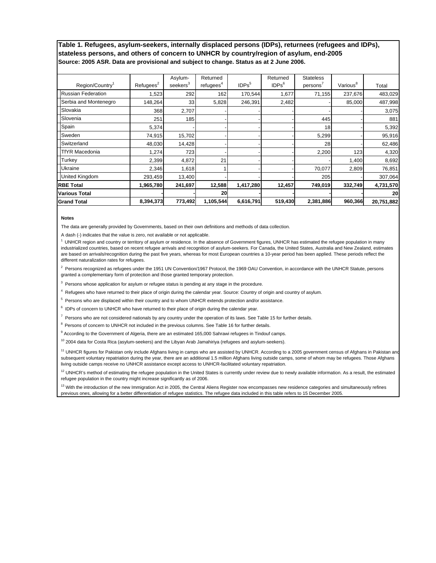|                             |                       | Asylum-              | Returned              |                   | Returned          | <b>Stateless</b> |                      |            |
|-----------------------------|-----------------------|----------------------|-----------------------|-------------------|-------------------|------------------|----------------------|------------|
| Region/Country <sup>1</sup> | Refugees <sup>2</sup> | seekers <sup>3</sup> | refugees <sup>4</sup> | IDPs <sup>5</sup> | IDPs <sup>6</sup> | persons'         | Various <sup>8</sup> | Total      |
| <b>Russian Federation</b>   | 1,523                 | 292                  | 162                   | 170,544           | 1,677             | 71,155           | 237,676              | 483,029    |
| Serbia and Montenegro       | 148,264               | 33                   | 5,828                 | 246,391           | 2,482             |                  | 85,000               | 487,998    |
| Slovakia                    | 368                   | 2,707                |                       |                   |                   |                  |                      | 3,075      |
| Slovenia                    | 251                   | 185                  |                       |                   |                   | 445              |                      | 881        |
| Spain                       | 5,374                 |                      |                       |                   |                   | 18               |                      | 5,392      |
| Sweden                      | 74,915                | 15,702               |                       |                   |                   | 5,299            |                      | 95,916     |
| Switzerland                 | 48,030                | 14,428               |                       |                   |                   | 28               |                      | 62,486     |
| <b>TfYR Macedonia</b>       | 1,274                 | 723                  |                       |                   |                   | 2,200            | 123                  | 4,320      |
| Turkey                      | 2,399                 | 4,872                | 21                    |                   |                   |                  | 1,400                | 8,692      |
| Ukraine                     | 2,346                 | 1,618                |                       |                   |                   | 70,077           | 2,809                | 76,851     |
| <b>United Kingdom</b>       | 293,459               | 13,400               |                       |                   |                   | 205              |                      | 307,064    |
| <b>RBE Total</b>            | 1,965,780             | 241,697              | 12,588                | 1,417,280         | 12,457            | 749,019          | 332,749              | 4,731,570  |
| <b>Various Total</b>        |                       |                      | 20                    |                   |                   |                  |                      | 20         |
| <b>Grand Total</b>          | 8,394,373             | 773,492              | 1,105,544             | 6,616,791         | 519,430           | 2,381,886        | 960,366              | 20,751,882 |

#### **Notes**

The data are generally provided by Governments, based on their own definitions and methods of data collection.

A dash (-) indicates that the value is zero, not available or not applicable.

 $1$  UNHCR region and country or territory of asylum or residence. In the absence of Government figures, UNHCR has estimated the refugee population in many industrialized countries, based on recent refugee arrivals and recognition of asylum-seekers. For Canada, the United States, Australia and New Zealand, estimates are based on arrivals/recognition during the past five years, whereas for most European countries a 10-year period has been applied. These periods reflect the different naturalization rates for refugees.

 $^2$  Persons recognized as refugees under the 1951 UN Convention/1967 Protocol, the 1969 OAU Convention, in accordance with the UNHCR Statute, persons granted a complementary form of protection and those granted temporary protection.

<sup>3</sup> Persons whose application for asylum or refugee status is pending at any stage in the procedure.

<sup>4</sup> Refugees who have returned to their place of origin during the calendar year. Source: Country of origin and country of asylum.

<sup>5</sup> Persons who are displaced within their country and to whom UNHCR extends protection and/or assistance.

 $6$  IDPs of concern to UNHCR who have returned to their place of origin during the calendar year.

 $7$  Persons who are not considered nationals by any country under the operation of its laws. See Table 15 for further details.

<sup>8</sup> Persons of concern to UNHCR not included in the previous columns. See Table 16 for further details.

<sup>9</sup> According to the Government of Algeria, there are an estimated 165,000 Sahrawi refugees in Tindouf camps.

<sup>10</sup> 2004 data for Costa Rica (asylum-seekers) and the Libyan Arab Jamahiriya (refugees and asylum-seekers).

<sup>11</sup> UNHCR figures for Pakistan only include Afghans living in camps who are assisted by UNHCR. According to a 2005 government census of Afghans in Pakistan and subsequent voluntary repatriation during the year, there are an additional 1.5 million Afghans living outside camps, some of whom may be refugees. Those Afghans living outside camps receive no UNHCR assistance except access to UNHCR-facilitated voluntary repatriation.

<sup>12</sup> UNHCR's method of estimating the refugee population in the United States is currently under review due to newly available information. As a result, the estimated refugee population in the country might increase significantly as of 2006.

<sup>13</sup> With the introduction of the new Immigration Act in 2005, the Central Aliens Register now encompasses new residence categories and simultaneously refines previous ones, allowing for a better differentiation of refugee statistics. The refugee data included in this table refers to 15 December 2005.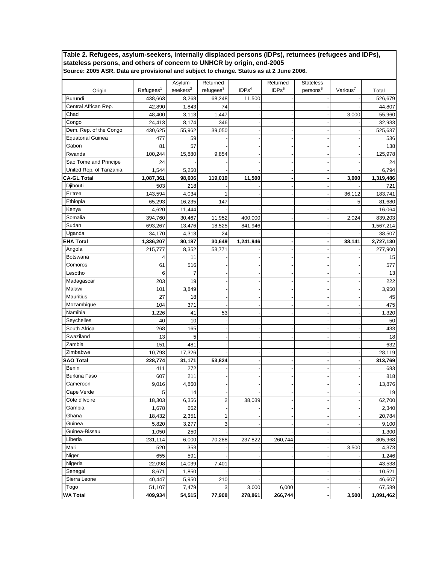|                          |                      | Asylum-              | Returned              |                   | Returned          | <b>Stateless</b>     |                      |           |
|--------------------------|----------------------|----------------------|-----------------------|-------------------|-------------------|----------------------|----------------------|-----------|
| Origin                   | Refuges <sup>1</sup> | seekers <sup>2</sup> | refugees <sup>3</sup> | $\mathsf{IDPs}^4$ | IDPs <sup>5</sup> | persons <sup>6</sup> | Various <sup>'</sup> | Total     |
| Burundi                  | 438.663              | 8,268                | 68,248                | 11,500            |                   |                      |                      | 526,679   |
| Central African Rep.     | 42,890               | 1,843                | 74                    |                   |                   |                      |                      | 44,807    |
| Chad                     | 48,400               | 3,113                | 1,447                 |                   |                   |                      | 3,000                | 55,960    |
| Congo                    | 24,413               | 8,174                | 346                   |                   |                   |                      |                      | 32,933    |
| Dem. Rep. of the Congo   | 430,625              | 55,962               | 39,050                |                   |                   |                      |                      | 525,637   |
| <b>Equatorial Guinea</b> | 477                  | 59                   |                       |                   |                   |                      |                      | 536       |
| Gabon                    | 81                   | 57                   |                       |                   |                   |                      |                      | 138       |
| Rwanda                   | 100,244              | 15,880               | 9,854                 |                   |                   |                      |                      | 125,978   |
| Sao Tome and Principe    | 24                   |                      |                       |                   |                   |                      |                      | 24        |
| United Rep. of Tanzania  | 1,544                | 5,250                |                       |                   |                   |                      |                      | 6,794     |
| <b>CA-GL Total</b>       | 1,087,361            | 98,606               | 119,019               | 11,500            |                   |                      | 3,000                | 1,319,486 |
| Djibouti                 | 503                  | 218                  |                       |                   |                   |                      |                      | 721       |
| Eritrea                  | 143,594              | 4,034                | 1                     |                   |                   |                      | 36,112               | 183,741   |
| Ethiopia                 | 65,293               | 16,235               | 147                   |                   |                   |                      | 5                    | 81,680    |
| Kenya                    | 4,620                | 11,444               |                       |                   |                   |                      |                      | 16,064    |
| Somalia                  | 394,760              | 30,467               | 11,952                | 400,000           |                   |                      | 2,024                | 839,203   |
| Sudan                    | 693,267              | 13,476               | 18,525                | 841,946           |                   |                      |                      | 1,567,214 |
| Uganda                   | 34,170               | 4,313                | 24                    |                   |                   |                      |                      | 38,507    |
| <b>EHA Total</b>         | 1,336,207            | 80,187               | 30,649                | 1,241,946         |                   |                      | 38,141               | 2,727,130 |
| Angola                   | 215,777              | 8,352                | 53,771                |                   |                   |                      |                      | 277,900   |
| Botswana                 | 4                    | 11                   |                       |                   |                   |                      |                      | 15        |
| Comoros                  | 61                   | 516                  |                       |                   |                   |                      |                      | 577       |
| Lesotho                  | 6                    | 7                    |                       |                   |                   |                      |                      | 13        |
| Madagascar               | 203                  | 19                   |                       |                   |                   |                      |                      | 222       |
| Malawi                   | 101                  | 3,849                |                       |                   |                   |                      |                      | 3,950     |
| <b>Mauritius</b>         | 27                   | 18                   |                       |                   |                   |                      |                      | 45        |
| Mozambique               | 104                  | 371                  |                       |                   |                   |                      |                      | 475       |
| Namibia                  | 1,226                | 41                   | 53                    |                   |                   |                      |                      | 1,320     |
| Seychelles               | 40                   | 10                   |                       |                   |                   |                      |                      | 50        |
| South Africa             | 268                  | 165                  |                       |                   |                   |                      |                      | 433       |
| Swaziland                | 13                   | 5                    |                       |                   |                   |                      |                      | 18        |
| Zambia                   | 151                  | 481                  |                       |                   |                   |                      |                      | 632       |
| Zimbabwe                 | 10,793               | 17,326               |                       |                   |                   |                      |                      | 28,119    |
| SAO Total                | 228,774              | 31,171               | 53,824                |                   |                   |                      |                      | 313,769   |
| Benin                    | 411                  | 272                  |                       |                   |                   |                      |                      | 683       |
| <b>Burkina Faso</b>      | 607                  | 211                  |                       |                   |                   |                      |                      | 818       |
| Cameroon                 | 9,016                | 4,860                |                       |                   |                   |                      |                      | 13,876    |
| Cape Verde               | 5                    | 14                   |                       |                   |                   |                      |                      | 19        |
| Côte d'Ivoire            | 18,303               | 6,356                | 2                     | 38,039            |                   |                      |                      | 62,700    |
| Gambia                   | 1,678                | 662                  |                       |                   |                   |                      |                      | 2,340     |
| Ghana                    | 18,432               | 2,351                | 1                     |                   |                   |                      |                      | 20,784    |
| Guinea                   | 5,820                | 3,277                | 3                     |                   |                   |                      |                      | 9,100     |
| Guinea-Bissau            | 1,050                | 250                  |                       |                   |                   |                      |                      | 1,300     |
| Liberia                  | 231,114              | 6,000                | 70,288                | 237,822           | 260,744           |                      |                      | 805,968   |
| Mali                     | 520                  | 353                  |                       |                   |                   |                      | 3,500                | 4,373     |
| Niger                    | 655                  | 591                  |                       |                   |                   |                      |                      | 1,246     |
| Nigeria                  | 22,098               | 14,039               | 7,401                 |                   |                   |                      |                      | 43,538    |
| Senegal                  | 8,671                | 1,850                |                       |                   |                   |                      |                      | 10,521    |
| Sierra Leone             | 40,447               | 5,950                | 210                   |                   |                   |                      |                      | 46,607    |
| Togo                     | 51,107               | 7,479                | 3                     | 3,000             | 6,000             |                      |                      | 67,589    |
| <b>WA Total</b>          | 409,934              | 54,515               | 77,908                | 278,861           | 266,744           |                      | 3,500                | 1,091,462 |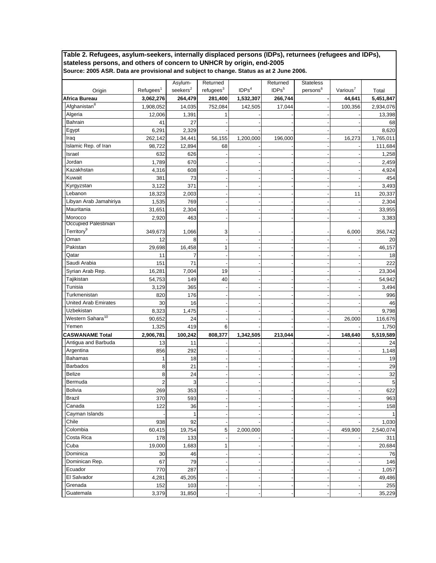|                              |                       | Asylum-          | Returned             |                   | Returned          | <b>Stateless</b>     |                      |               |
|------------------------------|-----------------------|------------------|----------------------|-------------------|-------------------|----------------------|----------------------|---------------|
| Origin                       | Refugees <sup>1</sup> | seekers ${}^{2}$ | refuges <sup>3</sup> | IDPs <sup>4</sup> | IDPs <sup>5</sup> | persons <sup>6</sup> | Various <sup>7</sup> | Total         |
| Africa Bureau                | 3,062,276             | 264,479          | 281,400              | 1,532,307         | 266,744           |                      | 44,641               | 5,451,847     |
| Afghanistan <sup>8</sup>     | 1,908,052             | 14,035           | 752,084              | 142,505           | 17,044            |                      | 100,356              | 2,934,076     |
| Algeria                      | 12,006                | 1,391            |                      |                   |                   |                      |                      | 13,398        |
| <b>Bahrain</b>               | 41                    | 27               |                      |                   |                   |                      |                      | 68            |
| Egypt                        | 6,291                 | 2,329            |                      |                   |                   |                      |                      | 8,620         |
| Iraq                         | 262,142               | 34,441           | 56,155               | 1,200,000         | 196,000           |                      | 16,273               | 1,765,011     |
| Islamic Rep. of Iran         | 98,722                | 12,894           | 68                   |                   |                   |                      |                      | 111,684       |
| Israel                       | 632                   | 626              |                      |                   |                   |                      |                      | 1,258         |
| Jordan                       | 1,789                 | 670              |                      |                   |                   |                      |                      | 2,459         |
| Kazakhstan                   | 4,316                 | 608              |                      |                   |                   |                      |                      | 4,924         |
| Kuwait                       | 381                   | 73               |                      |                   |                   |                      |                      | 454           |
| Kyrgyzstan                   | 3,122                 | 371              |                      |                   |                   |                      |                      | 3,493         |
| Lebanon                      | 18,323                | 2,003            |                      |                   |                   |                      | 11                   | 20,337        |
| Libyan Arab Jamahiriya       | 1,535                 | 769              |                      |                   |                   |                      |                      | 2,304         |
| Mauritania                   | 31,651                | 2,304            |                      |                   |                   |                      |                      | 33,955        |
| Morocco                      | 2,920                 | 463              |                      |                   |                   |                      |                      | 3,383         |
| Occupied Palestinian         |                       |                  |                      |                   |                   |                      |                      |               |
| Territory <sup>9</sup>       | 349,673               | 1,066            | 3                    |                   |                   |                      | 6,000                | 356,742       |
| Oman                         | 12                    | 8                |                      |                   |                   |                      |                      | 20            |
| Pakistan                     | 29,698                | 16,458           | $\mathbf{1}$         |                   |                   |                      |                      | 46,157        |
| Qatar                        | 11                    | $\overline{7}$   |                      |                   |                   |                      |                      | 18            |
| Saudi Arabia                 | 151                   | 71               |                      |                   |                   |                      |                      | 222           |
| Syrian Arab Rep.             | 16,281                | 7,004            | 19                   |                   |                   |                      |                      | 23,304        |
| Tajikistan                   | 54,753                | 149              | 40                   |                   |                   |                      |                      | 54,942        |
| Tunisia                      | 3,129                 | 365              |                      |                   |                   |                      |                      | 3,494         |
| Turkmenistan                 | 820                   | 176              |                      |                   |                   |                      |                      | 996           |
| <b>United Arab Emirates</b>  | 30                    | 16               |                      |                   |                   |                      |                      | 46            |
| Uzbekistan                   | 8,323                 | 1,475            |                      |                   |                   |                      |                      | 9,798         |
| Western Sahara <sup>10</sup> | 90,652                | 24               |                      |                   |                   |                      | 26,000               | 116,676       |
| Yemen                        | 1,325                 | 419              | 6                    |                   |                   |                      |                      | 1,750         |
| <b>CASWANAME Total</b>       | 2,906,781             | 100,242          | 808,377              | 1,342,505         | 213,044           |                      | 148,640              | 5,519,589     |
| Antigua and Barbuda          | 13                    | 11               |                      |                   |                   |                      |                      | 24            |
| Argentina                    | 856                   | 292              |                      |                   |                   |                      |                      | 1,148         |
| <b>Bahamas</b>               | 1                     | 18               |                      |                   |                   |                      |                      | 19            |
| <b>Barbados</b>              | 8                     | 21               |                      |                   |                   |                      |                      | 29            |
| <b>Belize</b>                | 8                     | 24               |                      |                   |                   |                      |                      | 32            |
| Bermuda                      | $\overline{2}$        | 3                |                      |                   |                   |                      |                      | 5             |
| <b>Bolivia</b>               | 269                   | 353              |                      |                   |                   |                      |                      | 622           |
| <b>Brazil</b>                | 370                   | 593              |                      |                   |                   |                      |                      | 963           |
| Canada                       | 122                   | 36               |                      |                   |                   |                      |                      | 158           |
| Cayman Islands               |                       | 1                |                      |                   |                   |                      |                      | 1             |
| Chile                        | 938                   | 92               |                      |                   |                   |                      |                      | 1,030         |
| Colombia                     | 60,415                | 19,754           | 5                    | 2,000,000         |                   |                      | 459,900              | 2,540,074     |
| Costa Rica                   | 178                   | 133              |                      |                   |                   |                      |                      | 311           |
| Cuba                         | 19,000                | 1,683            | 1                    |                   |                   |                      |                      |               |
| Dominica                     | 30                    | 46               |                      |                   |                   |                      |                      | 20,684<br>76  |
| Dominican Rep.               | 67                    | 79               |                      |                   |                   |                      |                      | 146           |
| Ecuador                      | 770                   | 287              |                      |                   |                   |                      |                      | 1,057         |
| El Salvador                  |                       |                  |                      |                   |                   |                      |                      |               |
| Grenada                      | 4,281<br>152          | 45,205<br>103    |                      |                   |                   |                      |                      | 49,486<br>255 |
|                              |                       |                  |                      |                   |                   |                      |                      |               |
| Guatemala                    | 3,379                 | 31,850           |                      |                   |                   |                      |                      | 35,229        |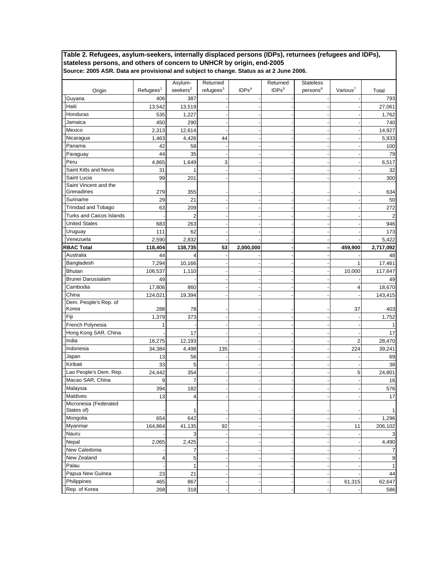|                                 |                       | Asylum-          | Returned              |                   | Returned          | <b>Stateless</b>     |                      |                |
|---------------------------------|-----------------------|------------------|-----------------------|-------------------|-------------------|----------------------|----------------------|----------------|
| Origin                          | Refugees <sup>1</sup> | $\sf{seekers}^2$ | refugees <sup>3</sup> | IDPs <sup>4</sup> | IDPs <sup>5</sup> | persons <sup>6</sup> | Various <sup>7</sup> | Total          |
| Guyana                          | 406                   | 387              |                       |                   |                   |                      |                      | 793            |
| Haiti                           | 13,542                | 13,519           |                       |                   |                   |                      |                      | 27,061         |
| Honduras                        | 535                   | 1,227            |                       |                   |                   |                      |                      | 1,762          |
| Jamaica                         | 450                   | 290              |                       |                   |                   |                      |                      | 740            |
| Mexico                          | 2,313                 | 12,614           |                       |                   |                   |                      |                      | 14,927         |
| Nicaragua                       | 1,463                 | 4,426            | 44                    |                   |                   |                      |                      | 5,933          |
| Panama                          | 42                    | 58               |                       |                   |                   |                      |                      | 100            |
| Paraguay                        | 44                    | 35               |                       |                   |                   |                      |                      | 79             |
| Peru                            | 4,865                 | 1,649            | 3                     |                   |                   |                      |                      | 6,517          |
| Saint Kitts and Nevis           | 31                    |                  |                       |                   |                   |                      |                      | 32             |
| Saint Lucia                     | 99                    | 201              |                       |                   |                   |                      |                      | 300            |
| Saint Vincent and the           |                       |                  |                       |                   |                   |                      |                      |                |
| Grenadines                      | 279                   | 355              |                       |                   |                   |                      |                      | 634            |
| Suriname                        | 29                    | 21               |                       |                   |                   |                      |                      | 50             |
| Trinidad and Tobago             | 63                    | 209              |                       |                   |                   |                      |                      | 272            |
| <b>Turks and Caicos Islands</b> |                       | $\overline{2}$   |                       |                   |                   |                      |                      | $\overline{2}$ |
| <b>United States</b>            | 683                   | 263              |                       |                   |                   |                      |                      | 946            |
| Uruguay                         | 111                   | 62               |                       |                   |                   |                      |                      | 173            |
| Venezuela                       | 2,590                 | 2,832            |                       |                   |                   |                      |                      | 5,422          |
| <b>RBAC Total</b>               | 118,404               | 138,735          | 53                    | 2,000,000         |                   |                      | 459,900              | 2,717,092      |
| Australia                       | 44                    | $\overline{4}$   |                       |                   |                   |                      |                      | 48             |
| Bangladesh                      | 7,294                 | 10,166           |                       |                   |                   |                      | 1                    | 17,461         |
| <b>Bhutan</b>                   | 106,537               | 1,110            |                       |                   |                   |                      | 10,000               | 117,647        |
| <b>Brunei Darussalam</b>        | 49                    |                  |                       |                   |                   |                      |                      | 49             |
| Cambodia                        | 17,806                | 860              |                       |                   |                   |                      | 4                    | 18,670         |
| China                           | 124,021               | 19,394           |                       |                   |                   |                      |                      | 143,415        |
| Dem. People's Rep. of           |                       |                  |                       |                   |                   |                      |                      |                |
| Korea                           | 288                   | 78               |                       |                   |                   |                      | 37                   | 403            |
| Fiji                            | 1,379                 | 373              |                       |                   |                   |                      |                      | 1,752          |
| French Polynesia                | 1                     |                  |                       |                   |                   |                      |                      |                |
| Hong Kong SAR, China            |                       | 17               |                       |                   |                   |                      |                      | 17             |
| India                           | 16,275                | 12,193           |                       |                   |                   |                      | $\overline{2}$       | 28,470         |
| Indonesia                       | 34,384                | 4,498            | 135                   |                   |                   |                      | 224                  | 39,241         |
| Japan                           | 13                    | 56               |                       |                   |                   |                      |                      | 69             |
| Kiribati                        | 33                    | 5                |                       |                   |                   |                      |                      | 38             |
| Lao People's Dem. Rep.          | 24,442                | 354              |                       |                   |                   |                      | 5                    | 24,801         |
| Macao SAR, China                | 9                     | 7                |                       |                   |                   |                      |                      | 16             |
| Malaysia                        | 394                   | 182              |                       |                   |                   |                      |                      | 576            |
| Maldives                        | 13                    | 4                |                       |                   |                   |                      |                      | 17             |
| Micronesia (Federated           |                       |                  |                       |                   |                   |                      |                      |                |
| States of)                      |                       | 1                |                       |                   |                   |                      |                      | $\mathbf{1}$   |
| Mongolia                        | 654                   | 642              |                       |                   |                   |                      |                      | 1,296          |
| Myanmar                         | 164,864               | 41,135           | 92                    |                   |                   |                      | 11                   | 206,102        |
| Nauru                           |                       | 3                |                       |                   |                   |                      |                      | 3              |
| Nepal                           | 2,065                 | 2,425            |                       |                   |                   |                      |                      | 4,490          |
| New Caledonia                   |                       | $\overline{7}$   |                       |                   |                   |                      |                      | 7              |
| New Zealand                     | $\overline{4}$        | 5                |                       |                   |                   |                      |                      | 9              |
| Palau                           |                       | 1                |                       |                   |                   |                      |                      | 1              |
| Papua New Guinea                | 23                    | 21               |                       |                   |                   |                      |                      | 44             |
| Philippines                     | 465                   | 867              |                       |                   |                   |                      | 61,315               | 62,647         |
| Rep. of Korea                   | 268                   | 318              |                       |                   |                   |                      |                      | 586            |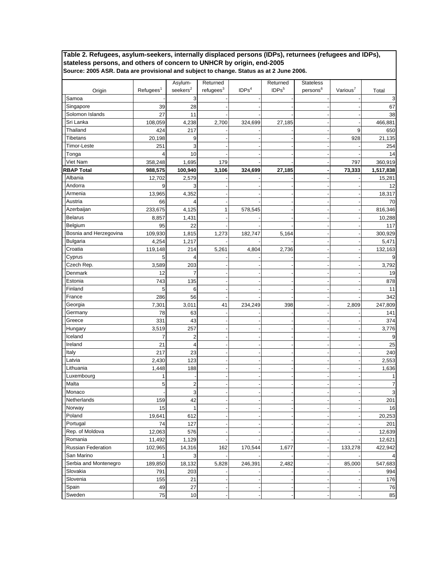|                        |                       | Asylum-          | Returned              |                   | Returned          | <b>Stateless</b>     |          |                |
|------------------------|-----------------------|------------------|-----------------------|-------------------|-------------------|----------------------|----------|----------------|
| Origin                 | Refugees <sup>1</sup> | $\sf{seekers}^2$ | refugees <sup>3</sup> | IDPs <sup>4</sup> | IDPs <sup>5</sup> | persons <sup>6</sup> | Various' | Total          |
| Samoa                  |                       | 3                |                       |                   |                   |                      |          | 3              |
| Singapore              | 39                    | 28               |                       |                   |                   |                      |          | 67             |
| Solomon Islands        | 27                    | 11               |                       |                   |                   |                      |          | 38             |
| Sri Lanka              | 108,059               | 4,238            | 2,700                 | 324,699           | 27,185            |                      |          | 466,881        |
| Thailand               | 424                   | 217              |                       |                   |                   |                      | 9        | 650            |
| <b>Tibetans</b>        | 20,198                | 9                |                       |                   |                   |                      | 928      | 21,135         |
| <b>Timor-Leste</b>     | 251                   | 3                |                       |                   |                   |                      |          | 254            |
| Tonga                  | 4                     | 10               |                       |                   |                   |                      |          | 14             |
| Viet Nam               | 358,248               | 1,695            | 179                   |                   |                   |                      | 797      | 360,919        |
| <b>RBAP Total</b>      | 988,575               | 100,940          | 3,106                 | 324,699           | 27,185            |                      | 73,333   | 1,517,838      |
| Albania                | 12,702                | 2,579            |                       |                   |                   |                      |          | 15,281         |
| Andorra                | 9                     | 3                |                       |                   |                   |                      |          | 12             |
| Armenia                | 13,965                | 4,352            |                       |                   |                   |                      |          | 18,317         |
| Austria                | 66                    | 4                |                       |                   |                   |                      |          | 70             |
| Azerbaijan             | 233,675               | 4,125            | 1                     | 578,545           |                   |                      |          | 816,346        |
| <b>Belarus</b>         | 8,857                 | 1,431            |                       |                   |                   |                      |          | 10,288         |
| Belgium                | 95                    | 22               |                       |                   |                   |                      |          | 117            |
| Bosnia and Herzegovina | 109,930               |                  |                       | 182,747           |                   |                      |          | 300,929        |
| <b>Bulgaria</b>        | 4,254                 | 1,815<br>1,217   | 1,273                 |                   | 5,164             |                      |          | 5,471          |
| Croatia                | 119,148               |                  |                       |                   |                   |                      |          |                |
|                        | 5                     | 214<br>4         | 5,261                 | 4,804             | 2,736             |                      |          | 132,163        |
| Cyprus<br>Czech Rep.   |                       |                  |                       |                   |                   |                      |          | 9              |
|                        | 3,589                 | 203              |                       |                   |                   |                      |          | 3,792          |
| Denmark                | 12                    | 7                |                       |                   |                   |                      |          | 19             |
| Estonia                | 743                   | 135              |                       |                   |                   |                      |          | 878            |
| Finland                | 5                     | 6                |                       |                   |                   |                      |          | 11             |
| France                 | 286                   | 56               |                       |                   |                   |                      |          | 342            |
| Georgia                | 7,301                 | 3,011            | 41                    | 234,249           | 398               |                      | 2,809    | 247,809        |
| Germany                | 78                    | 63               |                       |                   |                   |                      |          | 141            |
| Greece                 | 331                   | 43               |                       |                   |                   |                      |          | 374            |
| Hungary                | 3,519                 | 257              |                       |                   |                   |                      |          | 3,776          |
| Iceland                | 7                     | $\overline{c}$   |                       |                   |                   |                      |          | 9              |
| Ireland                | 21                    | 4                |                       |                   |                   |                      |          | 25             |
| Italy                  | 217                   | 23               |                       |                   |                   |                      |          | 240            |
| Latvia                 | 2,430                 | 123              |                       |                   |                   |                      |          | 2,553          |
| Lithuania              | 1,448                 | 188              |                       |                   |                   |                      |          | 1,636          |
| Luxembourg             | 1                     |                  |                       |                   |                   |                      |          | 1              |
| Malta                  | 5                     | $\overline{c}$   |                       |                   |                   |                      |          | $\overline{7}$ |
| Monaco                 |                       | 3                |                       |                   |                   |                      |          | 3              |
| Netherlands            | 159                   | 42               |                       |                   |                   |                      |          | 201            |
| Norway                 | 15                    | $\mathbf{1}$     |                       |                   |                   |                      |          | 16             |
| Poland                 | 19,641                | 612              |                       |                   |                   |                      |          | 20,253         |
| Portugal               | 74                    | 127              |                       |                   |                   |                      |          | 201            |
| Rep. of Moldova        | 12,063                | 576              |                       |                   |                   |                      |          | 12,639         |
| Romania                | 11,492                | 1,129            |                       |                   |                   |                      |          | 12,621         |
| Russian Federation     | 102,965               | 14,316           | 162                   | 170,544           | 1,677             |                      | 133,278  | 422,942        |
| San Marino             | 1                     | 3                |                       |                   |                   |                      |          | 4              |
| Serbia and Montenegro  | 189,850               | 18,132           | 5,828                 | 246,391           | 2,482             |                      | 85,000   | 547,683        |
| Slovakia               | 791                   | 203              |                       |                   |                   |                      |          | 994            |
| Slovenia               | 155                   | 21               |                       |                   |                   |                      |          | 176            |
| Spain                  | 49                    | 27               |                       |                   |                   |                      |          | 76             |
| Sweden                 | 75                    | 10               |                       |                   |                   |                      |          | 85             |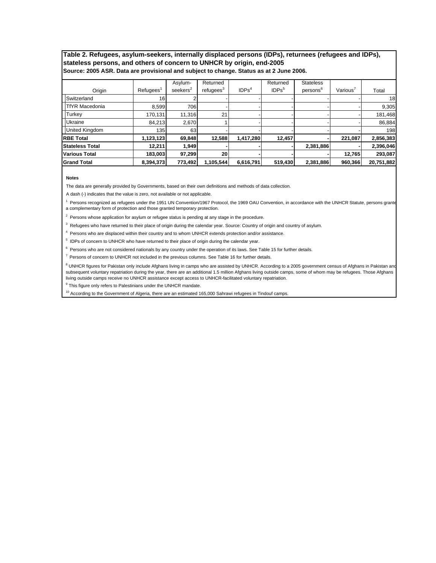|                        |                                    | Asylum-              | Returned              |                   | Returned          | <b>Stateless</b>     |          |            |
|------------------------|------------------------------------|----------------------|-----------------------|-------------------|-------------------|----------------------|----------|------------|
| Origin                 | Refu <sub>q</sub> ees <sup>1</sup> | seekers <sup>2</sup> | refugees <sup>3</sup> | IDPs <sup>4</sup> | IDPs <sup>5</sup> | persons <sup>6</sup> | Various' | Total      |
| Switzerland            | 16 <sub>1</sub>                    |                      |                       |                   |                   |                      |          | 18         |
| <b>TfYR Macedonia</b>  | 8.599                              | 706                  |                       |                   |                   |                      |          | 9,305      |
| Turkey                 | 170,131                            | 11,316               | 21                    |                   |                   |                      |          | 181,468    |
| Ukraine                | 84,213                             | 2,670                |                       |                   |                   |                      |          | 86,884     |
| <b>United Kingdom</b>  | 135 <sub>1</sub>                   | 63                   |                       |                   |                   |                      |          | 198        |
| <b>RBE Total</b>       | 1,123,123                          | 69,848               | 12,588                | 1,417,280         | 12,457            |                      | 221,087  | 2,856,383  |
| <b>Stateless Total</b> | 12,211                             | 1,949                |                       |                   |                   | 2,381,886            |          | 2,396,046  |
| <b>Various Total</b>   | 183,003                            | 97,299               | 20                    |                   |                   |                      | 12,765   | 293.087    |
| <b>Grand Total</b>     | 8,394,373                          | 773.492              | 1.105.544             | 6,616,791         | 519,430           | 2,381,886            | 960.366  | 20.751.882 |

#### **Notes**

The data are generally provided by Governments, based on their own definitions and methods of data collection.

A dash (-) indicates that the value is zero, not available or not applicable.

<sup>1</sup> Persons recognized as refugees under the 1951 UN Convention/1967 Protocol, the 1969 OAU Convention, in accordance with the UNHCR Statute, persons grante a complementary form of protection and those granted temporary protection.

 $2$  Persons whose application for asylum or refugee status is pending at any stage in the procedure.

<sup>3</sup> Refugees who have returned to their place of origin during the calendar year. Source: Country of origin and country of asylum.

4 Persons who are displaced within their country and to whom UNHCR extends protection and/or assistance.

<sup>5</sup> IDPs of concern to UNHCR who have returned to their place of origin during the calendar year.

 $6$  Persons who are not considered nationals by any country under the operation of its laws. See Table 15 for further details.

<sup>7</sup> Persons of concern to UNHCR not included in the previous columns. See Table 16 for further details.

<sup>8</sup> UNHCR figures for Pakistan only include Afghans living in camps who are assisted by UNHCR. According to a 2005 government census of Afghans in Pakistan and subsequent voluntary repatriation during the year, there are an additional 1.5 million Afghans living outside camps, some of whom may be refugees. Those Afghans living outside camps receive no UNHCR assistance except access to UNHCR-facilitated voluntary repatriation.

<sup>9</sup> This figure only refers to Palestinians under the UNHCR mandate.

<sup>10</sup> According to the Government of Algeria, there are an estimated 165,000 Sahrawi refugees in Tindouf camps.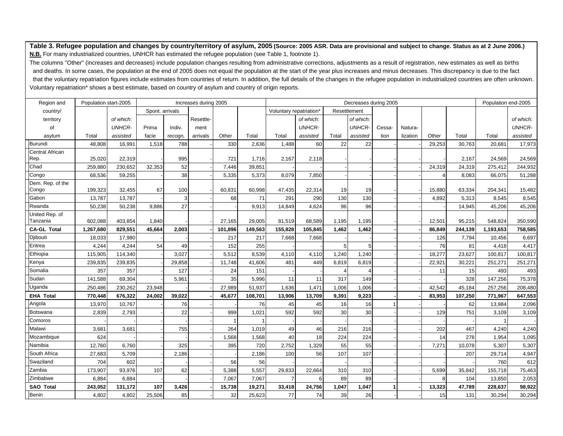| Region and                 | Population start-2005 |               |                 |         | Increases during 2005 |         |         | Decreases during 2005   |               |       |              |        |          |        |         | Population end-2005 |               |
|----------------------------|-----------------------|---------------|-----------------|---------|-----------------------|---------|---------|-------------------------|---------------|-------|--------------|--------|----------|--------|---------|---------------------|---------------|
| country/                   |                       |               | Spont. arrivals |         |                       |         |         | Voluntary repatriation' |               |       | Resettlement |        |          |        |         |                     |               |
| territory                  |                       | of which:     |                 |         | Resettle-             |         |         |                         | of which:     |       | of which:    |        |          |        |         |                     | of which:     |
| of                         |                       | <b>UNHCR-</b> | Prima           | Indiv.  | ment                  |         |         |                         | <b>UNHCR-</b> |       | <b>UNHCR</b> | Cessa- | Natura-  |        |         |                     | <b>UNHCR-</b> |
| asylum                     | Total                 | assisted      | facie           | recogn. | arrivals              | Other   | Total   | Total                   | assisted      | Total | assisted     | tion   | lization | Other  | Total   | Total               | assisted      |
| Burundi                    | 48,808                | 16,991        | 1,518           | 788     |                       | 330     | 2,636   | 1,488                   | 60            | 22    | 22           |        |          | 29,253 | 30,763  | 20,681              | 17,973        |
| <b>Central African</b>     |                       |               |                 |         |                       |         |         |                         |               |       |              |        |          |        |         |                     |               |
| Rep.                       | 25,020                | 22,319        |                 | 995     |                       | 721     | 1,716   | 2,167                   | 2,118         |       |              |        |          |        | 2,167   | 24,569              | 24,569        |
| Chad                       | 259,880               | 230,652       | 32,353          | 52      |                       | 7,446   | 39,851  |                         |               |       |              |        |          | 24,319 | 24,319  | 275,412             | 244,932       |
| Congo                      | 68,536                | 59,255        |                 | 38      |                       | 5,335   | 5,373   | 8,079                   | 7,850         |       |              |        |          |        | 8,083   | 66,075              | 51,288        |
| Dem. Rep. of the           |                       |               |                 |         |                       |         |         |                         |               |       |              |        |          |        |         |                     |               |
| Congo                      | 199,323               | 32,455        | 67              | 100     |                       | 60,831  | 60,998  | 47,435                  | 22,314        | 19    | 19           |        |          | 15,880 | 63,334  | 204,341             | 15,482        |
| Gabon                      | 13,787                | 13,787        |                 | 3       |                       | 68      | 71      | 291                     | 290           | 130   | 130          |        |          | 4,892  | 5,313   | 8,545               | 8,545         |
| Rwanda                     | 50,238                | 50,238        | 9.886           | 27      |                       |         | 9,913   | 14,849                  | 4,624         | 96    | 96           |        |          |        | 14,945  | 45,206              | 45,206        |
| United Rep. of<br>Tanzania | 602,088               | 403,854       | 1,840           |         |                       | 27,165  | 29,005  | 81,519                  | 68,589        | 1,195 | 1,195        |        |          | 12,501 | 95,215  | 548,824             | 350,590       |
| <b>CA-GL Total</b>         | 1,267,680             | 829,551       | 45,664          | 2,003   |                       | 101,896 | 149,563 | 155,828                 | 105,845       | 1,462 | 1,462        |        |          | 86,849 | 244,139 | 1,193,653           | 758,585       |
| Djibouti                   | 18,033                | 17,980        |                 |         |                       | 217     | 217     | 7,668                   | 7,668         |       |              |        |          | 126    | 7,794   | 10,456              | 6,697         |
| Eritrea                    | 4,244                 | 4,244         | 54              | 49      |                       | 152     | 255     |                         |               |       |              |        |          | 76     | 81      | 4,418               | 4,417         |
| Ethiopia                   | 115,905               | 114,340       |                 | 3,027   |                       | 5,512   | 8,539   | 4,110                   | 4,110         | 1,240 | 1,240        |        |          | 18,277 | 23,627  | 100,817             | 100,817       |
| Kenya                      | 239,835               | 239,835       |                 | 29,858  |                       | 11,748  | 41,606  | 481                     | 449           | 6,819 | 6,819        |        |          | 22,921 | 30,221  | 251,271             | 251,271       |
| Somalia                    | 357                   | 357           |                 | 127     |                       | 24      | 151     |                         |               |       |              |        |          | 11     | 15      | 493                 | 493           |
| Sudan                      | 141,588               | 69,304        |                 | 5,961   |                       | 35      | 5,996   | 11                      | 11            | 317   | 149          |        |          |        | 328     | 147,256             | 75,378        |
| Uganda                     | 250,486               | 230,262       | 23.948          |         |                       | 27,989  | 51,937  | 1,636                   | 1,471         | 1,006 | 1,006        |        |          | 42.542 | 45.184  | 257,256             | 208,480       |
| <b>EHA Total</b>           | 770,448               | 676,322       | 24,002          | 39,022  |                       | 45,677  | 108,701 | 13,906                  | 13,709        | 9,391 | 9,223        |        |          | 83,953 | 107,250 | 771,967             | 647,553       |
| Angola                     | 13,970                | 10,767        |                 | 76      |                       |         | 76      | 45                      | 45            | 16    | 16           |        |          |        | 62      | 13,984              | 2,096         |
| Botswana                   | 2,839                 | 2,793         |                 | 22      |                       | 999     | 1,021   | 592                     | 592           | 30    | 30           |        |          | 129    | 751     | 3,109               | 3,109         |
| Comoros                    |                       |               |                 |         |                       |         |         |                         |               |       |              |        |          |        |         |                     |               |
| Malawi                     | 3,681                 | 3,681         |                 | 755     |                       | 264     | 1,019   | 49                      | 46            | 216   | 216          |        |          | 202    | 467     | 4,240               | 4,240         |
| Mozambique                 | 624                   |               |                 |         |                       | 1,568   | 1,568   | 40                      | 18            | 224   | 224          |        |          | 14     | 278     | 1,954               | 1,095         |
| Namibia                    | 12,760                | 6,760         |                 | 325     |                       | 395     | 720     | 2,752                   | 1,329         | 55    | 55           |        |          | 7,271  | 10,078  | 5,307               | 5,307         |
| South Africa               | 27,683                | 5,709         |                 | 2,186   |                       |         | 2,186   | 100                     | 56            | 107   | 107          |        |          |        | 207     | 29,714              | 4,947         |
| Swaziland                  | 704                   | 602           |                 |         |                       | 56      | 56      |                         |               |       |              |        |          |        |         | 760                 | 612           |
| Zambia                     | 173,907               | 93,976        | 107             | 62      |                       | 5,388   | 5,557   | 29,833                  | 22,664        | 310   | 310          |        |          | 5,699  | 35,842  | 155,718             | 75,463        |
| Zimbabwe                   | 6,884                 | 6,884         |                 |         |                       | 7,067   | 7,067   |                         |               | 89    | 89           |        |          | 8      | 104     | 13,850              | 2,053         |
| <b>SAO Total</b>           | 243,052               | 131,172       | 107             | 3,426   |                       | 15,738  | 19,271  | 33,418                  | 24,756        | 1,047 | 1,047        |        |          | 13,323 | 47,789  | 228,637             | 98,922        |
| Benin                      | 4,802                 | 4,802         | 25,506          | 85      |                       | 32      | 25,623  | 77                      | 74            | 39    | 26           |        |          | 15     | 131     | 30,294              | 30,294        |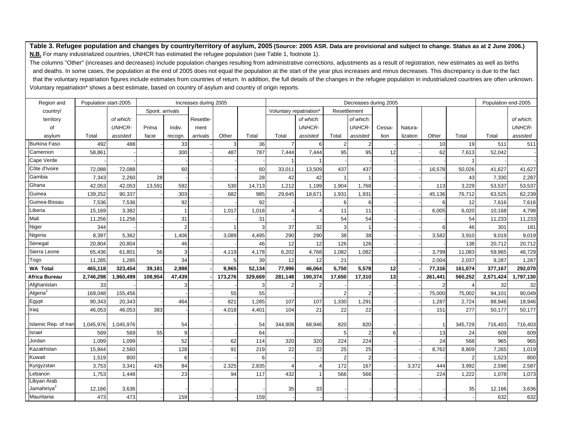| Voluntary repatriation <sup>*</sup><br>Spont. arrivals<br>Resettlement<br>country/<br>of which:<br>of which:<br>of which:<br>Resettle-<br>of which:<br>territory<br><b>UNHCR-</b><br><b>UNHCR-</b><br><b>UNHCR-</b><br><b>UNHCR-</b><br>of<br>Prima<br>Indiv.<br>Cessa-<br>Natura-<br>ment<br>Total<br>Other<br>Total<br>assisted<br>Total<br>assisted<br>facie<br>arrivals<br>Other<br>Total<br>assisted<br>Total<br>assisted<br>tion<br>lization<br>Total<br>asylum<br>recogn.<br><b>Burkina Faso</b><br>492<br>33<br>36<br>19<br>511<br>488<br>3<br>2<br>10<br>511<br>6<br>Cameroon<br>487<br>787<br>95<br>58,861<br>300<br>7,444<br>95<br>12<br>62<br>7,613<br>52,042<br>7,444<br>Cape Verde<br>Côte d'Ivoire<br>60<br>437<br>437<br>41,627<br>72,088<br>72,088<br>60<br>33,011<br>13,509<br>16,578<br>50,026<br>41,627<br>Gambia<br>2,260<br>28<br>28<br>42<br>42<br>2,287<br>7,343<br>43<br>7,330<br>Ghana<br>13,591<br>592<br>530<br>1,199<br>1,904<br>1,768<br>3,229<br>53,537<br>42,053<br>42,053<br>14,713<br>1,212<br>113<br>53,537<br>Guinea<br>303<br>139,252<br>90,337<br>682<br>985<br>29,645<br>18,671<br>1,931<br>1,931<br>45,136<br>76,712<br>63,525<br>62,239<br>Guinea-Bissau<br>7,536<br>92<br>92<br>12<br>7,616<br>7,536<br>6<br>7,616<br>f<br>Liberia<br>11<br>15,169<br>3,382<br>1,017<br>1,018<br>6,005<br>6,020<br>10,168<br>4,798<br>11<br>Mali<br>31<br>54<br>54<br>11,256<br>31<br>54<br>11,233<br>11,256<br>11,233<br>Niger<br>37<br>32<br>344<br>46<br>301<br>181<br>Nigeria<br>8,397<br>5,362<br>3,089<br>290<br>38<br>38<br>3,582<br>1,406<br>4,495<br>290<br>3,910<br>9,019<br>9,019<br>126<br>126<br>Senegal<br>20,804<br>20,804<br>46<br>46<br>12<br>12<br>138<br>20,712<br>20,712<br>Sierra Leone<br>56<br>4,178<br>6,202<br>4,768<br>1,082<br>1,082<br>3,799<br>46,729<br>65,436<br>61,801<br>4,119<br>11,083<br>59,965<br>3<br>34<br>Togo<br>39<br>21<br>1,285<br>12<br>12<br>2,004<br>9,287<br>1,287<br>11,285<br>2,037<br>5,750<br>323,454<br>39,181<br>2,988<br>9,965<br>46,064<br>5,578<br><b>WA Total</b><br>465,118<br>52,134<br>77,996<br>12<br>77,316<br>161,074<br>377,167<br>292,070<br>13<br><b>Africa Bureau</b><br>2,746,298<br>108.954<br>47,439<br>173,276<br>329,669<br>281,148<br>190,374<br>17.650<br>17,310<br>261,441<br>1,960,499<br>560,252<br>2,571,424<br>1,797,130<br>33<br>32<br>Afghanistan<br>32<br>Algeria <sup>1</sup><br>55<br>55<br>155,456<br>75,000<br>94,101<br>90,049<br>169,048<br>75,002<br>821<br>1,330<br>1,291<br>Egypt<br>464<br>1,285<br>107<br>107<br>1,287<br>90,343<br>20,343<br>2,724<br>88.946<br>18,946<br>21<br>383<br>4,018<br>4,401<br>104<br>22<br>22<br>151<br>Iraq<br>46,053<br>46,053<br>277<br>50,177<br>50,177<br>Islamic Rep. of Iran<br>1,045,976<br>344,908<br>68,946<br>820<br>820<br>345,729<br>1,045,976<br>54<br>54<br>716,403<br>716,403<br><b>Israel</b><br>55<br>9<br>569<br>569<br>64<br>13<br>24<br>609<br>609<br>$\overline{5}$<br>6<br>Jordan<br>52<br>62<br>224<br>965<br>1,099<br>114<br>320<br>224<br>24<br>568<br>965<br>1,099<br>320<br>Kazakhstan<br>128<br>91<br>22<br>2,560<br>219<br>22<br>25<br>25<br>8,762<br>8,809<br>7,265<br>1,019<br>15,844<br>Kuwait<br>800<br>800<br>$\overline{2}$<br>1,523<br>1,519<br>6<br>167<br>84<br>2,325<br>172<br>2,587<br>Kyrgyzstan<br>3,341<br>426<br>2,835<br>3,372<br>3,753<br>444<br>3,992<br>2,598<br>Lebanon<br>23<br>94<br>432<br>566<br>1,073<br>1,753<br>1,448<br>117<br>566<br>224<br>1,222<br>1,078<br>Libyan Arab<br>Jamahiriya <sup>2</sup><br>12,166<br>3,636<br>35<br>33<br>12,166<br>3,636<br>35 | Region and | Population start-2005 |     | Increases during 2005 |  |  |     |  | Decreases during 2005 |  |  |  |  |  |  |     | Population end-2005 |  |
|-----------------------------------------------------------------------------------------------------------------------------------------------------------------------------------------------------------------------------------------------------------------------------------------------------------------------------------------------------------------------------------------------------------------------------------------------------------------------------------------------------------------------------------------------------------------------------------------------------------------------------------------------------------------------------------------------------------------------------------------------------------------------------------------------------------------------------------------------------------------------------------------------------------------------------------------------------------------------------------------------------------------------------------------------------------------------------------------------------------------------------------------------------------------------------------------------------------------------------------------------------------------------------------------------------------------------------------------------------------------------------------------------------------------------------------------------------------------------------------------------------------------------------------------------------------------------------------------------------------------------------------------------------------------------------------------------------------------------------------------------------------------------------------------------------------------------------------------------------------------------------------------------------------------------------------------------------------------------------------------------------------------------------------------------------------------------------------------------------------------------------------------------------------------------------------------------------------------------------------------------------------------------------------------------------------------------------------------------------------------------------------------------------------------------------------------------------------------------------------------------------------------------------------------------------------------------------------------------------------------------------------------------------------------------------------------------------------------------------------------------------------------------------------------------------------------------------------------------------------------------------------------------------------------------------------------------------------------------------------------------------------------------------------------------------------------------------------------------------------------------------------------------------------------------------------------------------------------------------------------------------------------------------------------------------------------------------------------------------------------------------------------------------------------------------------------------------------------------------------------------------------------------------------------------------------------------------|------------|-----------------------|-----|-----------------------|--|--|-----|--|-----------------------|--|--|--|--|--|--|-----|---------------------|--|
|                                                                                                                                                                                                                                                                                                                                                                                                                                                                                                                                                                                                                                                                                                                                                                                                                                                                                                                                                                                                                                                                                                                                                                                                                                                                                                                                                                                                                                                                                                                                                                                                                                                                                                                                                                                                                                                                                                                                                                                                                                                                                                                                                                                                                                                                                                                                                                                                                                                                                                                                                                                                                                                                                                                                                                                                                                                                                                                                                                                                                                                                                                                                                                                                                                                                                                                                                                                                                                                                                                                                                                             |            |                       |     |                       |  |  |     |  |                       |  |  |  |  |  |  |     |                     |  |
|                                                                                                                                                                                                                                                                                                                                                                                                                                                                                                                                                                                                                                                                                                                                                                                                                                                                                                                                                                                                                                                                                                                                                                                                                                                                                                                                                                                                                                                                                                                                                                                                                                                                                                                                                                                                                                                                                                                                                                                                                                                                                                                                                                                                                                                                                                                                                                                                                                                                                                                                                                                                                                                                                                                                                                                                                                                                                                                                                                                                                                                                                                                                                                                                                                                                                                                                                                                                                                                                                                                                                                             |            |                       |     |                       |  |  |     |  |                       |  |  |  |  |  |  |     |                     |  |
|                                                                                                                                                                                                                                                                                                                                                                                                                                                                                                                                                                                                                                                                                                                                                                                                                                                                                                                                                                                                                                                                                                                                                                                                                                                                                                                                                                                                                                                                                                                                                                                                                                                                                                                                                                                                                                                                                                                                                                                                                                                                                                                                                                                                                                                                                                                                                                                                                                                                                                                                                                                                                                                                                                                                                                                                                                                                                                                                                                                                                                                                                                                                                                                                                                                                                                                                                                                                                                                                                                                                                                             |            |                       |     |                       |  |  |     |  |                       |  |  |  |  |  |  |     |                     |  |
|                                                                                                                                                                                                                                                                                                                                                                                                                                                                                                                                                                                                                                                                                                                                                                                                                                                                                                                                                                                                                                                                                                                                                                                                                                                                                                                                                                                                                                                                                                                                                                                                                                                                                                                                                                                                                                                                                                                                                                                                                                                                                                                                                                                                                                                                                                                                                                                                                                                                                                                                                                                                                                                                                                                                                                                                                                                                                                                                                                                                                                                                                                                                                                                                                                                                                                                                                                                                                                                                                                                                                                             |            |                       |     |                       |  |  |     |  |                       |  |  |  |  |  |  |     |                     |  |
|                                                                                                                                                                                                                                                                                                                                                                                                                                                                                                                                                                                                                                                                                                                                                                                                                                                                                                                                                                                                                                                                                                                                                                                                                                                                                                                                                                                                                                                                                                                                                                                                                                                                                                                                                                                                                                                                                                                                                                                                                                                                                                                                                                                                                                                                                                                                                                                                                                                                                                                                                                                                                                                                                                                                                                                                                                                                                                                                                                                                                                                                                                                                                                                                                                                                                                                                                                                                                                                                                                                                                                             |            |                       |     |                       |  |  |     |  |                       |  |  |  |  |  |  |     |                     |  |
|                                                                                                                                                                                                                                                                                                                                                                                                                                                                                                                                                                                                                                                                                                                                                                                                                                                                                                                                                                                                                                                                                                                                                                                                                                                                                                                                                                                                                                                                                                                                                                                                                                                                                                                                                                                                                                                                                                                                                                                                                                                                                                                                                                                                                                                                                                                                                                                                                                                                                                                                                                                                                                                                                                                                                                                                                                                                                                                                                                                                                                                                                                                                                                                                                                                                                                                                                                                                                                                                                                                                                                             |            |                       |     |                       |  |  |     |  |                       |  |  |  |  |  |  |     |                     |  |
|                                                                                                                                                                                                                                                                                                                                                                                                                                                                                                                                                                                                                                                                                                                                                                                                                                                                                                                                                                                                                                                                                                                                                                                                                                                                                                                                                                                                                                                                                                                                                                                                                                                                                                                                                                                                                                                                                                                                                                                                                                                                                                                                                                                                                                                                                                                                                                                                                                                                                                                                                                                                                                                                                                                                                                                                                                                                                                                                                                                                                                                                                                                                                                                                                                                                                                                                                                                                                                                                                                                                                                             |            |                       |     |                       |  |  |     |  |                       |  |  |  |  |  |  |     |                     |  |
|                                                                                                                                                                                                                                                                                                                                                                                                                                                                                                                                                                                                                                                                                                                                                                                                                                                                                                                                                                                                                                                                                                                                                                                                                                                                                                                                                                                                                                                                                                                                                                                                                                                                                                                                                                                                                                                                                                                                                                                                                                                                                                                                                                                                                                                                                                                                                                                                                                                                                                                                                                                                                                                                                                                                                                                                                                                                                                                                                                                                                                                                                                                                                                                                                                                                                                                                                                                                                                                                                                                                                                             |            |                       |     |                       |  |  |     |  |                       |  |  |  |  |  |  |     |                     |  |
|                                                                                                                                                                                                                                                                                                                                                                                                                                                                                                                                                                                                                                                                                                                                                                                                                                                                                                                                                                                                                                                                                                                                                                                                                                                                                                                                                                                                                                                                                                                                                                                                                                                                                                                                                                                                                                                                                                                                                                                                                                                                                                                                                                                                                                                                                                                                                                                                                                                                                                                                                                                                                                                                                                                                                                                                                                                                                                                                                                                                                                                                                                                                                                                                                                                                                                                                                                                                                                                                                                                                                                             |            |                       |     |                       |  |  |     |  |                       |  |  |  |  |  |  |     |                     |  |
|                                                                                                                                                                                                                                                                                                                                                                                                                                                                                                                                                                                                                                                                                                                                                                                                                                                                                                                                                                                                                                                                                                                                                                                                                                                                                                                                                                                                                                                                                                                                                                                                                                                                                                                                                                                                                                                                                                                                                                                                                                                                                                                                                                                                                                                                                                                                                                                                                                                                                                                                                                                                                                                                                                                                                                                                                                                                                                                                                                                                                                                                                                                                                                                                                                                                                                                                                                                                                                                                                                                                                                             |            |                       |     |                       |  |  |     |  |                       |  |  |  |  |  |  |     |                     |  |
|                                                                                                                                                                                                                                                                                                                                                                                                                                                                                                                                                                                                                                                                                                                                                                                                                                                                                                                                                                                                                                                                                                                                                                                                                                                                                                                                                                                                                                                                                                                                                                                                                                                                                                                                                                                                                                                                                                                                                                                                                                                                                                                                                                                                                                                                                                                                                                                                                                                                                                                                                                                                                                                                                                                                                                                                                                                                                                                                                                                                                                                                                                                                                                                                                                                                                                                                                                                                                                                                                                                                                                             |            |                       |     |                       |  |  |     |  |                       |  |  |  |  |  |  |     |                     |  |
|                                                                                                                                                                                                                                                                                                                                                                                                                                                                                                                                                                                                                                                                                                                                                                                                                                                                                                                                                                                                                                                                                                                                                                                                                                                                                                                                                                                                                                                                                                                                                                                                                                                                                                                                                                                                                                                                                                                                                                                                                                                                                                                                                                                                                                                                                                                                                                                                                                                                                                                                                                                                                                                                                                                                                                                                                                                                                                                                                                                                                                                                                                                                                                                                                                                                                                                                                                                                                                                                                                                                                                             |            |                       |     |                       |  |  |     |  |                       |  |  |  |  |  |  |     |                     |  |
|                                                                                                                                                                                                                                                                                                                                                                                                                                                                                                                                                                                                                                                                                                                                                                                                                                                                                                                                                                                                                                                                                                                                                                                                                                                                                                                                                                                                                                                                                                                                                                                                                                                                                                                                                                                                                                                                                                                                                                                                                                                                                                                                                                                                                                                                                                                                                                                                                                                                                                                                                                                                                                                                                                                                                                                                                                                                                                                                                                                                                                                                                                                                                                                                                                                                                                                                                                                                                                                                                                                                                                             |            |                       |     |                       |  |  |     |  |                       |  |  |  |  |  |  |     |                     |  |
|                                                                                                                                                                                                                                                                                                                                                                                                                                                                                                                                                                                                                                                                                                                                                                                                                                                                                                                                                                                                                                                                                                                                                                                                                                                                                                                                                                                                                                                                                                                                                                                                                                                                                                                                                                                                                                                                                                                                                                                                                                                                                                                                                                                                                                                                                                                                                                                                                                                                                                                                                                                                                                                                                                                                                                                                                                                                                                                                                                                                                                                                                                                                                                                                                                                                                                                                                                                                                                                                                                                                                                             |            |                       |     |                       |  |  |     |  |                       |  |  |  |  |  |  |     |                     |  |
|                                                                                                                                                                                                                                                                                                                                                                                                                                                                                                                                                                                                                                                                                                                                                                                                                                                                                                                                                                                                                                                                                                                                                                                                                                                                                                                                                                                                                                                                                                                                                                                                                                                                                                                                                                                                                                                                                                                                                                                                                                                                                                                                                                                                                                                                                                                                                                                                                                                                                                                                                                                                                                                                                                                                                                                                                                                                                                                                                                                                                                                                                                                                                                                                                                                                                                                                                                                                                                                                                                                                                                             |            |                       |     |                       |  |  |     |  |                       |  |  |  |  |  |  |     |                     |  |
|                                                                                                                                                                                                                                                                                                                                                                                                                                                                                                                                                                                                                                                                                                                                                                                                                                                                                                                                                                                                                                                                                                                                                                                                                                                                                                                                                                                                                                                                                                                                                                                                                                                                                                                                                                                                                                                                                                                                                                                                                                                                                                                                                                                                                                                                                                                                                                                                                                                                                                                                                                                                                                                                                                                                                                                                                                                                                                                                                                                                                                                                                                                                                                                                                                                                                                                                                                                                                                                                                                                                                                             |            |                       |     |                       |  |  |     |  |                       |  |  |  |  |  |  |     |                     |  |
|                                                                                                                                                                                                                                                                                                                                                                                                                                                                                                                                                                                                                                                                                                                                                                                                                                                                                                                                                                                                                                                                                                                                                                                                                                                                                                                                                                                                                                                                                                                                                                                                                                                                                                                                                                                                                                                                                                                                                                                                                                                                                                                                                                                                                                                                                                                                                                                                                                                                                                                                                                                                                                                                                                                                                                                                                                                                                                                                                                                                                                                                                                                                                                                                                                                                                                                                                                                                                                                                                                                                                                             |            |                       |     |                       |  |  |     |  |                       |  |  |  |  |  |  |     |                     |  |
|                                                                                                                                                                                                                                                                                                                                                                                                                                                                                                                                                                                                                                                                                                                                                                                                                                                                                                                                                                                                                                                                                                                                                                                                                                                                                                                                                                                                                                                                                                                                                                                                                                                                                                                                                                                                                                                                                                                                                                                                                                                                                                                                                                                                                                                                                                                                                                                                                                                                                                                                                                                                                                                                                                                                                                                                                                                                                                                                                                                                                                                                                                                                                                                                                                                                                                                                                                                                                                                                                                                                                                             |            |                       |     |                       |  |  |     |  |                       |  |  |  |  |  |  |     |                     |  |
|                                                                                                                                                                                                                                                                                                                                                                                                                                                                                                                                                                                                                                                                                                                                                                                                                                                                                                                                                                                                                                                                                                                                                                                                                                                                                                                                                                                                                                                                                                                                                                                                                                                                                                                                                                                                                                                                                                                                                                                                                                                                                                                                                                                                                                                                                                                                                                                                                                                                                                                                                                                                                                                                                                                                                                                                                                                                                                                                                                                                                                                                                                                                                                                                                                                                                                                                                                                                                                                                                                                                                                             |            |                       |     |                       |  |  |     |  |                       |  |  |  |  |  |  |     |                     |  |
|                                                                                                                                                                                                                                                                                                                                                                                                                                                                                                                                                                                                                                                                                                                                                                                                                                                                                                                                                                                                                                                                                                                                                                                                                                                                                                                                                                                                                                                                                                                                                                                                                                                                                                                                                                                                                                                                                                                                                                                                                                                                                                                                                                                                                                                                                                                                                                                                                                                                                                                                                                                                                                                                                                                                                                                                                                                                                                                                                                                                                                                                                                                                                                                                                                                                                                                                                                                                                                                                                                                                                                             |            |                       |     |                       |  |  |     |  |                       |  |  |  |  |  |  |     |                     |  |
|                                                                                                                                                                                                                                                                                                                                                                                                                                                                                                                                                                                                                                                                                                                                                                                                                                                                                                                                                                                                                                                                                                                                                                                                                                                                                                                                                                                                                                                                                                                                                                                                                                                                                                                                                                                                                                                                                                                                                                                                                                                                                                                                                                                                                                                                                                                                                                                                                                                                                                                                                                                                                                                                                                                                                                                                                                                                                                                                                                                                                                                                                                                                                                                                                                                                                                                                                                                                                                                                                                                                                                             |            |                       |     |                       |  |  |     |  |                       |  |  |  |  |  |  |     |                     |  |
|                                                                                                                                                                                                                                                                                                                                                                                                                                                                                                                                                                                                                                                                                                                                                                                                                                                                                                                                                                                                                                                                                                                                                                                                                                                                                                                                                                                                                                                                                                                                                                                                                                                                                                                                                                                                                                                                                                                                                                                                                                                                                                                                                                                                                                                                                                                                                                                                                                                                                                                                                                                                                                                                                                                                                                                                                                                                                                                                                                                                                                                                                                                                                                                                                                                                                                                                                                                                                                                                                                                                                                             |            |                       |     |                       |  |  |     |  |                       |  |  |  |  |  |  |     |                     |  |
|                                                                                                                                                                                                                                                                                                                                                                                                                                                                                                                                                                                                                                                                                                                                                                                                                                                                                                                                                                                                                                                                                                                                                                                                                                                                                                                                                                                                                                                                                                                                                                                                                                                                                                                                                                                                                                                                                                                                                                                                                                                                                                                                                                                                                                                                                                                                                                                                                                                                                                                                                                                                                                                                                                                                                                                                                                                                                                                                                                                                                                                                                                                                                                                                                                                                                                                                                                                                                                                                                                                                                                             |            |                       |     |                       |  |  |     |  |                       |  |  |  |  |  |  |     |                     |  |
|                                                                                                                                                                                                                                                                                                                                                                                                                                                                                                                                                                                                                                                                                                                                                                                                                                                                                                                                                                                                                                                                                                                                                                                                                                                                                                                                                                                                                                                                                                                                                                                                                                                                                                                                                                                                                                                                                                                                                                                                                                                                                                                                                                                                                                                                                                                                                                                                                                                                                                                                                                                                                                                                                                                                                                                                                                                                                                                                                                                                                                                                                                                                                                                                                                                                                                                                                                                                                                                                                                                                                                             |            |                       |     |                       |  |  |     |  |                       |  |  |  |  |  |  |     |                     |  |
|                                                                                                                                                                                                                                                                                                                                                                                                                                                                                                                                                                                                                                                                                                                                                                                                                                                                                                                                                                                                                                                                                                                                                                                                                                                                                                                                                                                                                                                                                                                                                                                                                                                                                                                                                                                                                                                                                                                                                                                                                                                                                                                                                                                                                                                                                                                                                                                                                                                                                                                                                                                                                                                                                                                                                                                                                                                                                                                                                                                                                                                                                                                                                                                                                                                                                                                                                                                                                                                                                                                                                                             |            |                       |     |                       |  |  |     |  |                       |  |  |  |  |  |  |     |                     |  |
|                                                                                                                                                                                                                                                                                                                                                                                                                                                                                                                                                                                                                                                                                                                                                                                                                                                                                                                                                                                                                                                                                                                                                                                                                                                                                                                                                                                                                                                                                                                                                                                                                                                                                                                                                                                                                                                                                                                                                                                                                                                                                                                                                                                                                                                                                                                                                                                                                                                                                                                                                                                                                                                                                                                                                                                                                                                                                                                                                                                                                                                                                                                                                                                                                                                                                                                                                                                                                                                                                                                                                                             |            |                       |     |                       |  |  |     |  |                       |  |  |  |  |  |  |     |                     |  |
|                                                                                                                                                                                                                                                                                                                                                                                                                                                                                                                                                                                                                                                                                                                                                                                                                                                                                                                                                                                                                                                                                                                                                                                                                                                                                                                                                                                                                                                                                                                                                                                                                                                                                                                                                                                                                                                                                                                                                                                                                                                                                                                                                                                                                                                                                                                                                                                                                                                                                                                                                                                                                                                                                                                                                                                                                                                                                                                                                                                                                                                                                                                                                                                                                                                                                                                                                                                                                                                                                                                                                                             |            |                       |     |                       |  |  |     |  |                       |  |  |  |  |  |  |     |                     |  |
|                                                                                                                                                                                                                                                                                                                                                                                                                                                                                                                                                                                                                                                                                                                                                                                                                                                                                                                                                                                                                                                                                                                                                                                                                                                                                                                                                                                                                                                                                                                                                                                                                                                                                                                                                                                                                                                                                                                                                                                                                                                                                                                                                                                                                                                                                                                                                                                                                                                                                                                                                                                                                                                                                                                                                                                                                                                                                                                                                                                                                                                                                                                                                                                                                                                                                                                                                                                                                                                                                                                                                                             |            |                       |     |                       |  |  |     |  |                       |  |  |  |  |  |  |     |                     |  |
|                                                                                                                                                                                                                                                                                                                                                                                                                                                                                                                                                                                                                                                                                                                                                                                                                                                                                                                                                                                                                                                                                                                                                                                                                                                                                                                                                                                                                                                                                                                                                                                                                                                                                                                                                                                                                                                                                                                                                                                                                                                                                                                                                                                                                                                                                                                                                                                                                                                                                                                                                                                                                                                                                                                                                                                                                                                                                                                                                                                                                                                                                                                                                                                                                                                                                                                                                                                                                                                                                                                                                                             |            |                       |     |                       |  |  |     |  |                       |  |  |  |  |  |  |     |                     |  |
|                                                                                                                                                                                                                                                                                                                                                                                                                                                                                                                                                                                                                                                                                                                                                                                                                                                                                                                                                                                                                                                                                                                                                                                                                                                                                                                                                                                                                                                                                                                                                                                                                                                                                                                                                                                                                                                                                                                                                                                                                                                                                                                                                                                                                                                                                                                                                                                                                                                                                                                                                                                                                                                                                                                                                                                                                                                                                                                                                                                                                                                                                                                                                                                                                                                                                                                                                                                                                                                                                                                                                                             |            |                       |     |                       |  |  |     |  |                       |  |  |  |  |  |  |     |                     |  |
|                                                                                                                                                                                                                                                                                                                                                                                                                                                                                                                                                                                                                                                                                                                                                                                                                                                                                                                                                                                                                                                                                                                                                                                                                                                                                                                                                                                                                                                                                                                                                                                                                                                                                                                                                                                                                                                                                                                                                                                                                                                                                                                                                                                                                                                                                                                                                                                                                                                                                                                                                                                                                                                                                                                                                                                                                                                                                                                                                                                                                                                                                                                                                                                                                                                                                                                                                                                                                                                                                                                                                                             |            |                       |     |                       |  |  |     |  |                       |  |  |  |  |  |  |     |                     |  |
|                                                                                                                                                                                                                                                                                                                                                                                                                                                                                                                                                                                                                                                                                                                                                                                                                                                                                                                                                                                                                                                                                                                                                                                                                                                                                                                                                                                                                                                                                                                                                                                                                                                                                                                                                                                                                                                                                                                                                                                                                                                                                                                                                                                                                                                                                                                                                                                                                                                                                                                                                                                                                                                                                                                                                                                                                                                                                                                                                                                                                                                                                                                                                                                                                                                                                                                                                                                                                                                                                                                                                                             |            |                       |     |                       |  |  |     |  |                       |  |  |  |  |  |  |     |                     |  |
|                                                                                                                                                                                                                                                                                                                                                                                                                                                                                                                                                                                                                                                                                                                                                                                                                                                                                                                                                                                                                                                                                                                                                                                                                                                                                                                                                                                                                                                                                                                                                                                                                                                                                                                                                                                                                                                                                                                                                                                                                                                                                                                                                                                                                                                                                                                                                                                                                                                                                                                                                                                                                                                                                                                                                                                                                                                                                                                                                                                                                                                                                                                                                                                                                                                                                                                                                                                                                                                                                                                                                                             |            |                       |     |                       |  |  |     |  |                       |  |  |  |  |  |  |     |                     |  |
|                                                                                                                                                                                                                                                                                                                                                                                                                                                                                                                                                                                                                                                                                                                                                                                                                                                                                                                                                                                                                                                                                                                                                                                                                                                                                                                                                                                                                                                                                                                                                                                                                                                                                                                                                                                                                                                                                                                                                                                                                                                                                                                                                                                                                                                                                                                                                                                                                                                                                                                                                                                                                                                                                                                                                                                                                                                                                                                                                                                                                                                                                                                                                                                                                                                                                                                                                                                                                                                                                                                                                                             |            |                       |     |                       |  |  |     |  |                       |  |  |  |  |  |  |     |                     |  |
|                                                                                                                                                                                                                                                                                                                                                                                                                                                                                                                                                                                                                                                                                                                                                                                                                                                                                                                                                                                                                                                                                                                                                                                                                                                                                                                                                                                                                                                                                                                                                                                                                                                                                                                                                                                                                                                                                                                                                                                                                                                                                                                                                                                                                                                                                                                                                                                                                                                                                                                                                                                                                                                                                                                                                                                                                                                                                                                                                                                                                                                                                                                                                                                                                                                                                                                                                                                                                                                                                                                                                                             | Mauritania | 473                   | 473 | 159                   |  |  | 159 |  |                       |  |  |  |  |  |  | 632 | 632                 |  |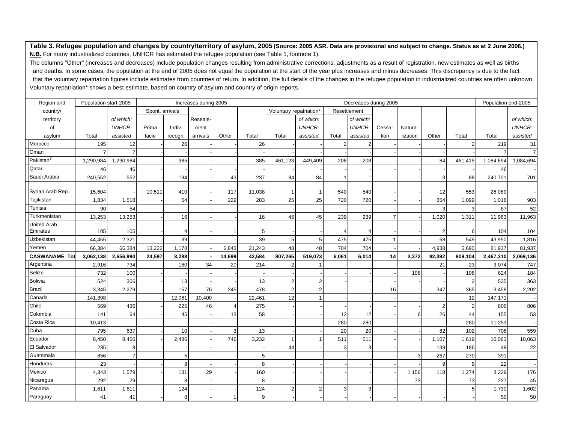| Region and            | Population start-2005 |               |                 |                | Increases during 2005 |                          |        |                         |               |       | Decreases during 2005 |        |          |        |                | Population end-2005 |                |
|-----------------------|-----------------------|---------------|-----------------|----------------|-----------------------|--------------------------|--------|-------------------------|---------------|-------|-----------------------|--------|----------|--------|----------------|---------------------|----------------|
| country/              |                       |               | Spont. arrivals |                |                       |                          |        | Voluntary repatriation' |               |       | Resettlement          |        |          |        |                |                     |                |
| territory             |                       | of which:     |                 |                | Resettle-             |                          |        |                         | of which:     |       | of which:             |        |          |        |                |                     | of which:      |
| of                    |                       | <b>UNHCR-</b> | Prima           | Indiv.         | ment                  |                          |        |                         | <b>UNHCR-</b> |       | <b>UNHCR-</b>         | Cessa- | Natura-  |        |                |                     | <b>UNHCR-</b>  |
| asylum                | Total                 | assisted      | facie           | recogn.        | arrivals              | Other                    | Total  | Total                   | assisted      | Total | assisted              | tion   | lization | Other  | Total          | Total               | assisted       |
| Morocco               | 195                   | 12            |                 | 26             |                       |                          | 26     |                         |               | 2     |                       |        |          |        | $\overline{2}$ | 219                 | 31             |
| Oman                  |                       |               |                 |                |                       |                          |        |                         |               |       |                       |        |          |        |                |                     | $\overline{7}$ |
| Pakistan <sup>3</sup> | 1,290,984             | 1,290,984     |                 | 385            |                       |                          | 385    | 461,123                 | 449,409       | 208   | 208                   |        |          | 84     | 461,415        | 1,084,694           | 1,084,694      |
| Qatar                 | 46                    | 46            |                 |                |                       |                          |        |                         |               |       |                       |        |          |        |                | 46                  |                |
| Saudi Arabia          | 240,552               | 552           |                 | 194            |                       | 43                       | 237    | 84                      | 84            |       |                       |        |          | 3      | 88             | 240,701             | 701            |
|                       |                       |               |                 |                |                       |                          |        |                         |               |       |                       |        |          |        |                |                     |                |
| Syrian Arab Rep.      | 15,604                |               | 10,511          | 410            |                       | 117                      | 11,038 |                         |               | 540   | 540                   |        |          | 12     | 553            | 26,089              |                |
| Tajikistan            | 1,834                 | 1,518         |                 | 54             |                       | 229                      | 283    | 25                      | 25            | 720   | 720                   |        |          | 354    | 1,099          | 1,018               | 903            |
| Tunisia               | 90                    | 54            |                 |                |                       |                          |        |                         |               |       |                       |        |          | 3      | 3              | 87                  | 52             |
| Turkmenistan          | 13,253                | 13,253        |                 | 16             |                       |                          | 16     | 45                      | 45            | 239   | 239                   | 7      |          | 1,020  | 1,311          | 11,963              | 11,963         |
| <b>United Arab</b>    |                       |               |                 |                |                       |                          |        |                         |               |       |                       |        |          |        |                |                     |                |
| Emirates              | 105                   | 105           |                 |                |                       |                          |        |                         |               |       |                       |        |          |        | 6              | 104                 | 104            |
| Uzbekistan            | 44,455                | 2,321         |                 | 39             |                       |                          | 39     | 5 <sub>l</sub>          | 5             | 475   | 475                   |        |          | 68     | 549            | 43,950              | 1,816          |
| Yemen                 | 66,384                | 66,384        | 13,222          | 1,178          |                       | 6,843                    | 21,243 | 48                      | 48            | 704   | 704                   |        |          | 4,938  | 5,690          | 81,937              | 81,937         |
| <b>CASWANAME To</b>   | 3,062,138             | 2,656,990     | 24,597          | 3,288          |                       | 14,699                   | 42,584 | 807,265                 | 519,073       | 6,061 | 6,014                 | 14     | 3,372    | 92,392 | 909,104        | 2,467,310           | 2,069,136      |
| Argentina             | 2,916                 | 734           |                 | 160            | 34                    | 20                       | 214    |                         |               |       |                       |        |          | 21     | 23             | 3,074               | 747            |
| Belize                | 732                   | 100           |                 |                |                       |                          |        |                         |               |       |                       |        | 108      |        | 108            | 624                 | 184            |
| <b>Bolivia</b>        | 524                   | 306           |                 | 13             |                       |                          | 13     | $\overline{2}$          |               |       |                       |        |          |        | $\overline{2}$ | 535                 | 363            |
| <b>Brazil</b>         | 3,345                 | 2,279         |                 | 157            | 76                    | 245                      | 478    | $\overline{2}$          |               |       |                       | 16     |          | 347    | 365            | 3,458               | 2,202          |
| Canada                | 141,398               |               |                 | 12,061         | 10,400                |                          | 22,461 | 12                      |               |       |                       |        |          |        | 12             | 147,171             |                |
| Chile                 | 569                   | 436           |                 | 225            | 46                    | $\boldsymbol{\varDelta}$ | 275    |                         |               |       |                       |        |          |        | $\overline{2}$ | 806                 | 806            |
| Colombia              | 141                   | 64            |                 | 45             |                       | 13                       | 58     |                         |               | 12    | 12                    |        | 6        | 26     | 44             | 155                 | 53             |
| Costa Rica            | 10,413                |               |                 |                |                       |                          |        |                         |               | 280   | 280                   |        |          |        | 280            | 11,253              |                |
| Cuba                  | 795                   | 637           |                 | 10             |                       | 3                        | 13     |                         |               | 20    | 20                    |        |          | 82     | 102            | 706                 | 559            |
| Ecuador               | 8,450                 | 8,450         |                 | 2,486          |                       | 746                      | 3,232  |                         |               | 511   | 511                   |        |          | 1,107  | 1,619          | 10,063              | 10,063         |
| El Salvador           | 235                   |               |                 |                |                       |                          |        | 44                      |               | 3     | 3                     |        |          | 139    | 186            | 49                  | 22             |
|                       |                       |               |                 |                |                       |                          |        |                         |               |       |                       |        |          |        |                |                     |                |
| Guatemala             | 656                   |               |                 | 5 <sub>l</sub> |                       |                          | F      |                         |               |       |                       |        |          | 267    | 270            | 391                 |                |
| Honduras              | 23                    |               |                 | 8              |                       |                          | ε      |                         |               |       |                       |        |          | 9      | 9              | 22                  |                |
| Mexico                | 4,343                 | 1,579         |                 | 131            | 29                    |                          | 160    |                         |               |       |                       |        | 1,156    | 118    | 1,274          | 3,229               |                |
| Nicaragua             | 292                   | 29            |                 | 8              |                       |                          | ε      |                         |               |       |                       |        | 73       |        | 73             | 227                 | 176<br>45      |
| Panama<br>Paraguay    | 1,611                 | 1,611         |                 | 124            |                       |                          | 124    | $\overline{2}$          |               | 3     | 3                     |        |          |        |                | 1,730<br>50         | 1,602<br>50    |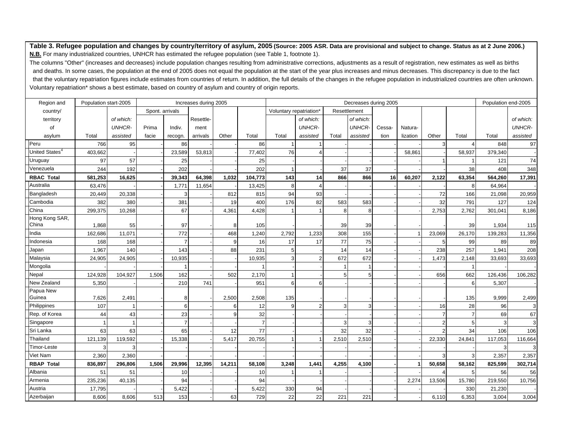| Region and                 | Population start-2005 |               |                 |                | Increases during 2005 |        |                |                                     |               |       | Decreases during 2005 |                 |          |        |        | Population end-2005 |               |
|----------------------------|-----------------------|---------------|-----------------|----------------|-----------------------|--------|----------------|-------------------------------------|---------------|-------|-----------------------|-----------------|----------|--------|--------|---------------------|---------------|
| country/                   |                       |               | Spont. arrivals |                |                       |        |                | Voluntary repatriation <sup>®</sup> |               |       | Resettlement          |                 |          |        |        |                     |               |
| territory                  |                       | of which:     |                 |                | Resettle-             |        |                |                                     | of which:     |       | of which:             |                 |          |        |        |                     | of which:     |
| of                         |                       | <b>UNHCR-</b> | Prima           | Indiv.         | ment                  |        |                |                                     | <b>UNHCR-</b> |       | <b>UNHCR-</b>         | Cessa-          | Natura-  |        |        |                     | <b>UNHCR-</b> |
| asylum                     | Total                 | assisted      | facie           | recogn.        | arrivals              | Other  | Total          | Total                               | assisted      | Total | assisted              | tion            | lization | Other  | Total  | Total               | assisted      |
| Peru                       | 766                   | 95            |                 | 86             |                       |        | 86             |                                     |               |       |                       |                 |          | 3      |        | 848                 | 97            |
| United States <sup>4</sup> | 403,662               |               |                 | 23,589         | 53,813                |        | 77,402         | 76                                  |               |       |                       |                 | 58,861   |        | 58,937 | 379,340             |               |
| Uruguay                    | 97                    | 57            |                 | 25             |                       |        | 25             |                                     |               |       |                       |                 |          |        |        | 121                 | 74            |
| Venezuela                  | 244                   | 192           |                 | 202            |                       |        | 202            |                                     |               | 37    | 37                    |                 |          |        | 38     | 408                 | 348           |
| <b>RBAC Total</b>          | 581,253               | 16,625        |                 | 39,343         | 64,398                | 1,032  | 104,773        | 143                                 | 14            | 866   | 866                   | 16 <sup>1</sup> | 60,207   | 2,122  | 63,354 | 564,260             | 17,391        |
| Australia                  | 63,476                |               |                 | 1,771          | 11,654                |        | 13,425         | 8                                   |               |       |                       |                 |          |        | 8      | 64,964              |               |
| Bangladesh                 | 20,449                | 20,338        |                 |                |                       | 812    | 815            | 94                                  | 93            |       |                       |                 |          | 72     | 166    | 21,098              | 20,959        |
| Cambodia                   | 382                   | 380           |                 | 381            |                       | 19     | 400            | 176                                 | 82            | 583   | 583                   |                 |          | 32     | 791    | 127                 | 124           |
| China                      | 299,375               | 10,268        |                 | 67             |                       | 4,361  | 4,428          |                                     |               | 8     | 8                     |                 |          | 2,753  | 2,762  | 301,041             | 8,186         |
| Hong Kong SAR,             |                       |               |                 |                |                       |        |                |                                     |               |       |                       |                 |          |        |        |                     |               |
| China                      | 1,868                 | 55            |                 | 97             |                       | 8      | 105            |                                     |               | 39    | 39                    |                 |          |        | 39     | 1,934               | 115           |
| India                      | 162,686               | 11,071        |                 | 772            |                       | 468    | 1,240          | 2,792                               | 1,233         | 308   | 155                   |                 |          | 23,069 | 26,170 | 139,283             | 11,356        |
| Indonesia                  | 168                   | 168           |                 |                |                       | 9      | 16             | 17                                  | 17            | 77    | 75                    |                 |          |        | 99     | 89                  | 89            |
| Japan                      | 1,967                 | 140           |                 | 143            |                       | 88     | 231            | 5                                   |               | 14    | 14                    |                 |          | 238    | 257    | 1,941               | 208           |
| Malaysia                   | 24,905                | 24,905        |                 | 10,935         |                       |        | 10,935         | 3                                   | $\mathcal{P}$ | 672   | 672                   |                 |          | 1,473  | 2,148  | 33,693              | 33,693        |
| Mongolia                   |                       |               |                 |                |                       |        |                |                                     |               |       |                       |                 |          |        |        |                     |               |
| Nepal                      | 124,928               | 104,927       | 1,506           | 162            |                       | 502    | 2,170          |                                     |               | 5     |                       |                 |          | 656    | 662    | 126,436             | 106,282       |
| New Zealand                | 5,350                 |               |                 | 210            | 741                   |        | 951            | 6                                   | 6             |       |                       |                 |          |        | 6      | 5,307               |               |
| Papua New<br>Guinea        | 7,626                 | 2,491         |                 | 8              |                       | 2,500  | 2,508          | 135                                 |               |       |                       |                 |          |        | 135    | 9,999               |               |
| Philippines                | 107                   |               |                 | 6              |                       | 6      | 12             | q                                   |               | 3     |                       |                 |          | 16     | 28     | 96                  | 2,499<br>3    |
| Rep. of Korea              | 44                    | 43            |                 | 23             |                       | 9      | 32             |                                     |               |       |                       |                 |          |        |        | 69                  | 67            |
| Singapore                  |                       |               |                 | $\overline{7}$ |                       |        | $\overline{7}$ |                                     |               | 3     | 3                     |                 |          |        |        | 3                   | 3             |
| Sri Lanka                  | 63                    | 63            |                 | 65             |                       | 12     | 77             |                                     |               | 32    | 32                    |                 |          |        | 34     | 106                 | 106           |
| Thailand                   | 121,139               | 119,592       |                 | 15,338         |                       | 5,417  | 20,755         |                                     |               | 2,510 | 2,510                 |                 |          | 22,330 | 24,841 | 117,053             | 116,664       |
| Timor-Leste                |                       |               |                 |                |                       |        |                |                                     |               |       |                       |                 |          |        |        | 3                   | 3             |
| Viet Nam                   | 2,360                 | 2,360         |                 |                |                       |        |                |                                     |               |       |                       |                 |          | 3      | 3      | 2,357               | 2,357         |
| <b>RBAP Total</b>          | 836,897               | 296,806       | 1,506           | 29,996         | 12,395                | 14,211 | 58,108         | 3,248                               | 1,441         | 4,255 | 4,100                 |                 |          | 50,658 | 58,162 | 825,599             | 302,714       |
| Albania                    | 51                    | 51            |                 | 10             |                       |        | 10             |                                     |               |       |                       |                 |          |        |        | 56                  | 56            |
| Armenia                    | 235,236               | 40,135        |                 | 94             |                       |        | 94             |                                     |               |       |                       |                 | 2,274    | 13,506 | 15,780 | 219,550             | 10,756        |
| Austria                    | 17,795                |               |                 | 5,422          |                       |        | 5,422          | 330                                 | 94            |       |                       |                 |          |        | 330    | 21,230              |               |
| Azerbaijan                 | 8,606                 | 8,606         | 513             | 153            |                       | 63     | 729            | 22                                  | 22            | 221   | 221                   |                 |          | 6,110  | 6,353  | 3,004               | 3,004         |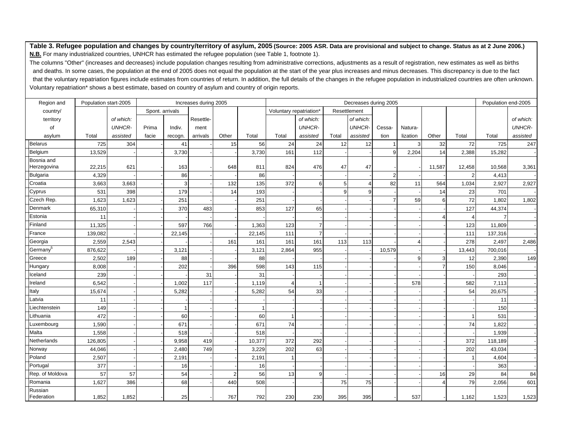| Region and           | Population start-2005 |               |                 |         | Increases during 2005 |       |        |                         |                |       | Decreases during 2005 |        |          |        |        | Population end-2005 |               |
|----------------------|-----------------------|---------------|-----------------|---------|-----------------------|-------|--------|-------------------------|----------------|-------|-----------------------|--------|----------|--------|--------|---------------------|---------------|
| country/             |                       |               | Spont. arrivals |         |                       |       |        | Voluntary repatriation* |                |       | Resettlement          |        |          |        |        |                     |               |
| territory            |                       | of which:     |                 |         | Resettle-             |       |        |                         | of which:      |       | of which:             |        |          |        |        |                     | of which:     |
| of                   |                       | <b>UNHCR-</b> | Prima           | Indiv.  | ment                  |       |        |                         | <b>UNHCR-</b>  |       | <b>UNHCR-</b>         | Cessa- | Natura-  |        |        |                     | <b>UNHCR-</b> |
| asylum               | Total                 | assisted      | facie           | recogn. | arrivals              | Other | Total  | Total                   | assisted       | Total | assisted              | tion   | lization | Other  | Total  | Total               | assisted      |
| Belarus              | 725                   | 304           |                 | 41      |                       | 15    | 56     | 24                      | 24             | 12    | 12                    |        | 3        | 32     | 72     | 725                 | 247           |
| Belgium              | 13,529                |               |                 | 3,730   |                       |       | 3,730  | 161                     | 112            |       |                       |        | 2,204    | 14     | 2,388  | 15,282              |               |
| Bosnia and           |                       |               |                 |         |                       |       |        |                         |                |       |                       |        |          |        |        |                     |               |
| Herzegovina          | 22,215                | 621           |                 | 163     |                       | 648   | 811    | 824                     | 476            | 47    | 47                    |        |          | 11,587 | 12,458 | 10,568              | 3,361         |
| <b>Bulgaria</b>      | 4,329                 |               |                 | 86      |                       |       | 86     |                         |                |       |                       |        |          |        |        | 4,413               |               |
| Croatia              | 3,663                 | 3,663         |                 | 3       |                       | 132   | 135    | 372                     | 6              | 5     |                       | 82     | 11       | 564    | 1,034  | 2,927               | 2,927         |
| Cyprus               | 531                   | 398           |                 | 179     |                       | 14    | 193    |                         |                | c     |                       |        |          | 14     | 23     | 701                 |               |
| Czech Rep.           | 1,623                 | 1,623         |                 | 251     |                       |       | 251    |                         |                |       |                       |        | 59       | 6      | 72     | 1,802               | 1,802         |
| Denmark              | 65,310                |               |                 | 370     | 483                   |       | 853    | 127                     | 65             |       |                       |        |          |        | 127    | 44,374              |               |
| Estonia              | 11                    |               |                 |         |                       |       |        |                         |                |       |                       |        |          |        |        |                     |               |
| Finland              | 11,325                |               |                 | 597     | 766                   |       | 1,363  | 123                     | $\overline{7}$ |       |                       |        |          |        | 123    | 11,809              |               |
| France               | 139,082               |               |                 | 22,145  |                       |       | 22,145 | 111                     | $\overline{7}$ |       |                       |        |          |        | 111    | 137,316             |               |
| Georgia              | 2,559                 | 2,543         |                 |         |                       | 161   | 161    | 161                     | 161            | 113   | 113                   |        |          |        | 278    | 2,497               | 2,486         |
| Germany <sup>5</sup> | 876,622               |               |                 | 3,121   |                       |       | 3,121  | 2,864                   | 955            |       |                       | 10,579 |          |        | 13,443 | 700,016             |               |
| Greece               | 2,502                 | 189           |                 | 88      |                       |       | 88     |                         |                |       |                       |        |          | 3      | 12     | 2,390               | 149           |
| Hungary              | 8,008                 |               |                 | 202     |                       | 396   | 598    | 143                     | 115            |       |                       |        |          |        | 150    | 8,046               |               |
| Iceland              | 239                   |               |                 |         | 31                    |       | 31     |                         |                |       |                       |        |          |        |        | 293                 |               |
| Ireland              | 6,542                 |               |                 | 1,002   | 117                   |       | 1,119  |                         |                |       |                       |        | 578      |        | 582    | 7,113               |               |
| Italy                | 15,674                |               |                 | 5,282   |                       |       | 5,282  | 54                      | 33             |       |                       |        |          |        | 54     | 20,675              |               |
| Latvia               | 11                    |               |                 |         |                       |       |        |                         |                |       |                       |        |          |        |        | 11                  |               |
| Liechtenstein        | 149                   |               |                 |         |                       |       | -1     |                         |                |       |                       |        |          |        |        | 150                 |               |
| Lithuania            | 472                   |               |                 | 60      |                       |       | 60     |                         |                |       |                       |        |          |        |        | 531                 |               |
| Luxembourg           | 1,590                 |               |                 | 671     |                       |       | 671    | 74                      |                |       |                       |        |          |        | 74     | 1,822               |               |
| Malta                | 1,558                 |               |                 | 518     |                       |       | 518    |                         |                |       |                       |        |          |        |        | 1,939               |               |
| Netherlands          | 126,805               |               |                 | 9,958   | 419                   |       | 10,377 | 372                     | 292            |       |                       |        |          |        | 372    | 118,189             |               |
| Norway               | 44,046                |               |                 | 2,480   | 749                   |       | 3,229  | 202                     | 63             |       |                       |        |          |        | 202    | 43,034              |               |
| Poland               | 2,507                 |               |                 | 2,191   |                       |       | 2,191  |                         |                |       |                       |        |          |        |        | 4,604               |               |
| Portugal             | 377                   |               |                 | 16      |                       |       | 16     |                         |                |       |                       |        |          |        |        | 363                 |               |
| Rep. of Moldova      | 57                    | 57            |                 | 54      |                       |       | 56     | 13                      | 9              |       |                       |        |          | 16     | 29     | 84                  | 84            |
| Romania              | 1,627                 | 386           |                 | 68      |                       | 440   | 508    |                         |                | 75    | 75                    |        |          |        | 79     | 2,056               | 601           |
| Russian              |                       |               |                 |         |                       |       |        |                         |                |       |                       |        |          |        |        |                     |               |
| Federation           | 1,852                 | 1,852         |                 | 25      |                       | 767   | 792    | 230                     | 230            | 395   | 395                   |        | 537      |        | 1,162  | 1,523               | 1,523         |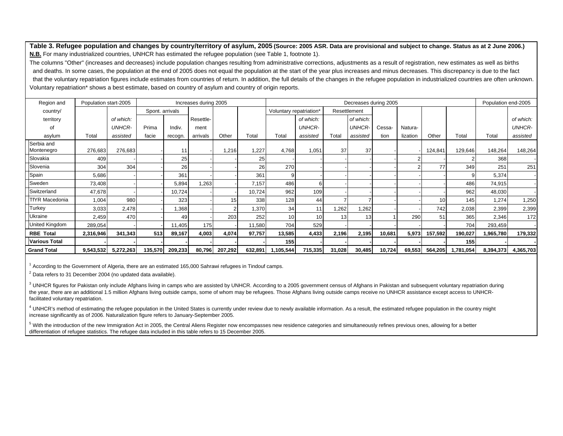The columns "Other" (increases and decreases) include population changes resulting from administrative corrections, adjustments as a result of registration, new estimates as well as births and deaths. In some cases, the population at the end of 2005 does not equal the population at the start of the year plus increases and minus decreases. This discrepancy is due to the fact that the voluntary repatriation figures include estimates from countries of return. In addition, the full details of the changes in the refugee population in industrialized countries are often unknown. Voluntary repatriation\* shows a best estimate, based on country of asylum and country of origin reports.

| Region and            | Population start-2005 |               |                 |         | Increases during 2005 |         |         |                         |                 |        | Decreases during 2005 |        |          |         |           | Population end-2005 |               |
|-----------------------|-----------------------|---------------|-----------------|---------|-----------------------|---------|---------|-------------------------|-----------------|--------|-----------------------|--------|----------|---------|-----------|---------------------|---------------|
| country/              |                       |               | Spont. arrivals |         |                       |         |         | Voluntary repatriation* |                 |        | Resettlement          |        |          |         |           |                     |               |
| territory             |                       | of which:     |                 |         | Resettle-             |         |         |                         | of which:       |        | of which:             |        |          |         |           |                     | of which:     |
| οf                    |                       | <b>UNHCR-</b> | Prima           | Indiv.  | ment                  |         |         |                         | <b>UNHCR-</b>   |        | <b>UNHCR-</b>         | Cessa- | Natura-  |         |           |                     | <b>UNHCR-</b> |
| asylum                | Total                 | assisted      | facie           | recogn. | arrivals              | Other   | Total   | Total                   | assisted        | Total  | assisted              | tion   | lization | Other   | Total     | Total               | assisted      |
| Serbia and            |                       |               |                 |         |                       |         |         |                         |                 |        |                       |        |          |         |           |                     |               |
| Montenegro            | 276,683               | 276,683       |                 |         |                       | 1,216   | 1,227   | 4,768                   | 1,051           | 37     | 37                    |        |          | 124,841 | 129,646   | 148,264             | 148,264       |
| Slovakia              | 409                   |               |                 | 25      |                       |         | 25      |                         |                 |        |                       |        |          |         |           | 368                 |               |
| Slovenia              | 304                   | 304           |                 | 26      |                       |         | 26      | 270                     |                 |        |                       |        |          | 77      | 349       | 251                 | 251           |
| Spain                 | 5,686                 |               |                 | 361     |                       |         | 361     |                         |                 |        |                       |        |          |         |           | 5,374               |               |
| Sweden                | 73,408                |               |                 | 5,894   | 1,263                 |         | 7,157   | 486                     | 6               |        |                       |        |          |         | 486       | 74,915              |               |
| Switzerland           | 47,678                |               |                 | 10,724  |                       |         | 10,724  | 962                     | 109             |        |                       |        |          |         | 962       | 48,030              |               |
| <b>TfYR Macedonia</b> | 1,004                 | 980           |                 | 323     |                       | 15      | 338     | 128                     | 44              |        |                       |        |          | 10      | 145       | 1,274               | 1,250         |
| Turkey                | 3,033                 | 2,478         |                 | 1,368   |                       |         | 1,370   | 34                      | 11              | 1,262  | 1,262                 |        |          | 742     | 2,038     | 2,399               | 2,399         |
| Ukraine               | 2,459                 | 470           |                 | 49      |                       | 203     | 252     | 10                      | 10 <sup>1</sup> | 13     | 13 <sup>l</sup>       |        | 290      | 51      | 365       | 2,346               | 172           |
| <b>United Kingdom</b> | 289,054               |               |                 | 11,405  | 175                   |         | 11,580  | 704                     | 529             |        |                       |        |          |         | 704       | 293,459             |               |
| <b>RBE Total</b>      | 2,316,946             | 341,343       | 513             | 89,167  | 4,003                 | 4,074   | 97,757  | 13,585                  | 4,433           | 2,196  | 2,195                 | 10,681 | 5,973    | 157,592 | 190,027   | 1,965,780           | 179,332       |
| <b>Various Total</b>  |                       |               |                 |         |                       |         |         | 155                     |                 |        |                       |        |          |         | 155       |                     |               |
| <b>Grand Total</b>    | 9,543,532             | 5,272,263     | 135,570         | 209,233 | 80,796                | 207,292 | 632,891 | 1,105,544               | 715,335         | 31,028 | 30,485                | 10,724 | 69,553   | 564,205 | 1,781,054 | 8,394,373           | 4,365,703     |

<sup>1</sup> According to the Government of Algeria, there are an estimated 165,000 Sahrawi refugees in Tindouf camps.

 $2$  Data refers to 31 December 2004 (no updated data available).

<sup>3</sup> UNHCR figures for Pakistan only include Afghans living in camps who are assisted by UNHCR. According to a 2005 government census of Afghans in Pakistan and subsequent voluntary repatriation during the year, there are an additional 1.5 million Afghans living outside camps, some of whom may be refugees. Those Afghans living outside camps receive no UNHCR assistance except access to UNHCRfacilitated voluntary repatriation.

<sup>4</sup> UNHCR's method of estimating the refugee population in the United States is currently under review due to newly available information. As a result, the estimated refugee population in the country might increase significantly as of 2006. Naturalization figure refers to January-September 2005.

5 With the introduction of the new Immigration Act in 2005, the Central Aliens Register now encompasses new residence categories and simultaneously refines previous ones, allowing for a better differentiation of refugee statistics. The refugee data included in this table refers to 15 December 2005.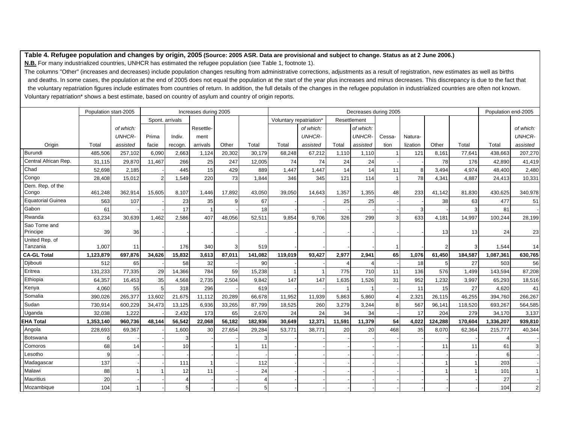**N.B.** For many industrialized countries, UNHCR has estimated the refugee population (see Table 1, footnote 1).

|                          | Population start-2005 |               |                |                 | Increases during 2005 |        |         |                         |               |        | Decreases during 2005 |                |          |         |         | Population end-2005 |                |
|--------------------------|-----------------------|---------------|----------------|-----------------|-----------------------|--------|---------|-------------------------|---------------|--------|-----------------------|----------------|----------|---------|---------|---------------------|----------------|
|                          |                       |               |                | Spont. arrivals |                       |        |         | Voluntary repatriation' |               |        | Resettlement          |                |          |         |         |                     |                |
|                          |                       | of which:     |                |                 | Resettle-             |        |         |                         | of which:     |        | of which:             |                |          |         |         |                     | of which:      |
|                          |                       | <b>UNHCR-</b> | Prima          | Indiv.          | ment                  |        |         |                         | <b>UNHCR-</b> |        | <b>UNHCR-</b>         | Cessa-         | Natura-  |         |         |                     | <b>UNHCR-</b>  |
| Origin                   | Total                 | assisted      | facie          | recogn.         | arrivals              | Other  | Total   | Total                   | assisted      | Total  | assisted              | tion           | lization | Other   | Total   | Total               | assisted       |
| Burundi                  | 485,506               | 257,102       | 6,090          | 2,663           | 1,124                 | 20,302 | 30,179  | 68,248                  | 67,212        | 1,110  | 1,110                 |                | 121      | 8,161   | 77,641  | 438,663             | 207,270        |
| Central African Rep.     | 31,115                | 29.870        | 11,467         | 266             | 25                    | 247    | 12,005  | 74                      | 74            | 24     | 24                    |                |          | 78      | 176     | 42,890              | 41,419         |
| Chad                     | 52,698                | 2,185         |                | 445             | 15                    | 429    | 889     | 1,447                   | 1,447         | 14     | 14                    | 11             | ε        | 3,494   | 4,974   | 48,400              | 2,480          |
| Congo                    | 28,408                | 15,012        | $\overline{2}$ | 1,549           | 220                   | 73     | 1,844   | 346                     | 345           | 121    | 114                   |                | 78       | 4,341   | 4,887   | 24,413              | 10,331         |
| Dem. Rep. of the         |                       |               |                |                 |                       |        |         |                         |               |        |                       |                |          |         |         |                     |                |
| Congo                    | 461,248               | 362,914       | 15,605         | 8,107           | 1,446                 | 17,892 | 43,050  | 39,050                  | 14,643        | 1,357  | 1,355                 | 48             | 233      | 41,142  | 81,830  | 430,625             | 340,978        |
| Equatorial Guinea        | 563                   | 107           |                | 23              | 35                    | 9      | 67      |                         |               | 25     | 25                    |                |          | 38      | 63      | 477                 | 51             |
| Gabon                    | 61                    |               |                | 17              |                       |        | 18      |                         |               |        |                       |                | З        |         | 3       | 81                  |                |
| Rwanda                   | 63,234                | 30,639        | 1,462          | 2,586           | 407                   | 48,056 | 52,511  | 9,854                   | 9,706         | 326    | 299                   | 3              | 633      | 4,181   | 14,997  | 100,244             | 28,199         |
| Sao Tome and<br>Principe | 39                    | 36            |                |                 |                       |        |         |                         |               |        |                       |                |          | 13      | 13      | 24                  | 23             |
| United Rep. of           |                       |               |                |                 |                       |        |         |                         |               |        |                       |                |          |         |         |                     |                |
| Tanzania                 | 1,007                 | 11            |                | 176             | 340                   | 3      | 519     |                         |               |        |                       |                |          |         | 3       | 1,544               | 14             |
| <b>CA-GL Total</b>       | 1,123,879             | 697,876       | 34,626         | 15,832          | 3,613                 | 87,011 | 141,082 | 119,019                 | 93,427        | 2,977  | 2,941                 | 65             | 1,076    | 61,450  | 184,587 | 1,087,361           | 630,765        |
| Djibouti                 | 512                   | 65            |                | 58              | 32                    |        | 90      |                         |               |        |                       |                | 18       |         | 27      | 503                 | 56             |
| Eritrea                  | 131,233               | 77,335        | 29             | 14,366          | 784                   | 59     | 15,238  |                         |               | 775    | 710                   | 11             | 136      | 576     | 1,499   | 143,594             | 87,208         |
| Ethiopia                 | 64,357                | 16,453        | 35             | 4,568           | 2,735                 | 2,504  | 9,842   | 147                     | 147           | 1,635  | 1,526                 | 31             | 952      | 1,232   | 3,997   | 65,293              | 18,516         |
| Kenya                    | 4,060                 | 55            | 5 <sup>5</sup> | 318             | 296                   |        | 619     |                         |               |        |                       |                | 11       | 15      | 27      | 4,620               | 41             |
| Somalia                  | 390,026               | 265,377       | 13,602         | 21,675          | 11,112                | 20,289 | 66,678  | 11,952                  | 11,939        | 5,863  | 5,860                 | $\overline{4}$ | 2,321    | 26,115  | 46,255  | 394,760             | 266,267        |
| Sudan                    | 730,914               | 600,229       | 34,473         | 13,125          | 6,936                 | 33,265 | 87,799  | 18,525                  | 260           | 3,279  | 3,244                 | 8              | 567      | 96,141  | 118,520 | 693,267             | 564,585        |
| Uganda                   | 32,038                | 1,222         |                | 2,432           | 173                   | 65     | 2,670   | 24                      | 24            | 34     | 34                    |                | 17       | 204     | 279     | 34,170              | 3,137          |
| <b>EHA Total</b>         | 1,353,140             | 960,736       | 48.144         | 56,542          | 22.068                | 56,182 | 182,936 | 30,649                  | 12,371        | 11,591 | 11,379                | 54             | 4,022    | 124,288 | 170,604 | 1,336,207           | 939,810        |
| Angola                   | 228,693               | 69,367        |                | 1,600           | 30                    | 27,654 | 29,284  | 53,771                  | 38,771        | 20     | 20                    | 468            | 35       | 8,070   | 62,364  | 215,777             | 40,344         |
| Botswana                 | 6                     |               |                |                 |                       |        |         |                         |               |        |                       |                |          |         |         |                     |                |
| Comoros                  | 68                    | 14            |                | 10              |                       |        | 11      |                         |               |        |                       |                |          | 11      | 11      | 61                  |                |
| Lesotho                  | 9                     |               |                |                 |                       |        |         |                         |               |        |                       |                |          |         |         | 6                   |                |
| Madagascar               | 137                   |               |                | 111             |                       |        | 112     |                         |               |        |                       |                |          |         |         | 203                 |                |
| Malawi                   | 88                    |               |                | 12              | 11                    |        | 24      |                         |               |        |                       |                |          |         |         | 101                 |                |
| <b>Mauritius</b>         | 20                    |               |                | 4               |                       |        |         |                         |               |        |                       |                |          |         |         | 27                  |                |
| Mozambique               | 104                   |               |                | 5 <sub>l</sub>  |                       |        | 5       |                         |               |        |                       |                |          |         |         | 104                 | 2 <sub>l</sub> |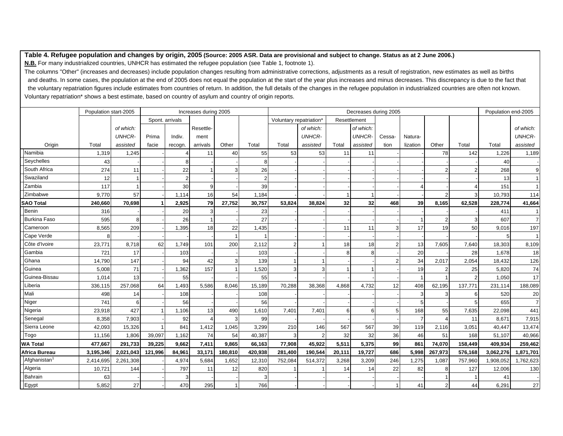**N.B.** For many industrialized countries, UNHCR has estimated the refugee population (see Table 1, footnote 1).

|                          | Population start-2005 |               |         |                 | Increases during 2005 |         |         |                         |               |        | Decreases during 2005 |                |          |                |                | Population end-2005 |               |
|--------------------------|-----------------------|---------------|---------|-----------------|-----------------------|---------|---------|-------------------------|---------------|--------|-----------------------|----------------|----------|----------------|----------------|---------------------|---------------|
|                          |                       |               |         | Spont. arrivals |                       |         |         | Voluntary repatriation' |               |        | Resettlement          |                |          |                |                |                     |               |
|                          |                       | of which:     |         |                 | Resettle-             |         |         |                         | of which:     |        | of which:             |                |          |                |                |                     | of which:     |
|                          |                       | <b>UNHCR-</b> | Prima   | Indiv.          | ment                  |         |         |                         | <b>UNHCR-</b> |        | <b>UNHCR-</b>         | Cessa-         | Natura-  |                |                |                     | <b>UNHCR-</b> |
| Origin                   | Total                 | assisted      | facie   | recogn.         | arrivals              | Other   | Total   | Total                   | assisted      | Total  | assisted              | tion           | lization | Other          | Total          | Total               | assisted      |
| Namibia                  | 1,319                 | 1,245         |         |                 | 11                    | 40      | 55      | 53                      | 53            | 11     | 11                    |                |          | 78             | 142            | 1,226               | 1,189         |
| Seychelles               | 43                    |               |         |                 |                       |         | 8       |                         |               |        |                       |                |          |                |                | 40                  |               |
| South Africa             | 274                   | 11            |         | 22              |                       | 3       | 26      |                         |               |        |                       |                |          |                |                | 268                 |               |
| Swaziland                | 12                    |               |         |                 |                       |         |         |                         |               |        |                       |                |          |                |                | 13                  |               |
| Zambia                   | 117                   |               |         | 30              |                       |         | 39      |                         |               |        |                       |                |          |                |                | 151                 |               |
| Zimbabwe                 | 9,770                 | 57            |         | 1,114           | 16                    | 54      | 1,184   |                         |               |        |                       |                |          |                |                | 10,793              | 114           |
| <b>SAO Total</b>         | 240,660               | 70,698        |         | 2,925           | 79                    | 27,752  | 30,757  | 53,824                  | 38,824        | 32     | 32                    | 468            | 39       | 8,165          | 62,528         | 228,774             | 41,664        |
| Benin                    | 316                   |               |         | 20              |                       |         | 23      |                         |               |        |                       |                |          |                |                | 411                 |               |
| Burkina Faso             | 595                   | 8             |         | 26              |                       |         | 27      |                         |               |        |                       |                |          |                |                | 607                 |               |
| Cameroon                 | 8,565                 | 209           |         | 1,395           | 18                    | 22      | 1,435   |                         |               | 11     | 11                    | 3              | 17       | 19             | 50             | 9,016               | 197           |
| Cape Verde               |                       |               |         |                 |                       | 1       |         |                         |               |        |                       |                |          |                |                | 5                   |               |
| Côte d'Ivoire            | 23,771                | 8,718         | 62      | 1,749           | 101                   | 200     | 2,112   |                         |               | 18     | 18                    | $\overline{2}$ | 13       | 7,605          | 7,640          | 18,303              | 8,109         |
| Gambia                   | 721                   | 17            |         | 103             |                       |         | 103     |                         |               |        |                       |                | 20       |                | 28             | 1,678               | 18            |
| Ghana                    | 14,790                | 147           |         | 94              | 42                    | 3       | 139     |                         |               |        |                       | $\mathfrak{p}$ | 34       | 2,017          | 2,054          | 18,432              | 126           |
| Guinea                   | 5,008                 | 71            |         | 1,362           | 157                   | -1      | 1,520   | 3                       | 3             |        |                       |                | 19       |                | 25             | 5,820               | 74            |
| Guinea-Bissau            | 1,014                 | 13            |         | 55              |                       |         | 55      |                         |               |        |                       |                |          |                | $\overline{2}$ | 1,050               | 17            |
| Liberia                  | 336,115               | 257,068       | 64      | 1,493           | 5,586                 | 8,046   | 15,189  | 70,288                  | 38,368        | 4,868  | 4,732                 | 12             | 408      | 62,195         | 137,771        | 231,114             | 188,089       |
| Mali                     | 498                   | 14            |         | 108             |                       |         | 108     |                         |               |        |                       |                | 3        |                | 6              | 520                 | 20            |
| Niger                    | 741                   | 6             |         | 56              |                       |         | 56      |                         |               |        |                       |                |          |                | 5              | 655                 |               |
| Nigeria                  | 23,918                | 427           |         | 1,106           | 13                    | 490     | 1,610   | 7,401                   | 7,401         | 6      | 6                     | 5              | 168      | 55             | 7,635          | 22,098              | 441           |
| Senegal                  | 8,358                 | 7,903         |         | 92              |                       | 3       | 99      |                         |               |        |                       |                |          |                | 11             | 8,671               | 7,915         |
| Sierra Leone             | 42,093                | 15,326        |         | 841             | 1,412                 | 1,045   | 3,299   | 210                     | 146           | 567    | 567                   | 39             | 119      | 2,116          | 3,051          | 40,447              | 13,474        |
| Togo                     | 11,156                | 1,806         | 39,097  | 1,162           | 74                    | 54      | 40,387  | $\mathcal{B}$           |               | 32     | 32                    | 36             | 46       | 51             | 168            | 51,107              | 40,966        |
| <b>WA Total</b>          | 477,667               | 291,733       | 39,225  | 9,662           | 7,411                 | 9,865   | 66,163  | 77,908                  | 45,922        | 5,511  | 5,375                 | 99             | 861      | 74,070         | 158,449        | 409,934             | 259,462       |
| <b>Africa Bureau</b>     | 3,195,346             | 2,021,043     | 121,996 | 84,961          | 33,171                | 180,810 | 420,938 | 281,400                 | 190,544       | 20,111 | 19,727                | 686            | 5,998    | 267,973        | 576,168        | 3,062,276           | 1,871,701     |
| Afghanistan <sup>1</sup> | 2,414,695             | 2,261,308     |         | 4,974           | 5,684                 | 1,652   | 12,310  | 752,084                 | 514,372       | 3,268  | 3,209                 | 246            | 1,275    | 1,087          | 757,960        | 1,908,052           | 1,762,623     |
| Algeria                  | 10,721                | 144           |         | 797             | 11                    | 12      | 820     |                         |               | 14     | 14                    | 22             | 82       | 8              | 127            | 12,006              | 130           |
| Bahrain                  | 63                    |               |         |                 |                       |         |         |                         |               |        |                       |                |          |                |                | 41                  |               |
| Egypt                    | 5,852                 | 27            |         | 470             | 295                   | 1       | 766     |                         |               |        |                       |                | 41       | $\overline{2}$ | 44             | 6,291               | 27            |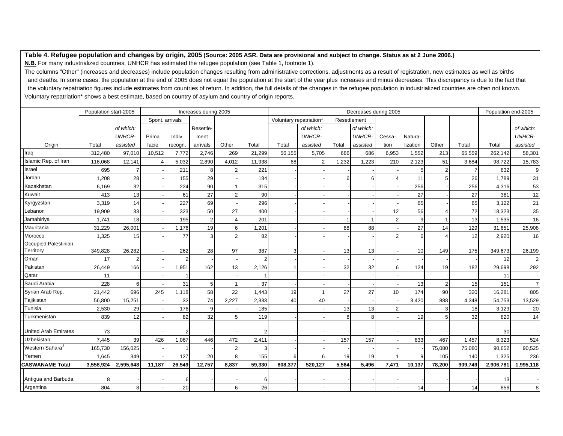**N.B.** For many industrialized countries, UNHCR has estimated the refugee population (see Table 1, footnote 1).

|                             | Population start-2005 |               |          |                 | Increases during 2005 |                |        |                         |               |       | Decreases during 2005 |               |          |        |                | Population end-2005 |                  |
|-----------------------------|-----------------------|---------------|----------|-----------------|-----------------------|----------------|--------|-------------------------|---------------|-------|-----------------------|---------------|----------|--------|----------------|---------------------|------------------|
|                             |                       |               |          | Spont. arrivals |                       |                |        | Voluntary repatriation* |               |       | Resettlement          |               |          |        |                |                     |                  |
|                             |                       | of which:     |          |                 | Resettle-             |                |        |                         | of which:     |       | of which:             |               |          |        |                |                     | of which:        |
|                             |                       | <b>UNHCR-</b> | Prima    | Indiv.          | ment                  |                |        |                         | <b>UNHCR-</b> |       | <b>UNHCR-</b>         | Cessa-        | Natura-  |        |                |                     | <b>UNHCR-</b>    |
| Origin                      | Total                 | assisted      | facie    | recogn.         | arrivals              | Other          | Total  | Total                   | assisted      | Total | assisted              | tion          | lization | Other  | Total          | Total               | assisted         |
| Iraq                        | 312,480               | 97,010        | 10,512   | 7,772           | 2,746                 | 269            | 21,299 | 56,155                  | 5,705         | 686   | 686                   | 6,953         | 1,552    | 213    | 65,559         | 262,142             | 58,301           |
| Islamic Rep. of Iran        | 116,068               | 12,141        | $\Delta$ | 5,032           | 2,890                 | 4,012          | 11,938 | 68                      |               | 1,232 | 1,223                 | 210           | 2,123    | 51     | 3,684          | 98,722              | 15,783           |
| Israel                      | 695                   |               |          | 211             | 8                     |                | 221    |                         |               |       |                       |               |          |        | $\overline{7}$ | 632                 | 9                |
| Jordan                      | 1,208                 | 28            |          | 155             | 29                    |                | 184    |                         |               | 6     | ĥ                     |               | 11       |        | 26             | 1,789               | 31               |
| Kazakhstan                  | 6,169                 | 32            |          | 224             | 90                    |                | 315    |                         |               |       |                       |               | 256      |        | 256            | 4,316               | 53               |
| Kuwait                      | 413                   | 13            |          | 61              | 27                    | $\overline{2}$ | 90     |                         |               |       |                       |               | 27       |        | 27             | 381                 | 12               |
| Kyrgyzstan                  | 3,319                 | 14            |          | 227             | 69                    |                | 296    |                         |               |       |                       |               | 65       |        | 65             | 3,122               | 21               |
| Lebanon                     | 19,909                | 33            |          | 323             | 50                    | 27             | 400    |                         |               |       |                       | 12            | 56       |        | 72             | 18,323              | 35               |
| Jamahiriya                  | 1,741                 | 18            |          | 195             | $\overline{2}$        |                | 201    |                         |               |       |                       | $\mathcal{P}$ |          |        | 13             | 1,535               | 16               |
| Mauritania                  | 31,229                | 26,001        |          | 1,176           | 19                    | 6              | 1,201  |                         |               | 88    | 88                    |               | 27       | 14     | 129            | 31,651              | 25,908           |
| Morocco                     | 1,325                 | 15            |          | 77              |                       |                | 82     |                         |               |       |                       |               | 6        |        | 12             | 2,920               | 16               |
| Occupied Palestinian        |                       |               |          |                 |                       |                |        |                         |               |       |                       |               |          |        |                |                     |                  |
| Territory                   | 349,828               | 26,282        |          | 262             | 28                    | 97             | 387    |                         |               | 13    | 13                    |               | 10       | 149    | 175            | 349,673             | 26,199           |
| Oman                        | 17                    |               |          |                 |                       |                |        |                         |               |       |                       |               |          |        |                | 12                  | $2 \overline{ }$ |
| Pakistan                    | 26,449                | 166           |          | 1,951           | 162                   | 13             | 2,126  |                         |               | 32    | 32                    | 6             | 124      | 19     | 182            | 29,698              | 292              |
| Qatar                       | 11                    |               |          |                 |                       |                |        |                         |               |       |                       |               |          |        |                | 11                  |                  |
| Saudi Arabia                | 228                   | 6             |          | 31              |                       |                | 37     |                         |               |       |                       |               | 13       |        | 15             | 151                 | $\overline{7}$   |
| Syrian Arab Rep.            | 21,442                | 696           | 245      | 1,118           | 58                    | 22             | 1,443  | 19                      |               | 27    | 27                    | 10            | 174      | 90     | 320            | 16,281              | 805              |
| Tajikistan                  | 56,800                | 15,251        |          | 32              | 74                    | 2,227          | 2,333  | 40                      | 40            |       |                       |               | 3,420    | 888    | 4,348          | 54,753              | 13,529           |
| Tunisia                     | 2,530                 | 29            |          | 176             |                       |                | 185    |                         |               | 13    | 13                    | 2             |          |        | 18             | 3,129               | 20               |
| Turkmenistan                | 839                   | 12            |          | 82              | 32                    | 5              | 119    |                         |               | 8     | 8                     |               | 19       |        | 32             | 820                 | 14               |
| <b>United Arab Emirates</b> | 73                    |               |          |                 |                       |                |        |                         |               |       |                       |               |          |        |                | 30                  |                  |
| Uzbekistan                  | 7.445                 | 39            | 426      | 1,067           | 446                   | 472            | 2,411  |                         |               | 157   | 157                   |               | 833      | 467    | 1,457          | 8,323               | 524              |
| Western Sahara <sup>2</sup> | 165,730               | 156,025       |          |                 |                       |                |        |                         |               |       |                       |               |          | 75,080 | 75,080         | 90,652              | 90,525           |
| Yemen                       | 1,645                 | 349           |          | 127             | 20                    | 8              | 155    | 6                       | 6             | 19    | 19                    |               |          | 105    | 140            | 1,325               | 236              |
| <b>CASWANAME Total</b>      | 3,558,924             | 2,595,648     | 11,187   | 26,549          | 12,757                | 8,837          | 59,330 | 808,377                 | 520,127       | 5,564 | 5,496                 | 7,471         | 10,137   | 78,200 | 909,749        | 2,906,781           | 1,995,118        |
| Antiqua and Barbuda         | 8                     |               |          | 6               |                       |                | 6      |                         |               |       |                       |               |          |        |                | 13                  |                  |
| Argentina                   | 804                   | 8             |          | 20              |                       | 6              | 26     |                         |               |       |                       |               | 14       |        | 14             | 856                 | 8                |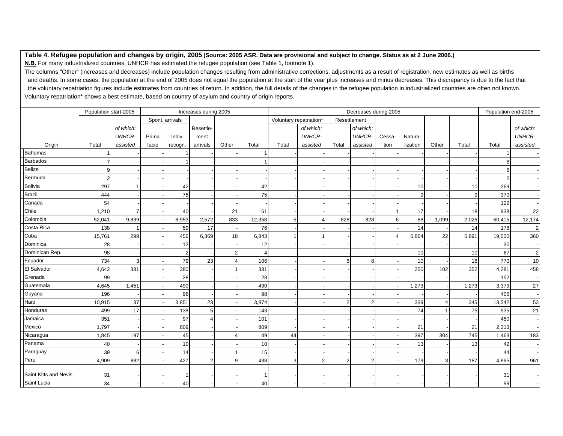**N.B.** For many industrialized countries, UNHCR has estimated the refugee population (see Table 1, footnote 1).

|                       | Population start-2005 |               |       |                 | Increases during 2005 |       |        |                         |                |                | Decreases during 2005 |                       |          |       |       | Population end-2005 |                |
|-----------------------|-----------------------|---------------|-------|-----------------|-----------------------|-------|--------|-------------------------|----------------|----------------|-----------------------|-----------------------|----------|-------|-------|---------------------|----------------|
|                       |                       |               |       | Spont. arrivals |                       |       |        | Voluntary repatriation* |                |                | Resettlement          |                       |          |       |       |                     |                |
|                       |                       | of which:     |       |                 | Resettle-             |       |        |                         | of which:      |                | of which:             |                       |          |       |       |                     | of which:      |
|                       |                       | <b>UNHCR-</b> | Prima | Indiv.          | ment                  |       |        |                         | <b>UNHCR-</b>  |                | <b>UNHCR-</b>         | Cessa-                | Natura-  |       |       |                     | <b>UNHCR-</b>  |
| Origin                | Total                 | assisted      | facie | recogn.         | arrivals              | Other | Total  | Total                   | assisted       | Total          | assisted              | tion                  | lization | Other | Total | Total               | assisted       |
| Bahamas               |                       |               |       |                 |                       |       |        |                         |                |                |                       |                       |          |       |       |                     |                |
| Barbados              | $\overline{7}$        |               |       |                 |                       |       |        |                         |                |                |                       |                       |          |       |       | 8                   |                |
| Belize                | 9                     |               |       |                 |                       |       |        |                         |                |                |                       |                       |          |       |       | 8                   |                |
| Bermuda               | $\overline{2}$        |               |       |                 |                       |       |        |                         |                |                |                       |                       |          |       |       | $\overline{2}$      |                |
| Bolivia               | 297                   |               |       | 42              |                       |       | 42     |                         |                |                |                       |                       | 10       |       | 10    | 269                 |                |
| Brazil                | 444                   |               |       | 75              |                       |       | 75     |                         |                |                |                       |                       | q        |       | 9     | 370                 |                |
| Canada                | 54                    |               |       |                 |                       |       |        |                         |                |                |                       |                       |          |       |       | 122                 |                |
| Chile                 | 1,210                 |               |       | 40              |                       | 21    | 61     |                         |                |                |                       |                       | 17       |       | 18    | 938                 | 22             |
| Colombia              | 52,041                | 9,839         |       | 8,953           | 2,572                 | 833   | 12,358 | 5                       |                | 828            | 828                   | 6                     | 88       | 1,099 | 2,026 | 60,415              | 12,174         |
| Costa Rica            | 138                   |               |       | 59              | 17                    |       | 76     |                         |                |                |                       |                       | 14       |       | 14    | 178                 | $\overline{2}$ |
| Cuba                  | 15,761                | 299           |       | 456             | 6,369                 | 18    | 6,843  |                         |                |                |                       | $\boldsymbol{\Delta}$ | 5,864    | 22    | 5,891 | 19,000              | 360            |
| Dominica              | 28                    |               |       | 12              |                       |       | 12     |                         |                |                |                       |                       |          |       |       | 30                  |                |
| Dominican Rep.        | 98                    |               |       | $\overline{2}$  |                       |       |        |                         |                |                |                       |                       | 10       |       | 10    | 67                  | $2 \vert$      |
| Ecuador               | 734                   | 3             |       | 79              | 23                    |       | 106    |                         |                | 8              |                       |                       | 10       |       | 18    | 770                 | 10             |
| El Salvador           | 4,642                 | 381           |       | 380             |                       |       | 381    |                         |                |                |                       |                       | 250      | 102   | 352   | 4,281               | 458            |
| Grenada               | 99                    |               |       | 28              |                       |       | 28     |                         |                |                |                       |                       |          |       |       | 152                 |                |
| Guatemala             | 4,645                 | 1,451         |       | 490             |                       |       | 490    |                         |                |                |                       |                       | 1,273    |       | 1,273 | 3,379               | $27\,$         |
| Guyana                | 196                   |               |       | 98              |                       |       | 98     |                         |                |                |                       |                       |          |       |       | 406                 |                |
| Haiti                 | 10,915                | 37            |       | 3,851           | 23                    |       | 3,874  |                         |                | $\overline{2}$ |                       |                       | 339      |       | 345   | 13,542              | 53             |
| Honduras              | 499                   | 17            |       | 138             | 5                     |       | 143    |                         |                |                |                       |                       | 74       |       | 75    | 535                 | 21             |
| Jamaica               | 351                   |               |       | 97              |                       |       | 101    |                         |                |                |                       |                       |          |       |       | 450                 |                |
| Mexico                | 1,797                 |               |       | 809             |                       |       | 809    |                         |                |                |                       |                       | 21       |       | 21    | 2,313               |                |
| Nicaragua             | 1,845                 | 197           |       | 45              |                       |       | 49     | 44                      |                |                |                       |                       | 397      | 304   | 745   | 1,463               | 183            |
| Panama                | 40                    |               |       | 10              |                       |       | 10     |                         |                |                |                       |                       | 13       |       | 13    | 42                  |                |
| Paraguay              | 39                    | 6             |       | 14              |                       |       | 15     |                         |                |                |                       |                       |          |       |       | 44                  |                |
| Peru                  | 4,909                 | 882           |       | 427             |                       | 9     | 438    | 3                       | $\overline{2}$ | $\overline{2}$ | 2                     |                       | 179      | 3     | 187   | 4,865               | 961            |
|                       |                       |               |       |                 |                       |       |        |                         |                |                |                       |                       |          |       |       |                     |                |
| Saint Kitts and Nevis | 31                    |               |       |                 |                       |       |        |                         |                |                |                       |                       |          |       |       | 31                  |                |
| Saint Lucia           | 34                    |               |       | 40              |                       |       | 40     |                         |                |                |                       |                       |          |       |       | 99                  |                |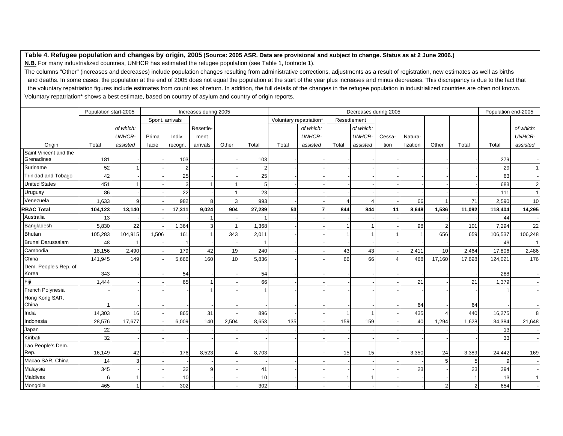**N.B.** For many industrialized countries, UNHCR has estimated the refugee population (see Table 1, footnote 1).

|                            | Population start-2005 |               |       |                 | Increases during 2005 |       |        |                         |               |       | Decreases during 2005 |        |          |                |                | Population end-2005 |                |
|----------------------------|-----------------------|---------------|-------|-----------------|-----------------------|-------|--------|-------------------------|---------------|-------|-----------------------|--------|----------|----------------|----------------|---------------------|----------------|
|                            |                       |               |       | Spont. arrivals |                       |       |        | Voluntary repatriation* |               |       | Resettlement          |        |          |                |                |                     |                |
|                            |                       | of which:     |       |                 | Resettle-             |       |        |                         | of which:     |       | of which:             |        |          |                |                |                     | of which:      |
|                            |                       | <b>UNHCR-</b> | Prima | Indiv.          | ment                  |       |        |                         | <b>UNHCR-</b> |       | <b>UNHCR-</b>         | Cessa- | Natura-  |                |                |                     | <b>UNHCR-</b>  |
| Origin                     | Total                 | assisted      | facie | recogn.         | arrivals              | Other | Total  | Total                   | assisted      | Total | assisted              | tion   | lization | Other          | Total          | Total               | assisted       |
| Saint Vincent and the      |                       |               |       |                 |                       |       |        |                         |               |       |                       |        |          |                |                |                     |                |
| Grenadines                 | 181                   |               |       | 103             |                       |       | 103    |                         |               |       |                       |        |          |                |                | 279                 |                |
| Suriname                   | 52                    |               |       | $\mathfrak{p}$  |                       |       | 2      |                         |               |       |                       |        |          |                |                | 29                  |                |
| <b>Trinidad and Tobago</b> | 42                    |               |       | 25              |                       |       | 25     |                         |               |       |                       |        |          |                |                | 63                  |                |
| <b>United States</b>       | 451                   |               |       | 3               |                       |       | F      |                         |               |       |                       |        |          |                |                | 683                 | 2 <sub>l</sub> |
| Uruguay                    | 86                    |               |       | 22              |                       |       | 23     |                         |               |       |                       |        |          |                |                | 111                 | $\vert$ 1      |
| Venezuela                  | 1,633                 |               |       | 982             | 8                     |       | 993    |                         |               |       |                       |        | 66       |                | 71             | 2,590               | 10             |
| <b>RBAC Total</b>          | 104,123               | 13,140        |       | 17,311          | 9,024                 | 904   | 27,239 | 53                      | 7             | 844   | 844                   | 11     | 8,648    | 1,536          | 11,092         | 118,404             | 14,295         |
| Australia                  | 13                    |               |       |                 |                       |       |        |                         |               |       |                       |        |          |                |                | 44                  |                |
| Bangladesh                 | 5,830                 | 22            |       | 1,364           |                       | -1    | 1,368  |                         |               |       |                       |        | 98       |                | 101            | 7,294               | 22             |
| Bhutan                     | 105,283               | 104,915       | 1,506 | 161             |                       | 343   | 2,011  |                         |               |       |                       |        |          | 656            | 659            | 106,537             | 106,248        |
| Brunei Darussalam          | 48                    |               |       |                 |                       |       |        |                         |               |       |                       |        |          |                |                | 49                  |                |
| Cambodia                   | 18,156                | 2,490         |       | 179             | 42                    | 19    | 240    |                         |               | 43    | 43                    |        | 2,411    | 10             | 2,464          | 17,806              | 2,486          |
| China                      | 141,945               | 149           |       | 5,666           | 160                   | 10    | 5,836  |                         |               | 66    | 66                    | 4      | 468      | 17,160         | 17,698         | 124,021             | 176            |
| Dem. People's Rep. of      |                       |               |       |                 |                       |       |        |                         |               |       |                       |        |          |                |                |                     |                |
| Korea                      | 343                   |               |       | 54              |                       |       | 54     |                         |               |       |                       |        |          |                |                | 288                 |                |
| Fiji                       | 1,444                 |               |       | 65              |                       |       | 66     |                         |               |       |                       |        | 21       |                | 21             | 1,379               |                |
| French Polynesia           |                       |               |       |                 |                       |       |        |                         |               |       |                       |        |          |                |                |                     |                |
| Hong Kong SAR,             |                       |               |       |                 |                       |       |        |                         |               |       |                       |        |          |                |                |                     |                |
| China                      |                       |               |       |                 |                       |       |        |                         |               |       |                       |        | 64       |                | 64             |                     |                |
| India                      | 14,303                | 16            |       | 865             | 31                    |       | 896    |                         |               |       |                       |        | 435      |                | 440            | 16,275              | 8 <sup>1</sup> |
| Indonesia                  | 28,576                | 17,677        |       | 6,009           | 140                   | 2,504 | 8,653  | 135                     |               | 159   | 159                   |        | 40       | 1,294          | 1,628          | 34,384              | 21,648         |
| Japan                      | 22                    |               |       |                 |                       |       |        |                         |               |       |                       |        |          |                |                | 13                  |                |
| Kiribati                   | 32                    |               |       |                 |                       |       |        |                         |               |       |                       |        |          |                |                | 33                  |                |
| Lao People's Dem.          |                       |               |       |                 |                       |       |        |                         |               |       |                       |        |          |                |                |                     |                |
| Rep.                       | 16,149                | 42            |       | 176             | 8,523                 |       | 8,703  |                         |               | 15    | 15                    |        | 3,350    | 24             | 3,389          | 24,442              | 169            |
| Macao SAR, China           | 14                    |               |       |                 |                       |       |        |                         |               |       |                       |        |          |                | 5              | 9                   |                |
| Malaysia                   | 345                   |               |       | 32              |                       |       | 41     |                         |               |       |                       |        | 23       |                | 23             | 394                 |                |
| Maldives                   | 6                     |               |       | 10              |                       |       | 10     |                         |               |       |                       |        |          |                |                | 13                  |                |
| Mongolia                   | 465                   |               |       | 302             |                       |       | 302    |                         |               |       |                       |        |          | $\overline{2}$ | $\overline{2}$ | 654                 |                |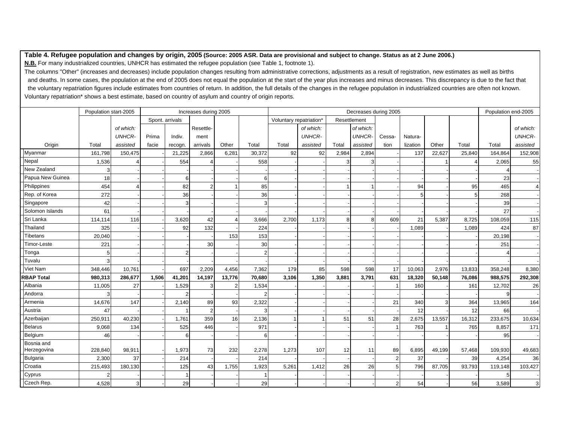**N.B.** For many industrialized countries, UNHCR has estimated the refugee population (see Table 1, footnote 1).

|                   | Population start-2005 |               |       |                 | Increases during 2005 |        |        |                         |               |       | Decreases during 2005 |                |          |        |        | Population end-2005 |                         |
|-------------------|-----------------------|---------------|-------|-----------------|-----------------------|--------|--------|-------------------------|---------------|-------|-----------------------|----------------|----------|--------|--------|---------------------|-------------------------|
|                   |                       |               |       | Spont. arrivals |                       |        |        | Voluntary repatriation* |               |       | Resettlement          |                |          |        |        |                     |                         |
|                   |                       | of which:     |       |                 | Resettle-             |        |        |                         | of which:     |       | of which:             |                |          |        |        |                     | of which:               |
|                   |                       | <b>UNHCR-</b> | Prima | Indiv.          | ment                  |        |        |                         | <b>UNHCR-</b> |       | <b>UNHCR-</b>         | Cessa-         | Natura-  |        |        |                     | <b>UNHCR-</b>           |
| Origin            | Total                 | assisted      | facie | recogn.         | arrivals              | Other  | Total  | Total                   | assisted      | Total | assisted              | tion           | lization | Other  | Total  | Total               | assisted                |
| Myanmar           | 161.798               | 150,475       |       | 21,225          | 2,866                 | 6,281  | 30,372 | 92                      | 92            | 2,984 | 2,894                 |                | 137      | 22,627 | 25,840 | 164.864             | 152,908                 |
| Nepal             | 1,536                 |               |       | 554             |                       |        | 558    |                         |               | 3     |                       |                |          |        |        | 2,065               | 55                      |
| New Zealand       |                       |               |       |                 |                       |        |        |                         |               |       |                       |                |          |        |        |                     |                         |
| Papua New Guinea  | 18                    |               |       |                 |                       |        | 6      |                         |               |       |                       |                |          |        |        | 23                  |                         |
| Philippines       | 454                   |               |       | 82              |                       |        | 85     |                         |               |       |                       |                | 94       |        | 95     | 465                 |                         |
| Rep. of Korea     | 272                   |               |       | 36              |                       |        | 36     |                         |               |       |                       |                |          |        | 5      | 268                 |                         |
| Singapore         | 42                    |               |       | 3               |                       |        |        |                         |               |       |                       |                |          |        |        | 39                  |                         |
| Solomon Islands   | 61                    |               |       |                 |                       |        |        |                         |               |       |                       |                |          |        |        | 27                  |                         |
| Sri Lanka         | 114,114               | 116           |       | 3,620           | 42                    |        | 3,666  | 2,700                   | 1,173         |       | 8                     | 609            | 21       | 5,387  | 8.725  | 108,059             | 115                     |
| Thailand          | 325                   |               |       | 92              | 132                   |        | 224    |                         |               |       |                       |                | 1,089    |        | 1,089  | 424                 | 87                      |
| Tibetans          | 20,040                |               |       |                 |                       | 153    | 153    |                         |               |       |                       |                |          |        |        | 20,198              |                         |
| Timor-Leste       | 221                   |               |       |                 | 30                    |        | 30     |                         |               |       |                       |                |          |        |        | 251                 |                         |
| Tonga             | 5                     |               |       |                 |                       |        |        |                         |               |       |                       |                |          |        |        |                     |                         |
| Tuvalu            |                       |               |       |                 |                       |        |        |                         |               |       |                       |                |          |        |        |                     |                         |
| Viet Nam          | 348,446               | 10,761        |       | 697             | 2,209                 | 4,456  | 7,362  | 179                     | 85            | 598   | 598                   | 17             | 10,063   | 2,976  | 13,833 | 358,248             | 8,380                   |
| <b>RBAP Total</b> | 980,313               | 286,677       | 1,506 | 41,201          | 14,197                | 13,776 | 70,680 | 3,106                   | 1,350         | 3,881 | 3,791                 | 631            | 18,320   | 50,148 | 76,086 | 988,575             | 292,308                 |
| Albania           | 11,005                | 27            |       | 1,529           |                       |        | 1,534  |                         |               |       |                       |                | 160      |        | 161    | 12,702              | 26                      |
| Andorra           |                       |               |       |                 |                       |        |        |                         |               |       |                       |                |          |        |        | 9                   |                         |
| Armenia           | 14,676                | 147           |       | 2,140           | 89                    | 93     | 2,322  |                         |               |       |                       | 21             | 340      |        | 364    | 13,965              | 164                     |
| Austria           | 47                    |               |       |                 |                       |        |        |                         |               |       |                       |                | 12       |        | 12     | 66                  |                         |
| Azerbaijan        | 250,911               | 40,230        |       | 1,761           | 359                   | 16     | 2,136  |                         |               | 51    | 51                    | 28             | 2,675    | 13,557 | 16,312 | 233,675             | 10,634                  |
| Belarus           | 9,068                 | 134           |       | 525             | 446                   |        | 971    |                         |               |       |                       |                | 763      |        | 765    | 8,857               | 171                     |
| Belgium           | 46                    |               |       | 6               |                       |        | 6      |                         |               |       |                       |                |          |        |        | 95                  |                         |
| Bosnia and        |                       |               |       |                 |                       |        |        |                         |               |       |                       |                |          |        |        |                     |                         |
| Herzegovina       | 228,840               | 98,911        |       | 1,973           | 73                    | 232    | 2,278  | 1,273                   | 107           | 12    | 11                    | 89             | 6,895    | 49,199 | 57,468 | 109,930             | 49,683                  |
| Bulgaria          | 2,300                 | 37            |       | 214             |                       |        | 214    |                         |               |       |                       | $\overline{2}$ | 37       |        | 39     | 4,254               | 36                      |
| Croatia           | 215,493               | 180,130       |       | 125             | 43                    | 1,755  | 1,923  | 5,261                   | 1,412         | 26    | 26                    | 5              | 796      | 87,705 | 93,793 | 119,148             | 103,427                 |
| Cyprus            |                       |               |       |                 |                       |        |        |                         |               |       |                       |                |          |        |        | 5                   |                         |
| Czech Rep.        | 4,528                 |               |       | 29              |                       |        | 29     |                         |               |       |                       | $\overline{2}$ | 54       |        | 56     | 3,589               | $\overline{\mathbf{3}}$ |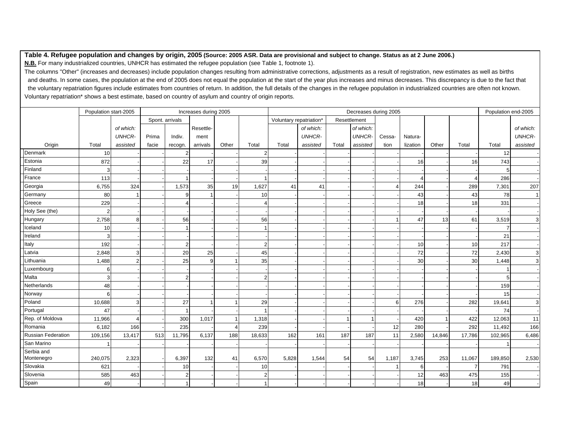**N.B.** For many industrialized countries, UNHCR has estimated the refugee population (see Table 1, footnote 1).

|                           | Population start-2005 |               |       |                 | Increases during 2005 |       |                 |                         |               |       | Decreases during 2005 |        |          |        |        | Population end-2005 |                |
|---------------------------|-----------------------|---------------|-------|-----------------|-----------------------|-------|-----------------|-------------------------|---------------|-------|-----------------------|--------|----------|--------|--------|---------------------|----------------|
|                           |                       |               |       | Spont. arrivals |                       |       |                 | Voluntary repatriation* |               |       | Resettlement          |        |          |        |        |                     |                |
|                           |                       | of which:     |       |                 | Resettle-             |       |                 |                         | of which:     |       | of which:             |        |          |        |        |                     | of which:      |
|                           |                       | <b>UNHCR-</b> | Prima | Indiv.          | ment                  |       |                 |                         | <b>UNHCR-</b> |       | <b>UNHCR-</b>         | Cessa- | Natura-  |        |        |                     | <b>UNHCR-</b>  |
| Origin                    | Total                 | assisted      | facie | recogn.         | arrivals              | Other | Total           | Total                   | assisted      | Total | assisted              | tion   | lization | Other  | Total  | Total               | assisted       |
| Denmark                   | 10                    |               |       |                 |                       |       | $\overline{2}$  |                         |               |       |                       |        |          |        |        | 12                  |                |
| Estonia                   | 872                   |               |       | 22              | 17                    |       | 39              |                         |               |       |                       |        | 16       |        | 16     | 743                 |                |
| Finland                   | 3                     |               |       |                 |                       |       |                 |                         |               |       |                       |        |          |        |        | 5                   |                |
| France                    | 113                   |               |       |                 |                       |       |                 |                         |               |       |                       |        |          |        |        | 286                 |                |
| Georgia                   | 6,755                 | 324           |       | 1,573           | 35                    | 19    | 1,627           | 41                      | 41            |       |                       |        | 244      |        | 289    | 7,301               | 207            |
| Germany                   | 80                    |               |       |                 |                       |       | 10              |                         |               |       |                       |        | 43       |        | 43     | 78                  | $\overline{1}$ |
| Greece                    | 229                   |               |       |                 |                       |       |                 |                         |               |       |                       |        | 18       |        | 18     | 331                 |                |
| Holy See (the)            | $\overline{2}$        |               |       |                 |                       |       |                 |                         |               |       |                       |        |          |        |        |                     |                |
| Hungary                   | 2,758                 | 8             |       | 56              |                       |       | 56              |                         |               |       |                       |        | 47       | 13     | 61     | 3,519               | 3              |
| Iceland                   | 10                    |               |       |                 |                       |       |                 |                         |               |       |                       |        |          |        |        |                     |                |
| Ireland                   | 3                     |               |       |                 |                       |       |                 |                         |               |       |                       |        |          |        |        | 21                  |                |
| Italy                     | 192                   |               |       | $\mathfrak{p}$  |                       |       | 2               |                         |               |       |                       |        | 10       |        | 10     | 217                 |                |
| Latvia                    | 2,848                 | 3             |       | 20              | 25                    |       | 45              |                         |               |       |                       |        | 72       |        | 72     | 2,430               | 3              |
| Lithuania                 | 1,488                 | 2             |       | 25              |                       |       | 35              |                         |               |       |                       |        | 30       |        | 30     | 1,448               | 3              |
| Luxembourg                | 6                     |               |       |                 |                       |       |                 |                         |               |       |                       |        |          |        |        |                     |                |
| Malta                     | 3                     |               |       |                 |                       |       |                 |                         |               |       |                       |        |          |        |        | 5                   |                |
| Netherlands               | 48                    |               |       |                 |                       |       |                 |                         |               |       |                       |        |          |        |        | 159                 |                |
| Norway                    | 6                     |               |       |                 |                       |       |                 |                         |               |       |                       |        |          |        |        | 15                  |                |
| Poland                    | 10,688                |               |       | 27              |                       |       | 29              |                         |               |       |                       | 6      | 276      |        | 282    | 19,641              | 3              |
| Portugal                  | 47                    |               |       |                 |                       |       |                 |                         |               |       |                       |        |          |        |        | 74                  |                |
| Rep. of Moldova           | 11,966                | Δ             |       | 300             | 1,017                 |       | 1,318           |                         |               |       |                       |        | 420      |        | 422    | 12,063              | 11             |
| Romania                   | 6,182                 | 166           |       | 235             |                       |       | 239             |                         |               |       |                       | 12     | 280      |        | 292    | 11,492              | 166            |
| <b>Russian Federation</b> | 109,156               | 13,417        | 513   | 11,795          | 6,137                 | 188   | 18,633          | 162                     | 161           | 187   | 187                   | 11     | 2,580    | 14,846 | 17,786 | 102,965             | 6,486          |
| San Marino                |                       |               |       |                 |                       |       |                 |                         |               |       |                       |        |          |        |        |                     |                |
| Serbia and                |                       |               |       |                 |                       |       |                 |                         |               |       |                       |        |          |        |        |                     |                |
| Montenegro                | 240,075               | 2,323         |       | 6,397           | 132                   | 41    | 6,570           | 5,828                   | 1,544         | 54    | 54                    | 1,187  | 3,745    | 253    | 11,067 | 189,850             | 2,530          |
| Slovakia                  | 621                   |               |       | 10              |                       |       | 10 <sup>1</sup> |                         |               |       |                       |        | 6        |        |        | 791                 |                |
| Slovenia                  | 585                   | 463           |       | $\overline{2}$  |                       |       | $\overline{2}$  |                         |               |       |                       |        | 12       | 463    | 475    | 155                 |                |
| Spain                     | 49                    |               |       |                 |                       |       |                 |                         |               |       |                       |        | 18       |        | 18     | 49                  |                |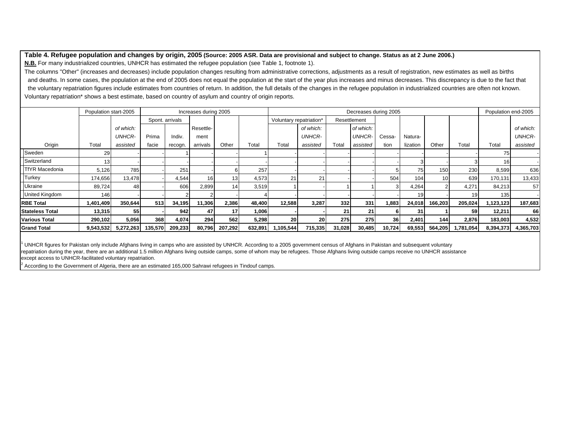**N.B.** For many industrialized countries, UNHCR has estimated the refugee population (see Table 1, footnote 1).

The columns "Other" (increases and decreases) include population changes resulting from administrative corrections, adjustments as a result of registration, new estimates as well as births and deaths. In some cases, the population at the end of 2005 does not equal the population at the start of the year plus increases and minus decreases. This discrepancy is due to the fact that the voluntary repatriation figures include estimates from countries of return. In addition, the full details of the changes in the refugee population in industrialized countries are often not known. Voluntary repatriation\* shows a best estimate, based on country of asylum and country of origin reports.

|                        | Population start-2005 |               |         |                 | Increases during 2005 |         |         |                         |           |        | Decreases during 2005 |        |          |                 |           | Population end-2005 |               |
|------------------------|-----------------------|---------------|---------|-----------------|-----------------------|---------|---------|-------------------------|-----------|--------|-----------------------|--------|----------|-----------------|-----------|---------------------|---------------|
|                        |                       |               |         | Spont. arrivals |                       |         |         | Voluntary repatriation* |           |        | Resettlement          |        |          |                 |           |                     |               |
|                        |                       | of which:     |         |                 | Resettle-             |         |         |                         | of which: |        | of which:             |        |          |                 |           |                     | of which:     |
|                        |                       | <b>UNHCR-</b> | Prima   | Indiv.          | ment                  |         |         |                         | UNHCR-    |        | <b>UNHCR-</b>         | Cessa- | Natura-  |                 |           |                     | <b>UNHCR-</b> |
| Origin                 | Total                 | assisted      | facie   | recogn.         | arrivals              | Other   | Total   | Total                   | assisted  | Total  | assisted              | tion   | lization | Other           | Total     | Total               | assisted      |
| Sweden                 | 29                    |               |         |                 |                       |         |         |                         |           |        |                       |        |          |                 |           | 75                  |               |
| Switzerland            | 13 <sub>1</sub>       |               |         |                 |                       |         |         |                         |           |        |                       |        |          |                 |           | 16                  |               |
| <b>TfYR Macedonia</b>  | 5,126                 | 785           |         | 251             |                       |         | 257     |                         |           |        |                       |        | 75       | 150             | 230       | 8,599               | 636           |
| Turkey                 | 174,656               | 13,478        |         | 4,544           | 16                    | 13      | 4,573   | 21                      | 21        |        |                       | 504    | 104      | 10 <sup>1</sup> | 639       | 170,131             | 13,433        |
| <b>Ukraine</b>         | 89,724                | 48            |         | 606             | 2,899                 | 14      | 3,519   |                         |           |        |                       |        | 4,264    |                 | 4,271     | 84,213              | 57            |
| <b>United Kingdom</b>  | 146                   |               |         |                 |                       |         |         |                         |           |        |                       |        | 19       |                 | 19        | 135                 |               |
| <b>RBE Total</b>       | 1,401,409             | 350,644       | 513     | 34,195          | 11,306                | 2,386   | 48,400  | 12,588                  | 3,287     | 332    | 331                   | 1,883  | 24,018   | 166,203         | 205,024   | ,123,123            | 187,683       |
| <b>Stateless Total</b> | 13,315                | 55            |         | 942             | 47                    | 17      | 1,006   |                         |           | 21     | 21                    |        | 31       |                 | 59        | 12,211              | 66            |
| <b>Various Total</b>   | 290,102               | 5,056         | 368     | 4.074           | 294                   | 562     | 5,298   | <b>20</b>               | <b>20</b> | 275    | 275                   | 36     | 2,401    | 1441            | 2,876     | 183,003             | 4,532         |
| <b>Grand Total</b>     | 9,543,532             | 5,272,263     | 135,570 | 209,233         | 80,796                | 207,292 | 632,891 | 1,105,544               | 715,335   | 31,028 | 30,485                | 10,724 | 69,553   | 564,205         | 1,781,054 | 8,394,373           | 4,365,703     |

1 UNHCR figures for Pakistan only include Afghans living in camps who are assisted by UNHCR. According to a 2005 government census of Afghans in Pakistan and subsequent voluntary repatriation during the year, there are an additional 1.5 million Afghans living outside camps, some of whom may be refugees. Those Afghans living outside camps receive no UNHCR assistance except access to UNHCR-facilitated voluntary repatriation.

 $2$  According to the Government of Algeria, there are an estimated 165,000 Sahrawi refugees in Tindouf camps.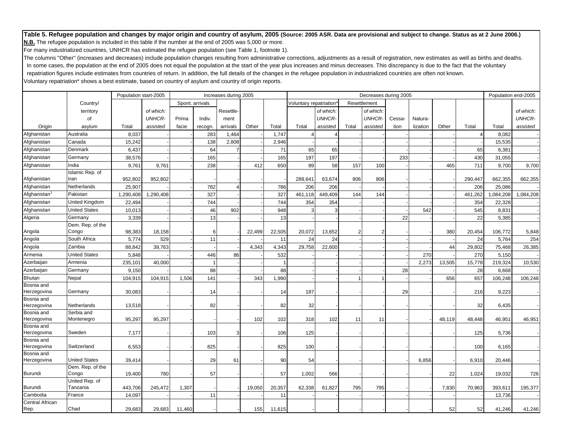**Table 5. Refugee population and changes by major origin and country of asylum, 2005 (Source: 2005 ASR. Data are provisional and subject to change. Status as at 2 June 2006.) N.B.** The refugee population is included in this table if the number at the end of 2005 was 5,000 or more.

For many industrialized countries, UNHCR has estimated the refugee population (see Table 1, footnote 1).

The columns "Other" (increases and decreases) include population changes resulting from administrative corrections, adjustments as a result of registration, new estimates as well as births and deaths. In some cases, the population at the end of 2005 does not equal the population at the start of the year plus increases and minus decreases. This discrepancy is due to the fact that the voluntary repatriation figures include estimates from countries of return. In addition, the full details of the changes in the refugee population in industrialized countries are often not known. Voluntary repatriation\* shows a best estimate, based on country of asylum and country of origin reports.

Population start-2005 Increases during 2005 Decreases during 2005 Population end-2005 Country/ Spont. arrivals Voluntary repatriation\* Resettlement territory *of which:* Resettle- *of which: of which: of which:* of *UNHCR-* Prima Indiv. ment *UNHCR- UNHCR-* Cessa- Natura- *UNHCR-*Origin asylum Total *assisted* facie recogn. arrivals Other Total Total *assisted* Total *assisted* tion lization Other Total Total *assisted* Afghanistan |Australia | 8,037 -| -| 283| 1,464| -| 1,747| -4| -| -| -| -| -| -| -| -| 8,082| -Afghanistan |Canada | 15,242 -| -| 138| 2,808| -| 2,946| -| -| -| -| -| -| -| -| 15,535| -Afghanistan |Denmark | 6,437 -| -| 64| 7| -| 71| 65| 65| -| -| -| -| -| - 65| 6,381| -Afghanistan |Germany | 38,576 -| -| 165| -| 165| 197| 197| -| -| 233| -| -| 430| 31,055| -Afghanistan |India | 9,761| 9,761| -| 238| -| 412| 650| 89| 58| 157| 100| -| -| 465| 711| 9,700| 9,700 **Afghanistan** Islamic Rep. of Irann | 952,802| 952,802| -| -| -| -| 289,641| 63,674| 806| 806| -| -| -| 290,447| 662,355| 662,355 Afghanistan |Netherlands | 25,907 - -| -1 782 -4| -| 786 -206| 206| - -| -| -| -| -| -1 206| 25,086 -Afghanistan<sup>1</sup> Pakistan | 1,290,408 1,290,408 - 327 - 1 327 461,118 449,409 144 144 - - 461,262 1,084,208 1,084,208 Afghanistan |United Kingdom | 22,494 | - | 744 | -| 744 | 354 354 | 354 | - | - | -| -| 354 22,328 | -Afghanistan |United States | 10,013 | -| -| 46| 902| -| 948| 3| -| -| -| -| 542| -| 545| 8,831| -Algeria |Germany | 3,339 -| -| 13| -| 13| -| 13| -| -| -| 22| -| - 22| 5,385| -Angola Dem. Rep. of the Congo | 98,383 18,158 -| 6| -|22,499 22,505 20,072 13,652 2| 2| -| -| 380 20,454 106,772 5,848 Angola |South Africa | 5,774 529 | - | 11 | - | 24 | 24 | - | - | - | - | - | - 24 | 5,764 | 254 Angola | Zambia | 88,842 39,763 - - - - 4,343 4,343 29,758 22,600 - - - - - - - - 44 29,802 75,468 26,385 Armenia United States5,848 - - - - - 446 - 86 - - 532 - - - - - - - - - - 270 - 270 5,150 -Azerbaijan |Armenia | 235,101| 40,000| -| 1| -| -| 1| -| -| -| -| -| -| 2,273| 13,505| 15,778| 219,324| 10,530 Azerbaijan |Germany | 9,150 -| -| 88| -| -| 88| -| -| -| -| 28| -| - 28| 6,668| -Bhutan |Nepal | 104,915 104,915 1,506 141 - 343 1,990 - 1 1 1 1 - 1 - 656 657 106,248 106,248 Bosnia and Herzegovina [Germany | 30,083| -| -| 14| -| -| 14| 187| -| -| -| 29| -| -| 216| 9,223| -Bosnia and Herzegovina Netherlands 13,518 - - 82 - - 82 32 - - - - - - 32 6,435 - Bosnia and Herzegovina Serbia and Montenegro | 95,297 95,297 -| -| -| 102 102 318 102 11| 11| -| -| 48,119 48,448 46,951 46,951 Bosnia and Herzegovina |Sweden | 7,177 - - 103 3 - 106 125 - - - - - - - - 1 - 125 5,736 -Bosnia and Herzegovina |Switzerland | 6,553| -| -| 825| -| -| 825| 100| -| -| -| -| -| -| 100| 6,165| -Bosnia and Herzegovina |United States | 39,414 - -| -| 29| 61| -| 90| 54| -| -| -| -| 6,856| -| 6,910| 20,446| -BurundiDem. Rep. of the Congo | 19,400 780 - 57 - - 57 1,002 566 - - - - - 22 1,024 19,032 726 BurundiUnited Rep. of Tanzaniaa | 443,706| 245,472| 1,307| -| -| 19,050| 20,357| 62,338| 61,827| 795| -| -| 7,830| 70,963| 393,611| 195,377 Cambodia Francee | 14,097 -| -| 11| -| -| 11| -| -| -| -| -| -| -| -| 13,736| -Central African Rep. Chad 29,683 29,683 11,460 - - 155 11,615 - - - - - - 52 52 41,246 41,246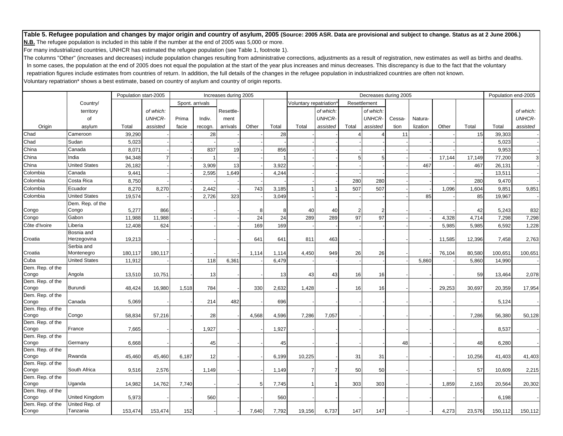**Table 5. Refugee population and changes by major origin and country of asylum, 2005 (Source: 2005 ASR. Data are provisional and subject to change. Status as at 2 June 2006.) N.B.** The refugee population is included in this table if the number at the end of 2005 was 5,000 or more.

For many industrialized countries, UNHCR has estimated the refugee population (see Table 1, footnote 1).

|                           |                          | Population start-2005 |               | Increases during 2005 |         |           |       |       | Decreases during 2005  |               |                |               |        |          |        |        | Population end-2005 |               |
|---------------------------|--------------------------|-----------------------|---------------|-----------------------|---------|-----------|-------|-------|------------------------|---------------|----------------|---------------|--------|----------|--------|--------|---------------------|---------------|
|                           | Country/                 |                       |               | Spont. arrivals       |         |           |       |       | Voluntary repatriation |               | Resettlement   |               |        |          |        |        |                     |               |
|                           | territory                |                       | of which:     |                       |         | Resettle- |       |       |                        | of which:     |                | of which:     |        |          |        |        |                     | of which:     |
|                           | of                       |                       | <b>UNHCR-</b> | Prima                 | Indiv.  | ment      |       |       |                        | <b>UNHCR-</b> |                | <b>UNHCR-</b> | Cessa- | Natura-  |        |        |                     | <b>UNHCR-</b> |
| Origin                    | asylum                   | Total                 | assisted      | facie                 | recogn. | arrivals  | Other | Total | Total                  | assisted      | Total          | assisted      | tion   | lization | Other  | Total  | Total               | assisted      |
| Chad                      | Cameroon                 | 39,290                |               |                       | 28      |           |       | 28    |                        |               |                |               | 11     |          |        | 15     | 39,303              |               |
| Chad                      | Sudan                    | 5,023                 |               |                       |         |           |       |       |                        |               |                |               |        |          |        |        | 5,023               |               |
| China                     | Canada                   | 8,07'                 |               |                       | 837     | 19        |       | 856   |                        |               |                |               |        |          |        |        | 9,953               |               |
| China                     | India                    | 94,348                |               |                       |         |           |       |       |                        |               | 5              | 5             |        |          | 17,144 | 17,149 | 77,200              | 3             |
| China                     | United States            | 26,182                |               |                       | 3,909   | 13        |       | 3,922 |                        |               |                |               |        | 467      |        | 467    | 26,131              |               |
| Colombia                  | Canada                   |                       |               |                       | 2,595   | 1,649     |       | 4,244 |                        |               |                |               |        |          |        |        | 13,511              |               |
|                           |                          | 9,441                 |               |                       |         |           |       |       |                        |               |                |               |        |          |        |        |                     |               |
| Colombia                  | Costa Rica               | 8,750                 |               |                       |         |           |       |       |                        |               | 280            | 280           |        |          |        | 280    | 9,470               |               |
| Colombia                  | Ecuador                  | 8,270                 | 8,270         |                       | 2,442   |           | 743   | 3,185 |                        |               | 507            | 507           |        |          | 1,096  | 1,604  | 9,851               | 9,851         |
| Colombia                  | <b>United States</b>     | 19,574                |               |                       | 2,726   | 323       |       | 3,049 |                        |               |                |               |        | 85       |        | 85     | 19,967              |               |
|                           | Dem. Rep. of the         |                       |               |                       |         |           |       |       |                        |               |                |               |        |          |        |        |                     |               |
| Congo                     | Congo                    | 5,277                 | 866           |                       |         |           | 8     |       | 40                     | 40            | $\overline{2}$ |               |        |          |        | 42     | 5,243               | 832           |
| Congo                     | Gabon                    | 11,988                | 11,988        |                       |         |           | 24    | 24    | 289                    | 289           | 97             | 97            |        |          | 4,328  | 4,714  | 7,298               | 7,298         |
| Côte d'Ivoire             | Liberia                  | 12,408                | 624           |                       |         |           | 169   | 169   |                        |               |                |               |        |          | 5,985  | 5,985  | 6,592               | 1,228         |
| Croatia                   | Bosnia and               |                       |               |                       |         |           |       |       |                        |               |                |               |        |          |        |        |                     |               |
|                           | Herzegovina              | 19,213                |               |                       |         |           | 641   | 641   | 811                    | 463           |                |               |        |          | 11,585 | 12,396 | 7,458               | 2,763         |
| Croatia                   | Serbia and<br>Montenegro | 180,117               | 180,117       |                       |         |           | 1,114 | 1,114 | 4,450                  | 949           | 26             | 26            |        |          | 76,104 | 80,580 | 100,651             | 100,651       |
| Cuba                      | <b>United States</b>     | 11,912                |               |                       | 118     | 6,361     |       | 6,479 |                        |               |                |               |        | 5,860    |        | 5,860  | 14,990              |               |
| Dem. Rep. of the          |                          |                       |               |                       |         |           |       |       |                        |               |                |               |        |          |        |        |                     |               |
| Congo                     | Angola                   | 13,510                | 10,751        |                       | 13      |           |       | 13    | 43                     | 43            | 16             | 16            |        |          |        | 59     | 13,464              | 2,078         |
| Dem. Rep. of the          |                          |                       |               |                       |         |           |       |       |                        |               |                |               |        |          |        |        |                     |               |
| Congo                     | Burundi                  | 48,424                | 16,980        | 1,518                 | 784     |           | 330   | 2,632 | 1,428                  |               | 16             | 16            |        |          | 29,253 | 30,697 | 20,359              | 17,954        |
| Dem. Rep. of the          |                          |                       |               |                       |         |           |       |       |                        |               |                |               |        |          |        |        |                     |               |
| Congo                     | Canada                   | 5,069                 |               |                       | 214     | 482       |       | 696   |                        |               |                |               |        |          |        |        | 5,124               |               |
| Dem. Rep. of the          |                          |                       |               |                       |         |           |       |       |                        |               |                |               |        |          |        |        |                     |               |
| Congo                     | Congo                    | 58,834                | 57,216        |                       | 28      |           | 4,568 | 4,596 | 7,286                  | 7,057         |                |               |        |          |        | 7,286  | 56,380              | 50,128        |
| Dem. Rep. of the          |                          |                       |               |                       |         |           |       |       |                        |               |                |               |        |          |        |        |                     |               |
| Congo                     | France                   | 7,665                 |               |                       | 1,927   |           |       | 1,927 |                        |               |                |               |        |          |        |        | 8,537               |               |
| Dem. Rep. of the          |                          |                       |               |                       |         |           |       |       |                        |               |                |               |        |          |        |        |                     |               |
| Congo<br>Dem. Rep. of the | Germany                  | 6,668                 |               |                       | 45      |           |       | 45    |                        |               |                |               | 48     |          |        | 48     | 6,280               |               |
| Congo                     | Rwanda                   | 45,460                | 45,460        | 6,187                 | 12      |           |       | 6,199 | 10,225                 |               | 31             | 31            |        |          |        | 10,256 | 41,403              | 41,403        |
| Dem. Rep. of the          |                          |                       |               |                       |         |           |       |       |                        |               |                |               |        |          |        |        |                     |               |
| Congo                     | South Africa             | 9,516                 | 2,576         |                       | 1,149   |           |       | 1,149 |                        |               | 50             | 50            |        |          |        | 57     | 10,609              | 2,215         |
| Dem. Rep. of the          |                          |                       |               |                       |         |           |       |       |                        |               |                |               |        |          |        |        |                     |               |
| Congo                     | Uganda                   | 14,982                | 14,762        | 7,740                 |         |           | 5     | 7,745 |                        |               | 303            | 303           |        |          | 1,859  | 2,163  | 20,564              | 20,302        |
| Dem. Rep. of the          |                          |                       |               |                       |         |           |       |       |                        |               |                |               |        |          |        |        |                     |               |
| Congo                     | United Kingdom           | 5,973                 |               |                       | 560     |           |       | 560   |                        |               |                |               |        |          |        |        | 6,198               |               |
| Dem. Rep. of the          | United Rep. of           |                       |               |                       |         |           |       |       |                        |               |                |               |        |          |        |        |                     |               |
| Congo                     | Tanzania                 | 153,474               | 153,474       | 152                   |         |           | 7.640 | 7,792 | 19,156                 | 6,737         | 147            | 147           |        |          | 4,273  | 23,576 | 150,112             | 150,112       |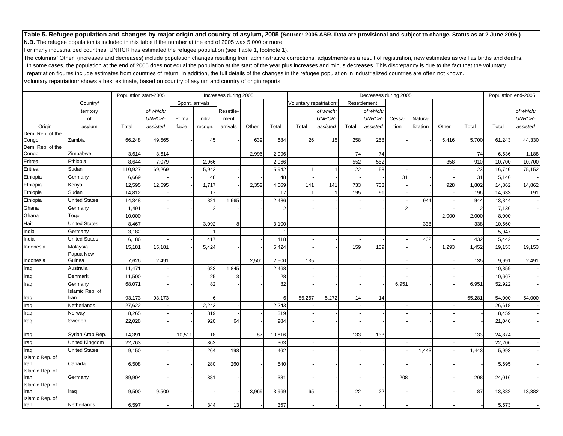#### **Table 5. Refugee population and changes by major origin and country of asylum, 2005 (Source: 2005 ASR. Data are provisional and subject to change. Status as at 2 June 2006.) N.B.** The refugee population is included in this table if the number at the end of 2005 was 5,000 or more.

For many industrialized countries, UNHCR has estimated the refugee population (see Table 1, footnote 1).

The columns "Other" (increases and decreases) include population changes resulting from administrative corrections, adjustments as a result of registration, new estimates as well as births and deaths. In some cases, the population at the end of 2005 does not equal the population at the start of the year plus increases and minus decreases. This discrepancy is due to the fact that the voluntary repatriation figures include estimates from countries of return. In addition, the full details of the changes in the refugee population in industrialized countries are often not known.

Voluntary repatriation\* shows a best estimate, based on country of asylum and country of origin reports.

|                  |                      | Population start-2005 |               | Increases during 2005 |                 |           |       |        | Decreases during 2005               |           |       |               |        |          |       |        | Population end-2005 |               |
|------------------|----------------------|-----------------------|---------------|-----------------------|-----------------|-----------|-------|--------|-------------------------------------|-----------|-------|---------------|--------|----------|-------|--------|---------------------|---------------|
|                  | Country/             |                       |               |                       | Spont. arrivals |           |       |        | Voluntary repatriation <sup>®</sup> |           |       | Resettlement  |        |          |       |        |                     |               |
|                  | territory            |                       | of which:     |                       |                 | Resettle- |       |        |                                     | of which: |       | of which:     |        |          |       |        |                     | of which:     |
|                  | of                   |                       | <b>UNHCR-</b> | Prima                 | Indiv.          | ment      |       |        |                                     | UNHCR-    |       | <b>UNHCR-</b> | Cessa- | Natura-  |       |        |                     | <b>UNHCR-</b> |
| Origin           | asylum               | Total                 | assisted      | facie                 | recogn.         | arrivals  | Other | Total  | Total                               | assisted  | Total | assisted      | tion   | lization | Other | Total  | Total               | assisted      |
| Dem. Rep. of the |                      |                       |               |                       |                 |           |       |        |                                     |           |       |               |        |          |       |        |                     |               |
| Congo            | Zambia               | 66,248                | 49,565        |                       | 45              |           | 639   | 684    | 26                                  | 15        | 258   | 258           |        |          | 5,416 | 5,700  | 61,243              | 44,330        |
| Dem. Rep. of the |                      |                       |               |                       |                 |           |       |        |                                     |           |       |               |        |          |       |        |                     |               |
| Congo            | Zimbabwe             | 3,614                 | 3,614         |                       |                 |           | 2,996 | 2,996  |                                     |           | 74    | 74            |        |          |       | 74     | 6.536               | 1,188         |
| Eritrea          | Ethiopia             | 8,644                 | 7,079         |                       | 2,966           |           |       | 2,966  |                                     |           | 552   | 552           |        |          | 358   | 910    | 10,700              | 10,700        |
| Eritrea          | Sudan                | 110,927               | 69,269        |                       | 5,942           |           |       | 5,942  |                                     |           | 122   | 58            |        |          |       | 123    | 116,746             | 75,152        |
| Ethiopia         | Germany              | 6,669                 |               |                       | 48              |           |       | 48     |                                     |           |       |               | 31     |          |       | 31     | 5,146               |               |
| Ethiopia         | Kenya                | 12,595                | 12,595        |                       | 1,717           |           | 2,352 | 4,069  | 141                                 | 141       | 733   | 733           |        |          | 928   | 1,802  | 14,862              | 14,862        |
| Ethiopia         | Sudan                | 14,812                |               |                       | 17              |           |       | 17     |                                     |           | 195   | 91            |        |          |       | 196    | 14,633              | 191           |
| Ethiopia         | <b>United States</b> | 14,348                |               |                       | 821             | 1,665     |       | 2,486  |                                     |           |       |               |        | 944      |       | 944    | 13,844              |               |
| Ghana            | Germany              | 1,491                 |               |                       |                 |           |       |        |                                     |           |       |               |        |          |       |        | 7,136               |               |
| Ghana            | Togo                 | 10,000                |               |                       |                 |           |       |        |                                     |           |       |               |        |          | 2,000 | 2,000  | 8,000               |               |
| Haiti            | <b>United States</b> | 8,467                 |               |                       | 3,092           | 8         |       | 3,100  |                                     |           |       |               |        | 338      |       | 338    | 10,560              |               |
| India            | Germany              | 3,182                 |               |                       |                 |           |       |        |                                     |           |       |               |        |          |       |        | 5,947               |               |
| India            | <b>United States</b> | 6,186                 |               |                       | 417             |           |       | 418    |                                     |           |       |               |        | 432      |       | 432    | 5,442               |               |
| Indonesia        | Malaysia             | 15,181                | 15,181        |                       | 5,424           |           |       | 5,424  |                                     |           | 159   | 159           |        |          | 1,293 | 1,452  | 19,153              | 19,153        |
|                  | Papua New            |                       |               |                       |                 |           |       |        |                                     |           |       |               |        |          |       |        |                     |               |
| Indonesia        | Guinea               | 7,626                 | 2,491         |                       |                 |           | 2,500 | 2,500  | 135                                 |           |       |               |        |          |       | 135    | 9,991               | 2,491         |
| Iraq             | Australia            | 11,471                |               |                       | 623             | 1,845     |       | 2,468  |                                     |           |       |               |        |          |       |        | 10,859              |               |
| Iraq             | Denmark              | 11,500                |               |                       | 25              |           |       | 28     |                                     |           |       |               |        |          |       |        | 10,667              |               |
| Iraq             | Germany              | 68,071                |               |                       | 82              |           |       | 82     |                                     |           |       |               | 6,951  |          |       | 6,951  | 52,922              |               |
|                  | Islamic Rep. of      |                       |               |                       |                 |           |       |        |                                     |           |       |               |        |          |       |        |                     |               |
| Iraq             | Iran                 | 93,173                | 93,173        |                       | ĥ               |           |       | ี      | 55,267                              | 5,272     | 14    | 14            |        |          |       | 55,281 | 54,000              | 54,000        |
| Iraq             | Netherlands          | 27,622                |               |                       | 2,243           |           |       | 2,243  |                                     |           |       |               |        |          |       |        | 26,618              |               |
| Iraq             | Norway               | 8,265                 |               |                       | 319             |           |       | 319    |                                     |           |       |               |        |          |       |        | 8,459               |               |
| Iraq             | Sweden               | 22,028                |               |                       | 920             | 64        |       | 984    |                                     |           |       |               |        |          |       |        | 21,046              |               |
| Iraq             | Syrian Arab Rep.     | 14,391                |               | 10,511                | 18              |           | 87    | 10,616 |                                     |           | 133   | 133           |        |          |       | 133    | 24,874              |               |
| Iraq             | United Kingdom       | 22,763                |               |                       | 363             |           |       | 363    |                                     |           |       |               |        |          |       |        | 22,206              |               |
| Iraq             | <b>United States</b> | 9,150                 |               |                       | 264             | 198       |       | 462    |                                     |           |       |               |        | 1,443    |       | 1,443  | 5.993               |               |
| Islamic Rep. of  |                      |                       |               |                       |                 |           |       |        |                                     |           |       |               |        |          |       |        |                     |               |
| Iran             | Canada               | 6,508                 |               |                       | 280             | 260       |       | 540    |                                     |           |       |               |        |          |       |        | 5,695               |               |
| Islamic Rep. of  |                      |                       |               |                       |                 |           |       |        |                                     |           |       |               |        |          |       |        |                     |               |
| Iran             | Germany              | 39,904                |               |                       | 381             |           |       | 381    |                                     |           |       |               | 208    |          |       | 208    | 24,016              |               |
| Islamic Rep. of  |                      |                       |               |                       |                 |           |       |        |                                     |           |       |               |        |          |       |        |                     |               |
| Iran             | Iraq                 | 9,500                 | 9,500         |                       |                 |           | 3,969 | 3,969  | 65                                  |           | 22    | 22            |        |          |       | 87     | 13,382              | 13,382        |
| Islamic Rep. of  |                      |                       |               |                       |                 |           |       |        |                                     |           |       |               |        |          |       |        |                     |               |
| Iran             | Netherlands          | 6,597                 |               |                       | 344             | 13        |       | 357    |                                     |           |       |               |        |          |       |        | 5,573               |               |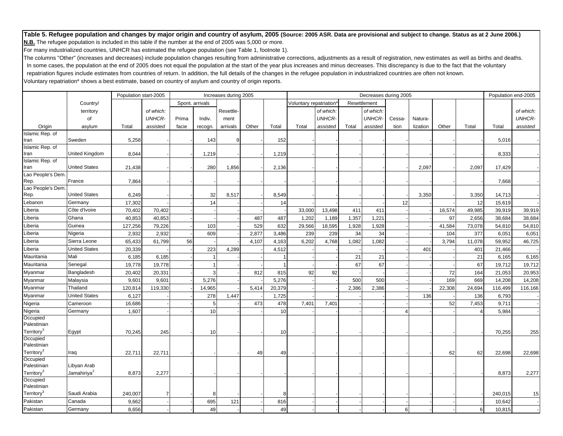For many industrialized countries, UNHCR has estimated the refugee population (see Table 1, footnote 1).

The columns "Other" (increases and decreases) include population changes resulting from administrative corrections, adjustments as a result of registration, new estimates as well as births and deaths. In some cases, the population at the end of 2005 does not equal the population at the start of the year plus increases and minus decreases. This discrepancy is due to the fact that the voluntary repatriation figures include estimates from countries of return. In addition, the full details of the changes in the refugee population in industrialized countries are often not known. Voluntary repatriation\* shows a best estimate, based on country of asylum and country of origin reports.

Population start-2005 Increases during 2005 Decreases during 2005 Population end-2005 Country/ Spont. arrivals Voluntary repatriation\* Resettlement territory *of which:* Resettle- *of which: of which: of which:* of *UNHCR-* Prima Indiv. ment *UNHCR- UNHCR-* Cessa- Natura- *UNHCR-*Origin asylum Total *assisted* facie recogn. arrivals Other Total Total *assisted* Total *assisted* tion lization Other Total Total *assisted* Islamic Rep. of Iran Swedenn | 5,258| -| -| 143| 9| -| 152| -| -| -| -| -| -| -| -| 5,016| -Islamic Rep. of Iran United Kingdom 8,044 - - 1,219 - - 1,219 ------- - 8,333 - Islamic Rep. of Iran United States21,438 - 21,438 - 280 1,856 - 2,136 - - - - - - - - 2,097 - 2,097 17,429 -Lao People's Dem. Rep. France 7,864 ------ ------- - 7,668 - Lao People's Dem. Rep. United States 6,249 - - 32 8,517 - 8,549 ----- 3,350 - 3,350 14,713 - Lebanon |Germany | 17,302 - | -| 14 -| -| 14 -| -| -| -| -| 12 -| -| 12 15,619 -Liberia Côte d'Ivoire e | 70,402| 70,402| -| -| -| -| -| 33,000|13,498| 411| 411| -| -| 16,574| 49,985| 39,919| 39,919 Liberia **Ghana** a | 40,853| 40,853| -| -| -| 487| 487| 1,202| 1,189| 1,357| 1,221| -| -| 97| 2,656| 38,684| 38,684 Liberia Guineaa | 127,256| 79,226| - | 103| - | 529| 632| 29,566| 18,595| 1,928| 1,928| -| -| 41,584| 73,078| 54,810| 54,810 Liberia |Nigeria | 2,932 2,932 - 609 - 2,877 3,486 239 239 34 34 - - 104 377 6,051 6,051 Liberia Sierra Leone 65,433 61,799 56 - - 4,107 4,163 6,202 4,768 1,082 1,082 - - 3,794 11,078 59,952 46,725 Liberia United Statess | 20,339 - - - | 223 4,289 - | 4,512 - - | - - | - | - | 401 - | 401 21,466 -Mauritania Malii | 6,185 6,185 - 1 1 - 1 1 1 - 1 1 - 21 21 - 1 - 1 21 6,165 6,165 Mauritania |Senegal | 19,778| 19,778| -| 1| -| -| 1| -| -| 67| 67| -| -| -| -| 67| 19,712| 19,712 Myanmar |Bangladesh | 20,402 20,331 -| 3| -| 812| 815| 92| -| -| -| -| -| 72| 164| 21,053| 20,953 Myanmar |Malaysia | 9,601 9,601 -| 5,276| -| -| 5,276| -| -| 500| 500| -| -| 169| 669| 14,208| 14,208 Myanmar |Thailand | 120,814 119,330 - 14,965 - 5,414 20,379 - - 2,386 2,386 - - 2,386 - 1 - 124,694 116,499 116,166 Myanmar |United States | 6,127 | - | 278 1,447 - | 1,725 - | - | - | - | 136 - | 136 6,793 -Nigeria Cameroon 16,686 - - 5 - 473 478 7,401 7,401 - - - - 52 7,453 9,711 - Nigeria Germany 1,607 - - 10 - - 10 - - - -4 - - 4 5,984 - **Occupied** Palestinian Territory<sup>3</sup> |Egypt | 70,245| 245| -| 10| -| -| 10| -| -| -| -| -| -| -| -| 70,255| 255 **Occupied** Palestinian Territory<sup>3</sup> Iraq 22,711 22,711 - - - <sup>49</sup> <sup>49</sup> - - - - - - <sup>62</sup> <sup>62</sup> 22,698 22,698 **Occupied** Palestinian Territorv $^3$ Libyan Arab Jamahiriya<sup>2</sup> 8,873 2,277 ----- ------- - 8,873 2,277 **Occupied** Palestinian Territory<sup>3</sup> Saudi Arabia 240,007 <sup>7</sup> - <sup>8</sup> - - <sup>8</sup> ------- - 240,015 <sup>15</sup> Pakistan Canadaa | 9,662| -| -| 695| 121| -| 816| -| -| -| -| -| -| -| -| -| 10,642| -Pakistan |Germany | 8,656| -| -| 49| -| -| 49| -| -| -| -| 6| -| -| 6| 10,815| -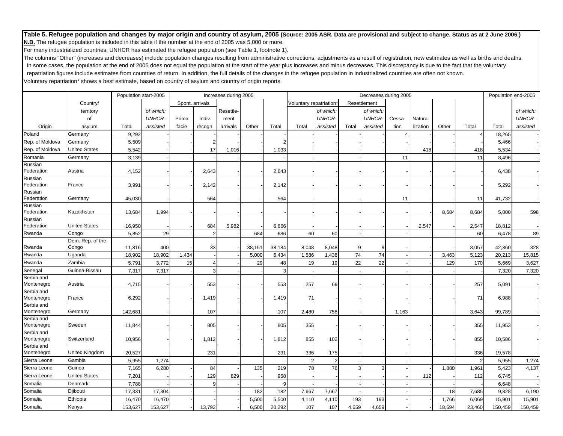For many industrialized countries, UNHCR has estimated the refugee population (see Table 1, footnote 1).

The columns "Other" (increases and decreases) include population changes resulting from administrative corrections, adjustments as a result of registration, new estimates as well as births and deaths. In some cases, the population at the end of 2005 does not equal the population at the start of the year plus increases and minus decreases. This discrepancy is due to the fact that the voluntary repatriation figures include estimates from countries of return. In addition, the full details of the changes in the refugee population in industrialized countries are often not known. Voluntary repatriation\* shows a best estimate, based on country of asylum and country of origin reports.

Population start-2005 Increases during 2005 Decreases during 2005 Population end-2005 Country/ | | | Spont. arrivals | | | Voluntary repatriation\* Resettlement territory *of which:* Resettle- *of which: of which: of which:* of *UNHCR-* Prima Indiv. ment *UNHCR- UNHCR-* Cessa- Natura- *UNHCR-*Origin asylum Total *assisted* facie recogn. arrivals Other Total Total *assisted* Total *assisted* tion lization Other Total Total *assisted* Poland |Germany | 9,292 - -| -| -| -| -| -| -| -| -| -| 4| -| -| 4| 18,265 -Rep. of Moldova Germany 5,509 - - 2 - - 2 ------- - 5,466 - Rep. of Moldova |United States | 5,542 - -| -| 17| 1,016| -| 1,033| --| -| -| -| -| -| 418| -| 418| 5,534| --Romania |Germany | 3,139 - -| -| -| -| -| -| -| -| -| -| 11| -| -| 11| 8,496| -Russian Federation **Austria** a | 4,152 -| -| 2,643| -| -| 2,643| -| -| -| -| -| -| -| -| -| 6,438| -Russian Federation France e | 3,991 -| -| 2,142 -| -| 2,142| -| -| -| -| -| -| -| -| -| 5,292| -Russian Federation |Germany | 45,030 - -| -| 564 --| -| 564 --| -| -| -| 11| -| -| 11| 41,732| -Russian Federation Kazakhstann | 13,684| 1,994| -| -| -| -| -| -| -| -| -| -| -| -| 8,684| 8,684| 5,000| 598 Russian Federation United Statess | 16,950 - | -| 684| 5,982| -| 6,666| -| -| -| -| -| 2,547| -| 2,547| 18,812| -Rwanda 5,852 29 - | 2 - | 684 | 686 | 60 | - | - | - | - | 60 | 6,478 | 89 RwandaDem. Rep. of the Congo | 11,816 400 - 33 - 38,151 38,184 8,048 8,048 9 9 - - - 8,057 42,360 328 Rwanda Uganda 18,902 18,902 1,434 - - 5,000 6,434 1,586 1,438 74 74 - - 3,463 5,123 20,213 15,815 Rwanda Zambiaa | 5,791| 3,772| 15| 4| -| 29| 48| 19| 19| 22| 22| -| -| 129| 170| 5,669| 3,627 Senegal |Guinea-Bissau | 7,317 |7,317 | -| 3 | -| -| 3 | -| -| -| -| -| -| -| -| 7,320 7,320 Serbia and Montenegro |Austria | 4,715| -| -| 553| -| -| 553| 257| 69| -| -| -| -| -| 257| 5,091| -Serbia and Montenegro |France | 6,292 -| -| 1,419| -| -| 1,419| 71| -| -| -| -| -| -| -| 71| 6,988| -Serbia and Montenegro |Germany | 142,681 - | -| 107 -| -| 107 2,480 758 -| -| 1,163 -| -| 3,643 99,789 -Serbia and Montenegro |Sweden | 11,844| - -| -| 805| -| -| 805| -| -| -| -| -| -| -| 355| 11,953| -Serbia and Montenegro |Switzerland | 10,956 - - 1 1,812 - 1 1,812 - 855 102 - - - - - - - - - - - 855 10,586 -Serbia and Montenegro |United Kingdom | 20,527 | -| -| 231 | -| -| 231 | 336 175 |- | -| -| -| -| -| 336 | 19,578 | -Sierra Leone **Gambia** a | 5,955| 1,274| -| -| -| -| -| 2| 2| -| -| -| -| -| 2| 5,955| 1,274 Sierra Leone Guinea a | 7,165 6,280 -| 84 -| 135 219 78 76 3 3 -| -| 1,880 1,961 5,423 4,137 Sierra Leone United States 7,201 - - 129 829 - 958 - - - - - 112 - 112 6,745 - Somalia Denmark- | 7,788 - | 9 -| -| 9 -| -| -| -| -| -| -| -| -| 6,648 -Somalia Djibouti 17,331 17,304 - - - 182 182 7,667 7,667 - - - - 18 7,685 9,828 6,190 Somalia |Ethiopia | 16,470 16,470 - - - - 5,500 5,500 4,110 4,110 193 193 - - 1,766 6,069 15,901 15,901 Somalia |Kenya | 153,627 153,627 - 13,792 - 6,500 20,292 107 107 4,659 4,659 - - 18,694 23,460 150,459 150,459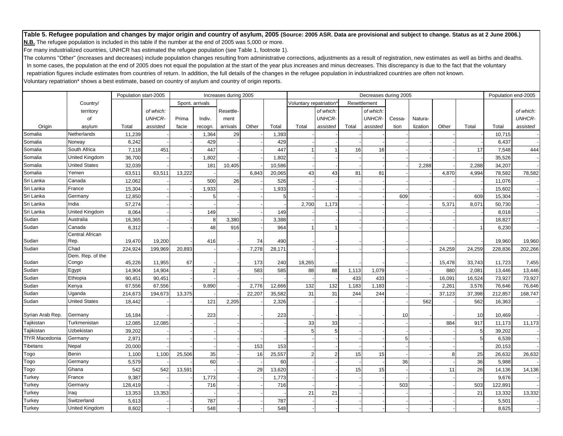For many industrialized countries, UNHCR has estimated the refugee population (see Table 1, footnote 1).

The columns "Other" (increases and decreases) include population changes resulting from administrative corrections, adjustments as a result of registration, new estimates as well as births and deaths. In some cases, the population at the end of 2005 does not equal the population at the start of the year plus increases and minus decreases. This discrepancy is due to the fact that the voluntary repatriation figures include estimates from countries of return. In addition, the full details of the changes in the refugee population in industrialized countries are often not known. Voluntary repatriation\* shows a best estimate, based on country of asylum and country of origin reports.

Population start-2005 Increases during 2005 Decreases during 2005 Population end-2005 Country/ Spont. arrivals Voluntary repatriation\* Resettlement territory *of which:* Resettle- *of which: of which: of which:* of *UNHCR-* Prima Indiv. ment *UNHCR- UNHCR-* Cessa- Natura- *UNHCR-*Origin asylum Total *assisted* facie recogn. arrivals Other Total Total *assisted* Total *assisted* tion lization Other Total Total *assisted* Somalia Netherlandss | 11,239 | -| -| 1,364 | 29 | -| 1,393 | -| -| -| -| -| -| -| -| -| 1,715 | -Somalia |Norway | 6,242 -| -| 429 -| -| 429 -| -| -| -| -| -| -| -| -| -| 6,437 -Somalia South Africaa | 7,118| 451| -| 447| -| 447| 1| 1| 16| 16| -| -| -| 17| 7,548| 444 Somalia United Kingdom 36,700 - - 1,802 - - 1,802 ------- - 35,526 - Somalia United States 32,039 - - 181 10,405 - 10,586 ----- 2,288 - 2,288 34,207 - Somalia Yemenn | 63,511| 63,511| 13,222| -| -| 6,843| 20,065| 43| 43| 81| 81| -| -| 4,870| 4,994| 78,582| 78,582 Sri Lanka Canadaa | 12,062 |- | -| 500 | 26 |- | 526 |- | -| -| -| -| -| -| -| 11,076 |- | Sri Lanka<br>
France 15,304 - - 1,933 - - 1,933 ------- - 15,602 - Sri Lanka | Germany | 12,850 | - | -| 5 | -| -| 5 | -| -| -| -| 609 | -| - | 609 | 15,304 -Sri Lanka India 57,274 ------ 2,700 1,173 ---- 5,371 8,071 50,730 - Sri Lanka United Kingdom 8,064 - - 149 - - 149 ------- - 8,018 - Sudan Australiaa | 16,365| -| -| 8| 3,380| -| 3,388| -| -| -| -| -| -| -| -| 18,827| -Sudan Canadaa | 6,312 -| -| 48| 916| -| 964| 1| 1| -| -| -| -| -| 1| 6,230| -SudanCentral African Rep. | 19,470 19,200 - 416 - 74 490 - - - - - - - - - - - - 19,960 19,960 Sudan Chadd | 224,924| 199,969| 20,893| -| -| 7,278| 28,171| -| -| -| -| -| -| 24,259| 24,259| 228,836| 202,266 SudanDem. Rep. of the Congo | 45,226 11,955 67 - - 173 240 18,265 - - - - - - 15,478 33,743 11,723 7,455 Sudan |Egypt | 14,904 14,904 -| 2| -| 583| 585| 88| 88| 1,113| 1,079| -| -| 880| 2,081| 13,446| 13,446 Sudan |Ethiopia | 90,451 90,451 -| -| -| -| -| -| -| 433 433 -| -| 16,091 16,524 73,927 73,927 Sudan |Kenya | 67,556 67,556 - 9,890 - 2,776 12,666 132 1,183 1,183 - - 2,261 3,576 76,646 76,646 Sudan |Uganda | 214,673 194,673 13,375 - - - 22,207 35,582 31 31 244 - - - 37,123 37,398 212,857 168,747 Sudan United Statess | 18,442| - -| 121| 2,205| -| 2,326| -| -| -| -| -| 562| -| 562| 16,363| -Syrian Arab Rep. Germany 16,184 - - 223 - - 223 - - - - 10 - - 10 10,469 - Tajikistan |Turkmenistan | 12,085 12,085| -| -| -| -| -| 33| 33| -<sup>|</sup> -| -| -| 884| 917| 11,173| 11,173 Tajikistan |Uzbekistan | 39,202 | -| -| -| -| -| -| 5| 5| -| -| -| -| -| -| 5| 39,202 -TfYR Macedonia Germany 2,971 - - - - - - - - - -5 - - 5 6,539 - - Tibetans |Nepal | 20,000 -| -| -| -| 153| 153| -| -| -| -| -| -| -| -| 20,153| Togo |Benin | 1,100 1,100 25,506 35 -| 16 25,557 2 2 15 15 -| -| 8 25 26,632 26,632 Togo 5,579 -| -| 60 -| -| -| -| -| 36 -| - 36 5,988 -Togo |Ghana | 542 542 13,591 - - 29 13,620 - 1 - 15 15 - 15 - 11 26 14,136 14,136 Turkey |France | 9,387 -| -| 1,773 -| -| 1,773| -| -| -| -| -| -| -| -| -| 9,676| -Turkey |Germany | 128,419 - -| 716 - -| 716 - -| -| -| -503 -| -- 503 122,891 -Turkey ||raq | 13,353| 13,353| -| -| -| -| -| 21| 21| -| -| -| -| -| -| 21| 13,332| 13,332 - Turkey |Switzerland | 5,613 -| -| 787 -| -| 787 -| -| -| -| -| -| -| -| -| 5,501 -Turkey United Kingdom 8,602 - - 548 - - 548 ------- - 8,625 -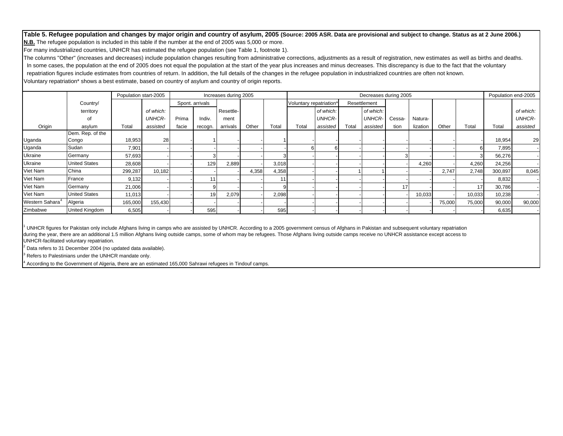For many industrialized countries, UNHCR has estimated the refugee population (see Table 1, footnote 1).

The columns "Other" (increases and decreases) include population changes resulting from administrative corrections, adjustments as a result of registration, new estimates as well as births and deaths. In some cases, the population at the end of 2005 does not equal the population at the start of the year plus increases and minus decreases. This discrepancy is due to the fact that the voluntary repatriation figures include estimates from countries of return. In addition, the full details of the changes in the refugee population in industrialized countries are often not known. Voluntary repatriation\* shows a best estimate, based on country of asylum and country of origin reports.

|                             |                       | Population start-2005 |               |       |                 | Increases during 2005 |       |       |                         |               |       | Decreases during 2005 |        |          |        |        |         | Population end-2005 |
|-----------------------------|-----------------------|-----------------------|---------------|-------|-----------------|-----------------------|-------|-------|-------------------------|---------------|-------|-----------------------|--------|----------|--------|--------|---------|---------------------|
|                             | Country/              |                       |               |       | Spont. arrivals |                       |       |       | Voluntary repatriation* |               |       | Resettlement          |        |          |        |        |         |                     |
|                             | territory             |                       | of which:     |       |                 | Resettle-             |       |       |                         | of which:     |       | of which:             |        |          |        |        |         | of which:           |
|                             | of                    |                       | <b>UNHCR-</b> | Prima | Indiv.          | ment                  |       |       |                         | <b>UNHCR-</b> |       | <b>UNHCR-</b>         | Cessa- | Natura-  |        |        |         | <b>UNHCR-</b>       |
| Origin                      | asylum                | Total                 | assisted      | facie | recogn.         | arrivals              | Other | Total | Total                   | assisted      | Total | assisted              | tion   | lization | Other  | Total  | Total   | assisted            |
|                             | Dem. Rep. of the      |                       |               |       |                 |                       |       |       |                         |               |       |                       |        |          |        |        |         |                     |
| Uganda                      | Congo                 | 18,953                | <b>28</b>     |       |                 |                       |       |       |                         |               |       |                       |        |          |        |        | 18,954  | 29                  |
| Uganda                      | Sudan                 | 7,901                 |               |       |                 |                       |       |       |                         |               |       |                       |        |          |        |        | 7,895   |                     |
| <b>Ukraine</b>              | Germany               | 57,693                |               |       |                 |                       |       |       |                         |               |       |                       | з      |          |        |        | 56,276  |                     |
| Ukraine                     | <b>United States</b>  | 28,608                |               |       | 129             | 2,889                 |       | 3,018 |                         |               |       |                       |        | 4,260    |        | 4,260  | 24,256  |                     |
| Viet Nam                    | China                 | 299,287               | 10,182        |       |                 |                       | 4,358 | 4,358 |                         |               |       |                       |        |          | 2,747  | 2,748  | 300,897 | 8,045               |
| Viet Nam                    | France                | 9,132                 |               |       |                 |                       |       |       |                         |               |       |                       |        |          |        |        | 8,832   |                     |
| Viet Nam                    | Germany               | 21,006                |               |       |                 |                       |       |       |                         |               |       |                       | 17     |          |        | 17     | 30,786  |                     |
| Viet Nam                    | <b>United States</b>  | 11,013                |               |       | 19              | 2,079                 |       | 2,098 |                         |               |       |                       |        | 10,033   |        | 10,033 | 10,238  |                     |
| Western Sahara <sup>4</sup> | Algeria               | 165,000               | 155,430       |       |                 |                       |       |       |                         |               |       |                       |        |          | 75,000 | 75,000 | 90,000  | 90,000              |
| Zimbabwe                    | <b>United Kingdom</b> | 6,505                 |               |       | 595             |                       |       | 595   |                         |               |       |                       |        |          |        |        | 6,635   |                     |

UNHCR figures for Pakistan only include Afghans living in camps who are assisted by UNHCR. According to a 2005 government census of Afghans in Pakistan and subsequent voluntary repatriation during the year, there are an additional 1.5 million Afghans living outside camps, some of whom may be refugees. Those Afghans living outside camps receive no UNHCR assistance except access to UNHCR-facilitated voluntary repatriation.

2 Data refers to 31 December 2004 (no updated data available).

Refers to Palestinians under the UNHCR mandate only.

A ccording to the Government of Algeria, there are an estimated 165,000 Sahrawi refugees in Tindouf camps.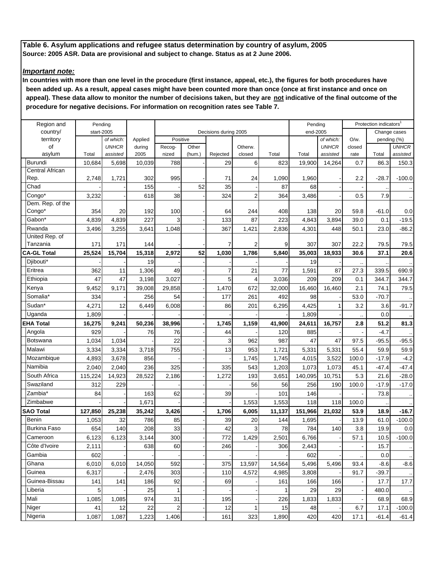# *Important note:*

| Region and                        | Pending    |              |         |          |        |                       |                         |        | Pending  |              |        | Protection indicators <sup>1</sup> |              |
|-----------------------------------|------------|--------------|---------|----------|--------|-----------------------|-------------------------|--------|----------|--------------|--------|------------------------------------|--------------|
| country/                          | start-2005 |              |         |          |        | Decisions during 2005 |                         |        | end-2005 |              |        | Change cases                       |              |
| territory                         |            | of which:    | Applied | Positive |        |                       |                         |        |          | of which:    | O/w.   | pending (%)                        |              |
| of                                |            | <b>UNHCR</b> | during  | Recog-   | Other  |                       | Otherw.                 |        |          | <b>UNHCR</b> | closed |                                    | <b>UNHCR</b> |
| asylum                            | Total      | assisted     | 2005    | nized    | (hum.) | Rejected              | closed                  | Total  | Total    | assisted     | rate   | Total                              | assisted     |
| Burundi<br><b>Central African</b> | 10,684     | 5,698        | 10,039  | 788      |        | 29                    | 6                       | 823    | 19,900   | 14,264       | 0.7    | 86.3                               | 150.3        |
| Rep.                              | 2,748      | 1,721        | 302     | 995      |        | 71                    | 24                      | 1,090  | 1,960    |              | 2.2    | $-28.7$                            | $-100.0$     |
| Chad                              |            |              | 155     |          | 52     | 35                    |                         | 87     | 68       |              |        |                                    |              |
| Congo*                            | 3,232      |              | 618     | 38       |        | 324                   | $\overline{\mathbf{c}}$ | 364    | 3,486    |              | 0.5    | 7.9                                |              |
| Dem. Rep. of the                  |            |              |         |          |        |                       |                         |        |          |              |        |                                    | $\cdot$ .    |
| Congo*                            | 354        | 20           | 192     | 100      |        | 64                    | 244                     | 408    | 138      | 20           | 59.8   | -61.0                              | 0.0          |
| Gabon*                            | 4,839      | 4,839        | 227     | 3        |        | 133                   | 87                      | 223    | 4,843    | 3,894        | 39.0   | 0.1                                | $-19.5$      |
| Rwanda                            | 3,496      | 3,255        | 3,641   | 1,048    |        | 367                   | 1,421                   | 2,836  | 4,301    | 448          | 50.1   | 23.0                               | $-86.2$      |
| United Rep. of                    |            |              |         |          |        |                       |                         |        |          |              |        |                                    |              |
| Tanzania                          | 171        | 171          | 144     |          |        | 7                     | $\overline{c}$          | 9      | 307      | 307          | 22.2   | 79.5                               | 79.5         |
| <b>CA-GL Total</b>                | 25,524     | 15,704       | 15,318  | 2,972    | 52     | 1,030                 | 1,786                   | 5,840  | 35,003   | 18,933       | 30.6   | 37.1                               | 20.6         |
| Djibouti*                         |            |              | 19      |          |        |                       |                         |        | 19       |              |        |                                    |              |
| Eritrea                           | 362        | 11           | 1,306   | 49       |        | $\overline{7}$        | 21                      | 77     | 1,591    | 87           | 27.3   | 339.5                              | 690.9        |
| Ethiopia                          | 47         | 47           | 3,198   | 3,027    |        | 5                     | 4                       | 3,036  | 209      | 209          | 0.1    | 344.7                              | 344.7        |
| Kenya                             | 9,452      | 9,171        | 39,008  | 29,858   |        | 1,470                 | 672                     | 32,000 | 16,460   | 16,460       | 2.1    | 74.1                               | 79.5         |
| Somalia*                          | 334        |              | 256     | 54       |        | 177                   | 261                     | 492    | 98       |              | 53.0   | -70.7                              |              |
| Sudan*                            | 4,271      | 12           | 6,449   | 6,008    |        | 86                    | 201                     | 6,295  | 4,425    | 1            | 3.2    | 3.6                                | $-91.7$      |
| Uganda                            | 1,809      |              |         |          |        |                       |                         |        | 1,809    |              |        | 0.0                                |              |
| <b>EHA Total</b>                  | 16,275     | 9,241        | 50,236  | 38,996   |        | 1,745                 | 1,159                   | 41,900 | 24,611   | 16,757       | 2.8    | 51.2                               | 81.3         |
| Angola                            | 929        |              | 76      | 76       |        | 44                    |                         | 120    | 885      |              |        | $-4.7$                             |              |
| Botswana                          | 1,034      | 1,034        |         | 22       |        | 3                     | 962                     | 987    | 47       | 47           | 97.5   | $-95.5$                            | $-95.5$      |
| Malawi                            | 3,334      | 3,334        | 3,718   | 755      |        | 13                    | 953                     | 1,721  | 5,331    | 5,331        | 55.4   | 59.9                               | 59.9         |
| Mozambique                        | 4,893      | 3,678        | 856     |          |        |                       | 1,745                   | 1,745  | 4,015    | 3,522        | 100.0  | $-17.9$                            | $-4.2$       |
| Namibia                           | 2,040      | 2,040        | 236     | 325      |        | 335                   | 543                     | 1,203  | 1,073    | 1,073        | 45.1   | $-47.4$                            | $-47.4$      |
| South Africa                      | 115,224    | 14,923       | 28,522  | 2,186    |        | 1,272                 | 193                     | 3,651  | 140,095  | 10,751       | 5.3    | 21.6                               | $-28.0$      |
| Swaziland                         | 312        | 229          |         |          |        |                       | 56                      | 56     | 256      | 190          | 100.0  | $-17.9$                            | $-17.0$      |
| Zambia*                           | 84         |              | 163     | 62       |        | 39                    |                         | 101    | 146      |              |        | 73.8                               |              |
| Zimbabwe                          |            |              | 1,671   |          |        |                       | 1,553                   | 1,553  | 118      | 118          | 100.0  |                                    |              |
| <b>SAO Total</b>                  | 127,850    | 25,238       | 35,242  | 3,426    |        | 1,706                 | 6,005                   | 11,137 | 151,966  | 21,032       | 53.9   | 18.9                               | $-16.7$      |
| Benin                             | 1,053      | 32           | 786     | 85       |        | 39                    | 20                      | 144    | 1,695    |              | 13.9   | 61.0                               | $-100.0$     |
| <b>Burkina Faso</b>               | 654        | 140          | 208     | 33       |        | 42                    | 3                       | 78     | 784      | 140          | 3.8    | 19.9                               | 0.0          |
| Cameroon                          | 6,123      | 6,123        | 3,144   | 300      |        | 772                   | 1,429                   | 2,501  | 6,766    |              | 57.1   | 10.5                               | $-100.0$     |
| Côte d'Ivoire                     | 2,111      |              | 638     | 60       |        | 246                   |                         | 306    | 2,443    |              |        | 15.7                               |              |
| Gambia                            | 602        |              |         |          |        |                       |                         |        | 602      |              |        | 0.0                                | $\cdot$      |
| Ghana                             | 6,010      | 6,010        | 14,050  | 592      |        | 375                   | 13,597                  | 14,564 | 5,496    | 5,496        | 93.4   | $-8.6$                             | $-8.6$       |
| Guinea                            | 6,317      |              | 2,476   | 303      |        | 110                   | 4,572                   | 4,985  | 3,808    |              | 91.7   | $-39.7$                            |              |
| Guinea-Bissau                     | 141        | 141          | 186     | 92       |        | 69                    |                         | 161    | 166      | 166          |        | 17.7                               | 17.7         |
| Liberia                           | 5          |              | 25      | 1        |        |                       |                         | 1      | 29       | 29           |        | 480.0                              | $\cdot$      |
| Mali                              | 1,085      | 1,085        | 974     | 31       |        | 195                   |                         | 226    | 1,833    | 1,833        |        | 68.9                               | 68.9         |
| Niger                             | 41         | 12           | 22      | 2        |        | 12                    | 1                       | 15     | 48       |              | 6.7    | 17.1                               | $-100.0$     |
| Nigeria                           | 1,087      | 1,087        | 1,223   | 1,406    |        | 161                   | 323                     | 1,890  | 420      | 420          | 17.1   | $-61.4$                            | $-61.4$      |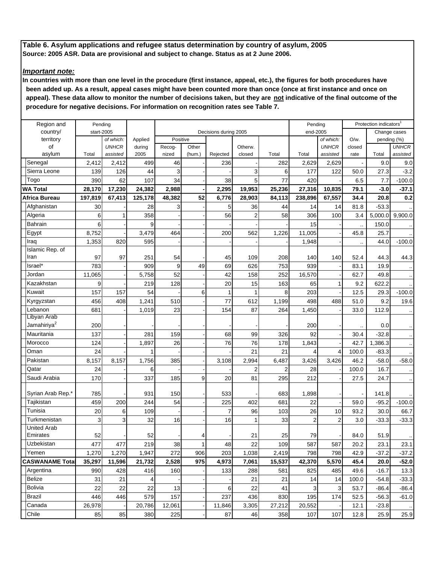# *Important note:*

| Region and              | Pending    |              |         |          |        |                       |                |        | Pending        |                         |        | Protection indicators <sup>1</sup> |              |
|-------------------------|------------|--------------|---------|----------|--------|-----------------------|----------------|--------|----------------|-------------------------|--------|------------------------------------|--------------|
| country/                | start-2005 |              |         |          |        | Decisions during 2005 |                |        | end-2005       |                         |        |                                    | Change cases |
| territory               |            | of which:    | Applied | Positive |        |                       |                |        |                | of which:               | O/w.   |                                    | pending (%)  |
| of                      |            | <b>UNHCR</b> | during  | Recog-   | Other  |                       | Otherw.        |        |                | <b>UNHCR</b>            | closed |                                    | <b>UNHCR</b> |
| asylum                  | Total      | assisted     | 2005    | nized    | (hum.) | Rejected              | closed         | Total  | Total          | assisted                | rate   | Total                              | assisted     |
| Senegal                 | 2,412      | 2,412        | 499     | 46       |        | 236                   |                | 282    | 2,629          | 2,629                   |        | 9.0                                | 9.0          |
| Sierra Leone            | 139        | 126          | 44      | 3        |        |                       | 3              | 6      | 177            | 122                     | 50.0   | 27.3                               | $-3.2$       |
| Togo                    | 390        | 62           | 107     | 34       |        | 38                    | 5              | 77     | 420            |                         | 6.5    | 7.7                                | $-100.0$     |
| <b>WA Total</b>         | 28,170     | 17,230       | 24,382  | 2,988    |        | 2,295                 | 19,953         | 25,236 | 27,316         | 10,835                  | 79.1   | $-3.0$                             | $-37.1$      |
| Africa Bureau           | 197,819    | 67,413       | 125,178 | 48,382   | 52     | 6,776                 | 28.903         | 84,113 | 238,896        | 67,557                  | 34.4   | 20.8                               | 0.2          |
| Afghanistan             | 30         |              | 28      | 3        |        | 5                     | 36             | 44     | 14             | 14                      | 81.8   | $-53.3$                            |              |
| Algeria                 | 6          | 1            | 358     |          |        | 56                    | $\overline{2}$ | 58     | 306            | 100                     | 3.4    | 5,000.0                            | 9,900.0      |
| <b>Bahrain</b>          | 6          |              | 9       |          |        |                       |                |        | 15             |                         |        | 150.0                              |              |
| Egypt                   | 8,752      |              | 3,479   | 464      |        | 200                   | 562            | 1,226  | 11,005         |                         | 45.8   | 25.7                               |              |
| Iraq                    | 1,353      | 820          | 595     |          |        |                       |                |        | 1,948          |                         |        | 44.0                               | $-100.0$     |
| Islamic Rep. of         |            |              |         |          |        |                       |                |        |                |                         |        |                                    |              |
| Iran                    | 97         | 97           | 251     | 54       |        | 45                    | 109            | 208    | 140            | 140                     | 52.4   | 44.3                               | 44.3         |
| Israel*                 | 783        |              | 909     | 9        | 49     | 69                    | 626            | 753    | 939            |                         | 83.1   | 19.9                               |              |
| Jordan                  | 11,065     |              | 5,758   | 52       |        | 42                    | 158            | 252    | 16,570         |                         | 62.7   | 49.8                               |              |
| Kazakhstan              | 9          |              | 219     | 128      |        | 20                    | 15             | 163    | 65             | 1                       | 9.2    | 622.2                              |              |
| Kuwait                  | 157        | 157          | 54      |          | 6      | 1                     | 1              | 8      | 203            |                         | 12.5   | 29.3                               | $-100.0$     |
| Kyrgyzstan              | 456        | 408          | 1,241   | 510      |        | 77                    | 612            | 1,199  | 498            | 488                     | 51.0   | 9.2                                | 19.6         |
| Lebanon                 | 681        |              | 1,019   | 23       |        | 154                   | 87             | 264    | 1,450          |                         | 33.0   | 112.9                              | $\cdot$ .    |
| Libyan Arab             |            |              |         |          |        |                       |                |        |                |                         |        |                                    |              |
| Jamahiriya <sup>2</sup> | 200        |              |         |          |        |                       |                |        | 200            |                         |        | 0.0                                |              |
| Mauritania              | 137        |              | 281     | 159      |        | 68                    | 99             | 326    | 92             |                         | 30.4   | $-32.8$                            | $\ldots$     |
| Morocco                 | 124        |              | 1,897   | 26       |        | 76                    | 76             | 178    | 1,843          |                         | 42.7   | 1,386.3                            | $\cdot$ .    |
| Oman                    | 24         |              |         |          |        |                       | 21             | 21     |                | 4                       | 100.0  | $-83.3$                            |              |
| Pakistan                | 8,157      | 8,157        | 1,756   | 385      |        | 3,108                 | 2,994          | 6,487  | 3,426          | 3,426                   | 46.2   | $-58.0$                            | $-58.0$      |
| Qatar                   | 24         |              | 6       |          |        |                       | $\overline{2}$ | 2      | 28             |                         | 100.0  | 16.7                               | $\ldots$     |
| Saudi Arabia            | 170        |              | 337     | 185      | 9      | 20                    | 81             | 295    | 212            |                         | 27.5   | 24.7                               | $\cdot$ .    |
| Syrian Arab Rep.*       | 785        |              | 931     | 150      |        | 533                   |                | 683    | 1,898          |                         |        | 141.8                              |              |
| Tajikistan              | 459        | 200          | 244     | 54       |        | 225                   | 402            | 681    | 22             |                         | 59.0   | $-95.2$                            | $-100.0$     |
| Tunisia                 | 20         | 6            | 109     |          |        | 7                     | 96             | 103    | 26             | 10                      | 93.2   | 30.0                               | 66.7         |
| Turkmenistan            | 3          | 3            | 32      | 16       |        | 16                    | 1              | 33     | $\overline{2}$ | $\overline{\mathbf{c}}$ | 3.0    | $-33.3$                            | $-33.3$      |
| <b>United Arab</b>      |            |              |         |          |        |                       |                |        |                |                         |        |                                    |              |
| Emirates                | 52         |              | 52      |          | 4      |                       | 21             | 25     | 79             |                         | 84.0   | 51.9                               |              |
| Uzbekistan              | 477        | 477          | 219     | 38       | 1      | 48                    | 22             | 109    | 587            | 587                     | 20.2   | 23.1                               | 23.1         |
| Yemen                   | 1,270      | 1,270        | 1,947   | 272      | 906    | 203                   | 1,038          | 2,419  | 798            | 798                     | 42.9   | $-37.2$                            | $-37.2$      |
| <b>CASWANAME Tota</b>   | 35,297     | 11,596       | 21,732  | 2,528    | 975    | 4,973                 | 7,061          | 15,537 | 42,370         | 5,570                   | 45.4   | 20.0                               | $-52.0$      |
| Argentina               | 990        | 428          | 416     | 160      |        | 133                   | 288            | 581    | 825            | 485                     | 49.6   | $-16.7$                            | 13.3         |
| Belize                  | 31         | 21           | 4       |          |        |                       | 21             | 21     | 14             | 14                      | 100.0  | $-54.8$                            | $-33.3$      |
| Bolivia                 | 22         | 22           | 22      | 13       |        | 6                     | 22             | 41     | 3              | 3                       | 53.7   | $-86.4$                            | $-86.4$      |
| Brazil                  | 446        | 446          | 579     | 157      |        | 237                   | 436            | 830    | 195            | 174                     | 52.5   | $-56.3$                            | $-61.0$      |
| Canada                  | 26,978     |              | 20,786  | 12,061   |        | 11,846                | 3,305          | 27,212 | 20,552         |                         | 12.1   | $-23.8$                            |              |
| Chile                   | 85         | 85           | 380     | 225      |        | 87                    | 46             | 358    | 107            | 107                     | 12.8   | 25.9                               | 25.9         |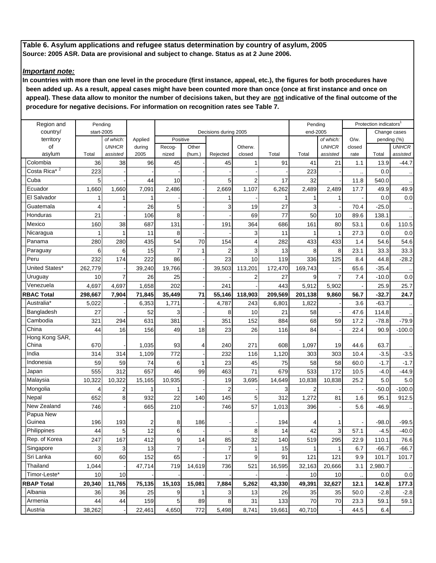# *Important note:*

| Region and                | Pending    |                |         |                |        |                       |                |         | Pending  |                |         | Protection indicators <sup>1</sup> |              |
|---------------------------|------------|----------------|---------|----------------|--------|-----------------------|----------------|---------|----------|----------------|---------|------------------------------------|--------------|
| country/                  | start-2005 |                |         |                |        | Decisions during 2005 |                |         | end-2005 |                |         |                                    | Change cases |
| territory                 |            | of which:      | Applied | Positive       |        |                       |                |         |          | of which:      | $O/w$ . | pending (%)                        |              |
| οf                        |            | <b>UNHCR</b>   | during  | Recog-         | Other  |                       | Otherw.        |         |          | <b>UNHCR</b>   | closed  |                                    | <b>UNHCR</b> |
| asylum                    | Total      | assisted       | 2005    | nized          | (hum.) | Rejected              | closed         | Total   | Total    | assisted       | rate    | Total                              | assisted     |
| Colombia                  | 36         | 38             | 96      | 45             |        | 45                    | 1              | 91      | 41       | 21             | 1.1     | 13.9                               | $-44.7$      |
| Costa Rica <sup>* 2</sup> | 223        |                |         |                |        |                       |                |         | 223      |                |         | 0.0                                |              |
| Cuba                      | 5          |                | 44      | 10             |        | 5                     | $\overline{2}$ | 17      | 32       |                | 11.8    | 540.0                              |              |
| Ecuador                   | 1,660      | 1,660          | 7,091   | 2,486          |        | 2,669                 | 1,107          | 6,262   | 2,489    | 2,489          | 17.7    | 49.9                               | 49.9         |
| El Salvador               | 1          | 1              | 1       |                |        | 1                     |                | 1       | 1        | 1              |         | 0.0                                | $0.0\,$      |
| Guatemala                 | 4          |                | 26      | 5              |        | 3                     | 19             | 27      | 3        |                | 70.4    | $-25.0$                            |              |
| Honduras                  | 21         |                | 106     | 8              |        |                       | 69             | 77      | 50       | 10             | 89.6    | 138.1                              |              |
| Mexico                    | 160        | 38             | 687     | 131            |        | 191                   | 364            | 686     | 161      | 80             | 53.1    | 0.6                                | 110.5        |
| Nicaragua                 | 1          | 1              | 11      | 8              |        |                       | 3              | 11      |          | 1              | 27.3    | 0.0                                | $0.0\,$      |
| Panama                    | 280        | 280            | 435     | 54             | 70     | 154                   | 4              | 282     | 433      | 433            | 1.4     | 54.6                               | 54.6         |
| Paraguay                  | 6          | 6              | 15      | $\overline{7}$ | 1      | $\overline{2}$        | 3              | 13      | 8        | 8              | 23.1    | 33.3                               | 33.3         |
| Peru                      | 232        | 174            | 222     | 86             |        | 23                    | 10             | 119     | 336      | 125            | 8.4     | 44.8                               | $-28.2$      |
| United States*            | 262,779    |                | 39,240  | 19,766         |        | 39,503                | 113,201        | 172,470 | 169,743  |                | 65.6    | $-35.4$                            |              |
| Uruguay                   | 10         | $\overline{7}$ | 26      | 25             |        |                       | $\overline{2}$ | 27      | 9        | $\overline{7}$ | 7.4     | $-10.0$                            | 0.0          |
| Venezuela                 | 4,697      | 4,697          | 1,658   | 202            |        | 241                   |                | 443     | 5,912    | 5,902          |         | 25.9                               | 25.7         |
| <b>RBAC Total</b>         | 298,667    | 7,904          | 71,845  | 35,449         | 71     | 55.146                | 118,903        | 209,569 | 201,138  | 9,860          | 56.7    | $-32.7$                            | 24.7         |
| Australia*                | 5,022      |                | 6,353   | 1,771          |        | 4,787                 | 243            | 6,801   | 1,822    |                | 3.6     | $-63.7$                            |              |
| Bangladesh                | 27         |                | 52      | 3              |        | 8                     | 10             | 21      | 58       |                | 47.6    | 114.8                              |              |
| Cambodia                  | 321        | 294            | 631     | 381            |        | 351                   | 152            | 884     | 68       | 59             | 17.2    | $-78.8$                            | $-79.9$      |
| China                     | 44         | 16             | 156     | 49             | 18     | 23                    | 26             | 116     | 84       |                | 22.4    | 90.9                               | $-100.0$     |
| Hong Kong SAR,            |            |                |         |                |        |                       |                |         |          |                |         |                                    |              |
| China                     | 670        |                | 1,035   | 93             | 4      | 240                   | 271            | 608     | 1,097    | 19             | 44.6    | 63.7                               |              |
| India                     | 314        | 314            | 1,109   | 772            |        | 232                   | 116            | 1,120   | 303      | 303            | 10.4    | $-3.5$                             | $-3.5$       |
| Indonesia                 | 59         | 59             | 74      | 6              | 1      | 23                    | 45             | 75      | 58       | 58             | 60.0    | $-1.7$                             | $-1.7$       |
| Japan                     | 555        | 312            | 657     | 46             | 99     | 463                   | 71             | 679     | 533      | 172            | 10.5    | $-4.0$                             | $-44.9$      |
| Malaysia                  | 10,322     | 10,322         | 15,165  | 10,935         |        | 19                    | 3,695          | 14,649  | 10,838   | 10,838         | 25.2    | 5.0                                | $5.0\,$      |
| Mongolia                  | 4          | 2              |         |                |        | $\overline{2}$        |                | 3       |          |                |         | $-50.0$                            | $-100.0$     |
| Nepal                     | 652        | 8              | 932     | 22             | 140    | 145                   | 5              | 312     | 1,272    | 81             | 1.6     | 95.1                               | 912.5        |
| New Zealand               | 746        |                | 665     | 210            |        | 746                   | 57             | 1,013   | 396      |                | 5.6     | -46.9                              |              |
| Papua New                 |            |                |         |                |        |                       |                |         |          |                |         |                                    |              |
| Guinea                    | 196        | 193            | 2       | 8              | 186    |                       |                | 194     |          | 1              |         | $-98.0$                            | $-99.5$      |
| Philippines               | 44         | 5              | 12      | 6              |        |                       | 8              | 14      | 42       | 3              | 57.1    | $-4.5$                             | $-40.0$      |
| Rep. of Korea             | 247        | 167            | 412     | 9              | 14     | 85                    | 32             | 140     | 519      | 295            | 22.9    | 110.1                              | 76.6         |
| Singapore                 | 3          | 3              | 13      | $\overline{7}$ |        | $\overline{7}$        | $\mathbf{1}$   | 15      |          | 1              | 6.7     | $-66.7$                            | $-66.7$      |
| Sri Lanka                 | 60         | 60             | 152     | 65             |        | 17                    | 9              | 91      | 121      | 121            | 9.9     | 101.7                              | 101.7        |
| Thailand                  | 1,044      |                | 47,714  | 719            | 14,619 | 736                   | 521            | 16,595  | 32,163   | 20,666         | 3.1     | 2,980.7                            | $\cdot$ .    |
| Timor-Leste*              | 10         | 10             |         |                |        |                       |                |         | 10       | 10             |         | 0.0                                | 0.0          |
| <b>RBAP Total</b>         | 20,340     | 11,765         | 75,135  | 15,103         | 15,081 | 7,884                 | 5,262          | 43,330  | 49,391   | 32,627         | 12.1    | 142.8                              | 177.3        |
| Albania                   | 36         | 36             | 25      | 9              | 1      | 3                     | 13             | 26      | 35       | 35             | 50.0    | $-2.8$                             | $-2.8$       |
| Armenia                   | 44         | 44             | 159     | 5              | 89     | 8                     | 31             | 133     | 70       | 70             | 23.3    | 59.1                               | 59.1         |
| Austria                   | 38,262     |                | 22,461  | 4,650          | 772    | 5,498                 | 8,741          | 19,661  | 40,710   |                | 44.5    | 6.4                                | $\cdot$      |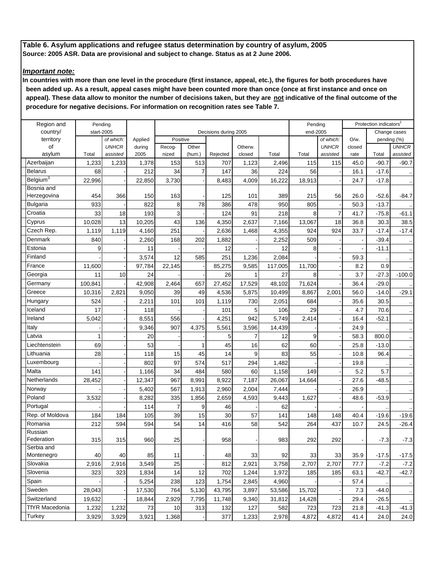# *Important note:*

| Region and            | Pending    |              |         |          |                |                       |         |         | Pending  |                |        | Protection indicators <sup>1</sup> |              |
|-----------------------|------------|--------------|---------|----------|----------------|-----------------------|---------|---------|----------|----------------|--------|------------------------------------|--------------|
| country/              | start-2005 |              |         |          |                | Decisions during 2005 |         |         | end-2005 |                |        | Change cases                       |              |
| territory             |            | of which:    | Applied | Positive |                |                       |         |         |          | of which:      | O/w.   | pending (%)                        |              |
| of                    |            | <b>UNHCR</b> | during  | Recog-   | Other          |                       | Otherw. |         |          | <b>UNHCR</b>   | closed |                                    | <b>UNHCR</b> |
| asylum                | Total      | assisted     | 2005    | nized    | (hum.)         | Rejected              | closed  | Total   | Total    | assisted       | rate   | Total                              | assisted     |
| Azerbaijan            | 1,233      | 1,233        | 1,378   | 153      | 513            | 707                   | 1,123   | 2,496   | 115      | 115            | 45.0   | -90.7                              | $-90.7$      |
| <b>Belarus</b>        | 68         |              | 212     | 34       | $\overline{7}$ | 147                   | 36      | 224     | 56       |                | 16.1   | $-17.6$                            |              |
| Belgium <sup>3</sup>  | 22,996     |              | 22,850  | 3,730    |                | 8,483                 | 4,009   | 16,222  | 18,913   |                | 24.7   | $-17.8$                            |              |
| Bosnia and            |            |              |         |          |                |                       |         |         |          |                |        |                                    |              |
| Herzegovina           | 454        | 366          | 150     | 163      |                | 125                   | 101     | 389     | 215      | 56             | 26.0   | -52.6                              | $-84.7$      |
| <b>Bulgaria</b>       | 933        |              | 822     | 8        | 78             | 386                   | 478     | 950     | 805      |                | 50.3   | $-13.7$                            |              |
| Croatia               | 33         | 18           | 193     |          |                | 124                   | 91      | 218     | 8        | $\overline{7}$ | 41.7   | $-75.8$                            | $-61.1$      |
| Cyprus                | 10,028     | 13           | 10,205  | 43       | 136            | 4,350                 | 2,637   | 7,166   | 13,067   | 18             | 36.8   | 30.3                               | 38.5         |
| Czech Rep.            | 1,119      | 1,119        | 4,160   | 251      |                | 2,636                 | 1,468   | 4,355   | 924      | 924            | 33.7   | $-17.4$                            | $-17.4$      |
| Denmark               | 840        |              | 2,260   | 168      | 202            | 1,882                 |         | 2,252   | 509      |                |        | $-39.4$                            |              |
| Estonia               | 9          |              | 11      |          |                | 12                    |         | 12      | 8        |                |        | $-11.1$                            |              |
| Finland               |            |              | 3,574   | 12       | 585            | 251                   | 1,236   | 2,084   |          |                | 59.3   |                                    |              |
| France                | 11,600     |              | 97,784  | 22,145   |                | 85,275                | 9,585   | 117,005 | 11,700   |                | 8.2    | 0.9                                |              |
| Georgia               | 11         | 10           | 24      |          |                | 26                    | 1       | 27      | 8        |                | 3.7    | $-27.3$                            | $-100.0$     |
| Germany               | 100,841    |              | 42,908  | 2,464    | 657            | 27,452                | 17,529  | 48,102  | 71,624   |                | 36.4   | $-29.0$                            |              |
| Greece                | 10,316     | 2,821        | 9,050   | 39       | 49             | 4,536                 | 5,875   | 10,499  | 8,867    | 2,001          | 56.0   | $-14.0$                            | $-29.1$      |
| Hungary               | 524        |              | 2,211   | 101      | 101            | 1,119                 | 730     | 2,051   | 684      |                | 35.6   | 30.5                               | $\cdot$      |
| Iceland               | 17         |              | 118     |          |                | 101                   | 5       | 106     | 29       |                | 4.7    | 70.6                               | $\ldots$     |
| Ireland               | 5,042      |              | 8,551   | 556      |                | 4,251                 | 942     | 5,749   | 2,414    |                | 16.4   | $-52.1$                            | $\cdot$ .    |
| Italy                 |            |              | 9,346   | 907      | 4,375          | 5,561                 | 3,596   | 14,439  |          |                | 24.9   |                                    |              |
| Latvia                |            |              | 20      |          |                | 5                     | 7       | 12      | 9        |                | 58.3   | 800.0                              | $\cdot$      |
| Liechtenstein         | 69         |              | 53      |          | 1              | 45                    | 16      | 62      | 60       |                | 25.8   | $-13.0$                            | $\cdot$      |
| Lithuania             | 28         |              | 118     | 15       | 45             | 14                    | 9       | 83      | 55       |                | 10.8   | 96.4                               | $\cdot$ .    |
| Luxembourg            |            |              | 802     | 97       | 574            | 517                   | 294     | 1,482   |          |                | 19.8   |                                    | $\cdot$      |
| Malta                 | 141        |              | 1,166   | 34       | 484            | 580                   | 60      | 1,158   | 149      |                | 5.2    | 5.7                                | $\cdot$      |
| Netherlands           | 28,452     |              | 12,347  | 967      | 8,991          | 8,922                 | 7,187   | 26,067  | 14,664   |                | 27.6   | $-48.5$                            | $\cdot$      |
| Norway                |            |              | 5,402   | 567      | 1,913          | 2,960                 | 2,004   | 7,444   |          |                | 26.9   |                                    |              |
| Poland                | 3,532      |              | 8,282   | 335      | 1,856          | 2,659                 | 4,593   | 9,443   | 1,627    |                | 48.6   | $-53.9$                            | $\cdot$ .    |
| Portugal              |            |              | 114     | 7        | 9              | 46                    |         | 62      |          |                |        |                                    |              |
| Rep. of Moldova       | 184        | 184          | 105     | 39       | 15             | 30                    | 57      | 141     | 148      | 148            | 40.4   | $-19.6$                            | $-19.6$      |
| Romania               | 212        | 594          | 594     | 54       | 14             | 416                   | 58      | 542     | 264      | 437            | 10.7   | 24.5                               | $-26.4$      |
| Russian               |            |              |         |          |                |                       |         |         |          |                |        |                                    |              |
| Federation            | 315        | 315          | 960     | 25       |                | 958                   |         | 983     | 292      | 292            |        | $-7.3$                             | $-7.3$       |
| Serbia and            |            |              |         |          |                |                       |         |         |          |                |        |                                    |              |
| Montenegro            | 40         | 40           | 85      | 11       |                | 48                    | 33      | 92      | 33       | 33             | 35.9   | $-17.5$                            | $-17.5$      |
| Slovakia              | 2,916      | 2,916        | 3,549   | 25       |                | 812                   | 2,921   | 3,758   | 2,707    | 2,707          | 77.7   | $-7.2$                             | $-7.2$       |
| Slovenia              | 323        | 323          | 1,834   | 14       | 12             | 702                   | 1,244   | 1,972   | 185      | 185            | 63.1   | $-42.7$                            | $-42.7$      |
| Spain                 |            |              | 5,254   | 238      | 123            | 1,754                 | 2,845   | 4,960   |          |                | 57.4   |                                    | $\cdot$      |
| Sweden                | 28,043     |              | 17,530  | 764      | 5,130          | 43,795                | 3,897   | 53,586  | 15,702   |                | 7.3    | $-44.0$                            | $\cdot$      |
| Switzerland           | 19,632     |              | 18,844  | 2,929    | 7,795          | 11,748                | 9,340   | 31,812  | 14,428   |                | 29.4   | $-26.5$                            | $\cdot$      |
| <b>TfYR Macedonia</b> | 1,232      | 1,232        | 73      | 10       | 313            | 132                   | 127     | 582     | 723      | 723            | 21.8   | $-41.3$                            | $-41.3$      |
| Turkey                | 3,929      | 3,929        | 3,921   | 1,368    |                | 377                   | 1,233   | 2,978   | 4,872    | 4,872          | 41.4   | 24.0                               | 24.0         |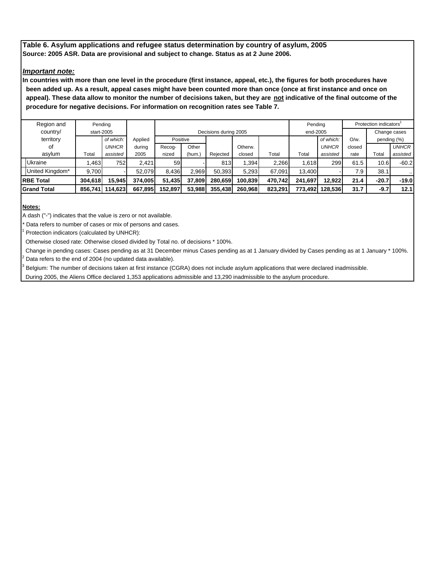# *Important note:*

**In countries with more than one level in the procedure (first instance, appeal, etc.), the figures for both procedures have been added up. As a result, appeal cases might have been counted more than once (once at first instance and once on appeal). These data allow to monitor the number of decisions taken, but they are not indicative of the final outcome of the procedure for negative decisions. For information on recognition rates see Table 7.**

| Region and         |         | Pending         |         |                 |        |                       |         |         | Pending  |                 |         | Protection indicators <sup>1</sup> |              |
|--------------------|---------|-----------------|---------|-----------------|--------|-----------------------|---------|---------|----------|-----------------|---------|------------------------------------|--------------|
| country/           |         | start-2005      |         |                 |        | Decisions during 2005 |         |         | end-2005 |                 |         |                                    | Change cases |
| territory          |         | of which:       | Applied | Positive        |        |                       |         |         |          | of which:       | $O/w$ . |                                    | pending (%)  |
| οf                 |         | <b>UNHCR</b>    | during  | Recog-          | Other  |                       | Otherw. |         |          | <b>UNHCR</b>    | closed  |                                    | <b>UNHCR</b> |
| asylum             | Total   | assisted        | 2005    | nized<br>(hum.) |        | Rejected              | closed  | Total   | Total    | assisted        | rate    | Total                              | assisted     |
| Ukraine            | .463    | 752             | 2.421   | 59              |        | 813                   | 1.394   | 2.266   | 1.618    | 299             | 61.5    | 10.6                               | $-60.2$      |
| United Kingdom*    | 9,700   |                 | 52.079  | 8,436           | 2.969  | 50,393                | 5,293   | 67,091  | 13,400   |                 | 7.9     | 38.1                               |              |
| <b>RBE Total</b>   | 304,618 | 15.945          | 374.005 | 51,435          | 37.809 | 280.659               | 100.839 | 470.742 | 241.697  | 12.922          | 21.4    | $-20.7$                            | $-19.0$      |
| <b>Grand Total</b> |         | 856,741 114,623 | 667,895 | 152,897         | 53,988 | 355,438               | 260.968 | 823,291 |          | 773,492 128,536 | 31.7    | $-9.7$                             | 12.1         |

# **Notes:**

A dash ("-") indicates that the value is zero or not available.

\* Data refers to number of cases or mix of persons and cases.

1 Protection indicators (calculated by UNHCR):

Otherwise closed rate: Otherwise closed divided by Total no. of decisions \* 100%.

 Change in pending cases: Cases pending as at 31 December minus Cases pending as at 1 January divided by Cases pending as at 1 January \* 100%. 2 Data refers to the end of 2004 (no updated data available).

3 Belgium: The number of decisions taken at first instance (CGRA) does not include asylum applications that were declared inadmissible.

During 2005, the Aliens Office declared 1,353 applications admissible and 13,290 inadmissible to the asylum procedure.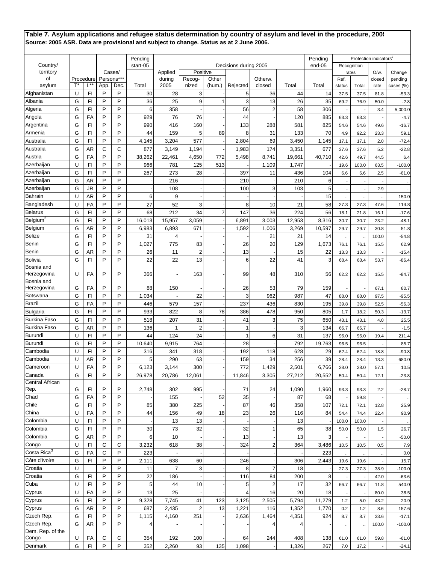|                         |        |                         |            |        | Pending  |                |                         |                |                       |                         |             | Pending     |           | Protection indicators <sup>1</sup> |         |           |
|-------------------------|--------|-------------------------|------------|--------|----------|----------------|-------------------------|----------------|-----------------------|-------------------------|-------------|-------------|-----------|------------------------------------|---------|-----------|
| Country/                |        |                         |            |        | start-05 |                |                         |                | Decisions during 2005 |                         |             | end-05      |           | Recognition                        |         |           |
| territory               |        |                         |            | Cases/ |          | Applied        | Positive                |                |                       |                         |             |             | rates     |                                    | $O/w$ . | Change    |
| οf                      |        | Procedure               | Persons*** |        |          | during         | Recog-                  | Other          |                       | Otherw.                 |             |             | Ref.      |                                    | closed  | pending   |
| asylum                  | T*     | L*'                     | App.       | Dec.   | Total    | 2005           | nized                   | (hum.)         | Rejected              | closed                  | Total       | Total       | status    | Total                              | rate    | cases (%) |
| Afghanistan             | U      | FI                      | P          | P      | 30       | 28             | 3                       |                | 5                     | 36                      | 44          | 14          | 37.5      | 37.5                               | 81.8    | $-53.3$   |
| Albania                 | G      | FI                      | P          | P      | 36       | 25             | 9                       | 1              | 3                     | 13                      | 26          | 35          | 69.2      | 76.9                               | 50.0    | $-2.8$    |
| Algeria                 | G      | F1                      | P          | P      | 6        | 358            |                         |                | 56                    | $\overline{\mathbf{c}}$ | 58          | 306         | ÷,        |                                    | 3.4     | 5,000.0   |
| Angola                  | G      | FA                      | P          | P      | 929      | 76             | 76                      |                | 44                    |                         | 120         | 885         | 63.3      | 63.3                               |         | $-4.7$    |
| Argentina               | G      | FI                      | P          | P      | 990      | 416            | 160                     |                | 133                   | 288                     | 581         | 825         | 54.6      | 54.6                               | 49.6    | $-16.7$   |
| Armenia                 | G      | $\mathsf{F} \mathsf{I}$ | P          | P      | 44       | 159            | 5                       | 89             | 8                     | 31                      | 133         | 70          | 4.9       | 92.2                               | 23.3    | 59.1      |
| Australia               | G      | F1                      | P          | P      | 4,145    | 3,204          | 577                     |                | 2,804                 | 69                      | 3,450       | 1,145       | 17.1      | 17.1                               | 2.0     | $-72.4$   |
| Australia               | G      | <b>AR</b>               | C          | С      | 877      | 3,149          | 1,194                   |                | 1,983                 | 174                     | 3,351       | 677         | 37.6      | 37.6                               | 5.2     | $-22.8$   |
| Austria                 | G      | FA                      | P          | P      | 38,262   | 22,461         | 4,650                   | 772            | 5,498                 | 8,741                   | 19,661      | 40,710      | 42.6      | 49.7                               | 44.5    | 6.4       |
| Azerbaijan              | U      | FI                      | P          | P      | 966      | 781            | 125                     | 513            |                       | 1,109                   | 1,747       |             | 19.6      | 100.0                              | 63.5    | $-100.0$  |
| Azerbaijan              | G      | F1                      | P          | P      | 267      | 273            | 28                      |                | 397                   | 11                      | 436         | 104         | 6.6       | 6.6                                | 2.5     | $-61.0$   |
| Azerbaijan              | G      | <b>AR</b>               | P          | P      |          | 216            |                         |                | 210                   |                         | 210         | 6           |           |                                    |         |           |
| Azerbaijan              | G      | <b>JR</b>               | P          | P      |          | 108            |                         |                | 100                   | 3                       | 103         | 5           |           |                                    | 2.9     |           |
| Bahrain                 | U      | AR                      | P          | P      | 6        | 9              |                         |                |                       |                         |             | 15          | $\ddotsc$ |                                    |         | 150.0     |
| Bangladesh              | U      | FA                      | P          | P      | 27       | 52             | 3                       |                | 8                     | 10                      | 21          | 58          | 27.3      | 27.3                               | 47.6    | 114.8     |
| <b>Belarus</b>          | G      | F1                      | P          | P      | 68       | 212            | 34                      | $\overline{7}$ | 147                   | 36                      | 224         | 56          | 18.1      | 21.8                               | 16.1    | $-17.6$   |
| Belgium <sup>2</sup>    | G      | FI                      | P          | P      | 16,013   | 15,957         | 3,059                   |                | 6,891                 | 3,003                   | 12,953      | 8,316       | 30.7      | 30.7                               | 23.2    | $-48.1$   |
| Belgium                 | G      | <b>AR</b>               | P          | P      | 6,983    | 6,893          | 671                     |                | 1,592                 | 1,006                   | 3,269       | 10,597      | 29.7      | 29.7                               | 30.8    | 51.8      |
| Belize                  | G      | F1                      | P<br>P     | P<br>P | 31       | $\overline{4}$ |                         |                |                       | 21                      | 21          | 14          | $\ddotsc$ | $\ddotsc$                          | 100.0   | $-54.8$   |
| Benin                   | G      | F1                      | P          | P      | 1,027    | 775            | 83                      |                | 26                    | 20                      | 129         | 1,673       | 76.1      | 76.1                               | 15.5    | 62.9      |
| Benin<br><b>Bolivia</b> | G      | AR<br>F1                | P          | P      | 26<br>22 | 11<br>22       | $\overline{2}$<br>13    |                | 13                    | 22                      | 15          | 22          | 13.3      | 13.3                               |         | $-15.4$   |
| Bosnia and              | G      |                         |            |        |          |                |                         |                | 6                     |                         | 41          | 3           | 68.4      | 68.4                               | 53.7    | $-86.4$   |
| Herzegovina             | U      | FA                      | P          | P      | 366      |                | 163                     |                | 99                    | 48                      | 310         | 56          | 62.2      | 62.2                               | 15.5    | $-84.7$   |
| Bosnia and              |        |                         |            |        |          |                |                         |                |                       |                         |             |             |           |                                    |         |           |
| Herzegovina             | G      | FA                      | P          | P      | 88       | 150            |                         |                | 26                    | 53                      | 79          | 159         |           |                                    | 67.1    | 80.7      |
| Botswana                | G      | FI                      | P          | P      | 1,034    |                | 22                      |                | 3                     | 962                     | 987         | 47          | 88.0      | 88.0                               | 97.5    | $-95.5$   |
| <b>Brazil</b>           | G      | FA                      | P          | P      | 446      | 579            | 157                     |                | 237                   | 436                     | 830         | 195         | 39.8      | 39.8                               | 52.5    | $-56.3$   |
| <b>Bulgaria</b>         | G      | F1                      | P          | P      | 933      | 822            | 8                       | 78             | 386                   | 478                     | 950         | 805         | 1.7       | 18.2                               | 50.3    | $-13.7$   |
| <b>Burkina Faso</b>     | G      | F1                      | P          | P      | 518      | 207            | 31                      |                | 41                    | 3                       | 75          | 650         | 43.1      | 43.1                               | 4.0     | 25.5      |
| <b>Burkina Faso</b>     | G      | <b>AR</b>               | P          | P      | 136      |                | $\overline{2}$          |                | 1                     |                         | 3           | 134         | 66.7      | 66.7                               |         | $-1.5$    |
| <b>Burundi</b>          | U      | FI                      | P          | P      | 44       | 124            | 24                      |                | $\mathbf{1}$          | 6                       | 31          | 137         | 96.0      | 96.0                               | 19.4    | 211.4     |
| Burundi                 | G      | FI                      | P          | P      | 10,640   | 9,915          | 764                     |                | 28                    |                         | 792         | 19,763      | 96.5      | 96.5                               |         | 85.7      |
| Cambodia                | U      | FI                      | P          | P      | 316      | 341            | 318                     |                | 192                   | 118                     | 628         | 29          | 62.4      | 62.4                               | 18.8    | $-90.8$   |
| Cambodia                | U      | <b>AR</b>               | P          | P      | 5        | 290            | 63                      |                | 159                   | 34                      | 256         | 39          | 28.4      | 28.4                               | 13.3    | 680.0     |
| Cameroon                | U      | FA                      | P          | P      | 6,123    | 3,144          | 300                     |                | 772                   | 1,429                   | 2,501       | 6,766       | 28.0      | 28.0                               | 57.1    | 10.5      |
| Canada                  | G      | FI                      | P          | P      | 26,978   | 20,786         | 12,061                  |                | 11,846                | 3,305                   | 27,212      | 20,552      | 50.4      | 50.4                               | 12.1    | $-23.8$   |
| Central African<br>Rep. |        |                         |            | P      |          |                |                         |                |                       |                         |             |             |           |                                    |         |           |
| Chad                    | G<br>G | FI<br>FA                | P<br>P     | P      | 2,748    | 302<br>155     | 995                     | 52             | 71<br>35              | 24                      | 1,090<br>87 | 1,960<br>68 | 93.3      | 93.3                               | 2.2     | $-28.7$   |
| Chile                   | G      | F1                      | P          | P      | 85       | 380            | 225                     |                | 87                    | 46                      | 358         | 107         | 72.1      | 59.8<br>72.1                       | 12.8    | 25.9      |
| China                   | U      | FA                      | P          | P      | 44       | 156            | 49                      | 18             | 23                    | 26                      | 116         | 84          | 54.4      | 74.4                               | 22.4    |           |
| Colombia                | U      | $\mathsf{F} \mathsf{I}$ | P          | P      |          | 13             | 13                      |                |                       |                         | 13          |             | 100.0     | 100.0                              |         | 90.9      |
| Colombia                | G      | F1                      | P          | P      | 30       | 73             | 32                      |                | 32                    | 1                       | 65          | 38          | 50.0      | 50.0                               | 1.5     | 26.7      |
| Colombia                | G      | <b>AR</b>               | P          | P      | 6        | 10             |                         |                | 13                    |                         | 13          | 3           |           |                                    |         | $-50.0$   |
| Congo                   | U      | F1                      | С          | C      | 3,232    | 618            | 38                      |                | 324                   | $\boldsymbol{2}$        | 364         | 3,486       | 10.5      | 10.5                               | 0.5     | 7.9       |
| Costa Rica <sup>3</sup> | G      | FA                      | C          | P      | 223      |                |                         |                |                       |                         |             | 223         |           |                                    |         | 0.0       |
| Côte d'Ivoire           | G      | FI                      | P          | P      | 2,111    | 638            | 60                      |                | 246                   |                         | 306         | 2,443       | 19.6      | 19.6                               |         | 15.7      |
| Croatia                 | U      |                         | P          | P      | 11       | $\overline{7}$ | 3                       |                | 8                     | $\overline{7}$          | 18          |             | 27.3      | 27.3                               | 38.9    | $-100.0$  |
| Croatia                 | G      | $\mathsf{F} \mathsf{I}$ | P          | P      | 22       | 186            |                         |                | 116                   | 84                      | 200         | 8           |           |                                    | 42.0    | $-63.6$   |
| Cuba                    | U      | $\mathsf{F} \mathsf{I}$ | P          | P      | 5        | 44             | 10                      |                | 5                     | $\overline{\mathbf{c}}$ | 17          | 32          | 66.7      | 66.7                               | 11.8    | 540.0     |
| Cyprus                  | U      | FA                      | P          | P      | 13       | 25             |                         |                | 4                     | 16                      | 20          | 18          |           |                                    | 80.0    | 38.5      |
| Cyprus                  | G      | F1                      | P          | P      | 9,328    | 7,745          | 41                      | 123            | 3,125                 | 2,505                   | 5,794       | 11,279      | $1.2$     | 5.0                                | 43.2    | 20.9      |
| Cyprus                  | G      | AR                      | P          | P      | 687      | 2,435          | $\overline{\mathbf{c}}$ | 13             | 1,221                 | 116                     | 1,352       | 1,770       | 0.2       | 1.2                                | 8.6     | 157.6     |
| Czech Rep.              | G      | F1                      | P          | P      | 1,115    | 4,160          | 251                     |                | 2,636                 | 1,464                   | 4,351       | 924         | 8.7       | 8.7                                | 33.6    | $-17.1$   |
| Czech Rep.              | G      | <b>AR</b>               | P          | P      | 4        |                |                         |                |                       | $\overline{4}$          | 4           |             | $\ddotsc$ |                                    | 100.0   | $-100.0$  |
| Dem. Rep. of the        |        |                         |            |        |          |                |                         |                |                       |                         |             |             |           |                                    |         |           |
| Congo                   | U      | FA                      | С          | С      | 354      | 192            | 100                     |                | 64                    | 244                     | 408         | 138         | 61.0      | 61.0                               | 59.8    | $-61.0$   |
| Denmark                 | G      | FI                      | P          | P      | 352      | 2,260          | 93                      | 135            | 1,098                 |                         | 1,326       | 267         | 7.0       | 17.2                               |         | $-24.1$   |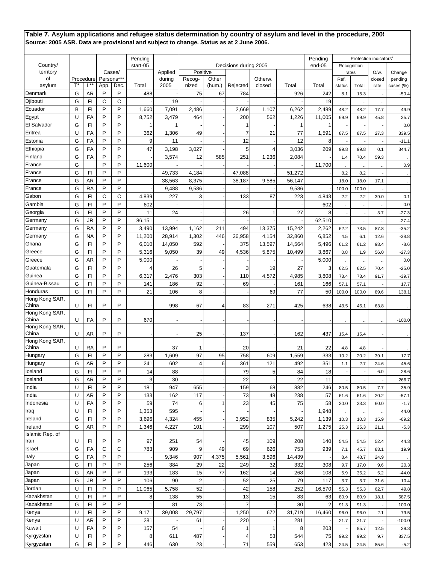|                         |        |                         |                      |        | Pending      |                   |                         |        |                       |                         |                | Pending    |                             | Protection indicators <sup>1</sup> |                   |                      |
|-------------------------|--------|-------------------------|----------------------|--------|--------------|-------------------|-------------------------|--------|-----------------------|-------------------------|----------------|------------|-----------------------------|------------------------------------|-------------------|----------------------|
| Country/                |        |                         |                      |        | start-05     |                   |                         |        | Decisions during 2005 |                         |                | end-05     |                             | Recognition                        |                   |                      |
| territory<br>of         |        | Procedure               | Cases/<br>Persons*** |        |              | Applied<br>during | Positive<br>Recog-      | Other  |                       | Otherw.                 |                |            | rates<br>Ref.               |                                    | $O/w$ .<br>closed | Change               |
| asylum                  | T*     | L*'                     | App.                 | Dec.   | Total        | 2005              | nized                   | (hum.) | Rejected              | closed                  | Total          | Total      | status                      | Total                              | rate              | pending<br>cases (%) |
| Denmark                 | G      | <b>AR</b>               | P                    | P      | 488          |                   | 75                      | 67     | 784                   |                         | 926            | 242        | 8.1                         | 15.3                               |                   | $-50.4$              |
| Djibouti                | G      | FI                      | C                    | С      |              | 19                |                         |        |                       |                         |                | 19         |                             | $\ddotsc$                          |                   |                      |
| Ecuador                 | B      | F1                      | P                    | P      | 1,660        | 7,091             | 2,486                   |        | 2,669                 | 1,107                   | 6,262          | 2,489      | 48.2                        | 48.2                               | 17.7              | 49.9                 |
| Egypt                   | U      | FA                      | P                    | P      | 8,752        | 3,479             | 464                     |        | 200                   | 562                     | 1,226          | 11,005     | 69.9                        | 69.9                               | 45.8              | 25.7                 |
| El Salvador             | G      | F1                      | P                    | P      | 1            |                   |                         |        | 1                     |                         | 1              | 1          |                             |                                    |                   | 0.0                  |
| Eritrea                 | U      | FA                      | P                    | P      | 362          | 1,306             | 49                      |        | $\overline{7}$        | 21                      | 77             | 1,591      | 87.5                        | 87.5                               | 27.3              | 339.5                |
| Estonia                 | G<br>G | FA<br>FA                | P<br>P               | P<br>P | 9<br>47      | 11<br>3,198       | 3,027                   |        | 12<br>5               | $\overline{\mathbf{4}}$ | 12             | 8<br>209   |                             |                                    |                   | $-11.1$              |
| Ethiopia<br>Finland     | G      | FA                      | P                    | P      |              | 3,574             | 12                      | 585    | 251                   | 1,236                   | 3,036<br>2,084 |            | 99.8<br>1.4                 | 99.8<br>70.4                       | 0.1<br>59.3       | 344.7                |
| France                  | G      |                         | P                    | P      | 11,600       |                   |                         |        |                       |                         |                | 11,700     |                             |                                    |                   | 0.9                  |
| France                  | G      | F1                      | P                    | P      |              | 49,733            | 4,184                   |        | 47,088                |                         | 51,272         |            | $\ddot{\phantom{0}}$<br>8.2 | $\ddotsc$<br>8.2                   |                   |                      |
| France                  | G      | <b>AR</b>               | P                    | P      |              | 38,563            | 8,375                   |        | 38,187                | 9,585                   | 56,147         |            | 18.0                        | 18.0                               | 17.1              |                      |
| France                  | G      | <b>RA</b>               | P                    | P      |              | 9,488             | 9,586                   |        |                       |                         | 9,586          |            | 100.0                       | 100.0                              |                   |                      |
| Gabon                   | G      | F1                      | C                    | C      | 4,839        | 227               | 3                       |        | 133                   | 87                      | 223            | 4,843      | 2.2                         | 2.2                                | 39.0              | 0.1                  |
| Gambia                  | G      | FI                      | P                    | P      | 602          |                   |                         |        |                       |                         |                | 602        | $\ddotsc$                   |                                    |                   | 0.0                  |
| Georgia                 | G      | F1                      | P                    | P      | 11           | 24                |                         |        | 26                    | 1                       | 27             | 8          |                             |                                    | 3.7               | $-27.3$              |
| Germany                 | G      | <b>JR</b>               | P                    | P      | 86,151       |                   |                         |        |                       |                         |                | 62,510     | $\ddotsc$                   |                                    |                   | $-27.4$              |
| Germany                 | G      | <b>RA</b>               | P                    | P      | 3,490        | 13,994            | 1,162                   | 211    | 494                   | 13,375                  | 15,242         | 2,262      | 62.2                        | 73.5                               | 87.8              | $-35.2$              |
| Germany                 | G      | <b>NA</b>               | P                    | P      | 11,200       | 28,914            | 1,302                   | 446    | 26,958                | 4,154                   | 32,860         | 6,852      | 4.5                         | 6.1                                | 12.6              | $-38.8$              |
| Ghana                   | G      | F1                      | P                    | P      | 6,010        | 14,050            | 592                     |        | 375                   | 13,597                  | 14,564         | 5,496      | 61.2                        | 61.2                               | 93.4              | $-8.6$               |
| Greece                  | G      | F1                      | P                    | P      | 5,316        | 9,050             | 39                      | 49     | 4,536                 | 5,875                   | 10,499         | 3,867      | 0.8                         | 1.9                                | 56.0              | $-27.3$              |
| Greece                  | G      | AR                      | P                    | P      | 5,000        |                   |                         |        |                       |                         |                | 5,000      |                             |                                    |                   | 0.0                  |
| Guatemala<br>Guinea     | G<br>G | F1<br>F1                | P<br>P               | P<br>P | 6,317        | 26<br>2,476       | 5<br>303                |        | 3<br>110              | 19<br>4,572             | 27<br>4,985    | 3<br>3,808 | 62.5                        | 62.5                               | 70.4              | $-25.0$<br>$-39.7$   |
| Guinea-Bissau           | G      | FI                      | P                    | P      | 141          | 186               | 92                      |        | 69                    |                         | 161            | 166        | 73.4<br>57.1                | 73.4<br>57.1                       | 91.7              | 17.7                 |
| Honduras                | G      | FI                      | P                    | P      | 21           | 106               | 8                       |        |                       | 69                      | 77             | 50         | 100.0                       | 100.0                              | 89.6              | 138.1                |
| Hong Kong SAR,          |        |                         |                      |        |              |                   |                         |        |                       |                         |                |            |                             |                                    |                   |                      |
| China                   | U      | FI                      | P                    | P      |              | 998               | 67                      | 4      | 83                    | 271                     | 425            | 638        | 43.5                        | 46.1                               | 63.8              |                      |
| Hong Kong SAR,<br>China | U      | FA                      | P                    | P      | 670          |                   |                         |        |                       |                         |                |            | $\ddotsc$                   |                                    |                   | $-100.0$             |
| Hong Kong SAR,<br>China | U      | <b>AR</b>               | P                    | P      |              |                   | 25                      |        | 137                   |                         | 162            | 437        | 15.4                        | 15.4                               |                   |                      |
| Hong Kong SAR,<br>China | U      | <b>RA</b>               | P                    | P      |              | 37                | 1                       |        | 20                    |                         | 21             | 22         | 4.8                         | 4.8                                |                   |                      |
| Hungary                 | G      | F1                      | P                    | P      | 283          | 1,609             | 97                      | 95     | 758                   | 609                     | 1,559          | 333        | 10.2                        | 20.2                               | 39.1              | 17.7                 |
| Hungary                 | G      | AR                      | P                    | P      | 241          | 602               | 4                       | 6      | 361                   | 121                     | 492            | 351        | 1.1                         | 2.7                                | 24.6              | 45.6                 |
| Iceland                 | G      | $\mathsf{F} \mathsf{I}$ | P                    | P      | 14           | 88                |                         |        | 79                    | b                       | 84             | 18         |                             |                                    | 6.0               | 28.6                 |
| Iceland                 | G      | AR                      | P                    | P      | 3            | 30                |                         |        | 22                    |                         | 22             | 11         |                             |                                    |                   | 266.7                |
| India                   | U      | F1                      | P                    | P      | 181          | 947               | 655                     |        | 159                   | 68                      | 882            | 246        | 80.5                        | 80.5                               | 7.7               | 35.9                 |
| India                   | U      | <b>AR</b>               | P                    | P      | 133          | 162               | 117                     |        | 73                    | 48                      | 238            | 57         | 61.6                        | 61.6                               | 20.2              | $-57.1$              |
| Indonesia               | U      | FA                      | P                    | P      | 59           | 74                | 6                       | 1      | 23                    | 45                      | 75             | 58         | 20.0                        | 23.3                               | 60.0              | $-1.7$               |
| Iraq                    | U      | F1                      | P                    | P      | 1,353        | 595               |                         |        |                       |                         |                | 1,948      | $\cdot$                     | $\ddotsc$                          |                   | 44.0                 |
| Ireland                 | G      | F1                      | P                    | P      | 3,696        | 4,324             | 455                     |        | 3,952                 | 835                     | 5,242          | 1,139      | 10.3                        | 10.3                               | 15.9              | $-69.2$              |
| Ireland                 | G      | <b>AR</b>               | P                    | P      | 1,346        | 4,227             | 101                     |        | 299                   | 107                     | 507            | 1,275      | 25.3                        | 25.3                               | 21.1              | $-5.3$               |
| Islamic Rep. of<br>Iran | U      | FI                      | P                    | P      | 97           | 251               | 54                      |        | 45                    | 109                     | 208            | 140        | 54.5                        | 54.5                               | 52.4              | 44.3                 |
| Israel                  | G      | FA                      | C                    | C      | 783          | 909               | 9                       | 49     | 69                    | 626                     | 753            | 939        | 7.1                         | 45.7                               | 83.1              | 19.9                 |
| Italy                   | G      | FA                      | P                    | P      |              | 9,346             | 907                     | 4,375  | 5,561                 | 3,596                   | 14,439         |            | 8.4                         | 48.7                               | 24.9              |                      |
| Japan                   | G      | F1                      | P                    | P      | 256          | 384               | 29                      | 22     | 249                   | 32                      | 332            | 308        | 9.7                         | 17.0                               | 9.6               | 20.3                 |
| Japan                   | G      | <b>AR</b>               | P                    | P      | 193          | 183               | 15                      | 77     | 162                   | 14                      | 268            | 108        | 5.9                         | 36.2                               | 5.2               | $-44.0$              |
| Japan                   | G      | <b>JR</b>               | P                    | P      | 106          | 90                | $\overline{\mathbf{c}}$ |        | 52                    | 25                      | 79             | 117        | 3.7                         | 3.7                                | 31.6              | 10.4                 |
| Jordan                  | U      | $\mathsf{F} \mathsf{I}$ | P                    | P      | 11,065       | 5,758             | 52                      |        | 42                    | 158                     | 252            | 16,570     | 55.3                        | 55.3                               | 62.7              | 49.8                 |
| Kazakhstan              | U      | FI                      | P                    | P      | 8            | 138               | 55                      |        | 13                    | 15                      | 83             | 63         | 80.9                        | 80.9                               | 18.1              | 687.5                |
| Kazakhstan              | G      | F1                      | P                    | P      | $\mathbf{1}$ | 81                | 73                      |        | $\overline{7}$        |                         | 80             | 2          | 91.3                        | 91.3                               |                   | 100.0                |
| Kenya                   | U      | F1                      | P<br>P               | P<br>P | 9,171        | 39,008            | 29,797                  |        | 1,250                 | 672                     | 31,719         | 16,460     | 96.0                        | 96.0                               | 2.1               | 79.5                 |
| Kenya<br>Kuwait         | U<br>U | AR<br>FA                | P                    | P      | 281<br>157   | 54                | 61                      | 6      | 220<br>1              | $\mathbf{1}$            | 281<br>8       | 203        | 21.7                        | 21.7<br>85.7                       | 12.5              | $-100.0$             |
| Kyrgyzstan              | U      | F <sub>1</sub>          | P                    | P      | 8            | 611               | 487                     |        | 4                     | 53                      | 544            | 75         | 99.2                        | 99.2                               | 9.7               | 29.3<br>837.5        |
| Kyrgyzstan              | G      | F1                      | P                    | P      | 446          | 630               | 23                      |        | 71                    | 559                     | 653            | 423        | 24.5                        | 24.5                               | 85.6              | $-5.2$               |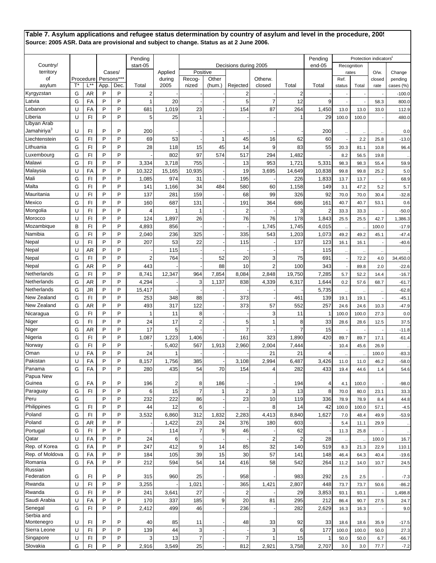|                         |    |                         |      |                      | Pending                 |                   |                  |        |                         |                |                 | Pending |                          |             | Protection indicators <sup>1</sup> |                      |
|-------------------------|----|-------------------------|------|----------------------|-------------------------|-------------------|------------------|--------|-------------------------|----------------|-----------------|---------|--------------------------|-------------|------------------------------------|----------------------|
| Country/<br>territory   |    |                         |      |                      | start-05                |                   | Positive         |        | Decisions during 2005   |                |                 | end-05  |                          | Recognition |                                    |                      |
| of                      |    | Procedure               |      | Cases/<br>Persons*** |                         | Applied<br>during |                  | Other  |                         | Otherw.        |                 |         | Ref.                     | rates       | $O/w$ .                            | Change               |
| asylum                  | T* | L*                      | App. | Dec.                 | Total                   | 2005              | Recog-<br>nized  | (hum.) | Rejected                | closed         | Total           | Total   | status                   | Total       | closed<br>rate                     | pending<br>cases (%) |
| Kyrgyzstan              | G  | <b>AR</b>               | P    | P                    | $\overline{\mathbf{c}}$ |                   |                  |        | $\overline{c}$          |                | $\overline{2}$  |         |                          |             |                                    | $-100.0$             |
| Latvia                  | G  | FA                      | P    | P                    | $\mathbf{1}$            | 20                |                  |        | 5                       | $\overline{7}$ | 12              | 9       |                          |             | 58.3                               | 800.0                |
| Lebanon                 | U  | FA                      | P    | P                    | 681                     |                   | 23               |        | 154                     | 87             |                 |         |                          |             |                                    |                      |
|                         |    |                         |      |                      |                         | 1,019             |                  |        |                         |                | 264             | 1,450   | 13.0                     | 13.0        | 33.0                               | 112.9                |
| Liberia<br>Libyan Arab  | U  | F1                      | P    | P                    | 5                       | 25                | 1                |        |                         |                | 1               | 29      | 100.0                    | 100.0       |                                    | 480.0                |
| Jamahiriya <sup>3</sup> | U  | FI                      | P    | P                    | 200                     |                   |                  |        |                         |                |                 | 200     |                          |             |                                    | 0.0                  |
| Liechtenstein           | G  | $\mathsf{F} \mathsf{I}$ | P    | P                    |                         | 53                |                  | -1     | 45                      | 16             | 62              |         | $\overline{\phantom{a}}$ |             |                                    |                      |
|                         |    |                         |      |                      | 69                      |                   |                  |        |                         |                |                 | 60      |                          | 2.2         | 25.8                               | $-13.0$              |
| Lithuania               | G  | F1                      | P    | P                    | 28                      | 118               | 15               | 45     | 14                      | 9              | 83              | 55      | 20.3                     | 81.1        | 10.8                               | 96.4                 |
| Luxembourg              | G  | FI                      | P    | P                    |                         | 802               | 97               | 574    | 517                     | 294            | 1,482           |         | 8.2                      | 56.5        | 19.8                               |                      |
| Malawi                  | G  | FI                      | P    | P                    | 3,334                   | 3,718             | 755              |        | 13                      | 953            | 1,721           | 5,331   | 98.3                     | 98.3        | 55.4                               | 59.9                 |
| Malaysia                | U  | FA                      | P    | P                    | 10,322                  | 15,165            | 10,935           |        | 19                      | 3,695          | 14,649          | 10,838  | 99.8                     | 99.8        | 25.2                               | 5.0                  |
| Mali                    | G  | FI                      | P    | P                    | 1,085                   | 974               | 31               |        | 195                     |                | 226             | 1,833   | 13.7                     | 13.7        |                                    | 68.9                 |
| Malta                   | G  | FI                      | P    | P                    | 141                     | 1,166             | 34               | 484    | 580                     | 60             | 1,158           | 149     | 3.1                      | 47.2        | 5.2                                | 5.7                  |
| Mauritania              | U  | F1                      | P    | P                    | 137                     | 281               | 159              |        | 68                      | 99             | 326             | 92      | 70.0                     | 70.0        | 30.4                               | $-32.8$              |
| Mexico                  | G  | F1                      | P    | P                    | 160                     | 687               | 131              |        | 191                     | 364            | 686             | 161     | 40.7                     | 40.7        | 53.1                               | 0.6                  |
| Mongolia                | U  | FI                      | P    | P                    | 4                       |                   | 1                |        | $\overline{2}$          |                | 3               | 2       | 33.3                     | 33.3        |                                    | $-50.0$              |
| Morocco                 | U  | FI                      | P    | P                    | 124                     | 1,897             | 26               |        | 76                      | 76             | 178             | 1,843   | 25.5                     | 25.5        | 42.7                               | 1,386.3              |
| Mozambique              | B  | $\mathsf{F} \mathsf{I}$ | P    | P                    | 4,893                   | 856               |                  |        |                         | 1,745          | 1,745           | 4,015   | $\ddot{\phantom{a}}$     | $\cdot$     | 100.0                              | $-17.9$              |
| Namibia                 | G  | F1                      | P    | P                    | 2,040                   | 236               | 325              |        | 335                     | 543            | 1,203           | 1,073   | 49.2                     | 49.2        | 45.1                               | $-47.4$              |
| Nepal                   | U  | FI                      | P    | P                    | 207                     | 53                | 22               |        | 115                     |                | 137             | 123     | 16.1                     | 16.1        |                                    | $-40.6$              |
| Nepal                   | U  | <b>AR</b>               | P    | P                    |                         | 115               |                  |        |                         |                |                 | 115     |                          |             |                                    |                      |
| Nepal                   | G  | FI                      | P    | P                    |                         | 764               |                  | 52     | 20                      | 3              | 75              | 691     | $\ddotsc$<br>÷,          | $\ddotsc$   | $\ddotsc$                          |                      |
|                         |    |                         | P    | P                    | $\overline{\mathbf{c}}$ |                   |                  |        |                         |                |                 |         |                          | 72.2        | 4.0                                | 34,450.0             |
| Nepal                   | G  | <b>AR</b>               |      |                      | 443                     |                   |                  | 88     | 10                      | $\overline{2}$ | 100             | 343     | $\overline{\phantom{a}}$ | 89.8        | 2.0                                | $-22.6$              |
| Netherlands             | G  | F1                      | P    | P                    | 8,741                   | 12,347            | 964              | 7,854  | 8,084                   | 2,848          | 19,750          | 7,285   | 5.7                      | 52.2        | 14.4                               | $-16.7$              |
| Netherlands             | G  | <b>AR</b>               | P    | P                    | 4,294                   |                   | 3                | 1,137  | 838                     | 4,339          | 6,317           | 1,644   | 0.2                      | 57.6        | 68.7                               | $-61.7$              |
| Netherlands             | G  | <b>JR</b>               | P    | P                    | 15,417                  |                   |                  |        |                         |                |                 | 5,735   | $\ddotsc$                |             |                                    | $-62.8$              |
| New Zealand             | G  | FI                      | P    | P                    | 253                     | 348               | 88               |        | 373                     |                | 461             | 139     | 19.1                     | 19.1        |                                    | $-45.1$              |
| New Zealand             | G  | AR                      | P    | P                    | 493                     | 317               | 122              |        | 373                     | 57             | 552             | 257     | 24.6                     | 24.6        | 10.3                               | $-47.9$              |
| Nicaragua               | G  | F1                      | P    | P                    | 1                       | 11                | 8                |        |                         | 3              | 11              | 1       | 100.0                    | 100.0       | 27.3                               | 0.0                  |
| Niger                   | G  | FI                      | P    | P                    | 24                      | 17                | $\overline{2}$   |        | 5                       | 1              | 8               | 33      | 28.6                     | 28.6        | 12.5                               | 37.5                 |
| Niger                   | G  | <b>AR</b>               | P    | P                    | 17                      | 5                 |                  |        | $\overline{7}$          |                | $\overline{7}$  | 15      |                          |             |                                    | $-11.8$              |
| Nigeria                 | G  | $\mathsf{F} \mathsf{I}$ | P    | P                    | 1,087                   | 1,223             | 1,406            |        | 161                     | 323            | 1,890           | 420     | 89.7                     | 89.7        | 17.1                               | $-61.4$              |
| Norway                  | G  | F1                      | P    | P                    |                         | 5,402             | 567              | 1,913  | 2,960                   | 2,004          | 7,444           |         | 10.4                     | 45.6        | 26.9                               |                      |
| Oman                    | U  | FA                      | P    | P                    | 24                      |                   |                  |        |                         | 21             | $\overline{21}$ |         |                          | ÷,          | 100.0                              | $-83.3$              |
| Pakistan                | U  | FA                      | P    | P                    | 8,157                   | 1,756             | 385              |        | 3,108                   | 2,994          | 6,487           | 3,426   | 11.0                     | 11.0        | 46.2                               | $-58.0$              |
| Panama                  | G  | FA                      | Þ    | P                    | 280                     | 435               | 54               | 70     | 154                     | 4              | 282             | 433     | 19.4                     | 44.6        | 1.4                                | 54.6                 |
| Papua New               |    |                         |      |                      |                         |                   |                  |        |                         |                |                 |         |                          |             |                                    |                      |
| Guinea                  | G  | FA                      | P    | P                    | 196                     | $\overline{2}$    | 8                | 186    |                         |                | 194             | 4       | 4.1                      | 100.0       |                                    | $-98.0$              |
| Paraguay                | G  | F1                      | P    | P                    | 6                       | 15                | $\overline{7}$   | 1      | $\overline{\mathbf{c}}$ | 3              | 13              | 8       | 70.0                     | 80.0        | 23.1                               | 33.3                 |
| Peru                    | G  |                         | P    | P                    | 232                     | 222               | 86               |        | 23                      | 10             | 119             | 336     | 78.9                     | 78.9        | 8.4                                | 44.8                 |
| Philippines             | G  | FI                      | P    | P                    | 44                      | 12                | 6                |        |                         | 8              | 14              | 42      | 100.0                    | 100.0       | 57.1                               | $-4.5$               |
| Poland                  | G  | F1                      | P    | P                    | 3,532                   | 6,860             | 312              | 1,832  | 2,283                   | 4,413          | 8,840           | 1,627   | 7.0                      | 48.4        | 49.9                               | $-53.9$              |
| Poland                  | G  | <b>AR</b>               | P    | P                    |                         | 1,422             | 23               | 24     | 376                     | 180            | 603             |         | 5.4                      | 11.1        | 29.9                               |                      |
| Portugal                | G  | F1                      | P    | P                    |                         | 114               | $\overline{7}$   | 9      | 46                      |                | 62              |         |                          | 25.8        |                                    |                      |
|                         |    |                         | P    | P                    |                         |                   |                  |        |                         | $\overline{2}$ |                 |         | 11.3                     |             |                                    |                      |
| Qatar                   | U  | FA                      |      |                      | 24                      | 6                 |                  |        |                         |                | $\overline{2}$  | 28      | $\ddotsc$                |             | 100.0                              | 16.7                 |
| Rep. of Korea           | G  | FA                      | P    | P                    | 247                     | 412               | 9                | 14     | 85                      | 32             | 140             | 519     | 8.3                      | 21.3        | 22.9                               | 110.1                |
| Rep. of Moldova         | G  | FA                      | P    | P                    | 184                     | 105               | 39               | 15     | 30                      | 57             | 141             | 148     | 46.4                     | 64.3        | 40.4                               | $-19.6$              |
| Romania                 | G  | FA                      | P    | P                    | 212                     | 594               | 54               | 14     | 416                     | 58             | 542             | 264     | 11.2                     | 14.0        | 10.7                               | 24.5                 |
| Russian                 |    |                         |      |                      |                         |                   |                  |        |                         |                |                 |         |                          |             |                                    |                      |
| Federation              | G  | FI                      | P    | P                    | 315                     | 960               | 25               |        | 958                     |                | 983             | 292     | 2.5                      | 2.5         |                                    | $-7.3$               |
| Rwanda                  | U  | $\mathsf{F} \mathsf{I}$ | P    | P                    | 3,255                   |                   | 1,021            |        | 365                     | 1,421          | 2,807           | 448     | 73.7                     | 73.7        | 50.6                               | $-86.2$              |
| Rwanda                  | G  | F1                      | P    | P                    | 241                     | 3,641             | 27               |        | $\overline{c}$          |                | 29              | 3,853   | 93.1                     | 93.1        |                                    | 1,498.8              |
| Saudi Arabia            | U  | FA                      | P    | P                    | 170                     | 337               | 185              | 9      | 20                      | 81             | 295             | 212     | 86.4                     | 90.7        | 27.5                               | 24.7                 |
| Senegal                 | G  | F1                      | P    | P                    | 2,412                   | 499               | 46               |        | 236                     |                | 282             | 2,629   | 16.3                     | 16.3        |                                    | 9.0                  |
| Serbia and              |    |                         |      |                      |                         |                   |                  |        |                         |                |                 |         |                          |             |                                    |                      |
| Montenegro              | U  | FI                      | P    | P                    | 40                      | 85                | 11               |        | 48                      | 33             | 92              | 33      | 18.6                     | 18.6        | 35.9                               | $-17.5$              |
| Sierra Leone            | U  | F1                      | P    | P                    | 139                     | 44                | 3                |        |                         | 3              | 6               | 177     | 100.0                    | 100.0       | 50.0                               | 27.3                 |
| Singapore               | U  | F1                      | P    | P                    | 3                       | 13                | $\boldsymbol{7}$ |        | 7                       | 1              | 15              | 1       | 50.0                     | 50.0        | 6.7                                | $-66.7$              |
| Slovakia                | G  | F1                      | P    | P                    | 2,916                   | 3,549             | 25               |        | 812                     | 2,921          | 3,758           | 2,707   | 3.0                      | 3.0         | 77.7                               | $-7.2$               |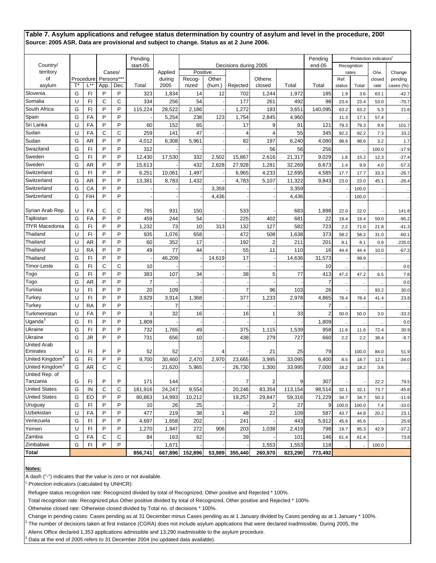|                                     |        |            |             |        | Pending      |                         |          |        |                       |                         |              | Pending     |             |             | Protection indicators <sup>1</sup> |                |
|-------------------------------------|--------|------------|-------------|--------|--------------|-------------------------|----------|--------|-----------------------|-------------------------|--------------|-------------|-------------|-------------|------------------------------------|----------------|
| Country/                            |        |            |             |        | start-05     |                         |          |        | Decisions during 2005 |                         |              | end-05      |             | Recognition |                                    |                |
| territory                           |        |            |             | Cases/ |              | Applied                 | Positive |        |                       |                         |              |             |             | rates       | $O/w$ .                            | Change         |
| of                                  |        | Procedure  | Persons***  |        |              | during                  | Recog-   | Other  |                       | Otherw.                 |              |             | Ref.        |             | closed                             | pending        |
| asylum                              |        | $L^{**}$   | App.        | Dec.   | Total        | 2005                    | nized    | (hum.) | Rejected              | closed                  | Total        | Total       | status      | Total       | rate                               | cases (%)      |
| Slovenia                            | G      | FI         | P           | P      | 323          | 1,834                   | 14       | 12     | 702                   | 1,244                   | 1,972        | 185         | 1.9         | 3.6         | 63.1                               | $-42.7$        |
| Somalia                             | U      | FI         | C           | C      | 334          | 256                     | 54       |        | 177                   | 261                     | 492          | 98          | 23.4        | 23.4        | 53.0                               | $-70.7$        |
| South Africa                        | G      | F1         | P           | P      | 115,224      | 28,522                  | 2,186    |        | 1,272                 | 193                     | 3,651        | 140,095     | 63.2        | 63.2        | 5.3                                | 21.6           |
| Spain                               | G      | FA         | P           | P      |              | 5,254                   | 238      | 123    | 1,754                 | 2,845                   | 4,960        |             | 11.3        | 17.1        | 57.4                               |                |
| Sri Lanka                           | U      | FA         | P           | P      | 60           | 152                     | 65       |        | 17                    | 9                       | 91           | 121         | 79.3        | 79.3        | 9.9                                | 101.7          |
| Sudan                               | U      | FA         | C           | C      | 259          | 141                     | 47       |        | 4                     | 4                       | 55           | 345         | 92.2        | 92.2        | 7.3                                | 33.2           |
| Sudan                               | G      | <b>AR</b>  | P           | P      | 4,012        | 6,308                   | 5,961    |        | 82                    | 197                     | 6,240        | 4,080       | 98.6        | 98.6        | 3.2                                | 1.7            |
| Swaziland                           | G      | FI         | P           | P      | 312          |                         |          |        |                       | 56                      | 56           | 256         |             |             | 100.0                              | $-17.9$        |
| Sweden                              | G      | FI         | P           | P      | 12,430       | 17,530                  | 332      | 2,502  | 15,867                | 2,616                   | 21,317       | 9,029       | 1.8         | 15.2        | 12.3                               | $-27.4$        |
| Sweden                              | G      | <b>AR</b>  | P           | P      | 15,613       |                         | 432      | 2,628  | 27,928                | 1,281                   | 32,269       | 6,673       | 1.4         | 9.9         | 4.0                                | $-57.3$        |
| Switzerland                         | G      | FI         | P           | P      | 6,251        | 10,061                  | 1,497    |        | 6,965                 | 4,233                   | 12,695       | 4,585       | 17.7        | 17.7        | 33.3                               | $-26.7$        |
| Switzerland                         | G      | <b>AR</b>  | P           | P      | 13,381       | 8,783                   | 1,432    |        | 4,783                 | 5,107                   | 11,322       | 9,843       | 23.0        | 23.0        | 45.1                               | $-26.4$        |
| Switzerland                         | G      | CA         | P           | P      |              |                         |          | 3,359  |                       |                         | 3,359        |             |             | 100.0       |                                    |                |
| Switzerland                         | G      | <b>FIH</b> | P           | P      |              |                         |          | 4,436  |                       |                         | 4,436        |             |             | 100.0       |                                    |                |
|                                     | U      | FA         | C           | C      |              |                         |          |        |                       |                         |              |             |             |             |                                    |                |
| Syrian Arab Rep.                    | G      |            | P           | P      | 785          | 931                     | 150      |        | 533                   |                         | 683          | 1,898       | 22.0        | 22.0        |                                    | 141.8          |
| Tajikistan<br><b>TfYR Macedonia</b> |        | FA         |             |        | 459          | 244                     | 54       |        | 225                   | 402                     | 681          | 22          | 19.4        | 19.4        | 59.0                               | $-95.2$        |
|                                     | G      | F1         | P<br>P      | P<br>P | 1,232        | 73                      | 10       | 313    | 132                   | 127                     | 582          | 723         | 2.2         | 71.0        | 21.8                               | $-41.3$        |
| Thailand<br>Thailand                | U      | FI         | P           | P      | 935          | 1,076                   | 658      |        | 472                   | 508                     | 1,638        | 373         | 58.2        | 58.2        | 31.0                               | $-60.1$        |
|                                     | U      | <b>AR</b>  | P           | P      | 60           | 352                     | 17       |        | 192                   | 2                       | 211          | 201         | 8.1         | 8.1         | 0.9                                | 235.0          |
| Thailand                            | U      | <b>RA</b>  |             |        | 49           | 77                      | 44       |        | 55                    | 11                      | 110          | 16          | 44.4        | 44.4        | 10.0                               | $-67.3$        |
| Thailand                            | G<br>G | FI<br>F1   | P<br>C      | P<br>C |              | 46,209                  |          | 14,619 | 17                    |                         | 14,636       | 31,573      |             | 99.9        |                                    |                |
| Timor-Leste                         | G      | F1         | P           | P      | 10<br>383    | 107                     | 34       |        | 38                    | 5                       | 77           | 10<br>413   |             |             |                                    | 0.0            |
| Togo                                | G      | <b>AR</b>  | P           | P      |              |                         |          |        |                       |                         |              | 7           | 47.2        | 47.2        | 6.5                                | 7.8            |
| Togo<br>Tunisia                     |        |            | P           | P      | 20           |                         |          |        | $\overline{7}$        | 96                      | 103          |             |             |             |                                    | 0.0            |
| Turkey                              | U<br>U | FI<br>FI   | P           | P      | 3,929        | 109                     | 1,368    |        | 377                   | 1,233                   |              | 26<br>4,865 |             |             | 93.2                               | 30.0           |
| Turkey                              | U      | <b>RA</b>  | P           | P      |              | 3,914<br>$\overline{7}$ |          |        |                       |                         | 2,978        | 7           | 78.4        | 78.4        | 41.4                               | 23.8           |
| Turkmenistan                        | U      | FA         | P           | P      | 3            | 32                      | 16       |        | 16                    |                         | 33           |             |             |             |                                    |                |
| $U$ ganda $3$                       | G      | F1         | P           | P      |              |                         |          |        |                       |                         |              |             | 50.0        | 50.0        | 3.0                                | $-33.3$        |
| <b>Ukraine</b>                      | G      | F1         | P           | P      | 1,809<br>732 |                         | 49       |        |                       |                         |              | 1,809       |             |             |                                    | 0.0            |
| Ukraine                             | G      | <b>JR</b>  | P           | P      | 731          | 1,765<br>656            | 10       |        | 375<br>438            | 1,115<br>279            | 1,539<br>727 | 958<br>660  | 11.6<br>2.2 | 11.6<br>2.2 | 72.4<br>38.4                       | 30.9<br>$-9.7$ |
| <b>United Arab</b>                  |        |            |             |        |              |                         |          |        |                       |                         |              |             |             |             |                                    |                |
| Emirates                            | U      | FI         | P           | P      | 52           | 52                      |          | 4      |                       | 21                      | 25           | 79          |             | 100.0       | 84.0                               | 51.9           |
| United Kingdom <sup>4</sup>         | G      | F1         | P           | P      | 9,700        | 30,460                  | 2,470    | 2,970  | 23,665                | 3,995                   | 33,095       | 6,400       | 8.5         | 18.7        | 12.1                               | $-34.0$        |
| United Kingdom <sup>4</sup>         | G      | <b>AR</b>  | C           | C      |              | 21,620                  | 5.965    |        | 26.730                | 1,300                   | 33,995       | 7,000       | 18.2        | 18.2        | 3.8                                |                |
| United Rep. of                      |        |            |             |        |              |                         |          |        |                       |                         |              |             |             |             |                                    |                |
| Tanzania                            | G      | FI         | P           | P      | 171          | 144                     |          |        | $\overline{7}$        | $\overline{2}$          | 9            | 307         |             |             | 22.2                               | 79.5           |
| <b>United States</b>                | G      | IN         | С           | С      | 181,916      | 24,247                  | 9,554    |        | 20,246                | 83,354                  | 113,154      | 98,514      | 32.1        | 32.1        | 73.7                               | $-45.8$        |
| <b>United States</b>                | G      | EO         | P           | P      | 80,863       | 14,993                  | 10,212   |        | 19,257                | 29,847                  | 59,316       | 71,229      | 34.7        | 34.7        | 50.3                               | $-11.9$        |
| Uruguay                             | G      | FI         | P           | P      | 10           | 26                      | 25       |        |                       | $\overline{\mathbf{c}}$ | 27           | 9           | 100.0       | 100.0       | 7.4                                | $-10.0$        |
| Uzbekistan                          | U      | FA         | P           | Ρ      | 477          | 219                     | 38       | 1      | 48                    | 22                      | 109          | 587         | 43.7        | 44.8        | 20.2                               | 23.1           |
| Venezuela                           | G      | FI         | P           | P      | 4,697        | 1,658                   | 202      |        | 241                   |                         | 443          | 5,912       | 45.6        | 45.6        |                                    | 25.9           |
| Yemen                               | U      | FI.        | P           | P      | 1,270        | 1,947                   | 272      | 906    | 203                   | 1,038                   | 2,419        | 798         | 19.7        | 85.3        | 42.9                               | $-37.2$        |
| Zambia                              | G      | FA         | $\mathsf C$ | С      | 84           | 163                     | 62       |        | 39                    |                         | 101          | 146         | 61.4        | 61.4        |                                    | 73.8           |
| Zimbabwe                            | G      | F1         | P           | P      |              | 1,671                   |          |        |                       | 1,553                   | 1,553        | 118         |             |             | 100.0                              |                |
| Total                               |        |            |             |        | 856,741      | 667,896                 | 152,896  | 53,989 | 355,440               | 260,970                 | 823,290      | 773,492     |             |             |                                    |                |

#### **Notes:**

2

3

A dash ("-") indicates that the value is zero or not available.

1 Protection indicators (calculated by UNHCR):

Refugee status recognition rate: Recognized divided by total of Recognized, Other positive and Rejected \* 100%.

Total recognition rate: Recognized plus Other positive divided by total of Recognized, Other positive and Rejected \* 100%.

Otherwise closed rate: Otherwise closed divided by Total no. of decisions \* 100%.

 Change in pending cases: Cases pending as at 31 December minus Cases pending as at 1 January divided by Cases pending as at 1 January \* 100%. The number of decisions taken at first instance (CGRA) does not include asylum applications that were declared inadmissible. During 2005, the

Aliens Office declared 1,353 applications admissible and 13,290 inadmissible to the asylum procedure.

Data at the end of 2005 refers to 31 December 2004 (no updated data available).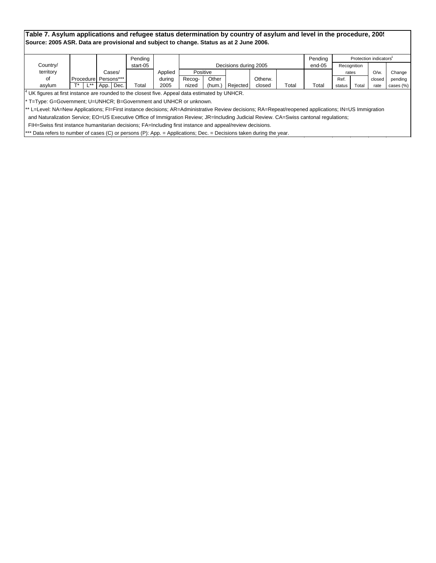|                                                                                                            |      |    |                      | Pending  |         |          |       |                       |         |       | Pending                |        |             | Protection indicators <sup>1</sup> |           |
|------------------------------------------------------------------------------------------------------------|------|----|----------------------|----------|---------|----------|-------|-----------------------|---------|-------|------------------------|--------|-------------|------------------------------------|-----------|
| Country/                                                                                                   |      |    |                      | start-05 |         |          |       | Decisions during 2005 |         |       | end-05                 |        | Recognition |                                    |           |
| territory                                                                                                  |      |    | Cases/               |          | Applied | Positive |       |                       |         |       |                        |        | rates       | $O/w$ .                            | Change    |
| of                                                                                                         |      |    | Procedure Persons*** |          | durina  | Recoa-   | Other |                       | Otherw. |       |                        | Ref.   |             | closed                             | pending   |
| asvlum                                                                                                     | $T*$ | ** | App. Dec.            | Total    | 2005    | nized    | (hum. | Rejected              | closed  | Total | $\tau$ <sub>otal</sub> | status | Total       | rate                               | cases (%) |
| <sup>4</sup> UK figures at first instance are rounded to the closest five. Appeal data estimated by UNHCR. |      |    |                      |          |         |          |       |                       |         |       |                        |        |             |                                    |           |
|                                                                                                            |      |    |                      |          |         |          |       |                       |         |       |                        |        |             |                                    |           |

T=Type: G=Government; U=UNHCR; B=Government and UNHCR or unknown.

\*\* L=Level: NA=New Applications; FI=First instance decisions; AR=Administrative Review decisions; RA=Repeat/reopened applications; IN=US Immigration

and Naturalization Service; EO=US Executive Office of Immigration Review; JR=Including Judicial Review. CA=Swiss cantonal regulations;

FIH=Swiss first instance humanitarian decisions; FA=Including first instance and appeal/review decisions.

\*\*\* Data refers to number of cases (C) or persons (P): App. = Applications; Dec. = Decisions taken during the year.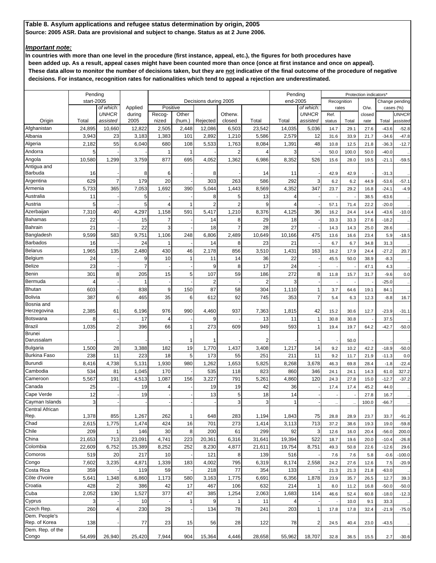### *Important note:*

|                                   | Pending      |                           |                   |                    |         |                       |                |                | Pending      |                           |              |              | Protection indicators' |                   |                           |
|-----------------------------------|--------------|---------------------------|-------------------|--------------------|---------|-----------------------|----------------|----------------|--------------|---------------------------|--------------|--------------|------------------------|-------------------|---------------------------|
|                                   | start-2005   |                           |                   |                    |         | Decisions during 2005 |                |                | end-2005     |                           |              | Recognition  |                        |                   | Change pending            |
|                                   |              | of which:<br><b>UNHCR</b> | Applied<br>during | Positive<br>Recog- | Other   |                       | Otherw.        |                |              | of which:<br><b>UNHCR</b> | Ref.         | rates        | $O/w$ .<br>closed      |                   | cases (%)<br><b>UNHCR</b> |
| Origin                            | Total        | assisted                  | 2005              | nized              | (hum.)  | Rejected              | closed         | Total          | Total        | assisted                  | status       | Total        | rate                   | Total             | assistec                  |
| Afghanistan                       | 24,895       | 10,660                    | 12,822            | 2,505              | 2,448   | 12,086                | 6,503          | 23,542         | 14,035       | 5,036                     | 14.7         | 29.1         | 27.6                   | $-43.6$           | $-52.8$                   |
| Albania                           | 3,943        | 23                        | 3,183             | 1,383              | 101     | 2,892                 | 1,210          | 5,586          | 2,579        | 12                        | 31.6         | 33.9         | 21.7                   | $-34.6$           | $-47.8$                   |
| Algeria                           | 2,182        | 55                        | 6,040             | 680                | 108     | 5,533                 | 1,763          | 8,084          | 1,391        | 48                        | 10.8         | 12.5         | 21.8                   | $-36.3$           | $-12.7$                   |
| Andorra                           | 5            |                           |                   |                    | f       |                       | 2              |                | 3            |                           | 50.0         | 100.0        | 50.0                   | $-40.0$           |                           |
| Angola                            | 10,580       | 1,299                     | 3,759             | 877                | 695     | 4,052                 | 1,362          | 6,986          | 8,352        | 526                       | 15.6         | 28.0         | 19.5                   | $-21.1$           | $-59.5$                   |
| Antigua and                       |              |                           |                   |                    |         |                       |                |                |              |                           |              |              |                        |                   |                           |
| Barbuda                           | 16           |                           | 8                 | 6                  |         | 8                     |                | 14             | 11           |                           | 42.9         | 42.9         |                        | $-31.3$           |                           |
| Argentina                         | 629          | $\overline{7}$            | 179               | 20                 |         | 303                   | 263            | 586            | 292          | 3                         | 6.2          | 6.2          | 44.9                   | $-53.6$           | $-57.1$                   |
| Armenia                           | 5,733        | 365                       | 7,053             | 1,692              | 390     | 5,044                 | 1,443          | 8,569          | 4,352        | 347                       | 23.7         | 29.2         | 16.8                   | $-24.1$           | $-4.9$                    |
| Australia                         | 11           |                           | 5                 |                    |         | 8                     | 5              | 13             | 4            |                           |              |              | 38.5                   | $-63.6$           |                           |
| Austria                           | 5            |                           | 5                 | 4                  |         | 2                     | $\overline{2}$ | 9              |              |                           | 57.1         | 71.4         | 22.2                   | $-20.0$           |                           |
| Azerbaijan                        | 7,310        | 40                        | 4,297             | 1,158              | 591     | 5,417                 | 1,210          | 8,376          | 4,125        | 36                        | 16.2         | 24.4         | 14.4                   | $-43.6$           | $-10.0$                   |
| <b>Bahamas</b><br>Bahrain         | 22           |                           | 15                | 7<br>3             |         | 14                    | 8              | 29             | 18           |                           | 33.3         | 33.3         | 27.6                   | $-18.2$           |                           |
| Bangladesh                        | 21<br>9,599  |                           | 22                |                    |         | 18                    | 7              | 28             | 27           |                           | 14.3         | 14.3         | 25.0                   | 28.6              |                           |
| Barbados                          | 16           | 583                       | 9,751<br>24       | 1,106<br>1         | 248     | 6,806<br>14           | 2,489<br>8     | 10,649<br>23   | 10,166<br>21 | 475                       | 13.6<br>6.7  | 16.6<br>6.7  | 23.4<br>34.8           | 5.9<br>31.3       | $-18.5$                   |
| <b>Belarus</b>                    | 1,965        | 135                       | 2,480             | 430                | 46      | 2,178                 | 856            | 3,510          | 1,431        | 163                       | 16.2         | 17.9         | 24.4                   | $-27.2$           | 20.7                      |
| Belgium                           | 24           |                           | 9                 | 10                 | 1       | 11                    | 14             | 36             | 22           |                           | 45.5         | 50.0         | 38.9                   | $-8.3$            |                           |
| <b>Belize</b>                     | 23           |                           | $\overline{7}$    |                    |         | 9                     | 8              | 17             | 24           |                           |              |              | 47.1                   | 4.3               |                           |
| Benin                             | 301          | 8                         | 205               | 15                 | 5       | 107                   | 59             | 186            | 272          | 8                         | 11.8         | 15.7         | 31.7                   | $-9.6$            | 0.0                       |
| Bermuda                           | 4            |                           | $\mathbf 1$       |                    |         | $\overline{2}$        |                | $\overline{2}$ | 3            |                           |              |              |                        | $-25.0$           |                           |
| <b>Bhutan</b>                     | 603          |                           | 838               | 9                  | 150     | 87                    | 58             | 304            | 1,110        | 1                         | 3.7          | 64.6         | 19.1                   | 84.1              |                           |
| <b>Bolivia</b>                    | 387          | 6                         | 465               | 35                 | 6       | 612                   | 92             | 745            | 353          | $\overline{7}$            | 5.4          | 6.3          | 12.3                   | $-8.8$            | 16.7                      |
| Bosnia and                        |              |                           |                   |                    |         |                       |                |                |              |                           |              |              |                        |                   |                           |
| Herzegovina                       | 2,385        | 61                        | 6,196             | 976                | 990     | 4,460                 | 937            | 7,363          | 1,815        | 42                        | 15.2         | 30.6         | 12.7                   | $-23.9$           | $-31.1$                   |
| <b>Botswana</b>                   | 8            |                           | 17                | 4                  |         | 9                     |                | 13             | 11           |                           | 30.8         | 30.8         |                        | 37.5              |                           |
| Brazil                            | 1,035        | $\overline{2}$            | 396               | 66                 | 1       | 273                   | 609            | 949            | 593          | 1                         | 19.4         | 19.7         | 64.2                   | $-42.7$           | $-50.0$                   |
| <b>Brunei</b>                     |              |                           |                   |                    |         |                       |                |                |              |                           |              |              |                        |                   |                           |
| Darussalam                        |              |                           |                   |                    | 1       |                       |                |                |              |                           |              | 50.0         |                        |                   |                           |
| Bulgaria<br><b>Burkina Faso</b>   | 1,500<br>238 | 28<br>11                  | 3,388<br>223      | 182<br>18          | 19<br>5 | 1,770<br>173          | 1,437<br>55    | 3,408<br>251   | 1,217<br>211 | 14<br>11                  | 9.2          | 10.2         | 42.2                   | $-18.9$           | $-50.0$                   |
| Burundi                           |              | 4,738                     |                   | 1,930              | 980     | 1,262                 | 1,653          |                | 8,268        | 3,678                     | 9.2          | 11.7         | 21.9                   | $-11.3$<br>$-1.8$ | 0.0                       |
| Cambodia                          | 8,416<br>534 | 81                        | 5,131<br>1,045    | 170                |         | 535                   | 118            | 5,825<br>823   | 860          | 346                       | 46.3<br>24.1 | 69.8<br>24.1 | 28.4<br>14.3           | 61.0              | $-22.4$<br>327.2          |
| Cameroon                          | 5,567        | 191                       | 4,513             | 1,087              | 156     | 3,227                 | 791            | 5,261          | 4,860        | 120                       | 24.3         | 27.8         | 15.0                   | $-12.7$           | $-37.2$                   |
| Canada                            | 25           |                           | 19                | 4                  |         | 19                    | 19             | 42             | 36           |                           | 17.4         | 17.4         | 45.2                   | 44.0              |                           |
| Cape Verde                        | 12           |                           | 19                |                    |         | 13                    | 5              | 18             | 14           |                           |              |              | 27.8                   | 16.7              |                           |
| Cayman Islands                    | 3            |                           |                   |                    |         |                       | 3              | 3              | 1            |                           |              |              | 100.0                  | $-66.7$           |                           |
| Central African                   |              |                           |                   |                    |         |                       |                |                |              |                           |              |              |                        |                   |                           |
| Rep.                              | 1,378        | 855                       | 1,267             | 262                | 1       | 648                   | 283            | 1,194          | 1,843        | 75                        | 28.8         | 28.9         | 23.7                   | 33.7              | $-91.2$                   |
| Chad                              | 2,615        | 1,775                     | 1,474             | 424                | 16      | 701                   | 273            | 1,414          | 3,113        | 713                       | 37.2         | 38.6         | 19.3                   | 19.0              | $-59.8$                   |
| Chile                             | 209          | 1                         | 146               | 30                 | 8       | 200                   | 61             | 299            | 92           | 3                         | 12.6         | 16.0         | 20.4                   | $-56.0$           | 200.0                     |
| China                             | 21,653       | 713                       | 23,091            | 4,741              | 223     | 20,361                | 6,316          | 31,641         | 19,394       | 522                       | 18.7         | 19.6         | 20.0                   | $-10.4$           | $-26.8$                   |
| Colombia                          | 22,609       | 6,752                     | 15,389            | 8,252              | 252     | 8,230                 | 4,877          | 21,611         | 19,754       | 8,751                     | 49.3         | 50.8         | 22.6                   | $-12.6$           | 29.6                      |
| Comoros                           | 519          | 20                        | 217               | 10                 |         | 121                   | 8              | 139            | 516          |                           | 7.6          | 7.6          | 5.8                    | $-0.6$            | $-100.0$                  |
| Congo                             | 7,602        | 3,235                     | 4,871             | 1,339              | 183     | 4,002                 | 795            | 6,319          | 8,174        | 2,558                     | 24.2         | 27.6         | 12.6                   | 7.5               | $-20.9$                   |
| Costa Rica                        | 359          |                           | 119               | 59                 |         | 218                   | 77             | 354            | 133          |                           | 21.3         | 21.3         | 21.8                   | $-63.0$           |                           |
| Côte d'Ivoire                     | 5,641        | 1,348                     | 6,860             | 1,173              | 580     | 3,163                 | 1,775          | 6,691          | 6,356        | 1,878                     | 23.9         | 35.7         | 26.5                   | 12.7              | 39.3                      |
| Croatia                           | 428          | $\overline{\mathbf{c}}$   | 386               | 42                 | 17      | 467                   | 106            | 632            | 214          |                           | 8.0          | 11.2         | 16.8                   | $-50.0$           | $-50.0$                   |
| Cuba                              | 2,052        | 130                       | 1,527             | 377                | 47      | 385                   | 1,254          | 2,063          | 1,683        | 114                       | 46.6         | 52.4         | 60.8                   | $-18.0$           | $-12.3$                   |
| Cyprus                            | 3            |                           | 10                |                    | 1       | 9                     | 1              | 11             | 4            |                           |              | 10.0         | 9.1                    | 33.3              |                           |
| Czech Rep.<br>Dem. People's       | 260          | 4                         | 230               | 29                 |         | 134                   | 78             | 241            | 203          | 1                         | 17.8         | 17.8         | 32.4                   | $-21.9$           | $-75.0$                   |
| Rep. of Korea<br>Dem. Rep. of the | 138          |                           | 77                | 23                 | 15      | 56                    | 28             | 122            | 78           | 2                         | 24.5         | 40.4         | 23.0                   | $-43.5$           |                           |
| Congo                             | 54,499       | 26,940                    | 25,420            | 7,944              | 904     | 15,364                | 4,446          | 28,658         | 55,962       | 18,707                    | 32.8         | 36.5         | 15.5                   | 2.7               | $-30.6$                   |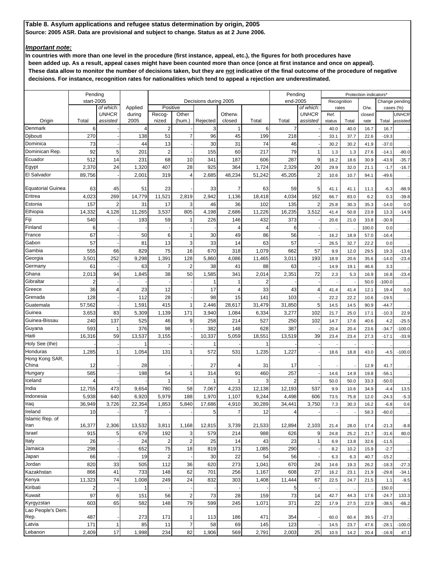### *Important note:*

|                          | Pending                 |                |                |                 |                |                       |                   |          | Pending        |                |           |             | Protection indicators' |          |                |
|--------------------------|-------------------------|----------------|----------------|-----------------|----------------|-----------------------|-------------------|----------|----------------|----------------|-----------|-------------|------------------------|----------|----------------|
|                          | start-2005              |                |                |                 |                | Decisions during 2005 |                   |          | end-2005       |                |           | Recognition |                        |          | Change pending |
|                          |                         | of which:      | Applied        | Positive        |                |                       |                   |          |                | of which:      | rates     |             | O/w.                   |          | cases (%)      |
| Origin                   | Total                   | <b>UNHCR</b>   | during<br>2005 | Recog-<br>nized | Other          |                       | Otherw.<br>closed | Total    | Total          | <b>UNHCR</b>   | Ref.      |             | closed                 |          | UNHCR          |
| Denmark                  | 6                       | assisted       | $\overline{4}$ | $\overline{c}$  | (hum.)         | Rejected<br>3         | $\mathbf 1$       | 6        | $\overline{7}$ | assisted       | status    | Total       | rate                   | Total    | assisted       |
| Djibouti                 | 270                     |                | 138            | 51              | $\overline{7}$ | 96                    | 45                | 199      | 218            |                | 40.0      | 40.0        | 16.7                   | 16.7     |                |
|                          | 73                      |                |                |                 |                |                       |                   |          |                |                | 33.1      | 37.7        | 22.6                   | $-19.3$  |                |
| Dominica                 |                         |                | 44             | 13              |                | 30                    | 31                | 74       | 46             |                | 30.2      | 30.2        | 41.9                   | $-37.0$  |                |
| Dominican Rep.           | 92                      | 5              | 201            | $\overline{c}$  |                | 155                   | 60                | 217      | 79             | 1              | 1.3       | 1.3         | 27.6                   | $-14.1$  | $-80.0$        |
| Ecuador                  | 512                     | 14             | 231            | 68              | 10             | 341                   | 187               | 606      | 287            | 9              | 16.2      | 18.6        | 30.9                   | $-43.9$  | $-35.7$        |
| Egypt                    | 2,370                   | 24             | 1,320          | 407             | 28             | 925                   | 364               | 1,724    | 2,329          | 20             | 29.9      | 32.0        | 21.1                   | $-1.7$   | $-16.7$        |
| El Salvador              | 89,756                  |                | 2,001          | 319             | $\overline{4}$ | 2,685                 | 48,234            | 51,242   | 45,205         | $\overline{2}$ | 10.6      | 10.7        | 94.1                   | $-49.6$  |                |
| <b>Equatorial Guinea</b> | 63                      | 45             | 51             | 23              |                | 33                    | 7                 | 63       | 59             | 5              | 41.1      | 41.1        | 11.1                   | $-6.3$   | $-88.9$        |
| Eritrea                  | 4,023                   | 269            | 14,779         | 11,521          | 2,819          | 2,942                 | 1,136             | 18,418   | 4,034          | 162            | 66.7      | 83.0        | 6.2                    | 0.3      | $-39.8$        |
| Estonia                  | 157                     | $\overline{2}$ | 31             | 17              | 3              | 46                    | 36                | 102      | 135            | 2              | 25.8      | 30.3        | 35.3                   | $-14.0$  | 0.0            |
| Ethiopia                 | 14,332                  | 4,128          | 11,265         | 3,537           | 805            | 4,198                 | 2,686             | 11,226   | 16,235         | 3,512          | 41.4      | 50.8        | 23.9                   | 13.3     | $-14.9$        |
| Fiji                     | 540                     |                | 193            | 59              |                | 226                   | 146               | 432      | 373            |                | 20.6      | 21.0        | 33.8                   | $-30.9$  |                |
| Finland                  | 6                       |                |                |                 |                |                       | 4                 | 4        | 6              |                |           |             | 100.0                  | 0.0      |                |
| France                   | 67                      |                | 50             | 6               | 1              | 30                    | 49                |          | 56             |                | ä,        |             |                        |          |                |
| Gabon                    | 57                      |                | 81             | 13              | 3              | 33                    | 14                | 86<br>63 | 57             |                | 16.2      | 18.9        | 57.0                   | $-16.4$  |                |
| Gambia                   | 555                     | 66             | 829            | 75              | 16             |                       |                   |          | 662            |                | 26.5      | 32.7        | 22.2                   | 0.0      |                |
|                          |                         |                |                |                 |                | 670                   | 318               | 1,079    |                | 57             | 9.9       | 12.0        | 29.5                   | 19.3     | $-13.6$        |
| Georgia                  | 3,501                   | 252            | 9,298          | 1,391           | 128            | 5,860                 | 4,086             | 11,465   | 3,011          | 193            | 18.9      | 20.6        | 35.6                   | $-14.0$  | $-23.4$        |
| Germany                  | 61                      |                | 63             | 7               | 2              | 38                    | 41                | 88       | 63             |                | 14.9      | 19.1        | 46.6                   | 3.3      |                |
| Ghana                    | 2,013                   | 94             | 1,845          | 38              | 50             | 1,585                 | 341               | 2,014    | 2,351          | 72             | 2.3       | 5.3         | 16.9                   | 16.8     | $-23.4$        |
| Gibraltar                | $\overline{2}$          |                |                |                 |                |                       | 1                 |          |                |                |           |             | 50.0                   | $-100.0$ |                |
| Greece                   | 36                      | 4              | 23             | 12              |                | 17                    | 4                 | 33       | 43             |                | 41.4      | 41.4        | 12.1                   | 19.4     | 0.0            |
| Grenada                  | 128                     |                | 112            | 28              |                | 98                    | 15                | 141      | 103            |                | 22.2      | 22.2        | 10.6                   | $-19.5$  |                |
| Guatemala                | 57,562                  |                | 1,591          | 415             | 1              | 2,446                 | 28,617            | 31,479   | 31,850         | 5              | 14.5      | 14.5        | 90.9                   | $-44.7$  |                |
| Guinea                   | 3,653                   | 83             | 5,309          | 1,139           | 171            | 3,940                 | 1,084             | 6,334    | 3,277          | 102            | 21.7      | 25.0        | 17.1                   | $-10.3$  | 22.9           |
| Guinea-Bissau            | 240                     | 137            | 525            | 46              | 9              | 258                   | 214               | 527      | 250            | 102            | 14.7      | 17.6        | 40.6                   | 4.2      | $-25.5$        |
| Guyana                   | 593                     | 1              | 376            | 98              |                | 382                   | 148               | 628      | 387            |                | 20.4      | 20.4        | 23.6                   | $-34.7$  | $-100.0$       |
| Haiti                    | 16,316                  | 59             | 13,537         | 3,155           |                | 10,337                | 5,059             | 18,551   | 13,519         | 39             | 23.4      | 23.4        | 27.3                   | $-17.1$  | $-33.9$        |
| Holy See (the)           |                         |                | 1              |                 |                |                       |                   |          |                |                |           |             |                        |          |                |
| Honduras                 | 1,285                   | $\mathbf{1}$   | 1,054          | 131             | 1              | 572                   | 531               | 1,235    | 1,227          |                | 18.6      | 18.8        | 43.0                   | $-4.5$   | $-100.0$       |
| Hong Kong SAR,<br>China  | 12                      |                | 28             |                 |                | 27                    | 4                 | 31       | 17             |                |           |             | 12.9                   | 41.7     |                |
| Hungary                  | 585                     |                | 198            | 54              | 1              | 314                   | 91                | 460      | 257            |                | 14.6      | 14.9        | 19.8                   | $-56.1$  |                |
| Iceland                  | 4                       |                |                |                 |                |                       | 1                 | 3        | $\overline{2}$ |                | 50.0      | 50.0        | 33.3                   | $-50.0$  |                |
| India                    | 12,755                  | 473            | 9,654          | 780             | 58             | 7,067                 | 4,233             | 12,138   | 12,193         | 537            | 9.9       | 10.6        | 34.9                   | $-4.4$   | 13.5           |
| Indonesia                | 5,938                   | 640            | 6,920          | 5,979           | 188            | 1,970                 | 1,107             | 9,244    | 4,498          | 606            | 73.5      | 75.8        | 12.0                   | $-24.3$  | $-5.3$         |
| Iraq                     | 36,949                  | 3,726          | 22,354         | 1,853           | 5,840          | 17,686                | 4,910             | 30,289   | 34,441         | 3,750          | 7.3       | 30.3        | 16.2                   | $-6.8$   | 0.6            |
| Ireland                  | 10                      |                | $\overline{7}$ |                 |                | 5 <sub>l</sub>        | 7                 | 12       | $\overline{4}$ |                |           |             | 58.3                   | $-60.0$  |                |
| Islamic Rep. of          |                         |                |                |                 |                |                       |                   |          |                |                |           |             |                        |          |                |
| Iran                     | 16,377                  | 2,306          | 13,532         | 3,811           | 1,168          | 12,815                | 3,739             | 21,533   | 12,894         | 2,103          | 21.4      | 28.0        | 17.4                   | $-21.3$  | $-8.8$         |
| Israel                   | 915                     | 5              | 679            | 192             | 3              | 579                   | 214               | 988      | 626            | 9              | 24.8      | 25.2        | 21.7                   | $-31.6$  | 80.0           |
| Italy                    | 26                      |                | 24             | $\overline{c}$  | $\overline{2}$ | 25                    | 14                | 43       | 23             | 1              | 6.9       | 13.8        | 32.6                   | $-11.5$  |                |
| Jamaica                  | 298                     |                | 652            | 75              | 18             | 819                   | 173               | 1,085    | 290            |                | 8.2       | 10.2        | 15.9                   | $-2.7$   |                |
| Japan                    | 66                      |                | 19             | $\overline{2}$  |                | 30                    | 22                | 54       | 56             |                | 6.3       | 6.3         | 40.7                   | $-15.2$  |                |
| Jordan                   | 820                     | 33             | 505            | 112             | 36             | 620                   | 273               | 1,041    | 670            | 24             | 14.6      | 19.3        | 26.2                   | $-18.3$  | $-27.3$        |
| Kazakhstan               | 866                     | 41             | 733            | 148             | 62             | 701                   | 256               | 1,167    | 608            | 27             | 16.2      | 23.1        | 21.9                   | $-29.8$  | $-34.1$        |
| Kenya                    | 11,323                  | 74             | 1,008          | 249             | 24             | 832                   | 303               | 1,408    | 11,444         | 67             | 22.5      | 24.7        | 21.5                   | 1.1      | $-9.5$         |
| Kiribati                 | $\overline{\mathbf{c}}$ |                | 1              |                 |                |                       |                   |          | 5              |                | $\ddotsc$ |             |                        | 150.0    |                |
| Kuwait                   | 97                      | 6              | 151            | 56              | $\overline{2}$ | 73                    | 28                | 159      | 73             | 14             | 42.7      | 44.3        | 17.6                   | $-24.7$  | 133.3          |
| Kyrgyzstan               | 603                     | 65             | 582            | 148             | 79             | 599                   | 245               | 1,071    | 371            | 22             | 17.9      | 27.5        | 22.9                   | $-38.5$  | $-66.2$        |
| Lao People's Dem.        |                         |                |                |                 |                |                       |                   |          |                |                |           |             |                        |          |                |
| Rep.                     | 487                     |                | 273            | 171             | 1              | 113                   | 186               | 471      | 354            |                | 60.0      | 60.4        | 39.5                   | $-27.3$  |                |
| Latvia                   | 171                     | 1              | 85             | 11              | $\overline{7}$ | 58                    | 69                | 145      | 123            |                | 14.5      | 23.7        | 47.6                   | $-28.1$  | $-100.0$       |
| Lebanon                  | 2,409                   | 17             | 1,998          | 234             | 82             | 1,906                 | 569               | 2,791    | 2,003          | 25             | 10.5      | 14.2        | 20.4                   | $-16.9$  | 47.1           |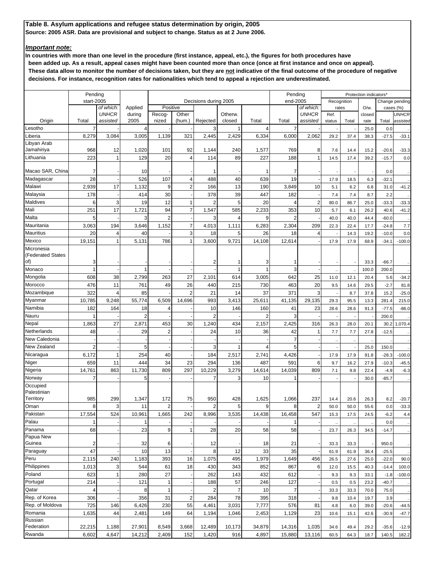### *Important note:*

|                          | Pending        |                          |                |                 |                |                       |                   |                | Pending        |                |        |             | Protection indicators' |         |                |
|--------------------------|----------------|--------------------------|----------------|-----------------|----------------|-----------------------|-------------------|----------------|----------------|----------------|--------|-------------|------------------------|---------|----------------|
|                          | start-2005     |                          |                |                 |                | Decisions during 2005 |                   |                | end-2005       |                |        | Recognition |                        |         | Change pending |
|                          |                | of which:                | Applied        | Positive        |                |                       |                   |                |                | of which:      |        | rates       | $O/w$ .                |         | cases (%)      |
| Origin                   | Total          | <b>UNHCR</b><br>assisted | during<br>2005 | Recog-<br>nized | Other          | Rejected              | Otherw.<br>closed | Total          | Total          | <b>UNHCR</b>   | Ref.   |             | closed                 | Total   | <b>UNHCR</b>   |
| Lesotho                  | $\overline{7}$ |                          | $\overline{4}$ |                 | (hum.)         | 3                     | 1                 | $\overline{4}$ | $\overline{7}$ | assisted       | status | Total       | rate<br>25.0           | 0.0     | assisted       |
| Liberia                  | 8,279          | 3,084                    | 3,005          | 1,139           | 321            | 2,445                 | 2,429             | 6,334          | 6,000          | 2,062          | 29.2   | 37.4        | 38.3                   | $-27.5$ | $-33.1$        |
| Libyan Arab              |                |                          |                |                 |                |                       |                   |                |                |                |        |             |                        |         |                |
| Jamahiriya               | 968            | 12                       | 1,020          | 101             | 92             | 1,144                 | 240               | 1,577          | 769            | 8              | 7.6    | 14.4        | 15.2                   | $-20.6$ | $-33.3$        |
| Lithuania                | 223            | 1                        | 129            | 20              | 4              | 114                   | 89                | 227            | 188            |                | 14.5   | 17.4        | 39.2                   | $-15.7$ | 0.0            |
|                          |                |                          |                |                 |                |                       |                   |                |                |                |        |             |                        |         |                |
| Macao SAR, China         | 7              |                          | 10             |                 |                |                       |                   | 1              | 7              |                |        |             |                        | 0.0     |                |
| Madagascar               | 28             |                          | 526            | 107             | 4              | 488                   | 40                | 639            | 19             |                | 17.9   | 18.5        | 6.3                    | $-32.1$ |                |
| Malawi                   | 2,939          | 17                       | 1,132          | 9               | 2              | 166                   | 13                | 190            | 3,849          | 10             | 5.1    | 6.2         | 6.8                    | 31.0    | $-41.2$        |
| Malaysia                 | 178            |                          | 414            | 30              |                | 378                   | 39                | 447            | 182            |                | 7.4    | 7.4         | 8.7                    | 2.2     |                |
| Maldives                 | 6              | 3                        | 19             | 12              | 1              | 2                     | 5                 | 20             | 4              | $\overline{2}$ | 80.0   | 86.7        | 25.0                   | $-33.3$ | $-33.3$        |
| Mali                     | 251            | 17                       | 1,721          | 94              | $\overline{7}$ | 1,547                 | 585               | 2,233          | 353            | 10             | 5.7    | 6.1         | 26.2                   | 40.6    | $-41.2$        |
| Malta                    | 5              |                          | 3              | $\overline{2}$  |                | 3                     | 4                 | 9              | 2              |                | 40.0   | 40.0        | 44.4                   | $-60.0$ |                |
| Mauritania               | 3,063          | 194                      | 3,646          | 1,152           | 7              | 4,013                 | 1,111             | 6,283          | 2,304          | 209            | 22.3   | 22.4        | 17.7                   | $-24.8$ | 7.7            |
| <b>Mauritius</b>         | 20             | 4                        | 40             |                 | 3              | 18                    | 5                 | 26             | 18             | 4              |        | 14.3        | 19.2                   | $-10.0$ | 0.0            |
| Mexico                   | 19,151         | $\mathbf{1}$             | 5,131          | 786             | $\mathbf{1}$   | 3,600                 | 9,721             | 14,108         | 12,614         |                | 17.9   | 17.9        | 68.9                   | $-34.1$ | $-100.0$       |
| Micronesia               |                |                          |                |                 |                |                       |                   |                |                |                |        |             |                        |         |                |
| <b>(Federated States</b> |                |                          |                |                 |                |                       |                   |                |                |                |        |             |                        |         |                |
| of)                      | 3              |                          |                |                 |                | 2                     | 1                 | 3              |                |                |        |             | 33.3                   | $-66.7$ |                |
| Monaco                   | 1              |                          | 1              |                 |                |                       | 1                 | 1              | 3              |                |        |             | 100.0                  | 200.0   |                |
| Mongolia                 | 608            | 38                       | 2,799          | 263             | 27             | 2,101                 | 614               | 3,005          | 642            | 25             | 11.0   | 12.1        | 20.4                   | 5.6     | $-34.2$        |
| Morocco                  | 476            | 11                       | 761            | 49              | 26             | 440                   | 215               | 730            | 463            | 20             | 9.5    | 14.6        | 29.5                   | $-2.7$  | 81.8           |
| Mozambique               | 322            | 4                        | 85             |                 | $\overline{2}$ | 21                    | 14                | 37             | 371            | 3              |        | 8.7         | 37.8                   | 15.2    | $-25.0$        |
| Myanmar                  | 10,785         | 9,248                    | 55,774         | 6,509           | 14,696         | 993                   | 3,413             | 25,611         | 41,135         | 29,135         | 29.3   | 95.5        | 13.3                   | 281.4   | 215.0          |
| Namibia                  | 182            | 164                      | 18             | 4               |                | 10                    | 146               | 160            | 41             | 23             | 28.6   | 28.6        | 91.3                   | $-77.5$ | $-86.0$        |
| Nauru                    | 1              |                          | $\overline{2}$ |                 |                | 2                     |                   | 2              | 3              |                |        |             |                        | 200.0   |                |
| Nepal                    | 1,863          | 27                       | 2,871          | 453             | 30             | 1,240                 | 434               | 2,157          | 2,425          | 316            | 26.3   | 28.0        | 20.1                   | 30.2    | 1,070.4        |
| Netherlands              | 48             |                          | 29             | $\overline{2}$  |                | 24                    | 10                | 36             | 42             |                | 7.7    | 7.7         | 27.8                   | $-12.5$ |                |
| New Caledonia            |                |                          |                |                 |                |                       |                   |                | 7              |                |        |             |                        |         |                |
| New Zealand              | 2              |                          | 5              |                 |                | 3                     | 1                 | 4              | 5              |                |        |             | 25.0                   | 150.0   |                |
| Nicaragua                | 6,172          | 1                        | 254            | 40              |                | 184                   | 2,517             | 2,741          | 4,426          |                | 17.9   | 17.9        | 91.8                   | $-28.3$ | $-100.0$       |
| Niger                    | 659            | 11                       | 444            | 34              | 23             | 294                   | 136               | 487            | 591            | 6              | 9.7    | 16.2        | 27.9                   | $-10.3$ | $-45.5$        |
| Nigeria                  | 14,761         | 863                      | 11,730         | 809             | 297            | 10,229                | 3,279             | 14,614         | 14,039         | 809            | 7.1    | 9.8         | 22.4                   | $-4.9$  | $-6.3$         |
| Norway                   | $\overline{7}$ |                          | 5              |                 |                | 7                     | 3                 | 10             | $\mathbf{1}$   |                |        |             | 30.0                   | $-85.7$ |                |
| Occupied                 |                |                          |                |                 |                |                       |                   |                |                |                |        |             |                        |         |                |
| Palestinian              |                |                          |                |                 |                |                       |                   |                |                |                |        |             |                        |         |                |
| Territory                | 985            | 299                      | 1,347          | 172             | 75             | 950                   | 428               | 1,625          | 1,066          | 237            | 14.4   | 20.6        | 26.3                   | 8.2     | $-20.7$        |
| Oman                     | 8              | 3                        | 11             | $\overline{2}$  |                | $\mathcal{P}$         | 5                 | $\overline{9}$ | 8              | $\overline{2}$ | 50.0   | 50.0        | 55.6                   | 0.0     | $-33.3$        |
| Pakistan                 | 17,554         | 524                      | 10,961         | 1,665           | 242            | 8,996                 | 3,535             | 14,438         | 16,458         | 547            | 15.3   | 17.5        | 24.5                   | $-6.2$  | 4.4            |
| Palau                    | 1              |                          |                |                 |                |                       |                   |                |                |                |        |             |                        | 0.0     |                |
| Panama                   | 68             |                          | 23             | 9               | 1              | 28                    | 20                | 58             | 58             |                | 23.7   | 26.3        | 34.5                   | $-14.7$ | $\cdot\cdot$   |
| Papua New<br>Guinea      | 2              |                          | 32             | 6               |                | 12                    |                   | 18             | 21             |                | 33.3   | 33.3        |                        | 950.0   |                |
| Paraguay                 | 47             |                          | 10             | 13              |                | 8                     | 12                | 33             | 35             |                | 61.9   | 61.9        | 36.4                   | $-25.5$ |                |
| Peru                     | 2,115          | 240                      | 1,183          | 393             | 16             | 1,075                 | 495               | 1,979          | 1,649          | 456            | 26.5   | 27.6        | 25.0                   | $-22.0$ | 90.0           |
| Philippines              | 1,013          | 3                        | 544            | 61              | 18             | 430                   | 343               | 852            | 867            | 6              | 12.0   | 15.5        | 40.3                   | $-14.4$ | 100.0          |
| Poland                   | 623            | $\mathbf{1}$             | 280            | 27              |                | 262                   | 143               | 432            | 612            |                | 9.3    | 9.3         | 33.1                   | $-1.8$  | $-100.0$       |
| Portugal                 | 214            |                          | 121            | 1               |                | 188                   | 57                | 246            | 127            |                | 0.5    | 0.5         | 23.2                   | $-40.7$ |                |
| Qatar                    | $\overline{4}$ |                          | 8              | 1               |                | $\overline{2}$        | 7                 | 10             | $\overline{7}$ |                | 33.3   | 33.3        | 70.0                   | 75.0    |                |
| Rep. of Korea            | 306            |                          | 356            | 31              | $\overline{2}$ | 284                   | 78                | 395            | 318            |                | 9.8    | 10.4        | 19.7                   | 3.9     |                |
| Rep. of Moldova          | 725            | 146                      | 6,426          | 230             | 55             | 4,461                 | 3,031             | 7,777          | 576            | 81             | 4.8    | 6.0         | 39.0                   | $-20.6$ | $-44.5$        |
| Romania                  | 1,635          | 44                       | 2,481          | 149             | 64             | 1,194                 | 1,046             | 2,453          | 1,129          | 23             | 10.6   | 15.1        | 42.6                   | $-30.9$ | $-47.7$        |
| Russian                  |                |                          |                |                 |                |                       |                   |                |                |                |        |             |                        |         |                |
| Federation               | 22,215         | 1,188                    | 27,901         | 8,549           | 3,668          | 12,489                | 10,173            | 34,879         | 14,316         | 1,035          | 34.6   | 49.4        | 29.2                   | $-35.6$ | $-12.9$        |
| Rwanda                   | 6,602          | 4,647                    | 14,212         | 2,409           | 152            | 1,420                 | 916               | 4,897          | 15,880         | 13,116         | 60.5   | 64.3        | 18.7                   | 140.5   | 182.2          |
|                          |                |                          |                |                 |                |                       |                   |                |                |                |        |             |                        |         |                |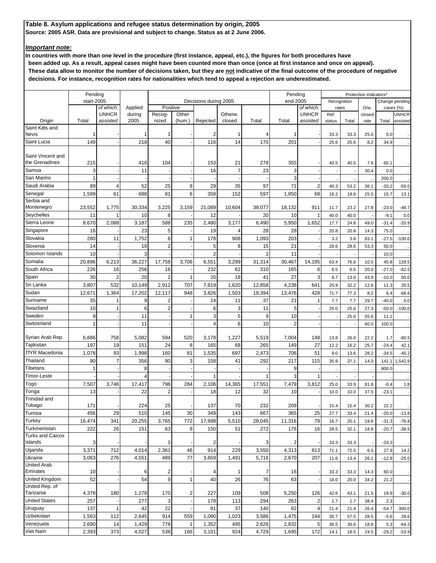## *Important note:*

|                            | Pending    |                           |                |                         |                |                       |                      |         | Pending              |                           |           |             | Protection indicators' |                  |                          |
|----------------------------|------------|---------------------------|----------------|-------------------------|----------------|-----------------------|----------------------|---------|----------------------|---------------------------|-----------|-------------|------------------------|------------------|--------------------------|
|                            | start-2005 |                           |                |                         |                | Decisions during 2005 |                      |         | end-2005             |                           |           | Recognition |                        |                  | Change pending           |
|                            |            | of which:<br><b>UNHCR</b> | Applied        | Positive                | Other          |                       | Otherw.              |         |                      | of which:<br><b>UNHCR</b> | Ref.      | rates       | O/w.                   | cases (%)        |                          |
| Origin                     | Total      | assisted                  | during<br>2005 | Recog-<br>nized         | (hum.)         | Rejected              | closed               | Total   | Total                | assisted                  | status    | Total       | closed<br>rate         | Total            | <b>UNHCR</b><br>assisted |
| Saint Kitts and<br>Nevis   | 1          |                           | 1              | 1                       |                | $\overline{2}$        | 1                    | Δ       | 1                    |                           | 33.3      | 33.3        | 25.0                   | 0.0              |                          |
| Saint Lucia                | 149        |                           | 218            | 40                      |                | 116                   | 14                   | 170     | 201                  |                           | 25.6      | 25.6        | 8.2                    | 34.9             |                          |
|                            |            |                           |                |                         |                |                       |                      |         |                      |                           |           |             |                        |                  |                          |
| Saint Vincent and          |            |                           |                |                         |                |                       |                      |         |                      |                           |           |             |                        |                  |                          |
| the Grenadines<br>Samoa    | 215<br>3   |                           | 418<br>11      | 104                     |                | 153                   | 21<br>$\overline{7}$ | 278     | 355                  |                           | 40.5      | 40.5        | 7.6                    | 65.1             |                          |
| San Marino                 | 1          |                           |                |                         |                | 16                    |                      | 23      | 3<br>3               |                           |           |             | 30.4                   | 0.0              |                          |
| Saudi Arabia               | 89         | $\overline{4}$            | 52             | 25                      | 8              | 29                    | 35                   | 97      | 71                   | $\overline{2}$            | 40.3      | 53.2        | 36.1                   | 200.0<br>$-20.2$ | $-50.0$                  |
| Senegal                    | 1,599      | 61                        | 688            | 81                      | 6              | 358                   | 152                  | 597     | 1,850                | 69                        | 18.2      | 19.6        | 25.5                   | 15.7             | 13.1                     |
| Serbia and                 |            |                           |                |                         |                |                       |                      |         |                      |                           |           |             |                        |                  |                          |
| Montenegro                 | 23,552     | 1,775                     | 30,334         | 3,225                   | 3,159          | 21,089                | 10,604               | 38,077  | 18,132               | 911                       | 11.7      | 23.2        | 27.8                   | $-23.0$          | $-48.7$                  |
| Seychelles                 | 11         | 1                         | 10             | 8                       |                | 12                    |                      | 20      | 10                   | 1                         | 40.0      | 40.0        |                        | $-9.1$           | 0.0                      |
| Sierra Leone               | 8,670      | 2,088                     | 3,187          | 588                     | 235            | 2,490                 | 3,177                | 6,490   | 5,950                | 1,652                     | 17.7      | 24.8        | 49.0                   | $-31.4$          | $-20.9$                  |
| Singapore                  | 16         |                           | 23             | 5                       |                | 19                    | 4                    | 28      | 28                   |                           | 20.8      | 20.8        | 14.3                   | 75.0             |                          |
| Slovakia                   | 280        | 11                        | 1,752          | 6                       |                | 178                   | 908                  | 1,093   | 203                  |                           | 3.2       | 3.8         | 83.1                   | $-27.5$          | $-100.0$                 |
| Slovenia                   | 14         |                           | 18             | $\overline{2}$          |                | 5                     | 8                    | 15      | 21                   |                           | 28.6      | 28.6        | 53.3                   | 50.0             |                          |
| Solomon Islands            | 10         |                           | 3              |                         |                | 2                     |                      | 2       | 11                   |                           |           |             |                        | 10.0             |                          |
| Somalia                    | 20.896     | 6,213                     | 36,227         | 17,758                  | 3,706          | 6,551                 | 3,299                | 31,314  | 30,467               | 14,195                    | 63.4      | 76.6        | 10.5                   | 45.8             | 128.5                    |
| South Africa               | 226        | 16                        | 256            | 16                      |                | 232                   | 62                   | 310     | 165                  | 6                         | 6.5       | 6.5         | 20.0                   | $-27.0$          | $-62.5$                  |
| Spain                      | 30         | $\overline{2}$            | 20             | $\overline{2}$          |                | 20                    | 18                   | 41      | 27                   | 3                         | 8.7       | 13.0        | 43.9                   | $-10.0$          | 50.0                     |
| Sri Lanka                  | 3,807      | 532                       | 10,149         | 2,912                   | 707            | 7,619                 | 1,620                | 12,858  | 4,238                | 641                       | 25.9      | 32.2        | 12.6                   | 11.3             | 20.5                     |
| Sudan                      | 12,671     | 1,364                     | 17,202         | 12,117                  | 948            | 3,826                 | 1,503                | 18,394  | 13,476               | 428                       | 71.7      | 77.3        | 8.2                    | 6.4              | $-68.6$                  |
| Suriname                   | 35         | 1                         | 9              | $\overline{\mathbf{c}}$ |                | 24                    | 11                   | 37      | 21                   | 1                         | 7.7       | 7.7         | 29.7                   | $-40.0$          | 0.0                      |
| Swaziland<br>Sweden        | 10         | 1                         | 6              | $\overline{2}$          | 1              | 6                     | 3<br>5               | 11      | 5                    |                           | 25.0      | 25.0        | 27.3                   | $-50.0$          | $-100.0$                 |
| Switzerland                | 9<br>1     |                           | 11<br>11       |                         |                | 3<br>4                | 6                    | 9<br>10 | 10<br>$\overline{2}$ |                           |           | 25.0        | 55.6<br>60.0           | 11.1<br>100.0    |                          |
|                            |            |                           |                |                         |                |                       |                      |         |                      |                           |           |             |                        |                  |                          |
| Syrian Arab Rep.           | 6,886      | 758                       | 5,082          | 594                     | 520            | 3,178                 | 1,227                | 5,519   | 7,004                | 148                       | 13.8      | 26.0        | 22.2                   | 1.7              | $-80.5$                  |
| Tajikistan                 | 197        | 19                        | 151            | 24                      | 8              | 165                   | 68                   | 265     | 149                  | 27                        | 12.2      | 16.2        | 25.7                   | $-24.4$          | 42.1                     |
| TfYR Macedonia             | 1,078      | 93                        | 1,998          | 160                     | 81             | 1,535                 | 697                  | 2,473   | 706                  | 51                        | 9.0       | 13.6        | 28.2                   | $-34.5$          | $-45.2$                  |
| Thailand                   | 90         | 7                         | 356            | 90                      | 3              | 158                   | 41                   | 292     | 217                  | 115                       | 35.9      | 37.1        | 14.0                   | 141.1            | 1,542.9                  |
| <b>Tibetans</b>            | 1          |                           | 8              |                         |                |                       |                      |         | 9                    |                           | $\ddotsc$ | $\ddotsc$   |                        | 800.0            |                          |
| Timor-Leste                |            |                           | 4              |                         |                |                       |                      |         | 3                    |                           |           |             |                        |                  |                          |
| Togo                       | 7,507      | 3,746                     | 17,417         | 796                     | 284            | 2,106                 | 14,365               | 17,551  | 7,479                | 3,812                     | 25.0      | 33.9        | 81.8                   | $-0.4$           | 1.8                      |
| Tonga                      | 13         |                           | 22             | 2                       |                | 18                    | 12                   | 32      | 10                   |                           | 10.0      | 10.0        | 37.5                   | $-23.1$          |                          |
| Trinidad and<br>Tobago     | 171        |                           | 224            | 25                      |                | 137                   | 70                   | 232     | 209                  |                           | 15.4      | 15.4        | 30.2                   | 22.2             |                          |
| Tunisia                    | 456        | 29                        | 510            | 145                     | 30             | 349                   | 143                  | 667     | 365                  | 25                        | 27.7      | 33.4        | 21.4                   | $-20.0$          | $-13.8$                  |
| Turkey                     | 16,474     | 341                       | 20,255         | 3,765                   | 772            | 17,998                | 5,510                | 28,045  | 11,316               | 79                        | 16.7      | 20.1        | 19.6                   | $-31.3$          | $-76.8$                  |
| Turkmenistan               | 222        | 26                        | 151            | 63                      | 8              | 150                   | 51                   | 272     | 176                  | 16                        | 28.5      | 32.1        | 18.8                   | $-20.7$          | $-38.5$                  |
| <b>Turks and Caicos</b>    |            |                           |                |                         |                |                       |                      |         |                      |                           |           |             |                        |                  |                          |
| Islands                    | 3          |                           |                |                         |                | 2                     |                      | 3       | $\overline{2}$       |                           | 33.3      | 33.3        |                        | $-33.3$          |                          |
| Uganda                     | 3,371      | 712                       | 4,014          | 2,361                   | 46             | 914                   | 229                  | 3,550   | 4,313                | 813                       | 71.1      | 72.5        | 6.5                    | 27.9             | 14.2                     |
| Ukraine                    | 3,063      | 276                       | 4,551          | 489                     | 77             | 3,659                 | 1,491                | 5,716   | 2,670                | 207                       | 11.6      | 13.4        | 26.1                   | $-12.8$          | $-25.0$                  |
| United Arab                |            |                           |                |                         |                |                       |                      |         |                      |                           |           |             |                        |                  |                          |
| Emirates<br>United Kingdom | 10<br>52   |                           | 6<br>54        | 2<br>9                  | 1              | 40                    | 1<br>26              | 7<br>76 | 16                   |                           | 33.3      | 33.3        | 14.3<br>34.2           | 60.0             |                          |
| United Rep. of             |            |                           |                |                         |                |                       |                      |         | 63                   |                           | 18.0      | 20.0        |                        | 21.2             |                          |
| Tanzania                   | 4,378      | 180                       | 1,278          | 170                     | $\overline{2}$ | 227                   | 109                  | 508     | 5,250                | 126                       | 42.6      | 43.1        | 21.5                   | 19.9             | $-30.0$                  |
| <b>United States</b>       | 257        |                           | 277            | 3                       |                | 178                   | 113                  | 294     | 263                  | $\overline{2}$            | 1.7       | 1.7         | 38.4                   | 2.3              |                          |
| Uruguay                    | 137        | 1                         | 42             | 22                      |                | 81                    | 37                   | 140     | 62                   | 4                         | 21.4      | 21.4        | 26.4                   | $-54.7$          | 300.0                    |
| Uzbekistan                 | 1,563      | 112                       | 2,645          | 914                     | 559            | 1,090                 | 1,023                | 3,586   | 1,475                | 144                       | 35.7      | 57.5        | 28.5                   | $-5.6$           | 28.6                     |
| Venezuela                  | 2,690      | 14                        | 1,429          | 778                     |                | 1,352                 | 495                  | 2,626   | 2,832                | 5                         | 36.5      | 36.6        | 18.8                   | 5.3              | $-64.3$                  |
| Viet Nam                   | 2,393      | 373                       | 4,027          | 538                     | 166            | 3,101                 | 924                  | 4,729   | 1,695                | 172                       | 14.1      | 18.5        | 19.5                   | $-29.2$          | $-53.9$                  |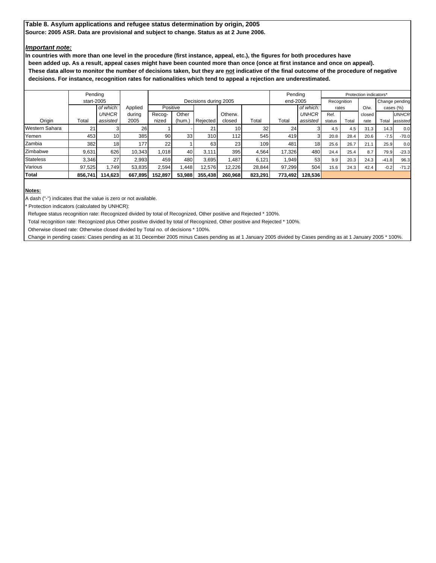#### *Important note:*

**In countries with more than one level in the procedure (first instance, appeal, etc.), the figures for both procedures have been added up. As a result, appeal cases might have been counted more than once (once at first instance and once on appeal).** These data allow to monitor the number of decisions taken, but they are not indicative of the final outcome of the procedure of negative  **decisions. For instance, recognition rates for nationalities which tend to appeal a rejection are underestimated.**

|                       | Pending    |                 |         |          |        |                       |                 |         | Pending  |                 |        |             | Protection indicators* |         |                |
|-----------------------|------------|-----------------|---------|----------|--------|-----------------------|-----------------|---------|----------|-----------------|--------|-------------|------------------------|---------|----------------|
|                       | start-2005 |                 |         |          |        | Decisions during 2005 |                 |         | end-2005 |                 |        | Recognition |                        |         | Change pending |
|                       |            | of which:       | Applied | Positive |        |                       |                 |         |          | of which:       |        | rates       | $O/w$ .                |         | cases (%)      |
|                       |            | <b>UNHCR</b>    | during  | Recoa-   | Other  |                       | Otherw.         |         |          | <b>UNHCR</b>    | Ref.   |             | closed                 |         | <b>UNHCR</b>   |
| Origin                | Total      | assisted        | 2005    | nized    | (hum.) | Rejected              | closed          | Total   | Total    | assisted        | status | Total       | rate                   | Total   | assisted       |
| <b>Western Sahara</b> | 21         |                 | 26      |          |        | 21                    | 10 <sub>l</sub> | 32      | 24       |                 | 4.5    | 4.5         | 31.3                   | 14.3    | 0.0            |
| Yemen                 | 453        | 10 <sub>l</sub> | 385     | 90       | 33     | 310                   | 112             | 545     | 419      | 3               | 20.8   | 28.4        | 20.6                   | $-7.5$  | $-70.0$        |
| Zambia                | 382        | 18 <sup>1</sup> | 177     | 22       |        | 63                    | 23              | 109     | 481      | 18 <sub>l</sub> | 25.6   | 26.7        | 21.1                   | 25.9    | 0.0            |
| Zimbabwe              | 9,631      | 626             | 10.343  | 1.018    | 40     | 3,111                 | 395             | 4.564   | 17.326   | 480             | 24.4   | 25.4        | 8.7                    | 79.9    | $-23.3$        |
| <b>Stateless</b>      | 3.346      | 27              | 2.993   | 459      | 480    | 3.695                 | 1,487           | 6,121   | .949     | 53              | 9.9    | 20.3        | 24.3                   | $-41.8$ | 96.3           |
| Various               | 97,525     | .749            | 53,835  | 2,594    | .448   | 12,576                | 12,226          | 28.844  | 97,299   | 504             | 15.6   | 24.3        | 42.4                   | $-0.2$  | $-71.2$        |
| Total                 | 856.741    | 114.623         | 667,895 | 152.897  | 53,988 | 355,438               | 260.968         | 823,291 | 773.492  | 128.536         |        |             |                        |         |                |

**Notes:**

A dash ("-") indicates that the value is zero or not available.

\* Protection indicators (calculated by UNHCR):

Refugee status recognition rate: Recognized divided by total of Recognized, Other positive and Rejected \* 100%.

Total recognition rate: Recognized plus Other positive divided by total of Recognized, Other positive and Rejected \* 100%.

Otherwise closed rate: Otherwise closed divided by Total no. of decisions \* 100%.

Change in pending cases: Cases pending as at 31 December 2005 minus Cases pending as at 1 January 2005 divided by Cases pending as at 1 January 2005 \* 100%.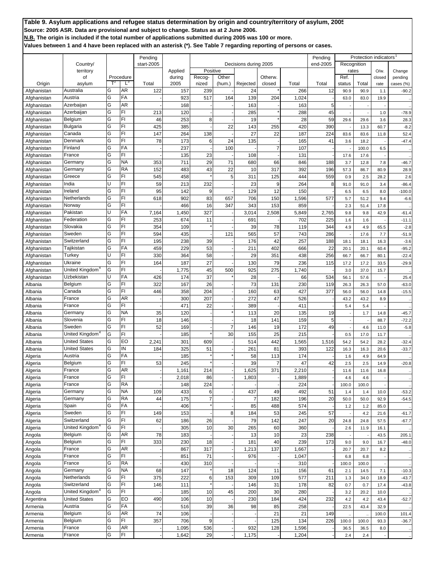|                            |                                 |        |                    | Pending    |                |                     |                 |                       |                |            | Pending    |                | Protection indicators |                |                      |
|----------------------------|---------------------------------|--------|--------------------|------------|----------------|---------------------|-----------------|-----------------------|----------------|------------|------------|----------------|-----------------------|----------------|----------------------|
|                            | Country/                        |        |                    | start-2005 |                |                     |                 | Decisions during 2005 |                |            | end-2005   | Recognition    |                       |                |                      |
|                            | territory                       |        |                    |            | Applied        | Positive            |                 |                       | Otherw.        |            |            | rates          |                       | $O/w$ .        | Change               |
| Origin                     | of<br>asylum                    | T      | Procedure<br>$L^3$ | Total      | during<br>2005 | Recog-<br>nized     | Other<br>(hum.) | Rejected              | closed         | Total      | Total      | Ref.<br>status | Total                 | closed<br>rate | pending<br>cases (%) |
| Afghanistan                | Australia                       | G      | <b>AR</b>          | 122        | 157            | 239                 |                 | 24                    |                | 266        | 12         | 90.9           | 90.9                  | 1.1            | $-90.2$              |
| Afghanistan                | Austria                         | G      | FA                 |            | 923            | 517                 | 164             | 139                   | 204            | 1,024      |            | 63.0           | 83.0                  | 19.9           |                      |
| Afghanistan                | Azerbaijan                      | G      | <b>AR</b>          |            | 168            |                     |                 | 163                   |                | 163        | 5          |                |                       |                |                      |
| Afghanistan                | Azerbaijan                      | G      | FI                 | 213        | 120            |                     |                 | 285                   |                | 288        | 45         |                |                       | 1.0            | $-78.9$              |
| Afghanistan                | Belgium                         | G      | FI                 | 46         | 253            | 8                   |                 | 19                    |                | 28         | 59         | 29.6           | 29.6                  | 3.6            | 28.3                 |
| Afghanistan                | <b>Bulgaria</b>                 | G      | FI                 | 425        | 385            |                     | 22              | 143                   | 255            | 420        | 390        |                | 13.3                  | 60.7           | $-8.2$               |
| Afghanistan                | Canada                          | G      | FI                 | 147        | 264            | 138                 |                 | 27                    | 22             | 187        | 224        | 83.6           | 83.6                  | 11.8           | 52.4                 |
| Afghanistan                | Denmark                         | G      | FI                 | 78         | 173            | 6                   | 24              | 135                   |                | 165        | 41         | 3.6            | 18.2                  |                | $-47.4$              |
| Afghanistan                | Finland                         | G      | FA                 |            | 237            |                     | 100             |                       | $\overline{7}$ | 107        |            |                | 100.0                 | 6.5            |                      |
| Afghanistan                | France<br>Germany               | G<br>G | FI.<br><b>NA</b>   |            | 135<br>711     | 23<br>29            | 71              | 108<br>680            | 66             | 131<br>846 | 188        | 17.6           | 17.6                  |                |                      |
| Afghanistan<br>Afghanistan | Germany                         | G      | <b>RA</b>          | 353<br>152 | 483            | 43                  | 22              | 10                    | 317            | 392        | 196        | 3.7<br>57.3    | 12.8<br>86.7          | 7.8<br>80.9    | $-46.7$<br>28.9      |
| Afghanistan                | Greece                          | G      | FI                 | 545        | 458            |                     | 5               | 311                   | 125            | 444        | 559        | 0.9            | 2.5                   | 28.2           | 2.6                  |
| Afghanistan                | India                           | U      | FI                 | 59         | 213            | 232                 |                 | 23                    | 9              | 264        | 8          | 91.0           | 91.0                  | 3.4            | $-86.4$              |
| Afghanistan                | Ireland                         | G      | FI                 | 95         | 142            | 9                   |                 | 129                   | 12             | 150        |            | 6.5            | 6.5                   | 8.0            | $-100.0$             |
| Afghanistan                | Netherlands                     | G      | FI                 | 618        | 902            | 83                  | 657             | 706                   | 150            | 1,596      | 577        | 5.7            | 51.2                  | 9.4            | $-6.6$               |
| Afghanistan                | Norway                          | G      | FI                 |            | 466            | 16                  | 347             | 343                   | 153            | 859        |            | 2.3            | 51.4                  | 17.8           |                      |
| Afghanistan                | Pakistan                        | U      | FA                 | 7,164      | 1,450          | 327                 |                 | 3,014                 | 2,508          | 5,849      | 2,765      | 9.8            | 9.8                   | 42.9           | $-61.4$              |
| Afghanistan                | Federation                      | G      | FI                 | 253        | 674            | 11                  |                 | 691                   |                | 702        | 225        | 1.6            | 1.6                   |                | $-11.1$              |
| Afghanistan                | Slovakia                        | G      | FI                 | 354        | 109            |                     |                 | 39                    | 78             | 119        | 344        | 4.9            | 4.9                   | 65.5           | $-2.8$               |
| Afghanistan                | Sweden                          | G      | FI                 | 594        | 435            |                     | 121             | 565                   | 57             | 743        | 286        |                | 17.6                  | 7.7            | $-51.9$              |
| Afghanistan                | Switzerland                     | G      | FI                 | 195        | 238            | 39                  |                 | 176                   | 42             | 257        | 188        | 18.1           | 18.1                  | 16.3           | $-3.6$               |
| Afghanistan                | Tajikistan                      | G      | FA                 | 459        | 229            | 53                  |                 | 211                   | 402            | 666        | 22         | 20.1           | 20.1                  | 60.4           | $-95.2$              |
| Afghanistan                | Turkey                          | Ù      | FI                 | 330        | 364            | 58                  |                 | 29                    | 351            | 438        | 256        | 66.7           | 66.7                  | 80.1           | $-22.4$              |
| Afghanistan                | Ukraine                         | G      | FI                 | 164        | 187            | 27                  |                 | 130                   | 79             | 236        | 115        | 17.2           | 17.2                  | 33.5           | $-29.9$              |
| Afghanistan                | United Kingdom <sup>4</sup>     | G      | FI.<br>FA          |            | 1,775          | 45                  | 500             | 925                   | 275            | 1,740      |            | 3.0            | 37.0                  | 15.7           |                      |
| Afghanistan                | Uzbekistan<br>Belgium           | U<br>G | FI                 | 426<br>322 | 174<br>167     | 37<br>26            |                 | 28<br>73              |                | 66<br>230  | 534        | 56.1           | 57.6                  |                | 25.4                 |
| Albania<br>Albania         | Canada                          | G      | FI                 | 446        | 358            | 204                 |                 | 160                   | 131<br>63      | 427        | 119<br>377 | 26.3<br>56.0   | 26.3<br>56.0          | 57.0<br>14.8   | $-63.0$<br>$-15.5$   |
| Albania                    | France                          | G      | AR                 |            | 300            | 207                 |                 | 272                   | 47             | 526        |            | 43.2           | 43.2                  | 8.9            |                      |
| Albania                    | France                          | G      | FI                 |            | 471            | 22                  |                 | 389                   |                | 411        |            | 5.4            | 5.4                   |                |                      |
| Albania                    | Germany                         | G      | <b>NA</b>          | 35         | 120            |                     |                 | 113                   | 20             | 135        | 19         |                | 1.7                   | 14.8           | $-45.7$              |
| Albania                    | Slovenia                        | G      | FI                 | 18         | 146            |                     |                 | 18                    | 141            | 159        | 5          |                |                       | 88.7           | $-72.2$              |
| Albania                    | Sweden                          | G      | FI                 | 52         | 169            |                     | $\overline{7}$  | 146                   | 19             | 172        | 49         |                | 4.6                   | 11.0           | $-5.8$               |
| Albania                    | United Kingdom <sup>4</sup>     | G      | FI.                |            | 185            |                     | 30              | 155                   | 25             | 215        |            | 0.5            | 17.0                  | 11.7           |                      |
| Albania                    | United States                   | G      | EO                 | 2,241      | 301            | 609                 |                 | 514                   | 442            | 1,565      | 1,516      | 54.2           | 54.2                  | 28.2           | $-32.4$              |
| Albania                    | <b>United States</b>            | G      | IN                 | 184        | 325            | 51                  |                 | 261                   | 81             | 393        | 122        | 16.3           | 16.3                  | 20.6           | $-33.7$              |
| Algeria                    | Austria                         | G      | FA                 |            | 185            |                     |                 | 58                    | 113            | 174        |            | 1.6            | 4.9                   | 64.9           |                      |
| Algeria                    | Belgium                         | G      | FI                 | 53         | 245            |                     |                 | 39                    | 7              | 47         | 42         | 2.5            | 2.5                   | 14.9           | $-20.8$              |
| Algeria                    | France                          | Ġ      | <b>AR</b>          |            | 1,161          | 214                 |                 | 1,625                 | 371            | 2,210      |            | 11.6           | 11.6                  | 16.8           |                      |
| Algeria                    | France                          | G<br>G | FI<br><b>RA</b>    |            | 2,018          | 86                  |                 | 1,803                 |                | 1,889      |            | 4.6            | 4.6                   |                |                      |
| Algeria                    | France                          | G      | <b>NA</b>          |            | 148<br>433     | 224                 |                 | 437                   |                | 224<br>492 | 51         | 100.0          | 100.0                 |                |                      |
| Algeria<br>Algeria         | Germany<br>Germany              | G      | <b>RA</b>          | 109<br>44  | 175            | 6<br>$\overline{7}$ |                 | $\overline{7}$        | 49<br>182      | 196        | 20         | 1.4<br>50.0    | 1.4<br>50.0           | 10.0<br>92.9   | $-53.2$<br>$-54.5$   |
| Algeria                    | Spain                           | G      | FA                 |            | 406            |                     |                 | 85                    | 488            | 574        |            | 1.2            | 1.2                   | 85.0           |                      |
| Algeria                    | Sweden                          | G      | FI                 | 149        | 153            |                     | 8               | 184                   | 53             | 245        | 57         |                | 4.2                   | 21.6           | $-61.7$              |
| Algeria                    | Switzerland                     | G      | FI                 | 62         | 186            | 26                  |                 | 79                    | 142            | 247        | 20         | 24.8           | 24.8                  | 57.5           | $-67.7$              |
| Algeria                    | United Kingdom <sup>4</sup>     | G      | FI                 |            | 305            | 10                  | 30              | 265                   | 60             | 360        |            | 2.6            | 11.9                  | 16.1           |                      |
| Angola                     | Belgium                         | G      | <b>AR</b>          | 78         | 183            |                     |                 | 13                    | 10             | 23         | 238        |                |                       | 43.5           | 205.1                |
| Angola                     | Belgium                         | G      | FI                 | 333        | 230            | 18                  |                 | 181                   | 40             | 239        | 173        | 9.0            | 9.0                   | 16.7           | $-48.0$              |
| Angola                     | France                          | G      | <b>AR</b>          |            | 867            | 317                 |                 | 1,213                 | 137            | 1,667      |            | 20.7           | 20.7                  | 8.2            |                      |
| Angola                     | France                          | G      | FI                 |            | 851            | 71                  |                 | 976                   |                | 1,047      |            | 6.8            | 6.8                   |                |                      |
| Angola                     | France                          | G      | <b>RA</b>          |            | 430            | 310                 |                 |                       |                | 310        |            | 100.0          | 100.0                 |                |                      |
| Angola                     | Germany                         | G      | <b>NA</b>          | 68         | 147            |                     | 18              | 124                   | 11             | 156        | 61         | 2.1            | 14.5                  | 7.1            | $-10.3$              |
| Angola                     | Netherlands                     | G      | FI                 | 375        | 222            | 6                   | 153             | 309                   | 109            | 577        | 211        | 1.3            | 34.0                  | 18.9           | $-43.7$              |
| Angola                     | Switzerland                     | G      | FI                 | 146        | 111            |                     |                 | 146                   | 31             | 178        | 82         | 0.7            | 0.7                   | 17.4           | $-43.8$              |
| Angola                     | United Kingdom <sup>4</sup>     | G      | FI                 |            | 185            | 10                  | 45              | 200                   | 30             | 280        |            | 3.2            | 20.2                  | 10.0           |                      |
| Argentina                  | <b>United States</b><br>Austria | G<br>G | EO<br><b>FA</b>    | 490        | 106            | 10<br>39            |                 | 230                   | 184            | 424        | 232        | 4.2            | 4.2                   | 43.4           | $-52.7$              |
| Armenia<br>Armenia         | Belgium                         | G      | AR                 | 74         | 516<br>106     |                     | 36              | 98                    | 85<br>21       | 258<br>21  | 149        | 22.5           | 43.4                  | 32.9<br>100.0  | 101.4                |
| Armenia                    | Belgium                         | G      | FI                 | 357        | 706            | 9                   |                 |                       | 125            | 134        | 226        | 100.0          | 100.0                 | 93.3           | $-36.7$              |
| Armenia                    | France                          | G      | <b>AR</b>          |            | 1,095          | 536                 |                 | 932                   | 128            | 1,596      |            | 36.5           | 36.5                  | 8.0            |                      |
| Armenia                    | France                          | G      | FI                 |            | 1,642          | 29                  |                 | 1,175                 |                | 1,204      |            | 2.4            | 2.4                   |                |                      |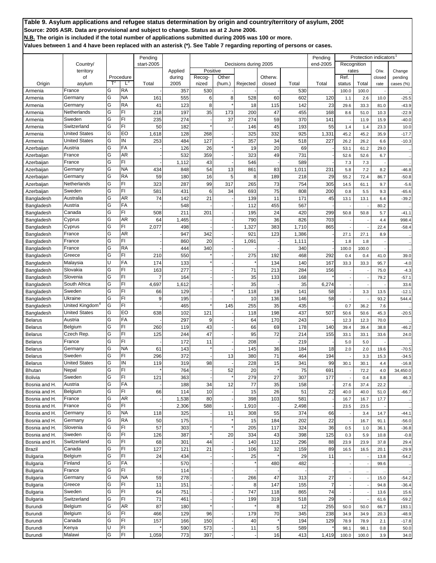|                                |                             |                           |                        | Pending    |                |          |           |                       |          |            | Pending    |              | Protection indicators |              |                 |
|--------------------------------|-----------------------------|---------------------------|------------------------|------------|----------------|----------|-----------|-----------------------|----------|------------|------------|--------------|-----------------------|--------------|-----------------|
|                                | Country/                    |                           |                        | start-2005 |                |          |           | Decisions during 2005 |          |            | end-2005   | Recognition  |                       |              |                 |
|                                | territory                   |                           |                        |            | Applied        | Positive |           |                       |          |            |            | rates        |                       | $O/w$ .      | Change          |
|                                | of                          |                           | Procedure              |            | during         | Recog-   | Other     |                       | Otherw.  |            |            | Ref.         |                       | closed       | pending         |
| Origin                         | asylum                      | $\mathsf{T}^{\mathsf{z}}$ | $L^3$                  | Total      | 2005           | nized    | (hum.)    | Rejected              | closed   | Total      | Total      | status       | Total                 | rate         | cases (%)       |
| Armenia                        | France                      | G                         | <b>RA</b>              |            | 357            | 530      |           |                       |          | 530        |            | 100.0        | 100.0                 |              |                 |
| Armenia                        | Germany                     | G                         | <b>NA</b><br><b>RA</b> | 161        | 555            | 6        | 8         | 528                   | 60       | 602        | 120        | 1.1          | 2.6                   | 10.0         | $-25.5$         |
| Armenia                        | Germany                     | G<br>G                    | FI                     | 41         | 123            | 8        |           | 18                    | 115      | 142        | 23         | 29.6         | 33.3                  | 81.0         | $-43.9$         |
| Armenia                        | Netherlands<br>Sweden       | G                         | FI                     | 218<br>235 | 197<br>274     | 35       | 173<br>37 | 200<br>274            | 47       | 455<br>370 | 168<br>141 | 8.6          | 51.0                  | 10.3         | $-22.9$         |
| Armenia<br>Armenia             | Switzerland                 | G                         | FI                     | 50         | 182            |          |           | 146                   | 59<br>45 | 193        | 55         |              | 11.9                  | 15.9<br>23.3 | $-40.0$<br>10.0 |
| Armenia                        | United States               | G                         | EO                     | 1,618      | 128            | 268      |           | 325                   | 332      | 925        | 1,331      | 1.4<br>45.2  | 1.4<br>45.2           | 35.9         | $-17.7$         |
| Armenia                        | <b>United States</b>        | G                         | IN                     | 253        | 484            | 127      |           | 357                   | 34       | 518        | 227        | 26.2         | 26.2                  | 6.6          | $-10.3$         |
| Azerbaijan                     | Austria                     | G                         | FA                     |            | 126            | 26       |           | 19                    | 20       | 69         |            | 53.1         | 61.2                  | 29.0         |                 |
| Azerbaijan                     | France                      | G                         | <b>AR</b>              |            | 532            | 359      |           | 323                   | 49       | 731        |            | 52.6         | 52.6                  | 6.7          |                 |
| Azerbaijan                     | France                      | G                         | FI                     |            | 1,112          | 43       |           | 546                   |          | 589        |            | 7.3          | 7.3                   |              |                 |
| Azerbaijan                     | Germany                     | G                         | <b>NA</b>              | 434        | 848            | 54       | 13        | 861                   | 83       | 1,011      | 231        | 5.8          | 7.2                   | 8.2          | $-46.8$         |
| Azerbaijan                     | Germany                     | G                         | <b>RA</b>              | 59         | 180            | 16       | 5         | 8                     | 189      | 218        | 29         | 55.2         | 72.4                  | 86.7         | $-50.8$         |
| Azerbaijan                     | Netherlands                 | G                         | FI                     | 323        | 287            | 99       | 317       | 265                   | 73       | 754        | 305        | 14.5         | 61.1                  | 9.7          | $-5.6$          |
| Azerbaijan                     | Sweden                      | G                         | FI                     | 581        | 431            | 6        | 34        | 693                   | 75       | 808        | 200        | 0.8          | 5.5                   | 9.3          | $-65.6$         |
| Bangladesh                     | Australia                   | G                         | AR                     | 74         | 142            | 21       |           | 139                   | 11       | 171        | 45         | 13.1         | 13.1                  | 6.4          | $-39.2$         |
| Bangladesh                     | Austria                     | G                         | FA                     |            | 548            |          |           | 112                   | 455      | 567        |            |              |                       | 80.2         |                 |
| Bangladesh                     | Canada                      | G                         | FI                     | 508        | 211            | 201      |           | 195                   | 24       | 420        | 299        | 50.8         | 50.8                  | 5.7          | $-41.1$         |
| Bangladesh                     | Cyprus                      | G                         | <b>AR</b>              | 64         | 1,465          |          |           | 790                   | 36       | 826        | 703        |              |                       | 4.4          | 998.4           |
| Bangladesh                     | Cyprus                      | G                         | FI                     | 2,077      | 498            |          |           | 1,327                 | 383      | 1,710      | 865        |              |                       | 22.4         | $-58.4$         |
| Bangladesh                     | France                      | G                         | <b>AR</b>              |            | 947            | 342      |           | 921                   | 123      | 1,386      |            | 27.1         | 27.1                  | 8.9          |                 |
| Bangladesh                     | France                      | G                         | FI                     |            | 860            | 20       |           | 1,091                 |          | 1,111      |            | 1.8          | 1.8                   |              |                 |
| Bangladesh                     | France                      | G                         | <b>RA</b>              |            | 444            | 340      |           |                       |          | 340        |            | 100.0        | 100.0                 |              |                 |
| Bangladesh                     | Greece                      | G                         | FI                     | 210        | 550            |          |           | 275                   | 192      | 468        | 292        | 0.4          | 0.4                   | 41.0         | 39.0            |
| Bangladesh                     | Malaysia                    | U                         | FA                     | 174        | 133            |          |           |                       | 134      | 140        | 167        | 33.3         | 33.3                  | 95.7         | $-4.0$          |
| Bangladesh                     | Slovakia                    | G                         | FI                     | 163        | 277            |          |           | 71                    | 213      | 284        | 156        |              |                       | 75.0         | $-4.3$          |
| Bangladesh                     | Slovenia                    | G                         | FI                     |            | 164            |          |           | 35                    | 133      | 168        |            |              |                       | 79.2         | $-57.1$         |
| Bangladesh                     | South Africa                | G                         | FI                     | 4,697      | 1,612          |          |           | 35                    |          | 35         | 6,274      |              |                       |              | 33.6            |
| Bangladesh                     | Sweden                      | G                         | FI                     | 66         | 129            |          |           | 118                   | 19       | 141        | 58         |              | 3.3                   | 13.5         | $-12.1$         |
| Bangladesh                     | Ukraine                     | G                         | FI                     | 9          | 195            |          |           | 10                    | 136      | 146        | 58         |              |                       | 93.2         | 544.4           |
| Bangladesh                     | United Kingdom <sup>4</sup> | G                         | FI                     |            | 465            |          | 145       | 255                   | 35       | 435        |            | 0.7          | 36.2                  | 7.6          |                 |
| Bangladesh                     | <b>United States</b>        | G                         | EO                     | 638        | 102            | 121      |           | 118                   | 198      | 437        | 507        | 50.6         | 50.6                  | 45.3         | $-20.5$         |
| <b>Belarus</b>                 | Austria                     | G                         | FA                     |            | 297            | 9        |           | 64                    | 170      | 243        |            | 12.3         | 12.3                  | 70.0         |                 |
| <b>Belarus</b>                 | Belgium                     | G                         | FI                     | 260        | 119            | 43       |           | 66                    | 69       | 178        | 140        | 39.4         | 39.4                  | 38.8         | $-46.2$         |
| <b>Belarus</b>                 | Czech Rep.                  | G                         | FI                     | 125        | 244            | 47       |           | 95                    | 72       | 214        | 155        | 33.1         | 33.1                  | 33.6         | 24.0            |
| Belarus                        | France                      | G                         | FI                     |            | 172            | 11       |           | 208                   |          | 219        |            | 5.0          | 5.0                   |              |                 |
| <b>Belarus</b>                 | Germany                     | G                         | <b>NA</b>              | 61         | 143            |          |           | 145                   | 36       | 184        | 18         | 2.0          | 2.0                   | 19.6         | $-70.5$         |
| Belarus                        | Sweden                      | G                         | FI                     | 296        | 372            |          | 13        | 380                   | 71       | 464        | 194        |              | 3.3                   | 15.3         | $-34.5$         |
| <b>Belarus</b>                 | United States               | G<br>Ġ                    | IN<br>FI               | 119        | 319            | 98       |           | 228                   | 15       | 341        | 99         | 30.1         | 30.1                  | 4.4          | $-16.8$         |
| Bhutan                         | Nepal                       | G                         | FI                     |            | 764            |          | 52        | 20                    |          | 75         | 691        |              | $72.2$                | 4.0          | 34,450.0        |
| Bolivia                        | Sweden                      |                           |                        | 121        | 363            |          |           | 279                   | 27       | 307        | 177        |              | 0.4                   | 8.8          | 46.3            |
| Bosnia and H.<br>Bosnia and H. | Austria<br>Belgium          | G<br>G                    | FA<br>FI               | 66         | 188<br>114     | 34<br>10 | 12        | 77<br>15              | 35<br>26 | 158<br>51  | 22         | 27.6         | 37.4<br>40.0          | 22.2<br>51.0 |                 |
| Bosnia and H.                  | France                      | G                         | <b>AR</b>              |            |                | 80       |           | 398                   |          | 581        |            | 40.0         |                       |              | $-66.7$         |
| Bosnia and H.                  | France                      | G                         | FI                     |            | 1,538<br>2,306 | 588      |           | 1,910                 | 103      | 2,498      |            | 16.7<br>23.5 | 16.7<br>23.5          | 17.7         |                 |
| Bosnia and H.                  | Germany                     | G                         | <b>NA</b>              | 118        | 325            |          | 11        | 308                   | 55       | 374        | 66         |              | 3.4                   | 14.7         | $-44.1$         |
| Bosnia and H.                  | Germany                     | G                         | <b>RA</b>              | 50         | 175            |          |           | 15                    | 184      | 202        | 22         | ٠.           | 16.7                  | 91.1         | $-56.0$         |
| Bosnia and H.                  | Slovenia                    | G                         | FI                     | 57         | 303            |          |           | 205                   | 117      | 324        | 36         | 0.5          | 1.0                   | 36.1         | $-36.8$         |
| Bosnia and H.                  | Sweden                      | G                         | FI                     | 126        | 387            |          | 20        | 334                   | 43       | 398        | 125        | 0.3          | 5.9                   | 10.8         | $-0.8$          |
| Bosnia and H.                  | Switzerland                 | G                         | FI                     | 68         | 301            | 44       |           | 140                   | 112      | 296        | 88         | 23.9         | 23.9                  | 37.8         | 29.4            |
| <b>Brazil</b>                  | Canada                      | G                         | FI                     | 127        | 121            | 21       |           | 106                   | 32       | 159        | 89         | 16.5         | 16.5                  | 20.1         | $-29.9$         |
| Bulgaria                       | Belgium                     | G                         | FI                     | 24         | 434            |          |           | 25                    |          | 29         | 11         |              |                       | 13.8         | $-54.2$         |
| Bulgaria                       | Finland                     | G                         | FA                     |            | 570            |          |           |                       | 480      | 482        |            |              |                       | 99.6         |                 |
| Bulgaria                       | France                      | G                         | FI                     |            | 114            |          |           |                       |          |            |            |              |                       |              |                 |
| Bulgaria                       | Germany                     | G                         | <b>NA</b>              | 59         | 278            |          |           | 266                   | 47       | 313        | 27         |              |                       | 15.0         | $-54.2$         |
| Bulgaria                       | Greece                      | G                         | FI                     | 11         | 151            |          |           | 8                     | 147      | 155        | 7          |              |                       | 94.8         | $-36.4$         |
| Bulgaria                       | Sweden                      | G                         | FI                     | 64         | 751            |          |           | 747                   | 118      | 865        | 74         |              |                       | 13.6         | 15.6            |
| <b>Bulgaria</b>                | Switzerland                 | G                         | FI                     | 71         | 461            |          |           | 199                   | 319      | 518        | 29         |              |                       | 61.6         | $-59.2$         |
| Burundi                        | Belgium                     | G                         | <b>AR</b>              | 87         | 180            |          |           |                       | 8        | 12         | 255        | 50.0         | 50.0                  | 66.7         | 193.1           |
| Burundi                        | Belgium                     | G                         | FI                     | 466        | 129            | 96       |           | 179                   | 70       | 345        | 238        | 34.9         | 34.9                  | 20.3         | $-48.9$         |
| Burundi                        | Canada                      | G                         | FI                     | 157        | 166            | 150      |           | 40                    |          | 194        | 129        | 78.9         | 78.9                  | 2.1          | $-17.8$         |
| Burundi                        | Kenya                       | U                         | FI                     |            | 590            | 573      |           | 11                    | 5        | 589        |            | 98.1         | 98.1                  | 0.8          | 50.0            |
| Burundi                        | Malawi                      | G                         | FI                     | 1,059      | 773            | 397      |           |                       | 16       | 413        | 1,419      | 100.0        | 100.0                 | 3.9          | 34.0            |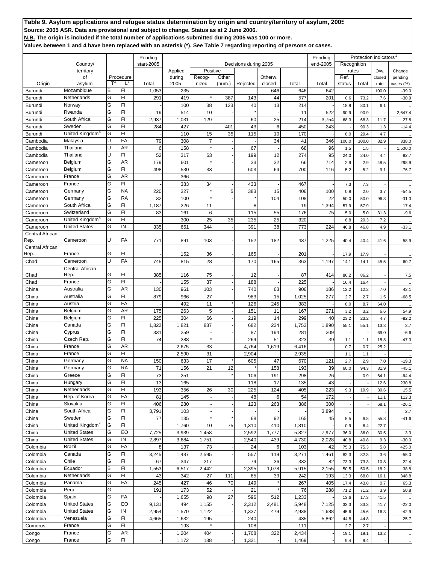|                             |                                                     |        |                    | Pending        |                |          |        |                       |               |                | Pending  |                      | <b>Protection indicators</b> |               |                      |
|-----------------------------|-----------------------------------------------------|--------|--------------------|----------------|----------------|----------|--------|-----------------------|---------------|----------------|----------|----------------------|------------------------------|---------------|----------------------|
|                             | Country/                                            |        |                    | start-2005     |                |          |        | Decisions during 2005 |               |                | end-2005 | Recognition          |                              |               |                      |
|                             | territory                                           |        |                    |                | Applied        | Positive |        |                       |               |                |          | rates                |                              | O/w.          | Change               |
| Origin                      | of                                                  |        | Procedure<br>$L^3$ |                | during<br>2005 | Recog-   | Other  |                       | Otherw.       |                | Total    | Ref.                 |                              | closed        | pending              |
| Burundi                     | asylum<br>Mozambique                                | B      | FI                 | Total<br>1,053 | 235            | nized    | (hum.) | Rejected              | closed<br>646 | Total<br>646   | 642      | status               | Total                        | rate<br>100.0 | cases (%)<br>$-39.0$ |
| Burundi                     | Netherlands                                         | G      | FI                 | 291            | 419            |          | 387    | 143                   | 44            | 577            | 201      | 0.6                  | 73.2                         | 7.6           | $-30.9$              |
| Burundi                     | Norway                                              | G      | FI                 |                | 100            | 38       | 123    | 40                    | 13            | 214            |          | 18.9                 | 80.1                         | 6.1           |                      |
| Burundi                     | Rwanda                                              | G      | FI                 | 19             | 514            | 10       |        |                       |               | 11             | 522      | 90.9                 | 90.9                         |               | 2,647.4              |
| Burundi                     | South Africa                                        | G      | FI                 | 2,937          | 1,031          | 129      |        | 60                    | 25            | 214            | 3,754    | 68.3                 | 68.3                         | 11.7          | 27.8                 |
| Burundi                     | Sweden                                              | G      | FI                 | 284            | 427            |          | 401    | 43                    | 6             | 450            | 243      |                      | 90.3                         | 1.3           | $-14.4$              |
| Burundi                     | United Kingdom <sup>4</sup>                         | G      | FI                 |                | 110            | 15       | 35     | 115                   | 10            | 170            |          | 8.0                  | 29.4                         | 4.7           |                      |
| Cambodia                    | Malaysia                                            | U      | FA                 | 79             | 308            | 7        |        |                       | 34            | 41             | 346      | 100.0                | 100.0                        | 82.9          | 338.0                |
| Cambodia                    | Thailand                                            | IJ     | AR                 | 6              | 158            |          |        | 67                    |               | 68             | 96       | 1.5                  | 1.5                          |               | 1,500.0              |
| Cambodia                    | Thailand                                            | U      | FI                 | 52             | 317            | 63       |        | 199                   | 12            | 274            | 95       | 24.0                 | 24.0                         | 4.4           | 82.7                 |
| Cameroon                    | Belgium                                             | G      | AR                 | 179            | 601            |          |        | 33                    | 32            | 66             | 714      | 2.9                  | 2.9                          | 48.5          | 298.9                |
| Cameroon                    | Belgium                                             | G      | FI                 | 498            | 530            | 33       |        | 603                   | 64            | 700            | 116      | 5.2                  | 5.2                          | 9.1           | $-76.7$              |
| Cameroon                    | France                                              | G      | AR                 |                | 366            |          |        |                       |               |                |          | $\ddot{\phantom{1}}$ |                              |               |                      |
| Cameroon                    | France                                              | G      | FI                 |                | 383            | 34       |        | 433                   |               | 467            |          | 7.3                  | 7.3                          |               |                      |
| Cameroon                    | Germany                                             | G      | <b>NA</b>          | 220            | 327            |          | 5      | 383                   | 15            | 406            | 100      | 0.8                  | 2.0                          | 3.7           | $-54.5$              |
| Cameroon                    | Germany                                             | G      | <b>RA</b>          | 32             | 100            |          |        |                       | 104           | 108            | 22       | 50.0                 | 50.0                         | 96.3          | $-31.3$              |
| Cameroon                    | South Africa                                        | G      | FI                 | 1,187          | 226            | 11       |        | 8                     |               | 19             | 1,394    | 57.9                 | 57.9                         |               | 17.4                 |
| Cameroon                    | Switzerland                                         | G      | FI                 | 83             | 161            | 6        |        | 115                   | 55            | 176            | 75       | 5.0                  | 5.0                          | 31.3          | $-9.6$               |
| Cameroon                    | United Kingdom <sup>®</sup><br><b>United States</b> | G<br>G | FI                 |                | 300            | 25       | 35     | 235                   | 25            | 320            |          | 8.8                  | 20.3                         | 7.2           |                      |
| Cameroon<br>Central African |                                                     |        | IN                 | 335            | 651            | 344      |        | 391                   | 38            | 773            | 224      | 46.8                 | 46.8                         | 4.9           | $-33.1$              |
| Rep.                        | Cameroon                                            | U      | FA                 | 771            | 891            | 103      |        | 152                   | 182           | 437            | 1,225    | 40.4                 | 40.4                         | 41.6          | 58.9                 |
| Central African             |                                                     |        |                    |                |                |          |        |                       |               |                |          |                      |                              |               |                      |
| Rep.                        | France                                              | G      | FI                 |                | 152            | 36       |        | 165                   |               | 201            |          | 17.9                 | 17.9                         |               |                      |
| Chad                        | Cameroon                                            | IJ     | FA                 | 745            | 815            | 28       |        | 170                   | 165           | 363            | 1,197    | 14.1                 | 14.1                         | 45.5          | 60.7                 |
|                             | Central African                                     |        |                    |                |                |          |        |                       |               |                |          |                      |                              |               |                      |
| Chad                        | Rep.                                                | G      | FI                 | 385            | 116            | 75       |        | 12                    |               | 87             | 414      | 86.2                 | 86.2                         |               | 7.5                  |
| Chad                        | France                                              | G      | FI                 |                | 155            | 37       |        | 188                   |               | 225            |          | 16.4                 | 16.4                         |               |                      |
| China                       | Australia                                           | G      | AR                 | 130            | 961            | 103      |        | 740                   | 63            | 906            | 186      | 12.2                 | 12.2                         | 7.0           | 43.1                 |
| China                       | Australia                                           | G      | FI                 | 879            | 966            | 27       |        | 983                   | 15            | 1,025          | 277      | 2.7                  | 2.7                          | 1.5           | $-68.5$              |
| China                       | Austria                                             | G      | FA                 |                | 492            | 11       |        | 126                   | 245           | 383            |          | 8.0                  | 8.7                          | 64.0          |                      |
| China                       | Belgium                                             | G      | AR                 | 175            | 263            | 5        |        | 151                   | 11            | 167            | 271      | 3.2                  | 3.2                          | 6.6           | 54.9                 |
| China                       | Belgium                                             | G      | FI                 | 225            | 304            | 66       |        | 219                   | 14            | 299            | 40       | 23.2                 | 23.2                         | 4.7           | $-82.2$              |
| China                       | Canada                                              | G      | FI                 | 1,822          | 1,821          | 837      |        | 682                   | 234           | 1,753          | 1,890    | 55.1                 | 55.1                         | 13.3          | 3.7                  |
| China                       | Cyprus                                              | G<br>G | FI<br>FI           | 331            | 259            |          |        | 87                    | 194           | 281            | 309      |                      |                              | 69.0          | $-6.6$               |
| China                       | Czech Rep.<br>France                                | G      | AR                 | 74             | 288            |          |        | 269                   | 51            | 323            | 39       | 1.1                  | 1.1                          | 15.8          | $-47.3$              |
| China<br>China              | France                                              | G      | FI                 |                | 2,675<br>2,590 | 33<br>31 |        | 4,764<br>2,904        | 1,619         | 6,416<br>2,935 |          | 0.7<br>1.1           | 0.7<br>1.1                   | 25.2          |                      |
| China                       | Germany                                             | G      | <b>NA</b>          | 150            | 633            | 17       |        | 605                   | 47            | 670            | 121      | 2.7                  | 2.9                          | 7.0           | $-19.3$              |
| China                       | Germany                                             | G      | <b>RA</b>          | 71             | 156            | 21       | 12     |                       | 158           | 193            | 39       | 60.0                 | 94.3                         | 81.9          | $-45.1$              |
| China                       | Greece                                              | G      | FI                 | 73             | 251            |          |        | 106                   | 191           | 298            | 26       | ٠.                   | 0.9                          | 64.1          | $-64.4$              |
| China                       | Hungary                                             | G      | FI                 | 13             | 165            |          |        | 118                   | 17            | 135            | 43       |                      |                              | 12.6          | 230.8                |
| China                       | Netherlands                                         | G      | FI                 | 193            | 356            | 26       | 30     | 225                   | 124           | 405            | 223      | 9.3                  | 19.9                         | 30.6          | 15.5                 |
| China                       | Rep. of Korea                                       | G      | FA                 | 81             | 145            |          |        | 48                    | 6             | 54             | 172      |                      |                              | 11.1          | 112.3                |
| China                       | Slovakia                                            | G      | FI                 | 406            | 280            |          |        | 123                   | 263           | 386            | 300      |                      |                              | 68.1          | $-26.1$              |
| China                       | South Africa                                        | G      | FI                 | 3,791          | 103            |          |        |                       |               |                | 3,894    | $\ddot{\phantom{1}}$ |                              |               | 2.7                  |
| China                       | Sweden                                              | G      | FI                 | 77             | 135            |          |        | 68                    | 92            | 165            | 45       | 5.5                  | 6.8                          | 55.8          | $-41.6$              |
| China                       | United Kingdom <sup>4</sup>                         | G      | FI                 |                | 1,760          | 10       | 75     | 1,310                 | 410           | 1,810          |          | 0.9                  | 6.4                          | 22.7          |                      |
| China                       | <b>United States</b>                                | G      | EO                 | 7,725          | 3,939          | 1,458    |        | 2,592                 | 1,777         | 5,827          | 7,977    | 36.0                 | 36.0                         | 30.5          | 3.3                  |
| China                       | <b>United States</b>                                | G      | IN                 | 2,897          | 3,684          | 1,751    |        | 2,540                 | 439           | 4,730          | 2,028    | 40.8                 | 40.8                         | 9.3           | $-30.0$              |
| Colombia                    | <b>Brazil</b>                                       | G      | FA                 | 8              | 137            | 73       |        | 24                    | 6             | 103            | 42       | 75.3                 | 75.3                         | 5.8           | 425.0                |
| Colombia                    | Canada                                              | G      | FI                 | 3,245          | 1,487          | 2,595    |        | 557                   | 119           | 3,271          | 1,461    | 82.3                 | 82.3                         | 3.6           | $-55.0$              |
| Colombia                    | Chile                                               | G      | FI                 | 67             | 347            | 217      |        | 79                    | 36            | 332            | 82       | 73.3                 | 73.3                         | 10.8          | 22.4                 |
| Colombia                    | Ecuador                                             | B      | FI                 | 1,553          | 6,517          | 2,442    |        | 2,395                 | 1,078         | 5,915          | 2,155    | 50.5                 | 50.5                         | 18.2          | 38.8                 |
| Colombia                    | Netherlands                                         | G      | FI                 | 43             | 342            | 27       | 111    | 65                    | 39            | 242            | 193      | 13.3                 | 68.0                         | 16.1          | 348.8                |
| Colombia                    | Panama<br>Peru                                      | G<br>G | FA                 | 245            | 427            | 46       | 70     | 149                   |               | 267            | 405      | 17.4                 | 43.8                         | 0.7           | 65.3                 |
| Colombia<br>Colombia        | Spain                                               | G      | FA                 | 191            | 173<br>1,655   | 52<br>98 | 27     | 21<br>596             |               | 76<br>1,233    | 288      | 71.2                 | 71.2                         | 3.9           | 50.8                 |
| Colombia                    | <b>United States</b>                                | G      | EO                 | 9,131          | 494            | 1,155    |        | 2,312                 | 512<br>2,481  | 5,948          | 7,125    | 13.6<br>33.3         | 17.3<br>33.3                 | 41.5<br>41.7  | $-22.0$              |
| Colombia                    | <b>United States</b>                                | G      | IN                 | 2,954          | 1,570          | 1,122    |        | 1,337                 | 479           | 2,938          | 1,688    | 45.6                 | 45.6                         | 16.3          | $-42.9$              |
| Colombia                    | Venezuela                                           | G      | FI                 | 4,665          | 1,632          | 195      |        | 240                   |               | 435            | 5,862    | 44.8                 | 44.8                         |               | 25.7                 |
| Comoros                     | France                                              | G      | FI                 |                | 193            |          |        | 108                   |               | 111            |          | 2.7                  | 2.7                          |               |                      |
| Congo                       | France                                              | G      | <b>AR</b>          |                | 1,204          | 404      |        | 1,708                 | 322           | 2,434          |          | 19.1                 | 19.1                         | 13.2          |                      |
| Congo                       | France                                              | G      | FI                 |                | 1,172          | 138      |        | 1,331                 |               | 1,469          |          | 9.4                  | 9.4                          |               |                      |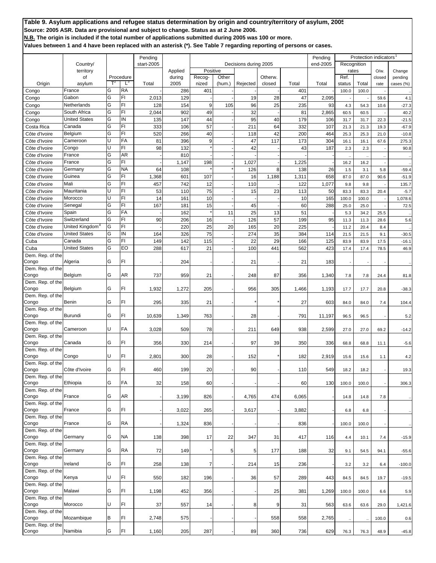|                           |                             |                |                 | Pending      |            |                |        |                       |          |           | Pending     |                      | Protection indicators |              |                 |
|---------------------------|-----------------------------|----------------|-----------------|--------------|------------|----------------|--------|-----------------------|----------|-----------|-------------|----------------------|-----------------------|--------------|-----------------|
|                           | Country/                    |                |                 | start-2005   |            |                |        | Decisions during 2005 |          |           | end-2005    | Recognition          |                       |              |                 |
|                           | territory                   |                |                 |              | Applied    | Positive       |        |                       |          |           |             | rates                |                       | O/w.         | Change          |
|                           | οf                          | T <sup>2</sup> | Procedure       |              | during     | Recog-         | Other  |                       | Otherw.  |           |             | Ref.                 |                       | closed       | pending         |
| Origin                    | asylum                      |                | L <sup>3</sup>  | Total        | 2005       | nized          | (hum.) | Rejected              | closed   | Total     | Total       | status               | Total                 | rate         | cases (%)       |
| Congo                     | France<br>Gabon             | G<br>G         | <b>RA</b><br>FI |              | 286<br>129 | 401            |        | 19                    |          | 401<br>47 |             | 100.0                | 100.0                 |              |                 |
| Congo                     | Netherlands                 | G              | FI              | 2,013<br>128 | 154        | 9              | 105    | 96                    | 28<br>25 | 235       | 2,095<br>93 | 4.3                  | 54.3                  | 59.6<br>10.6 | 4.1             |
| Congo                     | South Africa                | G              | FI              | 2,044        | 902        | 49             |        | 32                    |          | 81        | 2,865       | 60.5                 | 60.5                  |              | $-27.3$         |
| Congo                     | <b>United States</b>        | G              | IN              | 135          | 147        | 44             |        | 95                    | 40       | 179       | 106         | 31.7                 | 31.7                  | 22.3         | 40.2<br>$-21.5$ |
| Congo<br>Costa Rica       | Canada                      | G              | FI              | 333          | 106        | 57             |        | 211                   | 64       | 332       | 107         | 21.3                 | 21.3                  | 19.3         | $-67.9$         |
| Côte d'Ivoire             | Belgium                     | G              | FI              | 520          | 266        | 40             |        | 118                   | 42       | 200       | 464         | 25.3                 | 25.3                  | 21.0         | $-10.8$         |
| Côte d'Ivoire             | Cameroon                    | lu             | FA              | 81           | 396        | 9              |        | 47                    | 117      | 173       | 304         | 16.1                 | 16.1                  | 67.6         | 275.3           |
| Côte d'Ivoire             | Congo                       | IJ             | FI              | 98           | 132        |                |        | 42                    |          | 43        | 187         | 2.3                  | 2.3                   |              | 90.8            |
| Côte d'Ivoire             | France                      | G              | AR              |              | 810        |                |        |                       |          |           |             | $\ddot{\phantom{1}}$ |                       |              |                 |
| Côte d'Ivoire             | France                      | G              | FI              |              | 1,147      | 198            |        | 1,027                 |          | 1,225     |             | 16.2                 | 16.2                  |              |                 |
| Côte d'Ivoire             | Germany                     | G              | <b>NA</b>       | 64           | 108        |                |        | 126                   | 8        | 138       | 26          | 1.5                  | 3.1                   | 5.8          | $-59.4$         |
| Côte d'Ivoire             | Guinea                      | G              | FI              | 1,368        | 601        | 107            |        | 16                    | 1,188    | 1,311     | 658         | 87.0                 | 87.0                  | 90.6         | $-51.9$         |
| Côte d'Ivoire             | Mali                        | G              | FI              | 457          | 742        | 12             |        | 110                   |          | 122       | 1,077       | 9.8                  | 9.8                   |              | 135.7           |
| Côte d'Ivoire             | Mauritania                  | IJ             | FI              | 53           | 110        | 75             |        | 15                    | 23       | 113       | 50          | 83.3                 | 83.3                  | 20.4         | $-5.7$          |
| Côte d'Ivoire             | Morocco                     | IJ             | FI              | 14           | 161        | 10             |        |                       |          | 10        | 165         | 100.0                | 100.0                 |              | 1,078.6         |
| Côte d'Ivoire             | Senegal                     | G              | FI              | 167          | 181        | 15             |        | 45                    |          | 60        | 288         | 25.0                 | 25.0                  |              | 72.5            |
| Côte d'Ivoire             | Spain                       | G              | FA              |              | 162        |                | 11     | 25                    | 13       | 51        |             | 5.3                  | 34.2                  | 25.5         |                 |
| Côte d'Ivoire             | Switzerland                 | G              | FI              | 90           | 206        | 16             |        | 126                   | 57       | 199       | 95          | 11.3                 | 11.3                  | 28.6         | 5.6             |
| Côte d'Ivoire             | United Kingdom <sup>4</sup> | G              | FI              |              | 220        | 25             | 20     | 165                   | 20       | 225       |             | 11.2                 | 20.4                  | 8.4          |                 |
| Côte d'Ivoire             | <b>United States</b>        | G              | IN              | 164          | 326        | 75             |        | 274                   | 35       | 384       | 114         | 21.5                 | 21.5                  | 9.1          | $-30.5$         |
| Cuba                      | Canada                      | G              | FI              | 149          | 142        | 115            |        | 22                    | 29       | 166       | 125         | 83.9                 | 83.9                  | 17.5         | $-16.1$         |
| Cuba                      | United States               | G              | EO              | 288          | 617        | 21             |        | 100                   | 441      | 562       | 423         | 17.4                 | 17.4                  | 78.5         | 46.9            |
| Dem. Rep. of the          |                             |                |                 |              |            |                |        |                       |          |           |             |                      |                       |              |                 |
| Congo                     | Algeria                     | G              | FI              |              | 204        |                |        | 21                    |          | 21        | 183         |                      |                       |              |                 |
| Dem. Rep. of the          |                             |                |                 |              |            |                |        |                       |          |           |             |                      |                       |              |                 |
| Congo                     | Belgium                     | G              | AR              | 737          | 959        | 21             |        | 248                   | 87       | 356       | 1,340       | 7.8                  | 7.8                   | 24.4         | 81.8            |
| Dem. Rep. of the          |                             |                |                 |              |            |                |        |                       |          |           |             |                      |                       |              |                 |
| Congo                     | Belgium                     | G              | FI              | 1,932        | 1,272      | 205            |        | 956                   | 305      | 1,466     | 1,193       | 17.7                 | 17.7                  | 20.8         | $-38.3$         |
| Dem. Rep. of the          |                             |                |                 |              |            |                |        |                       |          |           |             |                      |                       |              |                 |
| Congo                     | Benin                       | G              | FI              | 295          | 335        | 21             |        |                       |          | 27        | 603         | 84.0                 | 84.0                  | 7.4          | 104.4           |
| Dem. Rep. of the<br>Congo | <b>Burundi</b>              | G              | FI              |              |            | 763            |        |                       |          |           |             |                      |                       |              |                 |
| Dem. Rep. of the          |                             |                |                 | 10,639       | 1,349      |                |        | 28                    |          | 791       | 11,197      | 96.5                 | 96.5                  |              | 5.2             |
| Congo                     | Cameroon                    | U              | FA              | 3,028        | 509        | 78             |        | 211                   | 649      | 938       | 2,599       | 27.0                 | 27.0                  | 69.2         | $-14.2$         |
| Dem. Rep. of the          |                             |                |                 |              |            |                |        |                       |          |           |             |                      |                       |              |                 |
| Congo                     | Canada                      | G              | FI              | 356          | 330        | 214            |        | 97                    | 39       | 350       | 336         | 68.8                 | 68.8                  | 11.1         | $-5.6$          |
| Dem. Rep. of the          |                             |                |                 |              |            |                |        |                       |          |           |             |                      |                       |              |                 |
| Congo                     | Congo                       | U              | FI              | 2,801        | 300        | 28             |        | 152                   |          | 182       | 2,919       | 15.6                 | 15.6                  | 1.1          | 4.2             |
| Dem. Rep. of the          |                             |                |                 |              |            |                |        |                       |          |           |             |                      |                       |              |                 |
| Congo                     | Côte d'Ivoire               | G              | FI              | 460          | 199        | 20             |        | 90                    |          | 110       | 549         | 18.2                 | 18.2                  |              | 19.3            |
| Dem. Rep. of the          |                             |                |                 |              |            |                |        |                       |          |           |             |                      |                       |              |                 |
| Congo                     | Ethiopia                    | G              | FA              | 32           | 158        | 60             |        |                       |          | 60        | 130         | 100.0                | 100.0                 |              | 306.3           |
| Dem. Rep. of the          |                             |                |                 |              |            |                |        |                       |          |           |             |                      |                       |              |                 |
| Congo                     | France                      | G              | AR              |              | 3,199      | 826            |        | 4,765                 | 474      | 6,065     |             | 14.8                 | 14.8                  | 7.8          |                 |
| Dem. Rep. of the<br>Congo | France                      | G              | FI              |              |            | 265            |        |                       |          |           |             |                      |                       |              |                 |
| Dem. Rep. of the          |                             |                |                 |              | 3,022      |                |        | 3,617                 |          | 3,882     |             | 6.8                  | 6.8                   |              |                 |
| Congo                     | France                      | G              | RA              |              | 1,324      | 836            |        |                       |          | 836       |             | 100.0                | 100.0                 |              |                 |
| Dem. Rep. of the          |                             |                |                 |              |            |                |        |                       |          |           |             |                      |                       |              |                 |
| Congo                     | Germany                     | G              | <b>NA</b>       | 138          | 398        | 17             | 22     | 347                   | 31       | 417       | 116         | 4.4                  | 10.1                  | 7.4          | $-15.9$         |
| Dem. Rep. of the          |                             |                |                 |              |            |                |        |                       |          |           |             |                      |                       |              |                 |
| Congo                     | Germany                     | G              | RA              | 72           | 149        |                | 5      | $\sqrt{5}$            | 177      | 188       | 32          | 9.1                  | 54.5                  | 94.1         | $-55.6$         |
| Dem. Rep. of the          |                             |                |                 |              |            |                |        |                       |          |           |             |                      |                       |              |                 |
| Congo                     | Ireland                     | G              | FI              | 258          | 138        | $\overline{7}$ |        | 214                   | 15       | 236       |             | 3.2                  | 3.2                   | 6.4          | $-100.0$        |
| Dem. Rep. of the          |                             |                |                 |              |            |                |        |                       |          |           |             |                      |                       |              |                 |
| Congo                     | Kenya                       | U              | FI              | 550          | 182        | 196            |        | 36                    | 57       | 289       | 443         | 84.5                 | 84.5                  | 19.7         | $-19.5$         |
| Dem. Rep. of the          |                             |                |                 |              |            |                |        |                       |          |           |             |                      |                       |              |                 |
| Congo                     | Malawi                      | G              | FI              | 1,198        | 452        | 356            |        |                       | 25       | 381       | 1,269       | 100.0                | 100.0                 | 6.6          | 5.9             |
| Dem. Rep. of the<br>Congo | Morocco                     | U              | FI              | 37           |            | 14             |        | 8                     | 9        | 31        | 563         |                      |                       |              |                 |
| Dem. Rep. of the          |                             |                |                 |              | 557        |                |        |                       |          |           |             | 63.6                 | 63.6                  | 29.0         | 1,421.6         |
| Congo                     | Mozambique                  | B              | FI              | 2,748        | 575        |                |        |                       | 558      | 558       | 2,765       | Ŀ,                   |                       | 100.0        | 0.6             |
| Dem. Rep. of the          |                             |                |                 |              |            |                |        |                       |          |           |             |                      |                       |              |                 |
| Congo                     | Namibia                     | G              | FI              | 1,160        | 205        | 287            |        | 89                    | 360      | 736       | 629         | 76.3                 | 76.3                  | 48.9         | $-45.8$         |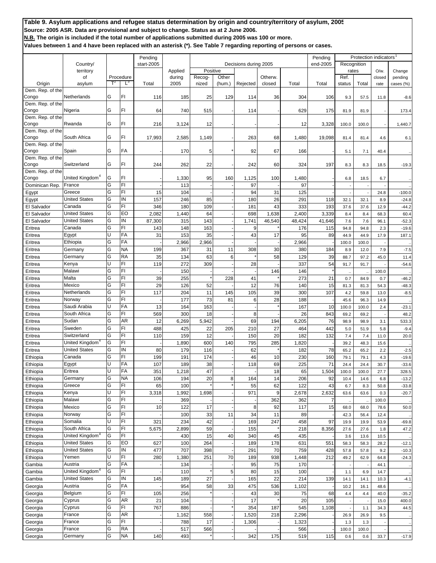|                            |                                        |        |                | Pending    |            |          |           |                       |          |            | Pending        |                      | Protection indicators |              |           |
|----------------------------|----------------------------------------|--------|----------------|------------|------------|----------|-----------|-----------------------|----------|------------|----------------|----------------------|-----------------------|--------------|-----------|
|                            | Country/                               |        |                | start-2005 |            |          |           | Decisions during 2005 |          |            | end-2005       | Recognition          |                       |              |           |
|                            | territory                              |        |                |            | Applied    | Positive |           |                       |          |            |                | rates                |                       | $O/w$ .      | Change    |
|                            | of                                     | $T^2$  | Procedure<br>Ľ |            | during     | Recog-   | Other     |                       | Otherw.  |            |                | Ref.                 |                       | closed       | pending   |
| Origin<br>Dem. Rep. of the | asylum                                 |        |                | Total      | 2005       | nized    | (hum.)    | Rejected              | closed   | Total      | Total          | status               | Total                 | rate         | cases (%) |
| Congo                      | Netherlands                            | G      | FI             | 116        | 185        | 25       | 129       | 114                   | 36       | 304        | 106            | 9.3                  | 57.5                  | 11.8         | $-8.6$    |
| Dem. Rep. of the           |                                        |        |                |            |            |          |           |                       |          |            |                |                      |                       |              |           |
| Congo                      | Nigeria                                | G      | FI             | 64         | 740        | 515      |           | 114                   |          | 629        | 175            | 81.9                 | 81.9                  |              | 173.4     |
| Dem. Rep. of the           |                                        |        |                |            |            |          |           |                       |          |            |                |                      |                       |              |           |
| Congo                      | Rwanda                                 | G      | FI             | 216        | 3,124      | 12       |           |                       |          | 12         | 3,328          | 100.0                | 100.0                 |              | 1,440.7   |
| Dem. Rep. of the           |                                        |        |                |            |            |          |           |                       |          |            |                |                      |                       |              |           |
| Congo                      | South Africa                           | G      | FI             | 17,993     | 2,585      | 1,149    |           | 263                   | 68       | 1,480      | 19,098         | 81.4                 | 81.4                  | 4.6          | 6.1       |
| Dem. Rep. of the<br>Congo  | Spain                                  | G      | FA             |            | 170        | 5        |           | 92                    | 67       | 166        |                |                      | 7.1                   |              |           |
| Dem. Rep. of the           |                                        |        |                |            |            |          |           |                       |          |            |                | 5.1                  |                       | 40.4         |           |
| Congo                      | Switzerland                            | G      | FI             | 244        | 262        | 22       |           | 242                   | 60       | 324        | 197            | 8.3                  | 8.3                   | 18.5         | $-19.3$   |
| Dem. Rep. of the           |                                        |        |                |            |            |          |           |                       |          |            |                |                      |                       |              |           |
| Congo                      | United Kingdom <sup>4</sup>            | G      | FI             |            | 1,330      | 95       | 160       | 1,125                 | 100      | 1,480      |                | 6.8                  | 18.5                  | 6.7          |           |
| Dominican Rep.             | France                                 | G      | FI             |            | 113        |          |           | 97                    |          | 97         |                |                      |                       |              |           |
| Egypt                      | Greece                                 | G      | FI             | 15         | 104        |          |           | 94                    | 31       | 125        |                |                      |                       | 24.8         | $-100.0$  |
| Egypt                      | <b>United States</b>                   | G      | IN             | 157        | 246        | 85       |           | 180                   | 26       | 291        | 118            | 32.1                 | 32.1                  | 8.9          | $-24.8$   |
| El Salvador                | Canada                                 | G      | FI             | 346        | 180        | 109      |           | 181                   | 43       | 333        | 193            | 37.6                 | 37.6                  | 12.9         | $-44.2$   |
| El Salvador                | United States                          | G      | EO             | 2,082      | 1,440      | 64       |           | 698                   | 1,638    | 2,400      | 3,339          | 8.4                  | 8.4                   | 68.3         | 60.4      |
| El Salvador                | <b>United States</b>                   | G      | IN             | 87,300     | 315        | 143      |           | 1,741                 | 46,540   | 48,424     | 41,646         | 7.6                  | 7.6                   | 96.1         | $-52.3$   |
| Eritrea                    | Canada                                 | G      | FI             | 143        | 148        | 163      |           | 9                     |          | 176        | 115            | 94.8                 | 94.8                  | 2.3          | $-19.6$   |
| Eritrea                    | Egypt                                  | U      | FA             | 31         | 153        | 35       |           | 43                    | 17       | 95         | 89             | 44.9                 | 44.9                  | 17.9         | 187.1     |
| Eritrea                    | Ethiopia                               | G      | FA             |            | 2,966      | 2,966    |           |                       |          | 2,966      |                | 100.0                | 100.0                 |              |           |
| Eritrea                    | Germany                                | G      | <b>NA</b>      | 199        | 367        | 31       | 11        | 308                   | 30       | 380        | 184            | 8.9                  | 12.0                  | 7.9          | $-7.5$    |
| Eritrea                    | Germany                                | G      | <b>RA</b>      | 35         | 134        | 63       | 6         |                       | 58       | 129        | 39             | 88.7                 | 97.2                  | 45.0         | 11.4      |
| Eritrea                    | Kenya                                  | U      | FI             | 119        | 272        | 309      |           | 28                    |          | 337        | 54             | 91.7                 | 91.7                  |              | $-54.6$   |
| Eritrea                    | Malawi                                 | G      | FI             |            | 150        |          |           |                       | 146      | 146        |                | $\ddot{\phantom{1}}$ |                       | 100.0        |           |
| Eritrea                    | Malta                                  | G<br>G | FI<br>FI       | 39         | 255        |          | 228       | 41                    |          | 273        | 21             | 0.7                  | 84.9                  | 0.7          | $-46.2$   |
| Eritrea                    | Mexico<br>Netherlands                  | G      | FI             | 29         | 126        | 52       |           | 12                    | 76       | 140        | 15             | 81.3                 | 81.3                  | 54.3         | $-48.3$   |
| Eritrea                    | Norway                                 | G      | FI             | 117        | 204        | 11<br>73 | 145<br>81 | 105<br>6              | 39<br>28 | 300<br>188 | 107            | 4.2                  | 59.8                  | 13.0         | $-8.5$    |
| Eritrea<br>Eritrea         | Saudi Arabia                           | U      | FA             | 13         | 177<br>164 | 163      |           |                       |          | 167        | 10             | 45.6<br>100.0        | 96.3<br>100.0         | 14.9<br>2.4  | $-23.1$   |
| Eritrea                    | South Africa                           | G      | FI             | 569        | 300        | 18       |           | 8                     |          | 26         | 843            | 69.2                 | 69.2                  |              | 48.2      |
| Eritrea                    | Sudan                                  | G      | AR             | 12         | 6,269      | 5,942    |           | 69                    | 194      | 6,205      | 76             | 98.9                 | 98.9                  | 3.1          | 533.3     |
| Eritrea                    | Sweden                                 | G      | FI             | 488        | 425        | 22       | 205       | 210                   | 27       | 464        | 442            | 5.0                  | 51.9                  | 5.8          | $-9.4$    |
| Eritrea                    | Switzerland                            | G      | FI             | 110        | 159        | 12       |           | 150                   | 20       | 182        | 132            | 7.4                  | 7.4                   | 11.0         | 20.0      |
| Eritrea                    | United Kingdom <sup>4</sup>            | G      | FI             |            | 1,890      | 600      | 140       | 795                   | 285      | 1,820      |                | 39.2                 | 48.3                  | 15.6         |           |
| Eritrea                    | <b>United States</b>                   | G      | IN             | 80         | 179        | 116      |           | 62                    |          | 182        | 78             | 65.2                 | 65.2                  | 2.2          | $-2.5$    |
| Ethiopia                   | Canada                                 | G      | FI             | 199        | 191        | 174      |           | 46                    | 10       | 230        | 160            | 79.1                 | 79.1                  | 4.3          | $-19.6$   |
| Ethiopia                   | Egypt                                  | U      | FA             | 107        | 189        | 38       |           | 118                   | 69       | 225        | 71             | 24.4                 | 24.4                  | 30.7         | $-33.6$   |
| Ethiopia                   | Eritrea                                | U      | FA             | 351        | 1,218      | 47       |           |                       | 18       | 65         | 1,504          | 100.0                | 100.0                 | 27.7         | 328.5     |
| Ethiopia                   | Germany                                | G      | <b>NA</b>      | 106        | 194        | 20       | 8         | 164                   | 14       | 206        | 92             | 10.4                 | 14.6                  | 6.8          | $-13.2$   |
| Ethiopia                   | Greece                                 | G      | FI             | 65         | 100        |          |           | 55                    | 62       | 122        | 43             | 6.7                  | 8.3                   | 50.8         | $-33.8$   |
| Ethiopia                   | Kenya                                  | U      | FI             | 3,318      | 1,992      | 1,698    |           | 971                   | 9        | 2,678      | 2,632          | 63.6                 | 63.6                  | 0.3          | $-20.7$   |
| Ethiopia                   | Malawi                                 | G      | FI             |            | 369        |          |           |                       | 362      | 362        | $\overline{7}$ |                      |                       | 100.0        |           |
| Ethiopia                   | Mexico                                 | G      | FI             | 10         | 122        | 17       |           | 8                     | 92       | 117        | 15             | 68.0                 | 68.0                  | 78.6         | 50.0      |
| Ethiopia                   | Norway                                 | G      | FI             |            | 100        | 33       | 11        | 34                    | 11       | 89         |                | 42.3                 | 56.4                  | 12.4         |           |
| Ethiopia                   | Somalia                                | U      | FI             | 321        | 234        | 42       |           | 169                   | 247      | 458        | 97             | 19.9                 | 19.9                  | 53.9         | $-69.8$   |
| Ethiopia                   | South Africa                           | G      | FI             | 5,675      | 2,899      | 59       |           | 155                   |          | 218        | 8,356          | 27.6                 | 27.6                  | 1.8          | 47.2      |
| Ethiopia                   | United Kingdom <sup>4</sup>            | G      | FI             |            | 430        | 15       | 40        | 340                   | 45       | 435        |                | 3.6                  | 13.6                  | 10.5         |           |
| Ethiopia                   | <b>United States</b>                   | G      | EO             | 627        | 100        | 264      |           | 189                   | 178      | 631        | 551            | 58.3                 | 58.3                  | 28.2         | $-12.1$   |
| Ethiopia                   | <b>United States</b>                   | G      | IN             | 477        | 707        | 398      |           | 291                   | 70       | 759        | 428            | 57.8                 | 57.8                  | 9.2          | $-10.3$   |
| Ethiopia                   | Yemen                                  | U<br>G | FI<br>FA       | 280        | 1,380      | 251      | 70        | 189                   | 938      | 1,448      | 212            | 49.2                 | 62.9                  | 64.8         | $-24.3$   |
| Gambia                     | Austria<br>United Kingdom <sup>4</sup> | G      | FI             |            | 134        |          | 5         | 95                    | 75       | 170        |                |                      |                       | 44.1         |           |
| Gambia                     | <b>United States</b>                   | G      | IN             | 145        | 110<br>189 | 27       |           | 80<br>165             | 15<br>22 | 100<br>214 | 139            | 1.1                  | 6.9                   | 14.7         |           |
| Gambia<br>Georgia          | Austria                                | G      | FA             |            | 954        | 58       | 33        | 475                   | 536      | 1,102      |                | 14.1<br>10.2         | 14.1<br>16.1          | 10.3<br>48.6 | $-4.1$    |
| Georgia                    | Belgium                                | G      | FI             | 105        | 256        |          |           | 43                    | 30       | 75         | 68             | 4.4                  | 4.4                   | 40.0         | $-35.2$   |
| Georgia                    | Cyprus                                 | G      | AR             | 21         | 104        |          |           | 17                    |          | 20         | 105            |                      |                       | 15.0         | 400.0     |
| Georgia                    | Cyprus                                 | G      | FI             | 767        | 886        |          |           | 354                   | 187      | 545        | 1,108          |                      | 1.1                   | 34.3         | 44.5      |
| Georgia                    | France                                 | G      | AR             |            | 1,162      | 558      |           | 1,520                 | 218      | 2,296      |                | 26.9                 | 26.9                  | 9.5          |           |
| Georgia                    | France                                 | G      | FI             |            | 788        | 17       |           | 1,306                 |          | 1,323      |                | 1.3                  | 1.3                   |              |           |
| Georgia                    | France                                 | G      | <b>RA</b>      |            | 517        | 566      |           |                       |          | 566        |                | 100.0                | 100.0                 |              |           |
| Georgia                    | Germany                                | G      | <b>NA</b>      | 140        | 493        |          |           | 342                   | 175      | 519        | 115            | 0.6                  | 0.6                   | 33.7         | $-17.9$   |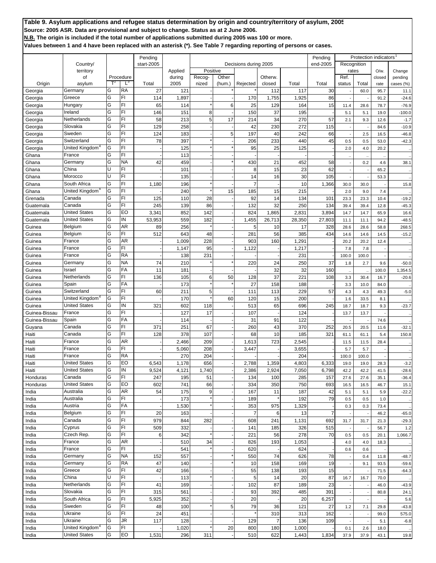|                    |                             |        |           | Pending    |            |          |        |                       |                |                 | Pending   |             | Protection indicators |              |           |
|--------------------|-----------------------------|--------|-----------|------------|------------|----------|--------|-----------------------|----------------|-----------------|-----------|-------------|-----------------------|--------------|-----------|
|                    | Country/                    |        |           | start-2005 |            |          |        | Decisions during 2005 |                |                 | end-2005  | Recognition |                       |              |           |
|                    | territory                   |        |           |            | Applied    | Positive |        |                       |                |                 |           | rates       |                       | O/w.         | Change    |
|                    | of                          |        | Procedure |            | during     | Recog-   | Other  |                       | Otherw.        |                 |           | Ref.        |                       | closed       | pending   |
| Origin             | asylum                      |        | $L^3$     | Total      | 2005       | nized    | (hum.) | Rejected              | closed         | Total           | Total     | status      | Total                 | rate         | cases (%) |
| Georgia            | Germany                     | G      | <b>RA</b> | 27         | 121        |          |        |                       | 112            | 117             | 30        |             | 60.0                  | 95.7         | 11.1      |
| Georgia            | Greece                      | G<br>G | FI<br>FI  | 114        | 1,897      |          |        | 170                   | 1,755          | 1,925           | 86        |             |                       | 91.2         | $-24.6$   |
| Georgia            | Hungary                     | G      | FI        | 65         | 114        |          | 6      | 25<br>150             | 129            | 164             | 15        | 11.4        | 28.6                  | 78.7         | $-76.9$   |
| Georgia            | Ireland<br>Netherlands      | G      | FI        | 146<br>58  | 151<br>213 | 8<br>5   | 17     | 214                   | 37<br>34       | 195<br>270      | 57        | 5.1         | 5.1                   | 19.0         | $-100.0$  |
| Georgia            | Slovakia                    | G      | FI        | 129        | 258        |          |        | 42                    | 230            | 272             |           | 2.1         | 9.3                   | 12.6         | $-1.7$    |
| Georgia            | Sweden                      | G      | FI        | 124        | 183        |          | 5      | 197                   | 40             | 242             | 115<br>66 |             |                       | 84.6         | $-10.9$   |
| Georgia            | Switzerland                 | G      | FI        | 78         | 397        |          |        | 206                   | 233            | 440             | 45        | 0.5         | 2.5<br>0.5            | 16.5<br>53.0 | $-46.8$   |
| Georgia<br>Georgia | United Kingdom <sup>4</sup> | G      | FI        |            | 125        |          |        | 95                    | 25             | 125             |           | 2.0         | 4.0                   | 20.2         | $-42.3$   |
| Ghana              | France                      | G      | FI        |            | 113        |          |        |                       |                |                 |           | ÷.          |                       |              |           |
| Ghana              | Germany                     | G      | <b>NA</b> | 42         | 459        |          |        | 430                   | 21             | 452             | 58        |             | 0.2                   | 4.6          | 38.1      |
| Ghana              | China                       | Ù      | FI        |            | 101        |          |        | 8                     | 15             | 23              | 62        |             |                       | 65.2         |           |
| Ghana              | Morocco                     | U      | FI        |            | 135        |          |        | 14                    | 16             | 30              | 105       |             |                       | 53.3         |           |
| Ghana              | South Africa                | G      | FI        | 1,180      | 196        |          |        | $\overline{7}$        |                | 10              | 1,366     | 30.0        | 30.0                  |              | 15.8      |
| Ghana              | United Kingdom <sup>4</sup> | G      | FI        |            | 240        |          | 15     | 185                   | 15             | 215             |           | 2.0         | 9.0                   | 7.4          |           |
| Grenada            | Canada                      | G      | FI        | 125        | 110        | 28       |        | 92                    | 14             | 134             | 101       | 23.3        | 23.3                  | 10.4         | $-19.2$   |
| Guatemala          | Canada                      | G      | FI        | 245        | 139        | 86       |        | 132                   | 32             | 250             | 134       | 39.4        | 39.4                  | 12.8         | $-45.3$   |
| Guatemala          | <b>United States</b>        | G      | EO        | 3,341      | 852        | 142      |        | 824                   | 1,865          | 2,831           | 3,894     | 14.7        | 14.7                  | 65.9         | 16.6      |
| Guatemala          | <b>United States</b>        | G      | IN        | 53,953     | 559        | 182      |        | 1,455                 | 26,713         | 28,350          | 27,803    | 11.1        | 11.1                  | 94.2         | $-48.5$   |
| Guinea             | Belgium                     | G      | AR        | 89         | 256        |          |        | 5                     | 10             | 17              | 328       | 28.6        | 28.6                  | 58.8         | 268.5     |
| Guinea             | Belgium                     | G      | FI        | 512        | 643        | 48       |        | 281                   | 56             | 385             | 434       | 14.6        | 14.6                  | 14.5         | $-15.2$   |
| Guinea             | France                      | G      | AR        |            | 1,009      | 228      |        | 903                   | 160            | 1,291           |           | 20.2        | 20.2                  | 12.4         |           |
| Guinea             | France                      | G      | FI        |            | 1,147      | 95       |        | 1,122                 |                | 1,217           |           | 7.8         | 7.8                   |              |           |
| Guinea             | France                      | G      | <b>RA</b> |            | 138        | 231      |        |                       |                | 231             |           | 100.0       | 100.0                 |              |           |
| Guinea             | Germany                     | G      | <b>NA</b> | 74         | 210        |          |        | 220                   | 24             | 250             | 37        | 1.8         | 2.7                   | 9.6          | $-50.0$   |
| Guinea             | Israel                      | G      | FA        | 11         | 181        |          |        |                       | 32             | 32              | 160       | $\cdot$     |                       | 100.0        | 1,354.5   |
| Guinea             | Netherlands                 | G      | FI        | 136        | 105        | 6        | 50     | 128                   | 37             | 22 <sub>1</sub> | 108       | 3.3         | 30.4                  | 16.7         | $-20.6$   |
| Guinea             | Spain                       | G      | FA        |            | 173        |          |        | 27                    | 158            | 188             |           | 3.3         | 10.0                  | 84.0         |           |
| Guinea             | Switzerland                 | G      | FI        | 60         | 211        | 5        |        | 111                   | 113            | 229             | 57        | 4.3         | 4.3                   | 49.3         | $-5.0$    |
| Guinea             | United Kingdom <sup>4</sup> | G      | FI        |            | 170        |          | 60     | 120                   | 15             | 200             |           | 1.6         | 33.5                  | 8.1          |           |
| Guinea             | <b>United States</b>        | G      | IN        | 321        | 602        | 118      |        | 513                   | 65             | 696             | 245       | 18.7        | 18.7                  | 9.3          | $-23.7$   |
| Guinea-Bissau      | France                      | G      | FI        |            | 127        | 17       |        | 107                   |                | 124             |           | 13.7        | 13.7                  |              |           |
| Guinea-Bissau      | Spain                       | G      | FA        |            | 114        |          |        | 31                    | 91             | 122             |           |             |                       | 74.6         |           |
| Guyana             | Canada                      | G      | FI        | 371        | 251        | 67       |        | 260                   | 43             | 370             | 252       | 20.5        | 20.5                  | 11.6         | $-32.1$   |
| Haiti              | Canada                      | G      | FI        | 128        | 378        | 107      |        | 68                    | 10             | 185             | 321       | 61.1        | 61.1                  | 5.4          | 150.8     |
| Haiti              | France                      | G      | AR        |            | 2,466      | 209      |        | 1,613                 | 723            | 2,545           |           | 11.5        | 11.5                  | 28.4         |           |
| Haiti              | France                      | G      | FI        |            | 5,060      | 208      |        | 3,447                 |                | 3,655           |           | 5.7         | 5.7                   |              |           |
| Haiti              | France                      | G      | RA        |            | 270        | 204      |        |                       |                | 204             |           | 100.0       | 100.0                 |              |           |
| Haiti              | United States               | G      | EO        | 6,543      | 1,178      | 656      |        | 2,788                 | 1,359          | 4,803           | 6,333     | 19.0        | 19.0                  | 28.3         | $-3.2$    |
| Haiti              | <b>United States</b>        | Ġ      | IN        | 9,524      | 4,121      | 1,740    |        | 2,386                 | 2,924          | 7,050           | 6,798     | 42.2        | 42.2                  | 41.5         | $-28.6$   |
| Honduras           | Canada                      | G      | FI.       | 247        | 195        | 51       |        | 134                   | 100            | 285             | 157       | 27.6        | 27.6                  | 35.1         | $-36.4$   |
| Honduras           | United States               | G      | EO        | 602        | 741        | 66       |        | 334                   | 350            | 750             | 693       | 16.5        | 16.5                  | 46.7         | 15.1      |
| India              | Australia                   | G      | <b>AR</b> | 54         | 175        | 9        |        | 167                   | 11             | 187             | 42        | 5.1         | 5.1                   | 5.9          | $-22.2$   |
| India              | Australia                   | G      | FI.       |            | 173        |          |        | 189                   |                | 192             | 79        | 0.5         | 0.5                   | 1.0          |           |
| India              | Austria                     | G      | FA        |            | 1,530      |          |        | 353                   | 975            | 1,329           |           | 0.3         | 0.3                   | 73.4         |           |
| India              | Belgium                     | G      | FI        | 20         | 163        |          |        | $\overline{7}$        | 6              | 13              |           |             |                       | 46.2         | $-65.0$   |
| India              | Canada                      | G<br>G | FI        | 979        | 844        | 282      |        | 608                   | 241            | 1,131           | 692       | 31.7        | 31.7                  | 21.3         | $-29.3$   |
| India              | Cyprus<br>Czech Rep.        | G      | FI<br>FI  | 509<br>6   | 332<br>342 |          |        | 141<br>221            | 185            | 326             | 515<br>70 |             |                       | 56.7         | 1.2       |
| India              | France                      | G      | AR        |            | 510        | 34       |        |                       | 56             | 278             |           | 0.5         | 0.5                   | 20.1         | 1,066.7   |
| India              | France                      | G      | FI        |            |            |          |        | 826                   | 193            | 1,053<br>624    |           | 4.0         | 4.0                   | 18.3         |           |
| India<br>India     | Germany                     | G      | <b>NA</b> | 152        | 541<br>557 |          |        | 620<br>550            | 74             | 626             | 78        | 0.6         | 0.6<br>0.4            | 11.8         | $-48.7$   |
| India              | Germany                     | G      | <b>RA</b> | 47         | 140        |          |        | 10                    | 158            | 169             | 19        |             | 9.1                   | 93.5         | $-59.6$   |
| India              | Greece                      | G      | FI        | 42         | 166        |          |        | 55                    | 138            | 193             | 15        |             |                       | 71.5         | $-64.3$   |
| India              | China                       | Ù      | FI        |            | 113        |          |        | 5                     | 14             | 20              | 87        | 16.7        | 16.7                  | 70.0         |           |
| India              | Netherlands                 | G      | FI        | 41         | 169        |          |        | 102                   | 87             | 189             | 23        |             |                       | 46.0         | $-43.9$   |
| India              | Slovakia                    | G      | FI        | 315        | 561        |          |        | 93                    | 392            | 485             | 391       |             |                       | 80.8         | 24.1      |
| India              | South Africa                | G      | FI        | 5,925      | 352        |          |        | 20                    |                | 20              | 6,257     |             |                       |              | 5.6       |
| India              | Sweden                      | G      | FI        | 48         | 100        |          | 5      | 79                    | 36             | 121             | 27        | 1.2         | 7.1                   | 29.8         | $-43.8$   |
| India              | Ukraine                     | G      | FI        | 24         | 451        |          |        |                       | 310            | 313             | 162       |             |                       | 99.0         | 575.0     |
| India              | Ukraine                     | G      | JR        | 117        | 128        |          |        | 129                   | $\overline{7}$ | 136             | 109       |             |                       | 5.1          | $-6.8$    |
| India              | United Kingdom <sup>4</sup> | G      | FI        |            | 1,020      |          | 20     | 800                   | 180            | 1,000           |           | 0.1         | 2.6                   | 18.0         |           |
| India              | <b>United States</b>        | G      | EO        | 1,531      | 296        | 311      |        | 510                   | 622            | 1,443           | 1,834     | 37.9        | 37.9                  | 43.1         | 19.8      |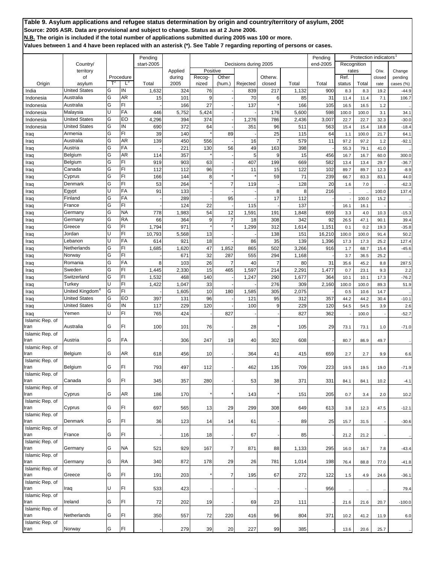|                         |                             |        |                    | Pending        |                |                 |                 |                       |                   |              | Pending    |                | <b>Protection indicators</b> |                |                      |
|-------------------------|-----------------------------|--------|--------------------|----------------|----------------|-----------------|-----------------|-----------------------|-------------------|--------------|------------|----------------|------------------------------|----------------|----------------------|
|                         | Country/                    |        |                    | start-2005     |                |                 |                 | Decisions during 2005 |                   |              | end-2005   | Recognition    |                              |                |                      |
|                         | territory                   |        |                    |                | Applied        | Positive        |                 |                       |                   |              |            | rates          |                              | O/w.           | Change               |
| Origin                  | of<br>asylum                |        | Procedure<br>$L^3$ | Total          | during<br>2005 | Recog-<br>nized | Other<br>(hum.) | Rejected              | Otherw.<br>closed | Total        | Total      | Ref.<br>status | Total                        | closed<br>rate | pending              |
| India                   | <b>United States</b>        | G      | IN                 | 1,632          | 324            | 76              |                 | 839                   | 217               | 1,132        | 900        | 8.3            | 8.3                          | 19.2           | cases (%)<br>$-44.9$ |
| Indonesia               | Australia                   | G      | AR                 | 15             | 101            | 9               |                 | 70                    | 6                 | 85           | 31         | 11.4           | 11.4                         | 7.1            | 106.7                |
| Indonesia               | Australia                   | G      | FI                 |                | 166            | 27              |                 | 137                   |                   | 166          | 105        | 16.5           | 16.5                         | 1.2            |                      |
| Indonesia               | Malaysia                    | U      | FA                 | 446            | 5,752          | 5,424           |                 |                       | 176               | 5,600        | 598        | 100.0          | 100.0                        | 3.1            | 34.1                 |
| Indonesia               | United States               | G      | EO                 | 4,296          | 394            | 374             |                 | 1,276                 | 786               | 2,436        | 3,007      | 22.7           | 22.7                         | 32.3           | $-30.0$              |
| Indonesia               | <b>United States</b>        | G      | IN                 | 690            | 372            | 64              |                 | 351                   | 96                | 511          | 563        | 15.4           | 15.4                         | 18.8           | $-18.4$              |
| Iraq                    | Armenia                     | G      | FI                 | 39             | 140            |                 | 89              |                       | 25                | 115          | 64         | 1.1            | 100.0                        | 21.7           | 64.1                 |
| Iraq                    | Australia                   | G      | <b>AR</b>          | 139            | 450            | 556             |                 | 16                    | $\overline{7}$    | 579          | 11         | 97.2           | 97.2                         | 1.2            | $-92.1$              |
| Iraq                    | Austria                     | G      | FA                 |                | 221            | 130             | 56              | 49                    | 163               | 398          |            | 55.3           | 79.1                         | 41.0           |                      |
| Iraq                    | Belgium                     | G      | AR                 | 114            | 357            |                 |                 | 5                     | 9                 | 15           | 456        | 16.7           | 16.7                         | 60.0           | 300.0                |
| Iraq                    | Belgium<br>Canada           | G<br>G | FI<br>FI           | 919            | 903            | 63              |                 | 407                   | 199               | 669          | 582        | 13.4           | 13.4                         | 29.7           | $-36.7$              |
| Iraq                    | Cyprus                      | G      | FI                 | 112<br>166     | 112<br>144     | 96<br>8         |                 | 11                    | 15<br>59          | 122<br>71    | 102<br>239 | 89.7           | 89.7                         | 12.3           | $-8.9$               |
| Iraq                    | Denmark                     | G      | FI                 | 53             | 264            |                 | $\overline{7}$  | 119                   |                   | 128          | 20         | 66.7<br>1.6    | 83.3<br>7.0                  | 83.1           | 44.0<br>$-62.3$      |
| Iraq<br>Iraq            | Egypt                       | Ù      | FA                 | 91             | 133            |                 |                 |                       | 8                 | 8            | 216        | $\cdot$        |                              | 100.0          | 137.4                |
| Iraq                    | Finland                     | G      | FA                 |                | 289            |                 | 95              |                       | 17                | 112          |            |                | 100.0                        | 15.2           |                      |
| Iraq                    | France                      | G      | FI                 |                | 124            | 22              |                 | 115                   |                   | 137          |            | 16.1           | 16.1                         |                |                      |
| Iraq                    | Germany                     | G      | <b>NA</b>          | 778            | 1,983          | 54              | 12              | 1,591                 | 191               | 1,848        | 659        | 3.3            | 4.0                          | 10.3           | $-15.3$              |
| Iraq                    | Germany                     | G      | <b>RA</b>          | 66             | 364            | 9               | $\overline{7}$  | 18                    | 308               | 342          | 92         | 26.5           | 47.1                         | 90.1           | 39.4                 |
| Iraq                    | Greece                      | G      | FI                 | 1,794          | 971            |                 |                 | 1,299                 | 312               | 1,614        | 1,151      | 0.1            | 0.2                          | 19.3           | $-35.8$              |
| Iraq                    | Jordan                      | Ù      | FI                 | 10,793         | 5,568          | 13              |                 |                       | 138               | 151          | 16,210     | 100.0          | 100.0                        | 91.4           | 50.2                 |
| Iraq                    | Lebanon                     | U      | FA                 | 614            | 921            | 18              |                 | 86                    | 35                | 139          | 1,396      | 17.3           | 17.3                         | 25.2           | 127.4                |
| Iraq                    | Netherlands                 | G      | FI                 | 1,685          | 1,620          | 47              | 1,852           | 865                   | 502               | 3,266        | 916        | 1.7            | 68.7                         | 15.4           | $-45.6$              |
| Iraq                    | Norway                      | G      | FI                 |                | 671            | 32              | 287             | 555                   | 294               | 1,168        |            | 3.7            | 36.5                         | 25.2           |                      |
| Iraq                    | Romania                     | G      | FA                 | 8              | 103            | 26              | 7               | 40                    | 7                 | 80           | 31         | 35.6           | 45.2                         | 8.8            | 287.5                |
| Iraq                    | Sweden                      | G<br>G | FI                 | 1,445          | 2,330          | 15              | 465             | 1,597                 | 214               | 2,291        | 1,477      | 0.7            | 23.1                         | 9.3            | 2.2                  |
| Iraq                    | Switzerland<br>Turkey       | U      | FI<br>FI           | 1,532<br>1,422 | 468<br>1,047   | 140<br>33       |                 | 1,247                 | 290<br>276        | 1,677<br>309 | 364        | 10.1           | 10.1                         | 17.3           | $-76.2$              |
| Iraq<br>Iraq            | United Kingdom <sup>4</sup> | G      | FI                 |                | 1,605          | 10              | 180             | 1,585                 | 305               | 2,075        | 2,160      | 100.0<br>0.5   | 100.0<br>10.6                | 89.3<br>14.7   | 51.9                 |
| Iraq                    | United States               | G      | EO                 | 397            | 131            | 96              |                 | 121                   | 95                | 312          | 357        | 44.2           | 44.2                         | 30.4           | $-10.1$              |
| Iraq                    | <b>United States</b>        | G      | IN                 | 117            | 229            | 120             |                 | 100                   | 9                 | 229          | 120        | 54.5           | 54.5                         | 3.9            | 2.6                  |
| Iraq                    | Yemen                       | U      | FI                 | 765            | 424            |                 | 827             |                       |                   | 827          | 362        |                | 100.0                        |                | $-52.7$              |
| Islamic Rep. of         |                             |        |                    |                |                |                 |                 |                       |                   |              |            |                |                              |                |                      |
| Iran                    | Australia                   | G      | FI                 | 100            | 101            | 76              |                 | 28                    |                   | 105          | 29         | 73.1           | 73.1                         | 1.0            | $-71.0$              |
| Islamic Rep. of         |                             |        |                    |                |                |                 |                 |                       |                   |              |            |                |                              |                |                      |
| Iran                    | Austria                     | G      | FA                 |                | 306            | 247             | 19              | 40                    | 302               | 608          |            | 80.7           | 86.9                         | 49.7           |                      |
| Islamic Rep. of         | Belgium                     | G      | AR                 | 618            | 456            | 10              |                 | 364                   | 41                |              | 659        |                |                              |                |                      |
| Iran<br>Islamic Rep. of |                             |        |                    |                |                |                 |                 |                       |                   | 415          |            | 2.7            | 2.7                          | 9.9            | 6.6                  |
| Iran                    | Belgium                     | G      | FI                 | 793            | 497            | 112             |                 | 462                   | 135               | 709          | 223        | 19.5           | 19.5                         | 19.0           | $-71.9$              |
| Islamic Rep. of         |                             |        |                    |                |                |                 |                 |                       |                   |              |            |                |                              |                |                      |
| Iran                    | Canada                      | G      | FI                 | 345            | 357            | 280             |                 | 53                    | 38                | 371          | 331        | 84.1           | 84.1                         | 10.2           | $-4.1$               |
| Islamic Rep. of         |                             |        |                    |                |                |                 |                 |                       |                   |              |            |                |                              |                |                      |
| Iran                    | Cyprus                      | G      | AR                 | 186            | 170            |                 |                 | 143                   |                   | 151          | 205        | 0.7            | 3.4                          | 2.0            | 10.2                 |
| Islamic Rep. of<br>Iran | Cyprus                      | G      | FI                 |                |                |                 |                 |                       |                   |              |            |                |                              |                |                      |
| Islamic Rep. of         |                             |        |                    | 697            | 565            | 13              | 29              | 299                   | 308               | 649          | 613        | 3.8            | 12.3                         | 47.5           | $-12.1$              |
| Iran                    | Denmark                     | G      | FI                 | 36             | 123            | 14              | 14              | 61                    |                   | 89           | 25         | 15.7           | 31.5                         |                | $-30.6$              |
| Islamic Rep. of         |                             |        |                    |                |                |                 |                 |                       |                   |              |            |                |                              |                |                      |
| Iran                    | France                      | G      | FI                 |                | 116            | 18              |                 | 67                    |                   | 85           |            | 21.2           | 21.2                         |                |                      |
| Islamic Rep. of         |                             |        |                    |                |                |                 |                 |                       |                   |              |            |                |                              |                |                      |
| Iran                    | Germany                     | G      | ΝA                 | 521            | 929            | 167             | 7               | 871                   | 88                | 1,133        | 295        | 16.0           | 16.7                         | 7.8            | $-43.4$              |
| Islamic Rep. of<br>Iran | Germany                     | G      | RA                 | 340            | 872            | 178             | 29              | 26                    | 781               |              | 198        |                |                              |                |                      |
| Islamic Rep. of         |                             |        |                    |                |                |                 |                 |                       |                   | 1,014        |            | 76.4           | 88.8                         | 77.0           | $-41.8$              |
| Iran                    | Greece                      | G      | FI                 | 191            | 203            |                 | 7               | 195                   | 67                | 272          | 122        | 1.5            | 4.9                          | 24.6           | $-36.1$              |
| Islamic Rep. of         |                             |        |                    |                |                |                 |                 |                       |                   |              |            |                |                              |                |                      |
| Iran                    | Iraq                        | U      | FI                 | 533            | 423            |                 |                 |                       |                   |              | 956        | $\cdot$        |                              |                | 79.4                 |
| Islamic Rep. of         |                             |        |                    |                |                |                 |                 |                       |                   |              |            |                |                              |                |                      |
| Iran                    | Ireland                     | G      | FI                 | 72             | 202            | 19              |                 | 69                    | 23                | 111          |            | 21.6           | 21.6                         | 20.7           | $-100.0$             |
| Islamic Rep. of<br>Iran | Netherlands                 | G      | FI                 | 350            | 557            | 72              | 220             | 416                   | 96                | 804          | 371        | 10.2           | 41.2                         | 11.9           | 6.0                  |
| Islamic Rep. of         |                             |        |                    |                |                |                 |                 |                       |                   |              |            |                |                              |                |                      |
| Iran                    | Norway                      | G      | FI                 |                | 279            | 39              | 20              | 227                   | 99                | 385          |            | 13.6           | 20.6                         | 25.7           |                      |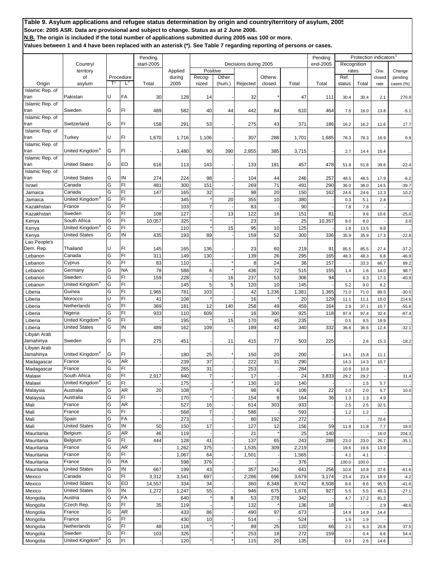|                           |                             |                           |           | Pending    |         |                |        |                       |         |       | Pending  |             | Protection indicators |         |           |
|---------------------------|-----------------------------|---------------------------|-----------|------------|---------|----------------|--------|-----------------------|---------|-------|----------|-------------|-----------------------|---------|-----------|
|                           | Country/                    |                           |           | start-2005 |         |                |        | Decisions during 2005 |         |       | end-2005 | Recognition |                       |         |           |
|                           | territory                   |                           |           |            | Applied | Positive       |        |                       |         |       |          | rates       |                       | $O/w$ . | Change    |
|                           | of                          |                           | Procedure |            | during  | Recog-         | Other  |                       | Otherw. |       |          | Ref.        |                       | closed  | pending   |
| Origin                    | asylum                      | $\mathsf{T}^{\mathsf{z}}$ | Ľ         | Total      | 2005    | nized          | (hum.) | Rejected              | closed  | Total | Total    | status      | Total                 | rate    | cases (%) |
| Islamic Rep. of           |                             |                           |           |            |         |                |        |                       |         |       |          |             |                       |         |           |
| Iran                      | Pakistan                    | U                         | FA        | 30         | 128     | 14             |        | 32                    |         | 47    | 111      | 30.4        | 30.4                  | 2.1     | 270.0     |
| Islamic Rep. of<br>Iran   | Sweden                      | G                         | FI        | 489        |         | 40             | 44     |                       |         |       |          |             |                       |         |           |
| Islamic Rep. of           |                             |                           |           |            | 582     |                |        | 442                   | 84      | 610   | 464      | 7.6         | 16.0                  | 13.8    | $-5.1$    |
| Iran                      | Switzerland                 | G                         | FI        | 158        | 291     | 53             |        | 275                   | 43      | 371   | 186      | 16.2        | 16.2                  | 11.6    | 17.7      |
| Islamic Rep. of           |                             |                           |           |            |         |                |        |                       |         |       |          |             |                       |         |           |
| Iran                      | Turkey                      | U                         | FI        | 1,670      | 1,716   | 1,106          |        | 307                   | 288     | 1,701 | 1,685    | 78.3        | 78.3                  | 16.9    | 0.9       |
| Islamic Rep. of           |                             |                           |           |            |         |                |        |                       |         |       |          |             |                       |         |           |
| Iran                      | United Kingdom <sup>4</sup> | G                         | FI        |            | 3,480   | 90             | 390    | 2,855                 | 385     | 3,715 |          | 2.7         | 14.4                  | 10.4    |           |
| Islamic Rep. of           |                             |                           |           |            |         |                |        |                       |         |       |          |             |                       |         |           |
| Iran                      | <b>United States</b>        | G                         | EO        | 616        | 113     | 143            |        | 133                   | 181     | 457   | 478      | 51.8        | 51.8                  | 39.6    | $-22.4$   |
| Islamic Rep. of           |                             |                           |           |            |         |                |        |                       |         |       |          |             |                       |         |           |
| Iran                      | <b>United States</b>        | G                         | IN        | 274        | 224     | 98             |        | 104                   | 44      | 246   | 257      | 48.5        | 48.5                  | 17.9    | $-6.2$    |
| Israel                    | Canada                      | G                         | FI        | 48         | 300     | 151            |        | 269                   | 71      | 491   | 290      | 36.0        | 36.0                  | 14.5    | $-39.7$   |
| Jamaica                   | Canada                      | G                         | FI        | 147        | 165     | 32             |        | 98                    | 20      | 150   | 162      | 24.6        | 24.6                  | 13.3    | 10.2      |
| Jamaica                   | United Kingdom <sup>4</sup> | G                         | FI        |            | 345     |                | 20     | 355                   | 10      | 380   |          | 0.3         | 5.1                   | 2.4     |           |
| Kazakhstan                | France                      | G                         | FI        |            | 103     | 7              |        | 83                    |         | 90    |          | 7.8         | 7.8                   |         |           |
| Kazakhstan                | Sweden                      | G                         | FI        | 108        | 127     |                | 13     | 122                   | 16      | 151   | 81       |             | 9.6                   | 10.6    | $-25.0$   |
| Kenya                     | South Africa                | G                         | FI        | 10,057     | 325     |                |        | 23                    |         | 25    | 10,357   | 8.0         | 8.0                   |         | 3.0       |
| Kenya                     | United Kingdom <sup>.</sup> | G                         | FI        |            | 110     |                | 15     | 95                    | 10      | 125   |          | 1.8         | 13.5                  | 9.8     |           |
| Kenya                     | United States               | G                         | IN        | 435        | 193     | 89             |        | 159                   | 52      | 300   | 336      | 35.9        | 35.9                  | 17.3    | $-22.8$   |
| Lao People's              |                             |                           |           |            |         |                |        |                       |         |       |          |             |                       |         |           |
| Dem. Rep.                 | Thailand                    | U                         | FI        | 145        | 165     | 136            |        | 23                    | 60      | 219   | 91       | 85.5        | 85.5                  | 27.4    | $-37.2$   |
| Lebanon                   | Canada                      | G                         | FI        | 311        | 149     | 130            |        | 139                   | 26      | 295   | 165      | 48.3        | 48.3                  | 8.8     | $-46.9$   |
| Lebanon                   | Cyprus                      | G                         | FI        | 83         | 110     |                |        | 8                     | 24      | 36    | 157      |             | 33.3                  | 66.7    | 89.2      |
| Lebanon                   | Germany                     | G                         | <b>NA</b> | 78         | 588     | 6              |        | 436                   | 72      | 515   | 155      | 1.4         | 1.6                   | 14.0    | 98.7      |
| Lebanon                   | Sweden                      | G                         | FI        | 159        | 228     |                | 16     | 237                   | 53      | 306   | 94       |             | 6.3                   | 17.3    | $-40.9$   |
| Lebanon                   | United Kingdom <sup>-</sup> | G                         | FI        |            | 145     | 5              | 5      | 120                   | 10      | 145   |          | 5.2         | 9.0                   | 8.2     |           |
| Liberia                   | Guinea                      | G                         | FI        | 1,965      | 781     | 103            |        | 42                    | 1,236   | 1,381 | 1,365    | 71.0        | 71.0                  | 89.5    | $-30.5$   |
| Liberia                   | Morocco                     | U<br>G                    | FI        | 41         | 108     |                |        | 16                    |         | 20    | 129      | 11.1        | 11.1                  | 10.0    | 214.6     |
| Liberia                   | Netherlands                 |                           | FI<br>FI  | 369        | 181     | 12             | 140    | 258                   | 49      | 459   | 164      | 2.9         | 37.1                  | 10.7    | $-55.6$   |
| Liberia                   | Nigeria                     | G                         |           | 933        | 110     | 609            |        | 16                    | 300     | 925   | 118      | 97.4        | 97.4                  | 32.4    | $-87.4$   |
| Liberia                   | United Kingdom <sup>4</sup> | G                         | FI<br>IN  |            | 195     |                | 15     | 170                   | 45      | 235   |          | 0.5         | 9.5                   | 19.9    |           |
| Liberia                   | United States               | G                         |           | 489        | 162     | 109            |        | 189                   | 42      | 340   | 332      | 36.6        | 36.6                  | 12.4    | $-32.1$   |
| Libyan Arab<br>Jamahiriya | Sweden                      | G                         | FI        | 275        | 451     |                | 11     | 415                   | 77      | 503   | 225      |             | 2.6                   | 15.3    | $-18.2$   |
| Libyan Arab               |                             |                           |           |            |         |                |        |                       |         |       |          |             |                       |         |           |
| Jamahiriya                | United Kingdom <sup>4</sup> | G                         | FI        |            | 180     | 25             |        | 150                   | 20      | 200   |          | 14.1        | 15.8                  | 11.1    |           |
| Madagascar                | France                      | G                         | AR        |            | 239     | 37             |        | 222                   | 31      | 290   |          | 14.3        | 14.3                  | 10.7    |           |
| Madagascar                | France                      | G                         | FI        |            | 265     | 31             |        | 253                   |         | 284   |          | 10.9        | 10.9                  |         |           |
| Malawi                    | South Africa                | G                         | FI        | 2,917      | 940     | $\overline{7}$ |        | 17                    |         | 24    | 3,833    | 29.2        | 29.2                  |         | 31.4      |
| Malawi                    | United Kingdom <sup>4</sup> | G                         | FI        |            | 175     |                |        | 130                   | 10      | 140   |          |             | 1.5                   | 5.7     |           |
| Malaysia                  | Australia                   | G                         | AR        | 20         | 108     |                |        | 98                    | 6       | 106   | 22       | 2.0         | 2.0                   | 5.7     | 10.0      |
| Malaysia                  | Australia                   | G                         | FI        |            | 170     |                |        | 154                   | 8       | 164   | 36       | 1.3         | $1.3$                 | 4.9     |           |
| Mali                      | France                      | G                         | <b>AR</b> |            | 527     | 16             |        | 614                   | 303     | 933   |          | 2.5         | 2.5                   | 32.5    |           |
| Mali                      | France                      | G                         | FI        |            | 568     | $\overline{7}$ |        | 586                   |         | 593   |          | 1.2         | 1.2                   |         |           |
| Mali                      | Spain                       | G                         | FA        |            | 273     |                |        | 80                    | 192     | 272   |          |             |                       | 70.6    |           |
| Mali                      | <b>United States</b>        | G                         | IN        | 50         | 150     | 17             |        | 127                   | 12      | 156   | 59       | 11.8        | 11.8                  | 7.7     | 18.0      |
| Mauritania                | Belgium                     | G                         | AR        | 46         | 119     |                |        | 21                    |         | 25    | 140      |             |                       | 16.0    | 204.3     |
| Mauritania                | Belgium                     | G                         | FI        | 444        | 128     | 41             |        | 137                   | 65      | 243   | 288      | 23.0        | 23.0                  | 26.7    | $-35.1$   |
| Mauritania                | France                      | G                         | AR        |            | 1,262   | 375            |        | 1,535                 | 309     | 2,219 |          | 19.6        | 19.6                  | 13.9    |           |
| Mauritania                | France                      | G                         | FI        |            | 1,067   | 64             |        | 1,501                 |         | 1,565 |          | 4.1         | 4.1                   |         |           |
| Mauritania                | France                      | G                         | <b>RA</b> |            | 598     | 376            |        |                       |         | 376   |          | 100.0       | 100.0                 |         |           |
| Mauritania                | United States               | G                         | IN        | 667        | 199     | 43             |        | 357                   | 241     | 641   | 256      | 10.8        | 10.8                  | 37.6    | $-61.6$   |
| Mexico                    | Canada                      | G                         | FI        | 3,312      | 3,541   | 697            |        | 2,286                 | 696     | 3,679 | 3,174    | 23.4        | 23.4                  | 18.9    | $-4.2$    |
| Mexico                    | United States               | G                         | EO        | 14,557     | 334     | 34             |        | 360                   | 8,348   | 8,742 | 8,508    | 8.6         | 8.6                   | 95.5    | $-41.6$   |
| Mexico                    | United States               | G                         | IN        | 1,272      | 1,247   | 55             |        | 946                   | 675     | 1,676 | 927      | 5.5         | 5.5                   | 40.3    | $-27.1$   |
| Mongolia                  | Austria                     | G                         | FA        |            | 640     |                | 8      | 53                    | 278     | 342   |          | 4.7         | 17.2                  | 81.3    |           |
| Mongolia                  | Czech Rep.                  | G                         | FI        | 35         | 119     |                |        | 132                   |         | 136   | 18       |             |                       | 2.9     | $-48.6$   |
| Mongolia                  | France                      | G                         | AR        |            | 433     | 86             |        | 490                   | 97      | 673   |          | 14.9        | 14.9                  | 14.4    |           |
| Mongolia                  | France                      | G                         | FI        |            | 430     | 10             |        | 514                   |         | 524   |          | 1.9         | 1.9                   |         |           |
| Mongolia                  | Netherlands                 | G                         | FI        | 48         | 118     |                |        | 89                    | 25      | 120   | 66       | 2.1         | 6.3                   | 20.8    | 37.5      |
| Mongolia                  | Sweden                      | G                         | FI        | 103        | 326     |                |        | 253                   | 18      | 272   | 159      |             | 0.4                   | 6.6     | 54.4      |
| Mongolia                  | United Kingdom <sup>4</sup> | G                         | FI        |            | 120     |                |        | 115                   | 20      | 135   |          | 0.9         | 2.6                   | 14.6    |           |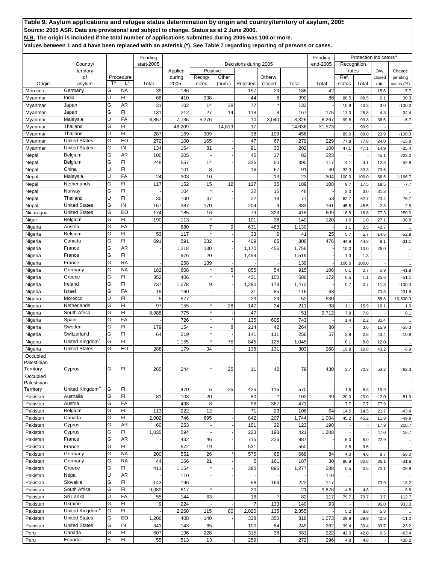|                    |                                  |                |                 | Pending    |            |            |          |                       |           |            | Pending    |              | Protection indicators |                      |                   |
|--------------------|----------------------------------|----------------|-----------------|------------|------------|------------|----------|-----------------------|-----------|------------|------------|--------------|-----------------------|----------------------|-------------------|
|                    | Country/                         |                |                 | start-2005 |            |            |          | Decisions during 2005 |           |            | end-2005   | Recognition  |                       |                      |                   |
|                    | territory                        |                |                 |            | Applied    | Positive   |          |                       |           |            |            | rates        |                       | $O/w$ .              | Change            |
|                    | of                               |                | Procedure       |            | during     | Recog-     | Other    |                       | Otherw.   |            |            | Ref.         |                       | closed               | pending           |
| Origin             | asylum                           | T <sup>2</sup> | $L^3$           | Total      | 2005       | nized      | (hum.)   | Rejected              | closed    | Total      | Total      | status       | Total                 | rate                 | cases (%)         |
| Morocco            | Germany                          | G<br>Ù         | <b>NA</b><br>FI | 39         | 186        |            |          | 157                   | 29        | 186        | 42         |              |                       | 15.6                 | 7.7               |
| Myanmar            | India                            | G              | AR              | 66         | 410        | 338        |          | 44                    | 8         | 390        | 86         | 88.5         | 88.5                  | 2.1                  | 30.3              |
| Myanmar            | Japan                            | G              | FI              | 31         | 102        | 14<br>27   | 38<br>14 | 77                    |           | 133<br>167 |            | 10.9         | 40.3                  | 3.0                  | $-100.0$          |
| Myanmar            | Japan                            | Ù              | FA              | 131        | 212        |            |          | 118                   | 8         |            | 176        | 17.0         | 25.8                  | 4.8                  | 34.4              |
| Myanmar            | Malaysia                         | G              | FI              | 8,857      | 7,736      | 5,276      |          | 10                    | 3,040     | 8,326      | 8,267      | 99.8         | 99.8                  | 36.5                 | $-6.7$            |
| Myanmar            | Thailand                         | U              | FI              |            | 46,209     |            | 14,619   | 17                    |           | 14,636     | 31,573     |              | 99.9                  |                      |                   |
| Myanmar            | Thailand<br><b>United States</b> | G              | EO              | 287<br>272 | 169<br>100 | 309<br>165 |          | 38<br>47              | 109<br>67 | 456<br>279 | 229        | 89.0         | 89.0                  | 23.9                 | $-100.0$          |
| Myanmar            | <b>United States</b>             | G              | IN              |            |            |            |          |                       |           |            |            | 77.8         | 77.8                  | 24.0                 | $-15.8$           |
| Myanmar            | Belgium                          | G              | <b>AR</b>       | 134<br>100 | 164<br>305 | 81         |          | 91<br>45              | 30<br>37  | 202<br>82  | 100<br>323 | 47.1         | 47.1                  | 14.9                 | $-25.4$           |
| Nepal              | Belgium                          | G              | FI              | 248        | 557        | 14         |          | 326                   | 50        | 390        | 117        | 4.1          | 4.1                   | 45.1<br>12.8         | 223.0<br>$-52.8$  |
| Nepal              | China                            | U              | FI              |            | 101        | 8          |          | 16                    | 67        | 91         | 40         | 33.3         | 33.3                  |                      |                   |
| Nepal              |                                  | U              | FA              | 24         | 303        | 10         |          |                       |           | 23         | 304        |              |                       | 73.6                 |                   |
| Nepal              | Malaysia<br>Netherlands          | G              | FI              | 117        | 152        | 15         | 12       | 127                   | 13<br>35  | 189        | 108        | 100.0        | 100.0<br>17.5         | 56.5                 | 1,166.7<br>$-7.7$ |
| Nepal              | Norway                           | G              | FI              |            | 104        |            |          | 32                    | 15        | 48         |            | 9.7          |                       | 18.5                 |                   |
| Nepal              | Thailand                         | U              | FI              |            |            | 37         |          | 22                    |           | 77         | 53         | 3.0          | 3.0                   | 31.3                 |                   |
| Nepal              | United States                    | G              | IN              | 30<br>157  | 100<br>387 | 170        |          | 204                   | 18<br>9   | 383        | 161        | 62.7         | 62.7<br>45.5          | 23.4                 | 76.7              |
| Nepal<br>Nicaragua | <b>United States</b>             | G              | EO              | 174        | 185        | 16         |          | 79                    | 323       | 418        | 609        | 45.5<br>16.8 | 16.8                  | 2.3<br>77.3          | 2.5<br>250.0      |
|                    | Belgium                          | G              | FI              | 190        | 113        |            |          | 101                   | 38        | 140        | 120        | 1.0          | 1.0                   | 27.1                 | $-36.8$           |
| Niger              | Austria                          | G              | FA              |            | 880        | 7          | 9        | 631                   | 483       | 1,130      |            | 1.1          | 2.5                   | 42.7                 |                   |
| Nigeria<br>Nigeria | Belgium                          | G              | FI              | 53         | 117        |            |          | 33                    | 6         | 41         | 25         | 5.7          | 5.7                   | 14.6                 | $-52.8$           |
| Nigeria            | Canada                           | G              | FI              | 691        | 591        | 332        |          | 409                   | 65        | 806        | 476        | 44.8         | 44.8                  | 8.1                  | $-31.1$           |
| Nigeria            | France                           | G              | <b>AR</b>       |            | 1,218      | 130        |          | 1,170                 | 456       | 1,756      |            | 10.0         | 10.0                  | 26.0                 |                   |
| Nigeria            | France                           | G              | FI              |            | 976        | 20         |          | 1,499                 |           | 1,519      |            | 1.3          | 1.3                   |                      |                   |
| Nigeria            | France                           | G              | <b>RA</b>       |            | 258        | 139        |          |                       |           | 139        |            | 100.0        | 100.0                 |                      |                   |
| Nigeria            | Germany                          | G              | <b>NA</b>       | 182        | 608        |            | 5        | 855                   | 54        | 915        | 106        | 0.1          | 0.7                   | 5.9                  | $-41.8$           |
| Nigeria            | Greece                           | G              | FI              | 352        | 406        |            |          | 431                   | 150       | 586        | 172        | 0.5          | 1.1                   | 25.6                 | $-51.1$           |
| Nigeria            | Ireland                          | G              | FI              | 737        | 1,278      | 9          |          | 1,290                 | 173       | 1,472      |            | 0.7          | 0.7                   | 11.8                 | $-100.0$          |
| Nigeria            | Israel                           | G              | FA              | 19         | 160        |            |          | 31                    | 85        | 116        | 63         |              |                       | 73.3                 | 231.6             |
| Nigeria            | Morocco                          | Ù              | FI              | 5          | 577        |            |          | 23                    | 29        | 52         | 530        |              |                       | 55.8                 | 10,500.0          |
| Nigeria            | Netherlands                      | G              | FI              | 97         | 155        |            | 28       | 147                   | 34        | 211        | 98         | 1.1          | 16.9                  | 16.1                 | 1.0               |
| Nigeria            | South Africa                     | G              | FI              | 8,988      | 775        |            |          | 47                    |           | 51         | 9,712      | 7.8          | 7.8                   |                      | 8.1               |
| Nigeria            | Spain                            | G              | FA              |            | 726        |            |          | 135                   | 605       | 743        |            | 1.4          | 2.2                   | 81.4                 |                   |
| Nigeria            | Sweden                           | G              | FI              | 179        | 154        |            | 8        | 214                   | 42        | 264        | 80         |              | 3.6                   | 15.9                 | $-55.3$           |
| Nigeria            | Switzerland                      | G              | FI              | 64         | 219        |            |          | 141                   | 111       | 256        | 57         | 2.8          | 2.8                   | 43.4                 | $-10.9$           |
| Nigeria            | United Kingdom <sup>+</sup>      | G              | FI              |            | 1,155      |            | 75       | 845                   | 125       | 1,045      |            | 0.1          | 8.0                   | 12.0                 |                   |
| Nigeria            | <b>United States</b>             | G              | EO              | 288        | 179        | 34         |          | 138                   | 131       | 303        | 268        | 19.8         | 19.8                  | 43.2                 | $-6.9$            |
| Occupied           |                                  |                |                 |            |            |            |          |                       |           |            |            |              |                       |                      |                   |
| Palestinian        |                                  |                |                 |            |            |            |          |                       |           |            |            |              |                       |                      |                   |
| Territory          | Cyprus                           | G              | FI              | 265        | 244        |            | 25       | 11                    | 42        | 79         | 430        | 2.7          | 70.3                  | 53.2                 | 62.3              |
| Occupied           |                                  |                |                 |            |            |            |          |                       |           |            |            |              |                       |                      |                   |
| Palestinian        |                                  |                |                 |            |            |            |          |                       |           |            |            |              |                       |                      |                   |
| Territory          | United Kingdom <sup>4</sup>      | G              | FI              |            | 470        | 5          | 25       | 425                   | 115       | 570        |            | 1.5          | 6.8                   | 19.9                 |                   |
| Pakistan           | Australia                        | G              | FI              | 81         | 103        | 20         |          | 80                    |           | 102        | 39         | 20.0         | 20.0                  | 2.0                  | $-51.9$           |
| Pakistan           | Austria                          | G              | FA              |            | 498        | 8          |          | 96                    | 367       | 471        |            | 7.7          | 7.7                   | 77.9                 |                   |
| Pakistan           | Belgium                          | G              | FI              | 113        | 222        | 12         |          | 71                    | 23        | 106        | 64         | 14.5         | 14.5                  | 21.7                 | $-43.4$           |
| Pakistan           | Canada                           | G              | FI              | 2,002      | 746        | 695        |          | 842                   | 207       | 1,744      | 1,004      | 45.2         | 45.2                  | 11.9                 | $-49.9$           |
| Pakistan           | Cyprus                           | G              | <b>AR</b>       | 60         | 253        |            |          | 101                   | 22        | 123        | 190        |              |                       | 17.9                 | 216.7             |
| Pakistan           | Cyprus                           | G              | FI              | 1,035      | 594        |            |          | 223                   | 198       | 421        | 1,208      |              |                       | 47.0                 | 16.7              |
| Pakistan           | France                           | G              | <b>AR</b>       |            | 432        | 46         |          | 715                   | 226       | 987        |            | 6.0          | 6.0                   | 22.9                 |                   |
| Pakistan           | France                           | G              | FI              |            | 572        | 19         |          | 531                   |           | 550        |            | 3.5          | 3.5                   |                      |                   |
| Pakistan           | Germany                          | G              | <b>NA</b>       | 200        | 551        | 26         |          | 575                   | 65        | 668        | 84         | 4.3          | 4.6                   | 9.7                  | $-58.0$           |
| Pakistan           | Germany                          | G              | <b>RA</b>       | 44         | 166        | 21         |          | 5                     | 161       | 187        | 30         | 80.8         | 80.8                  | 86.1                 | $-31.8$           |
| Pakistan           | Greece                           | G              | FI              | 411        | 1,154      |            |          | 380                   | 895       | 1,277      | 288        | 0.5          | 0.5                   | 70.1                 | $-29.9$           |
| Pakistan           | Nepal                            | U              | <b>AR</b>       |            | 110        |            |          |                       |           |            | 110        | $\ddotsc$    | $\ldots$              | $\ddot{\phantom{a}}$ |                   |
| Pakistan           | Slovakia                         | G              | FI              | 143        | 196        |            |          | 58                    | 164       | 222        | 117        |              |                       | 73.9                 | $-18.2$           |
| Pakistan           | South Africa                     | G              | FI              | 9,080      | 817        |            |          | 20                    |           | 21         | 9,876      | 4.8          | 4.8                   |                      | 8.8               |
| Pakistan           | Sri Lanka                        | U              | FA              | 55         | 144        | 63         |          | 16                    |           | 82         | 117        | 79.7         | 79.7                  | 3.7                  | 112.7             |
| Pakistan           | Ukraine                          | G              | FI              | 9          | 224        |            |          | $\overline{7}$        | 133       | 140        | 93         |              |                       | 95.0                 | 933.3             |
| Pakistan           | United Kingdom <sup>4</sup>      | G              | FI.             |            | 2,260      | 115        | 80       | 2,020                 | 135       | 2,355      |            | 5.2          | 8.8                   | 5.8                  |                   |
| Pakistan           | <b>United States</b>             | G              | EO              | 1,206      | 408        | 140        |          | 328                   | 350       | 818        | 1,073      | 29.9         | 29.9                  | 42.8                 | $-11.0$           |
| Pakistan           | <b>United States</b>             | G              | IN              | 341        | 143        | 65         |          | 100                   | 84        | 249        | 262        | 39.4         | 39.4                  | 33.7                 | $-23.2$           |
| Peru               | Canada                           | G              | FI              | 607        | 196        | 228        |          | 315                   | 38        | 581        | 222        | 42.0         | 42.0                  | 6.5                  | $-63.4$           |
| Peru               | Ecuador                          | B              | FI              | 55         | 513        | 13         |          | 259                   |           | 272        | 296        | 4.8          | 4.8                   |                      | 438.2             |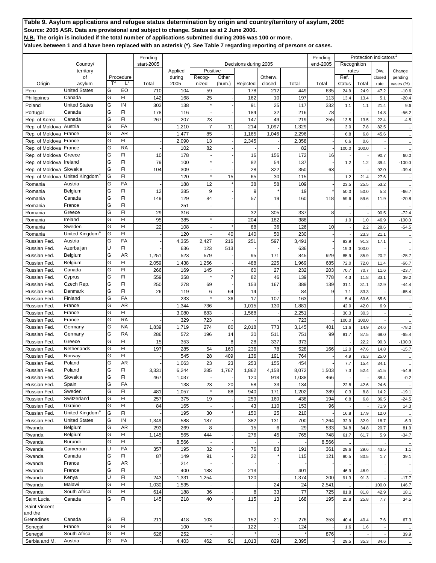|                 |                             |           |           | Pending    |         |                |        |                       |         |       | Pending  |             | Protection indicators |        |           |
|-----------------|-----------------------------|-----------|-----------|------------|---------|----------------|--------|-----------------------|---------|-------|----------|-------------|-----------------------|--------|-----------|
|                 | Country/                    |           |           | start-2005 |         |                |        | Decisions during 2005 |         |       | end-2005 | Recognition |                       |        |           |
|                 | territory                   |           |           |            | Applied | Positive       |        |                       |         |       |          | rates       |                       | O/w.   | Change    |
|                 | of                          | Procedure |           |            | during  | Recog-         | Other  |                       | Otherw. |       |          | Ref.        |                       | closed | pending   |
| Origin          | asylum                      |           | $L^3$     | Total      | 2005    | nized          | (hum.) | Rejected              | closed  | Total | Total    | status      | Total                 | rate   | cases (%) |
| Peru            | <b>United States</b>        | G         | EO        | 710        | 104     | 59             |        | 178                   | 212     | 449   | 635      | 24.9        | 24.9                  | 47.2   | $-10.6$   |
| Philippines     | Canada                      | G         | FI        | 142        | 168     | 25             |        | 162                   | 10      | 197   | 113      | 13.4        | 13.4                  | 5.1    | $-20.4$   |
| Poland          | <b>United States</b>        | G         | IN        | 303        | 138     |                |        | 91                    | 25      | 117   | 332      | 1.1         | 1.1                   | 21.4   | 9.6       |
| Portugal        | Canada                      | G         | FI        | 178        | 116     |                |        | 184                   | 32      | 216   | 78       |             |                       | 14.8   | $-56.2$   |
| Rep. of Korea   | Canada                      | G         | FI        | 267        | 207     | 23             |        | 147                   | 49      | 219   | 255      | 13.5        | 13.5                  | 22.4   | $-4.5$    |
| Rep. of Moldova | Austria                     | G         | FA        |            | 1,210   | $\overline{7}$ | 11     | 214                   | 1,097   | 1,329 |          | 3.0         | 7.8                   | 82.5   |           |
| Rep. of Moldova | France                      | G         | AR        |            | 1,477   | 85             |        | 1,165                 | 1,046   | 2,296 |          | 6.8         | 6.8                   | 45.6   |           |
| Rep. of Moldova | France                      | G         | FI        |            | 2,090   | 13             |        | 2,345                 |         | 2,358 |          | 0.6         | 0.6                   |        |           |
| Rep. of Moldova | France                      | G         | <b>RA</b> |            | 102     | 82             |        |                       |         | 82    |          | 100.0       | 100.0                 |        |           |
| Rep. of Moldova | Greece                      | G         | FI        | 10         | 178     |                |        | 16                    | 156     | 172   | 16       |             |                       | 90.7   | 60.0      |
| Rep. of Moldova | Ireland                     | G         | FI        | 79         | 100     |                |        | 82                    | 54      | 137   |          | 1.2         | 1.2                   | 39.4   | $-100.0$  |
| Rep. of Moldova | Slovakia                    | G         | FI        | 104        | 309     |                |        | 28                    | 322     | 350   | 63       |             |                       | 92.0   | $-39.4$   |
| Rep. of Moldova | United Kingdom <sup>4</sup> | G         | FI        |            | 120     |                | 15     | 65                    | 30      | 115   |          | 1.2         | 21.4                  | 27.6   |           |
| Romania         | Austria                     | G         | FA        |            | 188     | 12             |        | 38                    | 58      | 109   |          | 23.5        | 25.5                  | 53.2   |           |
| Romania         | Belgium                     | G         | FI        | 12         | 385     | 9              |        | 9                     |         | 19    |          | 50.0        | 50.0                  | 5.3    | $-66.7$   |
| Romania         | Canada                      | G         | FI        | 149        | 129     | 84             |        | 57                    | 19      | 160   | 118      | 59.6        | 59.6                  | 11.9   | $-20.8$   |
| Romania         | France                      | G         | FI        |            | 251     |                |        |                       |         |       |          |             |                       |        |           |
| Romania         | Greece                      | G         | FI        | 29         | 316     |                |        | 32                    | 305     | 337   | 8        |             |                       | 90.5   | $-72.4$   |
| Romania         | Ireland                     | G         | FI        | 95         | 385     |                |        | 204                   | 182     | 388   |          | 1.0         | 1.0                   | 46.9   | $-100.0$  |
| Romania         | Sweden                      | G         | FI        | 22         | 108     |                |        | 88                    | 36      | 126   | 10       |             | 2.2                   | 28.6   | $-54.5$   |
| Romania         | United Kingdom <sup>4</sup> | G         | FI        |            | 120     |                | 40     | 140                   | 50      | 230   |          |             | 23.3                  | 21.1   |           |
| Russian Fed.    | Austria                     | G         | FA        |            | 4,355   | 2,427          | 216    | 251                   | 597     | 3,491 |          | 83.9        | 91.3                  | 17.1   |           |
| Russian Fed.    | Azerbaijan                  | IJ        | FI        |            | 636     | 123            | 513    |                       |         | 636   |          | 19.3        | 100.0                 |        |           |
| Russian Fed.    | Belgium                     | G         | AR        | 1,251      | 523     | 579            |        | 95                    | 171     | 845   | 929      | 85.9        | 85.9                  | 20.2   | $-25.7$   |
| Russian Fed.    | Belgium                     | G         | FI        | 2,059      | 1,438   | 1,256          |        | 488                   | 225     | 1,969 | 685      | 72.0        | 72.0                  | 11.4   | $-66.7$   |
| Russian Fed.    | Canada                      | G         | FI        | 266        | 169     | 145            |        | 60                    | 27      | 232   | 203      | 70.7        | 70.7                  | 11.6   | $-23.7$   |
| Russian Fed.    | Cyprus                      | G         | FI        | 559        | 358     |                |        | 82                    | 46      | 139   | 778      | 4.3         | 11.8                  | 33.1   | 39.2      |
| Russian Fed.    | Czech Rep.                  | G         | FI        | 250        | 278     | 69             |        | 153                   | 167     | 389   | 139      | 31.1        | 31.1                  | 42.9   | $-44.4$   |
| Russian Fed.    | Denmark                     | G         | FI        | 26         | 119     | 6              | 64     | 14                    |         | 84    | 9        | 7.1         | 83.3                  |        | $-65.4$   |
| Russian Fed.    | Finland                     | G         | FA        |            | 233     |                | 36     | 17                    | 107     | 163   |          | 5.4         | 69.6                  | 65.6   |           |
| Russian Fed.    | France                      | G         | AR        |            | 1,344   | 736            |        | 1,015                 | 130     | 1,881 |          | 42.0        | 42.0                  | 6.9    |           |
| Russian Fed.    | France                      | G         | FI        |            | 3,080   | 683            |        | 1,568                 |         | 2,251 |          | 30.3        | 30.3                  |        |           |
| Russian Fed.    | France                      | G         | <b>RA</b> |            | 329     | 723            |        |                       |         | 723   |          | 100.0       | 100.0                 |        |           |
| Russian Fed.    | Germany                     | G         | <b>NA</b> | 1,839      | 1,719   | 274            | 80     | 2,018                 | 773     | 3,145 | 401      | 11.6        | 14.9                  | 24.6   | $-78.2$   |
| Russian Fed.    | Germany                     | G         | <b>RA</b> | 286        | 572     | 196            | 14     | 30                    | 511     | 751   | 99       | 81.7        | 87.5                  | 68.0   | $-65.4$   |
| Russian Fed.    | Greece                      | G         | FI        | 15         | 353     |                | 8      | 28                    | 337     | 373   |          |             | 22.2                  | 90.3   | $-100.0$  |
| Russian Fed.    | Netherlands                 | G         | FI        | 197        | 285     | 54             | 160    | 236                   | 78      | 528   | 166      | 12.0        | 47.6                  | 14.8   | $-15.7$   |
| Russian Fed.    | Norway                      | G         | FI        |            | 545     | 28             | 409    | 136                   | 191     | 764   |          | 4.9         | 76.3                  | 25.0   |           |
| Russian Fed.    | Poland                      | G         | AR        |            | 1,063   | 23             | 23     | 253                   | 155     | 454   |          | 7.7         | 15.4                  | 34.1   |           |
| Russian Fed.    | Poland                      | Ġ         | FI        | 3,331      | 6,244   | 285            | 1,767  | 1,862                 | 4,158   | 8,072 | 1,503    | $7.3$       | 52.4                  | 51.5   | $-54.9$   |
| Russian Fed.    | Slovakia                    | G         | FI        | 467        | 1,037   |                |        | 120                   | 918     | 1,038 | 466      |             |                       | 88.4   | $-0.2$    |
| Russian Fed.    | Spain                       | G         | FA        |            | 138     | 23             | 20     | 58                    | 33      | 134   |          | 22.8        | 42.6                  | 24.6   |           |
| Russian Fed.    | Sweden                      | G         | FI        | 481        | 1,057   |                | 88     | 940                   | 171     | 1,202 | 389      | 0.3         | 8.8                   | 14.2   | $-19.1$   |
| Russian Fed.    | Switzerland                 | G         | FI        | 257        | 375     | 19             |        | 259                   | 160     | 438   | 194      | 6.8         | 6.8                   | 36.5   | $-24.5$   |
| Russian Fed.    | Ukraine                     | G         | FI        | 84         | 165     |                |        | 43                    | 110     | 153   | 96       |             |                       | 71.9   | 14.3      |
| Russian Fed.    | United Kingdom <sup>4</sup> | G         | FI        |            | 195     | 30             |        | 150                   | 25      | 210   |          | 16.8        | 17.9                  | 12.0   |           |
| Russian Fed.    | <b>United States</b>        | G         | IN        | 1,349      | 588     | 187            |        | 382                   | 131     | 700   | 1,264    | 32.9        | 32.9                  | 18.7   | $-6.3$    |
| Rwanda          | Belgium                     | G         | AR        | 293        | 269     | 8              |        | 15                    | 6       | 29    | 533      | 34.8        | 34.8                  | 20.7   | 81.9      |
| Rwanda          | Belgium                     | G         | FI        | 1,145      | 565     | 444            |        | 276                   | 45      | 765   | 748      | 61.7        | 61.7                  | 5.9    | $-34.7$   |
| Rwanda          | Burundi                     | G         | FI        |            | 8,566   |                |        |                       |         |       | 8,566    |             |                       |        |           |
| Rwanda          | Cameroon                    | U         | FA        | 357        | 195     | 32             |        | 76                    | 83      | 191   | 361      | 29.6        | 29.6                  | 43.5   | 1.1       |
| Rwanda          | Canada                      | G         | FI        | 87         | 149     | 91             |        | 22                    |         | 115   | 121      | 80.5        | 80.5                  | 1.7    | 39.1      |
| Rwanda          | France                      | G         | AR        |            | 214     |                |        |                       |         |       |          |             |                       |        |           |
| Rwanda          | France                      | G         | FI        |            | 400     | 188            |        | 213                   |         | 401   |          | 46.9        | 46.9                  |        |           |
| Rwanda          | Kenya                       | U         | FI        | 243        | 1,331   | 1,254          |        | 120                   |         | 1,374 | 200      | 91.3        | 91.3                  |        | $-17.7$   |
| Rwanda          | Malawi                      | G         | FI        | 1,030      | 1,535   |                |        |                       | 24      | 24    | 2,541    |             |                       | 100.0  | 146.7     |
| Rwanda          | South Africa                | G         | FI        | 614        | 188     | 36             |        | 8                     | 33      | 77    | 725      | 81.8        | 81.8                  | 42.9   | 18.1      |
| Saint Lucia     | Canada                      | G         | FI        | 145        | 218     | 40             |        | 115                   | 13      | 168   | 195      | 25.8        | 25.8                  | 7.7    | 34.5      |
| Saint Vincent   |                             |           |           |            |         |                |        |                       |         |       |          |             |                       |        |           |
| and the         |                             |           |           |            |         |                |        |                       |         |       |          |             |                       |        |           |
| Grenadines      | Canada                      | G         | FI        | 211        | 418     | 103            |        | 152                   | 21      | 276   | 353      | 40.4        | 40.4                  | 7.6    | 67.3      |
| Senegal         | France                      | G         | FI        |            | 100     |                |        | 122                   |         | 124   |          | 1.6         | 1.6                   |        |           |
| Senegal         | South Africa                | G         | FI        | 626        | 252     |                |        |                       |         |       | 876      |             |                       |        | 39.9      |
| Serbia and M.   | Austria                     | G         | <b>FA</b> |            | 4,403   | 462            | 91     | 1,013                 | 829     | 2,395 |          | 29.5        | 35.3                  | 34.6   |           |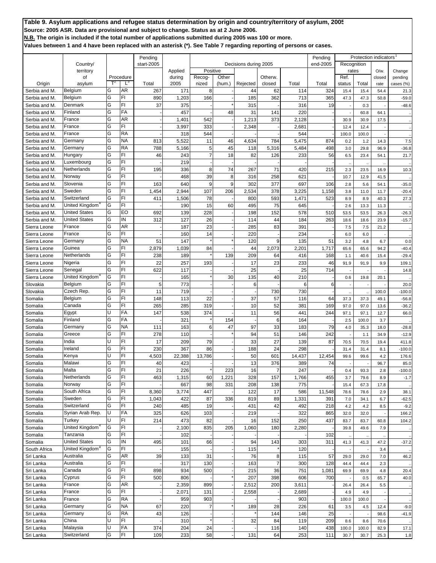|                                |                                       |        |                 | Pending    |              |                |        |                       |                |            | Pending  |                      | <b>Protection indicators</b> |              |           |
|--------------------------------|---------------------------------------|--------|-----------------|------------|--------------|----------------|--------|-----------------------|----------------|------------|----------|----------------------|------------------------------|--------------|-----------|
|                                | Country/                              |        |                 | start-2005 |              |                |        | Decisions during 2005 |                |            | end-2005 | Recognition          |                              |              |           |
|                                | territory                             |        |                 |            | Applied      | Positive       |        |                       |                |            |          | rates                |                              | $O/w$ .      | Change    |
|                                | of                                    |        | Procedure       |            | during       | Recog-         | Other  |                       | Otherw.        |            |          | Ref.                 |                              | closed       | pending   |
| Origin                         | asylum                                | T      | $L^3$           | Total      | 2005         | nized          | (hum.) | Rejected              | closed         | Total      | Total    | status               | Total                        | rate         | cases (%) |
| Serbia and M.                  | Belgium<br>Belgium                    | G<br>G | <b>AR</b><br>FI | 267        | 171          | 8              |        | 44                    | 62             | 114        | 324      | 15.4                 | 15.4                         | 54.4         | 21.3      |
| Serbia and M<br>Serbia and M.  | Denmark                               | G      | FI              | 890<br>37  | 1,203<br>375 | 166            |        | 185<br>315            | 362            | 713<br>316 | 365      | 47.3                 | 47.3                         | 50.8         | $-59.0$   |
|                                | Finland                               | G      | FA              |            | 457          |                | 48     | 31                    | 141            | 220        | 19       |                      | 0.3                          |              | $-48.6$   |
| Serbia and M.<br>Serbia and M. | France                                | G      | AR              |            | 1,401        | 542            |        | 1,213                 | 373            | 2,128      |          | 30.9                 | 60.8<br>30.9                 | 64.1<br>17.5 |           |
| Serbia and M.                  | France                                | G      | FI              |            | 3,997        | 333            |        | 2,348                 |                | 2,681      |          | 12.4                 | 12.4                         |              |           |
| Serbia and M.                  | France                                | G      | <b>RA</b>       |            | 318          | 544            |        |                       |                | 544        |          | 100.0                | 100.0                        |              |           |
| Serbia and M.                  | Germany                               | G      | <b>NA</b>       | 813        | 5,522        | 11             | 46     | 4,634                 | 784            | 5,475      | 874      | 0.2                  | 1.2                          | 14.3         | 7.5       |
| Serbia and M.                  | Germany                               | G      | <b>RA</b>       | 788        | 5,166        | 5              | 45     | 118                   | 5,316          | 5,484      | 498      | 3.0                  | 29.8                         | 96.9         | $-36.8$   |
| Serbia and M.                  | Hungary                               | G      | FI              | 46         | 243          | $\overline{7}$ | 18     | 82                    | 126            | 233        | 56       | 6.5                  | 23.4                         | 54.1         | 21.7      |
| Serbia and M.                  | Luxembourg                            | G      | FI              |            | 219          |                |        |                       |                |            |          | ÷.                   |                              |              |           |
| Serbia and M.                  | Netherlands                           | G      | FI              | 195        | 336          | 8              | 74     | 267                   | 71             | 420        | 215      | 2.3                  | 23.5                         | 16.9         | 10.3      |
| Serbia and M.                  | Norway                                | G      | FI              |            | 468          | 39             | 8      | 316                   | 258            | 621        |          | 10.7                 | 12.9                         | 41.5         |           |
| Serbia and M.                  | Slovenia                              | G      | FI              | 163        | 640          | 9              | 9      | 302                   | 377            | 697        | 106      | 2.8                  | 5.6                          | 54.1         | $-35.0$   |
| Serbia and M.                  | Sweden                                | G      | FI              | 1,454      | 2,944        | 107            | 206    | 2,534                 | 378            | 3,225      | 1,158    | 3.8                  | 11.0                         | 11.7         | $-20.4$   |
| Serbia and M.                  | Switzerland                           | G      | FI              | 411        | 1,506        | 78             |        | 800                   | 593            | 1,471      | 523      | 8.9                  | 8.9                          | 40.3         | 27.3      |
| Serbia and M.                  | United Kingdom <sup>4</sup>           | G      | FI              |            | 190          | 15             | 60     | 495                   | 75             | 645        |          | 2.6                  | 13.3                         | 11.3         |           |
| Serbia and M.                  | <b>United States</b>                  | G      | EO              | 692        | 139          | 228            |        | 198                   | 152            | 578        | 510      | 53.5                 | 53.5                         | 26.3         | $-26.3$   |
| Serbia and M.                  | <b>United States</b>                  | G      | IN              | 312        | 127          | 26             |        | 114                   | 44             | 184        | 263      | 18.6                 | 18.6                         | 23.9         | $-15.7$   |
| Sierra Leone                   | France                                | G      | AR              |            | 187          | 23             |        | 285                   | 83             | 391        |          | 7.5                  | 7.5                          | 21.2         |           |
| Sierra Leone                   | France                                | G      | FI              |            | 160          | 14             |        | 220                   |                | 234        |          | 6.0                  | 6.0                          |              |           |
| Sierra Leone                   | Germany                               | G      | <b>NA</b>       | 51         | 147          |                |        | 120                   | 9              | 135        | 51       | 3.2                  | 4.8                          | 6.7          | 0.0       |
| Sierra Leone                   | Guinea                                | G      | FI              | 2,879      | 1,039        | 84             |        | 44                    | 2,073          | 2,201      | 1,717    | 65.6                 | 65.6                         | 94.2         | $-40.4$   |
| Sierra Leone                   | Netherlands                           | G      | FI              | 238        | 189          |                | 139    | 209                   | 64             | 416        | 168      | 1.1                  | 40.6                         | 15.4         | $-29.4$   |
| Sierra Leone                   | Nigeria                               | G      | FI              | 22         | 257          | 193            |        | 17                    | 23             | 233        | 46       | 91.9                 | 91.9                         | 9.9          | 109.1     |
| Sierra Leone                   | Senegal                               | G      | FI              | 622        | 117          |                |        | 25                    |                | 25         | 714      |                      |                              |              | 14.8      |
| Sierra Leone                   | United Kingdom <sup>4</sup>           | G      | FI              |            | 165          |                | 30     | 135                   | 40             | 210        |          | 0.6                  | 19.8                         | 20.1         |           |
| Slovakia                       | Belgium                               | G      | FI              | 5          | 773          |                |        | 6                     |                | 6          | 6        |                      |                              |              | 20.0      |
| Slovakia                       | Czech Rep.                            | G      | FI              | 11         | 719          |                |        |                       | 730            | 730        |          | $\ddot{\phantom{1}}$ |                              | 100.0        | $-100.0$  |
| Somalia                        | Belgium                               | G      | FI              | 148        | 113          | 22             |        | 37                    | 57             | 116        | 64       | 37.3                 | 37.3                         | 49.1         | $-56.8$   |
| Somalia                        | Canada                                | G      | FI              | 265        | 285          | 319            |        | 10                    | 52             | 381        | 169      | 97.0                 | 97.0                         | 13.6         | $-36.2$   |
| Somalia                        | Egypt                                 | U      | FA              | 147        | 538          | 374            |        | 11                    | 56             | 441        | 244      | 97.1                 | 97.1                         | 12.7         | 66.0      |
| Somalia                        | Finland                               | G      | FA              |            | 321          |                | 154    |                       | 6              | 164        |          | 2.5                  | 100.0                        | 3.7          |           |
| Somalia                        | Germany                               | G      | <b>NA</b>       | 111        | 163          | 6              | 47     | 97                    | 33             | 183        | 79       | 4.0                  | 35.3                         | 18.0         | $-28.8$   |
| Somalia                        | Greece                                | G      | FI              | 278        | 110          |                |        | 94                    | 51             | 146        | 242      |                      | 1.1                          | 34.9         | $-12.9$   |
| Somalia                        | India                                 | Ù      | FI              | 17         | 209          | 79             |        | 33                    | 27             | 139        | 87       | 70.5                 | 70.5                         | 19.4         | 411.8     |
| Somalia                        | Ireland                               | G      | FI              | 230        | 367          | 86             |        | 188                   | 24             | 298        |          | 31.4                 | 31.4                         | 8.1          | $-100.0$  |
| Somalia                        | Kenya                                 | Ù      | FI              | 4,503      | 22,388       | 13,786         |        | 50                    | 601            | 14,437     | 12,454   | 99.6                 | 99.6                         | 4.2          | 176.6     |
| Somalia                        | Malawi                                | G      | FI              | 40         | 423          |                |        | 13                    | 376            | 389        | 74       |                      |                              | 96.7         | 85.0      |
| Somalia                        | Malta                                 | Ġ      | FI              | 21         | 226          |                | 223    | 16                    | $\overline{7}$ | 247        |          | 0.4                  | 93.3                         | 2.8          | $-100.0$  |
| Somalia                        | Netherlands                           | G      | FI              | 463        | 1,315        | 60             | 1,221  | 328                   | 157            | 1,766      | 455      | 3.7                  | 79.6                         | 8.9          | $-1.7$    |
| Somalia                        | Norway                                | G      | FI              |            | 667          | 98             | 331    | 208                   | 138            | 775        |          | 15.4                 | 67.3                         | 17.8         |           |
| Somalia                        | South Africa                          | G      | FI              | 8,360      | 3,774        | 447            |        | 122                   | 17             | 586        | 11,548   | 78.6                 | 78.6                         | 2.9          | 38.1      |
| Somalia                        | Sweden                                | G      | FI              | 1,043      | 422          | 87             | 336    | 819                   | 89             | 1,331      | 391      | 7.0                  | 34.1                         | 6.7          | $-62.5$   |
| Somalia                        | Switzerland                           | G<br>U | FI              | 240        | 485          | 19             |        | 431                   | 42             | 492        | 218      | 4.2                  | 4.2                          | 8.5          | $-9.2$    |
| Somalia                        | Syrian Arab Rep.                      | U      | FA              | 325        | 626          | 103            |        | 219                   |                | 322<br>250 | 865      | 32.0                 | 32.0                         |              | 166.2     |
| Somalia<br>Somalia             | Turkey<br>United Kingdom <sup>4</sup> | G      | FI<br>FI        | 214        | 473          | 82             | 205    | 16                    | 152            |            | 437      | 83.7                 | 83.7                         | 60.8         | 104.2     |
|                                | Tanzania                              | G      | FI              |            | 2,100<br>102 | 835            |        | 1,060                 | 180            | 2,280      | 102      | 39.8                 | 49.6                         | 7.9          |           |
| Somalia<br>Somalia             | <b>United States</b>                  | G      | IN              | 495        | 101          | 66             |        | 94                    | 143            | 303        | 311      | 41.3                 | 41.3                         | 47.2         | $-37.2$   |
| South Africa                   | United Kingdom <sup>4</sup>           | G      | FI              |            | 155          |                |        | 115                   |                | 120        |          |                      |                              |              |           |
| Sri Lanka                      | Australia                             | G      | <b>AR</b>       | 39         | 133          | 31             |        | 76                    | 8              | 115        | 57       | 29.0                 | 29.0                         | 3.4<br>7.0   | 46.2      |
| Sri Lanka                      | Australia                             | G      | FI              |            | 317          | 130            |        | 163                   | 7              | 300        | 128      | 44.4                 | 44.4                         | 2.3          |           |
| Sri Lanka                      | Canada                                | G      | FI              | 898        | 934          | 500            |        | 215                   | 36             | 751        | 1,081    | 69.9                 | 69.9                         | 4.8          | 20.4      |
| Sri Lanka                      | Cyprus                                | G      | FI              | 500        | 806          |                |        | 207                   | 398            | 606        | 700      |                      | 0.5                          | 65.7         | 40.0      |
| Sri Lanka                      | France                                | G      | <b>AR</b>       |            | 2,359        | 899            |        | 2,512                 | 200            | 3,611      |          | 26.4                 | 26.4                         | 5.5          |           |
| Sri Lanka                      | France                                | G      | FI              |            | 2,071        | 131            |        | 2,558                 |                | 2,689      |          | 4.9                  | 4.9                          |              |           |
| Sri Lanka                      | France                                | G      | <b>RA</b>       |            | 959          | 903            |        |                       |                | 903        |          | 100.0                | 100.0                        |              |           |
| Sri Lanka                      | Germany                               | G      | <b>NA</b>       | 67         | 220          | $\overline{7}$ |        | 189                   | 28             | 226        | 61       | 3.5                  | 4.5                          | 12.4         | $-9.0$    |
| Sri Lanka                      | Germany                               | G      | <b>RA</b>       | 43         | 126          |                |        |                       | 144            | 146        | 25       |                      |                              | 98.6         | $-41.9$   |
| Sri Lanka                      | China                                 | U      | FI              |            | 310          |                |        | 32                    | 84             | 119        | 209      | 8.6                  | 8.6                          | 70.6         |           |
| Sri Lanka                      | Malaysia                              | U      | FA              | 374        | 204          | 24             |        |                       | 116            | 140        | 438      | 100.0                | 100.0                        | 82.9         | 17.1      |
| Sri Lanka                      | Switzerland                           | G      | FI              | 109        | 233          | 58             |        | 131                   | 64             | 253        | 111      | 30.7                 | 30.7                         | 25.3         | 1.8       |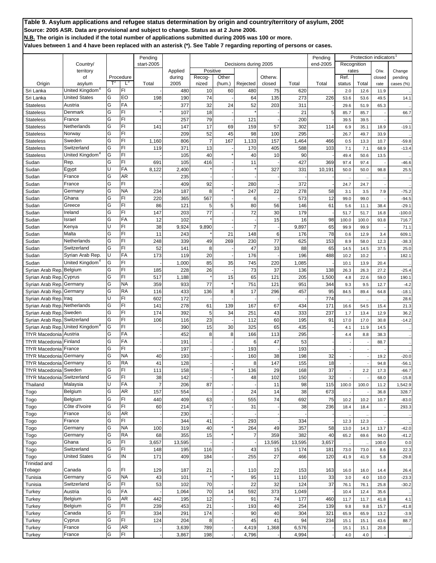|                               |                             |                |           | Pending    |         |                |        |                       |         |        | Pending  |                      | Protection indicators |                      |           |
|-------------------------------|-----------------------------|----------------|-----------|------------|---------|----------------|--------|-----------------------|---------|--------|----------|----------------------|-----------------------|----------------------|-----------|
|                               | Country/                    |                |           | start-2005 |         |                |        | Decisions during 2005 |         |        | end-2005 | Recognition          |                       |                      |           |
|                               | territory                   |                |           |            | Applied | Positive       |        |                       |         |        |          | rates                |                       | O/w.                 | Change    |
|                               | of                          |                | Procedure |            | during  | Recog-         | Other  |                       | Otherw. |        |          | Ref.                 |                       | closed               | pending   |
| Origin                        | asylum                      | T <sup>2</sup> | $L^3$     | Total      | 2005    | nized          | (hum.) | Rejected              | closed  | Total  | Total    | status               | Total                 | rate                 | cases (%) |
| Sri Lanka                     | United Kingdom <sup>®</sup> | G              | FI        |            | 480     | 10             | 60     | 480                   | 75      | 620    |          | 2.0                  | 12.6                  | 11.9                 |           |
| Sri Lanka                     | United States               | G              | EO        | 198        | 190     | 74             |        | 64                    | 135     | 273    | 226      | 53.6                 | 53.6                  | 49.5                 | 14.1      |
| <b>Stateless</b>              | Austria                     | G              | FA        |            | 377     | 32             | 24     | 52                    | 203     | 311    |          | 29.6                 | 51.9                  | 65.3                 |           |
| <b>Stateless</b>              | Denmark                     | G              | FI        |            | 107     | 18             |        |                       |         | 21     | 5        | 85.7                 | 85.7                  |                      | 66.7      |
| <b>Stateless</b>              | France                      | G              | FI        |            | 257     | 79             |        | 121                   |         | 200    |          | 39.5                 | 39.5                  |                      |           |
| <b>Stateless</b>              | Netherlands                 | G              | FI        | 141        | 147     | 17             | 69     | 159                   | 57      | 302    | 114      | 6.9                  | 35.1                  | 18.9                 | $-19.1$   |
| <b>Stateless</b>              | Norway                      | G              | FI        |            | 209     | 52             | 45     | 98                    | 100     | 295    |          | 26.7                 | 49.7                  | 33.9                 |           |
| <b>Stateless</b>              | Sweden                      | G              | FI        | 1,160      | 806     |                | 167    | 1,133                 | 157     | 1,464  | 466      | 0.5                  | 13.3                  | 10.7                 | $-59.8$   |
| <b>Stateless</b>              | Switzerland                 | G              | FI        | 119        | 371     | 13             |        | 170                   | 405     | 588    | 103      | 7.1                  | 7.1                   | 68.9                 | $-13.4$   |
| <b>Stateless</b>              | United Kingdom <sup>4</sup> | G              | FI        |            | 105     | 40             |        | 40                    | 10      | 90     |          | 49.4                 | 50.6                  | 13.5                 |           |
| Sudan                         | Rep.                        | G              | FI        | 691        | 105     | 416            |        | 11                    |         | 427    | 369      | 97.4                 | 97.4                  |                      | $-46.6$   |
| Sudan                         | Egypt                       | Ù              | FA        | 8,122      | 2,400   |                |        |                       | 327     | 331    | 10,191   | 50.0                 | 50.0                  | 98.8                 | 25.5      |
| Sudan                         | France                      | G              | AR        |            | 235     |                |        |                       |         |        |          | $\ddot{\phantom{a}}$ |                       |                      |           |
| Sudan                         | France                      | G              | FI        |            | 409     | 92             |        | 280                   |         | 372    |          | 24.7                 | 24.7                  |                      |           |
| Sudan                         | Germany                     | G              | <b>NA</b> | 234        | 187     | 8              |        | 247                   | 22      | 278    | 58       | 3.1                  | 3.5                   | 7.9                  | $-75.2$   |
| Sudan                         | Ghana                       | G              | FI        | 220        | 365     | 567            |        | 6                     |         | 573    | 12       | 99.0                 | 99.0                  |                      | $-94.5$   |
| Sudan                         | Greece                      | G              | FI        | 86         | 121     | 5              | 5      | 80                    | 56      | 146    | 61       | 5.6                  | 11.1                  | 38.4                 | $-29.1$   |
| Sudan                         | Ireland                     | G              | FI        | 147        | 203     | 77             |        | 72                    | 30      | 179    |          | 51.7                 | 51.7                  | 16.8                 | $-100.0$  |
| Sudan                         | Israel                      | G              | FA        | 12         | 102     |                |        |                       | 15      | 16     | 98       | 100.0                | 100.0                 | 93.8                 | 716.7     |
| Sudan                         | Kenya                       | U              | FI        | 38         | 9,924   | 9,890          |        | $\overline{7}$        |         | 9,897  | 65       | 99.9                 | 99.9                  |                      | 71.1      |
| Sudan                         | Malta                       | G              | FI        | 11         | 243     |                | 21     | 148                   | 6       | 176    | 78       | 0.6                  | 12.9                  | 3.4                  | 609.1     |
| Sudan                         | Netherlands                 | G              | FI        | 248        | 339     | 49             | 269    | 230                   | 77      | 625    | 153      | 8.9                  | 58.0                  | 12.3                 | $-38.3$   |
| Sudan                         | Switzerland                 | G              | FI        | 52         | 141     | 8              |        | 47                    | 33      | 88     | 65       | 14.5                 | 14.5                  | 37.5                 | 25.0      |
| Sudan                         | Syrian Arab Rep.            | IJ             | FA        | 173        | 119     | 20             |        | 176                   |         | 196    | 488      | 10.2                 | 10.2                  |                      | 182.1     |
| Sudan                         | United Kingdom              | G              | FI        |            | 1,000   | 85             | 35     | 745                   | 220     | 1,085  |          | 10.1                 | 13.9                  | 20.4                 |           |
| Syrian Arab Rep.              | Belgium                     | G              | FI        | 185        | 228     | 26             |        | 73                    | 37      | 136    | 138      | 26.3                 | 26.3                  | 27.2                 | $-25.4$   |
| Syrian Arab Rep               | Cyprus                      | G              | FI        | 517        | 1,188   |                | 15     | 65                    | 121     | 205    | 1,500    | 4.8                  | 22.6                  | 59.0                 | 190.1     |
| Syrian Arab Rep               | Germany                     | G              | <b>NA</b> | 359        | 933     | 77             |        | 751                   | 121     | 951    | 344      | 9.3                  | 9.5                   | 12.7                 | $-4.2$    |
| Syrian Arab Rep               | Germany                     | G              | <b>RA</b> | 116        | 433     | 136            | 8      | 17                    | 296     | 457    | 95       | 84.5                 | 89.4                  | 64.8                 | $-18.1$   |
| Syrian Arab Rep               | Iraq                        | Ù              | FI        | 602        | 172     |                |        |                       |         |        | 774      |                      |                       |                      | 28.6      |
| Syrian Arab Rep               | Netherlands                 | G              | FI        | 141        | 278     | 61             | 139    | 167                   | 67      | 434    | 171      | 16.6                 | 54.5                  | 15.4                 | 21.3      |
| Syrian Arab Rep               | Sweden                      | G              | FI        | 174        | 392     | 5              | 34     | 251                   | 43      | 333    | 237      | 1.7                  | 13.4                  | 12.9                 | 36.2      |
| Syrian Arab Rep               | Switzerland                 | G              | FI        | 106        | 116     | 23             |        | 112                   | 60      | 195    | 91       | 17.0                 | 17.0                  | 30.8                 | $-14.2$   |
| Syrian Arab Rep               | United Kingdom <sup>4</sup> | G              | FI        |            | 390     | 15             | 30     | 325                   | 65      | 435    |          | 4.1                  | 11.9                  | 14.5                 |           |
| <b>TfYR Macedonia</b>         | Austria                     | G              | FA        |            | 452     | 8              | 8      | 166                   | 113     | 295    |          | 4.4                  | 8.8                   | 38.3                 |           |
| <b>TfYR Macedonia</b>         | Finland                     | Ġ              | FA        |            | 191     |                |        | 6                     | 47      | 53     |          |                      |                       | 88.7                 |           |
| <b>TfYR Macedonia</b>         | France                      | G              | FI        |            | 197     |                |        | 193                   |         | 193    |          |                      |                       |                      |           |
| <b>TfYR Macedonia</b>         | Germany                     | G              | <b>NA</b> | 40         | 193     |                |        | 160                   | 38      | 198    | 32       |                      |                       | 19.2                 | $-20.0$   |
| <b>TfYR Macedonia Germany</b> |                             | G              | <b>RA</b> | 41         | 128     |                |        | 8                     | 147     | 155    | 18       |                      |                       | 94.8                 | $-56.1$   |
| <b>TfYR Macedonia Sweden</b>  |                             | Ġ              | FI        | 111        | 158     |                |        | 136                   | 29      | 168    | 37       |                      | 2.2                   | 17.3                 | $-66.7$   |
| TfYR Macedonia                | Switzerland                 | G              | FI        | 38         | 142     |                |        | 48                    | 102     | 150    | 32       |                      |                       | 68.0                 | $-15.8$   |
| Thailand                      | Malaysia                    | U              | <b>FA</b> |            | 206     | 87             |        |                       | 11      | 98     | 115      | 100.0                | 100.0                 | 11.2                 | 1,542.9   |
| Togo                          | Belgium                     | G              | <b>AR</b> | 157        | 554     |                |        | 24                    | 14      | 38     | 673      |                      |                       | 36.8                 | 328.7     |
| Togo                          | Belgium                     | G              | FI        | 440        | 409     | 63             |        | 555                   | 74      | 692    | 75       | 10.2                 | 10.2                  | 10.7                 | $-83.0$   |
| Togo                          | Côte d'Ivoire               | G              | FI        | 60         | 214     | $\overline{7}$ |        | 31                    |         | 38     | 236      | 18.4                 | 18.4                  |                      | 293.3     |
| Togo                          | France                      | G              | <b>AR</b> |            | 230     |                |        |                       |         |        |          |                      |                       | $\ddot{\phantom{a}}$ |           |
| Togo                          | France                      | G              | FI        |            | 344     | 41             |        | 293                   |         | 334    |          | 12.3                 | 12.3                  |                      |           |
| Togo                          | Germany                     | G              | <b>NA</b> | 100        | 319     | 40             |        | 264                   | 49      | 357    | 58       | 13.0                 | 14.3                  | 13.7                 | $-42.0$   |
| Togo                          | Germany                     | G              | <b>RA</b> | 68         | 355     | 15             |        | $\overline{7}$        | 359     | 382    | 40       | 65.2                 | 69.6                  | 94.0                 | $-41.2$   |
| Togo                          | Ghana                       | G              | FI        | 3,657      | 13,595  |                |        |                       | 13,595  | 13,595 | 3,657    |                      |                       | 100.0                | 0.0       |
| Togo                          | Switzerland                 | G              | FI        | 148        | 195     | 116            |        | 43                    | 15      | 174    | 181      | 73.0                 | 73.0                  | 8.6                  | 22.3      |
| Togo                          | United States               | G              | IN        | 171        | 409     | 184            |        | 255                   | 27      | 466    | 120      | 41.9                 | 41.9                  | 5.8                  | $-29.8$   |
| Trinidad and                  |                             |                |           |            |         |                |        |                       |         |        |          |                      |                       |                      |           |
| Tobago                        | Canada                      | G              | FI        | 129        | 187     | 21             |        | 110                   | 22      | 153    | 163      | 16.0                 | 16.0                  | 14.4                 | 26.4      |
| Tunisia                       | Germany                     | G              | <b>NA</b> | 43         | 101     |                |        | 95                    | 11      | 110    | 33       | 3.0                  | 4.0                   | 10.0                 | $-23.3$   |
| Tunisia                       | Switzerland                 | G              | FI.       | 53         | 102     | 70             |        | 22                    | 32      | 124    | 37       | 76.1                 | 76.1                  | 25.8                 | $-30.2$   |
| Turkey                        | Austria                     | G              | <b>FA</b> |            | 1,064   | 70             | 14     | 592                   | 373     | 1,049  |          | 10.4                 | 12.4                  | 35.6                 |           |
| Turkey                        | Belgium                     | G              | AR        | 442        | 195     | 12             |        | 91                    | 74      | 177    | 460      | 11.7                 | 11.7                  | 41.8                 | 4.1       |
| Turkey                        | Belgium                     | G              | FI        | 239        | 453     | 21             |        | 193                   | 40      | 254    | 139      | 9.8                  | 9.8                   | 15.7                 | $-41.8$   |
| Turkey                        | Canada                      | G              | FI        | 334        | 291     | 174            |        | 90                    | 40      | 304    | 321      | 65.9                 | 65.9                  | 13.2                 | $-3.9$    |
| Turkey                        | Cyprus                      | G              | FI        | 124        | 204     | 8              |        | 45                    | 41      | 94     | 234      | 15.1                 | 15.1                  | 43.6                 | 88.7      |
| Turkey                        | France                      | G              | <b>AR</b> |            | 3,639   | 789            |        | 4,419                 | 1,368   | 6,576  |          | 15.1                 | 15.1                  | 20.8                 |           |
| Turkey                        | France                      | G              | FI        |            | 3,867   | 198            |        | 4,796                 |         | 4,994  |          | 4.0                  | 4.0                   |                      |           |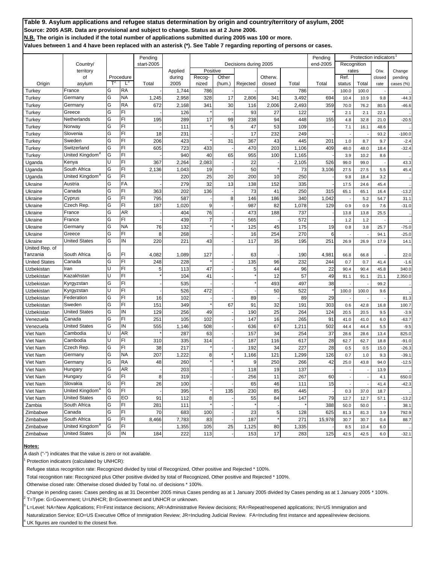**Values between 1 and 4 have been replaced with an asterisk (\*). See Table 7 regarding reporting of persons or cases.**

|                      |                             |   |           |                       |         |                |        |                       |         | <b>Protection indicators</b> |                     |             |       |        |           |
|----------------------|-----------------------------|---|-----------|-----------------------|---------|----------------|--------|-----------------------|---------|------------------------------|---------------------|-------------|-------|--------|-----------|
|                      | Country/                    |   |           | Pending<br>start-2005 |         |                |        | Decisions during 2005 |         |                              | Pending<br>end-2005 | Recognition |       |        |           |
|                      | territory                   |   |           |                       | Applied | Positive       |        |                       |         |                              |                     | rates       |       | O/w.   | Change    |
|                      | of                          |   | Procedure |                       | during  | Recog-         | Other  |                       | Otherw. |                              |                     | Ref.        |       | closed | pending   |
| Origin               | asylum                      |   | Ľ         | Total                 | 2005    | nized          | (hum.) | Rejected              | closed  | Total                        | Total               | status      | Total | rate   | cases (%) |
| Turkey               | France                      | G | <b>RA</b> |                       | 1,744   | 786            |        |                       |         | 786                          |                     | 100.0       | 100.0 |        |           |
| Turkey               | Germany                     | G | <b>NA</b> | 1,245                 | 2,958   | 328            | 17     | 2,806                 | 341     | 3,492                        | 694                 | 10.4        | 10.9  | 9.8    | $-44.3$   |
| Turkey               | Germany                     | G | <b>RA</b> | 672                   | 2,168   | 341            | 30     | 116                   | 2,006   | 2,493                        | 359                 | 70.0        | 76.2  | 80.5   | $-46.6$   |
| Turkey               | Greece                      | G | FI        |                       | 126     |                |        | 93                    | 27      | 122                          |                     | 2.1         | 2.1   | 22.1   |           |
| Turkey               | Netherlands                 | G | FI        | 195                   | 289     | 17             | 99     | 238                   | 94      | 448                          | 155                 | 4.8         | 32.8  | 21.0   | $-20.5$   |
| Turkey               | Norway                      | G | FI        |                       | 111     |                | 5      | 47                    | 53      | 109                          |                     | 7.1         | 16.1  | 48.6   |           |
| Turkey               | Slovenia                    | G | FI        | 18                    | 231     |                |        | 17                    | 232     | 249                          |                     |             |       | 93.2   | $-100.0$  |
| Turkey               | Sweden                      | G | FI        | 206                   | 423     |                | 31     | 367                   | 43      | 445                          | 201                 | 1.0         | 8.7   | 9.7    | $-2.4$    |
| Turkey               | Switzerland                 | G | FI        | 605                   | 723     | 433            |        | 470                   | 203     | 1,106                        | 409                 | 48.0        | 48.0  | 18.4   | $-32.4$   |
| Turkey               | United Kingdom <sup>4</sup> | G | FI        |                       | 940     | 40             | 65     | 955                   | 100     | 1,165                        |                     | 3.9         | 10.2  | 8.6    |           |
| Uganda               | Kenya                       | U | FI        | 367                   | 2,264   | 2,083          |        | 22                    |         | 2,105                        | 526                 | 99.0        | 99.0  |        | 43.3      |
| Uganda               | South Africa                | G | FI        | 2,136                 | 1,043   | 19             |        | 50                    |         | 73                           | 3,106               | 27.5        | 27.5  | 5.5    | 45.4      |
| Uganda               | United Kingdom <sup>4</sup> | G | FI        |                       | 220     | 25             | 20     | 200                   | 10      | 250                          |                     | 9.8         | 18.4  | 3.2    |           |
| Ukraine              | Austria                     | G | FA        |                       | 279     | 32             | 13     | 138                   | 152     | 335                          |                     | 17.5        | 24.6  | 45.4   |           |
| Ukraine              | Canada                      | G | FI        | 363                   | 202     | 136            |        | 73                    | 41      | 250                          | 315                 | 65.1        | 65.1  | 16.4   | $-13.2$   |
| Ukraine              | Cyprus                      | G | FI        | 795                   | 587     |                | 8      | 146                   | 186     | 340                          | 1,042               |             | 5.2   | 54.7   | 31.1      |
| Ukraine              | Czech Rep.                  | G | FI        | 187                   | 1,020   | 9              |        | 987                   | 82      | 1,078                        | 129                 | 0.9         | 0.9   | 7.6    | $-31.0$   |
| Ukraine              | France                      | G | AR        |                       | 404     | 76             |        | 473                   | 188     | 737                          |                     | 13.8        | 13.8  | 25.5   |           |
| Ukraine              | France                      | G | FI        |                       | 439     | $\overline{7}$ |        | 565                   |         | 572                          |                     | 1.2         | 1.2   |        |           |
| Ukraine              | Germany                     | G | <b>NA</b> | 76                    | 132     |                |        | 125                   | 45      | 175                          | 19                  | 0.8         | 3.8   | 25.7   | $-75.0$   |
| Ukraine              | Greece                      | G | FI        | 8                     | 268     |                |        | 16                    | 254     | 270                          | 6                   |             |       | 94.1   | $-25.0$   |
| Ukraine              | <b>United States</b>        | G | IN        | 220                   | 221     | 43             |        | 117                   | 35      | 195                          | 251                 | 26.9        | 26.9  | 17.9   | 14.1      |
| United Rep. of       |                             |   |           |                       |         |                |        |                       |         |                              |                     |             |       |        |           |
| Tanzania             | South Africa                | G | FI        | 4,082                 | 1,089   | 127            |        | 63                    |         | 190                          | 4,981               | 66.8        | 66.8  |        | 22.0      |
| <b>United States</b> | Canada                      | G | FI        | 248                   | 228     |                |        | 135                   | 96      | 232                          | 244                 | 0.7         | 0.7   | 41.4   | $-1.6$    |
| Uzbekistan           | Iran                        | U | FI        | Ę                     | 113     | 47             |        | 5                     | 44      | 96                           | 22                  | 90.4        | 90.4  | 45.8   | 340.0     |
| Uzbekistan           | Kazakhstan                  | U | FI        |                       | 104     | 41             |        |                       | 12      | 57                           | 49                  | 91.1        | 91.1  | 21.1   | 2,350.0   |
| Uzbekistan           | Kyrgyzstan                  | G | FI        |                       | 535     |                |        |                       | 493     | 497                          | 38                  |             |       | 99.2   |           |
| Uzbekistan           | Kyrgyzstan                  | U | FI        |                       | 526     | 472            |        |                       | 50      | 522                          |                     | 100.0       | 100.0 | 9.6    |           |
| Uzbekistan           | Federation                  | G | FI        | 16                    | 102     |                |        | 89                    |         | 89                           | 29                  |             |       |        | 81.3      |
| Uzbekistan           | Sweden                      | G | FI        | 151                   | 349     |                | 67     | 91                    | 32      | 191                          | 303                 | 0.6         | 42.8  | 16.8   | 100.7     |
| Uzbekistan           | <b>United States</b>        | G | IN        | 129                   | 256     | 49             |        | 190                   | 25      | 264                          | 124                 | 20.5        | 20.5  | 9.5    | $-3.9$    |
| Venezuela            | Canada                      | G | FI        | 25 <sup>′</sup>       | 105     | 102            |        | 147                   | 16      | 265                          | 91                  | 41.0        | 41.0  | 6.0    | $-63.7$   |
| Venezuela            | <b>United States</b>        | G | IN        | 555                   | 1,146   | 508            |        | 636                   | 67      | 1,211                        | 502                 | 44.4        | 44.4  | 5.5    | $-9.5$    |
| Viet Nam             | Cambodia                    | U | AR        |                       | 287     | 63             |        | 157                   | 34      | 254                          | 37                  | 28.6        | 28.6  | 13.4   | 825.0     |
| Viet Nam             | Cambodia                    | U | FI        | 310                   | 335     | 314            |        | 187                   | 116     | 617                          | 28                  | 62.7        | 62.7  | 18.8   | $-91.0$   |
| Viet Nam             | Czech Rep.                  | G | FI        | 38                    | 217     |                |        | 192                   | 34      | 227                          | 28                  | 0.5         | 0.5   | 15.0   | $-26.3$   |
| Viet Nam             | Germany                     | G | <b>NA</b> | 207                   | 1,222   | 8              |        | 1,166                 | 121     | 1,299                        | 126                 | 0.7         | 1.0   | 9.3    | $-39.1$   |
| Viet Nam             | Germany                     | G | <b>RA</b> | 48                    | 260     |                |        | 9                     | 250     | 266                          | 42                  | 25.0        | 43.8  | 94.0   | $-12.5$   |
| Viet Nam             | Hungary                     | G | <b>AR</b> |                       | 203     |                |        | 118                   | 19      | 137                          |                     |             |       | 13.9   |           |
| Viet Nam             | Hungary                     | G | FI        | 8                     | 319     |                |        | 256                   | 11      | 267                          | 60                  |             |       | 4.1    | 650.0     |
| Viet Nam             | Slovakia                    | G | FI        | 26                    | 100     |                |        | 65                    | 46      | 111                          | 15                  |             |       | 41.4   | $-42.3$   |
| Viet Nam             | United Kingdom <sup>4</sup> | G | FI        |                       | 395     |                | 135    | 230                   | 85      | 445                          |                     | 0.3         | 37.0  | 18.7   |           |
| Viet Nam             | <b>United States</b>        | G | EO        | 91                    | 112     | 8              |        | 55                    | 84      | 147                          | 79                  | 12.7        | 12.7  | 57.1   | $-13.2$   |
| Zambia               | South Africa                | G | FI        | 281                   | 111     |                |        |                       |         |                              | 388                 | 50.0        | 50.0  |        | 38.1      |
| Zimbabwe             | Canada                      | G | FI        | 70                    | 683     | 100            |        | 23                    | 5       | 128                          | 625                 | 81.3        | 81.3  | 3.9    | 792.9     |
| Zimbabwe             | South Africa                | G | FI        | 8,466                 | 7,783   | 83             |        | 187                   |         | 271                          | 15,978              | 30.7        | 30.7  | 0.4    | 88.7      |
| Zimbabwe             | United Kingdom <sup>4</sup> | G | FI        |                       | 1,355   | 105            | 25     | 1,125                 | 80      | 1,335                        |                     | 8.5         | 10.4  | 6.0    |           |
| Zimbabwe             | <b>United States</b>        | G | IN        | 184                   | 222     | 113            |        | 153                   | 17      | 283                          | 125                 | 42.5        | 42.5  | 6.0    | $-32.1$   |

#### **Notes:**

A dash ("-") indicates that the value is zero or not available.

<sup>1</sup> Protection indicators (calculated by UNHCR):

Refugee status recognition rate: Recognized divided by total of Recognized, Other positive and Rejected \* 100%.

Total recognition rate: Recognized plus Other positive divided by total of Recognized, Other positive and Rejected \* 100%.

Otherwise closed rate: Otherwise closed divided by Total no. of decisions \* 100%.

 Change in pending cases: Cases pending as at 31 December 2005 minus Cases pending as at 1 January 2005 divided by Cases pending as at 1 January 2005 \* 100%. 2 T=Type: G=Government; U=UNHCR; B=Government and UNHCR or unknown.

3 L=Level: NA=New Applications; FI=First instance decisions; AR=Administrative Review decisions; RA=Repeat/reopened applications; IN=US Immigration and

Naturalization Service; EO=US Executive Office of Immigration Review; JR=Including Judicial Review. FA=Including first instance and appeal/review decisions. 4 UK figures are rounded to the closest five.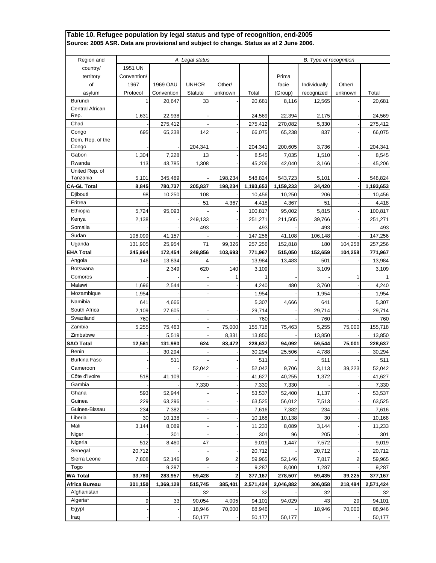| Region and                |              |            | A. Legal status |              |           |           | B. Type of recognition |         |           |
|---------------------------|--------------|------------|-----------------|--------------|-----------|-----------|------------------------|---------|-----------|
| country/                  | 1951 UN      |            |                 |              |           |           |                        |         |           |
| territory                 | Convention/  |            |                 |              |           | Prima     |                        |         |           |
| of                        | 1967         | 1969 OAU   | <b>UNHCR</b>    | Other/       |           | facie     | Individually           | Other/  |           |
| asylum                    | Protocol     | Convention | Statute         | unknown      | Total     | (Group)   | recognized             | unknown | Total     |
| <b>Burundi</b>            | $\mathbf{1}$ | 20,647     | 33              |              | 20,681    | 8,116     | 12,565                 |         | 20.681    |
| Central African           |              |            |                 |              |           |           |                        |         |           |
| Rep.                      | 1,631        | 22,938     |                 |              | 24,569    | 22,394    | 2,175                  |         | 24,569    |
| Chad                      |              | 275,412    |                 |              | 275,412   | 270,082   | 5,330                  |         | 275,412   |
| Congo<br>Dem. Rep. of the | 695          | 65,238     | 142             |              | 66,075    | 65,238    | 837                    |         | 66,075    |
| Congo                     |              |            | 204,341         |              | 204,341   | 200,605   | 3,736                  |         | 204,341   |
| Gabon                     | 1,304        | 7,228      | 13              |              | 8,545     | 7,035     | 1,510                  |         | 8,545     |
| Rwanda                    | 113          | 43,785     | 1,308           |              | 45,206    | 42,040    | 3,166                  |         | 45,206    |
| United Rep. of            |              |            |                 |              |           |           |                        |         |           |
| Tanzania                  | 5,101        | 345,489    |                 | 198,234      | 548,824   | 543,723   | 5,101                  |         | 548,824   |
| <b>CA-GL Total</b>        | 8,845        | 780,737    | 205,837         | 198,234      | 1,193,653 | 1,159,233 | 34,420                 |         | 1,193,653 |
| Djibouti                  | 98           | 10,250     | 108             |              | 10,456    | 10,250    | 206                    |         | 10,456    |
| Eritrea                   |              |            | 51              | 4,367        | 4,418     | 4,367     | 51                     |         | 4,418     |
| Ethiopia                  | 5,724        | 95,093     |                 |              | 100,817   | 95,002    | 5,815                  |         | 100,817   |
| Kenya                     | 2,138        |            | 249,133         |              | 251,271   | 211,505   | 39,766                 |         | 251,271   |
| Somalia                   |              |            | 493             |              | 493       |           | 493                    |         | 493       |
| Sudan                     | 106,099      | 41,157     |                 |              | 147,256   | 41,108    | 106,148                |         | 147,256   |
| Uganda                    | 131,905      | 25,954     | 71              | 99,326       | 257,256   | 152,818   | 180                    | 104,258 | 257,256   |
| <b>EHA Total</b>          | 245,964      | 172,454    | 249,856         | 103,693      | 771,967   | 515,050   | 152,659                | 104,258 | 771,967   |
| Angola                    | 146          | 13,834     | 4               |              | 13,984    | 13,483    | 501                    |         | 13,984    |
| Botswana                  |              | 2,349      | 620             | 140          | 3,109     |           | 3,109                  |         | 3,109     |
| Comoros                   |              |            |                 |              |           |           |                        | 1       |           |
| Malawi                    | 1,696        | 2,544      |                 |              | 4,240     | 480       | 3,760                  |         | 4,240     |
| Mozambique                | 1,954        |            |                 |              | 1,954     |           | 1,954                  |         | 1,954     |
| Namibia                   | 641          | 4,666      |                 |              | 5,307     | 4,666     | 641                    |         | 5,307     |
| South Africa              | 2,109        | 27,605     |                 |              | 29,714    |           | 29,714                 |         | 29,714    |
| Swaziland                 | 760          |            |                 |              | 760       |           | 760                    |         | 760       |
| Zambia                    | 5,255        | 75,463     |                 | 75,000       | 155,718   | 75,463    | 5,255                  | 75,000  | 155,718   |
| Zimbabwe                  |              | 5,519      |                 | 8,331        | 13,850    |           | 13,850                 |         | 13,850    |
| SAO Total                 | 12,561       | 131,980    | 624             | 83,472       | 228,637   | 94,092    | 59,544                 | 75,001  | 228,637   |
| Benin                     |              | 30,294     |                 |              | 30,294    | 25.506    | 4,788                  |         | 30,294    |
| <b>Burkina Faso</b>       |              | 511        |                 |              | 511       |           | 511                    |         | 511       |
| Cameroon                  |              |            | 52,042          |              | 52,042    | 9,706     | 3,113                  | 39,223  | 52.042    |
| Côte d'Ivoire             | 518          | 41,109     |                 |              | 41,627    | 40,255    | 1,372                  |         | 41,627    |
| Gambia                    |              |            | 7,330           |              | 7,330     | 7,330     |                        |         | 7,330     |
| Ghana                     | 593          | 52,944     |                 |              | 53,537    | 52,400    | 1,137                  |         | 53,537    |
| Guinea                    | 229          | 63,296     |                 |              | 63,525    | 56,012    | 7,513                  |         | 63,525    |
| Guinea-Bissau             | 234          | 7,382      |                 |              | 7,616     | 7,382     | 234                    |         | 7,616     |
| Liberia                   | 30           | 10,138     |                 |              | 10,168    | 10,138    | 30                     |         | 10,168    |
| Mali                      | 3,144        | 8,089      |                 |              | 11,233    | 8,089     | 3,144                  |         | 11,233    |
| Niger                     |              | 301        |                 |              | 301       | 96        | 205                    |         | 301       |
| Nigeria                   | 512          | 8,460      | 47              |              | 9,019     | 1,447     | 7,572                  |         | 9,019     |
| Senegal                   | 20,712       |            |                 |              | 20,712    |           | 20,712                 |         | 20,712    |
| Sierra Leone              | 7,808        | 52,146     | 9               | 2            | 59,965    | 52,146    | 7,817                  | 2       | 59,965    |
| Togo                      |              | 9,287      |                 |              | 9,287     | 8,000     | 1,287                  |         | 9,287     |
| <b>WA Total</b>           | 33,780       | 283,957    | 59,428          | $\mathbf{2}$ | 377,167   | 278,507   | 59,435                 | 39,225  | 377,167   |
| Africa Bureau             | 301,150      | 1,369,128  | 515,745         | 385,401      | 2,571,424 | 2,046,882 | 306,058                | 218,484 | 2,571,424 |
| Afghanistan               |              |            | 32              |              | 32        |           | 32                     |         | 32        |
| Algeria*                  | 9            | 33         | 90,054          | 4,005        | 94,101    | 94,029    | 43                     | 29      | 94,101    |
| Egypt                     |              |            | 18,946          | 70,000       | 88,946    |           | 18,946                 | 70,000  | 88,946    |
| Iraq                      |              |            | 50,177          |              | 50,177    | 50,177    |                        |         | 50,177    |
|                           |              |            |                 |              |           |           |                        |         |           |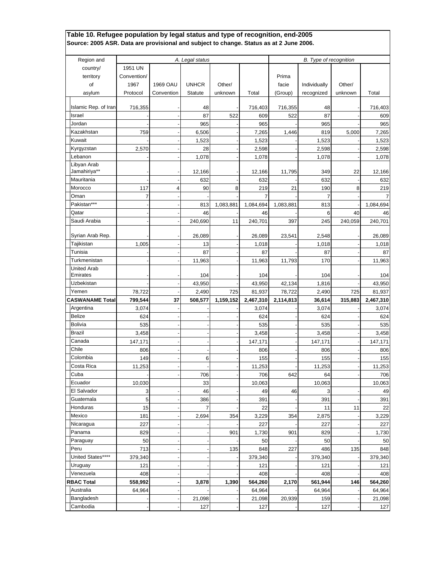| Region and             |             |            | A. Legal status       |           |              |           | B. Type of recognition |         |           |
|------------------------|-------------|------------|-----------------------|-----------|--------------|-----------|------------------------|---------|-----------|
| country/               | 1951 UN     |            |                       |           |              |           |                        |         |           |
| territory              | Convention/ |            |                       |           |              | Prima     |                        |         |           |
| of                     | 1967        | 1969 OAU   | <b>UNHCR</b>          | Other/    |              | facie     | Individually           | Other/  |           |
| asylum                 | Protocol    | Convention | <b>Statute</b>        | unknown   | Total        | (Group)   | recognized             | unknown | Total     |
| Islamic Rep. of Iran   | 716,355     |            | 48                    |           | 716,403      | 716,355   | 48                     |         | 716,403   |
| Israel                 |             |            | 87                    | 522       | 609          | 522       | 87                     |         | 609       |
| Jordan                 |             |            | 965                   |           | 965          |           | 965                    |         | 965       |
| Kazakhstan             | 759         |            | 6,506                 |           | 7,265        | 1,446     | 819                    | 5,000   | 7,265     |
| Kuwait                 |             |            | 1,523                 |           | 1,523        |           | 1,523                  |         | 1,523     |
| Kyrgyzstan             | 2,570       |            | 28                    |           | 2,598        |           | 2,598                  |         | 2,598     |
| Lebanon                |             |            | 1,078                 |           | 1,078        |           | 1,078                  |         | 1,078     |
| Libyan Arab            |             |            |                       |           |              |           |                        |         |           |
| Jamahiriya**           |             |            | 12,166                |           | 12,166       | 11,795    | 349                    | 22      | 12,166    |
| Mauritania             |             |            | 632                   |           | 632          |           | 632                    |         | 632       |
| Morocco                | 117         | 4          | 90                    | 8         | 219          | 21        | 190                    | 8       | 219       |
| Oman                   | 7           |            |                       |           | 7            |           | 7                      |         |           |
| Pakistan***            |             |            | 813                   | 1,083,881 | 1,084,694    | 1,083,881 | 813                    |         | 1,084,694 |
| Qatar                  |             |            | 46                    |           | 46           |           | 6                      | 40      | 46        |
| Saudi Arabia           |             |            | 240,690               | 11        | 240,701      | 397       | 245                    | 240,059 | 240,701   |
| Syrian Arab Rep.       |             |            | 26,089                |           | 26,089       | 23,541    | 2,548                  |         | 26,089    |
| Tajikistan             | 1,005       |            | 13                    |           | 1,018        |           | 1,018                  |         | 1,018     |
| Tunisia                |             |            | 87                    |           | 87           |           | 87                     |         | 87        |
| Turkmenistan           |             |            | 11,963                |           | 11,963       | 11,793    | 170                    |         | 11,963    |
| <b>United Arab</b>     |             |            |                       |           |              |           |                        |         |           |
| Emirates               |             |            | 104                   |           | 104          |           | 104                    |         | 104       |
| Uzbekistan             |             |            | 43,950                |           | 43,950       | 42,134    | 1,816                  |         | 43,950    |
| Yemen                  | 78,722      |            | 2,490                 | 725       | 81,937       | 78,722    | 2,490                  | 725     | 81,937    |
| <b>CASWANAME Total</b> | 799,544     | 37         | 508,577               | 1,159,152 | 2,467,310    | 2,114,813 | 36,614                 | 315,883 | 2,467,310 |
| Argentina              | 3,074       |            |                       |           | 3,074        |           | 3,074                  |         | 3,074     |
| <b>Belize</b>          | 624         |            |                       |           | 624          |           | 624                    |         | 624       |
| <b>Bolivia</b>         | 535         |            |                       |           | 535          |           | 535                    |         | 535       |
| Brazil                 | 3,458       |            |                       |           | 3,458        |           | 3,458                  |         | 3,458     |
| Canada                 | 147,171     |            |                       |           | 147,171      |           | 147,171                |         | 147,171   |
| Chile                  | 806         |            |                       |           | 806          |           | 806                    |         | 806       |
| Colombia               | 149         |            | 6                     |           | 155          |           | 155                    |         | 155       |
| Costa Rica             | 11,253      |            |                       |           | 11,253       |           | 11,253                 |         | 11,253    |
| Cuba                   |             |            | 706                   |           | 706          | 642       | 64                     |         | 706       |
| Ecuador<br>El Salvador | 10,030      |            | 33                    |           | 10,063       |           | 10,063                 |         | 10,063    |
|                        | 3           |            | 46                    |           | 49           | 46        | 3                      |         | 49        |
| Guatemala<br>Honduras  | 5<br>15     |            | 386<br>$\overline{7}$ |           | 391<br>22    |           | 391                    |         | 391<br>22 |
| Mexico                 | 181         |            |                       | 354       |              | 354       | 11                     | 11      | 3,229     |
| Nicaragua              | 227         |            | 2,694                 |           | 3,229<br>227 |           | 2,875<br>227           |         | 227       |
| Panama                 | 829         |            |                       | 901       | 1,730        | 901       | 829                    |         | 1,730     |
| Paraguay               | 50          |            |                       |           | 50           |           | 50                     |         | 50        |
| Peru                   | 713         |            |                       | 135       | 848          | 227       | 486                    | 135     | 848       |
| United States****      | 379,340     |            |                       |           | 379,340      |           | 379,340                |         | 379,340   |
| Uruguay                | 121         |            |                       |           | 121          |           | 121                    |         | 121       |
| Venezuela              | 408         |            |                       |           | 408          |           | 408                    |         | 408       |
| <b>RBAC Total</b>      | 558,992     |            | 3,878                 | 1,390     | 564,260      | 2,170     | 561,944                | 146     | 564,260   |
|                        |             |            |                       |           |              |           |                        |         |           |
| Australia              | 64,964      |            |                       |           | 64,964       |           | 64,964                 |         | 64,964    |
| Bangladesh             |             |            | 21,098                |           | 21,098       | 20,939    | 159                    |         | 21,098    |
| Cambodia               |             |            | 127                   |           | 127          |           | 127                    |         | 127       |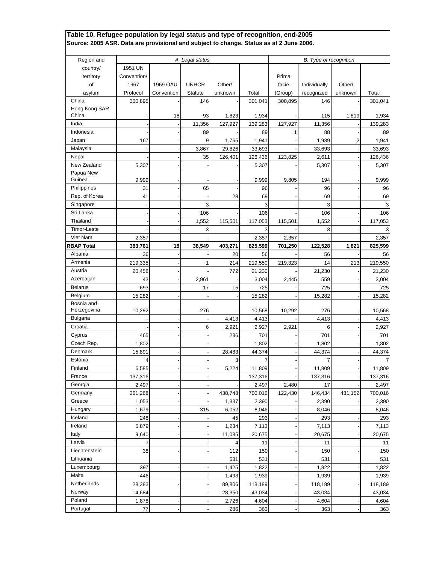| Region and              |             |            | A. Legal status |              |              |         | B. Type of recognition |                |                |
|-------------------------|-------------|------------|-----------------|--------------|--------------|---------|------------------------|----------------|----------------|
| country/                | 1951 UN     |            |                 |              |              |         |                        |                |                |
| territory               | Convention/ |            |                 |              |              | Prima   |                        |                |                |
| of                      | 1967        | 1969 OAU   | <b>UNHCR</b>    | Other/       |              | facie   | Individually           | Other/         |                |
| asylum                  | Protocol    | Convention | <b>Statute</b>  | unknown      | Total        | (Group) | recognized             | unknown        | Total          |
| China                   | 300,895     |            | 146             |              | 301,041      | 300,895 | 146                    |                | 301,041        |
| Hong Kong SAR,<br>China |             | 18         | 93              | 1,823        | 1,934        |         | 115                    | 1,819          | 1,934          |
| India                   |             |            | 11,356          | 127,927      | 139,283      | 127,927 | 11,356                 |                | 139,283        |
| Indonesia               |             |            | 89              |              | 89           |         | 88                     |                | 89             |
| Japan                   | 167         |            | 9               | 1,765        | 1,941        |         | 1,939                  | $\overline{2}$ | 1,941          |
| Malaysia                |             |            | 3,867           | 29,826       | 33,693       |         | 33,693                 |                | 33,693         |
| Nepal                   |             |            | 35              | 126,401      | 126,436      | 123,825 | 2,611                  |                | 126,436        |
| New Zealand             | 5,307       |            |                 |              | 5,307        |         | 5,307                  |                | 5,307          |
| Papua New               |             |            |                 |              |              |         |                        |                |                |
| Guinea                  | 9,999       |            |                 |              | 9,999        | 9,805   | 194                    |                | 9,999          |
| Philippines             | 31          |            | 65              |              | 96           |         | 96                     |                | 96             |
| Rep. of Korea           | 41          |            |                 | 28           | 69           |         | 69                     |                | 69             |
| Singapore               |             |            | 3               |              | 3            |         | 3                      |                | 3              |
| Sri Lanka               |             |            | 106             |              | 106          |         | 106                    |                | 106            |
| Thailand                |             |            | 1,552           | 115,501      | 117,053      | 115,501 | 1,552                  |                | 117,053        |
| Timor-Leste             |             |            | 3               |              | 3            |         | 3                      |                | 3              |
| Viet Nam                | 2,357       |            |                 |              | 2,357        | 2,357   |                        |                | 2,357          |
| <b>RBAP Total</b>       | 383,761     | 18         | 38,549          | 403,271      | 825,599      | 701,250 | 122,528                | 1,821          | 825,599        |
| Albania                 | 36          |            |                 | 20           | 56           |         | 56                     |                | 56             |
| Armenia                 | 219,335     |            | 1               | 214          | 219,550      | 219,323 | 14                     | 213            | 219,550        |
| Austria                 | 20,458      |            |                 | 772          | 21,230       |         | 21,230                 |                | 21,230         |
| Azerbaijan              | 43          |            | 2,961           |              | 3,004        | 2,445   | 559                    |                | 3,004          |
| <b>Belarus</b>          | 693         |            | 17              | 15           | 725          |         | 725                    |                | 725            |
| Belgium                 | 15,282      |            |                 |              | 15,282       |         | 15,282                 |                | 15,282         |
| Bosnia and              |             |            |                 |              |              |         |                        |                |                |
| Herzegovina             | 10,292      |            | 276             |              | 10,568       | 10,292  | 276                    |                | 10,568         |
| <b>Bulgaria</b>         |             |            |                 | 4,413        | 4,413        |         | 4,413                  |                | 4,413          |
| Croatia                 |             |            | 6               | 2,921        | 2,927        | 2,921   | 6                      |                | 2,927          |
| Cyprus                  | 465         |            |                 | 236          | 701          |         | 701                    |                | 701            |
| Czech Rep.              | 1,802       |            |                 |              | 1,802        |         | 1,802                  |                | 1,802          |
| Denmark                 | 15,891      |            |                 | 28,483       | 44,374       |         | 44,374                 |                | 44,374         |
| Estonia                 | 4           |            |                 | 3            | 7            |         | $\overline{7}$         |                | $\overline{7}$ |
| Finland                 | 6,585       |            |                 | 5,224        | 11,809       |         | 11,809                 |                | 11,809         |
| France                  | 137,316     |            |                 |              | 137,316      |         | 137,316                |                | 137,316        |
| Georgia                 | 2,497       |            |                 |              | 2,497        | 2,480   | 17                     |                | 2,497          |
| Germany                 | 261,268     |            |                 | 438,748      | 700,016      | 122,430 | 146,434                | 431,152        | 700,016        |
| Greece                  | 1,053       |            |                 | 1,337        | 2,390        |         | 2,390                  |                | 2,390          |
| Hungary                 | 1,679       |            | 315             |              | 8,046        |         | 8,046                  |                |                |
| Iceland                 | 248         |            |                 | 6,052        | 293          |         | 293                    |                | 8,046          |
|                         |             |            |                 | 45           |              |         |                        |                | 293            |
| Ireland                 | 5,879       |            |                 | 1,234        | 7,113        |         | 7,113                  |                | 7,113          |
| Italy                   | 9,640       |            |                 | 11,035       | 20,675       |         | 20,675                 |                | 20,675         |
| Latvia                  | 7           |            |                 | 4            | 11           |         | 11                     |                | 11             |
| Liechtenstein           | 38          |            |                 | 112          | 150          |         | 150                    |                | 150            |
| Lithuania               |             |            |                 | 531          | 531          |         | 531                    |                | 531            |
| Luxembourg              | 397         |            |                 | 1,425        | 1,822        |         | 1,822                  |                | 1,822          |
| Malta                   | 446         |            |                 | 1,493        | 1,939        |         | 1,939                  |                | 1,939          |
| Netherlands             | 28,383      |            |                 | 89,806       | 118,189      |         | 118,189                |                | 118,189        |
| Norway                  | 14,684      |            |                 | 28,350       | 43,034       |         | 43,034                 |                | 43,034         |
|                         |             |            |                 |              |              |         |                        |                |                |
| Poland<br>Portugal      | 1,878<br>77 |            |                 | 2,726<br>286 | 4,604<br>363 |         | 4,604<br>363           |                | 4,604          |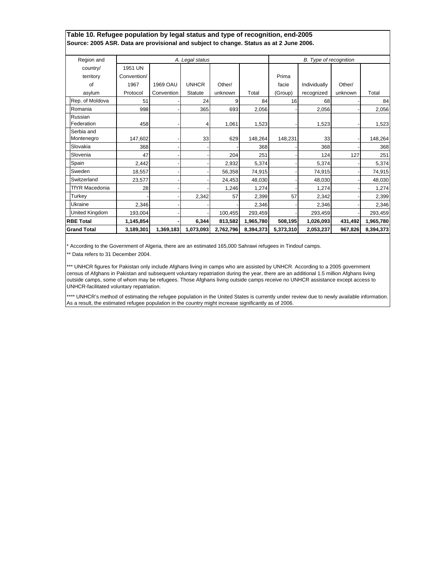| Region and            |             |            | A. Legal status |           |           |           | B. Type of recognition |         |           |
|-----------------------|-------------|------------|-----------------|-----------|-----------|-----------|------------------------|---------|-----------|
| country/              | 1951 UN     |            |                 |           |           |           |                        |         |           |
| territory             | Convention/ |            |                 |           |           | Prima     |                        |         |           |
| of                    | 1967        | 1969 OAU   | <b>UNHCR</b>    | Other/    |           | facie     | Individually           | Other/  |           |
| asylum                | Protocol    | Convention | <b>Statute</b>  | unknown   | Total     | (Group)   | recognized             | unknown | Total     |
| Rep. of Moldova       | 51          |            | 24              | 9         | 84        | 16        | 68                     |         | 84        |
| Romania               | 998         |            | 365             | 693       | 2,056     |           | 2,056                  |         | 2,056     |
| Russian               |             |            |                 |           |           |           |                        |         |           |
| Federation            | 458         |            | 4               | 1,061     | 1,523     |           | 1,523                  |         | 1,523     |
| Serbia and            |             |            |                 |           |           |           |                        |         |           |
| Montenegro            | 147,602     |            | 33              | 629       | 148,264   | 148,231   | 33                     |         | 148,264   |
| Slovakia              | 368         |            |                 |           | 368       |           | 368                    |         | 368       |
| Slovenia              | 47          |            |                 | 204       | 251       |           | 124                    | 127     | 251       |
| Spain                 | 2,442       |            |                 | 2,932     | 5,374     |           | 5,374                  |         | 5,374     |
| Sweden                | 18,557      |            |                 | 56,358    | 74,915    |           | 74,915                 |         | 74,915    |
| Switzerland           | 23,577      |            |                 | 24,453    | 48,030    |           | 48,030                 |         | 48,030    |
| <b>TfYR Macedonia</b> | 28          |            |                 | 1,246     | 1,274     |           | 1,274                  |         | 1,274     |
| Turkey                |             |            | 2,342           | 57        | 2,399     | 57        | 2,342                  |         | 2,399     |
| Ukraine               | 2,346       |            |                 |           | 2,346     |           | 2,346                  |         | 2,346     |
| United Kingdom        | 193,004     |            |                 | 100,455   | 293,459   |           | 293,459                |         | 293,459   |
| <b>RBE Total</b>      | 1,145,854   |            | 6,344           | 813,582   | 1,965,780 | 508,195   | 1,026,093              | 431,492 | 1,965,780 |
| <b>Grand Total</b>    | 3,189,301   | 1,369,183  | 1,073,093       | 2,762,796 | 8,394,373 | 5,373,310 | 2,053,237              | 967,826 | 8,394,373 |

According to the Government of Algeria, there are an estimated 165,000 Sahrawi refugees in Tindouf camps.

\* Data refers to 31 December 2004.

\*\*\* UNHCR figures for Pakistan only include Afghans living in camps who are assisted by UNHCR. According to a 2005 government census of Afghans in Pakistan and subsequent voluntary repatriation during the year, there are an additional 1.5 million Afghans living outside camps, some of whom may be refugees. Those Afghans living outside camps receive no UNHCR assistance except access to UNHCR-facilitated voluntary repatriation.

\*\*\*\* UNHCR's method of estimating the refugee population in the United States is currently under review due to newly available information As a result, the estimated refugee population in the country might increase significantly as of 2006.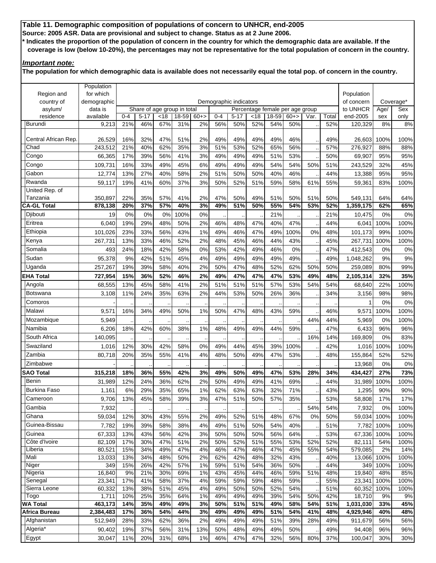## **Table 11. Demographic composition of populations of concern to UNHCR, end-2005 Source: 2005 ASR. Data are provisional and subject to change. Status as at 2 June 2006. \* Indicates the proportion of the population of concern in the country for which the demographic data are available. If the coverage is low (below 10-20%), the percentages may not be representative for the total population of concern in the country.**

### *Important note:*

**The population for which demographic data is available does not necessarily equal the total pop. of concern in the country.**

|                      | Population  |         |                             |      |       |       |                      |                        |      |                                 |       |                      |       |            |       |           |
|----------------------|-------------|---------|-----------------------------|------|-------|-------|----------------------|------------------------|------|---------------------------------|-------|----------------------|-------|------------|-------|-----------|
| Region and           | for which   |         |                             |      |       |       |                      |                        |      |                                 |       |                      |       | Population |       |           |
| country of           | demographic |         |                             |      |       |       |                      | Demographic indicators |      |                                 |       |                      |       | of concern |       | Coverage* |
| asylum/              | data is     |         | Share of age group in total |      |       |       |                      |                        |      | Percentage female per age group |       |                      |       | to UNHCR   | Age/  | Sex       |
| residence            | available   | $0 - 4$ | $5 - 17$                    | < 18 | 18-59 | $60+$ | $0 - 4$              | $5 - 17$               | < 18 | 18-59                           | $60+$ | Var.                 | Total | end-2005   | sex   | only      |
| <b>Burundi</b>       | 9,213       | 21%     | 46%                         | 67%  | 31%   | 2%    | 56%                  | 50%                    | 52%  | 54%                             | 50%   |                      | 52%   | 120.329    | 8%    | 8%        |
|                      |             |         |                             |      |       |       |                      |                        |      |                                 |       |                      |       |            |       |           |
| Central African Rep. | 26,529      | 16%     | 32%                         | 47%  | 51%   | 2%    | 49%                  | 49%                    | 49%  | 49%                             | 46%   |                      | 49%   | 26,603     | 100%  | 100%      |
| Chad                 | 243,512     | 21%     | 40%                         | 62%  | 35%   | 3%    | 51%                  | 53%                    | 52%  | 65%                             | 56%   |                      | 57%   | 276,927    | 88%   | 88%       |
| Congo                | 66,365      | 17%     | 39%                         | 56%  | 41%   | 3%    | 49%                  | 49%                    | 49%  | 51%                             | 53%   |                      | 50%   | 69,907     | 95%   | 95%       |
| Congo                | 109,731     | 16%     | 33%                         | 49%  | 45%   | 6%    | 49%                  | 49%                    | 49%  | 54%                             | 54%   | 50%                  | 51%   | 243,529    | 32%   | 45%       |
| Gabon                | 12,774      | 13%     | 27%                         | 40%  | 58%   | 2%    | 51%                  | 50%                    | 50%  | 40%                             | 46%   |                      | 44%   | 13,388     | 95%   | 95%       |
| Rwanda               | 59,117      | 19%     | 41%                         | 60%  | 37%   | 3%    | 50%                  | 52%                    | 51%  | 59%                             | 58%   | 61%                  | 55%   | 59,361     | 83%   | 100%      |
| United Rep. of       |             |         |                             |      |       |       |                      |                        |      |                                 |       |                      |       |            |       |           |
| Tanzania             | 350,897     | 22%     | 35%                         | 57%  | 41%   | 2%    | 47%                  | 50%                    | 49%  | 51%                             | 50%   | 51%                  | 50%   | 549,131    | 64%   | 64%       |
| <b>CA-GL Total</b>   | 878,138     | 20%     | 37%                         | 57%  | 40%   | 3%    | 49%                  | 51%                    | 50%  | 55%                             | 54%   | 53%                  | 52%   | 1,359,175  | 62%   | 65%       |
| Djibouti             | 19          | 0%      | 0%                          | 0%   | 100%  | 0%    | $\ddot{\phantom{0}}$ |                        |      | 21%                             |       |                      | 21%   | 10,475     | 0%    | 0%        |
| Eritrea              | 6.040       | 19%     | 29%                         | 48%  | 50%   | 2%    | 46%                  | 48%                    | 47%  | 40%                             | 47%   |                      | 44%   | 6,041      | 100%  | 100%      |
| Ethiopia             |             |         |                             |      |       |       |                      |                        |      |                                 |       |                      |       |            |       |           |
|                      | 101,026     | 23%     | 33%                         | 56%  | 43%   | 1%    | 49%                  | 46%                    | 47%  | 49%                             | 100%  | 0%                   | 48%   | 101,173    | 99%   | 100%      |
| Kenya                | 267,731     | 13%     | 33%                         | 46%  | 52%   | 2%    | 48%                  | 45%                    | 46%  | 44%                             | 43%   |                      | 45%   | 267,731    | 100%  | 100%      |
| Somalia              | 493         | 24%     | 18%                         | 42%  | 58%   | 0%    | 53%                  | 42%                    | 49%  | 46%                             | 0%    |                      | 47%   | 412,543    | 0%    | 0%        |
| Sudan                | 95,378      | 9%      | 42%                         | 51%  | 45%   | 4%    | 49%                  | 49%                    | 49%  | 49%                             | 49%   |                      | 49%   | 1,048,262  | 9%    | 9%        |
| Uganda               | 257,267     | 19%     | 39%                         | 58%  | 40%   | 2%    | 50%                  | 47%                    | 48%  | 52%                             | 62%   | 50%                  | 50%   | 259,089    | 80%   | 99%       |
| <b>EHA Total</b>     | 727,954     | 15%     | 36%                         | 52%  | 46%   | 2%    | 49%                  | 47%                    | 47%  | 47%                             | 53%   | 49%                  | 48%   | 2,105,314  | 32%   | 35%       |
| Angola               | 68.555      | 13%     | 45%                         | 58%  | 41%   | 2%    | 51%                  | 51%                    | 51%  | 57%                             | 53%   | 54%                  | 54%   | 68,640     | 22%   | 100%      |
| <b>Botswana</b>      | 3,108       | 11%     | 24%                         | 35%  | 63%   | 2%    | 44%                  | 53%                    | 50%  | 26%                             | 36%   |                      | 34%   | 3,156      | 98%   | 98%       |
| Comoros              |             |         |                             |      |       |       |                      |                        |      |                                 |       |                      |       |            | 0%    | 0%        |
|                      |             |         |                             |      |       |       | $\blacksquare$       |                        |      |                                 |       |                      |       |            |       |           |
| Malawi               | 9,571       | 16%     | 34%                         | 49%  | 50%   | 1%    | 50%                  | 47%                    | 48%  | 43%                             | 59%   |                      | 46%   | 9,571      | 100%  | 100%      |
| Mozambique           | 5,949       |         |                             |      |       |       | $\blacksquare$       |                        |      |                                 |       | 44%                  | 44%   | 5,969      | 0%    | 100%      |
| Namibia              | 6,206       | 18%     | 42%                         | 60%  | 38%   | 1%    | 48%                  | 49%                    | 49%  | 44%                             | 59%   |                      | 47%   | 6,433      | 96%   | 96%       |
| South Africa         | 140,095     |         |                             |      |       |       |                      |                        |      |                                 |       | 16%                  | 14%   | 169,809    | 0%    | 83%       |
| Swaziland            | 1,016       | 12%     | 30%                         | 42%  | 58%   | 0%    | 49%                  | 44%                    | 45%  | 39%                             | 100%  |                      | 42%   | 1,016      | 100%  | 100%      |
| Zambia               | 80,718      | 20%     | 35%                         | 55%  | 41%   | 4%    | 48%                  | 50%                    | 49%  | 47%                             | 53%   |                      | 48%   | 155,864    | 52%   | 52%       |
| Zimbabwe             |             |         |                             |      |       |       |                      |                        |      |                                 |       |                      |       | 13,968     | 0%    | 0%        |
| <b>SAO Total</b>     | 315,218     | 18%     | 36%                         | 55%  | 42%   | 3%    | 49%                  | 50%                    | 49%  | 47%                             | 53%   | 28%                  | 34%   | 434,427    | 27%   | 73%       |
| Benin                | 31,989      | 12%     | 24%                         | 36%  | 62%   | 2%    | 50%                  | 49%                    | 49%  | 41%                             | 69%   |                      | 44%   | 31,989     | 100%  | 100%      |
| <b>Burkina Faso</b>  |             |         |                             |      |       |       |                      |                        |      |                                 |       |                      |       |            |       |           |
|                      | 1,161       | 6%      | 29%                         | 35%  | 65%   | 1%    | 62%                  | 63%                    | 63%  | 32%                             | 71%   |                      | 43%   | 1,295      | 90%   | 90%       |
| Cameroon             | 9,706       | 13%     | 45%                         | 58%  | 39%   | 3%    | 47%                  | 51%                    | 50%  | 57%                             | 35%   |                      | 53%   | 58,808     | 17%   | 17%       |
| Gambia               | 7,932       |         |                             |      |       |       |                      |                        |      |                                 |       | 54%                  | 54%   | 7,932      | $0\%$ | 100%      |
| Ghana                | 59,034      | 12%     | 30%                         | 43%  | 55%   | 2%    | 49%                  | 52%                    | 51%  | 48%                             | 67%   | $0\%$                | 50%   | 59,034     | 100%  | 100%      |
| Guinea-Bissau        | 7,782       | 19%     | 39%                         | 58%  | 38%   | 4%    | 49%                  | 51%                    | 50%  | 54%                             | 40%   |                      | 51%   | 7,782      | 100%  | 100%      |
| Guinea               | 67,333      | 13%     | 43%                         | 56%  | 42%   | 3%    | 50%                  | 50%                    | 50%  | 56%                             | 64%   |                      | 53%   | 67,336     | 100%  | 100%      |
| Côte d'Ivoire        | 82,109      | 17%     | 30%                         | 47%  | 51%   | 2%    | 50%                  | 52%                    | 51%  | 55%                             | 53%   | 52%                  | 52%   | 82,111     | 54%   | 100%      |
| Liberia              | 80,521      | 15%     | 34%                         | 49%  | 47%   | 4%    | 46%                  | 47%                    | 46%  | 47%                             | 45%   | 55%                  | 54%   | 579,085    | 2%    | 14%       |
| Mali                 | 13,033      | 13%     | 34%                         | 48%  | 50%   | 2%    | 62%                  | 42%                    | 48%  | 32%                             | 43%   |                      | 40%   | 13,066     | 100%  | 100%      |
| Niger                | 349         | 15%     | 26%                         | 42%  | 57%   | 1%    | 59%                  | 51%                    | 54%  | 36%                             | 50%   | $\ddotsc$            | 44%   | 349        | 100%  | 100%      |
| Nigeria              | 16,840      | 9%      | 21%                         | 30%  | 69%   | 1%    | 43%                  | 45%                    | 44%  | 46%                             | 59%   | 51%                  | 48%   | 19,840     | 48%   | 85%       |
| Senegal              | 23,341      | 17%     | 41%                         | 58%  | 37%   | 4%    | 59%                  | 59%                    | 59%  | 48%                             | 59%   | $\ddot{\phantom{1}}$ | 55%   | 23,341     | 100%  | 100%      |
| Sierra Leone         | 60,332      | 13%     | 38%                         | 51%  | 45%   | 4%    | 49%                  | 50%                    | 50%  | 52%                             | 54%   |                      | 51%   | 60,352     | 100%  | 100%      |
| Togo                 | 1,711       | 10%     | 25%                         | 35%  | 64%   | 1%    | 49%                  | 49%                    | 49%  | 39%                             | 54%   | 50%                  | 42%   | 18,710     | 9%    | 9%        |
| <b>WA Total</b>      | 463,173     | 14%     | 35%                         | 49%  | 49%   | 3%    | 50%                  | 51%                    | 51%  | 49%                             | 58%   | 54%                  | 51%   | 1,031,030  | 33%   | 45%       |
| Africa Bureau        | 2,384,483   | 17%     | 36%                         | 54%  | 44%   | 3%    | 49%                  | 49%                    | 49%  | 51%                             | 54%   | 41%                  | 48%   | 4,929,946  | 40%   | 48%       |
| Afghanistan          | 512,949     | 28%     | 33%                         | 62%  | 36%   | 2%    | 49%                  | 49%                    | 49%  | 51%                             | 39%   | 28%                  | 49%   | 911,679    | 56%   | 56%       |
| Algeria*             | 90,402      | 19%     | 37%                         | 56%  | 31%   | 13%   | 50%                  | 48%                    | 49%  | 49%                             | 50%   |                      | 49%   | 94,408     | 96%   | 96%       |
| Egypt                | 30,047      | 11%     | 20%                         | 31%  | 68%   | 1%    | 46%                  | 47%                    | 47%  | 32%                             | 56%   | 80%                  | 37%   | 100,047    | 30%   | 30%       |
|                      |             |         |                             |      |       |       |                      |                        |      |                                 |       |                      |       |            |       |           |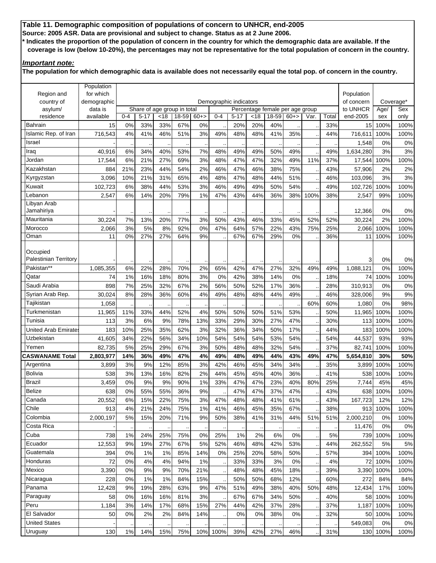## **Table 11. Demographic composition of populations of concern to UNHCR, end-2005 Source: 2005 ASR. Data are provisional and subject to change. Status as at 2 June 2006. \* Indicates the proportion of the population of concern in the country for which the demographic data are available. If the coverage is low (below 10-20%), the percentages may not be representative for the total population of concern in the country.**

### *Important note:*

**The population for which demographic data is available does not necessarily equal the total pop. of concern in the country.**

|                              | Population  |         |                                         |      |       |       |                        |          |      |                                          |       |                      |       |            |          |           |
|------------------------------|-------------|---------|-----------------------------------------|------|-------|-------|------------------------|----------|------|------------------------------------------|-------|----------------------|-------|------------|----------|-----------|
| Region and                   | for which   |         |                                         |      |       |       |                        |          |      |                                          |       |                      |       | Population |          |           |
| country of                   | demographic |         |                                         |      |       |       | Demographic indicators |          |      |                                          |       |                      |       | of concern |          | Coverage* |
| asylum/                      | data is     | $0 - 4$ | Share of age group in total<br>$5 - 17$ | < 18 | 18-59 |       | $0 - 4$                | $5 - 17$ |      | Percentage female per age group<br>18-59 | $60+$ | Var.                 | Total | to UNHCR   | Age/     | Sex       |
| residence                    | available   |         |                                         |      |       | $60+$ |                        |          | < 18 |                                          |       |                      |       | end-2005   | sex      | only      |
| <b>Bahrain</b>               | 15          | 0%      | 33%                                     | 33%  | 67%   | 0%    |                        | 20%      | 20%  | 40%                                      |       |                      | 33%   | 15         | 100%     | 100%      |
| Islamic Rep. of Iran         | 716.543     | 4%      | 41%                                     | 46%  | 51%   | 3%    | 49%                    | 48%      | 48%  | 41%                                      | 35%   |                      | 44%   | 716,611    | 100%     | 100%      |
| Israel                       |             |         |                                         |      |       |       |                        |          |      |                                          |       |                      |       | 1,548      | 0%       | 0%        |
| Iraq                         | 40,916      | 6%      | 34%                                     | 40%  | 53%   | 7%    | 48%                    | 49%      | 49%  | 50%                                      | 49%   |                      | 49%   | 1,634,280  | 3%       | 3%        |
| Jordan                       | 17,544      | 6%      | 21%                                     | 27%  | 69%   | 3%    | 48%                    | 47%      | 47%  | 32%                                      | 49%   | 11%                  | 37%   | 17,544     | 100%     | 100%      |
| Kazakhstan                   | 884         | 21%     | 23%                                     | 44%  | 54%   | 2%    | 46%                    | 47%      | 46%  | 38%                                      | 75%   |                      | 43%   | 57,906     | 2%       | 2%        |
| Kyrgyzstan                   | 3,096       | 10%     | 21%                                     | 31%  | 65%   | 4%    | 48%                    | 47%      | 48%  | 44%                                      | 51%   |                      | 46%   | 103,096    | 3%       | 3%        |
| Kuwait                       | 102,723     | 6%      | 38%                                     | 44%  | 53%   | 3%    | 46%                    | 49%      | 49%  | 50%                                      | 54%   |                      | 49%   | 102,726    | 100%     | 100%      |
| Lebanon                      | 2,547       | 6%      | 14%                                     | 20%  | 79%   | 1%    | 47%                    | 43%      | 44%  | 36%                                      | 38%   | 100%                 | 38%   | 2,547      | 99%      | 100%      |
| Libyan Arab                  |             |         |                                         |      |       |       |                        |          |      |                                          |       |                      |       |            |          |           |
| Jamahiriya                   |             |         |                                         |      |       |       |                        |          |      |                                          |       |                      |       | 12,366     | 0%       | 0%        |
| Mauritania                   | 30,224      | 7%      | 13%                                     | 20%  | 77%   | 3%    | 50%                    | 43%      | 46%  | 33%                                      | 45%   | 52%                  | 52%   | 30,224     | 2%       | 100%      |
| Morocco                      | 2,066       | 3%      | 5%                                      | 8%   | 92%   | 0%    | 47%                    | 64%      | 57%  | 22%                                      | 43%   | 75%                  | 25%   | 2,066      | 100%     | 100%      |
| Oman                         | 11          | 0%      | 27%                                     | 27%  | 64%   | 9%    |                        | 67%      | 67%  | 29%                                      | 0%    |                      | 36%   | 11         | 100%     | 100%      |
|                              |             |         |                                         |      |       |       |                        |          |      |                                          |       |                      |       |            |          |           |
| Occupied                     |             |         |                                         |      |       |       |                        |          |      |                                          |       |                      |       |            |          |           |
| <b>Palestinian Territory</b> |             |         |                                         |      |       |       |                        |          |      |                                          |       |                      |       | 3          | 0%       | 0%        |
| Pakistan**                   | 1,085,355   | 6%      | 22%                                     | 28%  | 70%   | 2%    | 65%                    | 42%      | 47%  | 27%                                      | 32%   | 49%                  | 49%   | 1,088,121  | 0%       | 100%      |
| Qatar                        | 74          | 1%      | 16%                                     | 18%  | 80%   | 3%    | 0%                     | 42%      | 38%  | 14%                                      | 0%    | $\ddot{\phantom{1}}$ | 18%   | 74         | 100%     | 100%      |
| Saudi Arabia                 | 898         | 7%      | 25%                                     | 32%  | 67%   | 2%    | 56%                    | 50%      | 52%  | 17%                                      | 36%   | $\bullet$            | 28%   | 310,913    | 0%       | 0%        |
| Syrian Arab Rep.             | 30,024      | 8%      | 28%                                     | 36%  | 60%   | 4%    | 49%                    | 48%      | 48%  | 44%                                      | 49%   |                      | 46%   | 328,006    | 9%       | 9%        |
| Tajikistan                   | 1,058       |         |                                         |      |       |       |                        |          |      |                                          |       | 60%                  | 60%   | 1,080      | 0%       | 98%       |
| Turkmenistan                 | 11,965      | 11%     | 33%                                     | 44%  | 52%   | 4%    | 50%                    | 50%      | 50%  | 51%                                      | 53%   |                      | 50%   | 11,965     | 100%     | 100%      |
| Tunisia                      | 113         | 3%      | 6%                                      | 9%   | 78%   | 13%   | 33%                    | 29%      | 30%  | 27%                                      | 47%   |                      | 30%   | 113        | 100%     | 100%      |
| <b>United Arab Emirates</b>  | 183         | 10%     | 25%                                     | 35%  | 62%   | 3%    | 32%                    | 36%      | 34%  | 50%                                      | 17%   | $\ddot{\phantom{a}}$ | 44%   | 183        | 100%     | 100%      |
| Uzbekistan                   |             | 34%     | 22%                                     | 56%  |       | 10%   | 54%                    | 54%      | 54%  |                                          | 54%   |                      | 54%   |            | 93%      | 93%       |
| Yemen                        | 41,605      |         |                                         |      | 34%   |       |                        |          |      | 53%                                      |       |                      |       | 44,537     |          |           |
|                              | 82,735      | 5%      | 25%                                     | 29%  | 67%   | 3%    | 50%                    | 48%      | 48%  | 32%                                      | 54%   |                      | 37%   | 82,741     | 100%     | 100%      |
| <b>CASWANAME Total</b>       | 2,803,977   | 14%     | 36%                                     | 49%  | 47%   | 4%    | 49%                    | 48%      | 49%  | 44%                                      | 43%   | 49%                  | 47%   | 5,654,810  | 30%      | 50%       |
| Argentina                    | 3,899       | 3%      | 9%                                      | 12%  | 85%   | 3%    | 42%                    | 46%      | 45%  | 34%                                      | 34%   |                      | 35%   | 3,899      | 100%     | 100%      |
| Bolivia                      | 538         | 3%      | 13%                                     | 16%  | 82%   | 2%    | 44%                    | 45%      | 45%  | 40%                                      | 36%   |                      | 41%   | 538        | 100%     | 100%      |
| <b>Brazil</b>                | 3,459       | 0%      | 9%                                      | 9%   | 90%   | 1%    | 33%                    | 47%      | 47%  | 23%                                      | 40%   | 80%                  | 25%   | 7,744      | 45%      | 45%       |
| <b>Belize</b>                | 638         | 0%      | 55%                                     | 55%  | 36%   | 9%    | $\blacksquare$         | 47%      | 47%  | 37%                                      | 47%   |                      | 43%   | 638        | 100%     | 100%      |
| Canada                       | 20,552      | 6%      | 15%                                     | 22%  | 75%   | 3%    | 47%                    | 48%      | 48%  | 41%                                      | 61%   |                      | 43%   | 167,723    | 12%      | 12%       |
| Chile                        | 913         | 4%      | 21%                                     | 24%  | 75%   | 1%    | 41%                    | 46%      | 45%  | 35%                                      | 67%   |                      | 38%   | 913        | 100%     | 100%      |
| Colombia                     | 2,000,197   | 5%      | 15%                                     | 20%  | 71%   | 9%    | 50%                    | 38%      | 41%  | 31%                                      | 44%   | 51%                  | 51%   | 2,000,210  | 0%       | 100%      |
| Costa Rica                   |             |         |                                         |      |       |       | $\ddot{\phantom{1}}$   |          |      |                                          |       | $\cdot$              |       | 11,476     | 0%       | $0\%$     |
| Cuba                         | 738         | 1%      | 24%                                     | 25%  | 75%   | 0%    | 25%                    | 1%       | 2%   | 6%                                       | 0%    | $\sim$               | 5%    | 739        | 100%     | 100%      |
| Ecuador                      | 12,553      | 9%      | 19%                                     | 27%  | 67%   | 5%    | 52%                    | 46%      | 48%  | 42%                                      | 53%   | $\ddotsc$            | 44%   | 262,552    | 5%       | 5%        |
| Guatemala                    | 394         | 0%      | 1%                                      | 1%   | 85%   | 14%   | 0%                     | 25%      | 20%  | 58%                                      | 50%   | $\ddotsc$            | 57%   | 394        | 100%     | 100%      |
| Honduras                     | 72          | 0%      | 4%                                      | 4%   | 94%   | 1%    |                        | 33%      | 33%  | 3%                                       | 0%    |                      | 4%    | 72         | 100%     | 100%      |
| Mexico                       | 3,390       | 0%      | 9%                                      | 9%   | 70%   | 21%   | $\ddot{\phantom{a}}$   | 48%      | 48%  | 45%                                      | 18%   | $\ddot{\phantom{1}}$ | 39%   | 3,390      | 100%     | 100%      |
| Nicaragua                    | 228         | 0%      | 1%                                      | 1%   | 84%   | 15%   | $\ddot{\phantom{0}}$   | 50%      | 50%  | 68%                                      | 12%   | $\ddotsc$            | 60%   | 272        | 84%      | 84%       |
|                              |             |         |                                         |      |       |       | $\ddot{\phantom{0}}$   |          |      |                                          |       |                      |       |            |          |           |
| Panama                       | 12,428      | 9%      | 19%                                     | 28%  | 63%   | 9%    | 47%                    | 51%      | 49%  | 38%                                      | 40%   | 50%                  | 48%   | 12,434     | 17%      | 100%      |
| Paraguay                     | 58          | 0%      | 16%                                     | 16%  | 81%   | 3%    | $\ddot{\phantom{1}}$   | 67%      | 67%  | 34%                                      | 50%   |                      | 40%   | 58         | 100%     | 100%      |
| Peru                         | 1,184       | 3%      | 14%                                     | 17%  | 68%   | 15%   | 27%                    | 44%      | 42%  | 37%                                      | 28%   | $\ddot{\phantom{a}}$ | 37%   | 1,187      | 100%     | 100%      |
| El Salvador                  | 50          | 0%      | 2%                                      | 2%   | 84%   | 14%   | $\ddot{\phantom{0}}$   | 0%       | 0%   | 38%                                      | 0%    |                      | 32%   | 50         | 100%     | 100%      |
| <b>United States</b>         |             |         |                                         |      |       |       |                        |          |      |                                          |       |                      |       | 549,083    | 0%       | 0%        |
| Uruguay                      | 130         | 1%      | 14%                                     | 15%  | 75%   | 10%   | 100%                   | 39%      | 42%  | 27%                                      | 46%   |                      | 31%   |            | 130 100% | 100%      |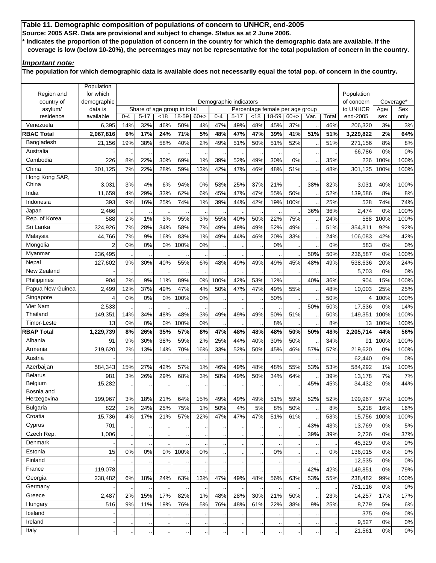## **Table 11. Demographic composition of populations of concern to UNHCR, end-2005 Source: 2005 ASR. Data are provisional and subject to change. Status as at 2 June 2006. \* Indicates the proportion of the population of concern in the country for which the demographic data are available. If the coverage is low (below 10-20%), the percentages may not be representative for the total population of concern in the country.**

### *Important note:*

**The population for which demographic data is available does not necessarily equal the total pop. of concern in the country.**

|                         | Population     |         |          |     |                                      |                      |                        |                      |           |                                          |                      |      |       |            |       |           |
|-------------------------|----------------|---------|----------|-----|--------------------------------------|----------------------|------------------------|----------------------|-----------|------------------------------------------|----------------------|------|-------|------------|-------|-----------|
| Region and              | for which      |         |          |     |                                      |                      |                        |                      |           |                                          |                      |      |       | Population |       |           |
| country of              | demographic    |         |          |     |                                      |                      | Demographic indicators |                      |           |                                          |                      |      |       | of concern |       | Coverage* |
| asylum/<br>residence    | data is        | $0 - 4$ | $5 - 17$ |     | Share of age group in total<br>18-59 |                      | $0 - 4$                | $5 - 17$             |           | Percentage female per age group<br>18-59 | $60+$                |      |       | to UNHCR   | Age/  | Sex       |
|                         | available      |         |          | <18 |                                      | $60+$                |                        |                      | < 18      |                                          |                      | Var. | Total | end-2005   | sex   | only      |
| Venezuela               | 6,395          | 14%     | 32%      | 46% | 50%                                  | 4%                   | 47%                    | 49%                  | 48%       | 45%                                      | 37%                  |      | 46%   | 206,320    | 3%    | 3%        |
| <b>RBAC Total</b>       | 2.067.816      | 6%      | 17%      | 24% | 71%                                  | 5%                   | 48%                    | 47%                  | 47%       | 39%                                      | 41%                  | 51%  | 51%   | 3,229,822  | 2%    | 64%       |
| Bangladesh              | 21,156         | 19%     | 38%      | 58% | 40%                                  | 2%                   | 49%                    | 51%                  | 50%       | 51%                                      | 52%                  |      | 51%   | 271,156    | 8%    | 8%        |
| Australia               |                |         |          |     |                                      |                      |                        |                      |           |                                          |                      |      |       | 66,786     | 0%    | $0\%$     |
| Cambodia                | 226            | 8%      | 22%      | 30% | 69%                                  | 1%                   | 39%                    | 52%                  | 49%       | 30%                                      | 0%                   |      | 35%   | 226        | 100%  | 100%      |
| China                   | 301,125        | 7%      | 22%      | 28% | 59%                                  | 13%                  | 42%                    | 47%                  | 46%       | 48%                                      | 51%                  |      | 48%   | 301,125    | 100%  | 100%      |
| Hong Kong SAR,<br>China | 3,031          | 3%      | 4%       | 6%  | 94%                                  | 0%                   | 53%                    | 25%                  | 37%       | 21%                                      |                      | 38%  | 32%   | 3,031      | 40%   | 100%      |
| India                   | 11,659         | 4%      | 29%      | 33% | 62%                                  | 6%                   | 45%                    | 47%                  | 47%       | 55%                                      | 50%                  |      | 52%   | 139,586    | 8%    | 8%        |
| Indonesia               | 393            | 9%      | 16%      | 25% | 74%                                  | 1%                   | 39%                    | 44%                  | 42%       | 19%                                      | 100%                 |      | 25%   | 528        | 74%   | 74%       |
| Japan                   | 2,466          |         |          |     |                                      |                      |                        |                      |           |                                          |                      | 36%  | 36%   | 2,474      | 0%    | 100%      |
| Rep. of Korea           | 588            | 2%      | 1%       | 3%  | 95%                                  | 3%                   | 55%                    | 40%                  | 50%       | 22%                                      | 75%                  |      | 24%   | 588        | 100%  | 100%      |
| Sri Lanka               | 324,926        | 7%      | 28%      | 34% | 58%                                  | 7%                   | 49%                    | 49%                  | 49%       | 52%                                      | 49%                  |      | 51%   | 354,811    | 92%   | 92%       |
| Malaysia                | 44,766         | 7%      | 9%       | 16% | 83%                                  | 1%                   | 49%                    | 44%                  | 46%       | 20%                                      | 33%                  |      | 24%   | 106,083    | 42%   | 42%       |
| Mongolia                | $\overline{c}$ | 0%      | 0%       | 0%  | 100%                                 | 0%                   |                        |                      |           | 0%                                       |                      |      | 0%    | 583        | 0%    | 0%        |
|                         |                |         |          |     |                                      |                      | $\ddot{\phantom{0}}$   |                      |           |                                          |                      |      |       |            |       |           |
| Myanmar                 | 236.495        |         |          |     |                                      |                      | $\blacksquare$         |                      |           |                                          |                      | 50%  | 50%   | 236,587    | 0%    | 100%      |
| Nepal                   | 127.602        | 9%      | 30%      | 40% | 55%                                  | 6%                   | 48%                    | 49%                  | 49%       | 49%                                      | 45%                  | 48%  | 49%   | 538,636    | 20%   | 24%       |
| New Zealand             |                |         |          |     |                                      |                      |                        |                      |           |                                          |                      |      |       | 5,703      | 0%    | 0%        |
| Philippines             | 904            | 2%      | 9%       | 11% | 89%                                  | 0%                   | 100%                   | 42%                  | 53%       | 12%                                      |                      | 40%  | 36%   | 904        | 15%   | 100%      |
| Papua New Guinea        | 2,499          | 12%     | 37%      | 49% | 47%                                  | 4%                   | 50%                    | 47%                  | 47%       | 49%                                      | 55%                  |      | 48%   | 10.003     | 25%   | 25%       |
| Singapore               | 4              | 0%      | 0%       | 0%  | 100%                                 | 0%                   | $\ddot{\phantom{1}}$   |                      |           | 50%                                      |                      |      | 50%   | 4          | 100%  | 100%      |
| Viet Nam                | 2,533          |         |          |     |                                      |                      |                        |                      |           |                                          |                      | 50%  | 50%   | 17,536     | 0%    | 14%       |
| Thailand                | 149,351        | 14%     | 34%      | 48% | 48%                                  | 3%                   | 49%                    | 49%                  | 49%       | 50%                                      | 51%                  |      | 50%   | 149,351    | 100%  | 100%      |
| Timor-Leste             | 13             | 0%      | 0%       | 0%  | 100%                                 | 0%                   |                        |                      |           | 8%                                       |                      |      | 8%    | 13         | 100%  | 100%      |
| <b>RBAP Total</b>       | 1,229,739      | 8%      | 26%      | 35% | 57%                                  | 8%                   | 47%                    | 48%                  | 48%       | 48%                                      | 50%                  | 50%  | 48%   | 2,205,714  | 44%   | 56%       |
| Albania                 | 91             | 9%      | 30%      | 38% | 59%                                  | 2%                   | 25%                    | 44%                  | 40%       | 30%                                      | 50%                  |      | 34%   | 91         | 100%  | 100%      |
| Armenia                 | 219,620        | 2%      | 13%      | 14% | 70%                                  | 16%                  | 33%                    | 52%                  | 50%       | 45%                                      | 46%                  | 57%  | 57%   | 219,620    | 0%    | 100%      |
| Austria                 |                |         |          |     |                                      |                      | $\blacksquare$         |                      |           |                                          |                      |      |       | 62,440     | 0%    | 0%        |
| Azerbaijan              | 584,343        | 15%     | 27%      | 42% | 57%                                  | 1%                   | 46%                    | 49%                  | 48%       | 48%                                      | 55%                  | 53%  | 53%   | 584,292    | 1%    | 100%      |
| <b>Belarus</b>          | 981            | 3%      | 26%      | 29% | 68%                                  | 3%                   | 58%                    | 49%                  | 50%       | 34%                                      | 64%                  |      | 39%   | 13,178     | 7%    | 7%        |
| Belgium                 | 15,282         |         |          |     |                                      | $\ddot{\phantom{0}}$ | $\ddot{\phantom{1}}$   | $\bullet$            | $\bullet$ |                                          |                      | 45%  | 45%   | 34,432     | 0%    | 44%       |
| Bosnia and              |                |         |          |     |                                      |                      |                        |                      |           |                                          |                      |      |       |            |       |           |
| Herzegovina             | 199,967        | 3%      | 18%      | 21% | 64%                                  | 15%                  | 49%                    | 49%                  | 49%       | 51%                                      | 59%                  | 52%  | 52%   | 199,967    | 97%   | 100%      |
| <b>Bulgaria</b>         | 822            | $1\%$   | 24%      | 25% | 75%                                  | 1%                   | 50%                    | 4%                   | $5%$      | 8%                                       | 50%                  |      | 8%    | 5,218      | 16%   | 16%       |
| Croatia                 | 15,736         | 4%      | 17%      | 21% | 57%                                  | 22%                  | 47%                    | 47%                  | 47%       | 51%                                      | 61%                  |      | 53%   | 15,756     | 100%  | 100%      |
| Cyprus                  | 701            |         |          |     |                                      |                      |                        |                      |           |                                          |                      | 43%  | 43%   | 13,769     | 0%    | $5\%$     |
| Czech Rep.              | 1,006          |         |          |     |                                      |                      |                        |                      |           |                                          |                      | 39%  | 39%   | 2,726      | 0%    | 37%       |
| Denmark                 |                |         |          |     |                                      |                      |                        |                      |           |                                          |                      |      |       | 45,329     | 0%    | $0\%$     |
| Estonia                 | 15             | 0%      | 0%       | 0%  | 100%                                 | $0\%$                |                        |                      |           | 0%                                       |                      |      | 0%    | 136,015    | $0\%$ | $0\%$     |
| Finland                 |                |         |          |     |                                      |                      | $\cdot$                |                      | $\bullet$ |                                          | $\ddot{\phantom{a}}$ |      |       | 12,535     | 0%    | $0\%$     |
| France                  |                |         |          |     |                                      |                      | $\ddot{\phantom{0}}$   |                      |           |                                          | $\sim$               |      |       |            |       |           |
|                         | 119,078        |         |          |     |                                      |                      |                        |                      |           |                                          |                      | 42%  | 42%   | 149,851    | 0%    | 79%       |
| Georgia                 | 238,482        | 6%      | 18%      | 24% | 63%                                  | 13%                  | 47%                    | 49%                  | 48%       | 56%                                      | 63%                  | 53%  | 55%   | 238,482    | 99%   | 100%      |
| Germany                 |                |         |          |     |                                      |                      |                        |                      |           |                                          |                      |      |       | 781,116    | 0%    | $0\%$     |
| Greece                  | 2,487          | 2%      | 15%      | 17% | 82%                                  | 1%                   | 48%                    | 28%                  | 30%       | 21%                                      | 50%                  |      | 23%   | 14,257     | 17%   | 17%       |
| Hungary                 | 516            | 9%      | 11%      | 19% | 76%                                  | 5%                   | 76%                    | 48%                  | 61%       | 22%                                      | 38%                  | 9%   | 25%   | 8,779      | 5%    | $6\%$     |
| Iceland                 |                |         |          |     |                                      |                      |                        |                      |           |                                          |                      |      |       | 375        | 0%    | $0\%$     |
| Ireland                 |                |         |          |     |                                      |                      |                        |                      |           |                                          |                      |      |       | 9,527      | 0%    | $0\%$     |
| Italy                   |                |         |          |     |                                      |                      | $\ddot{\phantom{0}}$   | $\ddot{\phantom{0}}$ |           |                                          |                      |      |       | 21,561     | $0\%$ | $0\%$     |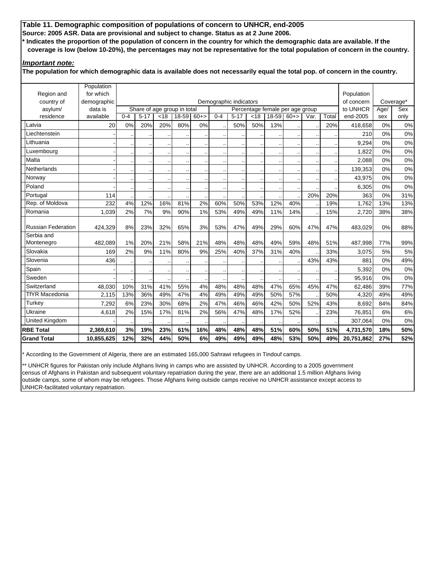# **Table 11. Demographic composition of populations of concern to UNHCR, end-2005 Source: 2005 ASR. Data are provisional and subject to change. Status as at 2 June 2006. \* Indicates the proportion of the population of concern in the country for which the demographic data are available. If the**

 **coverage is low (below 10-20%), the percentages may not be representative for the total population of concern in the country.**

## *Important note:*

**The population for which demographic data is available does not necessarily equal the total pop. of concern in the country.**

|                           | Population  |         |          |      |                             |        |         |                        |                                 |       |       |      |       |            |      |           |
|---------------------------|-------------|---------|----------|------|-----------------------------|--------|---------|------------------------|---------------------------------|-------|-------|------|-------|------------|------|-----------|
| Region and                | for which   |         |          |      |                             |        |         |                        |                                 |       |       |      |       | Population |      |           |
| country of                | demographic |         |          |      |                             |        |         | Demographic indicators |                                 |       |       |      |       | of concern |      | Coverage* |
| asylum/                   | data is     |         |          |      | Share of age group in total |        |         |                        | Percentage female per age group |       |       |      |       | to UNHCR   | Age/ | Sex       |
| residence                 | available   | $0 - 4$ | $5 - 17$ | < 18 | 18-59                       | $60+>$ | $0 - 4$ | $5 - 17$               | < 18                            | 18-59 | $60+$ | Var. | Total | end-2005   | sex  | only      |
| Latvia                    | 20          | 0%      | 20%      | 20%  | 80%                         | 0%     |         | 50%                    | 50%                             | 13%   |       |      | 20%   | 418,658    | 0%   | 0%        |
| Liechtenstein             |             |         |          |      |                             |        |         |                        |                                 |       |       |      |       | 210        | 0%   | 0%        |
| Lithuania                 |             |         |          |      |                             |        |         |                        |                                 |       |       |      |       | 9,294      | 0%   | 0%        |
| Luxembourg                |             |         |          |      |                             |        |         |                        |                                 |       |       |      |       | 1.822      | 0%   | 0%        |
| Malta                     |             |         |          |      |                             |        |         |                        |                                 |       |       |      |       | 2,088      | 0%   | 0%        |
| Netherlands               |             |         |          |      |                             |        |         |                        |                                 |       |       |      |       | 139,353    | 0%   | 0%        |
| Norway                    |             |         |          |      |                             |        |         |                        |                                 |       |       |      |       | 43,975     | 0%   | 0%        |
| Poland                    |             |         |          |      |                             |        |         |                        |                                 |       |       |      |       | 6,305      | 0%   | 0%        |
| Portugal                  | 114         |         |          |      |                             |        |         |                        |                                 |       |       | 20%  | 20%   | 363        | 0%   | 31%       |
| Rep. of Moldova           | 232         | 4%      | 12%      | 16%  | 81%                         | 2%     | 60%     | 50%                    | 53%                             | 12%   | 40%   |      | 19%   | 1.762      | 13%  | 13%       |
| Romania                   | 1,039       | 2%      | 7%       | 9%   | 90%                         | 1%     | 53%     | 49%                    | 49%                             | 11%   | 14%   |      | 15%   | 2,720      | 38%  | 38%       |
|                           |             |         |          |      |                             |        |         |                        |                                 |       |       |      |       |            |      |           |
| <b>Russian Federation</b> | 424,329     | 8%      | 23%      | 32%  | 65%                         | 3%     | 53%     | 47%                    | 49%                             | 29%   | 60%   | 47%  | 47%   | 483,029    | 0%   | 88%       |
| Serbia and                |             |         |          |      |                             |        |         |                        |                                 |       |       |      |       |            |      |           |
| Montenegro                | 482.089     | 1%      | 20%      | 21%  | 58%                         | 21%    | 48%     | 48%                    | 48%                             | 49%   | 59%   | 48%  | 51%   | 487,998    | 77%  | 99%       |
| Slovakia                  | 169         | 2%      | 9%       | 11%  | 80%                         | 9%     | 25%     | 40%                    | 37%                             | 31%   | 40%   |      | 33%   | 3,075      | 5%   | 5%        |
| Slovenia                  | 436         |         |          |      |                             |        |         |                        |                                 |       |       | 43%  | 43%   | 881        | 0%   | 49%       |
| Spain                     |             |         |          |      |                             |        |         |                        |                                 |       |       |      |       | 5,392      | 0%   | 0%        |
| Sweden                    |             |         |          |      |                             |        |         |                        |                                 |       |       |      |       | 95,916     | 0%   | 0%        |
| Switzerland               | 48,030      | 10%     | 31%      | 41%  | 55%                         | 4%     | 48%     | 48%                    | 48%                             | 47%   | 65%   | 45%  | 47%   | 62,486     | 39%  | 77%       |
| <b>TfYR Macedonia</b>     | 2,115       | 13%     | 36%      | 49%  | 47%                         | 4%     | 49%     | 49%                    | 49%                             | 50%   | 57%   |      | 50%   | 4,320      | 49%  | 49%       |
| Turkey                    | 7.292       | 6%      | 23%      | 30%  | 68%                         | 2%     | 47%     | 46%                    | 46%                             | 42%   | 50%   | 52%  | 43%   | 8.692      | 84%  | 84%       |
| Ukraine                   | 4.618       | 2%      | 15%      | 17%  | 81%                         | 2%     | 56%     | 47%                    | 48%                             | 17%   | 52%   |      | 23%   | 76.851     | 6%   | 6%        |
| United Kingdom            |             |         |          |      |                             |        |         |                        |                                 |       |       |      |       | 307,064    | 0%   | 0%        |
| <b>RBE Total</b>          | 2,369,610   | 3%      | 19%      | 23%  | 61%                         | 16%    | 48%     | 48%                    | 48%                             | 51%   | 60%   | 50%  | 51%   | 4,731,570  | 18%  | 50%       |
| <b>Grand Total</b>        | 10,855,625  | 12%     | 32%      | 44%  | 50%                         | 6%     | 49%     | 49%                    | 49%                             | 48%   | 53%   | 50%  | 49%   | 20,751,862 | 27%  | 52%       |

\* According to the Government of Algeria, there are an estimated 165,000 Sahrawi refugees in Tindouf camps.

\*\* UNHCR figures for Pakistan only include Afghans living in camps who are assisted by UNHCR. According to a 2005 government census of Afghans in Pakistan and subsequent voluntary repatriation during the year, there are an additional 1.5 million Afghans living outside camps, some of whom may be refugees. Those Afghans living outside camps receive no UNHCR assistance except access to UNHCR-facilitated voluntary repatriation.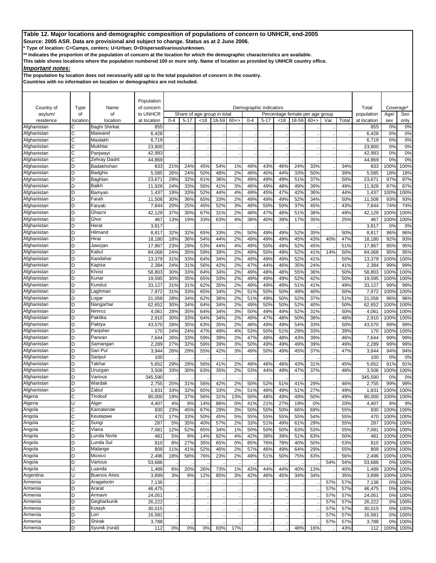**Source: 2005 ASR. Data are provisional and subject to change. Status as at 2 June 2006.**

**\* Type of location: C=Camps, centers; U=Urban; D=Dispersed/various/unknown.**

**\*\* Indicates the proportion of the population of concern at the location for which the demographic characteristics are available.** 

**This table shows locations where the population numbered 100 or more only. Name of location as provided by UNHCR country office.**

*Important notes:*

**The population by location does not necessarily add up to the total population of concern in the country.**

|                            |             |                                          | Population       |            |                             |            |            |          |            |                        |                                 |            |            |      |            |                  |              |              |
|----------------------------|-------------|------------------------------------------|------------------|------------|-----------------------------|------------|------------|----------|------------|------------------------|---------------------------------|------------|------------|------|------------|------------------|--------------|--------------|
| Country of                 | <b>Type</b> | Name                                     | of concern       |            |                             |            |            |          |            | Demographic indicators |                                 |            |            |      |            | Total            | Coverage*    |              |
| asylum/                    | of          | of                                       | to UNHCR         |            | Share of age group in total |            |            |          |            |                        | Percentage female per age group |            |            |      |            | population       | Age/         | Sex          |
| residence<br>Afghanistan   | location    | location                                 | at location      | $0 - 4$    | $5 - 17$                    | < 18       | 18-59      | $60+$    | $0 - 4$    | $5 - 17$               | <18                             | 18-59      | $60+$      | Var. | Total      | at location      | sex          | only         |
| Afghanistan                | С<br>C      | Baghi Shirkat<br>Maiwand                 | 855<br>6,428     |            |                             |            |            |          |            |                        |                                 |            |            |      |            | 855<br>6,428     | 0%<br>0%     | 0%<br>0%     |
| Afghanistan                | C           | Maslakh                                  | 6,719            |            |                             |            |            |          |            |                        |                                 |            |            |      |            | 6,719            | 0%           | 0%           |
| Afghanistan                | C           | Mukhtar                                  | 23,800           |            |                             |            |            |          |            |                        |                                 |            |            |      |            | 23,800           | 0%           | 0%           |
| Afghanistan                | Ċ           | Panjwayi                                 | 42,993           |            |                             |            |            |          |            |                        |                                 |            |            |      |            | 42,993           | 0%           | 0%           |
| Afghanistan                | Ċ           | Zehray Dasht                             | 44,869           |            |                             |            |            |          |            |                        |                                 |            |            |      |            | 44,869           | 0%           | 0%           |
| Afghanistan                | D           | Badakhshan                               | 833              | 21%        | 24%                         | 45%        | 54%        | 1%       | 49%        | 43%                    | 46%                             | 24%        | 33%        |      | 34%        | 833              | 100%         | 100%         |
| Afghanistan                | D           | Badghis                                  | 5,585            | 26%        | 24%                         | 50%        | 48%        | 2%       | 48%        | 40%                    | 44%                             | 33%        | 50%        |      | 39%        | 5,585            | 18%          | 18%          |
| Afghanistan                | D           | Baghlan                                  | 23,671           | 29%        | 32%                         | 61%        | 36%        | 2%       | 49%        | 49%                    | 49%                             | 51%        | 37%        |      | 50%        | 23,671           | 97%          | 97%          |
| Afghanistan                | D           | <b>Balkh</b>                             | 11,928           | 24%        | 33%                         | 56%        | 41%        | 3%       | 48%        | 49%                    | 48%                             | 49%        | 39%        |      | 49%        | 11,928           | 87%          | 87%          |
| Afghanistan                | D           | Bamyan                                   | 1,437            | 19%        | 33%                         | 52%        | 44%        | 4%       | 49%        | 45%                    | 47%                             | 42%        | 36%        |      | 44%        | 1,437            | 100%         | 100%         |
| Afghanistan                | D           | Farah                                    | 11,508           | 30%        | 36%                         | 65%        | 33%        | 2%       | 49%        | 49%                    | 49%                             | 52%        | 34%        |      | 50%        | 11,508           | 93%          | 93%          |
| Afghanistan                | D<br>D      | Faryab                                   | 7,844            | 20%        | 25%                         | 45%        | 52%        | 3%<br>2% | 49%        | 50%                    | 50%                             | 37%        | 45%        |      | 43%        | 7,844            | 74%          | 74%          |
| Afghanistan<br>Afghanistan | D           | Ghazni<br>Ghor                           | 42,129<br>467    | 37%<br>13% | 30%<br>19%                  | 67%<br>33% | 31%<br>63% | 4%       | 48%<br>38% | 47%<br>40%             | 48%<br>39%                      | 51%<br>17% | 38%<br>35% |      | 49%<br>25% | 42,129<br>467    | 100%<br>100% | 100%<br>100% |
| Afghanistan                | D           | Herat                                    | 3,817            |            |                             |            |            |          |            |                        |                                 |            |            |      |            | 3,817            | 0%           | 0%           |
| Afghanistan                | D           | Hilmand                                  | 8,817            | 32%        | 32%                         | 65%        | 33%        | 2%       | 50%        | 49%                    | 49%                             | 52%        | 35%        |      | 50%        | 8,817            | 96%          | 96%          |
| Afghanistan                | D           | Hirat                                    | 18,180           | 18%        | 36%                         | 54%        | 44%        | 2%       | 49%        | 49%                    | 49%                             | 45%        | 43%        | 40%  | 47%        | 18,180           | 92%          | 93%          |
| Afghanistan                | D           | Jawzjan                                  | 17,867           | 23%        | 29%                         | 53%        | 44%        | 4%       | 49%        | 50%                    | 49%                             | 52%        | 45%        |      | 51%        | 17,867           | 95%          | 95%          |
| Afghanistan                | D           | Kabul                                    | 84,068           | 24%        | 35%                         | 59%        | 39%        | 2%       | 49%        | 50%                    | 49%                             | 52%        | 41%        | 14%  | 50%        | 84,068           | 95%          | 95%          |
| Afghanistan                | D           | Kandahar                                 | 13,379           | 31%        | 33%                         | 64%        | 34%        | 2%       | 49%        | 49%                    | 49%                             | 52%        | 41%        |      | 50%        | 13,379           | 100%         | 100%         |
| Afghanistan                | D           | Kapisa                                   | 2,384            | 24%        | 31%                         | 56%        | 42%        | 2%       | 47%        | 44%                    | 46%                             | 35%        | 24%        |      | 41%        | 2,384            | 99%          | 99%          |
| Afghanistan                | D           | Khost                                    | 58,803           | 30%        | 33%                         | 64%        | 34%        | 2%       | 49%        | 48%                    | 48%                             | 55%        | 36%        |      | 50%        | 58,803           | 100%         | 100%         |
| Afghanistan                | D           | Kunar                                    | 19,595           | 30%        | 35%                         | 65%        | 33%        | 2%       | 49%        | 49%                    | 49%                             | 52%        | 42%        |      | 50%        | 19,595           | 100%         | 100%         |
| Afghanistan                | D           | Kunduz                                   | 33,127           | 31%        | 31%                         | 62%        | 35%        | 2%       | 49%        | 49%                    | 49%                             | 51%        | 41%        |      | 49%        | 33,127           | 99%          | 99%          |
| Afghanistan                | D<br>D      | Laghman                                  | 7,972            | 31%        | 33%<br>34%                  | 65%<br>62% | 34%<br>36% | 2%<br>2% | 51%        | 50%<br>49%             | 50%<br>50%                      | 49%<br>52% | 40%<br>37% |      | 50%        | 7,972            | 100%         | 100%         |
| Afghanistan<br>Afghanistan | D           | Logar<br>Nangarhar                       | 21,058<br>62,652 | 28%<br>30% | 34%                         | 64%        | 34%        | 2%       | 51%<br>49% | 50%                    | 50%                             | 52%        | 40%        |      | 51%<br>50% | 21,058<br>62,652 | 96%<br>100%  | 96%<br>100%  |
| Afghanistan                | D           | Nimroz                                   | 4,061            | 28%        | 35%                         | 64%        | 34%        | 3%       | 50%        | 49%                    | 49%                             | 52%        | 31%        |      | 50%        | 4,061            | 100%         | 100%         |
| Afghanistan                | D           | Paktika                                  | 2,910            | 30%        | 33%                         | 64%        | 34%        | 2%       | 49%        | 47%                    | 48%                             | 50%        | 38%        |      | 48%        | 2,910            | 100%         | 100%         |
| Afghanistan                | D           | Paktya                                   | 43,570           | 28%        | 35%                         | 63%        | 35%        | 2%       | 48%        | 49%                    | 49%                             | 54%        | 33%        |      | 50%        | 43,570           | 99%          | 99%          |
| Afghanistan                | D           | Panjsher                                 | 170              | 24%        | 24%                         | 47%        | 49%        | 4%       | 53%        | 50%                    | 51%                             | 29%        | 33%        |      | 39%        | 170              | 100%         | 100%         |
| Afghanistan                | D           | Parwan                                   | 7,644            | 26%        | 33%                         | 59%        | 39%        | 2%       | 47%        | 48%                    | 48%                             | 43%        | 39%        |      | 46%        | 7,644            | 99%          | 99%          |
| Afghanistan                | D           | Samangan                                 | 2,289            | 27%        | 32%                         | 59%        | 39%        | 3%       | 50%        | 49%                    | 49%                             | 49%        | 39%        |      | 49%        | 2,289            | 99%          | 99%          |
| Afghanistan                | D           | Sari Pul                                 | 3,944            | 26%        | 29%                         | 55%        | 42%        | 3%       | 49%        | 50%                    | 49%                             | 45%        | 37%        |      | 47%        | 3,944            | 94%          | 94%          |
| Afghanistan                | D           | Saripul                                  | 100              |            |                             |            |            |          |            |                        |                                 |            |            |      |            | 100              | 0%           | 0%           |
| Afghanistan                | D           | Takhar                                   | 5,652            | 29%        | 28%                         | 56%        | 41%        | 2%       | 49%        | 46%                    | 48%                             | 43%        | 31%        |      | 45%        | 5,652            | 91%          | 91%          |
| Afghanistan                | D           | Uruzgan                                  | 3,506            | 33%        | 30%                         | 63%        | 35%        | 2%       | 53%        | 44%                    | 49%                             | 47%        | 37%        |      | 48%        | 3,506            | 100%         | 100%         |
| Afghanistan<br>Afghanistan | D<br>D      | Various<br>$\overline{\mathsf{W}}$ ardak | 345,590<br>2,755 | 25%        | 31%                         | 56%        | 42%        | 2%       | 50%        | 52%                    | 51%                             | 41%        | 29%        |      | 46%        | 345,590<br>2,755 | 0%<br>99%    | 0%<br>99%    |
| Afghanistan                | D           | Zabul                                    | 1,831            | 33%        | 32%                         | 65%        | 33%        | 2%       | 51%        | 48%                    | 49%                             | 51%        | 27%        |      | 49%        | 1,831            | 100%         | 100%         |
| Algeria                    | Ċ           | Tindouf                                  | 90,000           | 19%        | 37%                         | 56%        | 31%        | 13%      | 50%        | 48%                    | 49%                             | 49%        | 50%        |      | 49%        | 90,000           | 100%         | 100%         |
| Algeria                    | U           | Alger                                    | 4,407            | 4%         | 9%                          | 14%        | 86%        | 0%       | 41%        | 21%                    | 27%                             | 19%        | 0%         |      | 20%        | 4,407            | 9%           | 9%           |
| Angola                     |             | Kamatende                                | 830              | 23%        | 45%                         | 67%        | 29%        | 3%       | 50%        | 50%                    | 50%                             | 66%        | 69%        |      | 55%        | 830              | 100%         | 100%         |
| Angola                     | C           | Keutepwe                                 | 470              | 17%        | 33%                         | 50%        | 45%        | 5%       | 55%        | 55%                    | 55%                             | 55%        | 54%        |      | 55%        | 470              | 100%         | 100%         |
| Angola                     | С           | Sungi                                    | 287              | 5%         | 35%                         | 40%        | 57%        | 2%       | 33%        | 51%                    | 49%                             | 61%        | 29%        |      | 55%        | 287              | 100%         | 100%         |
| Angola                     | C           | Viana                                    | 7,081            | 12%        | 52%                         | 65%        | 34%        | 1%       | 50%        | 50%                    | 50%                             | 63%        | 53%        |      | 55%        | 7,081            | 100%         | 100%         |
| Angola                     | D           | Lunda Norte                              | 481              | 5%         | 9%                          | 14%        | 82%        | 4%       | 42%        | 38%                    | 39%                             | 51%        | 63%        |      | 50%        | 481              | 100%         | 100%         |
| Angola                     | D           | Lunda Sul                                | 810              | 8%         | 27%                         | 35%        | 65%        | 0%       | 85%        | 76%                    | 78%                             | 40%        | 50%        |      | 53%        | 810              | 100%         | 100%         |
| Angola                     | D           | Malange                                  | 809              | 11%        | 41%                         | 52%        | 46%        | 2%       | 57%        | 46%                    | 49%                             | 64%        | 29%        |      | 55%        | 809              | 100%         | 100%         |
| Angola                     | D<br>D      | Moxico                                   | 2,496            | 18%        | 58%                         | 76%        | 23%        | 2%       | 49%        | 51%                    | 50%                             | 75%        | 63%        |      | 56%        | 2,496            | 100%         | 100%         |
| Angola<br>Angola           | Ū           | Various<br>Luanda                        | 53,686<br>1,489  | 6%         | 20%                         | 26%        | 73%        | 1%       | 43%        | 44%                    | 44%                             | 40%        | 13%        | 54%  | 54%<br>40% | 53,686<br>1,489  | 0%<br>100%   | 100%<br>100% |
| Argentina                  | U           | <b>Buenos Aires</b>                      | 3,899            | 3%         | 9%                          | 12%        | 85%        | 3%       | 42%        | 46%                    | 45%                             | 34%        | 34%        |      | 35%        | 3,899            | 100%         | 100%         |
| Armenia                    | D           | Aragatsotn                               | 7,136            |            |                             |            |            |          |            |                        |                                 |            |            | 57%  | 57%        | 7,136            | 0%           | 100%         |
| Armenia                    | D           | Ararat                                   | 46,475           |            |                             |            |            |          |            |                        |                                 |            |            | 57%  | 57%        | 46,475           | 0%           | 100%         |
| Armenia                    | D           | Armavir                                  | 24,051           |            |                             |            |            |          |            |                        |                                 |            |            | 57%  | 57%        | 24,051           | 0%           | 100%         |
| Armenia                    | D           | Gegharkunik                              | 26,222           |            |                             |            |            |          |            |                        |                                 |            |            | 57%  | 57%        | 26,222           | 0%           | 100%         |
| Armenia                    | D           | Kotayk                                   | 30,015           |            |                             |            |            |          |            |                        |                                 |            |            | 57%  | 57%        | 30,015           | 0%           | 100%         |
| Armenia                    | D           | Lori                                     | 16,581           |            |                             |            |            |          |            |                        |                                 |            |            | 57%  | 57%        | 16,581           | 0%           | 100%         |
| Armenia                    | D           | Shirak                                   | 3,788            |            |                             |            |            |          |            |                        |                                 |            |            | 57%  | 57%        | 3,788            | 0%           | 100%         |
| Armenia                    | D           | Syunik (rural)                           | 112              | 0%         | 0%                          | 0%         | 83%        | 17%      |            |                        |                                 | 48%        | 16%        |      | 43%        | 112              | 100%         | 100%         |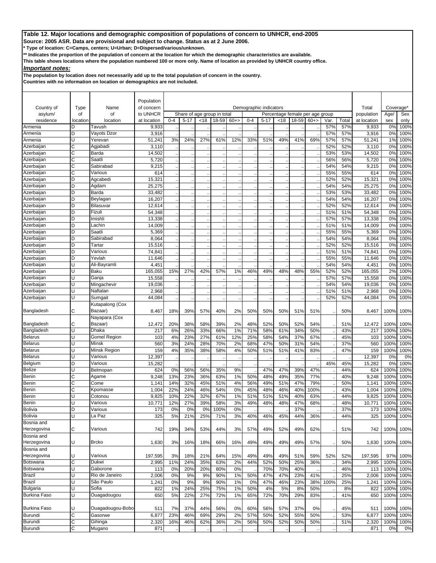**Source: 2005 ASR. Data are provisional and subject to change. Status as at 2 June 2006.**

**\* Type of location: C=Camps, centers; U=Urban; D=Dispersed/various/unknown.**

**\*\* Indicates the proportion of the population of concern at the location for which the demographic characteristics are available.** 

**This table shows locations where the population numbered 100 or more only. Name of location as provided by UNHCR country office.**

*Important notes:*

**The population by location does not necessarily add up to the total population of concern in the country.**

|                                  |              |                         | Population       |         |                             |      |                      |       |         |                        |                                 |       |       |            |            |                  |                |              |
|----------------------------------|--------------|-------------------------|------------------|---------|-----------------------------|------|----------------------|-------|---------|------------------------|---------------------------------|-------|-------|------------|------------|------------------|----------------|--------------|
| Country of                       | Type         | Name                    | of concern       |         |                             |      |                      |       |         | Demographic indicators |                                 |       |       |            |            | Total            | Coverage*      |              |
| asylum/                          | οf           | of                      | to UNHCR         |         | Share of age group in total |      |                      |       |         |                        | Percentage female per age group |       |       |            |            | population       | Age/           | Sex          |
| residence                        | location     | location                | at location      | $0 - 4$ | $5 - 17$                    | < 18 | 18-59                | $60+$ | $0 - 4$ | $5 - 17$               | $<$ 18                          | 18-59 | $60+$ | Var.       | Total      | at location      | sex            | only         |
| Armenia<br>Armenia               | D<br>D       | Tavush<br>Vayots Dzor   | 9,933            |         |                             |      |                      |       |         |                        |                                 |       |       | 57%        | 57%        | 9,933            | 0%             | 100%         |
| Armenia                          | $\cup$       | Yerevan                 | 3,916<br>51,241  | 3%      | 24%                         | 27%  | 61%                  | 12%   | 33%     | 51%                    | 49%                             | 41%   | 69%   | 57%<br>57% | 57%<br>57% | 3,916<br>51,241  | 0%<br>1%       | 100%<br>100% |
| Azerbaijan                       | C            | Agjabadi                | 3,110            |         |                             |      |                      |       |         |                        |                                 |       |       | 52%        | 52%        | 3,110            | 0%             | 100%         |
| Azerbaijan                       | Ċ            | Barda                   | 14,502           |         |                             |      | $\ddot{\phantom{1}}$ |       |         |                        |                                 |       |       | 53%        | 53%        | 14,502           | 0%             | 100%         |
| Azerbaijan                       | C            | Saatli                  | 5,720            |         |                             |      |                      |       |         |                        |                                 |       |       | 56%        | 56%        | 5,720            | 0 <sup>9</sup> | 100%         |
| Azerbaijan                       | C            | Sabirabad               | 9,215            |         |                             |      |                      |       |         |                        |                                 |       |       | 54%        | 54%        | 9,215            | 0%             | 100%         |
| Azerbaijan                       | Ċ            | Various                 | 614              |         |                             |      |                      |       |         |                        |                                 |       |       | 55%        | 55%        | 614              | 0%             | 100%         |
| Azerbaijan                       | D            | Agcabedi                | 15,321           |         |                             |      |                      |       |         |                        |                                 |       |       | 52%        | 52%        | 15,321           | 0%             | 100%         |
| Azerbaijan                       | D            | Agdam                   | 25,275           |         |                             |      |                      |       |         |                        |                                 |       |       | 54%        | 54%        | 25,275           | 0%             | 100%         |
| Azerbaijan                       | D            | Barda                   | 33,482           |         |                             |      |                      |       |         |                        |                                 |       |       | 53%        | 53%        | 33,482           | 0%             | 100%         |
| Azerbaijan<br>Azerbaijan         | D<br>D       | Beylagan<br>Bilasuvar   | 16,207           |         |                             |      |                      |       |         |                        |                                 |       |       | 54%<br>52% | 54%<br>52% | 16,207           | 0%<br>0%       | 100%         |
| Azerbaijan                       | D            | Fizuli                  | 12,614<br>54,348 |         |                             |      |                      |       |         |                        |                                 |       |       | 51%        | 51%        | 12,614<br>54,348 | 0%             | 100%<br>100% |
| Azerbaijan                       | D            | lmishli                 | 13,338           |         |                             |      |                      |       |         |                        |                                 |       |       | 57%        | 57%        | 13,338           | 0%             | 100%         |
| Azerbaijan                       | D            | Lachin                  | 14,009           |         |                             |      |                      |       |         |                        |                                 |       |       | 51%        | 51%        | 14,009           | 0%             | 100%         |
| Azerbaijan                       | D            | Saatli                  | 5,369            |         |                             |      | $\ddotsc$            |       |         |                        |                                 |       |       | 55%        | 55%        | 5,369            | 0%             | 100%         |
| Azerbaijan                       | D            | Sabirabad               | 8,064            |         |                             |      |                      |       |         |                        |                                 |       |       | 54%        | 54%        | 8,064            | 0%             | 100%         |
| Azerbaijan                       | D            | Tartar                  | 15,516           |         |                             |      |                      |       |         |                        |                                 |       |       | 52%        | 52%        | 15,516           | 0 <sup>9</sup> | 100%         |
| Azerbaijan                       | D            | Various                 | 74,841           |         |                             |      |                      |       |         |                        |                                 |       |       | 51%        | 51%        | 74,841           | 0%             | 100%         |
| Azerbaijan                       | D            | Yevlah                  | 11,646           |         |                             |      |                      |       |         |                        |                                 |       |       | 55%        | 55%        | 11,646           | 0%             | 100%         |
| Azerbaijan                       | U            | Ali-Bayramli            | 4,451            |         |                             |      |                      |       |         |                        |                                 |       |       | 54%        | 54%        | 4,451            | 0%             | 100%         |
| Azerbaijan                       | U            | Baku                    | 165,055          | 15%     | 27%                         | 42%  | 57%                  | 1%    | 46%     | 49%                    | 48%                             | 48%   | 55%   | 52%        | 52%        | 165,055          | 2%             | 100%         |
| Azerbaijan<br>Azerbaijan         | Ü<br>Ū       | Ganja<br>Mingachevir    | 15,558<br>19,036 |         |                             |      |                      |       |         |                        |                                 |       |       | 57%<br>54% | 57%<br>54% | 15,558<br>19,036 | 0%<br>0%       | 100%<br>100% |
| Azerbaijan                       | U            | Naftalan                | 2,968            |         |                             |      |                      |       |         |                        |                                 |       |       | 51%        | 51%        | 2,968            | 0%             | 100%         |
| Azerbaijan                       | Ū            | Sumgait                 | 44,084           |         |                             |      |                      |       |         |                        |                                 |       |       | 52%        | 52%        | 44,084           | 0%             | 100%         |
|                                  |              | Kutapalong (Cox         |                  |         |                             |      |                      |       |         |                        |                                 |       |       |            |            |                  |                |              |
| Bangladesh                       | С            | Bazaar)                 | 8,467            | 18%     | 39%                         | 57%  | 40%                  | 2%    | 50%     | 50%                    | 50%                             | 51%   | 51%   |            | 50%        | 8,467            | 100%           | 100%         |
|                                  |              | Nayapara (Cox           |                  |         |                             |      |                      |       |         |                        |                                 |       |       |            |            |                  |                |              |
| Bangladesh                       | C            | Bazaar)                 | 12,472           | 20%     | 38%                         | 58%  | 39%                  | 2%    | 48%     | 52%                    | 50%                             | 52%   | 54%   |            | 51%        | 12,472           | 100%           | 100%         |
| Bangladesh                       | U            | Dhaka                   | 217              | 6%      | 26%                         | 33%  | 66%                  | 1%    | 71%     | 58%                    | 61%                             | 34%   | 50%   |            | 43%        | 217              | 100%           | 100%         |
| <b>Belarus</b>                   |              | Gomel Region            | 103              | 4%      | 23%                         | 27%  | 61%                  | 12%   | 25%     | 58%                    | 54%                             | 37%   | 67%   |            | 45%        | 103              | 100%           | 100%         |
| <b>Belarus</b>                   | U            | Minsk                   | 560              | 3%      | 24%                         | 28%  | 70%                  | 2%    | 68%     | 47%                    | 50%                             | 31%   | 54%   |            | 37%        | 560              | 100%           | 100%         |
| <b>Belarus</b><br><b>Belarus</b> |              | Minsk Region<br>Various | 159<br>12,397    | 4%      | 35%                         | 38%  | 58%                  | 4%    | 50%     | 51%                    | 51%                             | 41%   | 83%   |            | 47%        | 159<br>12,397    | 100%<br>0%     | 100%<br>0%   |
| Belgium                          | D            | Various                 | 15,282           |         |                             |      |                      |       |         |                        |                                 |       |       | 45%        | 45%        | 15,282           | 0%             | 100%         |
| <b>Belize</b>                    |              | Belmopan                | 624              | 0%      | 56%                         | 56%  | 35%                  | 9%    |         | 47%                    | 47%                             | 39%   | 47%   |            | 44%        | 624              | 100%           | 100%         |
| Benin                            | C            | Agame                   | 9,248            | 13%     | 23%                         | 36%  | 63%                  | 1%    | 50%     | 48%                    | 49%                             | 35%   | 77%   |            | 40%        | 9,248            | 100%           | 100%         |
| Benin                            | C            | Come                    | 1,141            | 14%     | 32%                         | 45%  | 51%                  | 4%    | 56%     | 49%                    | 51%                             | 47%   | 79%   |            | 50%        | 1,141            | 100%           | 100%         |
| Benin                            | C            | Kpomasse                | 1,004            | 22%     | 24%                         | 46%  | 54%                  | 0%    | 45%     | 48%                    | 46%                             | 40%   | 100%  |            | 43%        | 1,004            | 100%           | 100%         |
| Benin                            | U            | Cotonou                 | 9,825            | 10%     | 22%                         | 32%  | 67%                  | 1%    | 51%     | 51%                    | 51%                             | 40%   | 63%   |            | 44%        | 9,825            | 100%           | 100%         |
| Benin                            | Ü            | Various                 | 10,771           | 12%     | 27%                         | 39%  | 58%                  | 3%    | 49%     | 48%                    | 48%                             | 47%   | 68%   |            | 48%        | 10,771           | 100%           | 100%         |
| Bolivia                          |              | Various                 | 173              | 0%      | 0%                          | 0%   | 100%                 | 0%    |         |                        |                                 | 37%   |       |            | 37%        | 173              | 100%           | 100%         |
| <b>Bolivia</b>                   | U            | La Paz                  | 325              | 5%      | 21%                         | 25%  | 71%                  | 3%    | 40%     | 46%                    | 45%                             | 44%   | 36%   |            | 44%        | 325              | 100%           | 100%         |
| Bosnia and<br>Herzegovina        | C            | Various                 | 742              | 19%     | 34%                         | 53%  | 44%                  | 3%    | 57%     | 49%                    | 52%                             | 49%   | 62%   |            | 51%        | 742              | 100%           | 100%         |
| Bosnia and                       |              |                         |                  |         |                             |      |                      |       |         |                        |                                 |       |       |            |            |                  |                |              |
| Herzegovina                      | U            | <b>Brcko</b>            | 1,630            | 3%      | 16%                         | 18%  | 66%                  | 16%   | 49%     | 49%                    | 49%                             | 49%   | 57%   |            | 50%        | 1,630            | 100%           | 100%         |
| Bosnia and                       |              |                         |                  |         |                             |      |                      |       |         |                        |                                 |       |       |            |            |                  |                |              |
| Herzegovina                      | U            | Various                 | 197,595          | 3%      | 18%                         | 21%  | 64%                  | 15%   | 49%     | 49%                    | 49%                             | 51%   | 59%   | 52%        | 52%        | 197,595          | 97%            | 100%         |
| Botswana                         | C            | Dukwi                   | 2,995            | 11%     | 24%                         | 35%  | 63%                  | 2%    | 44%     | 52%                    | 50%                             | 25%   | 36%   |            | 34%        | 2,995            | 100%           | 100%         |
| Botswana                         | U            | Gaborone                | 113              | 0%      | 20%                         | 20%  | 80%                  | 0%    |         | 70%                    | 70%                             | 40%   |       |            | 46%        | 113              | 100%           | 100%         |
| Brazil                           | U            | Rio de Janeiro          | 2,006            | 0%      | 9%                          | 9%   | 90%                  | 1%    | 50%     | 47%                    | 47%                             | 23%   | 41%   |            | 25%        | 2,006            | 100%           | 100%         |
| <b>Brazil</b>                    |              | São Paulo               | 1,241            | 0%      | 9%                          | 9%   | 90%                  | 1%    | 0%      | 47%                    | 46%                             | 23%   | 38%   | 100%       | 25%        | 1,241            | 100%           | 100%         |
| <b>Bulgaria</b>                  | Ü            | Sofia                   | 822              | 1%      | 24%                         | 25%  | 75%                  | 1%    | 50%     | 4%                     | 5%                              | 8%    | 50%   |            | 8%         | 822              | 100%           | 100%         |
| <b>Burkina Faso</b>              | U            | Ouagadougou             | 650              | 5%      | 22%                         | 27%  | 72%                  | 1%    | 65%     | 72%                    | 70%                             | 29%   | 83%   |            | 41%        | 650              | 100%           | 100%         |
| <b>Burkina Faso</b>              | U            | Ouagadougou-Bobo        |                  | 7%      | 37%                         | 44%  | 56%                  | 0%    | 60%     | 56%                    | 57%                             | 37%   | 0%    |            | 45%        | 511              | 100%           | 100%         |
| Burundi                          | C            | Gasorwe                 | 511<br>6,877     | 23%     | 46%                         | 69%  | 29%                  | 2%    | 57%     | 50%                    | 52%                             | 55%   | 50%   |            | 53%        | 6,877            | 100%           | 100%         |
| Burundi                          | $\mathsf{C}$ | Gihinga                 | 2,320            | 16%     | 46%                         | 62%  | 36%                  | 2%    | 56%     | 50%                    | 52%                             | 50%   | 50%   |            | 51%        | 2,320            | 100%           | 100%         |
| Burundi                          | C            | Mugano                  | 871              |         |                             |      |                      |       |         |                        |                                 |       |       |            |            | 871              | 0%             | $0\%$        |
|                                  |              |                         |                  |         |                             |      |                      |       |         |                        |                                 |       |       |            |            |                  |                |              |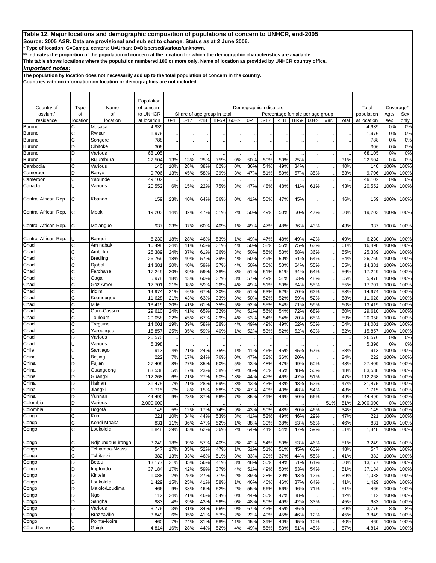**Source: 2005 ASR. Data are provisional and subject to change. Status as at 2 June 2006.**

**\* Type of location: C=Camps, centers; U=Urban; D=Dispersed/various/unknown.**

**\*\* Indicates the proportion of the population of concern at the location for which the demographic characteristics are available.** 

**This table shows locations where the population numbered 100 or more only. Name of location as provided by UNHCR country office.**

*Important notes:*

**The population by location does not necessarily add up to the total population of concern in the country.**

|                        |               |                              | Population           |            |            |                             |            |           |            |                        |                                 |            |            |      |            |                      |              |              |
|------------------------|---------------|------------------------------|----------------------|------------|------------|-----------------------------|------------|-----------|------------|------------------------|---------------------------------|------------|------------|------|------------|----------------------|--------------|--------------|
| Country of             | <b>Type</b>   | Name                         | of concern           |            |            |                             |            |           |            | Demographic indicators |                                 |            |            |      |            | Total                | Coverage*    |              |
| asylum/                | οf            | of                           | to UNHCR             |            |            | Share of age group in total |            |           |            |                        | Percentage female per age group |            |            |      |            | population           | Age/         | Sex          |
| residence<br>Burundi   | location<br>С | location<br>Musasa           | at location<br>4,939 | $0 - 4$    | $5 - 17$   | < 18                        | 18-59      | $60+$     | $0 - 4$    | $5 - 17$               | < 18                            | 18-59      | $60+$      | Var. | Total      | at location<br>4,939 | sex<br>0%    | only<br>0%   |
| Burundi                | Ċ             | Rwisuri                      | 1,976                |            |            |                             |            |           |            |                        |                                 |            |            |      |            | 1,976                | 0%           | 0%           |
| Burundi                | C             | Songore                      | 788                  |            |            |                             |            |           |            |                        |                                 |            |            |      |            | 788                  | 0%           | 0%           |
| Burundi                | D             | Cibitoke                     | 306                  |            |            |                             |            |           |            |                        |                                 |            |            |      |            | 306                  | 0%           | 0%           |
| Burundi                | D             | Various                      | 68,105               |            |            |                             |            |           |            |                        |                                 |            |            |      |            | 68,105               | 0%           | 0%           |
| <b>Burundi</b>         | Ū             | Buiumbura                    | 22,504               | 13%        | 13%        | 25%                         | 75%        | 0%        | 50%        | 50%                    | 50%                             | 25%        |            |      | 31%        | 22,504               | 0%           | 0%           |
| Cambodia               | С             | Various                      | 140                  | 10%        | 28%        | 38%                         | 62%        | 0%        | 36%        | 54%                    | 49%                             | 34%        |            |      | 40%        | 140                  | 100%         | 100%         |
| Cameroon               | D             | Banyo                        | 9,706                | 13%        | 45%        | 58%                         | 39%        | 3%        | 47%        | 51%                    | 50%                             | 57%        | 35%        |      | 53%        | 9,706                | 100%         | 100%         |
| Cameroon               |               | Yaounde                      | 49,102               |            |            |                             |            |           |            |                        |                                 |            |            |      |            | 49,102               | 0%           | 0%           |
| Canada                 | Ū             | Various                      | 20,552               | 6%         | 15%        | 22%                         | 75%        | 3%        | 47%        | 48%                    | 48%                             | 41%        | 61%        |      | 43%        | 20,552               | 100%         | 100%         |
| Central African Rep.   | С             | Kbando                       | 159                  | 23%        | 40%        | 64%                         | 36%        | 0%        | 41%        | 50%                    | 47%                             | 45%        |            |      | 46%        | 159                  | 100%         | 100%         |
| Central African Rep.   | С             | Mboki                        | 19,203               | 14%        | 32%        | 47%                         | 51%        | 2%        | 50%        | 49%                    | 50%                             | 50%        | 47%        |      | 50%        | 19,203               | 100%         | 100%         |
| Central African Rep.   | С             | Molangue                     | 937                  | 23%        | 37%        | 60%                         | 40%        | 1%        | 49%        | 47%                    | 48%                             | 36%        | 43%        |      | 43%        | 937                  | 100%         | 100%         |
| Central African Rep.   |               | Bangui                       | 6,230                | 18%        | 28%        | 46%                         | 53%        | 1%        | 49%        | 47%                    | 48%                             | 49%        | 42%        |      | 49%        | 6,230                | 100%         | 100%         |
| Chad                   | C             | Am nabak                     | 16,498               | 24%        | 41%        | 65%                         | 31%        | 4%        | 50%        | 58%                    | 55%                             | 75%        | 63%        |      | 61%        | 16,498               | 100%         | 100%         |
| Chad                   | C             | Amboko                       | 25,389               | 24%        | 37%        | 61%                         | 36%        | 3%        | 50%        | 55%                    | 53%                             | 58%        | 36%        |      | 55%        | 25,389               | 100%         | 100%         |
| Chad                   | Ċ             | Bredjing                     | 26,769               | 18%        | 40%        | 57%                         | 39%        | 4%        | 50%        | 49%                    | 50%                             | 61%        | 54%        |      | 54%        | 26,769               | 100%         | 100%         |
| Chad                   | Ċ             | Djabal                       | 14,38'               | 20%        | 40%        | 59%                         | 37%        | 4%        | 50%        | 50%                    | 50%                             | 64%        | 55%        |      | 55%        | 14,381               | 100%         | 100%         |
| Chad                   | C             | Farchana                     | 17,249               | 20%        | 39%        | 59%                         | 38%        | 3%        | 51%        | 51%                    | 51%                             | 64%        | 54%        |      | 56%        | 17,249               | 100%         | 100%         |
| Chad                   | C             | Gaga                         | 5,978                | 18%        | 43%        | 60%                         | 37%        | 3%        | 57%        | 49%                    | 51%                             | 63%        | 48%        |      | 55%        | 5,978                | 100%         | 100%         |
| Chad<br>Chad           | Ċ<br>C        | Goz Amer<br>Iridimi          | 17,701<br>14,974     | 21%        | 38%<br>46% | 59%<br>67%                  | 36%<br>30% | 4%<br>3%  | 49%<br>51% | 51%<br>53%             | 50%                             | 64%<br>70% | 55%<br>62% |      | 55%        | 17,701               | 100%<br>100% | 100%<br>100% |
| Chad                   | C             | Kounougou                    | 11,628               | 21%<br>21% | 43%        | 63%                         | 33%        | 3%        | 50%        | 52%                    | 52%<br>52%                      | 69%        | 52%        |      | 58%<br>58% | 14,974<br>11,628     | 100%         | 100%         |
| Chad                   | Ċ             | Mile                         | 13,419               | 20%        | 41%        | 61%                         | 35%        | 5%        | 52%        | 55%                    | 54%                             | 71%        | 59%        |      | 60%        | 13,419               | 100%         | 100%         |
| Chad                   | C             | Oure-Cassoni                 | 29,610               | 24%        | 41%        | 65%                         | 32%        | 3%        | 51%        | 56%                    | 54%                             | 72%        | 68%        |      | 60%        | 29,610               | 100%         | 100%         |
| Chad                   | C             | Touloum                      | 20,058               | 22%        | 45%        | 67%                         | 29%        | 4%        | 53%        | 54%                    | 54%                             | 70%        | 65%        |      | 59%        | 20,058               | 100%         | 100%         |
| Chad                   | C             | Treguine                     | 14,001               | 19%        | 39%        | 58%                         | 38%        | 4%        | 49%        | 49%                    | 49%                             | 62%        | 50%        |      | 54%        | 14,001               | 100%         | 100%         |
| Chad                   | C             | Yaroungou                    | 15,857               | 25%        | 35%        | 59%                         | 40%        | 1%        | 52%        | 53%                    | 52%                             | 52%        | 60%        |      | 52%        | 15,857               | 100%         | 100%         |
| Chad                   | D             | Various                      | 26,570               |            |            |                             |            |           |            |                        |                                 |            |            |      |            | 26,570               | 0%           | 0%           |
| Chad                   |               | Various                      | 5,398                |            |            |                             |            |           |            |                        |                                 |            |            |      |            | 5,398                | 0%           | 0%           |
| Chile                  | Ū             | Santiago                     | 913                  | 4%         | 21%        | 24%                         | 75%        | 1%        | 41%        | 46%                    | 45%                             | 35%        | 67%        |      | 38%        | 913                  | 100%         | 100%         |
| China                  | п             | Beijing                      | 222                  | 7%         | 17%        | 24%                         | 76%        | 0%        | 47%        | 32%                    | 36%                             | 20%        |            |      | 24%        | 222                  | 100%         | 100%         |
| China<br>China         | D<br>D        | Fujian<br>Guangdong          | 27,409<br>83,538     | 8%<br>5%   | 27%<br>17% | 35%<br>23%                  | 60%<br>58% | 5%<br>19% | 43%<br>46% | 48%<br>46%             | 47%<br>46%                      | 49%<br>48% | 50%<br>50% |      | 48%<br>48% | 27,409<br>83,538     | 100%<br>100% | 100%<br>100% |
| China                  | D             | Guangxi                      | 112,268              | 6%         | 21%        | 27%                         | 60%        | 13%       | 44%        | 47%                    | 46%                             | 47%        | 51%        |      | 47%        | 112,268              | 100%         | 100%         |
| China                  | D             | Hainan                       | 31,475               | 7%         | 21%        | 28%                         | 59%        | 13%       | 43%        | 43%                    | 43%                             | 48%        | 52%        |      | 47%        | 31,475               | 100%         | 100%         |
| China                  | D             | Jiangxi                      | 1,715                | 7%         | 8%         | 15%                         | 68%        | 17%       | 47%        | 40%                    | 43%                             | 48%        | 54%        |      | 48%        | 1,715                | 100%         | 100%         |
| China                  | D             | Yunnan                       | 44,490               | 9%         | 28%        | 37%                         | 56%        | 7%        | 35%        | 49%                    | 46%                             | 50%        | 56%        |      | 49%        | 44,490               | 100%         | 100%         |
| Colombia               | D             | Various                      | 2,000,000            |            |            |                             |            |           |            |                        |                                 |            |            | 51%  | 51%        | 2,000,000            | 0%           | 100%         |
| Colombia               | U             | Bogota                       | 145                  | 5%         | 12%        | 17%                         | 74%        | 9%        | 43%        | 50%                    | 48%                             | 30%        | 46%        |      | 34%        | 145                  | 100%         | 100%         |
| Congo                  | C             | Komi                         | 221                  | 10%        | 34%        | 44%                         | 53%        | 3%        | 41%        | 52%                    | 49%                             | 46%        | 29%        |      | 47%        | 221                  | 100%         | 100%         |
| Congo                  | C             | Kondi Mbaka                  | 831                  | 11%        | 36%        | 47%                         | 52%        | 1%        | 38%        | 39%                    | 38%                             | 53%        | 56%        |      | 46%        | 831                  | 100%         | 100%         |
| Congo                  | Ċ             | Loukolela                    | 1,848                | 29%        | 33%        | 62%                         | 36%        | 2%        | 64%        | 44%                    | 54%                             | 47%        | 59%        |      | 51%        | 1,848                | 100%         | 100%         |
| Congo                  | С             | Ndjoundou/Liranga            | 3,249                | 18%        | 39%        | 57%                         | 40%        | 2%        | 42%        | 54%                    | 50%                             | 53%        | 46%        |      | 51%        | 3,249                | 100%         | 100%         |
| Congo<br>Congo         | C<br>C        | Tchiamba-Nzassi<br>Tchitanzi | 547<br>382           | 17%<br>13% | 35%<br>33% | 52%<br>46%                  | 47%<br>51% | 1%<br>3%  | 51%<br>33% | 51%<br>39%             | 51%<br>37%                      | 45%<br>44% | 60%<br>55% |      | 48%<br>41% | 547<br>382           | 100%<br>100% | 100%<br>100% |
| Congo                  | D             | Betou                        | 13,177               | 21%        | 35%        | 56%                         | 41%        | 3%        | 48%        | 50%                    | 49%                             | 51%        | 61%        |      | 50%        | 13,177               | 100%         | 100%         |
| Congo                  | D             | Impfondo                     | 37,184               | 17%        | 42%        | 59%                         | 37%        | 4%        | 51%        | 49%                    | 50%                             | 53%        | 54%        |      | 51%        | 37,184               | 100%         | 100%         |
| Congo                  | D             | Kintele                      | 1,088                | 2%         | 25%        | 27%                         | 71%        | 2%        | 39%        | 28%                    | 29%                             | 43%        | 12%        |      | 39%        | 1,088                | 100%         | 100%         |
| Congo                  | D             | Loukolela                    | 1,429                | 15%        | 25%        | 41%                         | 58%        | 1%        | 46%        | 46%                    | 46%                             | 37%        | 64%        |      | 41%        | 1,429                | 100%         | 100%         |
| Congo                  | D             | Malolo/Loudima               | 466                  | 9%         | 38%        | 46%                         | 52%        | 2%        | 55%        | 56%                    | 56%                             | 46%        | 71%        |      | 51%        | 466                  | 100%         | 100%         |
| Congo                  | D             | Ngo                          | 112                  | 24%        | 21%        | 46%                         | 54%        | 0%        | 44%        | 50%                    | 47%                             | 38%        |            |      | 42%        | 112                  | 100%         | 100%         |
| Congo                  | D             | Sangha                       | 983                  | 4%         | 39%        | 43%                         | 56%        | 0%        | 48%        | 50%                    | 49%                             | 42%        | 33%        |      | 45%        | 983                  | 100%         | 100%         |
| Congo                  | D             | Various                      | 3,776                | 3%         | 31%        | 34%                         | 66%        | 0%        | 67%        | 43%                    | 45%                             | 36%        |            |      | 39%        | 3,776                | 8%           | 8%           |
| Congo                  | U             | <b>Brazzaville</b>           | 3,849                | 6%         | 35%        | 41%                         | 57%        | 2%        | 22%        | 49%                    | 45%                             | 46%        | 12%        |      | 45%        | 3,849                | 100%         | 100%         |
| Congo<br>Côte d'Ivoire | U             | Pointe-Noire                 | 460                  | 7%         | 24%        | 31%                         | 58%        | 11%       | 45%        | 39%                    | 40%                             | 45%        | 10%        |      | 40%        | 460                  | 100%         | 100%         |
|                        | C             | Guiglo                       | 4,814                | 16%        | 28%        | 44%                         | 52%        | 4%        | 49%        | 55%                    | 53%                             | 61%        | 45%        |      | 57%        | 4,814                | 100%         | 100%         |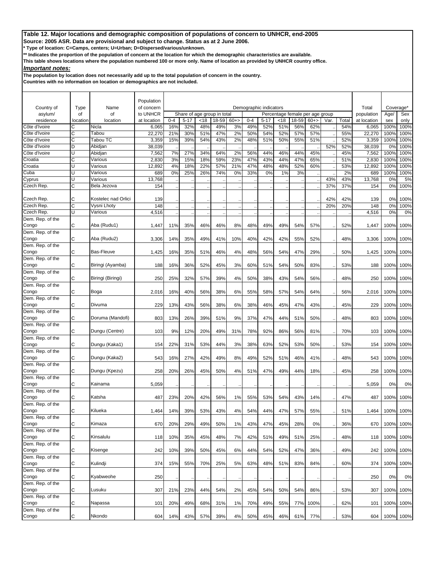**Source: 2005 ASR. Data are provisional and subject to change. Status as at 2 June 2006.**

**\* Type of location: C=Camps, centers; U=Urban; D=Dispersed/various/unknown.**

**\*\* Indicates the proportion of the population of concern at the location for which the demographic characteristics are available.** 

**This table shows locations where the population numbered 100 or more only. Name of location as provided by UNHCR country office.**

*Important notes:*

**The population by location does not necessarily add up to the total population of concern in the country.**

|                            |               |                     | Population           |                |                             |            |              |             |                        |                 |                                 |              |                 |      |              |                      |             |              |
|----------------------------|---------------|---------------------|----------------------|----------------|-----------------------------|------------|--------------|-------------|------------------------|-----------------|---------------------------------|--------------|-----------------|------|--------------|----------------------|-------------|--------------|
| Country of                 | <b>Type</b>   | Name                | of concern           |                |                             |            |              |             | Demographic indicators |                 |                                 |              |                 |      |              | Total                | Coverage*   |              |
| asylum/                    | οf            | of                  | to UNHCR             |                | Share of age group in total |            |              |             |                        |                 | Percentage female per age group |              |                 |      |              | population           | Age/        | Sex          |
| residence<br>Côte d'Ivoire | location<br>C | location<br>Nicla   | at location<br>6,065 | $0 - 4$<br>16% | $5 - 17$<br>32%             | <18<br>48% | 18-59<br>49% | $60+$<br>3% | $0 - 4$<br>49%         | $5 - 17$<br>52% | $<$ 18<br>51%                   | 18-59<br>56% | $60 + >$<br>62% | Var. | Total<br>54% | at location<br>6,065 | sex<br>100% | only<br>100% |
| Côte d'Ivoire              | C             | Tabou               | 22,270               | 21%            | 30%                         | 51%        | 47%          | 2%          | 50%                    | 54%             | 52%                             | 57%          | 57%             |      | 55%          | 22,270               | 100%        | 100%         |
| Côte d'Ivoire              | C             | Tabou TC            | 3,359                | 15%            | 39%                         | 54%        | 43%          | 2%          | 48%                    | 51%             | 50%                             | 55%          | 51%             |      | 52%          | 3,359                | 100%        | 100%         |
| Côte d'Ivoire              | D             | Abidjan             | 38,039               |                |                             |            |              |             |                        |                 |                                 |              |                 | 52%  | 52%          | 38,039               | 0%          | 100%         |
| Côte d'Ivoire              |               | Abidjan             | 7,562                | 7%             | 27%                         | 34%        | 64%          | 2%          | 56%                    | 44%             | 46%                             | 44%          | 45%             |      | 45%          | 7,562                | 100%        | 100%         |
| Croatia                    | C             | Various             | 2,830                | 3%             | 15%                         | 18%        | 59%          | 23%         | 47%                    | 43%             | 44%                             | 47%          | 65%             |      | 51%          | 2,830                | 100%        | 100%         |
| Croatia                    | Ū             | Various             | 12,892               | 4%             | 18%                         | 22%        | 57%          | 21%         | 47%                    | 48%             | 48%                             | 52%          | 60%             |      | 53%          | 12,892               | 100%        | 100%         |
| Cuba                       | Ū             | Various             | 689                  | 0%             | 25%                         | 26%        | 74%          | 0%          | 33%                    | 0%              | 1%                              | 3%           |                 |      | 2%           | 689                  | 100%        | 100%         |
| Cyprus                     |               | Various             | 13,768               |                |                             |            |              |             |                        |                 |                                 |              |                 | 43%  | 43%          | 13,768               | 0%          | 5%           |
| Czech Rep.                 | C             | Bela Jezova         | 154                  |                |                             |            |              |             |                        |                 |                                 |              |                 | 37%  | 37%          | 154                  | 0%          | 100%         |
| Czech Rep.                 | С             | Kostelec nad Orlici | 139                  |                |                             |            |              |             |                        |                 |                                 |              |                 | 42%  | 42%          | 139                  | 0%          | 100%         |
| Czech Rep.                 | C             | Vysni Lhoty         | 148                  |                |                             |            |              |             |                        |                 |                                 |              |                 | 20%  | 20%          | 148                  | 0%          | 100%         |
| Czech Rep.                 | Ū             | Various             | 4,516                |                |                             |            |              |             |                        |                 |                                 |              |                 |      |              | 4,516                | 0%          | 0%           |
| Dem. Rep. of the<br>Congo  | C             | Aba (Rudu1)         | 1,447                | 11%            | 35%                         | 46%        | 46%          | 8%          | 48%                    | 49%             | 49%                             | 54%          | 57%             |      | 52%          | 1,447                | 100%        | 100%         |
| Dem. Rep. of the           |               |                     |                      |                |                             |            |              |             |                        |                 |                                 |              |                 |      |              |                      |             |              |
| Congo                      | C             | Aba (Rudu2)         | 3,306                | 14%            | 35%                         | 49%        | 41%          | 10%         | 40%                    | 42%             | 42%                             | 55%          | 52%             |      | 48%          | 3,306                | 100%        | 100%         |
| Dem. Rep. of the           |               |                     |                      |                |                             |            |              |             |                        |                 |                                 |              |                 |      |              |                      |             |              |
| Congo                      | C             | Bas-Fleuve          | 1,425                | 16%            | 35%                         | 51%        | 46%          | 4%          | 48%                    | 56%             | 54%                             | 47%          | 29%             |      | 50%          | 1,425                | 100%        | 100%         |
| Dem. Rep. of the<br>Congo  | C             | Biringi (Ayamba)    | 188                  | 16%            | 36%                         | 52%        | 45%          | 3%          | 60%                    | 51%             | 54%                             | 50%          | 83%             |      | 53%          | 188                  | 100%        | 100%         |
| Dem. Rep. of the           |               |                     |                      |                |                             |            |              |             |                        |                 |                                 |              |                 |      |              |                      |             |              |
| Congo                      | C             | Biringi (Biringi)   | 250                  | 25%            | 32%                         | 57%        | 39%          | 4%          | 50%                    | 38%             | 43%                             | 54%          | 56%             |      | 48%          | 250                  | 100%        | 100%         |
| Dem. Rep. of the           |               |                     |                      |                |                             |            |              |             |                        |                 |                                 |              |                 |      |              |                      |             |              |
| Congo                      | C             | Boga                | 2,016                | 16%            | 40%                         | 56%        | 38%          | 6%          | 55%                    | 58%             | 57%                             | 54%          | 64%             |      | 56%          | 2,016                | 100%        | 100%         |
| Dem. Rep. of the           |               |                     |                      |                |                             |            |              |             |                        |                 |                                 |              |                 |      |              |                      |             |              |
| Congo                      | C             | Divuma              | 229                  | 13%            | 43%                         | 56%        | 38%          | 6%          | 38%                    | 46%             | 45%                             | 47%          | 43%             |      | 45%          | 229                  | 100%        | 100%         |
| Dem. Rep. of the           |               |                     |                      |                |                             |            |              |             |                        |                 |                                 |              |                 |      |              |                      |             |              |
| Congo                      | C             | Doruma (Mandofi)    | 803                  | 13%            | 26%                         | 39%        | 51%          | 9%          | 37%                    | 47%             | 44%                             | 51%          | 50%             |      | 48%          | 803                  | 100%        | 100%         |
| Dem. Rep. of the           |               |                     |                      |                |                             |            |              |             |                        |                 |                                 |              |                 |      |              |                      |             |              |
| Congo                      | С             | Dungu (Centre)      | 103                  | 9%             | 12%                         | 20%        | 49%          | 31%         | 78%                    | 92%             | 86%                             | 56%          | 81%             |      | 70%          | 103                  | 100%        | 100%         |
| Dem. Rep. of the<br>Congo  | C             | Dungu (Kaka1)       | 154                  | 22%            | 31%                         | 53%        | 44%          | 3%          | 38%                    | 63%             | 52%                             | 53%          | 50%             |      | 53%          | 154                  | 100%        | 100%         |
| Dem. Rep. of the           |               |                     |                      |                |                             |            |              |             |                        |                 |                                 |              |                 |      |              |                      |             |              |
| Congo                      | C             | Dungu (Kaka2)       | 543                  | 16%            | 27%                         | 42%        | 49%          | 8%          | 49%                    | 52%             | 51%                             | 46%          | 41%             |      | 48%          | 543                  | 100%        | 100%         |
| Dem. Rep. of the           |               |                     |                      |                |                             |            |              |             |                        |                 |                                 |              |                 |      |              |                      |             |              |
| Congo                      | C             | Dungu (Kpezu)       | 258                  | 20%            | 26%                         | 45%        | 50%          | 4%          | 51%                    | 47%             | 49%                             | 44%          | 18%             |      | 45%          | 258                  | 100%        | 100%         |
| Dem. Rep. of the           |               |                     |                      |                |                             |            |              |             |                        |                 |                                 |              |                 |      |              |                      |             |              |
| Congo                      | C             | Kainama             | 5,059                |                |                             |            |              |             |                        |                 |                                 |              |                 |      |              | 5,059                | 0%          | 0%           |
| Dem. Rep. of the           |               |                     |                      |                |                             |            |              |             |                        |                 |                                 |              |                 |      |              |                      |             |              |
| Congo                      | С             | Katsha              | 487                  | 23%            | 20%                         | 42%        | 56%          | 1%          | 55%                    | 53%             | 54%                             | 43%          | 14%             |      | 47%          | 487                  | 100%        | 100%         |
| Dem. Rep. of the           |               | Kilueka             | 1,464                | 14%            | 39%                         |            |              | 4%          |                        |                 |                                 |              |                 |      |              |                      |             |              |
| Congo<br>Dem. Rep. of the  | U             |                     |                      |                |                             | 53%        | 43%          |             | 54%                    | 44%             | 47%                             | 57%          | 55%             |      | 51%          | 1,464                |             | 100% 100%    |
| Congo                      | С             | Kimaza              | 670                  | 20%            | 29%                         | 49%        | 50%          | 1%          | 43%                    | 47%             | 45%                             | 28%          | 0%              |      | 36%          | 670                  | 100%        | 100%         |
| Dem. Rep. of the           |               |                     |                      |                |                             |            |              |             |                        |                 |                                 |              |                 |      |              |                      |             |              |
| Congo                      | C             | Kinsalulu           | 118                  | 10%            | 35%                         | 45%        | 48%          | 7%          | 42%                    | 51%             | 49%                             | 51%          | 25%             |      | 48%          | 118                  | 100%        | 100%         |
| Dem. Rep. of the           |               |                     |                      |                |                             |            |              |             |                        |                 |                                 |              |                 |      |              |                      |             |              |
| Congo                      | C             | Kisenge             | 242                  | 10%            | 39%                         | 50%        | 45%          | 6%          | 44%                    | 54%             | 52%                             | 47%          | 36%             |      | 49%          | 242                  | 100%        | 100%         |
| Dem. Rep. of the           |               |                     |                      |                |                             |            |              |             |                        |                 |                                 |              |                 |      |              |                      |             |              |
| Congo                      | C             | Kulindji            | 374                  | 15%            | 55%                         | 70%        | 25%          | 5%          | 63%                    | 48%             | 51%                             | 83%          | 84%             |      | 60%          | 374                  | 100%        | 100%         |
| Dem. Rep. of the           |               |                     |                      |                |                             |            |              |             |                        |                 |                                 |              |                 |      |              |                      |             |              |
| Congo<br>Dem. Rep. of the  | C             | Kyabweohe           | 250                  |                |                             |            |              |             |                        |                 |                                 |              |                 |      |              | 250                  | 0%          | $0\%$        |
| Congo                      | С             | Lusuku              | 307                  | 21%            | 23%                         | 44%        | 54%          | 2%          | 45%                    | 54%             | 50%                             | 54%          | 86%             |      | 53%          | 307                  | 100%        | 100%         |
| Dem. Rep. of the           |               |                     |                      |                |                             |            |              |             |                        |                 |                                 |              |                 |      |              |                      |             |              |
| Congo                      | C             | Napassa             | 101                  | 20%            | 49%                         | 68%        | 31%          | 1%          | 70%                    | 49%             | 55%                             | 77%          | 100%            |      | 62%          | 101                  | 100%        | 100%         |
| Dem. Rep. of the           |               |                     |                      |                |                             |            |              |             |                        |                 |                                 |              |                 |      |              |                      |             |              |
| Congo                      | C             | Nkondo              | 604                  | 14%            | 43%                         | 57%        | 39%          | 4%          | 50%                    | 45%             | 46%                             | 61%          | 77%             |      | 53%          | 604                  |             | 100% 100%    |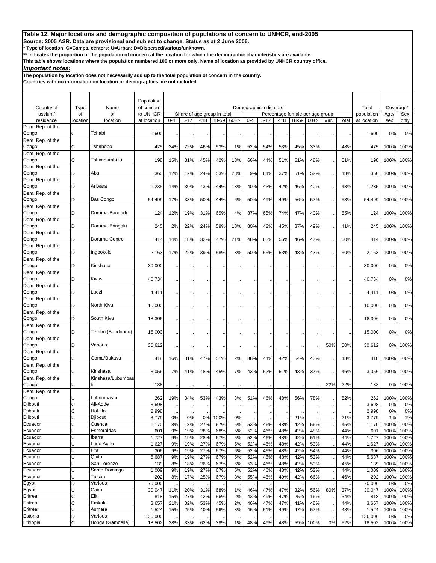**Source: 2005 ASR. Data are provisional and subject to change. Status as at 2 June 2006.**

**\* Type of location: C=Camps, centers; U=Urban; D=Dispersed/various/unknown.**

**\*\* Indicates the proportion of the population of concern at the location for which the demographic characteristics are available.** 

**This table shows locations where the population numbered 100 or more only. Name of location as provided by UNHCR country office.**

*Important notes:*

**The population by location does not necessarily add up to the total population of concern in the country.**

|                           |            |                     | Population             |            |            |            |                             |          |            |                        |            |            |                                 |      |            |                     |              |                  |
|---------------------------|------------|---------------------|------------------------|------------|------------|------------|-----------------------------|----------|------------|------------------------|------------|------------|---------------------------------|------|------------|---------------------|--------------|------------------|
| Country of                | Type<br>of | Name<br>of          | of concern<br>to UNHCR |            |            |            | Share of age group in total |          |            | Demographic indicators |            |            | Percentage female per age group |      |            | Total<br>population |              | Coverage*<br>Sex |
| asylum/<br>residence      | location   | location            | at location            | $0 - 4$    | $5 - 17$   | <18        | 18-59                       | $60+$    | $0 - 4$    | $5 - 17$               | <18        | 18-59      | $60+$                           | Var. | Total      | at location         | Age/<br>sex  | only             |
| Dem. Rep. of the          |            |                     |                        |            |            |            |                             |          |            |                        |            |            |                                 |      |            |                     |              |                  |
| Congo                     | C          | Tchabi              | 1,600                  |            |            |            |                             |          |            |                        |            |            |                                 |      |            | 1,600               | 0%           | 0%               |
| Dem. Rep. of the          |            |                     |                        |            |            |            |                             |          |            |                        |            |            |                                 |      |            |                     |              |                  |
| Congo                     | C          | Tshabobo            | 475                    | 24%        | 22%        | 46%        | 53%                         | 1%       | 52%        | 54%                    | 53%        | 45%        | 33%                             |      | 48%        | 475                 | 100%         | 100%             |
| Dem. Rep. of the          |            |                     |                        |            |            |            |                             |          |            |                        |            |            |                                 |      |            |                     |              |                  |
| Congo                     | C          | Tshimbumbulu        | 198                    | 15%        | 31%        | 45%        | 42%                         | 13%      | 66%        | 44%                    | 51%        | 51%        | 48%                             |      | 51%        | 198                 | 100%         | 100%             |
| Dem. Rep. of the          |            |                     |                        |            |            |            |                             |          |            |                        |            |            |                                 |      |            |                     |              |                  |
| Congo                     | D          | Aba                 | 360                    | 12%        | 12%        | 24%        | 53%                         | 23%      | 9%         | 64%                    | 37%        | 51%        | 52%                             |      | 48%        | 360                 | 100%         | 100%             |
| Dem. Rep. of the<br>Congo | D          | Ariwara             | 1,235                  | 14%        | 30%        | 43%        | 44%                         | 13%      | 40%        | 43%                    | 42%        | 46%        | 40%                             |      | 43%        | 1,235               | 100%         | 100%             |
| Dem. Rep. of the          |            |                     |                        |            |            |            |                             |          |            |                        |            |            |                                 |      |            |                     |              |                  |
| Congo                     | D          | Bas Congo           | 54,499                 | 17%        | 33%        | 50%        | 44%                         | 6%       | 50%        | 49%                    | 49%        | 56%        | 57%                             |      | 53%        | 54,499              | 100%         | 100%             |
| Dem. Rep. of the          |            |                     |                        |            |            |            |                             |          |            |                        |            |            |                                 |      |            |                     |              |                  |
| Congo                     | D          | Doruma-Bangadi      | 124                    | 12%        | 19%        | 31%        | 65%                         | 4%       | 87%        | 65%                    | 74%        | 47%        | 40%                             |      | 55%        | 124                 | 100%         | 100%             |
| Dem. Rep. of the          |            |                     |                        |            |            |            |                             |          |            |                        |            |            |                                 |      |            |                     |              |                  |
| Congo                     | D          | Doruma-Bangalu      | 245                    | 2%         | 22%        | 24%        | 58%                         | 18%      | 80%        | 42%                    | 45%        | 37%        | 49%                             |      | 41%        | 245                 | 100%         | 100%             |
| Dem. Rep. of the          |            |                     |                        |            |            |            |                             |          |            |                        |            |            |                                 |      |            |                     |              |                  |
| Congo                     | D          | Doruma-Centre       | 414                    | 14%        | 18%        | 32%        | 47%                         | 21%      | 48%        | 63%                    | 56%        | 46%        | 47%                             |      | 50%        | 414                 | 100%         | 100%             |
| Dem. Rep. of the          |            |                     |                        |            |            |            |                             |          |            |                        |            |            |                                 |      |            |                     |              |                  |
| Congo                     | D          | Ingbokolo           | 2,163                  | 17%        | 22%        | 39%        | 58%                         | 3%       | 50%        | 55%                    | 53%        | 48%        | 43%                             |      | 50%        | 2,163               | 100%         | 100%             |
| Dem. Rep. of the<br>Congo | D          | Kinshasa            | 30,000                 |            |            |            |                             |          |            |                        |            |            |                                 |      |            | 30,000              | 0%           | 0%               |
| Dem. Rep. of the          |            |                     |                        |            |            |            |                             |          |            |                        |            |            |                                 |      |            |                     |              |                  |
| Congo                     | D          | Kivus               | 40,734                 |            |            |            |                             |          |            |                        |            |            |                                 |      |            | 40,734              | 0%           | $0\%$            |
| Dem. Rep. of the          |            |                     |                        |            |            |            |                             |          |            |                        |            |            |                                 |      |            |                     |              |                  |
| Congo                     | D          | Luozi               | 4,411                  |            |            |            |                             |          |            |                        |            |            |                                 |      |            | 4,411               | 0%           | 0%               |
| Dem. Rep. of the          |            |                     |                        |            |            |            |                             |          |            |                        |            |            |                                 |      |            |                     |              |                  |
| Congo                     | D          | North Kivu          | 10,000                 |            |            |            |                             |          |            |                        |            |            |                                 |      |            | 10,000              | 0%           | 0%               |
| Dem. Rep. of the          |            |                     |                        |            |            |            |                             |          |            |                        |            |            |                                 |      |            |                     |              |                  |
| Congo                     | D          | South Kivu          | 18,306                 |            |            |            |                             |          |            |                        |            |            |                                 |      |            | 18,306              | 0%           | 0%               |
| Dem. Rep. of the          |            |                     |                        |            |            |            |                             |          |            |                        |            |            |                                 |      |            |                     |              |                  |
| Congo                     | D          | Tembo (Bandundu)    | 15,000                 |            |            |            |                             |          |            |                        |            |            |                                 |      |            | 15,000              | 0%           | 0%               |
| Dem. Rep. of the<br>Congo | D          | Various             | 30,612                 |            |            |            |                             |          |            |                        |            |            |                                 | 50%  | 50%        | 30,612              | 0%           | 100%             |
| Dem. Rep. of the          |            |                     |                        |            |            |            |                             |          |            |                        |            |            |                                 |      |            |                     |              |                  |
| Congo                     | U          | Goma/Bukavu         | 418                    | 16%        | 31%        | 47%        | 51%                         | 2%       | 38%        | 44%                    | 42%        | 54%        | 43%                             |      | 48%        | 418                 | 100%         | 100%             |
| Dem. Rep. of the          |            |                     |                        |            |            |            |                             |          |            |                        |            |            |                                 |      |            |                     |              |                  |
| Congo                     | U          | Kinshasa            | 3,056                  | 7%         | 41%        | 48%        | 45%                         | 7%       | 43%        | 52%                    | 51%        | 43%        | 37%                             |      | 46%        | 3,056               | 100%         | 100%             |
| Dem. Rep. of the          |            | Kinshasa/Lubumbas   |                        |            |            |            |                             |          |            |                        |            |            |                                 |      |            |                     |              |                  |
| Congo                     | U          | hi                  | 138                    |            |            |            |                             |          |            |                        |            |            |                                 | 22%  | 22%        | 138                 | 0%           | 100%             |
| Dem. Rep. of the          |            |                     |                        |            |            |            |                             |          |            |                        |            |            |                                 |      |            |                     |              |                  |
| Congo                     |            | Lubumbashi          | 262                    | 19%        | 34%        | 53%        | 43%                         | 3%       | 51%        | 46%                    | 48%        | 56%        | 78%                             |      | 52%        | 262                 | 100%         | 100%             |
| Djibouti                  | C          | Ali-Adde            | 3,698                  |            |            |            |                             |          |            |                        |            |            |                                 |      |            | 3,698               | 0%           | 0%               |
| Djibouti<br>Djibouti      | C<br>U     | Hol-Hol<br>Djibouti | 2,998<br>3,779         | 0%         | 0%         | 0%         | 100%                        | 0%       |            |                        |            | 21%        |                                 |      | 21%        | 2,998<br>3,779      | 0%<br>1%     | 0%<br>1%         |
| Ecuador                   | U          | Cuenca              | 1,170                  | 8%         | 18%        | 27%        | 67%                         | 6%       | 53%        | 46%                    | 48%        | 42%        | 56%                             |      | 45%        | 1,170               | 100%         | 100%             |
| Ecuador                   | U          | Esmeraldas          | 601                    | 9%         | 19%        | 28%        | 68%                         | 5%       | 52%        | 46%                    | 48%        | 42%        | 48%                             |      | 44%        | 601                 | 100%         | 100%             |
| Ecuador                   |            | Ibarra              | 1,727                  | 9%         | 19%        | 28%        | 67%                         | 5%       | 52%        | 46%                    | 48%        | 42%        | 51%                             |      | 44%        | 1,727               | 100%         | 100%             |
| Ecuador                   | U          | Lago Agrio          | 1,627                  | 9%         | 19%        | 27%        | 67%                         | 5%       | 52%        | 46%                    | 48%        | 42%        | 53%                             |      | 44%        | 1,627               | 100%         | 100%             |
| Ecuador                   |            | Lita                | 306                    | 9%         | 19%        | 27%        | 67%                         | 6%       | 52%        | 46%                    | 48%        | 42%        | 54%                             |      | 44%        | 306                 | 100%         | 100%             |
| Ecuador                   | U          | Quito               | 5,687                  | 9%         | 19%        | 27%        | 67%                         | 5%       | 52%        | 46%                    | 48%        | 42%        | 53%                             |      | 44%        | 5,687               | 100%         | 100%             |
| Ecuador                   | U          | San Lorenzo         | 139                    | 8%         | 18%        | 26%        | 67%                         | 6%       | 53%        | 46%                    | 48%        | 42%        | 59%                             |      | 45%        | 139                 | 100%         | 100%             |
| Ecuador                   | U          | Santo Domingo       | 1,009                  | 9%         | 19%        | 27%        | 67%                         | 5%       | 52%        | 46%                    | 48%        | 42%        | 52%                             |      | 44%        | 1,009               | 100%         | 100%             |
| Ecuador                   |            | Tulcan              | 202                    | 8%         | 17%        | 25%        | 67%                         | 8%       | 55%        | 46%                    | 49%        | 42%        | 66%                             |      | 46%        | 202                 | 100%         | 100%             |
| Egypt                     | D          | Various             | 70,000                 |            |            |            |                             |          |            |                        |            |            |                                 |      |            | 70,000              | 0%           | 0%               |
| Egypt<br>Eritrea          | C          | Cairo<br>Elit       | 30,047                 | 11%        | 20%        | 31%        | 68%                         | 1%       | 46%        | 47%                    | 47%        | 32%        | 56%<br>16%                      | 80%  | 37%        | 30,047              | 100%         | 100%             |
| Eritrea                   | C          | Emkulu              | 818<br>3,657           | 15%<br>21% | 27%<br>32% | 42%<br>53% | 56%<br>45%                  | 2%<br>2% | 43%<br>46% | 49%<br>47%             | 47%<br>47% | 25%<br>41% | 48%                             |      | 34%<br>44% | 818<br>3,657        | 100%<br>100% | 100%<br>100%     |
| Eritrea                   | U          | Asmara              | 1,524                  | 15%        | 25%        | 40%        | 56%                         | 3%       | 46%        | 51%                    | 49%        | 47%        | 57%                             |      | 48%        | 1,524               | 100%         | 100%             |
| Estonia                   | D          | Various             | 136,000                |            |            |            |                             |          |            |                        |            |            |                                 |      |            | 136,000             | 0%           | 0%               |
| Ethiopia                  | C          | Bonga (Gambella)    | 18,502                 | 28%        | 33%        | 62%        | 38%                         | 1%       | 48%        | 49%                    | 48%        | 59%        | 100%                            | 0%   | 52%        | 18,502              | 100%         | 100%             |
|                           |            |                     |                        |            |            |            |                             |          |            |                        |            |            |                                 |      |            |                     |              |                  |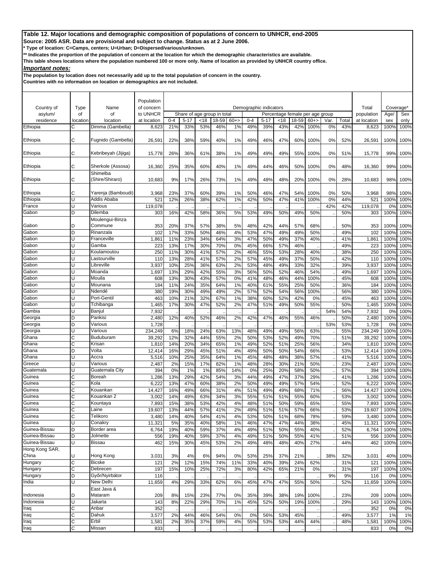**Source: 2005 ASR. Data are provisional and subject to change. Status as at 2 June 2006.**

**\* Type of location: C=Camps, centers; U=Urban; D=Dispersed/various/unknown.**

**\*\* Indicates the proportion of the population of concern at the location for which the demographic characteristics are available.** 

**This table shows locations where the population numbered 100 or more only. Name of location as provided by UNHCR country office.**

*Important notes:*

**The population by location does not necessarily add up to the total population of concern in the country.**

|                        |                |                        | Population              |            |            |            |                                      |          |            |                        |                                        |            |              |      |            |                           |              |              |
|------------------------|----------------|------------------------|-------------------------|------------|------------|------------|--------------------------------------|----------|------------|------------------------|----------------------------------------|------------|--------------|------|------------|---------------------------|--------------|--------------|
| Country of             | <b>Type</b>    | Name                   | of concern              |            |            |            |                                      |          |            | Demographic indicators |                                        |            |              |      |            | Total                     | Coverage*    |              |
| asylum/<br>residence   | οf<br>location | of<br>location         | to UNHCR<br>at location | $0 - 4$    | $5 - 17$   | < 18       | Share of age group in total<br>18-59 | $60+$    | $0 - 4$    | $5 - 17$               | Percentage female per age group<br><18 | 18-59      | $60 + z$     | Var. | Total      | population<br>at location | Age/         | Sex<br>only  |
| Ethiopia               | С              | Dimma (Gambella)       | 8,623                   | 21%        | 33%        | 53%        | 46%                                  | 1%       | 49%        | 39%                    | 43%                                    | 42%        | 100%         | 0%   | 43%        | 8,623                     | sex<br>100%  | 100%         |
|                        |                |                        |                         |            |            |            |                                      |          |            |                        |                                        |            |              |      |            |                           |              |              |
| Ethiopia               | С              | Fugnido (Gambella)     | 26,591                  | 22%        | 38%        | 59%        | 40%                                  | 1%       | 49%        | 46%                    | 47%                                    | 60%        | 100%         | 0%   | 52%        | 26,591                    | 100%         | 100%         |
| Ethiopia               | C              | Kebribeyah (Jijiga)    | 15,778                  | 26%        | 36%        | 61%        | 38%                                  | 1%       | 49%        | 49%                    | 49%                                    | 55%        | 100%         | 0%   | 51%        | 15,778                    | 99%          | 100%         |
| Ethiopia               | С              | Sherkole (Assosa)      |                         | 25%        |            | 60%        | 40%                                  | 1%       |            | 44%                    |                                        | 50%        | 100%         | 0%   | 48%        |                           | 99%          | 100%         |
|                        |                | Shimelba               | 16,360                  |            | 35%        |            |                                      |          | 49%        |                        | 46%                                    |            |              |      |            | 16,360                    |              |              |
| Ethiopia               | С              | (Shire/Shiraro)        | 10,683                  | 9%         | 17%        | 26%        | 73%                                  | 1%       | 49%        | 48%                    | 48%                                    | 20%        | 100%         | 0%   | 28%        | 10,683                    | 98%          | 100%         |
| Ethiopia               | С              | Yarenja (Bamboudi)     | 3,968                   | 23%        | 37%        | 60%        | 39%                                  | 1%       | 50%        | 46%                    | 47%                                    | 54%        | 100%         | 0%   | 50%        | 3,968                     | 98%          | 100%         |
| Ethiopia               | Ū              | Addis Ababa            | 52 <sup>′</sup>         | 12%        | 26%        | 38%        | 62%                                  | 1%       | 42%        | 50%                    | 47%                                    | 41%        | 100%         | 0%   | 44%        | 521                       | 100%         | 100%         |
| France                 | Ū              | Various                | 119,078                 |            |            |            |                                      |          |            |                        |                                        |            |              | 42%  | 42%        | 119,078                   | 0%           | 100%         |
| Gabon                  | D              | Dilemba                | 303                     | 16%        | 42%        | 58%        | 36%                                  | 5%       | 53%        | 49%                    | 50%                                    | 49%        | 50%          |      | 50%        | 303                       | 100%         | 100%         |
|                        |                | Moulengui-Binza        |                         |            |            |            |                                      |          |            |                        |                                        |            |              |      |            |                           |              |              |
| Gabon                  | D              | Commune                | 353                     | 20%        | 37%        | 57%        | 38%                                  | 5%       | 48%        | 42%                    | 44%                                    | 57%        | 68%          |      | 50%        | 353                       | 100%         | 100%         |
| Gabon                  | D              | Rinanzala              | 102                     | 17%        | 33%        | 50%        | 46%                                  | 4%       | 53%        | 47%                    | 49%                                    | 49%        | 50%          |      | 49%        | 102                       | 100%         | 100%         |
| Gabon                  | Ū              | Franceville            | 1,86'                   | 11%        | 23%        | 34%        | 64%                                  | 3%       | 47%        | 50%                    | 49%                                    | 37%        | 40%          |      | 41%        | 1,861                     | 100%         | 100%         |
| Gabon                  |                | Gamba                  | 223                     | 13%        | 17%        | 30%        | 70%                                  | 0%       | 45%        | 66%                    | 57%                                    | 46%        |              |      | 49%        | 223                       | 100%         | 100%         |
| Gabon                  | U              | Koulamoutou            | 25C                     | 11%        | 30%        | 41%        | 57%                                  | 2%       | 46%        | 55%                    | 53%                                    | 28%        | 40%          |      | 38%        | 250                       | 100%         | 100%         |
| Gabon                  |                | Lastourville           | 110                     | 13%        | 28%        | 41%        | 57%                                  | 2%       | 57%        | 45%                    | 49%                                    | 37%        | 50%          |      | 42%        | 110                       | 100%         | 100%         |
| Gabon                  | U              | Libreville             | 3,937                   | 10%        | 25%        | 36%        | 63%                                  | 2%       | 53%        | 48%                    | 49%                                    | 33%        | 32%          |      | 39%        | 3,937                     | 100%         | 100%         |
| Gabon<br>Gabon         | Ū              | Moanda<br>Mouila       | 1,697                   | 13%<br>13% | 29%        | 42%<br>43% | 55%                                  | 3%       | 56%        | 50%                    | 52%                                    | 46%        | 54%          |      | 49%        | 1,697                     | 100%         | 100%<br>100% |
| Gabon                  |                | Mounana                | 608<br>184              | 11%        | 30%<br>24% | 35%        | 57%<br>64%                           | 0%<br>1% | 41%<br>40% | 48%<br>61%             | 46%<br>55%                             | 44%<br>25% | 100%<br>50%  |      | 45%<br>36% | 608<br>184                | 100%<br>100% | 100%         |
| Gabon                  |                | Ndendé                 | 380                     | 19%        | 30%        | 49%        | 49%                                  | 2%       | 57%        | 52%                    | 54%                                    | 56%        | 100%         |      | 56%        | 380                       | 100%         | 100%         |
| Gabon                  | U              | Port-Gentil            | 463                     | 10%        | 21%        | 32%        | 67%                                  | 1%       | 38%        | 60%                    | 52%                                    | 42%        | 0%           |      | 45%        | 463                       | 100%         | 100%         |
| Gabon                  | Ħ              | Tchibanga              | 1,465                   | 17%        | 30%        | 47%        | 52%                                  | 2%       | 47%        | 51%                    | 49%                                    | 50%        | 55%          |      | 50%        | 1,465                     | 100%         | 100%         |
| Gambia                 |                | Banjul                 | 7,932                   |            |            |            |                                      |          |            |                        |                                        |            |              | 54%  | 54%        | 7,932                     | 0%           | 100%         |
| Georgia                | D              | Pankisi                | 2,480                   | 12%        | 40%        | 52%        | 46%                                  | 2%       | 42%        | 47%                    | 46%                                    | 55%        | 46%          |      | 50%        | 2,480                     | 100%         | 100%         |
| Georgia                | D              | Various                | 1,728                   |            |            |            |                                      |          |            |                        |                                        |            |              | 53%  | 53%        | 1,728                     | 0%           | 100%         |
| Georgia                |                | Various                | 234,249                 | 6%         | 18%        | 24%        | 63%                                  | 13%      | 48%        | 49%                    | 49%                                    | 56%        | 63%          |      | 55%        | 234,249                   | 100%         | 100%         |
| Ghana                  | C              | Buduburam              | 39,292                  | 12%        | 32%        | 44%        | 55%                                  | 2%       | 50%        | 53%                    | 52%                                    | 49%        | 70%          |      | 51%        | 39,292                    | 100%         | 100%         |
| Ghana                  | C              | Krisan                 | 1,810                   | 14%        | 20%        | 34%        | 65%                                  | 1%       | 49%        | 52%                    | 51%                                    | 25%        | 56%          |      | 34%        | 1,810                     | 100%         | 100%         |
| Ghana                  | D              | Volta                  | 12,414                  | 16%        | 29%        | 45%        | 51%                                  | 4%       | 49%        | 50%                    | 50%                                    | 54%        | 66%          |      | 53%        | 12,414                    | 100%         | 100%         |
| Ghana                  |                | Accra                  | 5,516                   | 10%        | 25%        | 35%        | 64%                                  | 1%       | 45%        | 48%                    | 48%                                    | 38%        | 57%          |      | 41%        | 5,516                     | 100%         | 100%         |
| Greece                 | Ū              | Various                | 2,487                   | 2%         | 15%        | 17%        | 82%                                  | 1%       | 48%        | 28%                    | 30%                                    | 21%        | 50%          |      | 23%        | 2,487                     | 100%         | 100%         |
| Guatemala              |                | Guatemala City         | 394                     | 0%         | 1%         | 1%         | 85%                                  | 14%      | 0%         | 25%                    | 20%                                    | 58%        | 50%          |      | 57%        | 394                       | 100%         | 100%         |
| Guinea<br>Guinea       | С<br>С         | Boreah<br>Kola         | 1,286<br>6,222          | 13%<br>13% | 29%<br>47% | 42%<br>60% | 54%<br>38%                           | 3%<br>2% | 44%<br>50% | 49%<br>49%             | 47%<br>49%                             | 37%<br>57% | 29%<br>54%   |      | 41%<br>52% | 1,286<br>6,222            | 100%<br>100% | 100%<br>100% |
| Guinea                 | C              | Kouankan               | 14,427                  | 16%        | 49%        | 66%        | 31%                                  | 4%       | 51%        | 49%                    | 49%                                    | 68%        | 71%          |      | 56%        | 14,427                    | 100%         | 100%         |
| Guinea                 | C              | Kouankan 2             | 3,002                   | 14%        | 49%        | 63%        | 34%                                  | 3%       | 55%        | 51%                    | 51%                                    | 55%        | 60%          |      | 53%        | 3,002                     | 100%         | 100%         |
| Guinea                 | Ċ              | Kountaya               | 7,893                   | 15%        | 38%        | 53%        | 42%                                  | 4%       | 48%        | 51%                    | 50%                                    | 59%        | 65%          |      | 55%        | 7,893                     | 100%         | 100%         |
| Guinea                 | C              | Laine                  | 19,607                  | 13%        | 44%        | 57%        | 41%                                  | 2%       | 49%        | 51%                    | 51%                                    | 57%        | 66%          |      | 53%        | 19,607                    | 100%         | 100%         |
| Guinea                 | Ċ              | Telikoro               | 3,480                   | 14%        | 40%        | 54%        | 41%                                  | 4%       | 53%        | 50%                    | 51%                                    | 68%        | 78%          |      | 59%        | 3,480                     | 100%         | 100%         |
| Guinea                 | U              | Conakry                | 11,321                  | 5%         | 35%        | 40%        | 58%                                  | 1%       | 46%        | 47%                    | 47%                                    | 44%        | 38%          |      | 45%        | 11,321                    | 100%         | 100%         |
| Guinea-Bissau          | D              | Border area            | 6,764                   | 19%        | 40%        | 59%        | 37%                                  | 4%       | 49%        | 51%                    | 50%                                    | 55%        | 40%          |      | 52%        | 6,764                     | 100%         | 100%         |
| Guinea-Bissau          | D              | Jolmette               | 556                     | 19%        | 40%        | 59%        | 37%                                  | 4%       | 49%        | 51%                    | 50%                                    | 55%        | 41%          |      | 51%        | 556                       | 100%         | 100%         |
| Guinea-Bissau          | U              | <b>Bissau</b>          | 462                     | 15%        | 30%        | 45%        | 53%                                  | 2%       | 49%        | 48%                    | 48%                                    | 40%        | 27%          |      | 44%        | 462                       | 100%         | 100%         |
| Hong Kong SAR,         |                |                        |                         |            |            |            |                                      |          |            |                        |                                        |            |              |      |            |                           |              |              |
| China                  |                | Hong Kong              | 3,031                   | 3%         | 4%         | 6%         | 94%                                  | 0%       | 53%        | 25%                    | 37%                                    | 21%        |              | 38%  | 32%        | 3,031                     | 40%          | 100%         |
| Hungary                | C              | <b>Bicske</b>          | 121                     | 2%         | 12%        | 15%        | 74%                                  | 11%      | 33%        | 40%                    | 39%                                    | 24%        | 62%          |      | 31%        | 121                       | 100%         | 100%         |
| Hungary                | C              | Debrecen               | 197                     | 15%        | 10%        | 25%        | 72%                                  | 3%       | 80%        | 42%                    | 65%                                    | 21%        | 0%           |      | 31%        | 197                       | 100%         | 100%         |
| Hungary                | D              | Győr/Nyirbátor         | 116                     |            |            |            |                                      |          |            |                        |                                        |            |              | 9%   | 9%         | 116                       | 0%           | 100%         |
| India                  | Ū              | New Delhi              | 11,659                  | 4%         | 29%        | 33%        | 62%                                  | 6%       | 45%        | 47%                    | 47%                                    | 55%        | 50%          |      | 52%        | 11,659                    | 100%         | 100%         |
|                        |                | East Java &<br>Mataram |                         |            |            |            |                                      |          |            |                        |                                        |            |              |      |            |                           |              |              |
| Indonesia<br>Indonesia | D<br>U         | Jakarta                | 209<br>143              | 8%<br>8%   | 15%<br>22% | 23%<br>29% | 77%<br>70%                           | 0%<br>1% | 35%<br>45% | 39%<br>52%             | 38%<br>50%                             | 19%<br>19% | 100%<br>100% |      | 23%<br>29% | 209<br>143                | 100%<br>100% | 100%<br>100% |
| Iraq                   | C              | Anbar                  | 352                     |            |            |            |                                      |          |            |                        |                                        |            |              |      |            | 352                       | 0%           | 0%           |
| Iraq                   | С              | Dahuk                  | 3,577                   | 2%         | 44%        | 46%        | 54%                                  | 0%       | 0%         | 56%                    | 53%                                    | 45%        |              |      | 49%        | 3,577                     | 1%           | 1%           |
| Iraq                   | C              | Erbil                  | 1,581                   | 2%         | 35%        | 37%        | 59%                                  | 4%       | 55%        | 53%                    | 53%                                    | 44%        | 44%          |      | 48%        | 1,581                     | 100%         | 100%         |
| Iraq                   | C              | Missan                 | 833                     |            |            |            |                                      |          |            |                        |                                        |            |              |      |            | 833                       | 0%           | $0\%$        |
|                        |                |                        |                         |            |            |            |                                      |          |            |                        |                                        |            |              |      |            |                           |              |              |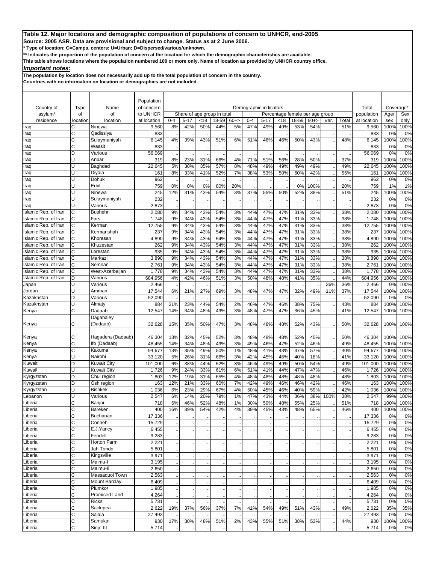**Source: 2005 ASR. Data are provisional and subject to change. Status as at 2 June 2006.**

**\* Type of location: C=Camps, centers; U=Urban; D=Dispersed/various/unknown.**

**\*\* Indicates the proportion of the population of concern at the location for which the demographic characteristics are available.** 

**This table shows locations where the population numbered 100 or more only. Name of location as provided by UNHCR country office.**

*Important notes:*

**The population by location does not necessarily add up to the total population of concern in the country.**

|                                              |                       |                               | Population              |            |                                         |            |            |          |            |                        |                                         |            |            |      |            |                           |              |              |
|----------------------------------------------|-----------------------|-------------------------------|-------------------------|------------|-----------------------------------------|------------|------------|----------|------------|------------------------|-----------------------------------------|------------|------------|------|------------|---------------------------|--------------|--------------|
| Country of                                   | <b>Type</b>           | Name                          | of concern              |            |                                         |            |            |          |            | Demographic indicators |                                         |            |            |      |            | Total                     | Coverage*    |              |
| asylum/<br>residence                         | 0f<br>location        | of<br>location                | to UNHCR<br>at location | $0 - 4$    | Share of age group in total<br>$5 - 17$ | <18        | 18-59      | $60+$    | $0 - 4$    | $5 - 17$               | Percentage female per age group<br>< 18 | 18-59      | $60+$      | Var. | Total      | population<br>at location | Age/<br>sex  | Sex<br>only  |
| Iraq                                         | C                     | Ninewa                        | 9,560                   | 8%         | 42%                                     | 50%        | 44%        | 5%       | 47%        | 49%                    | 49%                                     | 53%        | 54%        |      | 51%        | 9,560                     | 100%         | 100%         |
| Iraq                                         | C                     | Qadissiya                     | 833                     |            |                                         |            |            |          |            |                        |                                         |            |            |      |            | 833                       | 0%           | 0%           |
| Iraq                                         | C                     | Sulaymaniyah                  | 6,145                   | 4%         | 39%                                     | 43%        | 51%        | 6%       | 51%        | 46%                    | 46%                                     | 50%        | 43%        |      | 48%        | 6,145                     | 100%         | 100%         |
| Iraq                                         | C                     | Wassit                        | 833                     |            |                                         |            |            |          |            |                        |                                         |            |            |      |            | 833                       | 0%           | 0%           |
| raq                                          | D                     | Various                       | 56,069                  |            |                                         |            |            |          |            |                        |                                         |            |            |      |            | 56,069                    | 0%           | 0%           |
| Iraq                                         | Ù                     | Anbar                         | 319                     | 8%         | 23%                                     | 31%        | 66%        | 4%       | 71%        | 51%                    | 56%                                     | 28%        | 50%        |      | 37%        | 319                       | 100%         | 100%         |
| raq                                          | U                     | Baghdad                       | 22,645                  | 5%         | 30%                                     | 35%        | 57%        | 8%       | 48%        | 49%                    | 49%                                     | 49%        | 49%        |      | 49%        | 22,645                    | 100%         | 100%         |
| raq<br>rag                                   | U<br>Ü                | Diyala<br>Dohuk               | 161<br>962              | 8%         | 33%                                     | 41%        | 52%        | 7%       | 38%        | 53%                    | 50%                                     | 60%        | 42%        |      | 55%        | 161<br>962                | 100%<br>0%   | 100%<br>0%   |
| raq                                          | Ü                     | Erbil                         | 759                     | 0%         | 0%                                      | 0%         | 80%        | 20%      |            |                        |                                         | 0%         | 100%       |      | 20%        | 759                       | 1%           | 1%           |
| Iraq                                         | Ü                     | Ninewa                        | 245                     | 12%        | 31%                                     | 43%        | 54%        | 3%       | 37%        | 55%                    | 50%                                     | 52%        | 38%        |      | 51%        | 245                       | 100%         | 100%         |
| raq                                          | Ù                     | Sulaymaniyah                  | 232                     |            |                                         |            |            |          |            |                        |                                         |            |            |      |            | 232                       | 0%           | 0%           |
| raq                                          | U                     | Various                       | 2,873                   |            |                                         |            |            |          |            |                        |                                         |            |            |      |            | 2,873                     | 0%           | 0%           |
| slamic Rep. of Iran                          | Ċ                     | <b>Bushehr</b>                | 2,080                   | 9%         | 34%                                     | 43%        | 54%        | 3%       | 44%        | 47%                    | 47%                                     | 31%        | 33%        |      | 38%        | 2,080                     | 100%         | 100%         |
| Islamic Rep. of Iran                         | C                     | Fars                          | 1,748                   | 9%         | 34%                                     | 43%        | 54%        | 3%       | 44%        | 47%                    | 47%                                     | 31%        | 33%        |      | 38%        | 1,748                     | 100%         | 100%         |
| slamic Rep. of Iran                          | C                     | Kerman                        | 12,755                  | 9%         | 34%                                     | 43%        | 54%        | 3%       | 44%        | 47%                    | 47%                                     | 31%        | 33%        |      | 38%        | 12,755                    | 100%         | 100%         |
| slamic Rep. of Iran                          | C                     | Kermanshah                    | 237                     | 9%         | 34%                                     | 43%        | 54%        | 3%       | 44%        | 47%                    | 47%                                     | 31%        | 33%        |      | 38%        | 237                       | 100%         | 100%         |
| slamic Rep. of Iran                          | C                     | Khorasan                      | 4,890                   | 9%         | 34%                                     | 43%        | 54%        | 3%       | 44%        | 47%                    | 47%                                     | 31%        | 33%        |      | 38%        | 4,890                     | 100%         | 100%         |
| Islamic Rep. of Iran                         | C                     | Khuzestan                     | 262                     | 9%         | 34%                                     | 43%        | 54%        | 3%       | 44%        | 47%                    | 47%                                     | 31%        | 33%        |      | 38%        | 262                       | 100%         | 100%         |
| Islamic Rep. of Iran<br>Islamic Rep. of Iran | C<br>Ċ                | Lorestan<br>Markazi           | 935                     | 9%<br>9%   | 34%<br>34%                              | 43%<br>43% | 54%<br>54% | 3%<br>3% | 44%<br>44% | 47%<br>47%             | 47%                                     | 31%<br>31% | 33%<br>33% |      | 38%<br>38% | 935                       | 100%<br>100% | 100%<br>100% |
| Islamic Rep. of Iran                         | C                     | Semnan                        | 3,890<br>2,761          | 9%         | 34%                                     | 43%        | 54%        | 3%       | 44%        | 47%                    | 47%<br>47%                              | 31%        | 33%        |      | 38%        | 3,890<br>2,761            | 100%         | 100%         |
| Islamic Rep. of Iran                         | C                     | West-Azerbaijan               | 1,778                   | 9%         | 34%                                     | 43%        | 54%        | 3%       | 44%        | 47%                    | 47%                                     | 31%        | 33%        |      | 38%        | 1,778                     | 100%         | 100%         |
| Islamic Rep. of Iran                         | D                     | Various                       | 684,956                 | 4%         | 42%                                     | 46%        | 51%        | 3%       | 50%        | 48%                    | 48%                                     | 41%        | 35%        |      | 44%        | 684,956                   | 100%         | 100%         |
| Japan                                        | U                     | Various                       | 2,466                   |            |                                         |            |            |          |            |                        |                                         |            |            | 36%  | 36%        | 2,466                     | 0%           | 100%         |
| Jordan                                       | U                     | Amman                         | 17,544                  | 6%         | 21%                                     | 27%        | 69%        | 3%       | 48%        | 47%                    | 47%                                     | 32%        | 49%        | 11%  | 37%        | 17,544                    | 100%         | 100%         |
| Kazakhstan                                   | D                     | Various                       | 52.090                  |            |                                         |            |            |          |            |                        |                                         |            |            |      |            | 52,090                    | 0%           | 0%           |
| Kazakhstan                                   | U                     | Almaty                        | 884                     | 21%        | 23%                                     | 44%        | 54%        | 2%       | 46%        | 47%                    | 46%                                     | 38%        | 75%        |      | 43%        | 884                       | 100%         | 100%         |
| Kenya                                        | C                     | Dadaab                        | 12,547                  | 14%        | 34%                                     | 48%        | 49%        | 3%       | 48%        | 47%                    | 47%                                     | 36%        | 45%        |      | 41%        | 12,547                    | 100%         | 100%         |
| Kenya                                        | С                     | Dagahaley<br>(Dadaab)         | 32,628                  | 15%        | 35%                                     | 50%        | 47%        | 3%       | 48%        | 48%                    | 48%                                     | 52%        | 43%        |      | 50%        | 32,628                    | 100%         | 100%         |
|                                              |                       |                               |                         |            |                                         |            |            |          |            |                        |                                         |            |            |      |            |                           |              |              |
| Kenya                                        | C                     | Hagadera (Dadaab)             | 46,304                  | 13%        | 32%                                     | 45%        | 52%        | 3%       | 48%        | 48%                    | 48%                                     | 52%        | 45%        |      | 50%        | 46,304                    | 100%         | 100%         |
| Kenya<br>Kenya                               | C<br>C                | Ifo (Dadaab)<br>Kakuma        | 48,455<br>94,677        | 14%<br>13% | 34%<br>35%                              | 48%<br>49% | 49%<br>50% | 3%<br>1% | 49%<br>48% | 46%<br>41%             | 47%<br>43%                              | 52%<br>37% | 46%<br>57% |      | 49%<br>40% | 48,455<br>94,677          | 100%<br>100% | 100%<br>100% |
| Kenya                                        | Ù                     | Nairobi                       | 33,120                  | 5%         | 26%                                     | 31%        | 66%        | 3%       | 42%        | 45%                    | 45%                                     | 40%        | 18%        |      | 41%        | 33,120                    | 100%         | 100%         |
| Kuwait                                       | D                     | <b>Kuwait City</b>            | 101,000                 | 6%         | 38%                                     | 44%        | 52%        | 3%       | 46%        | 49%                    | 49%                                     | 50%        | 54%        |      | 49%        | 101,000                   | 100%         | 100%         |
| Kuwait                                       | Ū                     | <b>Kuwait City</b>            | 1,726                   | 9%         | 24%                                     | 33%        | 61%        | 6%       | 51%        | 41%                    | 44%                                     | 47%        | 47%        |      | 46%        | 1,726                     | 100%         | 100%         |
| Kyrgyzstan                                   | D                     | Chui region                   | 1,803                   | 12%        | 19%                                     | 31%        | 65%        | 4%       | 48%        | 48%                    | 48%                                     | 48%        | 48%        |      | 48%        | 1,803                     | 100%         | 100%         |
| Kyrgyzstan                                   | D                     | Osh region                    | 163                     | 12%        | 21%                                     | 33%        | 60%        | 7%       | 42%        | 49%                    | 46%                                     | 46%        | 42%        |      | 46%        | 163                       | 100%         | 100%         |
| Kyrgyzstan                                   | U                     | <b>Bishkek</b>                | 1,036                   | 6%         | 23%                                     | 29%        | 67%        | 4%       | 50%        | 45%                    | 46%                                     | 40%        | 59%        |      | 42%        | 1,036                     | 100%         | 100%         |
| Lebanon                                      | U                     | Various                       | 2,547                   | 6%         | 14%                                     | 20%        | 79%        | 1%       | 47%        | 43%                    | 44%                                     | 36%        | 38%        | 100% | 38%        | 2,547                     | 99%          | 100%         |
| Liberia                                      | C                     | Banjor                        | 718                     | 6%         | 46%                                     | 52%        | 48%        | 1%       | 30%        | 50%                    | 48%                                     | 55%        | 25%        |      | 51%        | 718                       | 100%         | 100%         |
| Liberia                                      |                       | Bareken                       | 400                     | 16%        | 39%                                     | 54%        | 42%        | 4%       | 39%        | 45%                    | 43%                                     | 48%        | 65%        |      | 46%        | 400                       | 100%         | 100%         |
| Liberia<br>Liberia                           | $\overline{c}$        | Buchanan<br>Conneh            | 17,336                  |            |                                         |            |            |          |            |                        |                                         |            |            |      |            | 17,336                    | 0%           | 0%           |
| Liberia                                      | С<br>С                | E.J.Yancy                     | 15,729<br>6,455         |            |                                         |            |            |          |            |                        |                                         |            |            |      |            | 15,729<br>6,455           | 0%<br>0%     | $0\%$<br>0%  |
| Liberia                                      | C                     | Fendell                       | 9,283                   |            |                                         |            |            |          |            |                        |                                         |            |            |      |            | 9,283                     | 0%           | 0%           |
| Liberia                                      | C                     | Horton Farm                   | 2,221                   |            |                                         |            |            |          |            |                        |                                         |            |            |      |            | 2,221                     | 0%           | 0%           |
| Liberia                                      | C                     | Jah Tondo                     | 5,801                   |            |                                         |            |            |          |            |                        |                                         |            |            |      |            | 5,801                     | 0%           | 0%           |
| Liberia                                      | C                     | Kingsville                    | 3,971                   |            |                                         |            |            |          |            |                        |                                         |            |            |      |            | 3,971                     | 0%           | 0%           |
| Liberia                                      | С                     | Maimu-I                       | 3,195                   |            |                                         |            |            |          |            |                        |                                         |            |            |      |            | 3,195                     | 0%           | 0%           |
| Liberia                                      | C                     | Maimu-II                      | 2,650                   |            |                                         |            |            |          |            |                        |                                         |            |            |      |            | 2,650                     | 0%           | 0%           |
| Liberia                                      | $\overline{c}$        | Massaquoi Town                | 2,563                   |            |                                         |            |            |          |            |                        |                                         |            |            |      |            | 2,563                     | 0%           | 0%           |
| Liberia                                      | $\overline{c}$        | <b>Mount Barclay</b>          | 6,409                   |            |                                         |            |            |          |            |                        |                                         |            |            |      |            | 6,409                     | 0%           | 0%           |
| Liberia                                      | C                     | Plumkor                       | 1,985                   |            |                                         |            |            |          |            |                        |                                         |            |            |      |            | 1,985                     | 0%           | 0%           |
| Liberia<br>Liberia                           | C<br>C                | Promised Land<br><b>Ricks</b> | 4,264<br>5,731          |            |                                         |            |            |          |            |                        |                                         |            |            |      |            | 4,264                     | 0%<br>0%     | 0%<br>0%     |
| Liberia                                      | С                     | Saclepea                      | 2,622                   | 19%        | 37%                                     | 56%        | 37%        | 7%       | 41%        | 54%                    | 49%                                     | 51%        | 43%        |      | 49%        | 5,731<br>2,622            | 35%          | 35%          |
| Liberia                                      | $\overline{\text{c}}$ | Salala                        | 27,493                  |            |                                         |            |            |          |            |                        |                                         |            |            |      |            | 27,493                    | 0%           | 0%           |
| Liberia                                      | C                     | Samukai                       | 930                     | 17%        | 30%                                     | 48%        | 51%        | 2%       | 43%        | 55%                    | 51%                                     | 38%        | 53%        |      | 44%        | 930                       | 100%         | 100%         |
| Liberia                                      | C                     | Sinje-III                     | 5,714                   |            |                                         |            |            |          |            |                        |                                         |            |            |      |            | 5,714                     | 0%           | 0%           |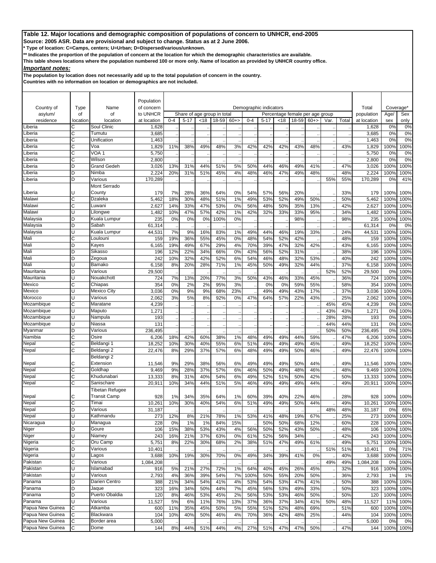**Source: 2005 ASR. Data are provisional and subject to change. Status as at 2 June 2006.**

**\* Type of location: C=Camps, centers; U=Urban; D=Dispersed/various/unknown.**

**\*\* Indicates the proportion of the population of concern at the location for which the demographic characteristics are available.** 

**This table shows locations where the population numbered 100 or more only. Name of location as provided by UNHCR country office.**

*Important notes:*

**The population by location does not necessarily add up to the total population of concern in the country.**

|                                      |                |                                               | Population              |            |            |            |                                      |          |            |                        |                                           |            |            |      |            |                           |                |              |
|--------------------------------------|----------------|-----------------------------------------------|-------------------------|------------|------------|------------|--------------------------------------|----------|------------|------------------------|-------------------------------------------|------------|------------|------|------------|---------------------------|----------------|--------------|
| Country of                           | Type           | Name                                          | of concern              |            |            |            |                                      |          |            | Demographic indicators |                                           |            |            |      |            | Total                     | Coverage*      |              |
| asylum/<br>residence                 | οf<br>location | of<br>location                                | to UNHCR<br>at location | $0 - 4$    | $5 - 17$   | < 18       | Share of age group in total<br>18-59 | $60+$    | $0 - 4$    | $5 - 17$               | Percentage female per age group<br>$<$ 18 | 18-59      | $60+$      | Var. | Total      | population<br>at location | Age/<br>sex    | Sex<br>only  |
| Liberia                              | С              | Soul Clinic                                   | 1,628                   |            |            |            |                                      |          |            |                        |                                           |            |            |      |            | 1,628                     | 0%             | 0%           |
| Liberia                              | C              | Tumutu                                        | 3,685                   |            |            |            |                                      |          |            |                        |                                           |            |            |      |            | 3,685                     | 0%             | 0%           |
| Liberia                              | Ċ              | Unification                                   | 1,463                   |            |            |            |                                      |          |            |                        |                                           |            |            |      |            | 1,463                     | 0%             | 0%           |
| Liberia                              | C              | Voa                                           | 1,829                   | 11%        | 38%        | 49%        | 48%                                  | 3%       | 42%        | 42%                    | 42%                                       | 43%        | 48%        |      | 43%        | 1,829                     | 100%           | 100%         |
| _iberia                              | С              | VOA <sub>1</sub>                              | 5,750                   |            |            |            |                                      |          |            |                        |                                           |            |            |      |            | 5,750                     | 0%             | 0%           |
| Liberia                              | C              | Wilson                                        | 2,800                   |            |            |            |                                      |          |            |                        |                                           |            |            |      |            | 2,800                     | 0%             | 0%           |
| Liberia                              | D              | Grand Gedeh                                   | 3,026                   | 13%        | 31%        | 44%        | 51%                                  | 5%       | 50%        | 44%                    | 46%                                       | 49%        | 41%        |      | 47%        | 3,026                     | 100%           | 100%         |
| Liberia                              | D              | Nimba                                         | 2,224                   | 20%        | 31%        | 51%        | 45%                                  | 4%       | 48%        | 46%                    | 47%                                       | 49%        | 48%        |      | 48%        | 2,224                     | 100%           | 100%         |
| Liberia                              | D              | Various                                       | 170,289                 |            |            |            |                                      |          |            |                        |                                           |            |            | 55%  | 55%        | 170,289                   | 0%             | 41%          |
|                                      |                | <b>Mont Serrado</b>                           |                         |            |            |            |                                      |          |            |                        |                                           |            |            |      |            |                           |                |              |
| _iberia                              |                | County                                        | 179                     | 7%         | 28%        | 36%        | 64%                                  | 0%       | 54%        | 57%                    | 56%                                       | 20%        |            |      | 33%        | 179                       | 100%           | 100%         |
| Malawi                               | C              | Dzaleka                                       | 5,462                   | 18%        | 30%        | 48%        | 51%                                  | 1%       | 49%        | 53%                    | 52%                                       | 49%        | 50%        |      | 50%        | 5,462                     | 100%           | 100%         |
| Malawi                               | C              | Luwani                                        | 2,627                   | 14%        | 33%        | 47%        | 53%                                  | 0%       | 56%        | 48%                    | 50%                                       | 35%        | 13%        |      | 42%        | 2,627                     | 100%           | 100%         |
| Malawi                               | U              | Lilongwe                                      | 1,482                   | 10%        | 47%        | 57%        | 42%                                  | 1%       | 42%        | 32%                    | 33%                                       | 33%        | 95%        |      | 34%        | 1,482                     | 100%           | 100%         |
| Malaysia                             | D              | Kuala Lumpur                                  | 235                     | 0%         | 0%         | 0%         | 100%                                 | 0%       |            |                        |                                           | 98%        |            |      | 98%        | 235                       | 100%           | 100%         |
| Malaysia                             | D              | Sabah                                         | 61,314                  |            |            |            |                                      |          |            |                        |                                           |            |            |      |            | 61,314                    | 0%             | 0%           |
| Malaysia                             | U              | Kuala Lumpur                                  | 44,531                  | 7%         | 9%         | 16%        | 83%                                  | 1%       | 49%        | 44%                    | 46%                                       | 19%        | 33%        |      | 24%        | 44,531                    | 100%           | 100%         |
| Mali<br>Mali                         | C<br>D         | Loulouni                                      | 159                     | 19%        | 36%        | 55%        | 45%                                  | 0%       | 48%        | 54%                    | 52%                                       | 42%        |            |      | 48%        | 159                       | 100%           | 100%         |
| Mali                                 |                | Kayes<br>Sikasso                              | 6,165                   | 19%        | 49%        | 67%        | 29%                                  | 4%       | 70%        | 39%                    | 47%                                       | 32%        | 42%        |      | 43%        | 6,165                     | 100%           | 100%         |
| Mali                                 | D<br>D         | Zegoua                                        | 196<br>242              | 12%<br>10% | 22%<br>32% | 34%<br>42% | 66%<br>52%                           | 0%<br>6% | 43%<br>54% | 56%<br>46%             | 52%<br>48%                                | 31%<br>32% | 53%        |      | 38%<br>40% | 196<br>242                | 100%<br>100%   | 100%<br>100% |
| Mali                                 | U              | Bamako                                        | 6,158                   | 8%         | 20%        | 28%        | 71%                                  | 1%       | 45%        | 50%                    | 49%                                       | 32%        | 44%        |      | 37%        | 6,158                     | 100%           | 100%         |
| Mauritania                           | D              | Various                                       | 29,500                  |            |            |            |                                      |          |            |                        |                                           |            |            | 52%  | 52%        | 29,500                    | 0 <sup>9</sup> | 100%         |
| Mauritania                           | IJ             | Nouakchott                                    | 724                     | 7%         | 13%        | 20%        | 77%                                  | 3%       | 50%        | 43%                    | 46%                                       | 33%        | 45%        |      | 36%        | 724                       | 100%           | 100%         |
| Mexico                               | Ċ              | Chiapas                                       | 354                     | 0%         | 2%         | 2%         | 95%                                  | 3%       |            | 0%                     | 0%                                        | 59%        | 55%        |      | 58%        | 354                       | 100%           | 100%         |
| Mexico                               | U              | <b>Mexico City</b>                            | 3,036                   | 0%         | 9%         | 9%         | 68%                                  | 23%      |            | 49%                    | 49%                                       | 43%        | 17%        |      | 37%        | 3,036                     | 100%           | 100%         |
| Morocco                              | U              | Various                                       | 2,062                   | 3%         | 5%         | 8%         | 92%                                  | 0%       | 47%        | 64%                    | 57%                                       | 22%        | 43%        |      | 25%        | 2,062                     | 100%           | 100%         |
| Mozambique                           | C              | Maratane                                      | 4,239                   |            |            |            |                                      |          |            |                        |                                           |            |            | 45%  | 45%        | 4,239                     | 0 <sup>9</sup> | 100%         |
| Mozambique                           | U              | Maputo                                        | 1,271                   |            |            |            |                                      |          |            |                        |                                           |            |            | 43%  | 43%        | 1,271                     | 0 <sup>9</sup> | 100%         |
| Mozambique                           | Ù              | Nampula                                       | 193                     |            |            |            |                                      |          |            |                        |                                           |            |            | 28%  | 28%        | 193                       | 0%             | 100%         |
| Mozambique                           | U              | Niassa                                        | 131                     |            |            |            |                                      |          |            |                        |                                           |            |            | 44%  | 44%        | 131                       | 0%             | 100%         |
| Myanmar                              | D              | Various                                       | 236,495                 |            |            |            |                                      |          |            |                        |                                           |            |            | 50%  | 50%        | 236,495                   | 0%             | 100%         |
| Namibia                              | C              | Osire                                         | 6,206                   | 18%        | 42%        | 60%        | 38%                                  | 1%       | 48%        | 49%                    | 49%                                       | 44%        | 59%        |      | 47%        | 6,206                     | 100%           | 100%         |
| Nepal                                | C              | Beldangi 1                                    | 18,252                  | 10%        | 30%        | 40%        | 55%                                  | 6%       | 51%        | 49%                    | 49%                                       | 49%        | 45%        |      | 49%        | 18,252                    | 100%           | 100%         |
| Nepal                                | C              | Beldangi 2                                    | 22,476                  | 8%         | 29%        | 37%        | 57%                                  | 6%       | 48%        | 49%                    | 49%                                       | 50%        | 46%        |      | 49%        | 22,476                    | 100%           | 100%         |
|                                      |                | Beldangi 2                                    |                         |            |            |            |                                      |          |            |                        |                                           |            |            |      |            |                           |                |              |
| Nepal                                | С              | Extension                                     | 11,546                  | 9%         | 29%        | 38%        | 56%                                  | 6%       | 49%        | 49%                    | 49%                                       | 50%        | 44%        |      | 49%        | 11,546                    | 100%           | 100%         |
| Nepal                                | C              | Goldhap                                       | 9,469                   | 9%         | 28%        | 37%        | 57%                                  | 6%       | 46%        | 50%                    | 49%                                       | 48%        | 46%        |      | 48%        | 9,469                     | 100%           | 100%         |
| Nepal                                | C              | Khudunabari<br>Sanischare                     | 13,333                  | 8%         | 31%        | 40%        | 54%                                  | 6%       | 49%        | 52%                    | 51%                                       | 50%        | 42%        |      | 50%        | 13,333                    | 100%           | 100%         |
| Nepal                                | Ċ              |                                               | 20,911                  | 10%        | 34%        | 44%        | 51%                                  | 5%       | 46%        | 49%                    | 49%                                       | 49%        | 44%        |      | 49%        | 20,911                    | 100%           | 100%         |
|                                      |                | <b>Tibetan Refugee</b><br><b>Transit Camp</b> |                         |            |            |            |                                      | 1%       |            | 39%                    |                                           |            |            |      |            |                           |                |              |
| Nepal<br>Nepal                       | C<br>Ċ         | Timai                                         | 928<br>10,261           | 1%<br>10%  | 34%<br>30% | 35%<br>40% | 64%<br>54%                           | 6%       | 60%<br>51% | 49%                    | 40%<br>49%                                | 22%<br>50% | 46%<br>44% |      | 28%<br>49% | 928<br>10,261             | 100%<br>100%   | 100%<br>100% |
| Nepal                                |                | Various                                       | 31,187                  |            |            |            |                                      |          |            |                        |                                           |            |            | 48%  | 48%        | 31,187                    | 0%             | 65%          |
| Nepal                                | υ<br>U         | Kathmandu                                     | 273                     | 12%        | 8%         | 21%        | 78%                                  | 1%       | 53%        | 41%                    | 48%                                       | 19%        | 67%        |      | 25%        | 273                       | 100%           | 100%         |
| Nicaragua                            | U              | Managua                                       | 228                     | 0%         | 1%         | 1%         | 84%                                  | 15%      |            | 50%                    | 50%                                       | 68%        | 12%        |      | 60%        | 228                       | 100%           | 100%         |
| Niger                                | D              | Goure                                         | 106                     | 15%        | 38%        | 53%        | 43%                                  | 4%       | 56%        | 50%                    | 52%                                       | 43%        | 50%        |      | 48%        | 106                       | 100%           | 100%         |
| Niger                                | U              | Niamey                                        | 243                     | 16%        | 21%        | 37%        | 63%                                  | 0%       | 61%        | 52%                    | 56%                                       | 34%        |            |      | 42%        | 243                       | 100%           | 100%         |
| Nigeria                              | C              | Oru Camp                                      | 5,751                   | 8%         | 22%        | 30%        | 68%                                  | 2%       | 38%        | 51%                    | 47%                                       | 49%        | 61%        |      | 49%        | 5,751                     | 100%           | 100%         |
| Nigeria                              | D              | Various                                       | 10,401                  |            |            |            |                                      |          |            |                        |                                           |            |            | 51%  | 51%        | 10,401                    | 0%             | 71%          |
| Nigeria                              | U              | Lagos                                         | 3,688                   | 10%        | 19%        | 30%        | 70%                                  | 0%       | 49%        | 34%                    | 39%                                       | 41%        | 0%         |      | 40%        | 3,688                     | 100%           | 100%         |
| Pakistan                             | C              | Various                                       | 1,084,208               |            |            |            |                                      |          |            |                        |                                           |            |            | 49%  | 49%        | 1,084,208                 | 0%             | 100%         |
| Pakistan                             | U              | Islamabad                                     | 916                     | 5%         | 21%        | 27%        | 72%                                  | 1%       | 64%        | 40%                    | 45%                                       | 26%        | 45%        |      | 32%        | 916                       | 100%           | 100%         |
| Pakistan                             | Ù              | Various                                       | 2,793                   | 4%         | 36%        | 39%        | 54%                                  | 7%       | 100%       | 50%                    | 55%                                       | 20%        | 50%        |      | 36%        | 2,793                     | 1%             | 1%           |
| Panama                               | D              | Darien Centro                                 | 388                     | 21%        | 34%        | 54%        | 41%                                  | 4%       | 53%        | 54%                    | 53%                                       | 47%        | 41%        |      | 50%        | 388                       | 100%           | 100%         |
| Panama                               | D              | Jaque                                         | 323                     | 16%        | 34%        | 50%        | 44%                                  | 7%       | 45%        | 56%                    | 53%                                       | 49%        | 33%        |      | 50%        | 323                       | 100%           | 100%         |
| Panama                               | D              | Puerto Obaldia                                | 120                     | 8%         | 46%        | 53%        | 45%                                  | 2%       | 56%        | 53%                    | 53%                                       | 46%        | 50%        |      | 50%        | 120                       | 100%           | 100%         |
| Panama                               | U              | Various                                       | 11,527                  | 5%         | 6%         | 11%        | 76%                                  | 13%      | 37%        | 36%                    | 37%                                       | 34%        | 41%        | 50%  | 48%        | 11,527                    | 11%            | 100%         |
| Papua New Guinea<br>Papua New Guinea | C<br>C         | Atkamba<br>Blackwara                          | 600<br>104              | 11%<br>10% | 35%        | 45%        | 50%                                  | 5%       | 55%        | 51%                    | 52%                                       | 48%        | 69%        |      | 51%        | 600                       | 100%           | 100%         |
| Papua New Guinea                     | C              | Border area                                   | 5,000                   |            | 40%        | 50%        | 46%                                  | 4%       | 70%        | 36%                    | 42%                                       | 48%        | 25%        |      | 44%        | 104<br>5,000              | 100%<br>0%     | 100%<br>0%   |
| Papua New Guinea                     | C              | Dome                                          | 144                     | 8%         | 44%        | 51%        | 44%                                  | 4%       | 27%        | 51%                    | 47%                                       | 47%        | 50%        |      | 47%        | 144                       | 100%           | 100%         |
|                                      |                |                                               |                         |            |            |            |                                      |          |            |                        |                                           |            |            |      |            |                           |                |              |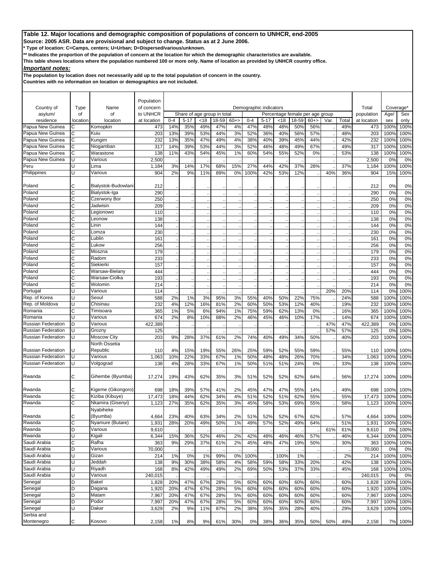**Source: 2005 ASR. Data are provisional and subject to change. Status as at 2 June 2006.**

**\* Type of location: C=Camps, centers; U=Urban; D=Dispersed/various/unknown.**

**\*\* Indicates the proportion of the population of concern at the location for which the demographic characteristics are available.** 

**This table shows locations where the population numbered 100 or more only. Name of location as provided by UNHCR country office.**

*Important notes:*

**The population by location does not necessarily add up to the total population of concern in the country.**

|                                  |                |                                      | Population              |          |                                         |           |            |          |            |                        |            |            |                                          |      |            |                    |                |              |
|----------------------------------|----------------|--------------------------------------|-------------------------|----------|-----------------------------------------|-----------|------------|----------|------------|------------------------|------------|------------|------------------------------------------|------|------------|--------------------|----------------|--------------|
| Country of                       | Type           | Name                                 | of concern              |          |                                         |           |            |          |            | Demographic indicators |            |            |                                          |      |            | Total              | Coverage*      |              |
| asylum/                          | of<br>location | of<br>location                       | to UNHCR<br>at location | $0 - 4$  | Share of age group in total<br>$5 - 17$ | < 18      | 18-59      | $60 + >$ | $0 - 4$    | $5 - 17$               | <18        | 18-59      | Percentage female per age group<br>$60+$ | Var. | Total      | population         | Age/           | Sex          |
| residence<br>Papua New Guinea    | C              | Komopkin                             | 473                     | 14%      | 35%                                     | 49%       | 47%        | 4%       | 47%        | 48%                    | 48%        | 50%        | 56%                                      |      | 49%        | at location<br>473 | sex<br>100%    | only<br>100% |
| Papua New Guinea                 | C              | Kuiu                                 | 203                     | 13%      | 39%                                     | 53%       | 44%        | 3%       | 52%        | 36%                    | 40%        | 56%        | 57%                                      |      | 48%        | 203                | 100%           | 100%         |
| Papua New Guinea                 | Ċ              | Kungim                               | 232                     | 13%      | 35%                                     | 47%       | 49%        | 4%       | 38%        | 40%                    | 39%        | 45%        | 44%                                      |      | 42%        | 232                | 100%           | 100%         |
| Papua New Guinea                 | Ċ              | Niogamban                            | 317                     | 14%      | 39%                                     | 53%       | 44%        | 3%       | 52%        | 46%                    | 48%        | 49%        | 67%                                      |      | 49%        | 317                | 100%           | 100%         |
| Papua New Guinea                 | Ċ              | Warastone                            | 138                     | 11%      | 43%                                     | 54%       | 45%        | 1%       | 60%        | 54%                    | 55%        | 52%        | 0%                                       |      | 53%        | 138                | 100%           | 100%         |
| Papua New Guinea                 | $\mathbf{I}$   | Various                              | 2,500                   |          |                                         |           |            |          |            |                        |            |            |                                          |      |            | 2,500              | 0%             | 0%           |
| Peru                             |                | Lima                                 | 1,184                   | 3%       | 14%                                     | 17%       | 68%        | 15%      | 27%        | 44%                    | 42%        | 37%        | 28%                                      |      | 37%        | 1,184              | 100%           | 100%         |
| Philippines                      | U              | Various                              | 904                     | 2%       | 9%                                      | 11%       | 89%        | 0%       | 100%       | 42%                    | 53%        | 12%        |                                          | 40%  | 36%        | 904                | 15%            | 100%         |
|                                  |                |                                      |                         |          |                                         |           |            |          |            |                        |            |            |                                          |      |            |                    |                |              |
| Poland<br>Poland                 | С<br>C         | Bialystok-Budowlani<br>Bialystok-Iga | 212<br>290              |          |                                         |           |            |          |            |                        |            |            |                                          |      |            | 212<br>290         | 0%<br>0%       | 0%           |
| Poland                           | C              | Czerwony Bor                         | 250                     |          |                                         |           |            |          |            |                        |            |            |                                          |      |            | 250                | 0%             | 0%<br>0%     |
| Poland                           | C              | Jadwisin                             | 209                     |          |                                         |           |            |          |            |                        |            |            |                                          |      |            | 209                | 0%             | 0%           |
| Poland                           | Ċ              | Legionowo                            | 110                     |          |                                         |           |            |          |            |                        |            |            |                                          |      |            | 110                | 0%             | 0%           |
| Poland                           | C              | Leonow                               | 138                     |          |                                         |           |            |          |            |                        |            |            |                                          |      |            | 138                | 0%             | 0%           |
| Poland                           | Ċ              | Linin                                | 144                     |          |                                         |           |            |          |            |                        |            |            |                                          |      |            | 144                | 0%             | 0%           |
| Poland                           | C              | Lomza                                | 230                     |          | $\ddotsc$                               |           |            |          |            |                        |            |            |                                          |      |            | 230                | 0%             | 0%           |
| Poland                           | C              | Lublin                               | 161                     |          |                                         |           |            |          |            |                        |            |            |                                          |      |            | 161                | 0%             | 0%           |
| Poland                           | C              | Lukow                                | 256                     |          |                                         |           |            |          |            |                        |            |            |                                          |      |            | 256                | 0%             | 0%           |
| Poland                           |                | Moszna                               | 179                     |          |                                         |           |            |          |            |                        |            |            |                                          |      |            | 179                | 0%             | 0%           |
| Poland                           | Ċ              | Radom                                | 233                     |          |                                         |           |            |          |            |                        |            |            |                                          |      |            | 233                | 0%             | 0%           |
| Poland                           | Ċ              | Siekierki                            | 157                     |          |                                         |           |            |          |            |                        |            |            |                                          |      |            | 157                | 0%             | 0%           |
| Poland                           | C              | Warsaw-Bielany                       | 444                     |          |                                         |           |            |          |            |                        |            |            |                                          |      |            | 444                | 0%             | 0%           |
| Poland                           | C              | Warsaw-Ciolka                        | 193                     |          |                                         |           |            |          |            |                        |            |            |                                          |      |            | 193                | 0%             | 0%           |
| Poland                           | C              | Wolomin                              | 214                     |          |                                         |           |            |          |            |                        |            |            |                                          |      |            | 214                | 0%             | 0%           |
| Portugal                         | U              | Various<br>Seoul                     | 114                     |          |                                         |           |            |          |            |                        |            |            |                                          | 20%  | 20%        | 114                | 0%             | 100%         |
| Rep. of Korea<br>Rep. of Moldova | U              | Chisinau                             | 588<br>232              | 2%<br>4% | 1%<br>12%                               | 3%<br>16% | 95%<br>81% | 3%<br>2% | 55%<br>60% | 40%<br>50%             | 50%<br>53% | 22%<br>12% | 75%<br>40%                               |      | 24%<br>19% | 588<br>232         | 100%<br>100%   | 100%<br>100% |
| Romania                          | Ċ              | Timisoara                            | 365                     | 1%       | 5%                                      | 6%        | 94%        | 1%       | 75%        | 59%                    | 62%        | 13%        | 0%                                       |      | 16%        | 365                | 100%           | 100%         |
| Romania                          | U              | Various                              | 674                     | 2%       | 8%                                      | 10%       | 88%        | 2%       | 46%        | 45%                    | 46%        | 10%        | 17%                                      |      | 14%        | 674                | 100%           | 100%         |
| <b>Russian Federation</b>        | D              | Various                              | 422,389                 |          |                                         |           |            |          |            |                        |            |            |                                          | 47%  | 47%        | 422,389            | 0%             | 100%         |
| <b>Russian Federation</b>        |                | Grozny                               | 125                     |          |                                         |           |            |          |            |                        |            |            |                                          | 57%  | 57%        | 125                | 0 <sup>9</sup> | 100%         |
| <b>Russian Federation</b>        | $\cup$         | <b>Moscow City</b>                   | 203                     | 9%       | 28%                                     | 37%       | 61%        | 2%       | <b>74%</b> | 40%                    | 49%        | 34%        | 50%                                      |      | 40%        | 203                | 100%           | 100%         |
|                                  |                | North Ossetia                        |                         |          |                                         |           |            |          |            |                        |            |            |                                          |      |            |                    |                |              |
| <b>Russian Federation</b>        |                | Republic                             | 110                     | 4%       | 15%                                     | 19%       | 55%        | 26%      | 25%        | 59%                    | 52%        | 55%        | 59%                                      |      | 55%        | 110                | 100%           | 100%         |
| <b>Russian Federation</b>        | U              | Various                              | 1,063                   | 10%      | 22%                                     | 33%       | 67%        | 1%       | 50%        | 48%                    | 48%        | 26%        | 70%                                      |      | 34%        | 1,063              | 100%           | 100%         |
| <b>Russian Federation</b>        | U              | Volgograd                            | 138                     | 4%       | 28%                                     | 33%       | 67%        | 1%       | 50%        | 51%                    | 51%        | 24%        | 0%                                       |      | 33%        | 138                | 100%           | 100%         |
| Rwanda                           | C              | Gihembe (Byumba)                     | 17,274                  | 19%      | 43%                                     | 62%       | 35%        | 3%       | 51%        | 52%                    | 52%        | 62%        | 64%                                      |      | 56%        | 17,274             | 100%           | 100%         |
|                                  |                |                                      |                         |          |                                         |           |            |          |            |                        |            |            |                                          |      |            |                    |                |              |
| Rwanda                           | С              | Kigeme (Gikongoro)                   | 698                     | 18%      | 39%                                     | 57%       | 41%        | 2%       | 45%        | 47%                    | 47%        | 55%        | 14%                                      |      | 49%        | 698                | 100%           | 100%         |
| Rwanda                           | C              | Kiziba (Kibuye)                      | 17,473                  | 18%      | 44%                                     | 62%       | 34%        | 4%       | 51%        | 52%                    | 51%        | 62%        | 55%                                      |      | 55%        | 17,473             | 100%           | 100%         |
| Rwanda                           |                | Nkamira (Gisenyi)                    | 1,123                   | 27%      | 35%                                     | 62%       | 35%        | 3%       | 45%        | 58%                    | 53%        | 69%        | 55%                                      |      | 58%        | 1,123              | 100%           | 100%         |
| Rwanda                           | C              | Nyabiheke<br>(Byumba)                | 4,664                   | 23%      | 40%                                     | 63%       | 34%        | 2%       | 51%        | 52%                    | 52%        | 67%        | 62%                                      |      | 57%        | 4,664              | 100%           | 100%         |
| Rwanda                           | C              | Nyamure (Butare)                     | 1,931                   | 28%      | 20%                                     | 49%       | 50%        | 1%       | 49%        | 57%                    | 52%        | 49%        | 64%                                      |      | 51%        | 1,931              | 100%           | 100%         |
| Rwanda                           | D              | Various                              | 9,610                   |          |                                         |           |            |          |            |                        |            |            |                                          | 61%  | 61%        | 9,610              | 0%             | 100%         |
| Rwanda                           | U              | Kigali                               | 6,344                   | 15%      | 36%                                     | 52%       | 46%        | 2%       | 42%        | 48%                    | 46%        | 46%        | 57%                                      |      | 46%        | 6,344              | 100%           | 100%         |
| Saudi Arabia                     | C              | Rafha                                | 363                     | 9%       | 29%                                     | 37%       | 61%        | 2%       | 45%        | 48%                    | 47%        | 19%        | 50%                                      |      | 30%        | 363                | 100%           | 100%         |
| Saudi Arabia                     | D              | Various                              | 70,000                  |          |                                         |           |            |          |            |                        |            |            |                                          |      |            | 70,000             | 0%             | 0%           |
| Saudi Arabia                     | U              | Gizan                                | 214                     | 1%       | 0%                                      | 1%        | 99%        | 0%       | 100%       |                        | 100%       | 1%         |                                          |      | 2%         | 214                | 100%           | 100%         |
| Saudi Arabia                     | U              | Jeddah                               | 138                     | 9%       | 30%                                     | 38%       | 58%        | 4%       | 58%        | 59%                    | 58%        | 33%        | 20%                                      |      | 42%        | 138                | 100%           | 100%         |
| Saudi Arabia                     | Ū              | Riyadh                               | 168                     | 8%       | 42%                                     | 49%       | 49%        | 2%       | 69%        | 50%                    | 53%        | 37%        | 33%                                      |      | 45%        | 168                | 100%           | 100%         |
| Saudi Arabia                     | U              | Various                              | 240,015                 |          |                                         |           |            |          |            |                        |            |            |                                          |      |            | 240,015            | 0%             | 0%           |
| Senegal                          | D              | <b>Bakel</b>                         | 1,828                   | 20%      | 47%                                     | 67%       | 28%        | 5%       | 60%        | 60%                    | 60%        | 60%        | 60%                                      |      | 60%        | 1,828              | 100%           | 100%         |
| Senegal                          | D              | Dagana                               | 1,920                   | 20%      | 47%                                     | 67%       | 28%        | 5%       | 60%        | 60%                    | 60%        | 60%        | 60%                                      |      | 60%        | 1,920              | 100%           | 100%         |
| Senegal                          | D              | Matam                                | 7,967                   | 20%      | 47%                                     | 67%       | 28%        | 5%       | 60%        | 60%                    | 60%        | 60%        | 60%                                      |      | 60%        | 7,967              | 100%           | 100%         |
| Senegal                          | D<br>U         | Podor<br>Dakar                       | 7,997                   | 20%      | 47%                                     | 67%       | 28%        | 5%       | 60%        | 60%                    | 60%        | 60%        | 60%                                      |      | 60%        | 7,997              | 100%           | 100%         |
| Senegal<br>Serbia and            |                |                                      | 3,629                   | 2%       | 9%                                      | 11%       | 87%        | 2%       | 38%        | 35%                    | 35%        | 28%        | 40%                                      |      | 29%        | 3,629              | 100%           | 100%         |
| Montenegro                       | C              | Kosovo                               | 2,158                   | 1%       | 8%                                      | 9%        | 61%        | 30%      | 0%         | 38%                    | 36%        | 35%        | 50%                                      | 50%  | 49%        | 2,158              |                | 7% 100%      |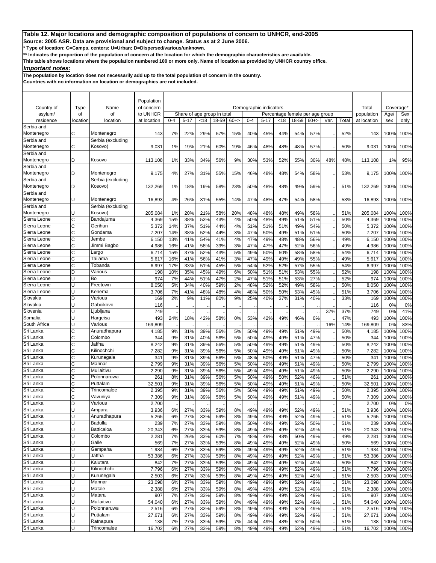**Source: 2005 ASR. Data are provisional and subject to change. Status as at 2 June 2006.**

**\* Type of location: C=Camps, centers; U=Urban; D=Dispersed/various/unknown.**

**\*\* Indicates the proportion of the population of concern at the location for which the demographic characteristics are available.** 

**This table shows locations where the population numbered 100 or more only. Name of location as provided by UNHCR country office.**

*Important notes:*

**The population by location does not necessarily add up to the total population of concern in the country.**

| Country of                 | <b>Type</b> | Name                         | Population<br>of concern | Demographic indicators |            |            |                             |           |            |            |            |            |                                 |      |            | Total           | Coverage*    |              |
|----------------------------|-------------|------------------------------|--------------------------|------------------------|------------|------------|-----------------------------|-----------|------------|------------|------------|------------|---------------------------------|------|------------|-----------------|--------------|--------------|
| asylum/                    | of          | of                           | to UNHCR                 |                        |            |            | Share of age group in total |           |            |            |            |            | Percentage female per age group |      |            | population      | Age/         | Sex          |
| residence                  | location    | location                     | at location              | $0 - 4$                | $5 - 17$   | <18        | 18-59                       | $60+$     | $0 - 4$    | $5 - 17$   | < 18       | 18-59      | $60+$                           | Var. | Total      | at location     | sex          | only         |
| Serbia and                 |             |                              |                          |                        |            |            |                             |           |            |            |            |            |                                 |      |            |                 |              |              |
| Montenegro<br>Serbia and   | С           | Montenegro                   | 143                      | 7%                     | 22%        | 29%        | 57%                         | 15%       | 40%        | 45%        | 44%        | 54%        | 57%                             |      | 52%        | 143             | 100%         | 100%         |
| Montenegro                 | С           | Serbia (excluding<br>Kosovo) | 9,031                    | 1%                     | 19%        | 21%        | 60%                         | 19%       | 46%        | 48%        | 48%        | 48%        | 57%                             |      | 50%        | 9,031           | 100%         | 100%         |
| Serbia and                 |             |                              |                          |                        |            |            |                             |           |            |            |            |            |                                 |      |            |                 |              |              |
| Montenegro                 | D           | Kosovo                       | 113,108                  | 1%                     | 33%        | 34%        | 56%                         | 9%        | 30%        | 53%        | 52%        | 55%        | 30%                             | 48%  | 48%        | 113,108         | 1%           | 95%          |
| Serbia and                 |             |                              |                          |                        |            |            |                             |           |            |            |            |            |                                 |      |            |                 |              |              |
| Montenegro                 | D           | Montenegro                   | 9,175                    | 4%                     | 27%        | 31%        | 55%                         | 15%       | 46%        | 48%        | 48%        | 54%        | 58%                             |      | 53%        | 9,175           | 100%         | 100%         |
| Serbia and                 |             | Serbia (excluding            |                          |                        |            |            |                             |           |            |            |            |            |                                 |      |            |                 |              |              |
| Montenegro                 | D           | Kosovo)                      | 132,269                  | 1%                     | 18%        | 19%        | 58%                         | 23%       | 50%        | 48%        | 48%        | 49%        | 59%                             |      | 51%        | 132,269         | 100%         | 100%         |
| Serbia and                 |             |                              |                          |                        |            |            |                             |           |            |            |            |            |                                 |      |            |                 |              |              |
| Montenegro                 | U           | Montenegro                   | 16,893                   | 4%                     | 26%        | 31%        | 55%                         | 14%       | 47%        | 48%        | 47%        | 54%        | 58%                             |      | 53%        | 16,893          | 100%         | 100%         |
| Serbia and                 |             | Serbia (excluding            |                          |                        |            |            |                             |           |            |            |            |            |                                 |      |            |                 |              |              |
| Montenegro<br>Sierra Leone | C           | Kosovo)                      | 205,084                  | 1%<br>15%              | 20%<br>38% | 21%<br>53% | 58%<br>43%                  | 20%<br>4% | 48%<br>50% | 48%<br>48% | 48%<br>49% | 49%<br>51% | 58%<br>51%                      |      | 51%        | 205,084         | 100%         | 100%         |
| Sierra Leone               | Ċ           | Bandajuma<br>Gerihun         | 4,369<br>5,372           | 14%                    | 37%        | 51%        | 44%                         | 4%        | 51%        | 51%        | 51%        | 49%        | 54%                             |      | 50%<br>50% | 4,369<br>5,372  | 100%<br>100% | 100%<br>100% |
| Sierra Leone               | C           | Gondama                      | 7,207                    | 14%                    | 38%        | 52%        | 44%                         | 3%        | 47%        | 50%        | 49%        | 51%        | 51%                             |      | 50%        | 7,207           | 100%         | 100%         |
| Sierra Leone               | Ć           | Jembe                        | 6,150                    | 13%                    | 41%        | 54%        | 41%                         | 4%        | 47%        | 49%        | 48%        | 48%        | 56%                             |      | 49%        | 6,150           | 100%         | 100%         |
| Sierra Leone               | C           | Jimmi Bagbo                  | 4,986                    | 16%                    | 41%        | 58%        | 39%                         | 3%        | 47%        | 47%        | 47%        | 52%        | 56%                             |      | 49%        | 4,986           | 100%         | 100%         |
| Sierra Leone               | Ċ           | Largo                        | 6,714                    | 15%                    | 37%        | 52%        | 43%                         | 5%        | 49%        | 50%        | 50%        | 58%        | 58%                             |      | 54%        | 6,714           | 100%         | 100%         |
| Sierra Leone               | Ċ           | Taiiama                      | 5,617                    | 16%                    | 41%        | 56%        | 41%                         | 3%        | 47%        | 49%        | 49%        | 49%        | 55%                             |      | 49%        | 5,617           | 100%         | 100%         |
| Sierra Leone               | Ċ           | Tobanda                      | 6,997                    | 17%                    | 33%        | 51%        | 45%                         | 5%        | 54%        | 52%        | 52%        | 57%        | 55%                             |      | 54%        | 6,997           | 100%         | 100%         |
| Sierra Leone               | D           | Various                      | 198                      | 10%                    | 35%        | 45%        | 49%                         | 6%        | 50%        | 51%        | 51%        | 53%        | 55%                             |      | 52%        | 198             | 100%         | 100%         |
| Sierra Leone               | Ū           | Bo                           | 974                      | 7%                     | 44%        | 51%        | 47%                         | 2%        | 47%        | 51%        | 51%        | 53%        | 27%                             |      | 52%        | 974             | 100%         | 100%         |
| Sierra Leone               | Ū           | Freetown                     | 8,050                    | 5%                     | 34%        | 40%        | 59%                         | 2%        | 48%        | 52%        | 52%        | 49%        | 58%                             |      | 50%        | 8,050           | 100%         | 100%         |
| Sierra Leone               | U           | Kenema                       | 3,706                    | 7%                     | 41%        | 48%        | 48%                         | 4%        | 48%        | 50%        | 50%        | 53%        | 45%                             |      | 51%        | 3,706           | 100%         | 100%         |
| Slovakia                   | D           | Various                      | 169                      | 2%                     | 9%         | 11%        | 80%                         | 9%        | 25%        | 40%        | 37%        | 31%        | 40%                             |      | 33%        | 169             | 100%         | 100%         |
| Slovakia                   | U<br>U      | Gabcikovo                    | 116<br>749               |                        |            |            |                             |           |            |            |            |            |                                 |      |            | 116<br>749      | 0%<br>0%     | 0%<br>41%    |
| Slovenia<br>Somalia        | U           | Ljubljana<br>Hargeisa        | 493                      | 24%                    | 18%        | 42%        | 58%                         | 0%        | 53%        | 42%        | 49%        | 46%        | 0%                              | 37%  | 37%<br>47% | 493             | 100%         | 100%         |
| South Africa               | Ū           | Various                      | 169,809                  |                        |            |            |                             |           |            |            |            |            |                                 | 16%  | 14%        | 169,809         | 0%           | 83%          |
| Sri Lanka                  | Ċ           | Anuradhapura                 | 4,185                    | 9%                     | 31%        | 39%        | 56%                         | 5%        | 50%        | 49%        | 49%        | 51%        | 49%                             |      | 50%        | 4,185           | 100%         | 100%         |
| Sri Lanka                  | Ċ           | Colombo                      | 344                      | 9%                     | 31%        | 40%        | 56%                         | 5%        | 50%        | 49%        | 49%        | 51%        | 47%                             |      | 50%        | 344             | 100%         | 100%         |
| Sri Lanka                  | C           | Jaffna                       | 8,242                    | 9%                     | 31%        | 39%        | 56%                         | 5%        | 50%        | 49%        | 49%        | 51%        | 49%                             |      | 50%        | 8,242           | 100%         | 100%         |
| Sri Lanka                  | C           | Kilinochchi                  | 7,282                    | 9%                     | 31%        | 39%        | 56%                         | 5%        | 50%        | 49%        | 49%        | 51%        | 49%                             |      | 50%        | 7,282           | 100%         | 100%         |
| Sri Lanka                  | Ċ           | Kurunegala                   | 341                      | 9%                     | 31%        | 39%        | 56%                         | 5%        | 48%        | 50%        | 49%        | 51%        | 47%                             |      | 50%        | 341             | 100%         | 100%         |
| Sri Lanka                  | C           | Mannar                       | 2,799                    | 9%                     | 31%        | 39%        | 56%                         | 5%        | 50%        | 49%        | 49%        | 51%        | 49%                             |      | 50%        | 2,799           | 100%         | 100%         |
| Sri Lanka                  | Ċ           | Mullaitivu                   | 2,290                    | 9%                     | 31%        | 39%        | 56%                         | 5%        | 49%        | 49%        | 49%        | 51%        | 49%                             |      | 50%        | 2,290           | 100%         | 100%         |
| Sri Lanka                  | C           | Polonnaruwa                  | 26 <sup>′</sup>          | 8%                     | 31%        | 39%        | 56%                         | 5%        | 50%        | 49%        | 50%        | 52%        | 46%                             |      | 51%        | 261             | 100%         | 100%         |
| Sri Lanka                  | Ć           | Puttalam                     | 32,501                   | 9%                     | 31%        | 39%        | 56%                         | 5%        | 50%        | 49%        | 49%        | 51%        | 49%                             |      | 50%        | 32,501          | 100%         | 100%         |
| Sri Lanka<br>Sri Lanka     | C<br>Ċ      | Trincomalee<br>Vavuniya      | 2,395<br>7,309           | 9%<br>9%               | 31%<br>31% | 39%<br>39% | 56%<br>56%                  | 5%<br>5%  | 50%<br>50% | 49%<br>49% | 49%<br>49% | 51%<br>51% | 49%<br>49%                      |      | 50%<br>50% | 2,395<br>7,309  | 100%<br>100% | 100%<br>100% |
| Sri Lanka                  | D           | Various                      | 2,700                    |                        |            |            |                             |           |            |            |            |            |                                 |      |            | 2,700           | 0%           | 0%           |
| Sri Lanka                  |             | Ampara                       | 3,936                    | 6%                     | 27%        | 33%        | 59%                         | 8%        | 49%        | 49%        | 49%        | 52%        | 49%                             |      | 51%        | 3,936           | 100%         | 100%         |
| Sri Lanka                  | U           | Anuradhapura                 | 5,265                    | 6%                     | 27%        | 33%        | 59%                         | 8%        | 49%        | 49%        | 49%        | 52%        | 49%                             |      | 51%        | 5,265           | 100%         | 100%         |
| Sri Lanka                  | U           | Badulla                      | 239                      | 7%                     | 27%        | 33%        | 59%                         | 8%        | 50%        | 48%        | 49%        | 52%        | 50%                             |      | 51%        | 239             | 100%         | 100%         |
| Sri Lanka                  | U           | Batticaloa                   | 20,343                   | 6%                     | 27%        | 33%        | 59%                         | 8%        | 49%        | 49%        | 49%        | 52%        | 49%                             |      | 51%        | 20,343          | 100%         | 100%         |
| Sri Lanka                  | U           | Colombo                      | 2,281                    | 7%                     | 26%        | 33%        | 60%                         | 7%        | 48%        | 49%        | 48%        | 50%        | 49%                             |      | 49%        | 2,281           | 100%         | 100%         |
| Sri Lanka                  | U           | Galle                        | 569                      | 7%                     | 27%        | 33%        | 59%                         | 8%        | 49%        | 49%        | 49%        | 52%        | 49%                             |      | 50%        | 569             | 100%         | 100%         |
| Sri Lanka                  | U           | Gampaha                      | 1,934                    | 6%                     | 27%        | 33%        | 59%                         | 8%        | 49%        | 49%        | 49%        | 52%        | 49%                             |      | 51%        | 1,934           | 100%         | 100%         |
| Sri Lanka                  | Ū           | Jaffna                       | 53,386                   | 6%                     | 27%        | 33%        | 59%                         | 8%        | 49%        | 49%        | 49%        | 52%        | 49%                             |      | 51%        | 53,386          | 100%         | 100%         |
| Sri Lanka                  | U<br>Ū      | Kalutara                     | 842                      | 7%                     | 27%        | 33%        | 59%                         | 8%        | 49%        | 49%        | 49%        | 52%        | 49%                             |      | 50%        | 842             | 100%         | 100%         |
| Sri Lanka<br>Sri Lanka     | U           | Kilinochchi<br>Kurunegala    | 7,796                    | 6%                     | 27%        | 33%        | 59%                         | 8%        | 49%        | 49%        | 49%        | 52%        | 49%                             |      | 51%        | 7,796           | 100%         | 100%         |
| Sri Lanka                  | Ū           | Mannar                       | 2,503<br>23,098          | 6%<br>6%               | 27%<br>27% | 33%<br>33% | 59%<br>59%                  | 8%<br>8%  | 49%<br>49% | 49%<br>49% | 49%<br>49% | 52%<br>52% | 49%<br>49%                      |      | 51%<br>51% | 2,503<br>23,098 | 100%<br>100% | 100%<br>100% |
| Sri Lanka                  | Ù           | Matale                       | 2,388                    | 6%                     | 27%        | 33%        | 59%                         | 8%        | 49%        | 49%        | 49%        | 52%        | 49%                             |      | 51%        | 2,388           | 100%         | 100%         |
| Sri Lanka                  |             | Matara                       | 907                      | 7%                     | 27%        | 33%        | 59%                         | 8%        | 49%        | 49%        | 49%        | 52%        | 49%                             |      | 51%        | 907             | 100%         | 100%         |
| Sri Lanka                  |             | Mullaitivu                   | 54,040                   | 6%                     | 27%        | 33%        | 59%                         | 8%        | 49%        | 49%        | 49%        | 52%        | 49%                             |      | 51%        | 54,040          | 100%         | 100%         |
| Sri Lanka                  |             | Polonnaruwa                  | 2,516                    | 6%                     | 27%        | 33%        | 59%                         | 8%        | 49%        | 49%        | 49%        | 52%        | 49%                             |      | 51%        | 2,516           | 100%         | 100%         |
| Sri Lanka                  | U           | Puttalam                     | 27,671                   | 6%                     | 27%        | 33%        | 59%                         | 8%        | 49%        | 49%        | 49%        | 52%        | 49%                             |      | 51%        | 27,671          | 100%         | 100%         |
| Sri Lanka                  | U           | Ratnapura                    | 138                      | 7%                     | 27%        | 33%        | 59%                         | 7%        | 44%        | 49%        | 48%        | 52%        | 50%                             |      | 51%        | 138             | 100%         | 100%         |
| Sri Lanka                  | U           | Trincomalee                  | 16,702                   | 6%                     | 27%        | 33%        | 59%                         | 8%        | 49%        | 49%        | 49%        | 52%        | 49%                             |      | 51%        | 16,702          | 100%         | 100%         |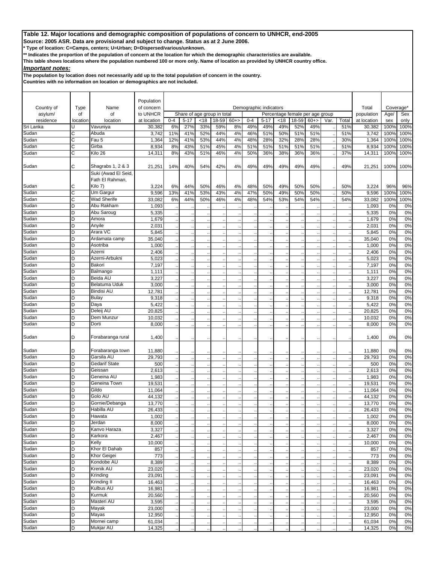**Source: 2005 ASR. Data are provisional and subject to change. Status as at 2 June 2006.**

**\* Type of location: C=Camps, centers; U=Urban; D=Dispersed/various/unknown.**

**\*\* Indicates the proportion of the population of concern at the location for which the demographic characteristics are available.** 

**This table shows locations where the population numbered 100 or more only. Name of location as provided by UNHCR country office.**

*Important notes:*

**The population by location does not necessarily add up to the total population of concern in the country.**

| Country of     |            | Name                 | Population<br>of concern |         |          |     |                             |       |            | Demographic indicators |                                 |       |          |      |       | Total           | Coverage* |          |
|----------------|------------|----------------------|--------------------------|---------|----------|-----|-----------------------------|-------|------------|------------------------|---------------------------------|-------|----------|------|-------|-----------------|-----------|----------|
| asylum/        | Type<br>of | of                   | to UNHCR                 |         |          |     | Share of age group in total |       |            |                        | Percentage female per age group |       |          |      |       | population      | Age/      | Sex      |
| residence      | location   | location             | at location              | $0 - 4$ | $5 - 17$ | <18 | 18-59                       | $60+$ | $0 - 4$    | $5 - 17$               | <18                             | 18-59 | $60 + >$ | Var. | Total | at location     | sex       | only     |
| Sri Lanka      |            | Vavuniya             | 30,382                   | 6%      | 27%      | 33% | 59%                         | 8%    | 49%        | 49%                    | 49%                             | 52%   | 49%      |      | 51%   | 30,382          | 100%      | 100%     |
| Sudan          | C          | Abuda                | 3,742                    | 11%     | 41%      | 52% | 44%                         | 4%    | 46%        | 51%                    | 50%                             | 51%   | 51%      |      | 51%   | 3,742           | 100%      | 100%     |
| Sudan          | C          | Fau 5                | 1,364                    | 12%     | 41%      | 53% | 44%                         | 4%    | 48%        | 28%                    | 32%                             | 28%   | 28%      |      | 30%   | 1,364           | 100%      | 100%     |
| Sudan          | C          | Girba                | 8,934                    | 8%      | 43%      | 51% | 45%                         | 4%    | 51%        | 51%                    | 51%                             | 51%   | 51%      |      | 51%   | 8,934           | 100%      | 100%     |
| Sudan          | C          | Kilo 26              | 14,311                   | 8%      | 43%      | 51% | 46%                         | 4%    | 50%        | 36%                    | 38%                             | 36%   | 36%      |      | 37%   | 14,311          | 100%      | 100%     |
|                |            |                      |                          |         |          |     |                             |       |            |                        |                                 |       |          |      |       |                 |           |          |
| Sudan          | С          | Shagrabs 1, 2 & 3    | 21,251                   | 14%     | 40%      | 54% | 42%                         | 4%    | 49%        | 49%                    | 49%                             | 49%   | 49%      |      | 49%   | 21,251          | 100%      | 100%     |
|                |            | Suki (Awad El Seid,  |                          |         |          |     |                             |       |            |                        |                                 |       |          |      |       |                 |           |          |
|                |            | Fath El Rahman,      |                          |         |          |     |                             |       |            |                        |                                 |       |          |      |       |                 |           |          |
| Sudan          |            | Kilo 7)              | 3,224                    | 6%      | 44%      | 50% | 46%                         | 4%    |            | 50%                    | 49%                             | 50%   | 50%      |      | 50%   |                 | 96%       | 96%      |
| Sudan          | С<br>C     | Um Gargur            | 9,596                    | 13%     | 41%      | 53% | 43%                         | 4%    | 48%<br>47% | 50%                    | 49%                             | 50%   | 50%      |      | 50%   | 3,224<br>9,596  | 100%      | 100%     |
| Sudan          | C          | <b>Wad Sherife</b>   | 33,082                   | 6%      | 44%      | 50% | 46%                         | 4%    | 48%        | 54%                    | 53%                             | 54%   | 54%      |      | 54%   |                 | 100%      | 100%     |
| Sudan          | D          | Abu Rakham           | 1,093                    |         |          |     |                             |       |            |                        |                                 |       |          |      |       | 33,082<br>1,093 | 0%        |          |
|                | D          | Abu Saroug           |                          |         |          |     |                             |       |            |                        |                                 |       |          |      |       |                 | 0%        | 0%       |
| Sudan<br>Sudan | D          | Amora                | 5,335<br>1,679           |         |          |     |                             |       |            |                        |                                 |       |          |      |       | 5,335<br>1,679  | 0%        | 0%       |
| Sudan          | D          | Anyile               | 2,031                    |         |          |     |                             |       |            |                        |                                 |       |          |      |       | 2,031           | 0%        | 0%<br>0% |
| Sudan          | D          | Arara VC             |                          |         |          |     |                             |       |            |                        |                                 |       |          |      |       |                 |           |          |
| Sudan          | D          | Ardamata camp        | 5,845                    |         |          |     |                             |       |            |                        |                                 |       |          |      |       | 5,845           | 0%<br>0%  | 0%<br>0% |
| Sudan          | D          | Asotriba             | 35,040<br>1,000          |         |          |     |                             |       |            |                        |                                 |       |          |      |       | 35,040<br>1,000 | 0%        | 0%       |
| Sudan          | D          | Azerni               | 2,406                    |         |          |     |                             |       |            |                        |                                 |       |          |      |       | 2,406           | 0%        | 0%       |
| Sudan          | D          | Azerni-Arbukni       |                          |         |          |     |                             |       |            |                        |                                 |       |          |      |       |                 | 0%        | 0%       |
| Sudan          | D          | Bakori               | 5,023<br>7,197           |         |          |     |                             |       |            |                        |                                 |       |          |      |       | 5,023<br>7,197  | 0%        | 0%       |
| Sudan          | D          | Balmango             |                          |         |          |     |                             |       |            |                        |                                 |       |          |      |       |                 | 0%        |          |
| Sudan          |            | Beida AU             | 1,111                    |         |          |     |                             |       |            |                        |                                 |       |          |      |       | 1,111           |           | 0%       |
|                | D          | <b>Belatuma Uduk</b> | 3,227                    |         |          |     |                             |       |            |                        |                                 |       |          |      |       | 3,227           | 0%        | 0%       |
| Sudan          | D          | <b>Bindisi AU</b>    | 3,000                    |         |          |     |                             |       |            |                        |                                 |       |          |      |       | 3,000           | 0%        | 0%       |
| Sudan          | D          |                      | 12,781                   |         |          |     |                             |       |            |                        |                                 |       |          |      |       | 12,781          | 0%        | 0%       |
| Sudan          | D          | Bulay                | 9,318                    |         |          |     |                             |       |            |                        |                                 |       |          |      |       | 9,318           | 0%        | 0%       |
| Sudan          | D          | Daya<br>Deleij AU    | 5,422                    |         |          |     |                             |       |            |                        |                                 |       |          |      |       | 5,422           | 0%        | 0%       |
| Sudan          | D          | Dem Munzur           | 20,825                   |         |          |     |                             |       |            |                        |                                 |       |          |      |       | 20,825          | 0%        | 0%       |
| Sudan          | D          |                      | 10,032                   |         |          |     |                             |       |            |                        |                                 |       |          |      |       | 10,032          | 0%        | 0%       |
| Sudan          | D          | Dorti                | 8,000                    |         |          |     |                             |       |            |                        |                                 |       |          |      |       | 8,000           | 0%        | 0%       |
|                |            |                      |                          |         |          |     |                             |       |            |                        |                                 |       |          |      |       |                 |           |          |
| Sudan          | D          | Forabaranga rural    | 1,400                    |         |          |     |                             |       |            |                        |                                 |       |          |      |       | 1,400           | 0%        | 0%       |
|                |            |                      |                          |         |          |     |                             |       |            |                        |                                 |       |          |      |       |                 |           |          |
| Sudan          | D          | Forabaranga town     | 11,880                   |         |          |     |                             |       |            |                        |                                 |       |          |      |       | 11,880          | 0%        | 0%       |
| Sudan          | D          | Garsila AU           | 29,793                   |         |          |     |                             |       |            |                        |                                 |       |          |      |       | 29,793          | 0%        | 0%       |
| Sudan          | D          | <b>Gedarif State</b> | 500                      |         |          |     |                             |       |            |                        |                                 |       |          |      |       | 500             | 0%        | 0%       |
| Sudan          | D          | Geissan              | 2,613                    |         |          |     |                             |       |            |                        |                                 |       |          |      |       | 2,613           | 0%        | 0%       |
| Sudan          | D          | Geneina AU           | 1,983                    |         |          |     |                             |       |            |                        |                                 |       |          |      |       | 1,983           | 0%        | 0%       |
| Sudan          | D          | Geneina Town         | 19,531                   |         |          |     |                             |       |            |                        |                                 |       |          |      |       | 19,531          | 0%        | 0%       |
| Sudan          | D          | Gildo<br>Golo AU     | 11,064                   |         |          |     |                             |       |            |                        |                                 |       |          |      |       | 11,064          | 0%        | 0%       |
| Sudan          | D          |                      | 44,132                   |         |          |     |                             |       |            |                        |                                 |       |          |      |       | 44,132          | 0%        | 0%       |
| Sudan          | D          | Gornie/Debanga       | 13,770                   |         |          |     |                             |       |            |                        |                                 |       |          |      |       | 13,770          | 0%        | 0%       |
| Sudan          | D          | Habilla AU           | 26,433                   |         |          |     |                             |       |            |                        |                                 |       |          |      |       | 26,433          | 0%        | 0%       |
| Sudan          | D          | Hawata               | 1,002                    |         |          |     |                             |       |            |                        |                                 |       |          |      |       | 1,002           | 0%        | 0%       |
| Sudan          | D          | Jerdan               | 8,000                    |         |          |     |                             |       |            |                        |                                 |       |          |      |       | 8,000           | 0%        | 0%       |
| Sudan          | D          | Kanvo Haraza         | 3,327                    |         |          |     |                             |       |            |                        |                                 |       |          |      |       | 3,327           | 0%        | 0%       |
| Sudan          | D          | Karkora              | 2,467                    |         |          |     |                             |       |            |                        |                                 |       |          |      |       | 2,467           | 0%        | 0%       |
| Sudan          | D          | Kelly                | 10,000                   |         |          |     |                             |       |            |                        |                                 |       |          |      |       | 10,000          | 0%        | 0%       |
| Sudan          | D          | Khor El Dahab        | 857                      |         |          |     |                             |       |            |                        |                                 |       |          |      |       | 857             | 0%        | 0%       |
| Sudan          | D          | <b>Khor Geigei</b>   | 773                      |         |          |     |                             |       |            |                        |                                 |       |          |      |       | 773             | 0%        | 0%       |
| Sudan          | D          | Kondobe AU           | 8,389                    |         |          |     |                             |       |            |                        |                                 |       |          |      |       | 8,389           | 0%        | 0%       |
| Sudan          | D          | <b>Krenik AU</b>     | 23,020                   |         |          |     |                             |       |            |                        |                                 |       |          |      |       | 23,020          | 0%        | 0%       |
| Sudan          | D          | Krinding             | 23,091                   |         |          |     |                             |       |            |                        |                                 |       |          |      |       | 23,091          | 0%        | 0%       |
| Sudan          | D          | Krinding II          | 16,463                   |         |          |     |                             |       |            |                        |                                 |       |          |      |       | 16,463          | 0%        | 0%       |
| Sudan          | D          | Kulbus AU            | 16,981                   |         |          |     |                             |       |            |                        |                                 |       |          |      |       | 16,981          | 0%        | 0%       |
| Sudan          | D          | Kurmuk               | 20,560                   |         |          |     |                             |       |            |                        | $\ddotsc$                       |       |          |      |       | 20,560          | 0%        | 0%       |
| Sudan          | D          | Masteri AU           | 3,595                    |         |          |     |                             |       |            |                        |                                 |       |          |      |       | 3,595           | 0%        | 0%       |
| Sudan          | D          | Mayak                | 23,000                   |         |          |     |                             |       |            |                        |                                 |       |          |      |       | 23,000          | 0%        | 0%       |
| Sudan          | D          | Mayas                | 12,950                   |         |          |     |                             |       |            |                        |                                 |       |          |      |       | 12,950          | 0%        | 0%       |
| Sudan          | D          | Mornei camp          | 61,034                   |         |          |     |                             |       |            |                        |                                 |       |          |      |       | 61,034          | 0%        | 0%       |
| Sudan          | D          | <b>Mukjar AU</b>     | 14,325                   |         |          |     |                             |       |            |                        |                                 |       |          |      |       | 14,325          | 0%        | $0\%$    |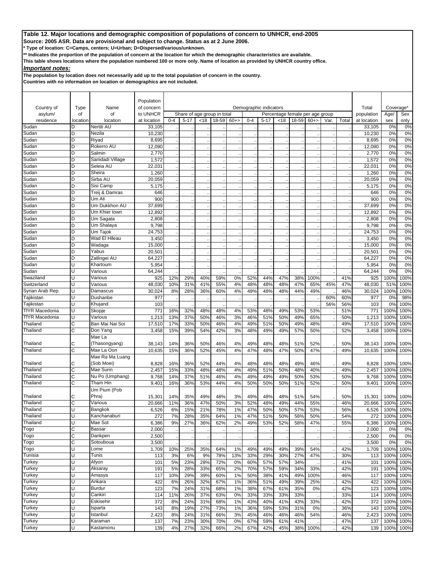**Source: 2005 ASR. Data are provisional and subject to change. Status as at 2 June 2006.**

**\* Type of location: C=Camps, centers; U=Urban; D=Dispersed/various/unknown.**

**\*\* Indicates the proportion of the population of concern at the location for which the demographic characteristics are available.** 

**This table shows locations where the population numbered 100 or more only. Name of location as provided by UNHCR country office.**

*Important notes:*

**The population by location does not necessarily add up to the total population of concern in the country.**

|                          |                |                               | Population              |            |            |            |                                      |           |                      |                        |                                        |            |             |      |            |                           |                |              |
|--------------------------|----------------|-------------------------------|-------------------------|------------|------------|------------|--------------------------------------|-----------|----------------------|------------------------|----------------------------------------|------------|-------------|------|------------|---------------------------|----------------|--------------|
| Country of               | Type           | Name                          | of concern              |            |            |            |                                      |           |                      | Demographic indicators |                                        |            |             |      |            | Total                     | Coverage*      |              |
| asylum/<br>residence     | of<br>location | of<br>location                | to UNHCR<br>at location | $0 - 4$    | $5 - 17$   | <18        | Share of age group in total<br>18-59 | $60+$     | $0 - 4$              | $5 - 17$               | Percentage female per age group<br><18 | 18-59      | $60+$       | Var. | Total      | population<br>at location | Age/<br>sex    | Sex<br>only  |
| Sudan                    | D              | Nertiti AU                    | 33,105                  |            |            |            |                                      |           |                      |                        |                                        |            |             |      |            | 33,105                    | 0%             | 0%           |
| Sudan                    | D              | Nezila                        | 10,230                  |            |            |            |                                      |           |                      |                        |                                        |            |             |      |            | 10,230                    | 0%             | 0%           |
| Sudan                    | D              | Riyad                         | 8,695                   |            |            |            |                                      |           |                      |                        |                                        |            |             |      |            | 8,695                     | 0%             | 0%           |
| Sudan                    | D              | Rokerro AU                    | 12,090                  |            |            |            |                                      |           |                      |                        |                                        |            |             |      |            | 12,090                    | 0%             | 0%           |
| Sudan                    | D              | Salmin                        | 2,770                   |            |            |            |                                      |           |                      |                        |                                        |            |             |      |            | 2,770                     | 0%             | 0%           |
| Sudan                    | D              | Sanidadi Village              | 1,572                   |            |            |            |                                      |           |                      |                        |                                        |            |             |      |            | 1,572                     | 0%             | 0%           |
| Sudan                    | D              | Seleia AU                     | 22,031                  |            |            |            |                                      |           |                      |                        |                                        |            |             |      |            | 22,031                    | 0%             | 0%           |
| Sudan                    | D              | Sheira                        | 1,260                   |            |            |            |                                      |           |                      |                        |                                        |            |             |      |            | 1,260                     | 0%             | 0%           |
| Sudan                    | D              | Sirba AU                      | 20,059                  |            |            |            |                                      |           |                      |                        |                                        |            |             |      |            | 20,059                    | 0%             | 0%           |
| Sudan                    | D<br>D         | Sisi Camp<br>Treij & Damras   | 5,175<br>646            |            |            |            |                                      |           |                      |                        |                                        |            |             |      |            | 5,175<br>646              | 0%<br>0%       | 0%<br>0%     |
| Sudan<br>Sudan           | D              | Um Ali                        | 900                     |            |            |            |                                      |           | $\ddot{\phantom{a}}$ |                        |                                        |            |             |      |            | 900                       | 0%             | 0%           |
| Sudan                    | D              | Um Dukkhon AU                 | 37,699                  |            |            |            |                                      |           |                      |                        |                                        |            |             |      |            | 37,699                    | 0%             | 0%           |
| Sudan                    | D              | Um Khier town                 | 12,892                  |            |            |            |                                      |           |                      |                        |                                        |            |             |      |            | 12,892                    | 0%             | 0%           |
| Sudan                    | D              | Um Sagata                     | 2,808                   |            |            |            |                                      |           |                      |                        |                                        |            |             |      |            | 2,808                     | 0%             | 0%           |
| Sudan                    | D              | Um Shalaya                    | 9,798                   |            |            |            |                                      |           |                      |                        |                                        |            |             |      |            | 9,798                     | 0%             | 0%           |
| Sudan                    | D              | Um Tajok                      | 24,753                  |            |            |            |                                      |           |                      |                        |                                        |            |             |      |            | 24,753                    | 0%             | 0%           |
| Sudan                    | D              | Wad El Hileau                 | 3,450                   |            |            |            |                                      |           |                      |                        |                                        |            |             |      |            | 3,450                     | 0%             | 0%           |
| Sudan                    | D              | Wadaga                        | 15,000                  |            |            |            |                                      |           |                      |                        |                                        |            |             |      |            | 15,000                    | 0%             | 0%           |
| Sudan                    | D              | Yabus                         | 20,501                  |            |            |            |                                      |           |                      |                        |                                        |            |             |      |            | 20,501                    | 0%             | 0%           |
| Sudan                    | D              | Zallingei AU                  | 64,227                  |            |            |            |                                      |           |                      |                        |                                        |            |             |      |            | 64,227                    | 0%             | 0%           |
| Sudan                    | U              | Khartoum                      | 5,954                   |            |            |            |                                      |           |                      |                        |                                        |            |             |      |            | 5,954                     | 0%             | 0%           |
| Sudan                    | U              | Various                       | 64,244                  |            |            |            |                                      |           |                      |                        |                                        |            |             |      |            | 64,244                    | 0%             | 0%           |
| Swaziland<br>Switzerland | U<br>U         | Various<br>Various            | 925<br>48,030           | 12%        | 29%<br>31% | 40%<br>41% | 59%                                  | 0%<br>4%  | 52%<br>48%           | 44%<br>48%             | 47%<br>48%                             | 38%<br>47% | 100%<br>65% | 45%  | 41%<br>47% | 925<br>48,030             | 100%           | 100%<br>100% |
| Syrian Arab Rep.         | U              | Damascus                      | 30,024                  | 10%<br>8%  | 28%        | 36%        | 55%<br>60%                           | 4%        | 49%                  | 48%                    | 48%                                    | 44%        | 49%         |      | 46%        | 30,024                    | 51%<br>100%    | 100%         |
| Tajikistan               | U              | Dushanbe                      | 977                     |            |            |            |                                      |           |                      |                        |                                        |            |             | 60%  | 60%        | 977                       | 0%             | 98%          |
| Tajikistan               | U              | Khujand                       | 103                     |            |            |            |                                      |           |                      |                        |                                        |            |             | 56%  | 56%        | 103                       | 0 <sup>9</sup> | 100%         |
| <b>TfYR Macedonia</b>    | U              | Skopje                        | 771                     | 16%        | 32%        | 48%        | 48%                                  | 4%        | 53%                  | 48%                    | 49%                                    | 53%        | 53%         |      | 51%        | 771                       | 100%           | 100%         |
| <b>TfYR</b> Macedonia    | U              | Various                       | 1,213                   | 13%        | 37%        | 50%        | 46%                                  | 3%        | 46%                  | 51%                    | 50%                                    | 49%        | 65%         |      | 50%        | 1,213                     | 100%           | 100%         |
| Thailand                 | С              | Ban Mai Nai Soi               | 17,510                  | 17%        | 33%        | 50%        | 46%                                  | 4%        | 49%                  | 51%                    | 50%                                    | 49%        | 48%         |      | 49%        | 17,510                    | 100%           | 100%         |
| Thailand                 | C              | Don Yang                      | 3,458                   | 15%        | 39%        | 54%        | 42%                                  | 3%        | 48%                  | 49%                    | 49%                                    | 57%        | 50%         |      | 52%        | 3,458                     | 100%           | 100%         |
|                          |                | Mae La                        |                         |            |            |            |                                      |           |                      |                        |                                        |            |             |      |            |                           |                |              |
| Thailand                 | C              | (Thasongyang)                 | 38,143                  | 14%        | 36%        | 50%        | 46%                                  | 4%        | 49%                  | 48%                    | 48%                                    | 51%        | 52%         |      | 50%        | 38,143                    | 100%           | 100%         |
| Thailand                 | C              | Mae La Oon                    | 10,635                  | 15%        | 36%        | 52%        | 45%                                  | 4%        | 47%                  | 48%                    | 47%                                    | 50%        | 47%         |      | 49%        | 10,635                    | 100%           | 100%         |
| Thailand                 |                | Mae Ra Ma Luang<br>(Sob Moei) |                         |            |            |            |                                      |           |                      |                        |                                        |            |             |      |            |                           |                |              |
| Thailand                 | C<br>Ċ         | Mae Surin                     | 8,828<br>2,457          | 16%<br>15% | 36%<br>33% | 52%<br>48% | 44%<br>48%                           | 4%<br>4%  | 48%<br>49%           | 48%<br>51%             | 48%<br>50%                             | 49%<br>48% | 46%<br>40%  |      | 49%<br>49% | 8,828<br>2,457            | 100%<br>100%   | 100%<br>100% |
| Thailand                 | C              | Nu Po (Umphang)               | 9,768                   | 14%        | 37%        | 51%        | 46%                                  | 4%        | 49%                  | 49%                    | 49%                                    | 50%        | 53%         |      | 50%        | 9,768                     | 100%           | 100%         |
| Thailand                 | C              | Tham Hin                      | 9,401                   | 16%        | 36%        | 53%        | 44%                                  | 4%        | 50%                  | 50%                    | 50%                                    | 51%        | 52%         |      | 50%        | 9,401                     | 100%           | 100%         |
|                          |                | Um Pium (Pob                  |                         |            |            |            |                                      |           |                      |                        |                                        |            |             |      |            |                           |                |              |
| Thailand                 | C              | Phra)                         | 15,301                  | 14%        | 35%        | 49%        | 48%                                  | 3%        | 49%                  | 48%                    | 48%                                    | 51%        | 54%         |      | 50%        | 15,301                    | 100%           | 100%         |
| Thailand                 | C              | Various                       | 20,666                  | <b>11%</b> | 36%        | 47%        | 50%                                  | 3%        | 52%                  | 48%                    | 49%                                    | 44%        | 55%         |      | 46%        | 20,666                    | 100%           | 100%         |
| <b>I</b> hailand         | IJ             | Bangkok                       | 6,526                   | 6%         | 15%        | 21%        | 78%                                  | $1\%$     | 47%                  | 50%                    | 50%                                    | 57%        | 53%         |      | 56%        | 6,526                     | 100%           | 100%         |
| Thailand                 | U              | Kanchanaburi                  | 272                     | 7%         | 28%        | 35%        | 64%                                  | 1%        | 47%                  | 51%                    | 50%                                    | 56%        | 50%         |      | 54%        | 272                       | 100%           | 100%         |
| Thailand                 | U              | Mae Sot                       | 6,386                   | 9%         | 27%        | 36%        | 62%                                  | 2%        | 49%                  | 53%                    | 52%                                    | 58%        | 47%         |      | 55%        | 6,386                     | 100%           | 100%         |
| Togo                     | С              | <b>Bassar</b>                 | 2,000                   |            |            |            |                                      |           |                      |                        |                                        |            |             |      |            | 2,000                     | 0%             | 0%           |
| Togo<br>Togo             | C              | Dankpen<br>Sotouboua          | 2,500                   |            |            |            |                                      | $\ddotsc$ | $\ddotsc$            | $\ddot{\phantom{1}}$   |                                        |            |             |      |            | 2,500                     | 0%             | 0%           |
| Togo                     | С<br>U         | Lome                          | 3,500<br>1,709          | 10%        | 25%        | 35%        | 64%                                  | 1%        | 49%                  | 49%                    | 49%                                    | 39%        | 54%         |      | 42%        | 3,500<br>1,709            | 0%<br>100%     | 0%<br>100%   |
| Tunisia                  | U              | Tunis                         | 113                     | 3%         | 6%         | 9%         | 78%                                  | 13%       | 33%                  | 29%                    | 30%                                    | 27%        | 47%         |      | 30%        | 113                       | 100%           | 100%         |
| Turkey                   | U              | Afyon                         | 101                     | 5%         | 23%        | 28%        | 72%                                  | 0%        | 60%                  | 57%                    | 57%                                    | 34%        |             |      | 41%        | 101                       | 100%           | 100%         |
| Turkey                   | U              | Aksaray                       | 191                     | 5%         | 28%        | 33%        | 65%                                  | 2%        | 70%                  | 57%                    | 59%                                    | 34%        | 33%         |      | 42%        | 191                       | 100%           | 100%         |
| Turkey                   | U              | Amasya                        | 117                     | 10%        | 29%        | 39%        | 60%                                  | 1%        | 50%                  | 38%                    | 41%                                    | 49%        | 100%        |      | 46%        | 117                       | 100%           | 100%         |
| Turkey                   | U              | Ankara                        | 422                     | 6%         | 26%        | 32%        | 67%                                  | 1%        | 36%                  | 51%                    | 49%                                    | 39%        | 25%         |      | 42%        | 422                       | 100%           | 100%         |
| Turkey                   | U              | <b>Burdur</b>                 | 123                     | 7%         | 24%        | 31%        | 68%                                  | 1%        | 38%                  | 67%                    | 61%                                    | 35%        | 0%          |      | 42%        | 123                       | 100%           | 100%         |
| Turkey                   | U              | Cankiri                       | 114                     | 11%        | 26%        | 37%        | 63%                                  | 0%        | 33%                  | 33%                    | 33%                                    | 33%        |             |      | 33%        | 114                       | 100%           | 100%         |
| <b>Turkey</b>            | U              | Eskisehir                     | 372                     | 8%         | 24%        | 31%        | 68%                                  | 1%        | 43%                  | 40%                    | 41%                                    | 43%        | 33%         |      | 42%        | 372                       | 100%           | 100%         |
| Turkey                   | U              | Isparta                       | 143                     | 8%         | 19%        | 27%        | 73%                                  | 1%        | 36%                  | 59%                    | 53%                                    | 31%        | 0%          |      | 36%        | 143                       | 100%           | 100%         |
| Turkey                   | U              | Istanbul                      | 2,423                   | 8%         | 24%        | 31%        | 66%                                  | 3%        | 45%                  | 46%                    | 46%                                    | 46%        | 54%         |      | 46%        | 2,423                     | 100%           | 100%         |
| Turkey                   | U              | Karaman                       | 137                     | 7%         | 23%        | 30%        | 70%                                  | 0%        | 67%                  | 59%                    | 61%                                    | 41%        |             |      | 47%        | 137                       | 100%           | 100%         |
| Turkey                   | U              | Kastamonu                     | 139                     | 4%         | 27%        | 32%        | 66%                                  | 2%        | 67%                  | 42%                    | 45%                                    | 38%        | 100%        |      | 42%        | 139                       | 100%           | 100%         |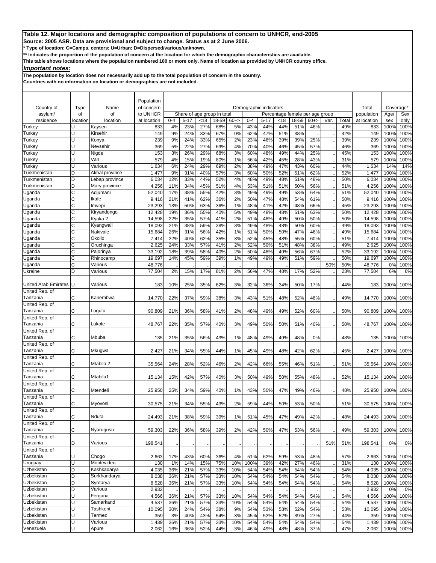**Source: 2005 ASR. Data are provisional and subject to change. Status as at 2 June 2006.**

**\* Type of location: C=Camps, centers; U=Urban; D=Dispersed/various/unknown.**

**\*\* Indicates the proportion of the population of concern at the location for which the demographic characteristics are available.** 

**This table shows locations where the population numbered 100 or more only. Name of location as provided by UNHCR country office.**

*Important notes:*

**The population by location does not necessarily add up to the total population of concern in the country.**

|                                 |                |                             | Population              | Demographic indicators |            |                                       |            |            |            |            |                                        |            |            |      |            |                           |              |              |
|---------------------------------|----------------|-----------------------------|-------------------------|------------------------|------------|---------------------------------------|------------|------------|------------|------------|----------------------------------------|------------|------------|------|------------|---------------------------|--------------|--------------|
| Country of                      | <b>Type</b>    | Name                        | of concern              |                        |            |                                       |            |            |            |            |                                        |            |            |      |            | Total                     |              | Coverage*    |
| asvlum/<br>residence            | οf<br>location | of<br>location              | to UNHCR<br>at location | $0 - 4$                | $5 - 17$   | Share of age group in total<br>$<$ 18 | 18-59      | $60+$      | $0 - 4$    | $5 - 17$   | Percentage female per age group<br><18 | 18-59      | $60 + >$   | Var. | Total      | population<br>at location | Age/<br>sex  | Sex<br>only  |
| Turkey                          | U              | Kayseri                     | 833                     | 4%                     | 23%        | 27%                                   | 68%        | 5%         | 43%        | 44%        | 44%                                    | 51%        | 46%        |      | 49%        | 833                       | 100%         | 100%         |
| Turkey                          | Ū              | Kirsehir                    | 149                     | 9%                     | 24%        | 33%                                   | 67%        | 0%         | 62%        | 47%        | 51%                                    | 38%        |            |      | 42%        | 149                       | 100%         | 100%         |
| Turkey                          | Ū              | Konya                       | 239                     | 9%                     | 24%        | 33%                                   | 65%        | 2%         | 23%        | 46%        | 39%                                    | 39%        | 25%        |      | 39%        | 239                       | 100%         | 100%         |
| Turkey                          | Ü              | Nevsehir                    | 369                     | 5%                     | 22%        | 27%                                   | 69%        | 4%         | 70%        | 40%        | 46%                                    | 45%        | 57%        |      | 46%        | 369                       | 100%         | 100%         |
| Turkey                          | Ū              | Nigde                       | 153                     | 3%                     | 26%        | 29%                                   | 68%        | 3%         | 60%        | 48%        | 49%                                    | 44%        | 25%        |      | 45%        | 153                       | 100%         | 100%         |
| Turkey<br>Turkey                | U<br>Ħ         | Van<br>Various              | 579                     | 4%<br>6%               | 15%        | 19%                                   | 80%        | 1%<br>2%   | 56%        | 42%<br>49% | 45%<br>47%                             | 28%        | 43%        |      | 31%<br>44% | 579                       | 100%<br>14%  | 100%         |
| Turkmenistan                    | D              | Akhal province              | 1,634<br>1,477          | 9%                     | 24%<br>31% | 29%<br>40%                            | 69%<br>57% | 3%         | 38%<br>60% | 50%        | 52%                                    | 43%<br>51% | 60%<br>62% |      | 52%        | 1,634<br>1,477            | 100%         | 14%<br>100%  |
| Turkmenistan                    | D              | Lebap province              | 6,034                   | 12%                    | 33%        | 44%                                   | 52%        | 4%         | 48%        | 49%        | 48%                                    | 51%        | 48%        |      | 50%        | 6,034                     | 100%         | 100%         |
| Turkmenistan                    | D              | Mary province               | 4,256                   | 11%                    | 34%        | 45%                                   | 51%        | 4%         | 53%        | 51%        | 51%                                    | 50%        | 56%        |      | 51%        | 4,256                     | 100%         | 100%         |
| Uganda                          | C              | Adjumani                    | 52,040                  | 17%                    | 38%        | 55%                                   | 42%        | 3%         | 49%        | 49%        | 49%                                    | 53%        | 64%        |      | 51%        | 52,040                    | 100%         | 100%         |
| Uganda                          | C              | Ikafe                       | 9,416                   | 21%                    | 41%        | 62%                                   | 36%        | 2%         | 50%        | 47%        | 48%                                    | 54%        | 61%        |      | 50%        | 9,416                     | 100%         | 100%         |
| Uganda                          | C              | Imvepi                      | 23,293                  | 13%                    | 50%        | 63%                                   | 36%        | 1%         | 48%        | 41%        | 42%                                    | 48%        | 66%        |      | 45%        | 23,293                    | 100%         | 100%         |
| Uganda                          | C              | Kiryandongo                 | 12,428                  | 19%                    | 36%        | 55%                                   | 40%        | 5%         | 49%        | 48%        | 48%                                    | 51%        | 63%        |      | 50%        | 12,428                    | 100%         | 100%         |
| Uganda                          | C              | Kyaka 2                     | 14,598                  | 22%                    | 35%        | 57%                                   | 41%        | 2%         | 51%        | 48%        | 49%                                    | 50%        | 50%        |      | 50%        | 14,598                    | 100%         | 100%         |
| Uganda<br>Uganda                | C<br>C         | Kyangwali<br>Nakivale       | 18,093<br>15,684        | 21%<br>26%             | 38%<br>31% | 59%<br>56%                            | 38%<br>42% | 3%<br>1%   | 49%<br>51% | 48%<br>50% | 48%<br>50%                             | 50%<br>47% | 60%<br>46% |      | 49%<br>49% | 18,093<br>15,684          | 100%<br>100% | 100%<br>100% |
| Uganda                          | Ċ              | Okollo                      | 7,414                   | 22%                    | 40%        | 62%                                   | 35%        | 3%         | 52%        | 45%        | 48%                                    | 55%        | 60%        |      | 51%        | 7,414                     | 100%         | 100%         |
| Uganda                          | C              | Oruchinga                   | 2,625                   | 24%                    | 33%        | 57%                                   | 41%        | 2%         | 52%        | 50%        | 51%                                    | 48%        | 38%        |      | 49%        | 2,625                     | 100%         | 100%         |
| Uganda                          | С              | Palorinya                   | 33,192                  | 18%                    | 39%        | 58%                                   | 40%        | 2%         | 50%        | 48%        | 49%                                    | 56%        | 67%        |      | 52%        | 33,192                    | 100%         | 100%         |
| Uganda                          | C              | Rhinocamp                   | 19,697                  | 14%                    | 45%        | 59%                                   | 39%        | 1%         | 49%        | 49%        | 49%                                    | 51%        | 59%        |      | 50%        | 19,697                    | 100%         | 100%         |
| Uganda                          | C              | Various                     | 48,776                  |                        |            |                                       |            |            |            |            |                                        |            |            | 50%  | 50%        | 48,776                    | 0%           | 100%         |
| Ukraine                         | D              | Various                     | 77,504                  | 2%                     | 15%        | 17%                                   | 81%        | 2%         | 56%        | 47%        | 48%                                    | 17%        | 52%        |      | 23%        | 77,504                    | 6%           | 6%           |
| United Arab Emirates U          |                | Various                     | 183                     | 10%                    | 25%        | 35%                                   | 62%        | 3%         | 32%        | 36%        | 34%                                    | 50%        | 17%        |      | 44%        | 183                       | 100%         | 100%         |
| United Rep. of                  |                |                             |                         |                        |            |                                       |            |            |            |            |                                        |            |            |      |            |                           |              |              |
| Tanzania                        | C              | Kanembwa                    | 14,770                  | 22%                    | 37%        | 59%                                   | 38%        | 3%         | 43%        | 51%        | 48%                                    | 52%        | 48%        |      | 49%        | 14,770                    | 100%         | 100%         |
| United Rep. of                  |                |                             |                         |                        |            |                                       |            |            |            |            |                                        |            |            |      |            |                           |              |              |
| Tanzania                        | C              | Lugufu                      | 90,809                  | 21%                    | 36%        | 58%                                   | 41%        | 2%         | 48%        | 49%        | 49%                                    | 52%        | 60%        |      | 50%        | 90,809                    | 100%         | 100%         |
| United Rep. of<br>Tanzania      | С              | Lukole                      | 48,767                  | 22%                    | 35%        | 57%                                   | 40%        | 3%         | 49%        | 50%        | 50%                                    | 51%        | 40%        |      | 50%        | 48,767                    | 100%         | 100%         |
| United Rep. of                  |                |                             |                         |                        |            |                                       |            |            |            |            |                                        |            |            |      |            |                           |              |              |
| Tanzania                        | С              | Mbuba                       | 135                     | 21%                    | 35%        | 56%                                   | 43%        | 1%         | 48%        | 49%        | 49%                                    | 48%        | 0%         |      | 48%        | 135                       | 100%         | 100%         |
| United Rep. of                  |                |                             |                         |                        |            |                                       |            |            |            |            |                                        |            |            |      |            |                           |              |              |
| Tanzania<br>United Rep. of      | C              | Mkugwa                      | 2,427                   | 21%                    | 34%        | 55%                                   | 44%        | 1%         | 45%        | 49%        | 48%                                    | 42%        | 62%        |      | 45%        | 2,427                     | 100%         | 100%         |
| Tanzania                        | C              | Mtabila 2                   | 35,564                  | 24%                    | 28%        | 52%                                   | 46%        | 2%         | 42%        | 66%        | 55%                                    | 46%        | 51%        |      | 51%        | 35,564                    | 100%         | 100%         |
| United Rep. of                  |                |                             |                         |                        |            |                                       |            |            |            |            |                                        |            |            |      |            |                           |              |              |
| Tanzania                        | С              | Mtabila1                    | 15,134                  | 15%                    | 42%        | 57%                                   | 40%        | 3%         | 50%        | 49%        | 50%                                    | 55%        | 48%        |      | 52%        | 15,134                    | 100%         | 100%         |
| United Rep. of                  |                |                             |                         |                        |            |                                       |            |            |            |            |                                        |            |            |      |            |                           |              |              |
| Tanzania                        | С              | Mtendeli                    | 25,950                  | 25%                    | 34%        | 59%                                   | 40%        | 1%         | 43%        | 50%        | 47%                                    | 49%        | 46%        |      | 48%        | 25,950                    | 100%         | 100%         |
| United Rep. of                  |                |                             |                         |                        |            |                                       |            |            |            |            |                                        |            |            |      |            |                           |              |              |
| Tanzania                        | C              | Myovosi                     | 30,575                  | 21%                    | 34%        | 55%                                   | 43%        | 2%         | 59%        | 44%        | 50%                                    | 53%        | 50%        |      | 51%        | 30,575                    | 100%         | 100%         |
| United Rep. of<br>Tanzania      | C              | Nduta                       | 24,493                  | 21%                    | 38%        | 59%                                   | 39%        | 1%         | 51%        | 45%        | 47%                                    | 49%        | 42%        |      | 48%        | 24,493                    | 100%         | 100%         |
| United Rep. of                  |                |                             |                         |                        |            |                                       |            |            |            |            |                                        |            |            |      |            |                           |              |              |
| Tanzania                        | C              | Nyarugusu                   | 59,303                  | 22%                    | 36%        | 58%                                   | 39%        | 2%         | 42%        | 50%        | 47%                                    | 53%        | 56%        |      | 49%        | 59,303                    | 100%         | 100%         |
| United Rep. of                  |                |                             |                         |                        |            |                                       |            |            |            |            |                                        |            |            |      |            |                           |              |              |
| Tanzania                        | D              | Various                     | 198,541                 |                        |            |                                       |            |            |            |            |                                        |            |            | 51%  | 51%        | 198,541                   | 0%           | 0%           |
| United Rep. of                  |                |                             |                         |                        |            |                                       |            |            |            |            |                                        |            |            |      |            |                           |              |              |
| Tanzania                        |                | Chogo                       | 2,663                   | 17%                    | 43%        | 60%                                   | 36%        | 4%         | 51%        | 62%        | 59%                                    | 53%        | 48%        |      | 57%        | 2,663                     | 100%         | 100%         |
| Uruguay                         | U              | Montevideo                  | 130                     | 1%                     | 14%        | 15%                                   | 75%        | 10%        | 100%       | 39%        | 42%                                    | 27%        | 46%        |      | 31%        | 130                       | 100%         | 100%         |
| Uzbekistan<br><b>Uzbekistan</b> | D<br>D         | Kashkadarya<br>Surkhandarya | 4,035<br>8,038          | 36%<br>36%             | 21%<br>21% | 57%<br>57%                            | 33%<br>33% | 10%<br>10% | 54%<br>54% | 54%<br>54% | 54%<br>54%                             | 54%<br>54% | 54%<br>54% |      | 54%<br>54% | 4,035<br>8,038            | 100%<br>100% | 100%<br>100% |
| <b>Uzbekistan</b>               | D              | Syrdarya                    | 8,528                   | 36%                    | 21%        | 57%                                   | 33%        | 10%        | 54%        | 54%        | 54%                                    | 54%        | 54%        |      | 54%        | 8,528                     | 100%         | 100%         |
| Uzbekistan                      | D              | Various                     | 2,932                   |                        |            |                                       |            |            |            |            |                                        |            |            |      |            | 2,932                     | 0%           | 0%           |
| <b>Uzbekistan</b>               |                | Fergana                     | 4,566                   | 36%                    | 21%        | 57%                                   | 33%        | 10%        | 54%        | 54%        | 54%                                    | 54%        | 54%        |      | 54%        | 4,566                     | 100%         | 100%         |
| Uzbekistan                      |                | Samarkand                   | 4,537                   | 36%                    | 21%        | 57%                                   | 33%        | 10%        | 54%        | 54%        | 54%                                    | 54%        | 54%        |      | 54%        | 4,537                     | 100%         | 100%         |
| Uzbekistan                      | Ū              | Tashkent                    | 10,095                  | 30%                    | 24%        | 54%                                   | 38%        | 9%         | 54%        | 53%        | 53%                                    | 52%        | 54%        |      | 53%        | 10,095                    | 100%         | 100%         |
| Uzbekistan                      | Ū              | Termez                      | 359                     | 3%                     | 40%        | 43%                                   | 54%        | 3%         | 45%        | 52%        | 52%                                    | 39%        | 27%        |      | 44%        | 359                       | 100%         | 100%         |
| <b>Uzbekistan</b>               | U              | Various                     | 1,439                   | 36%                    | 21%        | 57%                                   | 33%        | 10%        | 54%        | 54%        | 54%                                    | 54%        | 54%        |      | 54%        | 1,439                     | 100%         | 100%         |
| Venezuela                       | Ū              | Apure                       | 2,062                   | 16%                    | 36%        | 52%                                   | 44%        | 3%         | 46%        | 49%        | 48%                                    | 48%        | 37%        |      | 47%        | 2,062                     | 100%         | 100%         |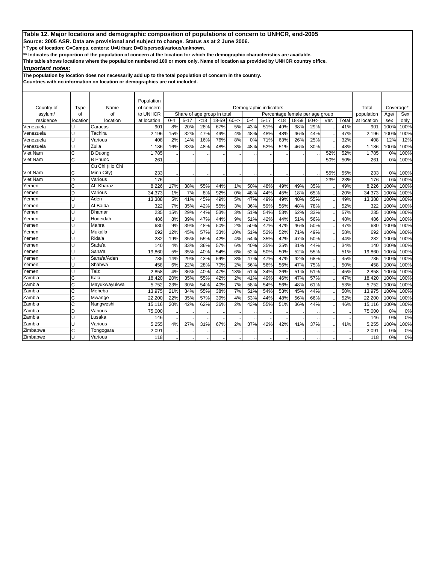**Source: 2005 ASR. Data are provisional and subject to change. Status as at 2 June 2006.**

**\* Type of location: C=Camps, centers; U=Urban; D=Dispersed/various/unknown.**

**\*\* Indicates the proportion of the population of concern at the location for which the demographic characteristics are available.** 

**This table shows locations where the population numbered 100 or more only. Name of location as provided by UNHCR country office.**

*Important notes:*

**The population by location does not necessarily add up to the total population of concern in the country.**

|                 |                |                | Population  |         |                             |      |       |       |         |                        |                                 |         |       |      |       |             |           |      |
|-----------------|----------------|----------------|-------------|---------|-----------------------------|------|-------|-------|---------|------------------------|---------------------------------|---------|-------|------|-------|-------------|-----------|------|
| Country of      | Type           | Name           | of concern  |         |                             |      |       |       |         | Demographic indicators |                                 |         |       |      |       | Total       | Coverage* |      |
| asylum/         | of             | of             | to UNHCR    |         | Share of age group in total |      |       |       |         |                        | Percentage female per age group |         |       |      |       | population  | Age/      | Sex  |
| residence       | location       | location       | at location | $0 - 4$ | $5 - 17$                    | < 18 | 18-59 | $60+$ | $0 - 4$ | $5 - 17$               | <18                             | $18-59$ | $60+$ | Var. | Total | at location | sex       | only |
| Venezuela       |                | Caracas        | 901         | 8%      | 20%                         | 28%  | 67%   | 5%    | 43%     | 51%                    | 49%                             | 38%     | 29%   |      | 41%   | 901         | 100%      | 100% |
| Venezuela       |                | Tachira        | 2.196       | 15%     | 32%                         | 47%  | 49%   | 4%    | 48%     | 48%                    | 48%                             | 46%     | 44%   |      | 47%   | 2.196       | 100%      | 100% |
| Venezuela       | $\blacksquare$ | Various        | 408         | 2%      | 14%                         | 16%  | 76%   | 8%    | 0%      | 71%                    | 63%                             | 26%     | 25%   |      | 32%   | 408         | 12%       | 12%  |
| Venezuela       |                | Zulia          | 1.186       | 16%     | 33%                         | 48%  | 48%   | 3%    | 48%     | 52%                    | 51%                             | 46%     | 30%   |      | 48%   | 1.186       | 100%      | 100% |
| <b>Viet Nam</b> | $\overline{C}$ | <b>B</b> Duona | 1,785       |         |                             |      |       |       |         |                        |                                 |         |       | 52%  | 52%   | 1.785       | 0%        | 100% |
| Viet Nam        | C              | <b>B</b> Phuoc | 261         |         |                             |      |       |       |         |                        |                                 |         |       | 50%  | 50%   | 261         | 0%        | 100% |
|                 |                | Cu Chi (Ho Chi |             |         |                             |      |       |       |         |                        |                                 |         |       |      |       |             |           |      |
| √iet Nam        | С              | Minh City)     | 233         |         |                             |      |       |       |         |                        |                                 |         |       | 55%  | 55%   | 233         | 0%        | 100% |
| Viet Nam        | D              | Various        | 176         |         |                             |      |       |       |         |                        |                                 |         |       | 23%  | 23%   | 176         | 0%        | 100% |
| remen           | Ċ              | AL-Kharaz      | 8.226       | 17%     | 38%                         | 55%  | 44%   | 1%    | 50%     | 48%                    | 49%                             | 49%     | 35%   |      | 49%   | 8.226       | 100%      | 100% |
| Yemen           | D              | Various        | 34,373      | 1%      | 7%                          | 8%   | 92%   | 0%    | 48%     | 44%                    | 45%                             | 18%     | 65%   |      | 20%   | 34,373      | 100%      | 100% |
| remen           |                | Aden           | 13,388      | 5%      | 41%                         | 45%  | 49%   | 5%    | 47%     | 49%                    | 49%                             | 48%     | 55%   |      | 49%   | 13,388      | 100%      | 100% |
| Yemen           |                | Al-Baida       | 322         | 7%      | 35%                         | 42%  | 55%   | 3%    | 36%     | 59%                    | 56%                             | 48%     | 78%   |      | 52%   | 322         | 100%      | 100% |
| remen           |                | Dhamar         | 235         | 15%     | 29%                         | 44%  | 53%   | 3%    | 51%     | 54%                    | 53%                             | 62%     | 33%   |      | 57%   | 235         | 100%      | 100% |
| Yemen           |                | Hodeidah       | 486         | 8%      | 39%                         | 47%  | 44%   | 9%    | 51%     | 42%                    | 44%                             | 51%     | 56%   |      | 48%   | 486         | 100%      | 100% |
| remen           |                | Mahra          | 680         | 9%      | 39%                         | 48%  | 50%   | 2%    | 50%     | 47%                    | 47%                             | 46%     | 50%   |      | 47%   | 680         | 100%      | 100% |
| remen           |                | Mukalla        | 692         | 12%     | 45%                         | 57%  | 33%   | 10%   | 51%     | 52%                    | 52%                             | 71%     | 49%   |      | 58%   | 692         | 100%      | 100% |
| remen           |                | Rida'a         | 282         | 19%     | 35%                         | 55%  | 42%   | 4%    | 54%     | 35%                    | 42%                             | 47%     | 50%   |      | 44%   | 282         | 100%      | 100% |
| Yemen           |                | Sada'a         | 140         | 4%      | 33%                         | 36%  | 57%   | 6%    | 40%     | 35%                    | 35%                             | 31%     | 44%   |      | 34%   | 140         | 100%      | 100% |
| remen           |                | Sana'a         | 19,860      | 5%      | 35%                         | 40%  | 54%   | 6%    | 52%     | 50%                    | 50%                             | 52%     | 55%   |      | 51%   | 19,860      | 100%      | 100% |
| Yemen           |                | Sana'a/Aden    | 735         | 14%     | 29%                         | 43%  | 54%   | 3%    | 47%     | 47%                    | 47%                             | 42%     | 68%   |      | 45%   | 735         | 100%      | 100% |
| Yemen           |                | Shabwa         | 458         | 6%      | 22%                         | 28%  | 70%   | 2%    | 56%     | 56%                    | 56%                             | 47%     | 75%   |      | 50%   | 458         | 100%      | 100% |
| remen           |                | Taiz           | 2,858       | 4%      | 36%                         | 40%  | 47%   | 13%   | 51%     | 34%                    | 36%                             | 51%     | 51%   |      | 45%   | 2,858       | 100%      | 100% |
| Zambia          | Ċ              | Kala           | 18,420      | 20%     | 35%                         | 55%  | 42%   | 2%    | 41%     | 49%                    | 46%                             | 47%     | 57%   |      | 47%   | 18,420      | 100%      | 100% |
| Zambia          | C              | Mayukwayukwa   | 5,752       | 23%     | 30%                         | 54%  | 40%   | 7%    | 58%     | 54%                    | 56%                             | 48%     | 61%   |      | 53%   | 5,752       | 100%      | 100% |
| Zambia          | Ć              | Meheba         | 13,975      | 21%     | 34%                         | 55%  | 38%   | 7%    | 51%     | 54%                    | 53%                             | 45%     | 44%   |      | 50%   | 13,975      | 100%      | 100% |
| Zambia          | C              | Mwange         | 22.200      | 22%     | 35%                         | 57%  | 39%   | 4%    | 53%     | 44%                    | 48%                             | 56%     | 66%   |      | 52%   | 22.200      | 100%      | 100% |
| Zambia          | C              | Nangweshi      | 15.116      | 20%     | 42%                         | 62%  | 36%   | 2%    | 43%     | 55%                    | 51%                             | 36%     | 44%   |      | 46%   | 15.116      | 100%      | 100% |
| Zambia          | D              | Various        | 75,000      |         |                             |      |       |       |         |                        |                                 |         |       |      |       | 75,000      | 0%        | 0%   |
| Zambia          |                | Lusaka         | 146         |         |                             |      |       |       |         |                        |                                 |         |       |      |       | 146         | 0%        | 0%   |
| Zambia          |                | Various        | 5,255       | 4%      | 27%                         | 31%  | 67%   | 2%    | 37%     | 42%                    | 42%                             | 41%     | 37%   |      | 41%   | 5,255       | 100%      | 100% |
| Zimbabwe        | C              | Tongogara      | 2,091       |         |                             |      |       |       |         |                        |                                 |         |       |      |       | 2,091       | 0%        | 0%   |
| Zimbabwe        |                | Various        | 118         |         |                             |      |       |       |         |                        |                                 |         |       |      |       | 118         | 0%        | 0%   |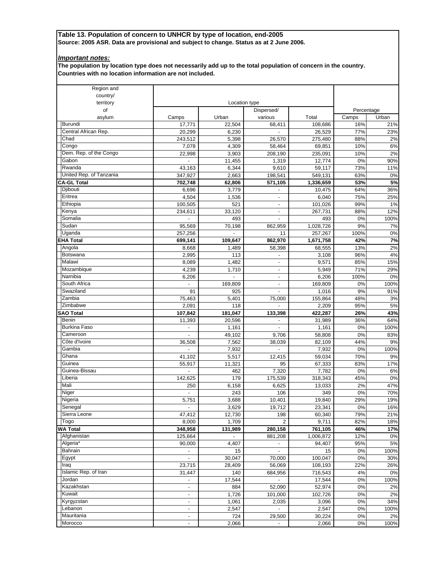## **Table 13. Population of concern to UNHCR by type of location, end-2005 Source: 2005 ASR. Data are provisional and subject to change. Status as at 2 June 2006.**

#### *Important notes:*

**The population by location type does not necessarily add up to the total population of concern in the country. Countries with no location information are not included.**

| Region and              |                          |               |                          |           |            |       |
|-------------------------|--------------------------|---------------|--------------------------|-----------|------------|-------|
| country/                |                          |               |                          |           |            |       |
| territory               |                          | Location type |                          |           |            |       |
| of                      |                          |               | Dispersed/               |           | Percentage |       |
| asylum                  | Camps                    | Urban         | various                  | Total     | Camps      | Urban |
| <b>Burundi</b>          | 17,771                   | 22,504        | 68,411                   | 108,686   | 16%        | 21%   |
| Central African Rep.    | 20,299                   | 6,230         |                          | 26,529    | 77%        | 23%   |
| Chad                    | 243,512                  | 5,398         | 26,570                   | 275,480   | 88%        | 2%    |
| Congo                   | 7,078                    | 4,309         | 58,464                   | 69,851    | 10%        | 6%    |
| Dem. Rep. of the Congo  | 22,998                   | 3,903         | 208,190                  | 235,091   | 10%        | 2%    |
| Gabon                   |                          | 11,455        | 1,319                    | 12,774    | 0%         | 90%   |
| Rwanda                  | 43,163                   | 6,344         | 9,610                    | 59,117    | 73%        | 11%   |
| United Rep. of Tanzania | 347,927                  | 2,663         | 198,541                  | 549,131   | 63%        | 0%    |
| <b>CA-GL Total</b>      | 702,748                  | 62,806        | 571,105                  | 1,336,659 | 53%        | 5%    |
| Djibouti                | 6,696                    | 3,779         | ÷,                       | 10,475    | 64%        | 36%   |
| Eritrea                 | 4,504                    | 1,536         | ÷,                       | 6,040     | 75%        | 25%   |
| Ethiopia                | 100,505                  | 521           | $\overline{\phantom{m}}$ | 101,026   | 99%        | 1%    |
| Kenya                   | 234,611                  | 33,120        | $\overline{\phantom{a}}$ | 267,731   | 88%        | 12%   |
| Somalia                 |                          | 493           |                          | 493       | 0%         | 100%  |
| Sudan                   | 95,569                   | 70.198        | 862,959                  | 1,028,726 | 9%         | 7%    |
| Uganda                  | 257,256                  |               | 11                       | 257,267   | 100%       | 0%    |
| <b>EHA Total</b>        | 699,141                  | 109,647       | 862,970                  | 1,671,758 | 42%        | 7%    |
| Angola                  | 8,668                    | 1,489         | 58,398                   | 68,555    | 13%        | 2%    |
| Botswana                | 2,995                    | 113           |                          | 3,108     | 96%        | 4%    |
| Malawi                  | 8,089                    | 1,482         | $\overline{\phantom{a}}$ | 9,571     | 85%        | 15%   |
| Mozambique              | 4,239                    | 1,710         | ÷,                       | 5,949     | 71%        | 29%   |
| Namibia                 | 6,206                    |               | $\overline{a}$           | 6,206     | 100%       | 0%    |
| South Africa            | $\overline{a}$           | 169,809       | $\overline{a}$           | 169,809   | 0%         | 100%  |
| Swaziland               | 91                       | 925           |                          | 1,016     | 9%         | 91%   |
| Zambia                  | 75,463                   | 5,401         | 75,000                   | 155,864   | 48%        | 3%    |
| Zimbabwe                | 2,091                    | 118           |                          | 2,209     | 95%        | 5%    |
| <b>SAO Total</b>        | 107,842                  | 181,047       | 133,398                  | 422,287   | 26%        | 43%   |
| <b>Benin</b>            | 11,393                   | 20,596        |                          | 31,989    | 36%        | 64%   |
| <b>Burkina Faso</b>     |                          | 1,161         |                          | 1,161     | 0%         | 100%  |
| Cameroon                | $\blacksquare$           | 49,102        | 9,706                    | 58,808    | 0%         | 83%   |
| Côte d'Ivoire           | 36,508                   | 7,562         | 38,039                   | 82,109    | 44%        | 9%    |
| Gambia                  |                          | 7,932         |                          | 7,932     | 0%         | 100%  |
| Ghana                   | 41,102                   | 5,517         | 12,415                   | 59,034    | 70%        | 9%    |
| Guinea                  | 55,917                   | 11,321        | 95                       | 67,333    | 83%        | 17%   |
| Guinea-Bissau           |                          | 462           | 7,320                    | 7,782     | 0%         | 6%    |
| Liberia                 | 142,625                  | 179           | 175,539                  | 318,343   | 45%        | 0%    |
| Mali                    | 250                      | 6,158         | 6,625                    | 13,033    | 2%         | 47%   |
| Niger                   |                          | 243           | 106                      | 349       | 0%         | 70%   |
| Nigeria                 | 5,751                    | 3,688         | 10,401                   | 19,840    | 29%        | 19%   |
| Senegal                 | $\overline{\phantom{a}}$ | 3,629         | 19,712                   | 23,341    | 0%         | 16%   |
| Sierra Leone            | 47,412                   | 12,730        | 198                      | 60,340    | 79%        | 21%   |
| Togo                    | 8,000                    | 1,709         | $\overline{2}$           | 9,711     | 82%        | 18%   |
| <b>WA Total</b>         | 348,958                  | 131,989       | 280,158                  | 761,105   | 46%        | 17%   |
| Afghanistan             | 125,664                  |               | 881,208                  | 1,006,872 | 12%        | 0%    |
| Algeria*                | 90,000                   | 4,407         | $\overline{\phantom{a}}$ | 94,407    | 95%        | 5%    |
| <b>Bahrain</b>          | $\overline{\phantom{a}}$ | 15            | $\overline{a}$           | 15        | 0%         | 100%  |
| Egypt                   | $\blacksquare$           | 30,047        | 70,000                   | 100,047   | 0%         | 30%   |
| Iraq                    | 23,715                   | 28,409        | 56,069                   | 108,193   | 22%        | 26%   |
| Islamic Rep. of Iran    | 31,447                   | 140           | 684,956                  | 716,543   | 4%         | 0%    |
| Jordan                  | $\overline{\phantom{a}}$ | 17,544        | $\overline{\phantom{a}}$ | 17,544    | 0%         | 100%  |
| Kazakhstan              | $\overline{\phantom{a}}$ | 884           | 52,090                   | 52,974    | 0%         | 2%    |
| Kuwait                  | $\overline{\phantom{a}}$ | 1,726         | 101,000                  | 102,726   | 0%         | 2%    |
| Kyrgyzstan              | $\overline{\phantom{a}}$ | 1,061         | 2,035                    | 3,096     | 0%         | 34%   |
| Lebanon                 | $\overline{\phantom{a}}$ | 2,547         | $\overline{\phantom{a}}$ | 2,547     | 0%         | 100%  |
| Mauritania              | $\overline{\phantom{a}}$ | 724           | 29,500                   | 30,224    | 0%         | 2%    |
| Morocco                 | $\overline{\phantom{a}}$ | 2,066         | $\overline{\phantom{a}}$ | 2,066     | 0%         | 100%  |
|                         |                          |               |                          |           |            |       |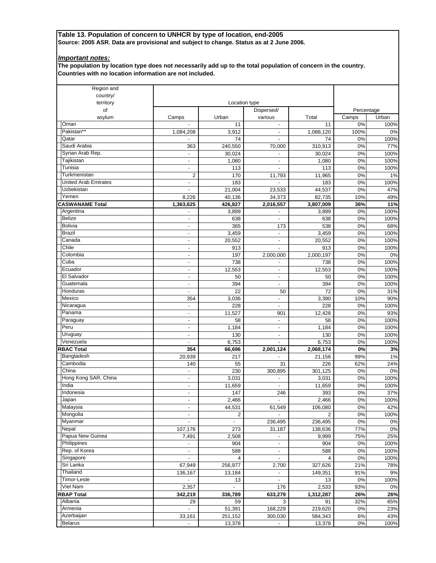## **Table 13. Population of concern to UNHCR by type of location, end-2005 Source: 2005 ASR. Data are provisional and subject to change. Status as at 2 June 2006.**

### *Important notes:*

**The population by location type does not necessarily add up to the total population of concern in the country. Countries with no location information are not included.**

| Region and                  |                          |                          |                          |                |                     |       |
|-----------------------------|--------------------------|--------------------------|--------------------------|----------------|---------------------|-------|
| country/                    |                          |                          |                          |                |                     |       |
| territory                   |                          | Location type            |                          |                |                     |       |
| of<br>asylum                | Camps                    | Urban                    | Dispersed/<br>various    | Total          | Percentage<br>Camps | Urban |
| Oman                        |                          | 11                       | $\overline{\phantom{a}}$ | 11             | 0%                  | 100%  |
| Pakistan**                  | 1,084,208                | 3,912                    | $\overline{\phantom{a}}$ | 1,088,120      | 100%                | 0%    |
| Qatar                       |                          | 74                       |                          | 74             | 0%                  | 100%  |
| Saudi Arabia                | 363                      | 240,550                  | 70,000                   | 310,913        | 0%                  | 77%   |
| Syrian Arab Rep.            |                          | 30,024                   | $\overline{\phantom{a}}$ | 30,024         | 0%                  | 100%  |
| Tajikistan                  | $\overline{\phantom{a}}$ | 1,080                    |                          | 1,080          | 0%                  | 100%  |
| Tunisia                     | $\blacksquare$           | 113                      | L.                       | 113            | 0%                  | 100%  |
| Turkmenistan                | $\overline{2}$           | 170                      | 11,793                   | 11,965         | 0%                  | 1%    |
| <b>United Arab Emirates</b> | $\overline{a}$           | 183                      | $\overline{\phantom{a}}$ | 183            | 0%                  | 100%  |
| Uzbekistan                  |                          | 21,004                   | 23,533                   | 44,537         | 0%                  | 47%   |
| Yemen                       | 8,226                    | 40,136                   | 34,373                   | 82,735         | 10%                 | 49%   |
| <b>CASWANAME Total</b>      | 1,363,625                | 426,827                  | 2,016,557                | 3,807,009      | 36%                 | 11%   |
| Argentina                   |                          | 3,899                    |                          | 3,899          | 0%                  | 100%  |
| <b>Belize</b>               | $\overline{\phantom{a}}$ | 638                      | $\overline{\phantom{a}}$ | 638            | 0%                  | 100%  |
| <b>Bolivia</b>              | $\overline{\phantom{a}}$ | 365                      | 173                      | 538            | 0%                  | 68%   |
| <b>Brazil</b>               | $\overline{\phantom{a}}$ | 3,459                    | $\overline{a}$           | 3,459          | 0%                  | 100%  |
| Canada                      | $\overline{\phantom{a}}$ | 20,552                   | $\overline{\phantom{a}}$ | 20,552         | 0%                  | 100%  |
| Chile                       | $\overline{\phantom{a}}$ | 913                      | $\overline{a}$           | 913            | 0%                  | 100%  |
| Colombia                    | $\overline{a}$           | 197                      | 2,000,000                | 2,000,197      | 0%                  | 0%    |
| Cuba                        | $\overline{\phantom{a}}$ | 738                      |                          | 738            | 0%                  | 100%  |
| Ecuador                     | $\overline{\phantom{a}}$ | 12,553                   | $\overline{\phantom{a}}$ | 12,553         | 0%                  | 100%  |
| El Salvador                 | $\overline{\phantom{a}}$ | 50                       | $\overline{\phantom{a}}$ | 50             | 0%                  | 100%  |
| Guatemala                   | $\overline{\phantom{a}}$ | 394                      |                          | 394            | 0%                  | 100%  |
| Honduras                    | $\overline{\phantom{a}}$ | 22                       | 50                       | 72             | 0%                  | 31%   |
| Mexico                      | 354                      | 3,036                    | $\overline{\phantom{a}}$ | 3,390          | 10%                 | 90%   |
| Nicaragua                   | $\overline{a}$           | 228                      |                          | 228            | 0%                  | 100%  |
| Panama                      | $\overline{\phantom{a}}$ | 11,527                   | 901                      | 12,428         | 0%                  | 93%   |
| Paraguay                    | $\overline{\phantom{a}}$ | 58                       | $\overline{\phantom{a}}$ | 58             | 0%                  | 100%  |
| Peru                        | $\overline{a}$           | 1,184                    | $\blacksquare$           | 1,184          | 0%                  | 100%  |
| Uruguay                     | $\overline{\phantom{a}}$ | 130                      | $\overline{\phantom{a}}$ | 130            | 0%                  | 100%  |
| Venezuela                   | $\overline{\phantom{a}}$ | 6,753                    | $\overline{a}$           | 6,753          | 0%                  | 100%  |
| RBAC Total                  | 354                      | 66,696                   | 2,001,124                | 2,068,174      | 0%                  | 3%    |
| Bangladesh                  | 20,939                   | 217                      |                          | 21,156         | 99%                 | 1%    |
| Cambodia                    | 140                      | 55                       | 31                       | 226            | 62%                 | 24%   |
| China                       | $\overline{\phantom{a}}$ | 230                      | 300,895                  | 301,125        | 0%                  | 0%    |
| Hong Kong SAR, China        | $\overline{\phantom{a}}$ | 3,031                    |                          | 3,031          | 0%                  | 100%  |
| India                       | $\blacksquare$           | 11,659                   | ÷,                       | 11,659         | 0%                  | 100%  |
| Indonesia                   | $\overline{\phantom{a}}$ | 147                      | 246                      | 393            | 0%                  | 37%   |
| Japan                       | $\overline{\phantom{a}}$ | 2,466                    | $\overline{\phantom{a}}$ | 2,466          | 0%                  | 100%  |
| Malaysia                    | $\overline{\phantom{a}}$ | 44,531                   | 61,549                   | 106,080        | 0%                  | 42%   |
| Mongolia                    | $\overline{\phantom{a}}$ | 2                        |                          | 2              | 0%                  | 100%  |
| Myanmar                     | $\blacksquare$           | $\overline{\phantom{a}}$ | 236,495                  | 236,495        | 0%                  | 0%    |
| Nepal                       | 107,176                  | 273                      | 31,187                   | 138,636        | 77%                 | 0%    |
| Papua New Guinea            | 7,491                    | 2,508                    | ÷,                       | 9,999          | 75%                 | 25%   |
| Philippines                 | $\overline{\phantom{0}}$ | 904                      | $\overline{\phantom{a}}$ | 904            | 0%                  | 100%  |
| Rep. of Korea               |                          | 588                      | $\overline{\phantom{0}}$ | 588            | 0%                  | 100%  |
| Singapore                   | $\overline{\phantom{a}}$ | $\overline{4}$           | $\overline{\phantom{a}}$ | $\overline{4}$ | 0%                  | 100%  |
| Sri Lanka                   | 67,949                   | 256,977                  | 2,700                    | 327,626        | 21%                 | 78%   |
| Thailand                    | 136,167                  | 13,184                   | $\overline{\phantom{a}}$ | 149,351        | 91%                 | 9%    |
| Timor-Leste                 |                          | 13                       | $\overline{a}$           | 13             | 0%                  | 100%  |
| Viet Nam                    | 2,357                    |                          | 176                      | 2,533          | 93%                 | 0%    |
| <b>RBAP Total</b>           | 342,219                  | 336,789                  | 633,279                  | 1,312,287      | 26%                 | 26%   |
| Albania                     | 29                       | 59                       | 3                        | 91             | 32%                 | 65%   |
| Armenia                     | $\overline{\phantom{a}}$ | 51,391                   | 168,229                  | 219,620        | 0%                  | 23%   |
| Azerbaijan                  | 33,161                   | 251,152                  | 300,030                  | 584,343        | 6%                  | 43%   |
| <b>Belarus</b>              | $\overline{\phantom{a}}$ | 13,378                   |                          | 13,378         | 0%                  | 100%  |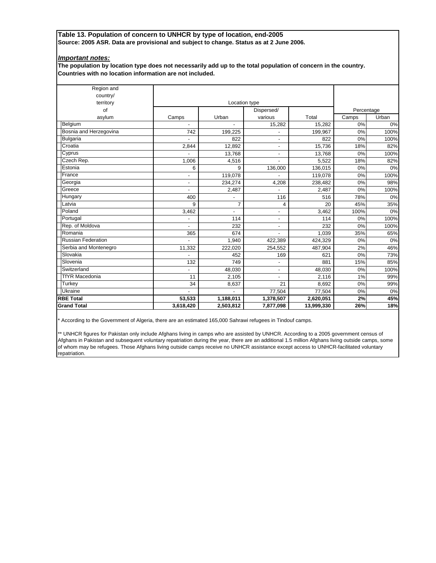## **Table 13. Population of concern to UNHCR by type of location, end-2005 Source: 2005 ASR. Data are provisional and subject to change. Status as at 2 June 2006.**

#### *Important notes:*

**The population by location type does not necessarily add up to the total population of concern in the country. Countries with no location information are not included.**

| <b>Grand Total</b>        | 3,618,420                | 2,503,812                | 7,877,098                | 13,999,330 | 26%        | 18%   |
|---------------------------|--------------------------|--------------------------|--------------------------|------------|------------|-------|
| <b>RBE Total</b>          | 53,533                   | 1,188,011                | 1,378,507                | 2,620,051  | 2%         | 45%   |
| Ukraine                   |                          |                          | 77,504                   | 77,504     | 0%         | 0%    |
| Turkey                    | 34                       | 8,637                    | 21                       | 8.692      | 0%         | 99%   |
| <b>TfYR Macedonia</b>     | 11                       | 2.105                    | $\overline{a}$           | 2,116      | 1%         | 99%   |
| Switzerland               |                          | 48,030                   | $\overline{\phantom{0}}$ | 48,030     | 0%         | 100%  |
| Slovenia                  | 132                      | 749                      | $\overline{\phantom{0}}$ | 881        | 15%        | 85%   |
| Slovakia                  |                          | 452                      | 169                      | 621        | 0%         | 73%   |
| Serbia and Montenegro     | 11,332                   | 222,020                  | 254,552                  | 487,904    | 2%         | 46%   |
| <b>Russian Federation</b> |                          | 1,940                    | 422.389                  | 424,329    | 0%         | 0%    |
| Romania                   | 365                      | 674                      |                          | 1,039      | 35%        | 65%   |
| Rep. of Moldova           |                          | 232                      | $\overline{\phantom{0}}$ | 232        | 0%         | 100%  |
| Portugal                  |                          | 114                      | $\overline{\phantom{a}}$ | 114        | 0%         | 100%  |
| Poland                    | 3,462                    | $\overline{\phantom{0}}$ | -                        | 3,462      | 100%       | 0%    |
| Latvia                    | 9                        | $\overline{7}$           | 4                        | 20         | 45%        | 35%   |
| Hungary                   | 400                      | $\overline{a}$           | 116                      | 516        | 78%        | 0%    |
| Greece                    | $\overline{\phantom{0}}$ | 2,487                    |                          | 2,487      | 0%         | 100%  |
| Georgia                   | $\overline{\phantom{a}}$ | 234,274                  | 4,208                    | 238,482    | 0%         | 98%   |
| France                    | $\overline{a}$           | 119,078                  |                          | 119,078    | 0%         | 100%  |
| Estonia                   | 6                        | $\mathbf{Q}$             | 136,000                  | 136,015    | 0%         | 0%    |
| Czech Rep.                | 1,006                    | 4,516                    |                          | 5,522      | 18%        | 82%   |
| Cyprus                    |                          | 13,768                   | $\overline{a}$           | 13,768     | 0%         | 100%  |
| Croatia                   | 2,844                    | 12,892                   | $\overline{\phantom{0}}$ | 15.736     | 18%        | 82%   |
| Bulgaria                  |                          | 822                      | $\overline{\phantom{a}}$ | 822        | 0%         | 100%  |
| Bosnia and Herzegovina    | 742                      | 199,225                  |                          | 199,967    | 0%         | 100%  |
| Belgium                   |                          |                          | 15,282                   | 15,282     | 0%         | 0%    |
| asylum                    | Camps                    | Urban                    | various                  | Total      | Camps      | Urban |
| of                        |                          |                          | Dispersed/               |            | Percentage |       |
| territory                 |                          | Location type            |                          |            |            |       |
| country/                  |                          |                          |                          |            |            |       |
| Region and                |                          |                          |                          |            |            |       |

\* According to the Government of Algeria, there are an estimated 165,000 Sahrawi refugees in Tindouf camps.

\*\* UNHCR figures for Pakistan only include Afghans living in camps who are assisted by UNHCR. According to a 2005 government census of Afghans in Pakistan and subsequent voluntary repatriation during the year, there are an additional 1.5 million Afghans living outside camps, some of whom may be refugees. Those Afghans living outside camps receive no UNHCR assistance except access to UNHCR-facilitated voluntary repatriation.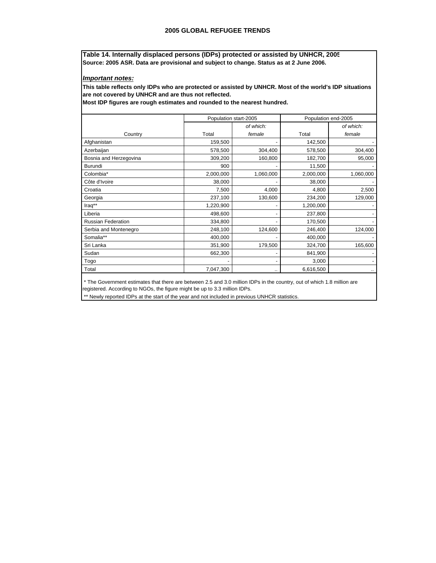#### **2005 GLOBAL REFUGEE TRENDS**

**Table 14. Internally displaced persons (IDPs) protected or assisted by UNHCR, 2005 Source: 2005 ASR. Data are provisional and subject to change. Status as at 2 June 2006.**

## *Important notes:*

**This table reflects only IDPs who are protected or assisted by UNHCR. Most of the world's IDP situations are not covered by UNHCR and are thus not reflected.**

**Most IDP figures are rough estimates and rounded to the nearest hundred.**

|                        | Population start-2005 |           |           | Population end-2005 |
|------------------------|-----------------------|-----------|-----------|---------------------|
|                        |                       | of which: |           | of which:           |
| Country                | Total                 | female    | Total     | female              |
| Afghanistan            | 159,500               |           | 142,500   |                     |
| Azerbaijan             | 578,500               | 304,400   | 578,500   | 304,400             |
| Bosnia and Herzegovina | 309,200               | 160,800   | 182,700   | 95,000              |
| Burundi                | 900                   |           | 11,500    |                     |
| Colombia*              | 2,000,000             | 1,060,000 | 2,000,000 | 1,060,000           |
| Côte d'Ivoire          | 38,000                |           | 38,000    |                     |
| Croatia                | 7,500                 | 4,000     | 4,800     | 2,500               |
| Georgia                | 237,100               | 130,600   | 234,200   | 129,000             |
| Iraq**                 | 1,220,900             |           | 1,200,000 |                     |
| Liberia                | 498,600               |           | 237,800   |                     |
| Russian Federation     | 334,800               |           | 170,500   |                     |
| Serbia and Montenegro  | 248,100               | 124,600   | 246,400   | 124,000             |
| Somalia**              | 400,000               |           | 400,000   |                     |
| Sri Lanka              | 351,900               | 179,500   | 324,700   | 165,600             |
| Sudan                  | 662,300               |           | 841,900   |                     |
| Togo                   |                       |           | 3,000     |                     |
| Total                  | 7,047,300             |           | 6,616,500 |                     |

 \* The Government estimates that there are between 2.5 and 3.0 million IDPs in the country, out of which 1.8 million are registered. According to NGOs, the figure might be up to 3.3 million IDPs.

\*\* Newly reported IDPs at the start of the year and not included in previous UNHCR statistics.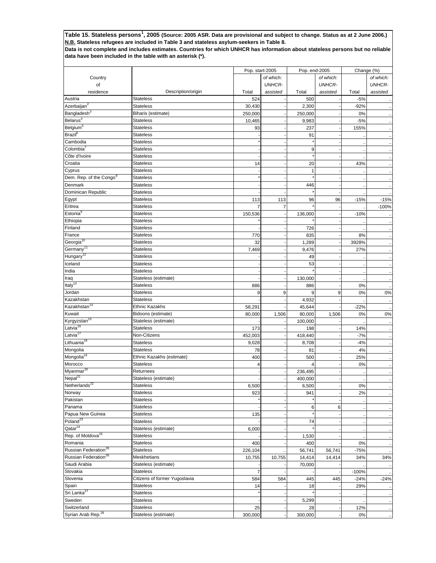**Table 15. Stateless persons<sup>1</sup> , 2005 (Source: 2005 ASR. Data are provisional and subject to change. Status as at 2 June 2006.) N.B. Stateless refugees are included in Table 3 and stateless asylum-seekers in Table 8.**

**Data is not complete and includes estimates. Countries for which UNHCR has information about stateless persons but no reliable data have been included in the table with an asterisk (\*).**

|                                     |                               | Pop. start-2005 |               | Pop. end-2005 |               | Change (%) |               |
|-------------------------------------|-------------------------------|-----------------|---------------|---------------|---------------|------------|---------------|
| Country                             |                               |                 | of which:     |               | of which:     |            | of which:     |
| of                                  |                               |                 | <b>UNHCR-</b> |               | <b>UNHCR-</b> |            | <b>UNHCR-</b> |
| residence                           | Description/origin            | Total           | assisted      | Total         | assisted      | Total      | assisted      |
| Austria                             | <b>Stateless</b>              | 524             |               | 500           |               | $-5%$      |               |
| Azerbaijan <sup>2</sup>             | <b>Stateless</b>              | 30,430          |               | 2,300         |               | $-92%$     |               |
| Bangladesh <sup>3</sup>             |                               |                 |               |               |               |            |               |
| Belarus <sup>4</sup>                | Biharis (estimate)            | 250,000         |               | 250,000       |               | 0%         |               |
|                                     | <b>Stateless</b>              | 10,465          |               | 9,983         |               | $-5%$      |               |
| Belgium <sup>5</sup>                | <b>Stateless</b>              | 93              |               | 237           |               | 155%       |               |
| Brazil <sup>6</sup>                 | <b>Stateless</b>              |                 |               | 91            |               |            |               |
| Cambodia                            | <b>Stateless</b>              |                 |               |               |               |            |               |
| Colombia <sup>7</sup>               | <b>Stateless</b>              |                 |               | 9             |               |            |               |
| Côte d'Ivoire                       | <b>Stateless</b>              |                 |               |               |               |            |               |
| Croatia                             | <b>Stateless</b>              | 14              |               | 20            |               | 43%        |               |
| Cyprus                              | <b>Stateless</b>              |                 |               | $\mathbf{1}$  |               |            |               |
| Dem. Rep. of the Congo <sup>8</sup> | <b>Stateless</b>              |                 |               |               |               |            |               |
| Denmark                             | <b>Stateless</b>              |                 |               | 446           |               |            |               |
| Dominican Republic                  | <b>Stateless</b>              |                 |               |               |               |            |               |
| Egypt                               | <b>Stateless</b>              | 113             | 113           | 96            | 96            | $-15%$     | $-15%$        |
| Eritrea                             | <b>Stateless</b>              | $\overline{7}$  | 7             |               |               |            | $-100%$       |
| Estonia <sup>9</sup>                |                               |                 |               |               |               |            |               |
|                                     | <b>Stateless</b>              | 150,536         |               | 136,000       |               | $-10%$     |               |
| Ethiopia                            | <b>Stateless</b>              |                 |               |               |               |            |               |
| Finland                             | <b>Stateless</b>              |                 |               | 726           |               |            |               |
| France                              | <b>Stateless</b>              | 770             |               | 835           |               | 8%         |               |
| Georgia <sup>10</sup>               | <b>Stateless</b>              | 32              |               | 1,289         |               | 3928%      |               |
| Germany <sup>11</sup>               | <b>Stateless</b>              | 7,469           |               | 9,476         |               | 27%        |               |
| Hungary <sup>12</sup>               | <b>Stateless</b>              |                 |               | 49            |               |            |               |
| Iceland                             | <b>Stateless</b>              |                 |               | 53            |               |            |               |
| India                               | <b>Stateless</b>              |                 |               |               |               |            |               |
| Iraq                                | Stateless (estimate)          |                 |               | 130,000       |               |            |               |
| Italy <sup>13</sup>                 | <b>Stateless</b>              | 886             |               | 886           |               | 0%         |               |
| Jordan                              | <b>Stateless</b>              | 9               | 9             | 9             | 9             | 0%         | 0%            |
| Kazakhstan                          | Stateless                     |                 |               |               |               |            |               |
| Kazakhstan <sup>14</sup>            |                               |                 |               | 4,932         |               |            |               |
|                                     | <b>Ethnic Kazakhs</b>         | 58,291          |               | 45,644        |               | $-22%$     |               |
| Kuwait                              | Bidoons (estimate)            | 80,000          | 1,506         | 80,000        | 1,506         | 0%         | 0%            |
| Kyrgyzstan <sup>15</sup>            | Stateless (estimate)          |                 |               | 100,000       |               |            |               |
| Latvia <sup>16</sup>                | <b>Stateless</b>              | 173             |               | 198           |               | 14%        |               |
| Latvia <sup>17</sup>                | Non-Citizens                  | 452,003         |               | 418,440       |               | $-7%$      |               |
| Lithuania <sup>18</sup>             | <b>Stateless</b>              | 9,028           |               | 8,708         |               | $-4%$      |               |
| Mongolia                            | <b>Stateless</b>              | 78              |               | 81            |               | 4%         |               |
| Mongolia <sup>19</sup>              | Ethnic Kazakhs (estimate)     | 400             |               | 500           |               | 25%        |               |
| Morocco                             | <b>Stateless</b>              | 4               |               | 4             |               | 0%         |               |
| Myanmar <sup>20</sup>               | Returnees                     |                 |               | 236,495       |               |            |               |
| Nepal <sup>21</sup>                 | Stateless (estimate)          |                 |               | 400,000       |               |            |               |
| Netherlands                         | Stateless                     | 6,500           |               | 6,500         |               | 0%         |               |
| Norway                              | <b>Stateless</b>              | 923             |               | 941           |               | 2%         |               |
| Pakistan                            | <b>Stateless</b>              |                 |               |               |               |            |               |
| Panama                              | <b>Stateless</b>              |                 |               | 6             | 6             |            |               |
| Papua New Guinea                    |                               |                 |               |               |               |            |               |
|                                     | <b>Stateless</b>              | 135             |               |               |               |            |               |
| Poland <sup>23</sup>                | <b>Stateless</b>              |                 |               | 74            |               |            |               |
| $\textsf{Qatar}^{24}$               | Stateless (estimate)          | 6,000           |               |               |               |            |               |
| Rep. of Moldova <sup>25</sup>       | <b>Stateless</b>              |                 |               | 1,530         |               |            |               |
| Romania                             | <b>Stateless</b>              | 400             |               | 400           |               | 0%         |               |
| Russian Federation <sup>26</sup>    | Stateless                     | 226,104         |               | 56,741        | 56,741        | $-75%$     |               |
| Russian Federation <sup>26</sup>    | Meskhetians                   | 10,755          | 10,755        | 14,414        | 14,414        | 34%        | 34%           |
| Saudi Arabia                        | Stateless (estimate)          |                 |               | 70,000        |               |            |               |
| Slovakia                            | <b>Stateless</b>              | $\overline{7}$  |               |               |               | $-100%$    |               |
| Slovenia                            | Citizens of former Yugoslavia | 584             | 584           | 445           | 445           | $-24%$     | $-24%$        |
| Spain                               | <b>Stateless</b>              | 14              |               | 18            |               | 29%        |               |
| Sri Lanka <sup>27</sup>             | <b>Stateless</b>              |                 |               |               |               |            |               |
| Sweden                              | <b>Stateless</b>              |                 |               | 5,299         |               |            |               |
| Switzerland                         | <b>Stateless</b>              | 25              |               | 28            |               | 12%        |               |
| Syrian Arab Rep. <sup>28</sup>      | Stateless (estimate)          |                 |               |               |               |            |               |
|                                     |                               | 300,000         |               | 300,000       |               | 0%         |               |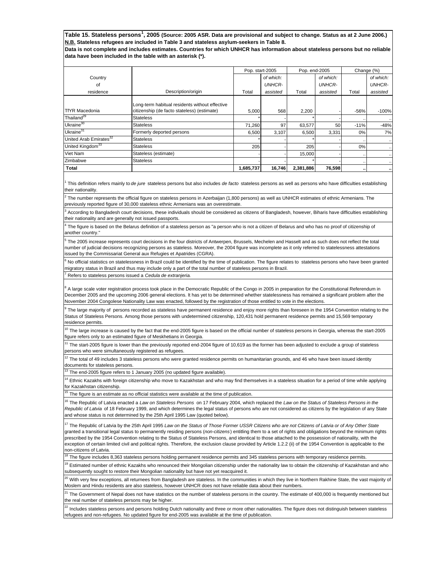**Table 15. Stateless persons<sup>1</sup> , 2005 (Source: 2005 ASR. Data are provisional and subject to change. Status as at 2 June 2006.) N.B. Stateless refugees are included in Table 3 and stateless asylum-seekers in Table 8.**

**Data is not complete and includes estimates. Countries for which UNHCR has information about stateless persons but no reliable data have been included in the table with an asterisk (\*).**

|                                    |                                                                                               | Pop. start-2005 |               | Pop. end-2005 |               |        | Change (%)    |
|------------------------------------|-----------------------------------------------------------------------------------------------|-----------------|---------------|---------------|---------------|--------|---------------|
| Country                            |                                                                                               |                 | of which:     |               | of which:     |        | of which:     |
| 0f                                 |                                                                                               |                 | <b>UNHCR-</b> |               | <b>UNHCR-</b> |        | <b>UNHCR-</b> |
| residence                          | Description/origin                                                                            | Total           | assisted      | Total         | assisted      | Total  | assisted      |
| <b>TfYR Macedonia</b>              | Long-term habitual residents without effective<br>citizenship (de facto stateless) (estimate) | 5.000           | 568           | 2,200         |               | $-56%$ | $-100%$       |
| Thailand <sup>29</sup>             | <b>Stateless</b>                                                                              |                 |               |               |               |        | $\cdot\cdot$  |
| Ukraine <sup>30</sup>              | <b>Stateless</b>                                                                              | 71,260          | 97            | 63,577        | 50            | $-11%$ | $-48%$        |
| Ukraine <sup>31</sup>              | Formerly deported persons                                                                     | 6,500           | 3.107         | 6,500         | 3.331         | 0%     | 7%            |
| United Arab Emirates <sup>32</sup> | <b>Stateless</b>                                                                              |                 |               |               |               |        | $\ddotsc$     |
| United Kingdom <sup>33</sup>       | <b>Stateless</b>                                                                              | 205             |               | 205           |               | 0%     | $\cdot$       |
| Viet Nam                           | Stateless (estimate)                                                                          |                 |               | 15,000        |               |        | $\cdot$       |
| Zimbabwe                           | <b>Stateless</b>                                                                              |                 |               |               |               |        | $\cdot$       |
| Total                              |                                                                                               | 1,685,737       | 16.746        | 2,381,886     | 76,598        |        |               |

1 This definition refers mainly to *de jure* stateless persons but also includes *de facto* stateless persons as well as persons who have difficulties establishing heir nationality

2 The number represents the official figure on stateless persons in Azerbaijan (1,800 persons) as well as UNHCR estimates of ethnic Armenians. The previously reported figure of 30,000 stateless ethnic Armenians was an overestimate.

3 According to Bangladesh court decisions, these individuals should be considered as citizens of Bangladesh, however, Biharis have difficulties establishing their nationality and are generally not issued passports.

4 The figure is based on the Belarus definition of a stateless person as "a person who is not a citizen of Belarus and who has no proof of citizenship of another country.

5 The 2005 increase represents court decisions in the four districts of Antwerpen, Brussels, Mechelen and Hasselt and as such does not reflect the total number of judicial decisions recognizing persons as stateless. Moreover, the 2004 figure was incomplete as it only referred to statelessness attestations ssued by the Commissariat General aux Refugies et Apatrides (CGRA).

6 No official statistics on statelessness in Brazil could be identified by the time of publication. The figure relates to stateless persons who have been granted migratory status in Brazil and thus may include only a part of the total number of stateless persons in Brazil.

7 Refers to stateless persons issued a *Cedula de extranjeria.*

8 A large scale voter registration process took place in the Democratic Republic of the Congo in 2005 in preparation for the Constitutional Referendum in December 2005 and the upcoming 2006 general elections. It has yet to be determined whether statelessness has remained a significant problem after the November 2004 Congolese Nationality Law was enacted, followed by the registration of those entitled to vote in the elections.

9 The large majority of persons recorded as stateless have permanent residence and enjoy more rights than foreseen in the 1954 Convention relating to the Status of Stateless Persons. Among those persons with undetermined citizenship, 120,431 hold permanent residence permits and 15,569 temporary residence permits.

 $0$  The large increase is caused by the fact that the end-2005 figure is based on the official number of stateless persons in Georgia, whereas the start-2005 figure refers only to an estimated figure of Meskhetians in Georgia.

 $^1$  The start-2005 figure is lower than the previously reported end-2004 figure of 10,619 as the former has been adjusted to exclude a group of stateless persons who were simultaneously registered as refugees.

 $12$  The total of 49 includes 3 stateless persons who were granted residence permits on humanitarian grounds, and 46 who have been issued identity documents for stateless persons.

 $3$  The end-2005 figure refers to 1 January 2005 (no updated figure available).

<sup>4</sup> Ethnic Kazakhs with foreign citizenship who move to Kazakhstan and who may find themselves in a stateless situation for a period of time while applying or Kazakhstan citizenship.

 $<sup>5</sup>$  The figure is an estimate as no official statistics were available at the time of publication.</sup>

16 The Republic of Latvia enacted a *Law on Stateless Persons* on 17 February 2004, which replaced the *Law on the Status of Stateless Persons in the Republic of Latvia* of 18 February 1999, and which determines the legal status of persons who are not considered as citizens by the legislation of any State and whose status is not determined by the 25th April 1995 Law (quoted below).

<sup>7</sup> The Republic of Latvia by the 25th April 1995 Law on the Status of Those Former USSR Citizens who are not Citizens of Latvia or of Any Other State granted a transitional legal status to permanently residing persons (*non-citizens* ) entitling them to a set of rights and obligations beyond the minimum rights prescribed by the 1954 Convention relating to the Status of Stateless Persons, and identical to those attached to the possession of nationality, with the exception of certain limited civil and political rights. Therefore, the exclusion clause provided by Article 1.2.2 (ii) of the 1954 Convention is applicable to the non-citizens of Latvia.

 $^{\rm 8}$  The figure includes 8,363 stateless persons holding permanent residence permits and 345 stateless persons with temporary residence permits.

<sup>9</sup> Estimated number of ethnic Kazakhs who renounced their Mongolian citizenship under the nationality law to obtain the citizenship of Kazakhstan and who subsequently sought to restore their Mongolian nationality but have not yet reacquired it.

 $^0$  With very few exceptions, all returnees from Bangladesh are stateless. In the communities in which they live in Northern Rakhine State, the vast majority of Moslem and Hindu residents are also stateless, however UNHCR does not have reliable data about their numbers.

<sup>1</sup> The Government of Nepal does not have statistics on the number of stateless persons in the country. The estimate of 400,000 is frequently mentioned but the real number of stateless persons may be higher.

<sup>2</sup> Includes stateless persons and persons holding Dutch nationality and three or more other nationalities. The figure does not distinguish between stateless refugees and non-refugees. No updated figure for end-2005 was available at the time of publication.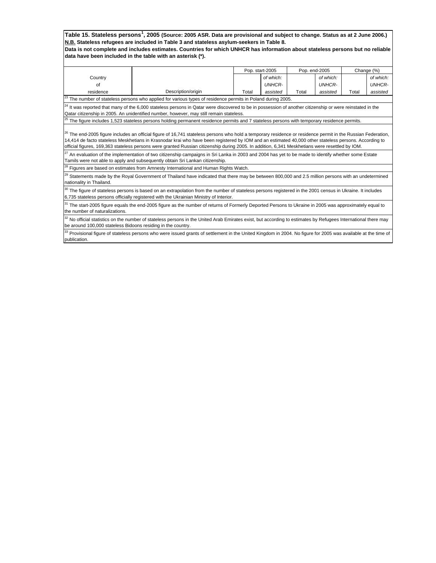**Table 15. Stateless persons<sup>1</sup> , 2005 (Source: 2005 ASR. Data are provisional and subject to change. Status as at 2 June 2006.) N.B. Stateless refugees are included in Table 3 and stateless asylum-seekers in Table 8. Data is not complete and includes estimates. Countries for which UNHCR has information about stateless persons but no reliable** 

**data have been included in the table with an asterisk (\*).**

|                                                                                                                                                                         |                                                                                                                                                         | Pop. start-2005 |               | Pop. end-2005 |               |       | Change (%)    |  |  |  |
|-------------------------------------------------------------------------------------------------------------------------------------------------------------------------|---------------------------------------------------------------------------------------------------------------------------------------------------------|-----------------|---------------|---------------|---------------|-------|---------------|--|--|--|
| Country                                                                                                                                                                 |                                                                                                                                                         |                 | of which:     |               | of which:     |       | of which:     |  |  |  |
| Ωf                                                                                                                                                                      |                                                                                                                                                         |                 | <b>UNHCR-</b> |               | <b>UNHCR-</b> |       | <b>UNHCR-</b> |  |  |  |
| residence                                                                                                                                                               | Description/origin                                                                                                                                      | Total           | assisted      | Total         | assisted      | Total | assisted      |  |  |  |
| <sup>23</sup> The number of stateless persons who applied for various types of residence permits in Poland during 2005.                                                 |                                                                                                                                                         |                 |               |               |               |       |               |  |  |  |
| <sup>24</sup> It was reported that many of the 6,000 stateless persons in Qatar were discovered to be in possession of another citizenship or were reinstated in the    |                                                                                                                                                         |                 |               |               |               |       |               |  |  |  |
|                                                                                                                                                                         | Qatar citizenship in 2005. An unidentified number, however, may still remain stateless.                                                                 |                 |               |               |               |       |               |  |  |  |
|                                                                                                                                                                         | <sup>25</sup> The figure includes 1,523 stateless persons holding permanent residence permits and 7 stateless persons with temporary residence permits. |                 |               |               |               |       |               |  |  |  |
|                                                                                                                                                                         |                                                                                                                                                         |                 |               |               |               |       |               |  |  |  |
| <sup>26</sup> The end-2005 figure includes an official figure of 16,741 stateless persons who hold a temporary residence or residence permit in the Russian Federation, |                                                                                                                                                         |                 |               |               |               |       |               |  |  |  |
| 14,414 de facto stateless Meskhetians in Krasnodar krai who have been registered by IOM and an estimated 40,000 other stateless persons. According to                   |                                                                                                                                                         |                 |               |               |               |       |               |  |  |  |
|                                                                                                                                                                         | official figures, 169,363 stateless persons were granted Russian citizenship during 2005. In addition, 6,341 Meskhetians were resettled by IOM.         |                 |               |               |               |       |               |  |  |  |

<sup>7</sup> An evaluation of the implementation of two citizenship campaigns in Sri Lanka in 2003 and 2004 has yet to be made to identify whether some Estate Tamils were not able to apply and subsequently obtain Sri Lankan citizenship.

 $8$  Figures are based on estimates from Amnesty International and Human Rights Watch.

<sup>29</sup> Statements made by the Royal Government of Thailand have indicated that there may be between 800,000 and 2.5 million persons with an undetermined nationality in Thailand.

<sup>30</sup> The figure of stateless persons is based on an extrapolation from the number of stateless persons registered in the 2001 census in Ukraine. It includes 6,735 stateless persons officially registered with the Ukrainian Ministry of Interior.

 $31$  The start-2005 figure equals the end-2005 figure as the number of returns of Formerly Deported Persons to Ukraine in 2005 was approximately equal to the number of naturalizations.

 $^{12}$  No official statistics on the number of stateless persons in the United Arab Emirates exist, but according to estimates by Refugees International there may be around 100,000 stateless Bidoons residing in the country.

 $\rm ^{13}$  Provisional figure of stateless persons who were issued grants of settlement in the United Kingdom in 2004. No figure for 2005 was available at the time of publication.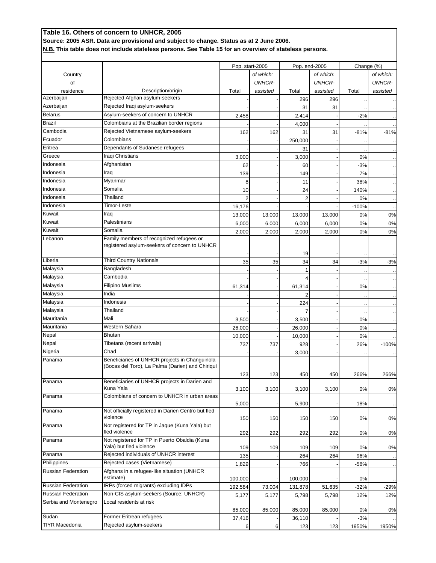## **Table 16. Others of concern to UNHCR, 2005**

**Source: 2005 ASR. Data are provisional and subject to change. Status as at 2 June 2006.**

**N.B. This table does not include stateless persons. See Table 15 for an overview of stateless persons.**

|                       |                                                                 |                | Pop. start-2005 | Pop. end-2005 |               | Change (%) |               |
|-----------------------|-----------------------------------------------------------------|----------------|-----------------|---------------|---------------|------------|---------------|
| Country               |                                                                 |                | of which:       |               | of which:     |            | of which:     |
| οf                    |                                                                 |                | <b>UNHCR-</b>   |               | <b>UNHCR-</b> |            | <b>UNHCR-</b> |
| residence             | Description/origin                                              | Total          | assisted        | Total         | assisted      | Total      | assisted      |
| Azerbaijan            | Rejected Afghan asylum-seekers                                  |                |                 | 296           | 296           |            |               |
| Azerbaijan            | Rejected Iraqi asylum-seekers                                   |                |                 | 31            | 31            |            |               |
| <b>Belarus</b>        | Asylum-seekers of concern to UNHCR                              | 2,458          |                 | 2,414         |               | $-2%$      |               |
| <b>Brazil</b>         | Colombians at the Brazilian border regions                      |                |                 | 4,000         |               |            |               |
| Cambodia              | Rejected Vietnamese asylum-seekers                              | 162            | 162             | 31            | 31            | $-81%$     | $-81%$        |
| Ecuador               | Colombians                                                      |                |                 | 250,000       |               |            |               |
| Eritrea               | Dependants of Sudanese refugees                                 |                |                 | 31            |               |            |               |
| Greece                | Iraqi Christians                                                | 3,000          |                 | 3,000         |               | 0%         |               |
| Indonesia             | Afghanistan                                                     | 62             |                 | 60            |               | $-3%$      |               |
| Indonesia             | Iraq                                                            | 139            |                 | 149           |               | 7%         |               |
| Indonesia             | Myanmar                                                         | 8              |                 | 11            |               | 38%        |               |
| Indonesia             | Somalia                                                         | 10             |                 | 24            |               | 140%       |               |
| Indonesia             | Thailand                                                        | $\overline{2}$ |                 |               |               | 0%         |               |
| Indonesia             | Timor-Leste                                                     | 16,176         |                 |               |               | $-100%$    | $\ddotsc$     |
| Kuwait                | Iraq                                                            | 13,000         | 13,000          | 13,000        | 13,000        | 0%         | 0%            |
| Kuwait                | Palestinians                                                    |                |                 |               |               | 0%         | 0%            |
| Kuwait                | Somalia                                                         | 6,000          | 6,000           | 6,000         | 6,000         |            | 0%            |
| Lebanon               | Family members of recognized refugees or                        | 2,000          | 2,000           | 2,000         | 2,000         | 0%         |               |
|                       | registered asylum-seekers of concern to UNHCR                   |                |                 |               |               |            |               |
|                       |                                                                 |                |                 | 19            |               |            |               |
| Liberia               | <b>Third Country Nationals</b>                                  | 35             | 35              | 34            | 34            | $-3%$      | $-3%$         |
| Malaysia              | Bangladesh                                                      |                |                 |               |               |            |               |
| Malaysia              | Cambodia                                                        |                |                 |               |               |            |               |
| Malaysia              | <b>Filipino Muslims</b>                                         | 61,314         |                 | 61,314        |               | 0%         |               |
| Malaysia              | India                                                           |                |                 |               |               |            |               |
| Malaysia              | Indonesia                                                       |                |                 | 224           |               |            |               |
| Malaysia              | Thailand                                                        |                |                 |               |               |            |               |
| Mauritania            | Mali                                                            | 3,500          |                 | 3,500         |               | 0%         |               |
| Mauritania            | Western Sahara                                                  | 26,000         |                 | 26,000        |               | 0%         |               |
| Nepal                 | <b>Bhutan</b>                                                   | 10,000         |                 | 10,000        |               | 0%         |               |
| Nepal                 | Tibetans (recent arrivals)                                      | 737            | 737             | 928           |               | 26%        | $-100%$       |
| Nigeria               | Chad                                                            |                |                 | 3,000         |               |            |               |
| Panama                | Beneficiaries of UNHCR projects in Changuinola                  |                |                 |               |               |            |               |
|                       | (Bocas del Toro), La Palma (Darien) and Chiriquí                |                |                 |               |               |            |               |
|                       |                                                                 | 123            | 123             | 450           | 450           | 266%       | 266%          |
| Panama                | Beneficiaries of UNHCR projects in Darien and                   |                |                 |               |               |            |               |
|                       | Kuna Yala                                                       | 3,100          | 3,100           | 3,100         | 3,100         | 0%         | 0%            |
| Panama                | Colombians of concern to UNHCR in urban areas                   |                |                 |               |               |            |               |
|                       |                                                                 | 5,000          |                 | 5,900         |               | 18%        | $\cdot$       |
| Panama                | Not officially registered in Darien Centro but fled<br>violence |                |                 |               |               |            |               |
| Panama                | Not registered for TP in Jaque (Kuna Yala) but                  | 150            | 150             | 150           | 150           | 0%         | $0\%$         |
|                       | fled violence                                                   | 292            | 292             | 292           | 292           | 0%         | 0%            |
| Panama                | Not registered for TP in Puerto Obaldia (Kuna                   |                |                 |               |               |            |               |
|                       | Yala) but fled violence                                         | 109            | 109             | 109           | 109           | 0%         | 0%            |
| Panama                | Rejected individuals of UNHCR interest                          | 135            |                 | 264           | 264           | 96%        |               |
| Philippines           | Rejected cases (Vietnamese)                                     | 1,829          |                 | 766           |               | $-58%$     |               |
| Russian Federation    | Afghans in a refugee-like situation (UNHCR                      |                |                 |               |               |            |               |
|                       | estimate)                                                       | 100,000        |                 | 100,000       |               | 0%         |               |
| Russian Federation    | IRPs (forced migrants) excluding IDPs                           | 192,584        | 73,004          | 131,878       | 51,635        | $-32%$     | $-29%$        |
| Russian Federation    | Non-CIS asylum-seekers (Source: UNHCR)                          | 5,177          | 5,177           | 5,798         | 5,798         | 12%        | 12%           |
| Serbia and Montenegro | Local residents at risk                                         |                |                 |               |               |            |               |
|                       |                                                                 | 85,000         | 85,000          | 85,000        | 85,000        | 0%         | 0%            |
| Sudan                 | Former Eritrean refugees                                        | 37,416         |                 | 36,110        |               | $-3%$      |               |
| <b>TfYR Macedonia</b> | Rejected asylum-seekers                                         | 6              | 6               | 123           | 123           | 1950%      | 1950%         |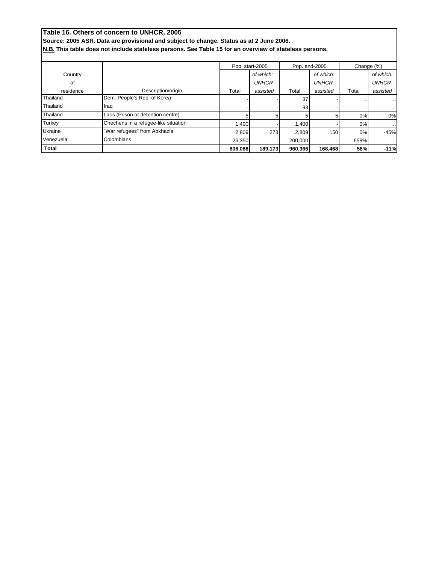## **Table 16. Others of concern to UNHCR, 2005**

**Source: 2005 ASR. Data are provisional and subject to change. Status as at 2 June 2006.**

**N.B. This table does not include stateless persons. See Table 15 for an overview of stateless persons.**

|                |                                      | Pop. start-2005 |               | Pop. end-2005 |               | Change (%) |               |
|----------------|--------------------------------------|-----------------|---------------|---------------|---------------|------------|---------------|
| Country        |                                      |                 | of which:     |               | of which:     |            | of which:     |
| οf             |                                      |                 | <b>UNHCR-</b> |               | <b>UNHCR-</b> |            | <b>UNHCR-</b> |
| residence      | Description/origin                   | Total           | assisted      | Total         | assisted      | Total      | assisted      |
| Thailand       | Dem. People's Rep. of Korea          |                 |               | 37            |               |            | $\cdot$ .     |
| Thailand       | Iraq                                 |                 |               | 93            |               |            | $\cdots$      |
| Thailand       | Laos (Prison or detention centre)    |                 |               |               |               | 0%         | 0%            |
| Turkey         | Chechens in a refugee-like situation | 1.400           |               | 1.400         |               | 0%         |               |
| <b>Ukraine</b> | "War refugees" from Abkhazia         | 2.809           | 273           | 2.809         | 150           | 0%         | $-45%$        |
| Venezuela      | Colombians                           | 26.350          |               | 200.000       |               | 659%       | $\cdot$ .     |
| Total          |                                      | 606.088         | 189,173       | 960,366       | 168,468       | 58%        | $-11%$        |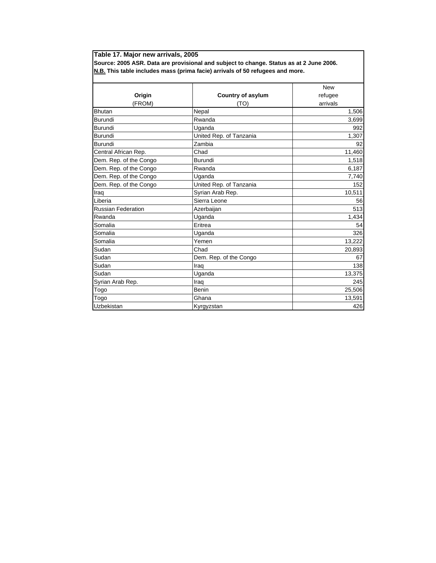**Table 17. Major new arrivals, 2005**

**Source: 2005 ASR. Data are provisional and subject to change. Status as at 2 June 2006. N.B. This table includes mass (prima facie) arrivals of 50 refugees and more.**

|                           |                         | <b>New</b> |
|---------------------------|-------------------------|------------|
| Origin                    | Country of asylum       | refugee    |
| (FROM)                    | (TO)                    | arrivals   |
| <b>Bhutan</b>             | Nepal                   | 1,506      |
| Burundi                   | Rwanda                  | 3,699      |
| <b>Burundi</b>            | Uganda                  | 992        |
| Burundi                   | United Rep. of Tanzania | 1,307      |
| Burundi                   | Zambia                  | 92         |
| Central African Rep.      | Chad                    | 11,460     |
| Dem. Rep. of the Congo    | Burundi                 | 1,518      |
| Dem. Rep. of the Congo    | Rwanda                  | 6,187      |
| Dem. Rep. of the Congo    | Uganda                  | 7,740      |
| Dem. Rep. of the Congo    | United Rep. of Tanzania | 152        |
| Iraq                      | Syrian Arab Rep.        | 10,511     |
| Liberia                   | Sierra Leone            | 56         |
| <b>Russian Federation</b> | Azerbaijan              | 513        |
| Rwanda                    | Uganda                  | 1,434      |
| Somalia                   | Eritrea                 | 54         |
| Somalia                   | Uganda                  | 326        |
| Somalia                   | Yemen                   | 13,222     |
| Sudan                     | Chad                    | 20,893     |
| Sudan                     | Dem. Rep. of the Congo  | 67         |
| Sudan                     | Iraq                    | 138        |
| Sudan                     | Uganda                  | 13,375     |
| Syrian Arab Rep.          | Iraq                    | 245        |
| Togo                      | Benin                   | 25,506     |
| Togo                      | Ghana                   | 13,591     |
| Uzbekistan                | Kyrgyzstan              | 426        |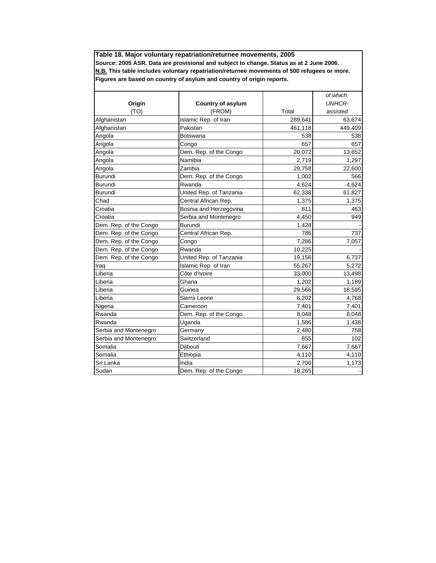**Table 18. Major voluntary repatriation/returnee movements, 2005 Source: 2005 ASR. Data are provisional and subject to change. Status as at 2 June 2006. N.B. This table includes voluntary repatriation/returnee movements of 500 refugees or more. Figures are based on country of asylum and country of origin reports.** 

|                        |                          |         | of which:     |
|------------------------|--------------------------|---------|---------------|
|                        |                          |         | <b>UNHCR-</b> |
| Origin                 | <b>Country of asylum</b> |         |               |
| (TO)                   | (FROM)                   | Total   | assisted      |
| Afghanistan            | Islamic Rep. of Iran     | 289,641 | 63,674        |
| Afghanistan            | Pakistan                 | 461,118 | 449.409       |
| Angola                 | Botswana                 | 538     | 538           |
| Angola                 | Congo                    | 657     | 657           |
| Angola                 | Dem. Rep. of the Congo   | 20,072  | 13,652        |
| Angola                 | Namibia                  | 2,719   | 1,297         |
| Angola                 | Zambia                   | 29,758  | 22,600        |
| <b>Burundi</b>         | Dem. Rep. of the Congo   | 1,002   | 566           |
| Burundi                | Rwanda                   | 4,624   | 4,624         |
| <b>Burundi</b>         | United Rep. of Tanzania  | 62,338  | 61,827        |
| Chad                   | Central African Rep.     | 1,375   | 1,375         |
| Croatia                | Bosnia and Herzegovina   | 811     | 463           |
| Croatia                | Serbia and Montenegro    | 4,450   | 949           |
| Dem. Rep. of the Congo | <b>Burundi</b>           | 1,428   |               |
| Dem. Rep. of the Congo | Central African Rep.     | 786     | 737           |
| Dem. Rep. of the Congo | Congo                    | 7,286   | 7,057         |
| Dem. Rep. of the Congo | Rwanda                   | 10,225  |               |
| Dem. Rep. of the Congo | United Rep. of Tanzania  | 19,156  | 6,737         |
| Iraq                   | Islamic Rep. of Iran     | 55,267  | 5,272         |
| Liberia                | Côte d'Ivoire            | 33,000  | 13,498        |
| Liberia                | Ghana                    | 1,202   | 1,189         |
| Liberia                | Guinea                   | 29,566  | 18,595        |
| Liberia                | Sierra Leone             | 6,202   | 4,768         |
| Nigeria                | Cameroon                 | 7,401   | 7,401         |
| Rwanda                 | Dem. Rep. of the Congo   | 8,048   | 8,048         |
| Rwanda                 | Uganda                   | 1,586   | 1,438         |
| Serbia and Montenegro  | Germany                  | 2,480   | 758           |
| Serbia and Montenegro  | Switzerland              | 855     | 102           |
| Somalia                | Djibouti                 | 7,667   | 7,667         |
| Somalia                | Ethiopia                 | 4,110   | 4,110         |
| Sri Lanka              | India                    | 2,700   | 1,173         |
| Sudan                  | Dem. Rep. of the Congo   | 18,265  |               |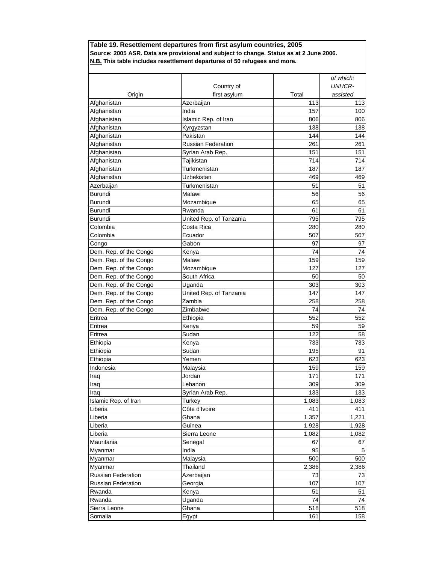**Table 19. Resettlement departures from first asylum countries, 2005 Source: 2005 ASR. Data are provisional and subject to change. Status as at 2 June 2006. N.B. This table includes resettlement departures of 50 refugees and more.**

|                           |                           |       | of which:     |
|---------------------------|---------------------------|-------|---------------|
|                           | Country of                |       | <b>UNHCR-</b> |
| Origin                    | first asylum              | Total | assisted      |
| Afghanistan               | Azerbaijan                | 113   | 113           |
| Afghanistan               | India                     | 157   | 100           |
| Afghanistan               | Islamic Rep. of Iran      | 806   | 806           |
| Afghanistan               | Kyrgyzstan                | 138   | 138           |
| Afghanistan               | Pakistan                  | 144   | 144           |
| Afghanistan               | <b>Russian Federation</b> | 261   | 261           |
| Afghanistan               | Syrian Arab Rep.          | 151   | 151           |
| Afghanistan               | Tajikistan                | 714   | 714           |
| Afghanistan               | Turkmenistan              | 187   | 187           |
| Afghanistan               | Uzbekistan                | 469   | 469           |
| Azerbaijan                | Turkmenistan              | 51    | 51            |
| Burundi                   | Malawi                    | 56    | 56            |
| Burundi                   | Mozambique                | 65    | 65            |
| Burundi                   | Rwanda                    | 61    | 61            |
| Burundi                   | United Rep. of Tanzania   | 795   | 795           |
| Colombia                  | Costa Rica                | 280   | 280           |
| Colombia                  | Ecuador                   | 507   | 507           |
| Congo                     | Gabon                     | 97    | 97            |
| Dem. Rep. of the Congo    | Kenya                     | 74    | 74            |
| Dem. Rep. of the Congo    | Malawi                    | 159   | 159           |
| Dem. Rep. of the Congo    | Mozambique                | 127   | 127           |
| Dem. Rep. of the Congo    | South Africa              | 50    | 50            |
| Dem. Rep. of the Congo    | Uganda                    | 303   | 303           |
| Dem. Rep. of the Congo    | United Rep. of Tanzania   | 147   | 147           |
| Dem. Rep. of the Congo    | Zambia                    | 258   | 258           |
| Dem. Rep. of the Congo    | Zimbabwe                  | 74    | 74            |
| Eritrea                   | Ethiopia                  | 552   | 552           |
| Eritrea                   | Kenya                     | 59    | 59            |
| Eritrea                   | Sudan                     | 122   | 58            |
| Ethiopia                  | Kenya                     | 733   | 733           |
| Ethiopia                  | Sudan                     | 195   | 91            |
| Ethiopia                  | Yemen                     | 623   | 623           |
| Indonesia                 | Malaysia                  | 159   | 159           |
| Iraq                      | Jordan                    | 171   | 171           |
| Iraq                      | Lebanon                   | 309   | 309           |
| <b>I</b> raq              | Syrian Arab Rep.          | 133   | 133           |
| Islamic Rep. of Iran      | Turkey                    | 1,083 | 1,083         |
| Liberia                   | Côte d'Ivoire             | 411   | 411           |
| Liberia                   | Ghana                     | 1,357 | 1,221         |
| Liberia                   | Guinea                    | 1,928 | 1,928         |
| Liberia                   | Sierra Leone              | 1,082 | 1,082         |
| Mauritania                | Senegal                   | 67    | 67            |
| Myanmar                   | India                     | 95    | 5             |
| Myanmar                   | Malaysia                  | 500   | 500           |
| Myanmar                   | Thailand                  | 2,386 | 2,386         |
| Russian Federation        | Azerbaijan                | 73    | 73            |
| <b>Russian Federation</b> | Georgia                   | 107   | 107           |
| Rwanda                    | Kenya                     | 51    | 51            |
| Rwanda                    | Uganda                    | 74    | 74            |
| Sierra Leone              | Ghana                     | 518   | 518           |
| Somalia                   | Egypt                     | 161   | 158           |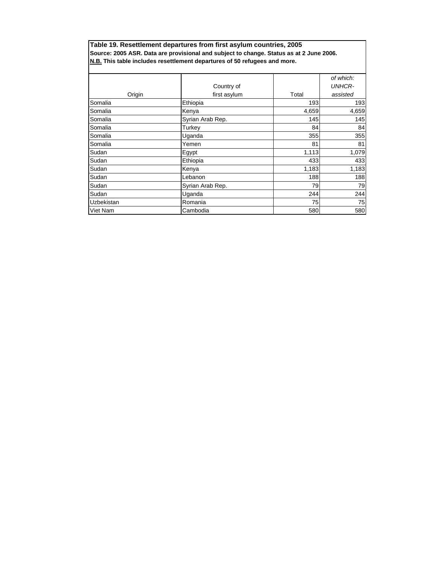**Table 19. Resettlement departures from first asylum countries, 2005 Source: 2005 ASR. Data are provisional and subject to change. Status as at 2 June 2006. N.B. This table includes resettlement departures of 50 refugees and more.**

|            |                  |       | of which:     |
|------------|------------------|-------|---------------|
|            | Country of       |       | <b>UNHCR-</b> |
| Origin     | first asylum     | Total | assisted      |
| Somalia    | Ethiopia         | 193   | 193           |
| Somalia    | Kenya            | 4,659 | 4,659         |
| Somalia    | Syrian Arab Rep. | 145   | 145           |
| Somalia    | Turkey           | 84    | 84            |
| Somalia    | Uganda           | 355   | 355           |
| Somalia    | Yemen            | 81    | 81            |
| Sudan      | Egypt            | 1,113 | 1,079         |
| Sudan      | Ethiopia         | 433   | 433           |
| Sudan      | Kenya            | 1,183 | 1,183         |
| Sudan      | Lebanon          | 188   | 188           |
| Sudan      | Syrian Arab Rep. | 79    | 79            |
| Sudan      | Uganda           | 244   | 244           |
| Uzbekistan | Romania          | 75    | 75            |
| Viet Nam   | Cambodia         | 580   | 580           |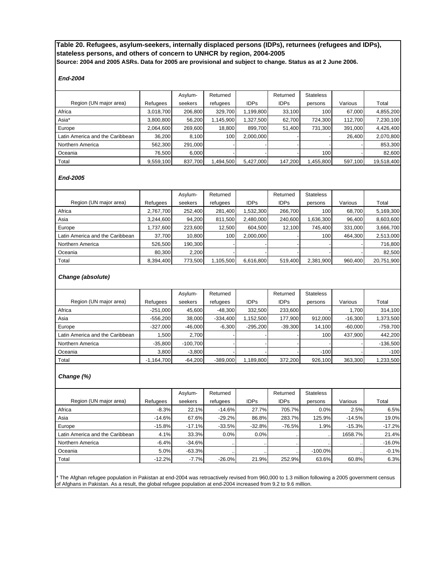**Source: 2004 and 2005 ASRs. Data for 2005 are provisional and subject to change. Status as at 2 June 2006. Table 20. Refugees, asylum-seekers, internally displaced persons (IDPs), returnees (refugees and IDPs), stateless persons, and others of concern to UNHCR by region, 2004-2005**

#### *End-2004*

|                                 |           | Asylum- | Returned  |             | Returned    | <b>Stateless</b> |         |            |
|---------------------------------|-----------|---------|-----------|-------------|-------------|------------------|---------|------------|
| Region (UN major area)          | Refugees  | seekers | refugees  | <b>IDPs</b> | <b>IDPs</b> | persons          | Various | Total      |
| Africa                          | 3,018,700 | 206,800 | 329,700   | 1,199,800   | 33,100      | 100              | 67,000  | 4,855,200  |
| Asia*                           | 3,800,800 | 56,200  | 1,145,900 | 1,327,500   | 62.700      | 724.300          | 112.700 | 7,230,100  |
| Europe                          | 2,064,600 | 269,600 | 18,800    | 899,700     | 51,400      | 731,300          | 391,000 | 4,426,400  |
| Latin America and the Caribbean | 36,200    | 8.100   | 100       | 2.000.000   |             |                  | 26.400  | 2,070,800  |
| Northern America                | 562.300   | 291,000 |           |             |             |                  |         | 853,300    |
| Oceania                         | 76,500    | 6,000   |           |             |             | 100              |         | 82,600     |
| Total                           | 9,559,100 | 837.700 | 1,494,500 | 5.427.000   | 147.200     | 1.455.800        | 597.100 | 19,518,400 |

### *End-2005*

|                                 |           | Asylum- | Returned         |             | Returned    | <b>Stateless</b> |         |            |
|---------------------------------|-----------|---------|------------------|-------------|-------------|------------------|---------|------------|
| Region (UN major area)          | Refugees  | seekers | refugees         | <b>IDPs</b> | <b>IDPs</b> | persons          | Various | Total      |
| Africa                          | 2,767,700 | 252,400 | 281,400          | 1,532,300   | 266,700     | 100              | 68,700  | 5,169,300  |
| Asia                            | 3.244.600 | 94.200  | 811.500          | 2,480,000   | 240.600     | 1,636,300        | 96,400  | 8,603,600  |
| Europe                          | 1,737,600 | 223.600 | 12.500           | 604.500     | 12.100      | 745.400          | 331.000 | 3,666,700  |
| Latin America and the Caribbean | 37,700    | 10,800  | 100 <sub>l</sub> | 2,000,000   |             | 100              | 464,300 | 2,513,000  |
| Northern America                | 526.500   | 190,300 |                  |             |             |                  |         | 716,800    |
| Oceania                         | 80.300    | 2.200   |                  |             |             |                  |         | 82,500     |
| Total                           | 8,394,400 | 773,500 | 1,105,500        | 6,616,800   | 519,400     | 2,381,900        | 960,400 | 20,751,900 |

### *Change (absolute)*

|                                 |              | Asylum-    | Returned   |             | Returned    | <b>Stateless</b> |           |            |
|---------------------------------|--------------|------------|------------|-------------|-------------|------------------|-----------|------------|
| Region (UN major area)          | Refugees     | seekers    | refugees   | <b>IDPs</b> | <b>IDPs</b> | persons          | Various   | Total      |
| Africa                          | $-251.000$   | 45.600     | $-48.300$  | 332.500     | 233.600     |                  | 1.700     | 314.100    |
| Asia                            | $-556.200$   | 38,000     | $-334.400$ | 1.152.500   | 177.900     | 912.000          | $-16.300$ | 1,373,500  |
| Europe                          | $-327.000$   | $-46,000$  | $-6.300$   | $-295.200$  | $-39.300$   | 14.100           | $-60.000$ | $-759.700$ |
| Latin America and the Caribbean | .500         | 2.700      |            |             |             | 100              | 437.900   | 442.200    |
| Northern America                | $-35.800$    | $-100.700$ |            |             |             |                  |           | $-136,500$ |
| Oceania                         | 3.800        | $-3.800$   |            |             |             | $-100$           |           | $-100$     |
| Total                           | $-1,164,700$ | $-64,200$  | $-389.000$ | 1.189.800   | 372,200     | 926,100          | 363.300   | 1,233,500  |

### *Change (%)*

|                                 |          | Asylum-  | Returned  |             | Returned    | <b>Stateless</b> |          |          |
|---------------------------------|----------|----------|-----------|-------------|-------------|------------------|----------|----------|
| Region (UN major area)          | Refugees | seekers  | refugees  | <b>IDPs</b> | <b>IDPs</b> | persons          | Various  | Total    |
| Africa                          | $-8.3%$  | 22.1%    | $-14.6%$  | 27.7%       | 705.7%      | 0.0%             | 2.5%     | 6.5%     |
| Asia                            | $-14.6%$ | 67.6%    | $-29.2\%$ | 86.8%       | 283.7%      | 125.9%           | $-14.5%$ | 19.0%    |
| Europe                          | $-15.8%$ | $-17.1%$ | $-33.5%$  | $-32.8%$    | $-76.5%$    | 1.9%             | $-15.3%$ | $-17.2%$ |
| Latin America and the Caribbean | 4.1%     | 33.3%    | 0.0%      | 0.0%        |             |                  | 1658.7%  | 21.4%    |
| Northern America                | $-6.4%$  | $-34.6%$ |           |             |             |                  |          | $-16.0%$ |
| Oceania                         | 5.0%     | $-63.3%$ | $\cdots$  |             |             | $-100.0\%$       |          | $-0.1%$  |
| Total                           | $-12.2%$ | $-7.7%$  | $-26.0%$  | 21.9%       | 252.9%      | 63.6%            | 60.8%    | 6.3%     |

\* The Afghan refugee population in Pakistan at end-2004 was retroactively revised from 960,000 to 1.3 million following a 2005 government census of Afghans in Pakistan. As a result, the global refugee population at end-2004 increased from 9.2 to 9.6 million.